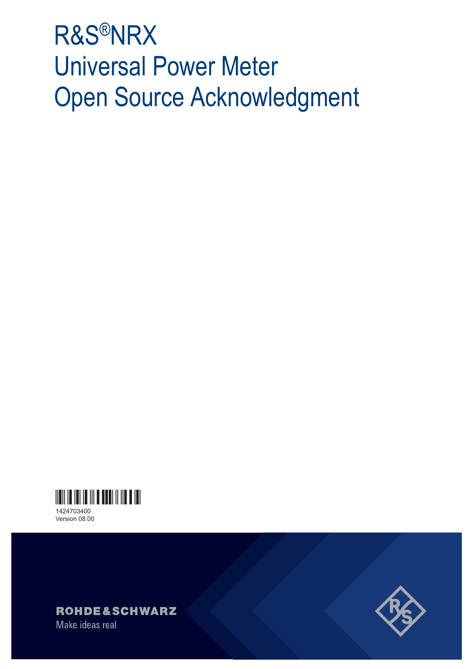# R&S®NRX Universal Power Meter Open Source Acknowledgment



Version 08.00



Make ideas real

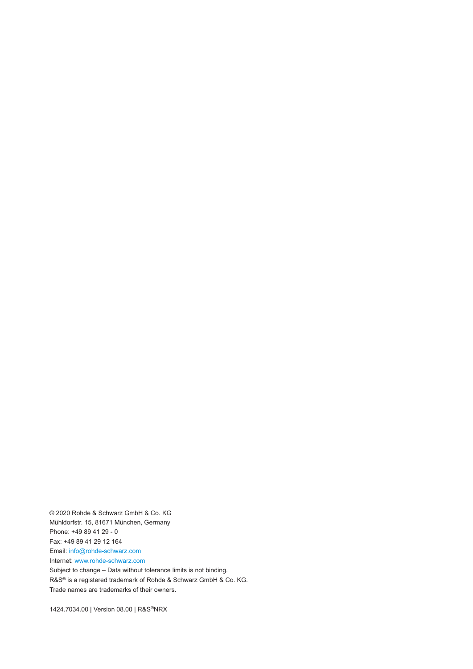© 2020 Rohde & Schwarz GmbH & Co. KG Mühldorfstr. 15, 81671 München, Germany Phone: +49 89 41 29 - 0 Fax: +49 89 41 29 12 164 Email: [info@rohde-schwarz.com](mailto:info@rohde-schwarz.com) Internet: [www.rohde-schwarz.com](http://www.rohde-schwarz.com) Subject to change – Data without tolerance limits is not binding. R&S® is a registered trademark of Rohde & Schwarz GmbH & Co. KG.

Trade names are trademarks of their owners.

1424.7034.00 | Version 08.00 | R&S®NRX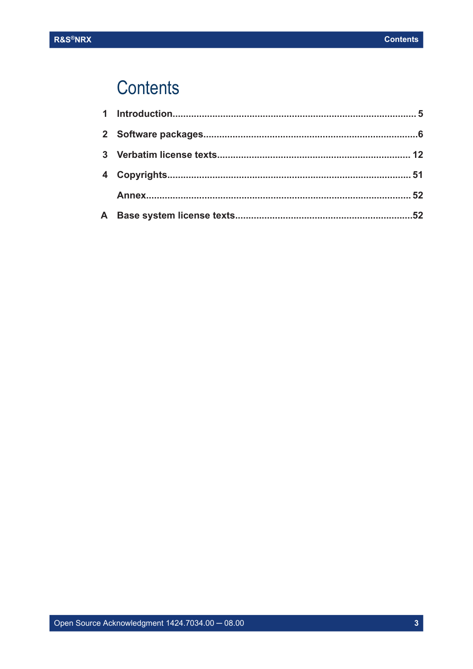# **Contents**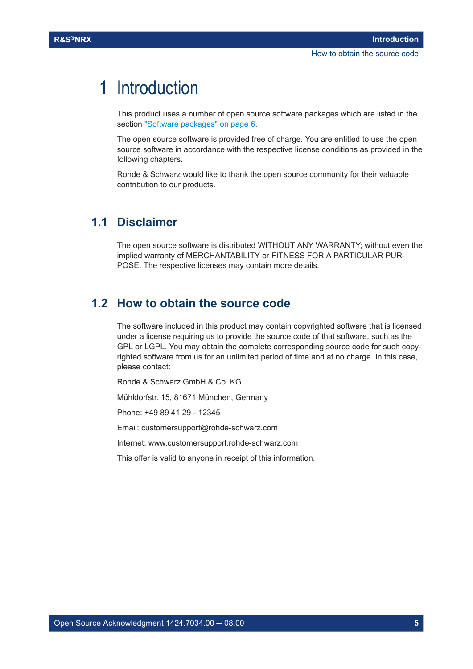# <span id="page-4-0"></span>1 Introduction

This product uses a number of open source software packages which are listed in the section ["Software packages" on page 6](#page-5-0).

The open source software is provided free of charge. You are entitled to use the open source software in accordance with the respective license conditions as provided in the following chapters.

Rohde & Schwarz would like to thank the open source community for their valuable contribution to our products.

## **1.1 Disclaimer**

The open source software is distributed WITHOUT ANY WARRANTY; without even the implied warranty of MERCHANTABILITY or FITNESS FOR A PARTICULAR PUR-POSE. The respective licenses may contain more details.

### **1.2 How to obtain the source code**

The software included in this product may contain copyrighted software that is licensed under a license requiring us to provide the source code of that software, such as the GPL or LGPL. You may obtain the complete corresponding source code for such copyrighted software from us for an unlimited period of time and at no charge. In this case, please contact:

Rohde & Schwarz GmbH & Co. KG

Mühldorfstr. 15, 81671 München, Germany

Phone: +49 89 41 29 - 12345

Email: customersupport@rohde-schwarz.com

Internet: www.customersupport.rohde-schwarz.com

This offer is valid to anyone in receipt of this information.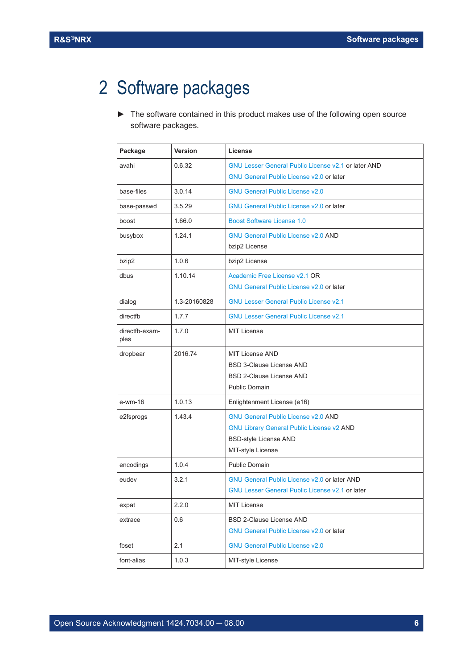# <span id="page-5-0"></span>2 Software packages

► The software contained in this product makes use of the following open source software packages.

| Package                | Version      | License                                                    |
|------------------------|--------------|------------------------------------------------------------|
| avahi                  | 0.6.32       | <b>GNU Lesser General Public License v2.1 or later AND</b> |
|                        |              | <b>GNU General Public License v2.0 or later</b>            |
| base-files             | 3.0.14       | <b>GNU General Public License v2.0</b>                     |
| base-passwd            | 3.5.29       | <b>GNU General Public License v2.0 or later</b>            |
| boost                  | 1.66.0       | <b>Boost Software License 1.0</b>                          |
| busybox                | 1.24.1       | <b>GNU General Public License v2.0 AND</b>                 |
|                        |              | bzip2 License                                              |
| bzip2                  | 1.0.6        | bzip2 License                                              |
| dbus                   | 1.10.14      | Academic Free License v2.1 OR                              |
|                        |              | <b>GNU General Public License v2.0 or later</b>            |
| dialog                 | 1.3-20160828 | <b>GNU Lesser General Public License v2.1</b>              |
| directfb               | 1.7.7        | <b>GNU Lesser General Public License v2.1</b>              |
| directfb-exam-<br>ples | 1.7.0        | <b>MIT License</b>                                         |
| dropbear               | 2016.74      | <b>MIT License AND</b>                                     |
|                        |              | <b>BSD 3-Clause License AND</b>                            |
|                        |              | <b>BSD 2-Clause License AND</b>                            |
|                        |              | <b>Public Domain</b>                                       |
| $e$ -wm-16             | 1.0.13       | Enlightenment License (e16)                                |
| e2fsprogs              | 1.43.4       | <b>GNU General Public License v2.0 AND</b>                 |
|                        |              | <b>GNU Library General Public License v2 AND</b>           |
|                        |              | <b>BSD-style License AND</b>                               |
|                        |              | MIT-style License                                          |
| encodings              | 1.0.4        | <b>Public Domain</b>                                       |
| eudev                  | 3.2.1        | GNU General Public License v2.0 or later AND               |
|                        |              | GNU Lesser General Public License v2.1 or later            |
| expat                  | 2.2.0        | <b>MIT License</b>                                         |
| extrace                | 0.6          | <b>BSD 2-Clause License AND</b>                            |
|                        |              | <b>GNU General Public License v2.0 or later</b>            |
| fbset                  | 2.1          | <b>GNU General Public License v2.0</b>                     |
| font-alias             | 1.0.3        | MIT-style License                                          |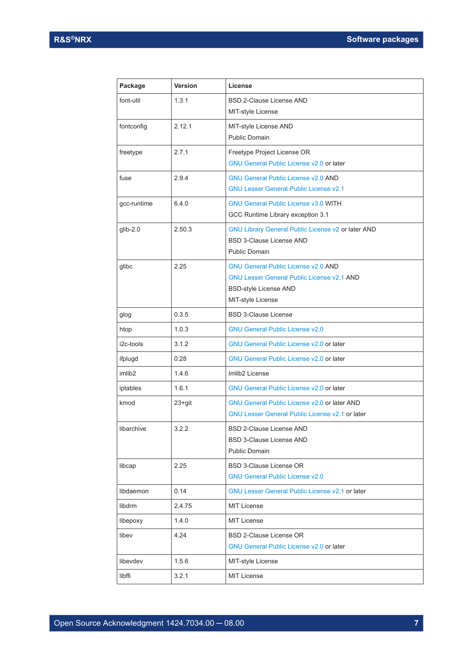| Package               | <b>Version</b> | License                                                                                                                                              |
|-----------------------|----------------|------------------------------------------------------------------------------------------------------------------------------------------------------|
| font-util             | 1.3.1          | <b>BSD 2-Clause License AND</b><br>MIT-style License                                                                                                 |
| fontconfig            | 2.12.1         | MIT-style License AND<br><b>Public Domain</b>                                                                                                        |
| freetype              | 2.7.1          | Freetype Project License OR<br><b>GNU General Public License v2.0 or later</b>                                                                       |
| fuse                  | 2.9.4          | <b>GNU General Public License v2.0 AND</b><br><b>GNU Lesser General Public License v2.1</b>                                                          |
| gcc-runtime           | 6.4.0          | <b>GNU General Public License v3.0 WITH</b><br>GCC Runtime Library exception 3.1                                                                     |
| $qlib-2.0$            | 2.50.3         | GNU Library General Public License v2 or later AND<br><b>BSD 3-Clause License AND</b><br><b>Public Domain</b>                                        |
| glibc                 | 2.25           | <b>GNU General Public License v2.0 AND</b><br><b>GNU Lesser General Public License v2.1 AND</b><br><b>BSD-style License AND</b><br>MIT-style License |
| glog                  | 0.3.5          | <b>BSD 3-Clause License</b>                                                                                                                          |
| htop                  | 1.0.3          | <b>GNU General Public License v2.0</b>                                                                                                               |
| i <sub>2c-tools</sub> | 3.1.2          | <b>GNU General Public License v2.0 or later</b>                                                                                                      |
| ifplugd               | 0.28           | <b>GNU General Public License v2.0 or later</b>                                                                                                      |
| imlib <sub>2</sub>    | 1.4.6          | Imlib2 License                                                                                                                                       |
| iptables              | 1.6.1          | GNU General Public License v2.0 or later                                                                                                             |
| kmod                  | $23+git$       | GNU General Public License v2.0 or later AND<br><b>GNU Lesser General Public License v2.1 or later</b>                                               |
| libarchive            | 3.2.2          | <b>BSD 2-Clause License AND</b><br><b>BSD 3-Clause License AND</b><br>Public Domain                                                                  |
| libcap                | 2.25           | <b>BSD 3-Clause License OR</b><br><b>GNU General Public License v2.0</b>                                                                             |
| libdaemon             | 0.14           | GNU Lesser General Public License v2.1 or later                                                                                                      |
| libdrm                | 2.4.75         | <b>MIT License</b>                                                                                                                                   |
| libepoxy              | 1.4.0          | <b>MIT License</b>                                                                                                                                   |
| libev                 | 4.24           | BSD 2-Clause License OR<br><b>GNU General Public License v2.0 or later</b>                                                                           |
| libevdev              | 1.5.6          | MIT-style License                                                                                                                                    |
| libffi                | 3.2.1          | <b>MIT License</b>                                                                                                                                   |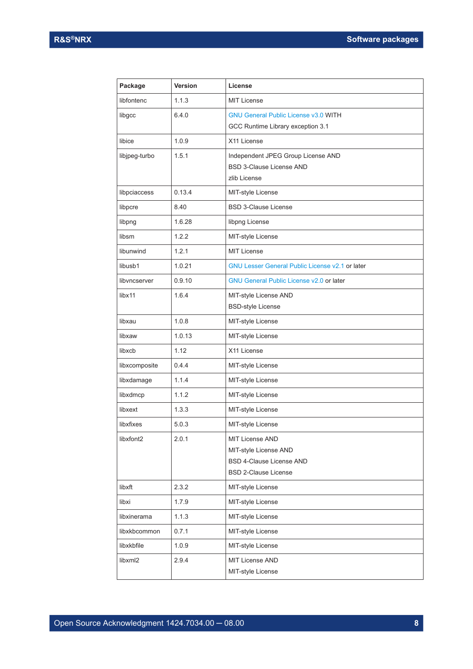| Package       | Version | License                                                                                                    |
|---------------|---------|------------------------------------------------------------------------------------------------------------|
| libfontenc    | 1.1.3   | <b>MIT License</b>                                                                                         |
| libgcc        | 6.4.0   | <b>GNU General Public License v3.0 WITH</b><br>GCC Runtime Library exception 3.1                           |
| libice        | 1.0.9   | X11 License                                                                                                |
| libjpeg-turbo | 1.5.1   | Independent JPEG Group License AND<br><b>BSD 3-Clause License AND</b><br>zlib License                      |
| libpciaccess  | 0.13.4  | MIT-style License                                                                                          |
| libpcre       | 8.40    | <b>BSD 3-Clause License</b>                                                                                |
| libpng        | 1.6.28  | libpng License                                                                                             |
| libsm         | 1.2.2   | MIT-style License                                                                                          |
| libunwind     | 1.2.1   | <b>MIT License</b>                                                                                         |
| libusb1       | 1.0.21  | <b>GNU Lesser General Public License v2.1 or later</b>                                                     |
| libyncserver  | 0.9.10  | GNU General Public License v2.0 or later                                                                   |
| libx11        | 1.6.4   | MIT-style License AND<br><b>BSD-style License</b>                                                          |
| libxau        | 1.0.8   | MIT-style License                                                                                          |
| libxaw        | 1.0.13  | MIT-style License                                                                                          |
| libxcb        | 1.12    | X11 License                                                                                                |
| libxcomposite | 0.4.4   | MIT-style License                                                                                          |
| libxdamage    | 1.1.4   | MIT-style License                                                                                          |
| libxdmcp      | 1.1.2   | MIT-style License                                                                                          |
| libxext       | 1.3.3   | MIT-style License                                                                                          |
| libxfixes     | 5.0.3   | MIT-style License                                                                                          |
| libxfont2     | 2.0.1   | MIT License AND<br>MIT-style License AND<br><b>BSD 4-Clause License AND</b><br><b>BSD 2-Clause License</b> |
| libxft        | 2.3.2   | MIT-style License                                                                                          |
| libxi         | 1.7.9   | MIT-style License                                                                                          |
| libxinerama   | 1.1.3   | MIT-style License                                                                                          |
| libxkbcommon  | 0.7.1   | MIT-style License                                                                                          |
| libxkbfile    | 1.0.9   | MIT-style License                                                                                          |
| libxml2       | 2.9.4   | MIT License AND<br>MIT-style License                                                                       |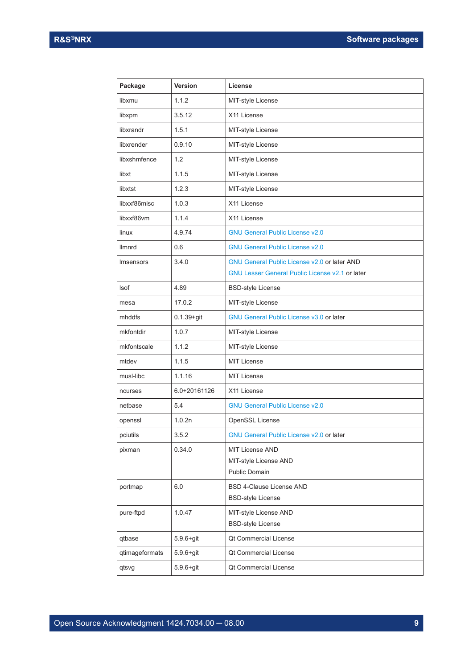| Package          | Version        | License                                                |
|------------------|----------------|--------------------------------------------------------|
| libxmu           | 1.1.2          | MIT-style License                                      |
| libxpm           | 3.5.12         | X11 License                                            |
| libxrandr        | 1.5.1          | MIT-style License                                      |
| libxrender       | 0.9.10         | MIT-style License                                      |
| libxshmfence     | 1.2            | MIT-style License                                      |
| libxt            | 1.1.5          | MIT-style License                                      |
| libxtst          | 1.2.3          | MIT-style License                                      |
| libxxf86misc     | 1.0.3          | X11 License                                            |
| libxxf86vm       | 1.1.4          | X11 License                                            |
| linux            | 4.9.74         | <b>GNU General Public License v2.0</b>                 |
| Ilmnrd           | 0.6            | <b>GNU General Public License v2.0</b>                 |
| <b>Imsensors</b> | 3.4.0          | <b>GNU General Public License v2.0 or later AND</b>    |
|                  |                | <b>GNU Lesser General Public License v2.1 or later</b> |
| Isof             | 4.89           | <b>BSD-style License</b>                               |
| mesa             | 17.0.2         | MIT-style License                                      |
| mhddfs           | $0.1.39 + git$ | <b>GNU General Public License v3.0 or later</b>        |
| mkfontdir        | 1.0.7          | MIT-style License                                      |
| mkfontscale      | 1.1.2          | MIT-style License                                      |
| mtdev            | 1.1.5          | <b>MIT License</b>                                     |
| musl-libc        | 1.1.16         | <b>MIT License</b>                                     |
| ncurses          | 6.0+20161126   | X11 License                                            |
| netbase          | 5.4            | <b>GNU General Public License v2.0</b>                 |
| openssl          | 1.0.2n         | OpenSSL License                                        |
| pciutils         | 3.5.2          | GNU General Public License v2.0 or later               |
| pixman           | 0.34.0         | <b>MIT License AND</b>                                 |
|                  |                | MIT-style License AND                                  |
|                  |                | Public Domain                                          |
| portmap          | 6.0            | <b>BSD 4-Clause License AND</b>                        |
|                  |                | <b>BSD-style License</b>                               |
| pure-ftpd        | 1.0.47         | MIT-style License AND                                  |
|                  |                | <b>BSD-style License</b>                               |
| qtbase           | $5.9.6 +$ git  | <b>Qt Commercial License</b>                           |
| qtimageformats   | $5.9.6 +$ git  | Qt Commercial License                                  |
| qtsvg            | $5.9.6 +$ git  | Qt Commercial License                                  |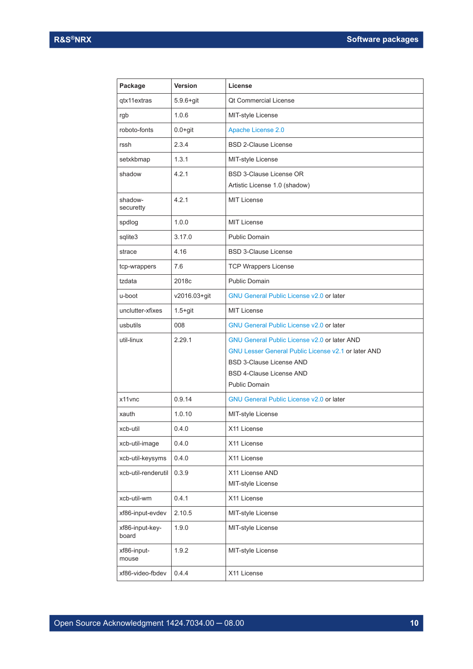| Package                  | <b>Version</b> | License                                                                                                                                                                                                  |
|--------------------------|----------------|----------------------------------------------------------------------------------------------------------------------------------------------------------------------------------------------------------|
| qtx11extras              | $5.9.6 +$ git  | <b>Qt Commercial License</b>                                                                                                                                                                             |
| rgb                      | 1.0.6          | MIT-style License                                                                                                                                                                                        |
| roboto-fonts             | $0.0 +$ git    | Apache License 2.0                                                                                                                                                                                       |
| rssh                     | 2.3.4          | <b>BSD 2-Clause License</b>                                                                                                                                                                              |
| setxkbmap                | 1.3.1          | MIT-style License                                                                                                                                                                                        |
| shadow                   | 4.2.1          | <b>BSD 3-Clause License OR</b><br>Artistic License 1.0 (shadow)                                                                                                                                          |
| shadow-<br>securetty     | 4.2.1          | <b>MIT License</b>                                                                                                                                                                                       |
| spdlog                   | 1.0.0          | <b>MIT License</b>                                                                                                                                                                                       |
| sqlite3                  | 3.17.0         | Public Domain                                                                                                                                                                                            |
| strace                   | 4.16           | <b>BSD 3-Clause License</b>                                                                                                                                                                              |
| tcp-wrappers             | 7.6            | <b>TCP Wrappers License</b>                                                                                                                                                                              |
| tzdata                   | 2018c          | Public Domain                                                                                                                                                                                            |
| u-boot                   | v2016.03+git   | <b>GNU General Public License v2.0 or later</b>                                                                                                                                                          |
| unclutter-xfixes         | $1.5 +$ git    | <b>MIT License</b>                                                                                                                                                                                       |
| usbutils                 | 008            | <b>GNU General Public License v2.0 or later</b>                                                                                                                                                          |
| util-linux               | 2.29.1         | <b>GNU General Public License v2.0 or later AND</b><br><b>GNU Lesser General Public License v2.1 or later AND</b><br><b>BSD 3-Clause License AND</b><br><b>BSD 4-Clause License AND</b><br>Public Domain |
| x11vnc                   | 0.9.14         | <b>GNU General Public License v2.0 or later</b>                                                                                                                                                          |
| xauth                    | 1.0.10         | MIT-style License                                                                                                                                                                                        |
| xcb-util                 | 0.4.0          | X11 License                                                                                                                                                                                              |
| xcb-util-image           | 0.4.0          | X11 License                                                                                                                                                                                              |
| xcb-util-keysyms         | 0.4.0          | X11 License                                                                                                                                                                                              |
| xcb-util-renderutil      | 0.3.9          | X11 License AND<br>MIT-style License                                                                                                                                                                     |
| xcb-util-wm              | 0.4.1          | X11 License                                                                                                                                                                                              |
| xf86-input-evdev         | 2.10.5         | MIT-style License                                                                                                                                                                                        |
| xf86-input-key-<br>board | 1.9.0          | MIT-style License                                                                                                                                                                                        |
| xf86-input-<br>mouse     | 1.9.2          | MIT-style License                                                                                                                                                                                        |
| xf86-video-fbdev         | 0.4.4          | X11 License                                                                                                                                                                                              |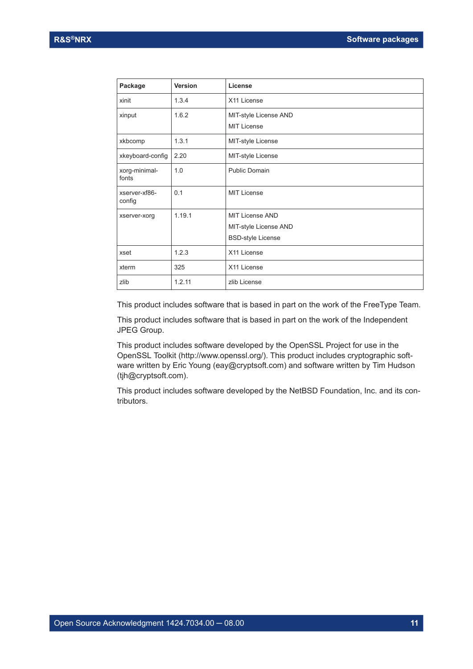| Package                 | <b>Version</b> | License                  |
|-------------------------|----------------|--------------------------|
| xinit                   | 1.3.4          | X <sub>11</sub> License  |
| xinput                  | 1.6.2          | MIT-style License AND    |
|                         |                | <b>MIT License</b>       |
| xkbcomp                 | 1.3.1          | MIT-style License        |
| xkeyboard-config        | 2.20           | MIT-style License        |
| xorg-minimal-<br>fonts  | 1.0            | <b>Public Domain</b>     |
| xserver-xf86-<br>config | 0.1            | <b>MIT License</b>       |
| xserver-xorg            | 1.19.1         | <b>MIT License AND</b>   |
|                         |                | MIT-style License AND    |
|                         |                | <b>BSD-style License</b> |
| xset                    | 1.2.3          | X11 License              |
| xterm                   | 325            | X11 License              |
| zlib                    | 1.2.11         | zlib License             |

This product includes software that is based in part on the work of the FreeType Team.

This product includes software that is based in part on the work of the Independent JPEG Group.

This product includes software developed by the OpenSSL Project for use in the OpenSSL Toolkit (http://www.openssl.org/). This product includes cryptographic software written by Eric Young (eay@cryptsoft.com) and software written by Tim Hudson (tjh@cryptsoft.com).

This product includes software developed by the NetBSD Foundation, Inc. and its contributors.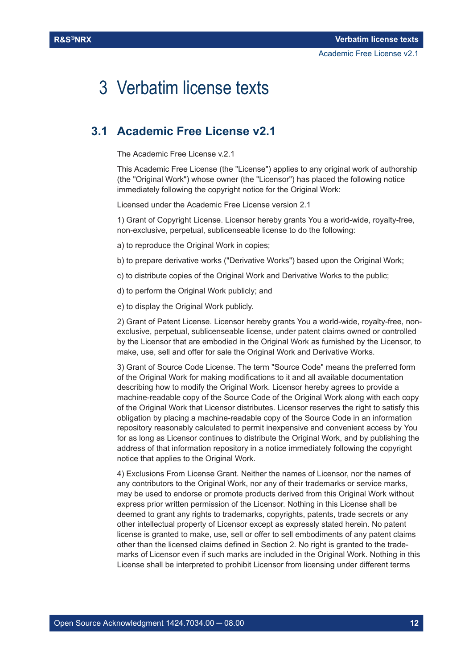# <span id="page-11-0"></span>3 Verbatim license texts

### **3.1 Academic Free License v2.1**

The Academic Free License v.2.1

This Academic Free License (the "License") applies to any original work of authorship (the "Original Work") whose owner (the "Licensor") has placed the following notice immediately following the copyright notice for the Original Work:

Licensed under the Academic Free License version 2.1

1) Grant of Copyright License. Licensor hereby grants You a world-wide, royalty-free, non-exclusive, perpetual, sublicenseable license to do the following:

a) to reproduce the Original Work in copies;

- b) to prepare derivative works ("Derivative Works") based upon the Original Work;
- c) to distribute copies of the Original Work and Derivative Works to the public;
- d) to perform the Original Work publicly; and

e) to display the Original Work publicly.

2) Grant of Patent License. Licensor hereby grants You a world-wide, royalty-free, nonexclusive, perpetual, sublicenseable license, under patent claims owned or controlled by the Licensor that are embodied in the Original Work as furnished by the Licensor, to make, use, sell and offer for sale the Original Work and Derivative Works.

3) Grant of Source Code License. The term "Source Code" means the preferred form of the Original Work for making modifications to it and all available documentation describing how to modify the Original Work. Licensor hereby agrees to provide a machine-readable copy of the Source Code of the Original Work along with each copy of the Original Work that Licensor distributes. Licensor reserves the right to satisfy this obligation by placing a machine-readable copy of the Source Code in an information repository reasonably calculated to permit inexpensive and convenient access by You for as long as Licensor continues to distribute the Original Work, and by publishing the address of that information repository in a notice immediately following the copyright notice that applies to the Original Work.

4) Exclusions From License Grant. Neither the names of Licensor, nor the names of any contributors to the Original Work, nor any of their trademarks or service marks, may be used to endorse or promote products derived from this Original Work without express prior written permission of the Licensor. Nothing in this License shall be deemed to grant any rights to trademarks, copyrights, patents, trade secrets or any other intellectual property of Licensor except as expressly stated herein. No patent license is granted to make, use, sell or offer to sell embodiments of any patent claims other than the licensed claims defined in Section 2. No right is granted to the trademarks of Licensor even if such marks are included in the Original Work. Nothing in this License shall be interpreted to prohibit Licensor from licensing under different terms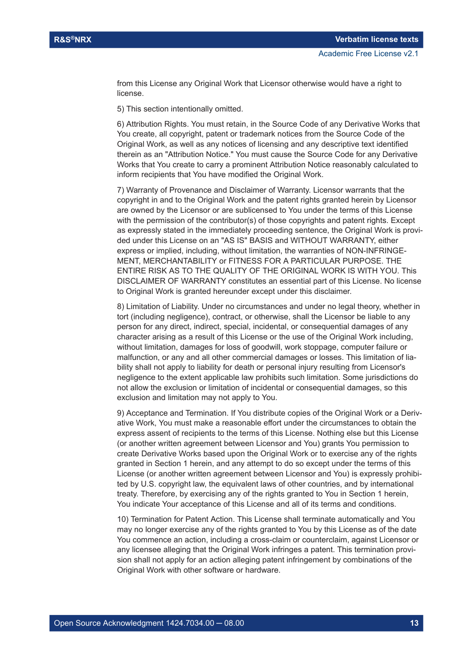from this License any Original Work that Licensor otherwise would have a right to license.

5) This section intentionally omitted.

6) Attribution Rights. You must retain, in the Source Code of any Derivative Works that You create, all copyright, patent or trademark notices from the Source Code of the Original Work, as well as any notices of licensing and any descriptive text identified therein as an "Attribution Notice." You must cause the Source Code for any Derivative Works that You create to carry a prominent Attribution Notice reasonably calculated to inform recipients that You have modified the Original Work.

7) Warranty of Provenance and Disclaimer of Warranty. Licensor warrants that the copyright in and to the Original Work and the patent rights granted herein by Licensor are owned by the Licensor or are sublicensed to You under the terms of this License with the permission of the contributor(s) of those copyrights and patent rights. Except as expressly stated in the immediately proceeding sentence, the Original Work is provided under this License on an "AS IS" BASIS and WITHOUT WARRANTY, either express or implied, including, without limitation, the warranties of NON-INFRINGE-MENT, MERCHANTABILITY or FITNESS FOR A PARTICULAR PURPOSE. THE ENTIRE RISK AS TO THE QUALITY OF THE ORIGINAL WORK IS WITH YOU. This DISCLAIMER OF WARRANTY constitutes an essential part of this License. No license to Original Work is granted hereunder except under this disclaimer.

8) Limitation of Liability. Under no circumstances and under no legal theory, whether in tort (including negligence), contract, or otherwise, shall the Licensor be liable to any person for any direct, indirect, special, incidental, or consequential damages of any character arising as a result of this License or the use of the Original Work including, without limitation, damages for loss of goodwill, work stoppage, computer failure or malfunction, or any and all other commercial damages or losses. This limitation of liability shall not apply to liability for death or personal injury resulting from Licensor's negligence to the extent applicable law prohibits such limitation. Some jurisdictions do not allow the exclusion or limitation of incidental or consequential damages, so this exclusion and limitation may not apply to You.

9) Acceptance and Termination. If You distribute copies of the Original Work or a Derivative Work, You must make a reasonable effort under the circumstances to obtain the express assent of recipients to the terms of this License. Nothing else but this License (or another written agreement between Licensor and You) grants You permission to create Derivative Works based upon the Original Work or to exercise any of the rights granted in Section 1 herein, and any attempt to do so except under the terms of this License (or another written agreement between Licensor and You) is expressly prohibited by U.S. copyright law, the equivalent laws of other countries, and by international treaty. Therefore, by exercising any of the rights granted to You in Section 1 herein, You indicate Your acceptance of this License and all of its terms and conditions.

10) Termination for Patent Action. This License shall terminate automatically and You may no longer exercise any of the rights granted to You by this License as of the date You commence an action, including a cross-claim or counterclaim, against Licensor or any licensee alleging that the Original Work infringes a patent. This termination provision shall not apply for an action alleging patent infringement by combinations of the Original Work with other software or hardware.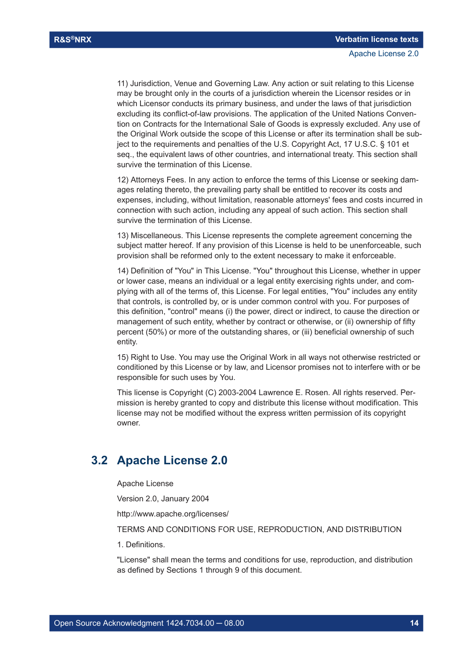<span id="page-13-0"></span>11) Jurisdiction, Venue and Governing Law. Any action or suit relating to this License may be brought only in the courts of a jurisdiction wherein the Licensor resides or in which Licensor conducts its primary business, and under the laws of that jurisdiction excluding its conflict-of-law provisions. The application of the United Nations Convention on Contracts for the International Sale of Goods is expressly excluded. Any use of the Original Work outside the scope of this License or after its termination shall be subject to the requirements and penalties of the U.S. Copyright Act, 17 U.S.C. § 101 et seq., the equivalent laws of other countries, and international treaty. This section shall survive the termination of this License.

12) Attorneys Fees. In any action to enforce the terms of this License or seeking damages relating thereto, the prevailing party shall be entitled to recover its costs and expenses, including, without limitation, reasonable attorneys' fees and costs incurred in connection with such action, including any appeal of such action. This section shall survive the termination of this License.

13) Miscellaneous. This License represents the complete agreement concerning the subject matter hereof. If any provision of this License is held to be unenforceable, such provision shall be reformed only to the extent necessary to make it enforceable.

14) Definition of "You" in This License. "You" throughout this License, whether in upper or lower case, means an individual or a legal entity exercising rights under, and complying with all of the terms of, this License. For legal entities, "You" includes any entity that controls, is controlled by, or is under common control with you. For purposes of this definition, "control" means (i) the power, direct or indirect, to cause the direction or management of such entity, whether by contract or otherwise, or (ii) ownership of fifty percent (50%) or more of the outstanding shares, or (iii) beneficial ownership of such entity.

15) Right to Use. You may use the Original Work in all ways not otherwise restricted or conditioned by this License or by law, and Licensor promises not to interfere with or be responsible for such uses by You.

This license is Copyright (C) 2003-2004 Lawrence E. Rosen. All rights reserved. Permission is hereby granted to copy and distribute this license without modification. This license may not be modified without the express written permission of its copyright owner.

### **3.2 Apache License 2.0**

Apache License

Version 2.0, January 2004

http://www.apache.org/licenses/

TERMS AND CONDITIONS FOR USE, REPRODUCTION, AND DISTRIBUTION

1. Definitions.

"License" shall mean the terms and conditions for use, reproduction, and distribution as defined by Sections 1 through 9 of this document.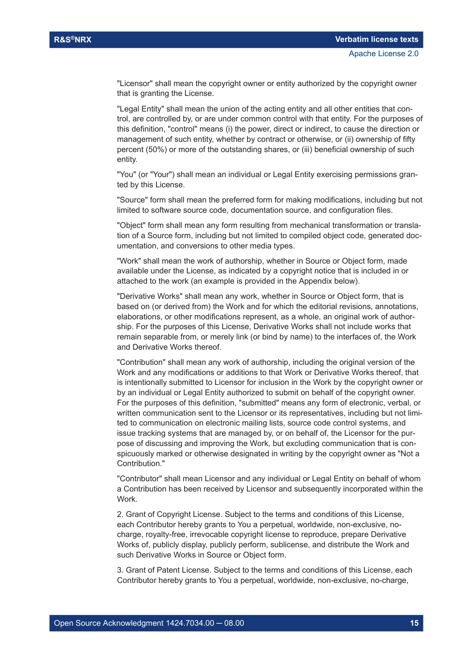"Licensor" shall mean the copyright owner or entity authorized by the copyright owner that is granting the License.

"Legal Entity" shall mean the union of the acting entity and all other entities that control, are controlled by, or are under common control with that entity. For the purposes of this definition, "control" means (i) the power, direct or indirect, to cause the direction or management of such entity, whether by contract or otherwise, or (ii) ownership of fifty percent (50%) or more of the outstanding shares, or (iii) beneficial ownership of such entity.

"You" (or "Your") shall mean an individual or Legal Entity exercising permissions granted by this License.

"Source" form shall mean the preferred form for making modifications, including but not limited to software source code, documentation source, and configuration files.

"Object" form shall mean any form resulting from mechanical transformation or translation of a Source form, including but not limited to compiled object code, generated documentation, and conversions to other media types.

"Work" shall mean the work of authorship, whether in Source or Object form, made available under the License, as indicated by a copyright notice that is included in or attached to the work (an example is provided in the Appendix below).

"Derivative Works" shall mean any work, whether in Source or Object form, that is based on (or derived from) the Work and for which the editorial revisions, annotations, elaborations, or other modifications represent, as a whole, an original work of authorship. For the purposes of this License, Derivative Works shall not include works that remain separable from, or merely link (or bind by name) to the interfaces of, the Work and Derivative Works thereof.

"Contribution" shall mean any work of authorship, including the original version of the Work and any modifications or additions to that Work or Derivative Works thereof, that is intentionally submitted to Licensor for inclusion in the Work by the copyright owner or by an individual or Legal Entity authorized to submit on behalf of the copyright owner. For the purposes of this definition, "submitted" means any form of electronic, verbal, or written communication sent to the Licensor or its representatives, including but not limited to communication on electronic mailing lists, source code control systems, and issue tracking systems that are managed by, or on behalf of, the Licensor for the purpose of discussing and improving the Work, but excluding communication that is conspicuously marked or otherwise designated in writing by the copyright owner as "Not a Contribution."

"Contributor" shall mean Licensor and any individual or Legal Entity on behalf of whom a Contribution has been received by Licensor and subsequently incorporated within the Work.

2. Grant of Copyright License. Subject to the terms and conditions of this License, each Contributor hereby grants to You a perpetual, worldwide, non-exclusive, nocharge, royalty-free, irrevocable copyright license to reproduce, prepare Derivative Works of, publicly display, publicly perform, sublicense, and distribute the Work and such Derivative Works in Source or Object form.

3. Grant of Patent License. Subject to the terms and conditions of this License, each Contributor hereby grants to You a perpetual, worldwide, non-exclusive, no-charge,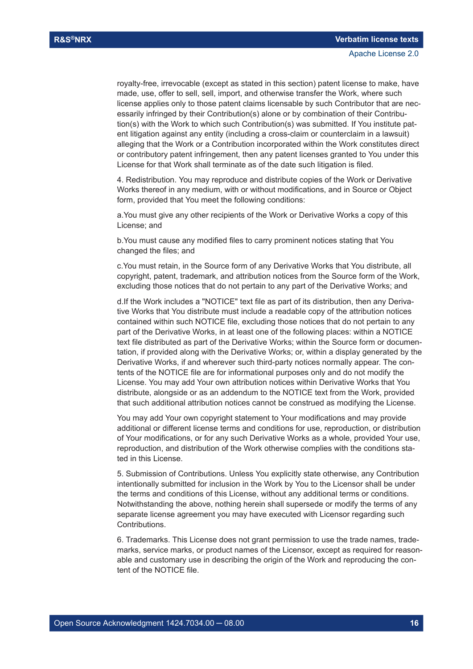royalty-free, irrevocable (except as stated in this section) patent license to make, have made, use, offer to sell, sell, import, and otherwise transfer the Work, where such license applies only to those patent claims licensable by such Contributor that are necessarily infringed by their Contribution(s) alone or by combination of their Contribution(s) with the Work to which such Contribution(s) was submitted. If You institute patent litigation against any entity (including a cross-claim or counterclaim in a lawsuit) alleging that the Work or a Contribution incorporated within the Work constitutes direct or contributory patent infringement, then any patent licenses granted to You under this License for that Work shall terminate as of the date such litigation is filed.

4. Redistribution. You may reproduce and distribute copies of the Work or Derivative Works thereof in any medium, with or without modifications, and in Source or Object form, provided that You meet the following conditions:

a.You must give any other recipients of the Work or Derivative Works a copy of this License; and

b.You must cause any modified files to carry prominent notices stating that You changed the files; and

c.You must retain, in the Source form of any Derivative Works that You distribute, all copyright, patent, trademark, and attribution notices from the Source form of the Work, excluding those notices that do not pertain to any part of the Derivative Works; and

d.If the Work includes a "NOTICE" text file as part of its distribution, then any Derivative Works that You distribute must include a readable copy of the attribution notices contained within such NOTICE file, excluding those notices that do not pertain to any part of the Derivative Works, in at least one of the following places: within a NOTICE text file distributed as part of the Derivative Works; within the Source form or documentation, if provided along with the Derivative Works; or, within a display generated by the Derivative Works, if and wherever such third-party notices normally appear. The contents of the NOTICE file are for informational purposes only and do not modify the License. You may add Your own attribution notices within Derivative Works that You distribute, alongside or as an addendum to the NOTICE text from the Work, provided that such additional attribution notices cannot be construed as modifying the License.

You may add Your own copyright statement to Your modifications and may provide additional or different license terms and conditions for use, reproduction, or distribution of Your modifications, or for any such Derivative Works as a whole, provided Your use, reproduction, and distribution of the Work otherwise complies with the conditions stated in this License.

5. Submission of Contributions. Unless You explicitly state otherwise, any Contribution intentionally submitted for inclusion in the Work by You to the Licensor shall be under the terms and conditions of this License, without any additional terms or conditions. Notwithstanding the above, nothing herein shall supersede or modify the terms of any separate license agreement you may have executed with Licensor regarding such Contributions.

6. Trademarks. This License does not grant permission to use the trade names, trademarks, service marks, or product names of the Licensor, except as required for reasonable and customary use in describing the origin of the Work and reproducing the content of the NOTICE file.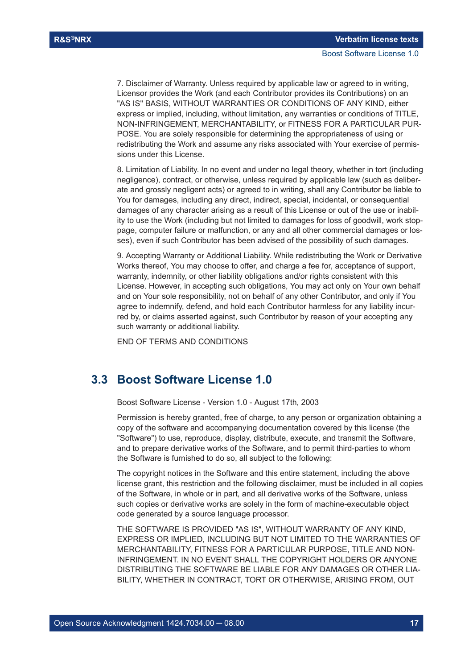<span id="page-16-0"></span>7. Disclaimer of Warranty. Unless required by applicable law or agreed to in writing, Licensor provides the Work (and each Contributor provides its Contributions) on an "AS IS" BASIS, WITHOUT WARRANTIES OR CONDITIONS OF ANY KIND, either express or implied, including, without limitation, any warranties or conditions of TITLE, NON-INFRINGEMENT, MERCHANTABILITY, or FITNESS FOR A PARTICULAR PUR-POSE. You are solely responsible for determining the appropriateness of using or redistributing the Work and assume any risks associated with Your exercise of permissions under this License.

8. Limitation of Liability. In no event and under no legal theory, whether in tort (including negligence), contract, or otherwise, unless required by applicable law (such as deliberate and grossly negligent acts) or agreed to in writing, shall any Contributor be liable to You for damages, including any direct, indirect, special, incidental, or consequential damages of any character arising as a result of this License or out of the use or inability to use the Work (including but not limited to damages for loss of goodwill, work stoppage, computer failure or malfunction, or any and all other commercial damages or losses), even if such Contributor has been advised of the possibility of such damages.

9. Accepting Warranty or Additional Liability. While redistributing the Work or Derivative Works thereof, You may choose to offer, and charge a fee for, acceptance of support, warranty, indemnity, or other liability obligations and/or rights consistent with this License. However, in accepting such obligations, You may act only on Your own behalf and on Your sole responsibility, not on behalf of any other Contributor, and only if You agree to indemnify, defend, and hold each Contributor harmless for any liability incurred by, or claims asserted against, such Contributor by reason of your accepting any such warranty or additional liability.

END OF TERMS AND CONDITIONS

#### **3.3 Boost Software License 1.0**

Boost Software License - Version 1.0 - August 17th, 2003

Permission is hereby granted, free of charge, to any person or organization obtaining a copy of the software and accompanying documentation covered by this license (the "Software") to use, reproduce, display, distribute, execute, and transmit the Software, and to prepare derivative works of the Software, and to permit third-parties to whom the Software is furnished to do so, all subject to the following:

The copyright notices in the Software and this entire statement, including the above license grant, this restriction and the following disclaimer, must be included in all copies of the Software, in whole or in part, and all derivative works of the Software, unless such copies or derivative works are solely in the form of machine-executable object code generated by a source language processor.

THE SOFTWARE IS PROVIDED "AS IS", WITHOUT WARRANTY OF ANY KIND, EXPRESS OR IMPLIED, INCLUDING BUT NOT LIMITED TO THE WARRANTIES OF MERCHANTABILITY, FITNESS FOR A PARTICULAR PURPOSE, TITLE AND NON-INFRINGEMENT. IN NO EVENT SHALL THE COPYRIGHT HOLDERS OR ANYONE DISTRIBUTING THE SOFTWARE BE LIABLE FOR ANY DAMAGES OR OTHER LIA-BILITY, WHETHER IN CONTRACT, TORT OR OTHERWISE, ARISING FROM, OUT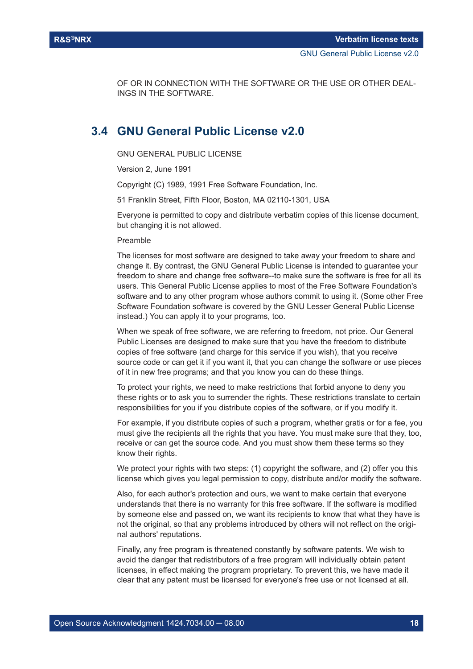<span id="page-17-0"></span>OF OR IN CONNECTION WITH THE SOFTWARE OR THE USE OR OTHER DEAL-INGS IN THE SOFTWARE.

#### **3.4 GNU General Public License v2.0**

GNU GENERAL PUBLIC LICENSE

Version 2, June 1991

Copyright (C) 1989, 1991 Free Software Foundation, Inc.

51 Franklin Street, Fifth Floor, Boston, MA 02110-1301, USA

Everyone is permitted to copy and distribute verbatim copies of this license document, but changing it is not allowed.

#### Preamble

The licenses for most software are designed to take away your freedom to share and change it. By contrast, the GNU General Public License is intended to guarantee your freedom to share and change free software--to make sure the software is free for all its users. This General Public License applies to most of the Free Software Foundation's software and to any other program whose authors commit to using it. (Some other Free Software Foundation software is covered by the GNU Lesser General Public License instead.) You can apply it to your programs, too.

When we speak of free software, we are referring to freedom, not price. Our General Public Licenses are designed to make sure that you have the freedom to distribute copies of free software (and charge for this service if you wish), that you receive source code or can get it if you want it, that you can change the software or use pieces of it in new free programs; and that you know you can do these things.

To protect your rights, we need to make restrictions that forbid anyone to deny you these rights or to ask you to surrender the rights. These restrictions translate to certain responsibilities for you if you distribute copies of the software, or if you modify it.

For example, if you distribute copies of such a program, whether gratis or for a fee, you must give the recipients all the rights that you have. You must make sure that they, too, receive or can get the source code. And you must show them these terms so they know their rights.

We protect your rights with two steps: (1) copyright the software, and (2) offer you this license which gives you legal permission to copy, distribute and/or modify the software.

Also, for each author's protection and ours, we want to make certain that everyone understands that there is no warranty for this free software. If the software is modified by someone else and passed on, we want its recipients to know that what they have is not the original, so that any problems introduced by others will not reflect on the original authors' reputations.

Finally, any free program is threatened constantly by software patents. We wish to avoid the danger that redistributors of a free program will individually obtain patent licenses, in effect making the program proprietary. To prevent this, we have made it clear that any patent must be licensed for everyone's free use or not licensed at all.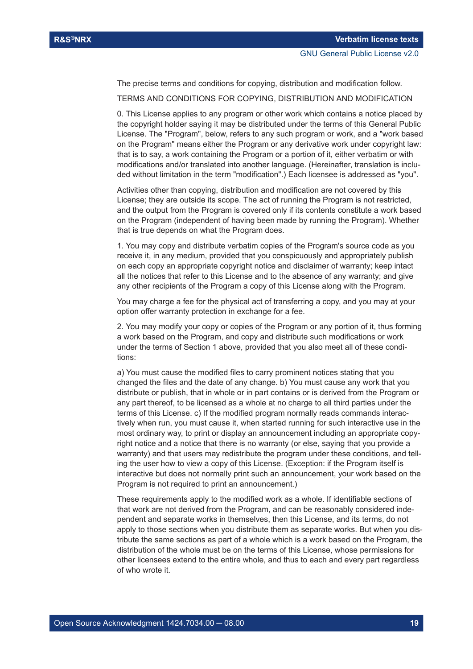The precise terms and conditions for copying, distribution and modification follow. TERMS AND CONDITIONS FOR COPYING, DISTRIBUTION AND MODIFICATION

0. This License applies to any program or other work which contains a notice placed by the copyright holder saying it may be distributed under the terms of this General Public License. The "Program", below, refers to any such program or work, and a "work based on the Program" means either the Program or any derivative work under copyright law: that is to say, a work containing the Program or a portion of it, either verbatim or with modifications and/or translated into another language. (Hereinafter, translation is included without limitation in the term "modification".) Each licensee is addressed as "you".

Activities other than copying, distribution and modification are not covered by this License; they are outside its scope. The act of running the Program is not restricted, and the output from the Program is covered only if its contents constitute a work based on the Program (independent of having been made by running the Program). Whether that is true depends on what the Program does.

1. You may copy and distribute verbatim copies of the Program's source code as you receive it, in any medium, provided that you conspicuously and appropriately publish on each copy an appropriate copyright notice and disclaimer of warranty; keep intact all the notices that refer to this License and to the absence of any warranty; and give any other recipients of the Program a copy of this License along with the Program.

You may charge a fee for the physical act of transferring a copy, and you may at your option offer warranty protection in exchange for a fee.

2. You may modify your copy or copies of the Program or any portion of it, thus forming a work based on the Program, and copy and distribute such modifications or work under the terms of Section 1 above, provided that you also meet all of these conditions:

a) You must cause the modified files to carry prominent notices stating that you changed the files and the date of any change. b) You must cause any work that you distribute or publish, that in whole or in part contains or is derived from the Program or any part thereof, to be licensed as a whole at no charge to all third parties under the terms of this License. c) If the modified program normally reads commands interactively when run, you must cause it, when started running for such interactive use in the most ordinary way, to print or display an announcement including an appropriate copyright notice and a notice that there is no warranty (or else, saying that you provide a warranty) and that users may redistribute the program under these conditions, and telling the user how to view a copy of this License. (Exception: if the Program itself is interactive but does not normally print such an announcement, your work based on the Program is not required to print an announcement.)

These requirements apply to the modified work as a whole. If identifiable sections of that work are not derived from the Program, and can be reasonably considered independent and separate works in themselves, then this License, and its terms, do not apply to those sections when you distribute them as separate works. But when you distribute the same sections as part of a whole which is a work based on the Program, the distribution of the whole must be on the terms of this License, whose permissions for other licensees extend to the entire whole, and thus to each and every part regardless of who wrote it.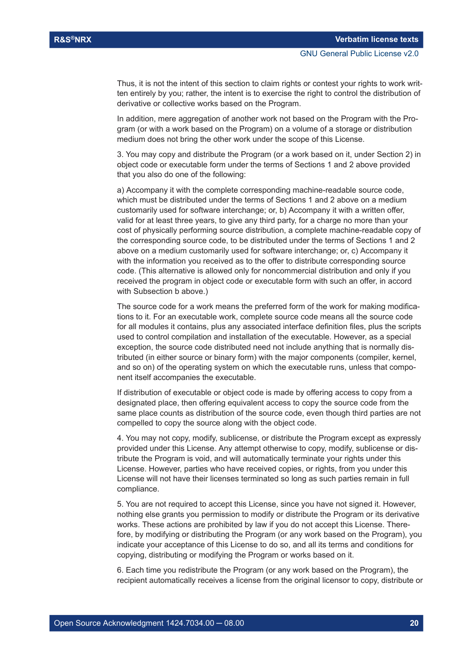Thus, it is not the intent of this section to claim rights or contest your rights to work written entirely by you; rather, the intent is to exercise the right to control the distribution of derivative or collective works based on the Program.

In addition, mere aggregation of another work not based on the Program with the Program (or with a work based on the Program) on a volume of a storage or distribution medium does not bring the other work under the scope of this License.

3. You may copy and distribute the Program (or a work based on it, under Section 2) in object code or executable form under the terms of Sections 1 and 2 above provided that you also do one of the following:

a) Accompany it with the complete corresponding machine-readable source code, which must be distributed under the terms of Sections 1 and 2 above on a medium customarily used for software interchange; or, b) Accompany it with a written offer, valid for at least three years, to give any third party, for a charge no more than your cost of physically performing source distribution, a complete machine-readable copy of the corresponding source code, to be distributed under the terms of Sections 1 and 2 above on a medium customarily used for software interchange; or, c) Accompany it with the information you received as to the offer to distribute corresponding source code. (This alternative is allowed only for noncommercial distribution and only if you received the program in object code or executable form with such an offer, in accord with Subsection b above.)

The source code for a work means the preferred form of the work for making modifications to it. For an executable work, complete source code means all the source code for all modules it contains, plus any associated interface definition files, plus the scripts used to control compilation and installation of the executable. However, as a special exception, the source code distributed need not include anything that is normally distributed (in either source or binary form) with the major components (compiler, kernel, and so on) of the operating system on which the executable runs, unless that component itself accompanies the executable.

If distribution of executable or object code is made by offering access to copy from a designated place, then offering equivalent access to copy the source code from the same place counts as distribution of the source code, even though third parties are not compelled to copy the source along with the object code.

4. You may not copy, modify, sublicense, or distribute the Program except as expressly provided under this License. Any attempt otherwise to copy, modify, sublicense or distribute the Program is void, and will automatically terminate your rights under this License. However, parties who have received copies, or rights, from you under this License will not have their licenses terminated so long as such parties remain in full compliance.

5. You are not required to accept this License, since you have not signed it. However, nothing else grants you permission to modify or distribute the Program or its derivative works. These actions are prohibited by law if you do not accept this License. Therefore, by modifying or distributing the Program (or any work based on the Program), you indicate your acceptance of this License to do so, and all its terms and conditions for copying, distributing or modifying the Program or works based on it.

6. Each time you redistribute the Program (or any work based on the Program), the recipient automatically receives a license from the original licensor to copy, distribute or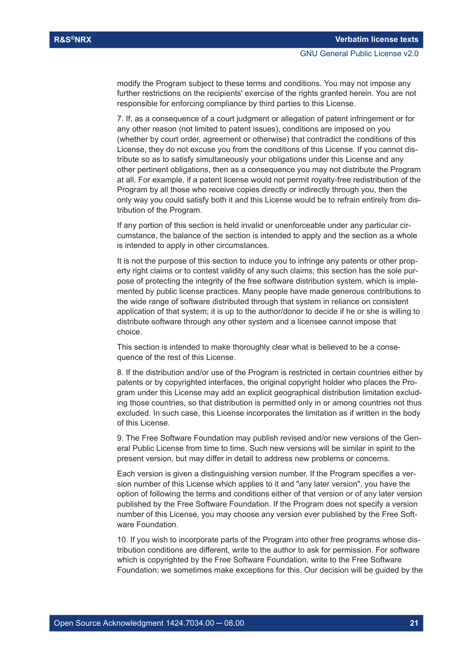modify the Program subject to these terms and conditions. You may not impose any further restrictions on the recipients' exercise of the rights granted herein. You are not responsible for enforcing compliance by third parties to this License.

7. If, as a consequence of a court judgment or allegation of patent infringement or for any other reason (not limited to patent issues), conditions are imposed on you (whether by court order, agreement or otherwise) that contradict the conditions of this License, they do not excuse you from the conditions of this License. If you cannot distribute so as to satisfy simultaneously your obligations under this License and any other pertinent obligations, then as a consequence you may not distribute the Program at all. For example, if a patent license would not permit royalty-free redistribution of the Program by all those who receive copies directly or indirectly through you, then the only way you could satisfy both it and this License would be to refrain entirely from distribution of the Program.

If any portion of this section is held invalid or unenforceable under any particular circumstance, the balance of the section is intended to apply and the section as a whole is intended to apply in other circumstances.

It is not the purpose of this section to induce you to infringe any patents or other property right claims or to contest validity of any such claims; this section has the sole purpose of protecting the integrity of the free software distribution system, which is implemented by public license practices. Many people have made generous contributions to the wide range of software distributed through that system in reliance on consistent application of that system; it is up to the author/donor to decide if he or she is willing to distribute software through any other system and a licensee cannot impose that choice.

This section is intended to make thoroughly clear what is believed to be a consequence of the rest of this License.

8. If the distribution and/or use of the Program is restricted in certain countries either by patents or by copyrighted interfaces, the original copyright holder who places the Program under this License may add an explicit geographical distribution limitation excluding those countries, so that distribution is permitted only in or among countries not thus excluded. In such case, this License incorporates the limitation as if written in the body of this License.

9. The Free Software Foundation may publish revised and/or new versions of the General Public License from time to time. Such new versions will be similar in spirit to the present version, but may differ in detail to address new problems or concerns.

Each version is given a distinguishing version number. If the Program specifies a version number of this License which applies to it and "any later version", you have the option of following the terms and conditions either of that version or of any later version published by the Free Software Foundation. If the Program does not specify a version number of this License, you may choose any version ever published by the Free Software Foundation.

10. If you wish to incorporate parts of the Program into other free programs whose distribution conditions are different, write to the author to ask for permission. For software which is copyrighted by the Free Software Foundation, write to the Free Software Foundation; we sometimes make exceptions for this. Our decision will be guided by the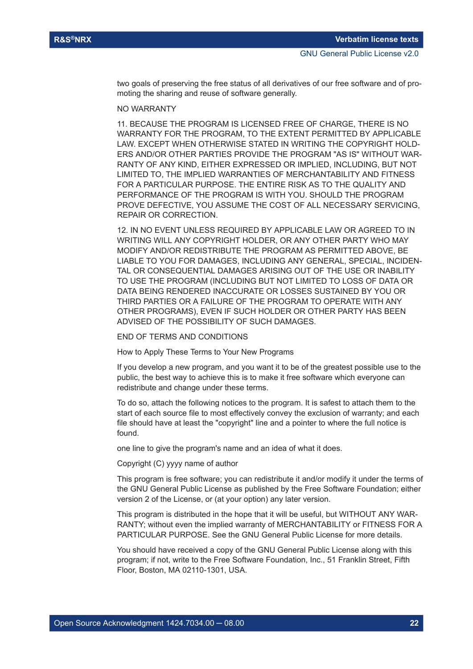two goals of preserving the free status of all derivatives of our free software and of promoting the sharing and reuse of software generally.

#### NO WARRANTY

11. BECAUSE THE PROGRAM IS LICENSED FREE OF CHARGE, THERE IS NO WARRANTY FOR THE PROGRAM, TO THE EXTENT PERMITTED BY APPLICABLE LAW. EXCEPT WHEN OTHERWISE STATED IN WRITING THE COPYRIGHT HOLD-ERS AND/OR OTHER PARTIES PROVIDE THE PROGRAM "AS IS" WITHOUT WAR-RANTY OF ANY KIND, EITHER EXPRESSED OR IMPLIED, INCLUDING, BUT NOT LIMITED TO, THE IMPLIED WARRANTIES OF MERCHANTABILITY AND FITNESS FOR A PARTICULAR PURPOSE. THE ENTIRE RISK AS TO THE QUALITY AND PERFORMANCE OF THE PROGRAM IS WITH YOU. SHOULD THE PROGRAM PROVE DEFECTIVE, YOU ASSUME THE COST OF ALL NECESSARY SERVICING, REPAIR OR CORRECTION.

12. IN NO EVENT UNLESS REQUIRED BY APPLICABLE LAW OR AGREED TO IN WRITING WILL ANY COPYRIGHT HOLDER, OR ANY OTHER PARTY WHO MAY MODIFY AND/OR REDISTRIBUTE THE PROGRAM AS PERMITTED ABOVE, BE LIABLE TO YOU FOR DAMAGES, INCLUDING ANY GENERAL, SPECIAL, INCIDEN-TAL OR CONSEQUENTIAL DAMAGES ARISING OUT OF THE USE OR INABILITY TO USE THE PROGRAM (INCLUDING BUT NOT LIMITED TO LOSS OF DATA OR DATA BEING RENDERED INACCURATE OR LOSSES SUSTAINED BY YOU OR THIRD PARTIES OR A FAILURE OF THE PROGRAM TO OPERATE WITH ANY OTHER PROGRAMS), EVEN IF SUCH HOLDER OR OTHER PARTY HAS BEEN ADVISED OF THE POSSIBILITY OF SUCH DAMAGES.

#### END OF TERMS AND CONDITIONS

How to Apply These Terms to Your New Programs

If you develop a new program, and you want it to be of the greatest possible use to the public, the best way to achieve this is to make it free software which everyone can redistribute and change under these terms.

To do so, attach the following notices to the program. It is safest to attach them to the start of each source file to most effectively convey the exclusion of warranty; and each file should have at least the "copyright" line and a pointer to where the full notice is found.

one line to give the program's name and an idea of what it does.

Copyright (C) yyyy name of author

This program is free software; you can redistribute it and/or modify it under the terms of the GNU General Public License as published by the Free Software Foundation; either version 2 of the License, or (at your option) any later version.

This program is distributed in the hope that it will be useful, but WITHOUT ANY WAR-RANTY; without even the implied warranty of MERCHANTABILITY or FITNESS FOR A PARTICULAR PURPOSE. See the GNU General Public License for more details.

You should have received a copy of the GNU General Public License along with this program; if not, write to the Free Software Foundation, Inc., 51 Franklin Street, Fifth Floor, Boston, MA 02110-1301, USA.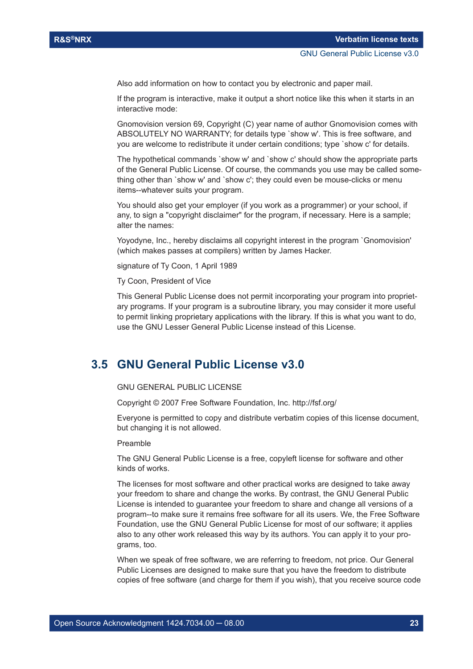<span id="page-22-0"></span>Also add information on how to contact you by electronic and paper mail.

If the program is interactive, make it output a short notice like this when it starts in an interactive mode:

Gnomovision version 69, Copyright (C) year name of author Gnomovision comes with ABSOLUTELY NO WARRANTY; for details type `show w'. This is free software, and you are welcome to redistribute it under certain conditions; type `show c' for details.

The hypothetical commands `show w' and `show c' should show the appropriate parts of the General Public License. Of course, the commands you use may be called something other than `show w' and `show c'; they could even be mouse-clicks or menu items--whatever suits your program.

You should also get your employer (if you work as a programmer) or your school, if any, to sign a "copyright disclaimer" for the program, if necessary. Here is a sample; alter the names:

Yoyodyne, Inc., hereby disclaims all copyright interest in the program `Gnomovision' (which makes passes at compilers) written by James Hacker.

signature of Ty Coon, 1 April 1989

Ty Coon, President of Vice

This General Public License does not permit incorporating your program into proprietary programs. If your program is a subroutine library, you may consider it more useful to permit linking proprietary applications with the library. If this is what you want to do, use the GNU Lesser General Public License instead of this License.

#### **3.5 GNU General Public License v3.0**

#### GNU GENERAL PUBLIC LICENSE

Copyright © 2007 Free Software Foundation, Inc. http://fsf.org/

Everyone is permitted to copy and distribute verbatim copies of this license document, but changing it is not allowed.

Preamble

The GNU General Public License is a free, copyleft license for software and other kinds of works.

The licenses for most software and other practical works are designed to take away your freedom to share and change the works. By contrast, the GNU General Public License is intended to guarantee your freedom to share and change all versions of a program--to make sure it remains free software for all its users. We, the Free Software Foundation, use the GNU General Public License for most of our software; it applies also to any other work released this way by its authors. You can apply it to your programs, too.

When we speak of free software, we are referring to freedom, not price. Our General Public Licenses are designed to make sure that you have the freedom to distribute copies of free software (and charge for them if you wish), that you receive source code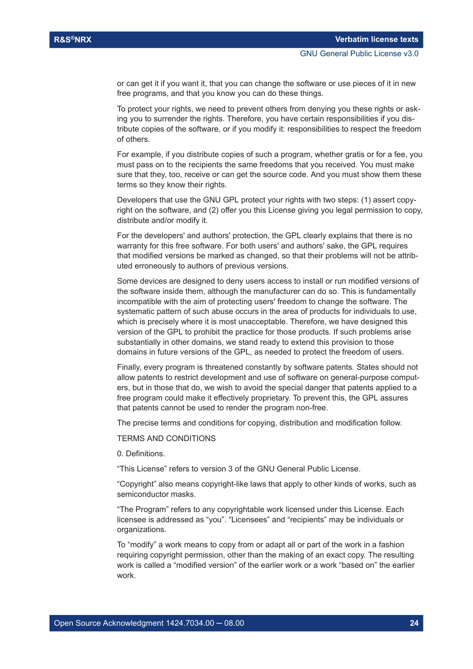or can get it if you want it, that you can change the software or use pieces of it in new free programs, and that you know you can do these things.

To protect your rights, we need to prevent others from denying you these rights or asking you to surrender the rights. Therefore, you have certain responsibilities if you distribute copies of the software, or if you modify it: responsibilities to respect the freedom of others.

For example, if you distribute copies of such a program, whether gratis or for a fee, you must pass on to the recipients the same freedoms that you received. You must make sure that they, too, receive or can get the source code. And you must show them these terms so they know their rights.

Developers that use the GNU GPL protect your rights with two steps: (1) assert copyright on the software, and (2) offer you this License giving you legal permission to copy, distribute and/or modify it.

For the developers' and authors' protection, the GPL clearly explains that there is no warranty for this free software. For both users' and authors' sake, the GPL requires that modified versions be marked as changed, so that their problems will not be attributed erroneously to authors of previous versions.

Some devices are designed to deny users access to install or run modified versions of the software inside them, although the manufacturer can do so. This is fundamentally incompatible with the aim of protecting users' freedom to change the software. The systematic pattern of such abuse occurs in the area of products for individuals to use, which is precisely where it is most unacceptable. Therefore, we have designed this version of the GPL to prohibit the practice for those products. If such problems arise substantially in other domains, we stand ready to extend this provision to those domains in future versions of the GPL, as needed to protect the freedom of users.

Finally, every program is threatened constantly by software patents. States should not allow patents to restrict development and use of software on general-purpose computers, but in those that do, we wish to avoid the special danger that patents applied to a free program could make it effectively proprietary. To prevent this, the GPL assures that patents cannot be used to render the program non-free.

The precise terms and conditions for copying, distribution and modification follow.

TERMS AND CONDITIONS

0. Definitions.

"This License" refers to version 3 of the GNU General Public License.

"Copyright" also means copyright-like laws that apply to other kinds of works, such as semiconductor masks.

"The Program" refers to any copyrightable work licensed under this License. Each licensee is addressed as "you". "Licensees" and "recipients" may be individuals or organizations.

To "modify" a work means to copy from or adapt all or part of the work in a fashion requiring copyright permission, other than the making of an exact copy. The resulting work is called a "modified version" of the earlier work or a work "based on" the earlier work.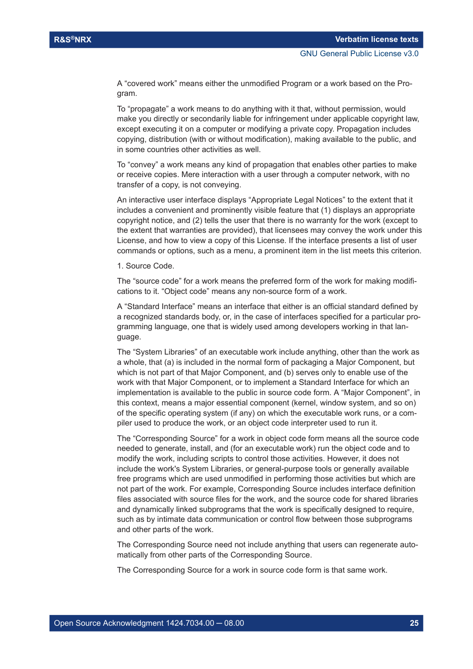A "covered work" means either the unmodified Program or a work based on the Program.

To "propagate" a work means to do anything with it that, without permission, would make you directly or secondarily liable for infringement under applicable copyright law, except executing it on a computer or modifying a private copy. Propagation includes copying, distribution (with or without modification), making available to the public, and in some countries other activities as well.

To "convey" a work means any kind of propagation that enables other parties to make or receive copies. Mere interaction with a user through a computer network, with no transfer of a copy, is not conveying.

An interactive user interface displays "Appropriate Legal Notices" to the extent that it includes a convenient and prominently visible feature that (1) displays an appropriate copyright notice, and (2) tells the user that there is no warranty for the work (except to the extent that warranties are provided), that licensees may convey the work under this License, and how to view a copy of this License. If the interface presents a list of user commands or options, such as a menu, a prominent item in the list meets this criterion.

1. Source Code.

The "source code" for a work means the preferred form of the work for making modifications to it. "Object code" means any non-source form of a work.

A "Standard Interface" means an interface that either is an official standard defined by a recognized standards body, or, in the case of interfaces specified for a particular programming language, one that is widely used among developers working in that language.

The "System Libraries" of an executable work include anything, other than the work as a whole, that (a) is included in the normal form of packaging a Major Component, but which is not part of that Major Component, and (b) serves only to enable use of the work with that Major Component, or to implement a Standard Interface for which an implementation is available to the public in source code form. A "Major Component", in this context, means a major essential component (kernel, window system, and so on) of the specific operating system (if any) on which the executable work runs, or a compiler used to produce the work, or an object code interpreter used to run it.

The "Corresponding Source" for a work in object code form means all the source code needed to generate, install, and (for an executable work) run the object code and to modify the work, including scripts to control those activities. However, it does not include the work's System Libraries, or general-purpose tools or generally available free programs which are used unmodified in performing those activities but which are not part of the work. For example, Corresponding Source includes interface definition files associated with source files for the work, and the source code for shared libraries and dynamically linked subprograms that the work is specifically designed to require, such as by intimate data communication or control flow between those subprograms and other parts of the work.

The Corresponding Source need not include anything that users can regenerate automatically from other parts of the Corresponding Source.

The Corresponding Source for a work in source code form is that same work.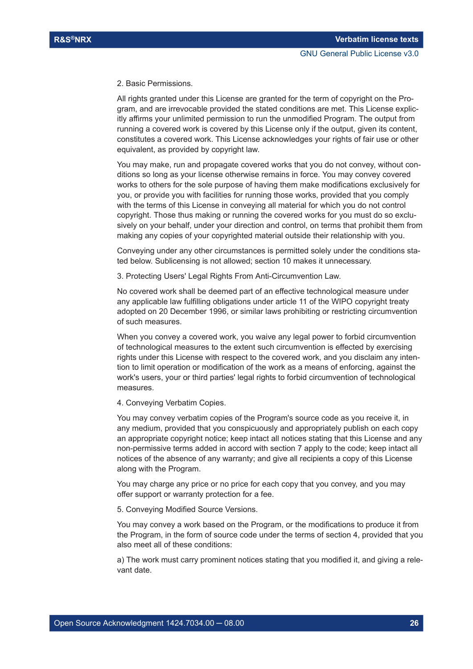2. Basic Permissions.

All rights granted under this License are granted for the term of copyright on the Program, and are irrevocable provided the stated conditions are met. This License explicitly affirms your unlimited permission to run the unmodified Program. The output from running a covered work is covered by this License only if the output, given its content, constitutes a covered work. This License acknowledges your rights of fair use or other equivalent, as provided by copyright law.

You may make, run and propagate covered works that you do not convey, without conditions so long as your license otherwise remains in force. You may convey covered works to others for the sole purpose of having them make modifications exclusively for you, or provide you with facilities for running those works, provided that you comply with the terms of this License in conveying all material for which you do not control copyright. Those thus making or running the covered works for you must do so exclusively on your behalf, under your direction and control, on terms that prohibit them from making any copies of your copyrighted material outside their relationship with you.

Conveying under any other circumstances is permitted solely under the conditions stated below. Sublicensing is not allowed; section 10 makes it unnecessary.

3. Protecting Users' Legal Rights From Anti-Circumvention Law.

No covered work shall be deemed part of an effective technological measure under any applicable law fulfilling obligations under article 11 of the WIPO copyright treaty adopted on 20 December 1996, or similar laws prohibiting or restricting circumvention of such measures.

When you convey a covered work, you waive any legal power to forbid circumvention of technological measures to the extent such circumvention is effected by exercising rights under this License with respect to the covered work, and you disclaim any intention to limit operation or modification of the work as a means of enforcing, against the work's users, your or third parties' legal rights to forbid circumvention of technological measures.

4. Conveying Verbatim Copies.

You may convey verbatim copies of the Program's source code as you receive it, in any medium, provided that you conspicuously and appropriately publish on each copy an appropriate copyright notice; keep intact all notices stating that this License and any non-permissive terms added in accord with section 7 apply to the code; keep intact all notices of the absence of any warranty; and give all recipients a copy of this License along with the Program.

You may charge any price or no price for each copy that you convey, and you may offer support or warranty protection for a fee.

5. Conveying Modified Source Versions.

You may convey a work based on the Program, or the modifications to produce it from the Program, in the form of source code under the terms of section 4, provided that you also meet all of these conditions:

a) The work must carry prominent notices stating that you modified it, and giving a relevant date.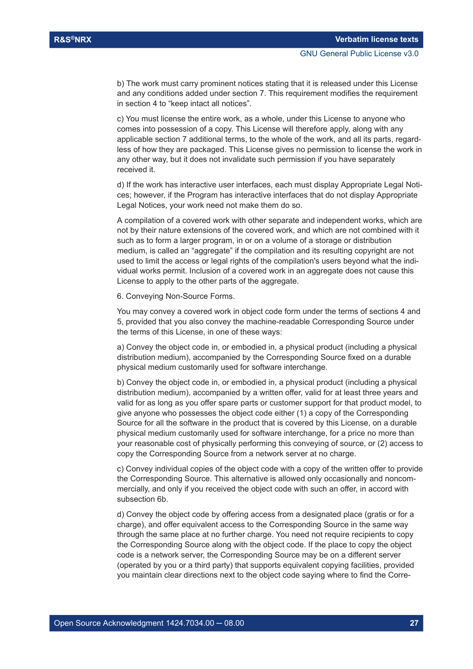b) The work must carry prominent notices stating that it is released under this License and any conditions added under section 7. This requirement modifies the requirement in section 4 to "keep intact all notices".

c) You must license the entire work, as a whole, under this License to anyone who comes into possession of a copy. This License will therefore apply, along with any applicable section 7 additional terms, to the whole of the work, and all its parts, regardless of how they are packaged. This License gives no permission to license the work in any other way, but it does not invalidate such permission if you have separately received it.

d) If the work has interactive user interfaces, each must display Appropriate Legal Notices; however, if the Program has interactive interfaces that do not display Appropriate Legal Notices, your work need not make them do so.

A compilation of a covered work with other separate and independent works, which are not by their nature extensions of the covered work, and which are not combined with it such as to form a larger program, in or on a volume of a storage or distribution medium, is called an "aggregate" if the compilation and its resulting copyright are not used to limit the access or legal rights of the compilation's users beyond what the individual works permit. Inclusion of a covered work in an aggregate does not cause this License to apply to the other parts of the aggregate.

6. Conveying Non-Source Forms.

You may convey a covered work in object code form under the terms of sections 4 and 5, provided that you also convey the machine-readable Corresponding Source under the terms of this License, in one of these ways:

a) Convey the object code in, or embodied in, a physical product (including a physical distribution medium), accompanied by the Corresponding Source fixed on a durable physical medium customarily used for software interchange.

b) Convey the object code in, or embodied in, a physical product (including a physical distribution medium), accompanied by a written offer, valid for at least three years and valid for as long as you offer spare parts or customer support for that product model, to give anyone who possesses the object code either (1) a copy of the Corresponding Source for all the software in the product that is covered by this License, on a durable physical medium customarily used for software interchange, for a price no more than your reasonable cost of physically performing this conveying of source, or (2) access to copy the Corresponding Source from a network server at no charge.

c) Convey individual copies of the object code with a copy of the written offer to provide the Corresponding Source. This alternative is allowed only occasionally and noncommercially, and only if you received the object code with such an offer, in accord with subsection 6b.

d) Convey the object code by offering access from a designated place (gratis or for a charge), and offer equivalent access to the Corresponding Source in the same way through the same place at no further charge. You need not require recipients to copy the Corresponding Source along with the object code. If the place to copy the object code is a network server, the Corresponding Source may be on a different server (operated by you or a third party) that supports equivalent copying facilities, provided you maintain clear directions next to the object code saying where to find the Corre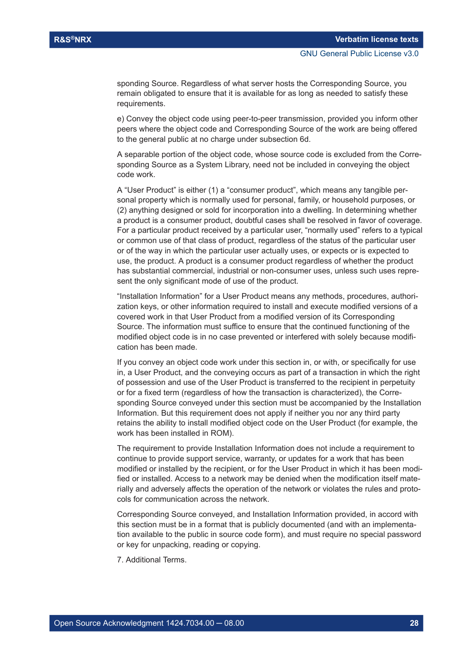sponding Source. Regardless of what server hosts the Corresponding Source, you remain obligated to ensure that it is available for as long as needed to satisfy these requirements.

e) Convey the object code using peer-to-peer transmission, provided you inform other peers where the object code and Corresponding Source of the work are being offered to the general public at no charge under subsection 6d.

A separable portion of the object code, whose source code is excluded from the Corresponding Source as a System Library, need not be included in conveying the object code work.

A "User Product" is either (1) a "consumer product", which means any tangible personal property which is normally used for personal, family, or household purposes, or (2) anything designed or sold for incorporation into a dwelling. In determining whether a product is a consumer product, doubtful cases shall be resolved in favor of coverage. For a particular product received by a particular user, "normally used" refers to a typical or common use of that class of product, regardless of the status of the particular user or of the way in which the particular user actually uses, or expects or is expected to use, the product. A product is a consumer product regardless of whether the product has substantial commercial, industrial or non-consumer uses, unless such uses represent the only significant mode of use of the product.

"Installation Information" for a User Product means any methods, procedures, authorization keys, or other information required to install and execute modified versions of a covered work in that User Product from a modified version of its Corresponding Source. The information must suffice to ensure that the continued functioning of the modified object code is in no case prevented or interfered with solely because modification has been made.

If you convey an object code work under this section in, or with, or specifically for use in, a User Product, and the conveying occurs as part of a transaction in which the right of possession and use of the User Product is transferred to the recipient in perpetuity or for a fixed term (regardless of how the transaction is characterized), the Corresponding Source conveyed under this section must be accompanied by the Installation Information. But this requirement does not apply if neither you nor any third party retains the ability to install modified object code on the User Product (for example, the work has been installed in ROM).

The requirement to provide Installation Information does not include a requirement to continue to provide support service, warranty, or updates for a work that has been modified or installed by the recipient, or for the User Product in which it has been modified or installed. Access to a network may be denied when the modification itself materially and adversely affects the operation of the network or violates the rules and protocols for communication across the network.

Corresponding Source conveyed, and Installation Information provided, in accord with this section must be in a format that is publicly documented (and with an implementation available to the public in source code form), and must require no special password or key for unpacking, reading or copying.

7. Additional Terms.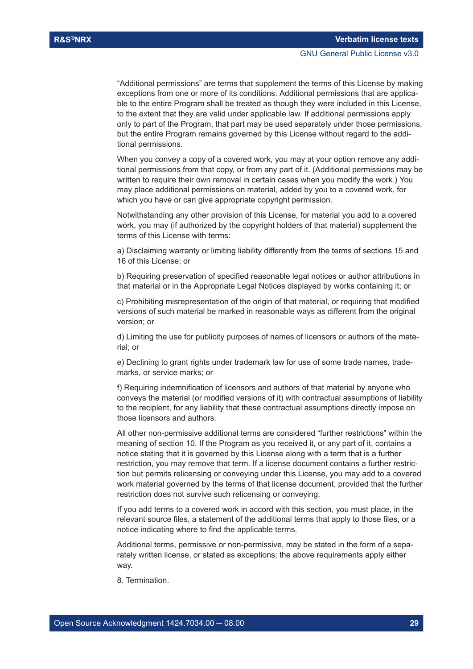"Additional permissions" are terms that supplement the terms of this License by making exceptions from one or more of its conditions. Additional permissions that are applicable to the entire Program shall be treated as though they were included in this License, to the extent that they are valid under applicable law. If additional permissions apply only to part of the Program, that part may be used separately under those permissions, but the entire Program remains governed by this License without regard to the additional permissions.

When you convey a copy of a covered work, you may at your option remove any additional permissions from that copy, or from any part of it. (Additional permissions may be written to require their own removal in certain cases when you modify the work.) You may place additional permissions on material, added by you to a covered work, for which you have or can give appropriate copyright permission.

Notwithstanding any other provision of this License, for material you add to a covered work, you may (if authorized by the copyright holders of that material) supplement the terms of this License with terms:

a) Disclaiming warranty or limiting liability differently from the terms of sections 15 and 16 of this License; or

b) Requiring preservation of specified reasonable legal notices or author attributions in that material or in the Appropriate Legal Notices displayed by works containing it; or

c) Prohibiting misrepresentation of the origin of that material, or requiring that modified versions of such material be marked in reasonable ways as different from the original version; or

d) Limiting the use for publicity purposes of names of licensors or authors of the material; or

e) Declining to grant rights under trademark law for use of some trade names, trademarks, or service marks; or

f) Requiring indemnification of licensors and authors of that material by anyone who conveys the material (or modified versions of it) with contractual assumptions of liability to the recipient, for any liability that these contractual assumptions directly impose on those licensors and authors.

All other non-permissive additional terms are considered "further restrictions" within the meaning of section 10. If the Program as you received it, or any part of it, contains a notice stating that it is governed by this License along with a term that is a further restriction, you may remove that term. If a license document contains a further restriction but permits relicensing or conveying under this License, you may add to a covered work material governed by the terms of that license document, provided that the further restriction does not survive such relicensing or conveying.

If you add terms to a covered work in accord with this section, you must place, in the relevant source files, a statement of the additional terms that apply to those files, or a notice indicating where to find the applicable terms.

Additional terms, permissive or non-permissive, may be stated in the form of a separately written license, or stated as exceptions; the above requirements apply either way.

8. Termination.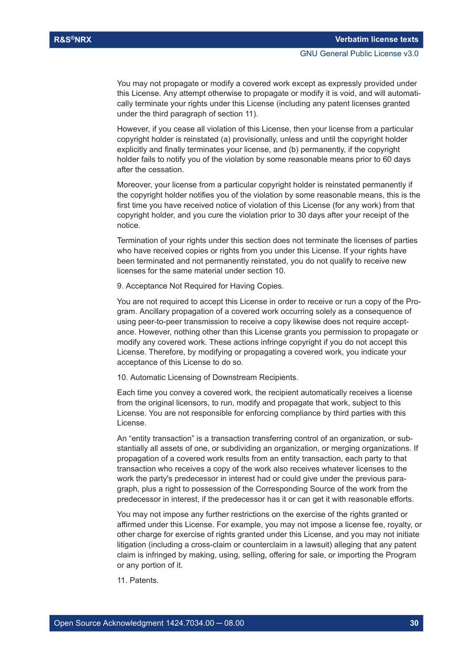You may not propagate or modify a covered work except as expressly provided under this License. Any attempt otherwise to propagate or modify it is void, and will automatically terminate your rights under this License (including any patent licenses granted under the third paragraph of section 11).

However, if you cease all violation of this License, then your license from a particular copyright holder is reinstated (a) provisionally, unless and until the copyright holder explicitly and finally terminates your license, and (b) permanently, if the copyright holder fails to notify you of the violation by some reasonable means prior to 60 days after the cessation.

Moreover, your license from a particular copyright holder is reinstated permanently if the copyright holder notifies you of the violation by some reasonable means, this is the first time you have received notice of violation of this License (for any work) from that copyright holder, and you cure the violation prior to 30 days after your receipt of the notice.

Termination of your rights under this section does not terminate the licenses of parties who have received copies or rights from you under this License. If your rights have been terminated and not permanently reinstated, you do not qualify to receive new licenses for the same material under section 10.

9. Acceptance Not Required for Having Copies.

You are not required to accept this License in order to receive or run a copy of the Program. Ancillary propagation of a covered work occurring solely as a consequence of using peer-to-peer transmission to receive a copy likewise does not require acceptance. However, nothing other than this License grants you permission to propagate or modify any covered work. These actions infringe copyright if you do not accept this License. Therefore, by modifying or propagating a covered work, you indicate your acceptance of this License to do so.

10. Automatic Licensing of Downstream Recipients.

Each time you convey a covered work, the recipient automatically receives a license from the original licensors, to run, modify and propagate that work, subject to this License. You are not responsible for enforcing compliance by third parties with this License.

An "entity transaction" is a transaction transferring control of an organization, or substantially all assets of one, or subdividing an organization, or merging organizations. If propagation of a covered work results from an entity transaction, each party to that transaction who receives a copy of the work also receives whatever licenses to the work the party's predecessor in interest had or could give under the previous paragraph, plus a right to possession of the Corresponding Source of the work from the predecessor in interest, if the predecessor has it or can get it with reasonable efforts.

You may not impose any further restrictions on the exercise of the rights granted or affirmed under this License. For example, you may not impose a license fee, royalty, or other charge for exercise of rights granted under this License, and you may not initiate litigation (including a cross-claim or counterclaim in a lawsuit) alleging that any patent claim is infringed by making, using, selling, offering for sale, or importing the Program or any portion of it.

11. Patents.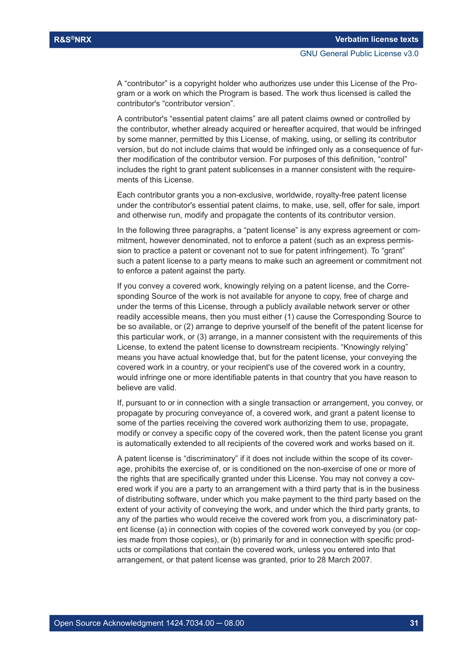A "contributor" is a copyright holder who authorizes use under this License of the Program or a work on which the Program is based. The work thus licensed is called the contributor's "contributor version".

A contributor's "essential patent claims" are all patent claims owned or controlled by the contributor, whether already acquired or hereafter acquired, that would be infringed by some manner, permitted by this License, of making, using, or selling its contributor version, but do not include claims that would be infringed only as a consequence of further modification of the contributor version. For purposes of this definition, "control" includes the right to grant patent sublicenses in a manner consistent with the requirements of this License.

Each contributor grants you a non-exclusive, worldwide, royalty-free patent license under the contributor's essential patent claims, to make, use, sell, offer for sale, import and otherwise run, modify and propagate the contents of its contributor version.

In the following three paragraphs, a "patent license" is any express agreement or commitment, however denominated, not to enforce a patent (such as an express permission to practice a patent or covenant not to sue for patent infringement). To "grant" such a patent license to a party means to make such an agreement or commitment not to enforce a patent against the party.

If you convey a covered work, knowingly relying on a patent license, and the Corresponding Source of the work is not available for anyone to copy, free of charge and under the terms of this License, through a publicly available network server or other readily accessible means, then you must either (1) cause the Corresponding Source to be so available, or (2) arrange to deprive yourself of the benefit of the patent license for this particular work, or (3) arrange, in a manner consistent with the requirements of this License, to extend the patent license to downstream recipients. "Knowingly relying" means you have actual knowledge that, but for the patent license, your conveying the covered work in a country, or your recipient's use of the covered work in a country, would infringe one or more identifiable patents in that country that you have reason to believe are valid.

If, pursuant to or in connection with a single transaction or arrangement, you convey, or propagate by procuring conveyance of, a covered work, and grant a patent license to some of the parties receiving the covered work authorizing them to use, propagate, modify or convey a specific copy of the covered work, then the patent license you grant is automatically extended to all recipients of the covered work and works based on it.

A patent license is "discriminatory" if it does not include within the scope of its coverage, prohibits the exercise of, or is conditioned on the non-exercise of one or more of the rights that are specifically granted under this License. You may not convey a covered work if you are a party to an arrangement with a third party that is in the business of distributing software, under which you make payment to the third party based on the extent of your activity of conveying the work, and under which the third party grants, to any of the parties who would receive the covered work from you, a discriminatory patent license (a) in connection with copies of the covered work conveyed by you (or copies made from those copies), or (b) primarily for and in connection with specific products or compilations that contain the covered work, unless you entered into that arrangement, or that patent license was granted, prior to 28 March 2007.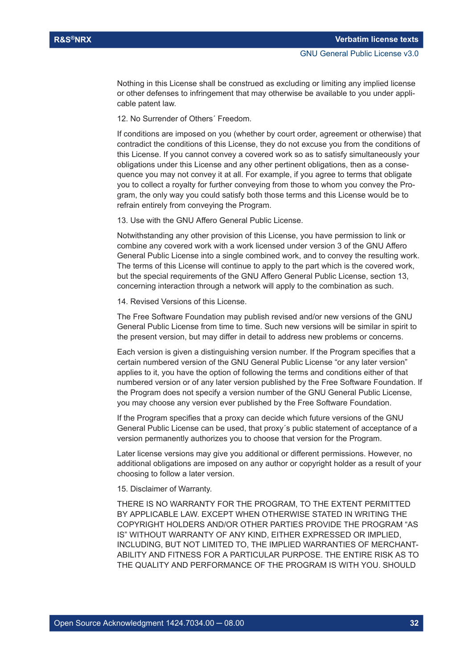Nothing in this License shall be construed as excluding or limiting any implied license or other defenses to infringement that may otherwise be available to you under applicable patent law.

12. No Surrender of Others´ Freedom.

If conditions are imposed on you (whether by court order, agreement or otherwise) that contradict the conditions of this License, they do not excuse you from the conditions of this License. If you cannot convey a covered work so as to satisfy simultaneously your obligations under this License and any other pertinent obligations, then as a consequence you may not convey it at all. For example, if you agree to terms that obligate you to collect a royalty for further conveying from those to whom you convey the Program, the only way you could satisfy both those terms and this License would be to refrain entirely from conveying the Program.

13. Use with the GNU Affero General Public License.

Notwithstanding any other provision of this License, you have permission to link or combine any covered work with a work licensed under version 3 of the GNU Affero General Public License into a single combined work, and to convey the resulting work. The terms of this License will continue to apply to the part which is the covered work, but the special requirements of the GNU Affero General Public License, section 13, concerning interaction through a network will apply to the combination as such.

14. Revised Versions of this License.

The Free Software Foundation may publish revised and/or new versions of the GNU General Public License from time to time. Such new versions will be similar in spirit to the present version, but may differ in detail to address new problems or concerns.

Each version is given a distinguishing version number. If the Program specifies that a certain numbered version of the GNU General Public License "or any later version" applies to it, you have the option of following the terms and conditions either of that numbered version or of any later version published by the Free Software Foundation. If the Program does not specify a version number of the GNU General Public License, you may choose any version ever published by the Free Software Foundation.

If the Program specifies that a proxy can decide which future versions of the GNU General Public License can be used, that proxy´s public statement of acceptance of a version permanently authorizes you to choose that version for the Program.

Later license versions may give you additional or different permissions. However, no additional obligations are imposed on any author or copyright holder as a result of your choosing to follow a later version.

15. Disclaimer of Warranty.

THERE IS NO WARRANTY FOR THE PROGRAM, TO THE EXTENT PERMITTED BY APPLICABLE LAW. EXCEPT WHEN OTHERWISE STATED IN WRITING THE COPYRIGHT HOLDERS AND/OR OTHER PARTIES PROVIDE THE PROGRAM "AS IS" WITHOUT WARRANTY OF ANY KIND, EITHER EXPRESSED OR IMPLIED, INCLUDING, BUT NOT LIMITED TO, THE IMPLIED WARRANTIES OF MERCHANT-ABILITY AND FITNESS FOR A PARTICULAR PURPOSE. THE ENTIRE RISK AS TO THE QUALITY AND PERFORMANCE OF THE PROGRAM IS WITH YOU. SHOULD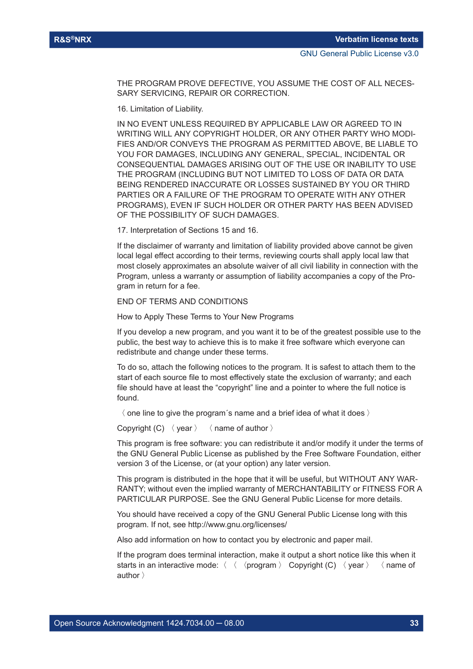THE PROGRAM PROVE DEFECTIVE, YOU ASSUME THE COST OF ALL NECES-SARY SERVICING, REPAIR OR CORRECTION.

16. Limitation of Liability.

IN NO EVENT UNLESS REQUIRED BY APPLICABLE LAW OR AGREED TO IN WRITING WILL ANY COPYRIGHT HOLDER, OR ANY OTHER PARTY WHO MODI-FIES AND/OR CONVEYS THE PROGRAM AS PERMITTED ABOVE, BE LIABLE TO YOU FOR DAMAGES, INCLUDING ANY GENERAL, SPECIAL, INCIDENTAL OR CONSEQUENTIAL DAMAGES ARISING OUT OF THE USE OR INABILITY TO USE THE PROGRAM (INCLUDING BUT NOT LIMITED TO LOSS OF DATA OR DATA BEING RENDERED INACCURATE OR LOSSES SUSTAINED BY YOU OR THIRD PARTIES OR A FAILURE OF THE PROGRAM TO OPERATE WITH ANY OTHER PROGRAMS), EVEN IF SUCH HOLDER OR OTHER PARTY HAS BEEN ADVISED OF THE POSSIBILITY OF SUCH DAMAGES.

17. Interpretation of Sections 15 and 16.

If the disclaimer of warranty and limitation of liability provided above cannot be given local legal effect according to their terms, reviewing courts shall apply local law that most closely approximates an absolute waiver of all civil liability in connection with the Program, unless a warranty or assumption of liability accompanies a copy of the Program in return for a fee.

#### END OF TERMS AND CONDITIONS

How to Apply These Terms to Your New Programs

If you develop a new program, and you want it to be of the greatest possible use to the public, the best way to achieve this is to make it free software which everyone can redistribute and change under these terms.

To do so, attach the following notices to the program. It is safest to attach them to the start of each source file to most effectively state the exclusion of warranty; and each file should have at least the "copyright" line and a pointer to where the full notice is found.

 $\langle$  one line to give the program's name and a brief idea of what it does  $\rangle$ 

Copyright (C)  $\langle$  year  $\rangle$   $\langle$  name of author  $\rangle$ 

This program is free software: you can redistribute it and/or modify it under the terms of the GNU General Public License as published by the Free Software Foundation, either version 3 of the License, or (at your option) any later version.

This program is distributed in the hope that it will be useful, but WITHOUT ANY WAR-RANTY; without even the implied warranty of MERCHANTABILITY or FITNESS FOR A PARTICULAR PURPOSE. See the GNU General Public License for more details.

You should have received a copy of the GNU General Public License long with this program. If not, see http://www.gnu.org/licenses/

Also add information on how to contact you by electronic and paper mail.

If the program does terminal interaction, make it output a short notice like this when it starts in an interactive mode:  $\langle \langle \rangle$   $\langle$  program  $\rangle$  Copyright (C)  $\langle$  year  $\rangle$   $\langle$  name of author 〉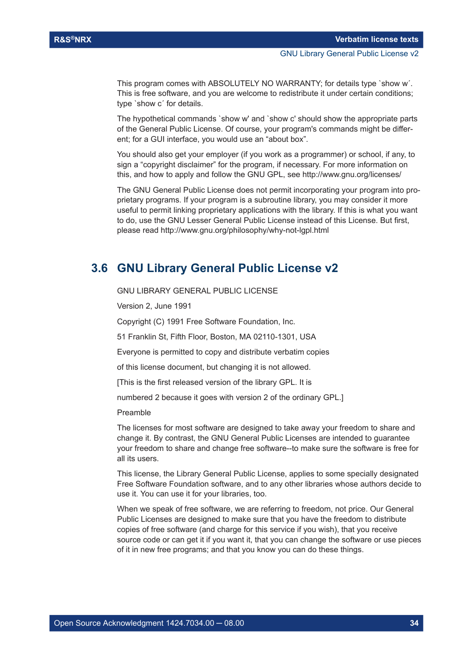<span id="page-33-0"></span>This program comes with ABSOLUTELY NO WARRANTY; for details type `show w´. This is free software, and you are welcome to redistribute it under certain conditions; type `show c´ for details.

The hypothetical commands `show w' and `show c' should show the appropriate parts of the General Public License. Of course, your program's commands might be different; for a GUI interface, you would use an "about box".

You should also get your employer (if you work as a programmer) or school, if any, to sign a "copyright disclaimer" for the program, if necessary. For more information on this, and how to apply and follow the GNU GPL, see http://www.gnu.org/licenses/

The GNU General Public License does not permit incorporating your program into proprietary programs. If your program is a subroutine library, you may consider it more useful to permit linking proprietary applications with the library. If this is what you want to do, use the GNU Lesser General Public License instead of this License. But first, please read http://www.gnu.org/philosophy/why-not-lgpl.html

### **3.6 GNU Library General Public License v2**

GNU LIBRARY GENERAL PUBLIC LICENSE

Version 2, June 1991

Copyright (C) 1991 Free Software Foundation, Inc.

51 Franklin St, Fifth Floor, Boston, MA 02110-1301, USA

Everyone is permitted to copy and distribute verbatim copies

of this license document, but changing it is not allowed.

[This is the first released version of the library GPL. It is

numbered 2 because it goes with version 2 of the ordinary GPL.]

Preamble

The licenses for most software are designed to take away your freedom to share and change it. By contrast, the GNU General Public Licenses are intended to guarantee your freedom to share and change free software--to make sure the software is free for all its users.

This license, the Library General Public License, applies to some specially designated Free Software Foundation software, and to any other libraries whose authors decide to use it. You can use it for your libraries, too.

When we speak of free software, we are referring to freedom, not price. Our General Public Licenses are designed to make sure that you have the freedom to distribute copies of free software (and charge for this service if you wish), that you receive source code or can get it if you want it, that you can change the software or use pieces of it in new free programs; and that you know you can do these things.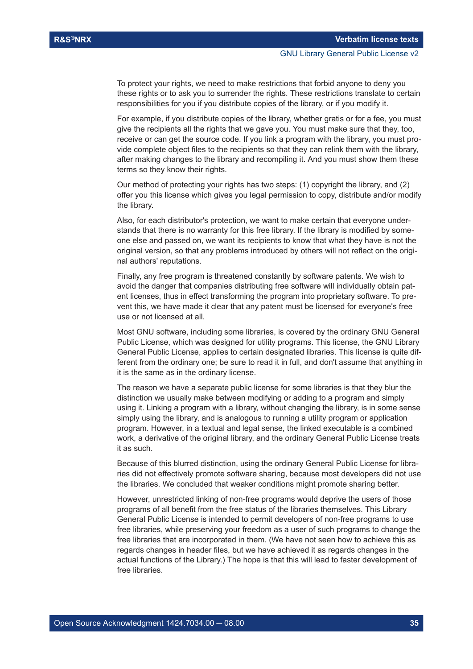To protect your rights, we need to make restrictions that forbid anyone to deny you these rights or to ask you to surrender the rights. These restrictions translate to certain responsibilities for you if you distribute copies of the library, or if you modify it.

For example, if you distribute copies of the library, whether gratis or for a fee, you must give the recipients all the rights that we gave you. You must make sure that they, too, receive or can get the source code. If you link a program with the library, you must provide complete object files to the recipients so that they can relink them with the library, after making changes to the library and recompiling it. And you must show them these terms so they know their rights.

Our method of protecting your rights has two steps: (1) copyright the library, and (2) offer you this license which gives you legal permission to copy, distribute and/or modify the library.

Also, for each distributor's protection, we want to make certain that everyone understands that there is no warranty for this free library. If the library is modified by someone else and passed on, we want its recipients to know that what they have is not the original version, so that any problems introduced by others will not reflect on the original authors' reputations.

Finally, any free program is threatened constantly by software patents. We wish to avoid the danger that companies distributing free software will individually obtain patent licenses, thus in effect transforming the program into proprietary software. To prevent this, we have made it clear that any patent must be licensed for everyone's free use or not licensed at all.

Most GNU software, including some libraries, is covered by the ordinary GNU General Public License, which was designed for utility programs. This license, the GNU Library General Public License, applies to certain designated libraries. This license is quite different from the ordinary one; be sure to read it in full, and don't assume that anything in it is the same as in the ordinary license.

The reason we have a separate public license for some libraries is that they blur the distinction we usually make between modifying or adding to a program and simply using it. Linking a program with a library, without changing the library, is in some sense simply using the library, and is analogous to running a utility program or application program. However, in a textual and legal sense, the linked executable is a combined work, a derivative of the original library, and the ordinary General Public License treats it as such.

Because of this blurred distinction, using the ordinary General Public License for libraries did not effectively promote software sharing, because most developers did not use the libraries. We concluded that weaker conditions might promote sharing better.

However, unrestricted linking of non-free programs would deprive the users of those programs of all benefit from the free status of the libraries themselves. This Library General Public License is intended to permit developers of non-free programs to use free libraries, while preserving your freedom as a user of such programs to change the free libraries that are incorporated in them. (We have not seen how to achieve this as regards changes in header files, but we have achieved it as regards changes in the actual functions of the Library.) The hope is that this will lead to faster development of free libraries.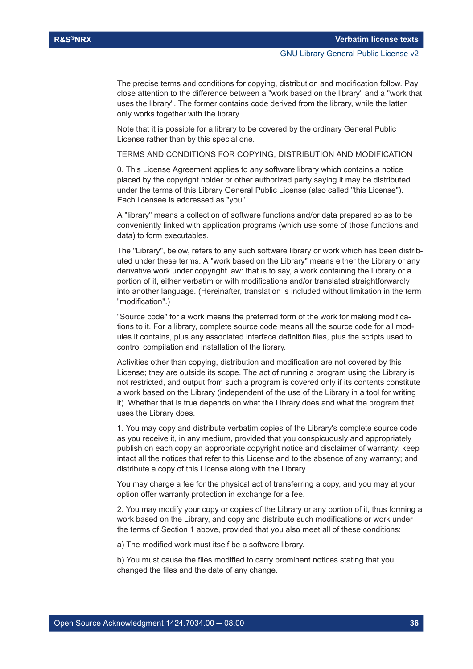The precise terms and conditions for copying, distribution and modification follow. Pay close attention to the difference between a "work based on the library" and a "work that uses the library". The former contains code derived from the library, while the latter only works together with the library.

Note that it is possible for a library to be covered by the ordinary General Public License rather than by this special one.

TERMS AND CONDITIONS FOR COPYING, DISTRIBUTION AND MODIFICATION

0. This License Agreement applies to any software library which contains a notice placed by the copyright holder or other authorized party saying it may be distributed under the terms of this Library General Public License (also called "this License"). Each licensee is addressed as "you".

A "library" means a collection of software functions and/or data prepared so as to be conveniently linked with application programs (which use some of those functions and data) to form executables.

The "Library", below, refers to any such software library or work which has been distributed under these terms. A "work based on the Library" means either the Library or any derivative work under copyright law: that is to say, a work containing the Library or a portion of it, either verbatim or with modifications and/or translated straightforwardly into another language. (Hereinafter, translation is included without limitation in the term "modification".)

"Source code" for a work means the preferred form of the work for making modifications to it. For a library, complete source code means all the source code for all modules it contains, plus any associated interface definition files, plus the scripts used to control compilation and installation of the library.

Activities other than copying, distribution and modification are not covered by this License; they are outside its scope. The act of running a program using the Library is not restricted, and output from such a program is covered only if its contents constitute a work based on the Library (independent of the use of the Library in a tool for writing it). Whether that is true depends on what the Library does and what the program that uses the Library does.

1. You may copy and distribute verbatim copies of the Library's complete source code as you receive it, in any medium, provided that you conspicuously and appropriately publish on each copy an appropriate copyright notice and disclaimer of warranty; keep intact all the notices that refer to this License and to the absence of any warranty; and distribute a copy of this License along with the Library.

You may charge a fee for the physical act of transferring a copy, and you may at your option offer warranty protection in exchange for a fee.

2. You may modify your copy or copies of the Library or any portion of it, thus forming a work based on the Library, and copy and distribute such modifications or work under the terms of Section 1 above, provided that you also meet all of these conditions:

a) The modified work must itself be a software library.

b) You must cause the files modified to carry prominent notices stating that you changed the files and the date of any change.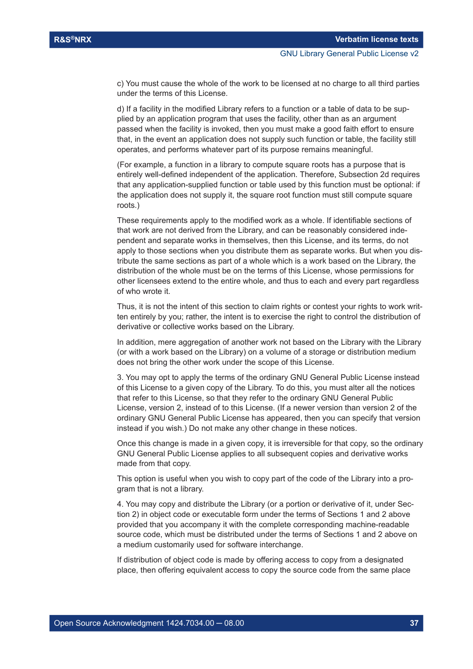c) You must cause the whole of the work to be licensed at no charge to all third parties under the terms of this License.

d) If a facility in the modified Library refers to a function or a table of data to be supplied by an application program that uses the facility, other than as an argument passed when the facility is invoked, then you must make a good faith effort to ensure that, in the event an application does not supply such function or table, the facility still operates, and performs whatever part of its purpose remains meaningful.

(For example, a function in a library to compute square roots has a purpose that is entirely well-defined independent of the application. Therefore, Subsection 2d requires that any application-supplied function or table used by this function must be optional: if the application does not supply it, the square root function must still compute square roots.)

These requirements apply to the modified work as a whole. If identifiable sections of that work are not derived from the Library, and can be reasonably considered independent and separate works in themselves, then this License, and its terms, do not apply to those sections when you distribute them as separate works. But when you distribute the same sections as part of a whole which is a work based on the Library, the distribution of the whole must be on the terms of this License, whose permissions for other licensees extend to the entire whole, and thus to each and every part regardless of who wrote it.

Thus, it is not the intent of this section to claim rights or contest your rights to work written entirely by you; rather, the intent is to exercise the right to control the distribution of derivative or collective works based on the Library.

In addition, mere aggregation of another work not based on the Library with the Library (or with a work based on the Library) on a volume of a storage or distribution medium does not bring the other work under the scope of this License.

3. You may opt to apply the terms of the ordinary GNU General Public License instead of this License to a given copy of the Library. To do this, you must alter all the notices that refer to this License, so that they refer to the ordinary GNU General Public License, version 2, instead of to this License. (If a newer version than version 2 of the ordinary GNU General Public License has appeared, then you can specify that version instead if you wish.) Do not make any other change in these notices.

Once this change is made in a given copy, it is irreversible for that copy, so the ordinary GNU General Public License applies to all subsequent copies and derivative works made from that copy.

This option is useful when you wish to copy part of the code of the Library into a program that is not a library.

4. You may copy and distribute the Library (or a portion or derivative of it, under Section 2) in object code or executable form under the terms of Sections 1 and 2 above provided that you accompany it with the complete corresponding machine-readable source code, which must be distributed under the terms of Sections 1 and 2 above on a medium customarily used for software interchange.

If distribution of object code is made by offering access to copy from a designated place, then offering equivalent access to copy the source code from the same place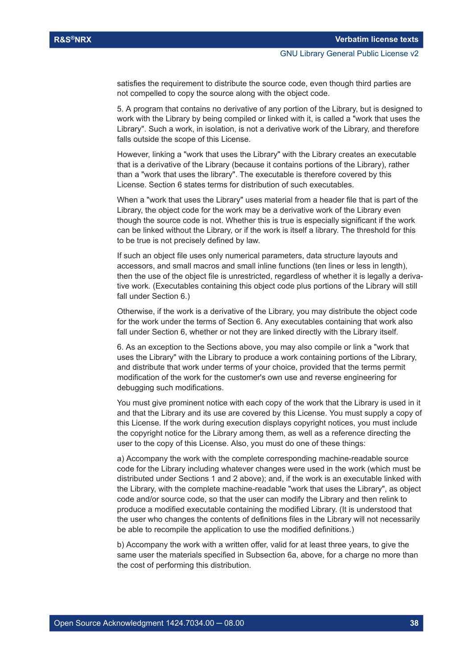satisfies the requirement to distribute the source code, even though third parties are not compelled to copy the source along with the object code.

5. A program that contains no derivative of any portion of the Library, but is designed to work with the Library by being compiled or linked with it, is called a "work that uses the Library". Such a work, in isolation, is not a derivative work of the Library, and therefore falls outside the scope of this License.

However, linking a "work that uses the Library" with the Library creates an executable that is a derivative of the Library (because it contains portions of the Library), rather than a "work that uses the library". The executable is therefore covered by this License. Section 6 states terms for distribution of such executables.

When a "work that uses the Library" uses material from a header file that is part of the Library, the object code for the work may be a derivative work of the Library even though the source code is not. Whether this is true is especially significant if the work can be linked without the Library, or if the work is itself a library. The threshold for this to be true is not precisely defined by law.

If such an object file uses only numerical parameters, data structure layouts and accessors, and small macros and small inline functions (ten lines or less in length), then the use of the object file is unrestricted, regardless of whether it is legally a derivative work. (Executables containing this object code plus portions of the Library will still fall under Section 6.)

Otherwise, if the work is a derivative of the Library, you may distribute the object code for the work under the terms of Section 6. Any executables containing that work also fall under Section 6, whether or not they are linked directly with the Library itself.

6. As an exception to the Sections above, you may also compile or link a "work that uses the Library" with the Library to produce a work containing portions of the Library, and distribute that work under terms of your choice, provided that the terms permit modification of the work for the customer's own use and reverse engineering for debugging such modifications.

You must give prominent notice with each copy of the work that the Library is used in it and that the Library and its use are covered by this License. You must supply a copy of this License. If the work during execution displays copyright notices, you must include the copyright notice for the Library among them, as well as a reference directing the user to the copy of this License. Also, you must do one of these things:

a) Accompany the work with the complete corresponding machine-readable source code for the Library including whatever changes were used in the work (which must be distributed under Sections 1 and 2 above); and, if the work is an executable linked with the Library, with the complete machine-readable "work that uses the Library", as object code and/or source code, so that the user can modify the Library and then relink to produce a modified executable containing the modified Library. (It is understood that the user who changes the contents of definitions files in the Library will not necessarily be able to recompile the application to use the modified definitions.)

b) Accompany the work with a written offer, valid for at least three years, to give the same user the materials specified in Subsection 6a, above, for a charge no more than the cost of performing this distribution.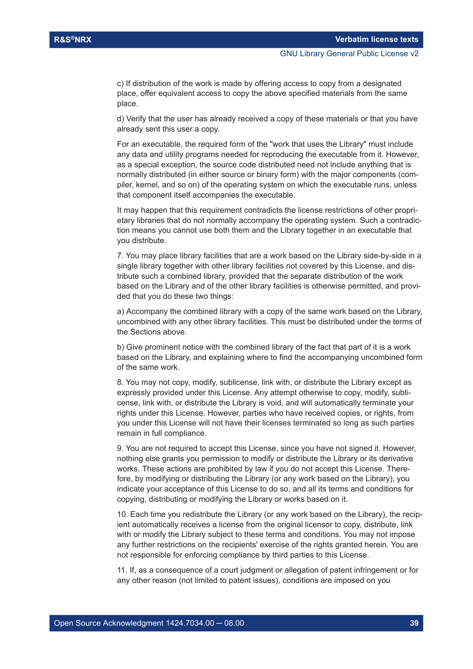c) If distribution of the work is made by offering access to copy from a designated place, offer equivalent access to copy the above specified materials from the same place.

d) Verify that the user has already received a copy of these materials or that you have already sent this user a copy.

For an executable, the required form of the "work that uses the Library" must include any data and utility programs needed for reproducing the executable from it. However, as a special exception, the source code distributed need not include anything that is normally distributed (in either source or binary form) with the major components (compiler, kernel, and so on) of the operating system on which the executable runs, unless that component itself accompanies the executable.

It may happen that this requirement contradicts the license restrictions of other proprietary libraries that do not normally accompany the operating system. Such a contradiction means you cannot use both them and the Library together in an executable that you distribute.

7. You may place library facilities that are a work based on the Library side-by-side in a single library together with other library facilities not covered by this License, and distribute such a combined library, provided that the separate distribution of the work based on the Library and of the other library facilities is otherwise permitted, and provided that you do these two things:

a) Accompany the combined library with a copy of the same work based on the Library, uncombined with any other library facilities. This must be distributed under the terms of the Sections above.

b) Give prominent notice with the combined library of the fact that part of it is a work based on the Library, and explaining where to find the accompanying uncombined form of the same work.

8. You may not copy, modify, sublicense, link with, or distribute the Library except as expressly provided under this License. Any attempt otherwise to copy, modify, sublicense, link with, or distribute the Library is void, and will automatically terminate your rights under this License. However, parties who have received copies, or rights, from you under this License will not have their licenses terminated so long as such parties remain in full compliance.

9. You are not required to accept this License, since you have not signed it. However, nothing else grants you permission to modify or distribute the Library or its derivative works. These actions are prohibited by law if you do not accept this License. Therefore, by modifying or distributing the Library (or any work based on the Library), you indicate your acceptance of this License to do so, and all its terms and conditions for copying, distributing or modifying the Library or works based on it.

10. Each time you redistribute the Library (or any work based on the Library), the recipient automatically receives a license from the original licensor to copy, distribute, link with or modify the Library subject to these terms and conditions. You may not impose any further restrictions on the recipients' exercise of the rights granted herein. You are not responsible for enforcing compliance by third parties to this License.

11. If, as a consequence of a court judgment or allegation of patent infringement or for any other reason (not limited to patent issues), conditions are imposed on you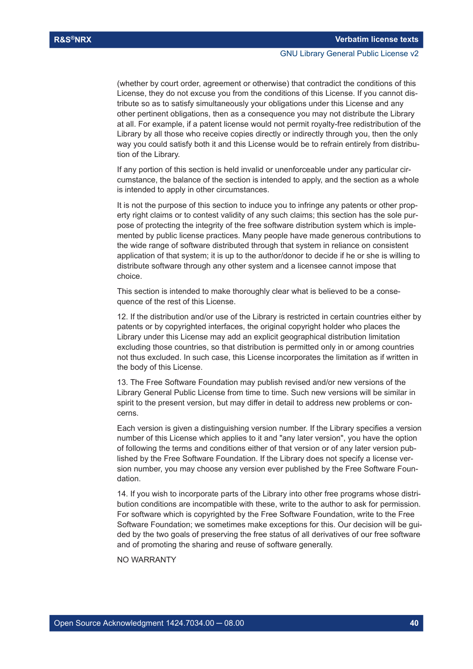(whether by court order, agreement or otherwise) that contradict the conditions of this License, they do not excuse you from the conditions of this License. If you cannot distribute so as to satisfy simultaneously your obligations under this License and any other pertinent obligations, then as a consequence you may not distribute the Library at all. For example, if a patent license would not permit royalty-free redistribution of the Library by all those who receive copies directly or indirectly through you, then the only way you could satisfy both it and this License would be to refrain entirely from distribution of the Library.

If any portion of this section is held invalid or unenforceable under any particular circumstance, the balance of the section is intended to apply, and the section as a whole is intended to apply in other circumstances.

It is not the purpose of this section to induce you to infringe any patents or other property right claims or to contest validity of any such claims; this section has the sole purpose of protecting the integrity of the free software distribution system which is implemented by public license practices. Many people have made generous contributions to the wide range of software distributed through that system in reliance on consistent application of that system; it is up to the author/donor to decide if he or she is willing to distribute software through any other system and a licensee cannot impose that choice.

This section is intended to make thoroughly clear what is believed to be a consequence of the rest of this License.

12. If the distribution and/or use of the Library is restricted in certain countries either by patents or by copyrighted interfaces, the original copyright holder who places the Library under this License may add an explicit geographical distribution limitation excluding those countries, so that distribution is permitted only in or among countries not thus excluded. In such case, this License incorporates the limitation as if written in the body of this License.

13. The Free Software Foundation may publish revised and/or new versions of the Library General Public License from time to time. Such new versions will be similar in spirit to the present version, but may differ in detail to address new problems or concerns.

Each version is given a distinguishing version number. If the Library specifies a version number of this License which applies to it and "any later version", you have the option of following the terms and conditions either of that version or of any later version published by the Free Software Foundation. If the Library does not specify a license version number, you may choose any version ever published by the Free Software Foundation.

14. If you wish to incorporate parts of the Library into other free programs whose distribution conditions are incompatible with these, write to the author to ask for permission. For software which is copyrighted by the Free Software Foundation, write to the Free Software Foundation; we sometimes make exceptions for this. Our decision will be guided by the two goals of preserving the free status of all derivatives of our free software and of promoting the sharing and reuse of software generally.

NO WARRANTY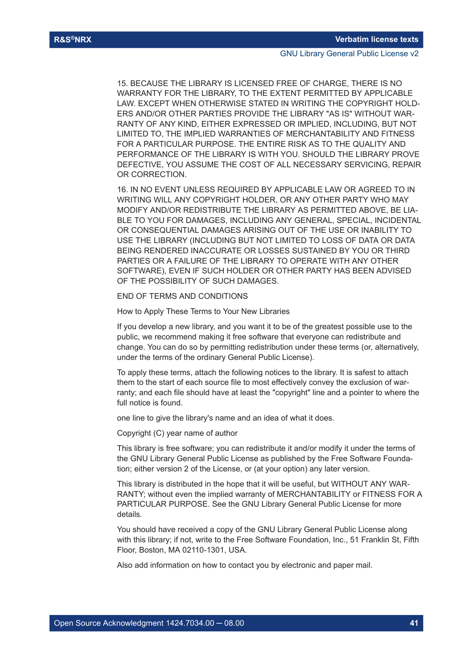15. BECAUSE THE LIBRARY IS LICENSED FREE OF CHARGE, THERE IS NO WARRANTY FOR THE LIBRARY, TO THE EXTENT PERMITTED BY APPLICABLE LAW. EXCEPT WHEN OTHERWISE STATED IN WRITING THE COPYRIGHT HOLD-ERS AND/OR OTHER PARTIES PROVIDE THE LIBRARY "AS IS" WITHOUT WAR-RANTY OF ANY KIND, EITHER EXPRESSED OR IMPLIED, INCLUDING, BUT NOT LIMITED TO, THE IMPLIED WARRANTIES OF MERCHANTABILITY AND FITNESS FOR A PARTICULAR PURPOSE. THE ENTIRE RISK AS TO THE QUALITY AND PERFORMANCE OF THE LIBRARY IS WITH YOU. SHOULD THE LIBRARY PROVE DEFECTIVE, YOU ASSUME THE COST OF ALL NECESSARY SERVICING, REPAIR OR CORRECTION.

16. IN NO EVENT UNLESS REQUIRED BY APPLICABLE LAW OR AGREED TO IN WRITING WILL ANY COPYRIGHT HOLDER, OR ANY OTHER PARTY WHO MAY MODIFY AND/OR REDISTRIBUTE THE LIBRARY AS PERMITTED ABOVE, BE LIA-BLE TO YOU FOR DAMAGES, INCLUDING ANY GENERAL, SPECIAL, INCIDENTAL OR CONSEQUENTIAL DAMAGES ARISING OUT OF THE USE OR INABILITY TO USE THE LIBRARY (INCLUDING BUT NOT LIMITED TO LOSS OF DATA OR DATA BEING RENDERED INACCURATE OR LOSSES SUSTAINED BY YOU OR THIRD PARTIES OR A FAILURE OF THE LIBRARY TO OPERATE WITH ANY OTHER SOFTWARE), EVEN IF SUCH HOLDER OR OTHER PARTY HAS BEEN ADVISED OF THE POSSIBILITY OF SUCH DAMAGES.

END OF TERMS AND CONDITIONS

How to Apply These Terms to Your New Libraries

If you develop a new library, and you want it to be of the greatest possible use to the public, we recommend making it free software that everyone can redistribute and change. You can do so by permitting redistribution under these terms (or, alternatively, under the terms of the ordinary General Public License).

To apply these terms, attach the following notices to the library. It is safest to attach them to the start of each source file to most effectively convey the exclusion of warranty; and each file should have at least the "copyright" line and a pointer to where the full notice is found.

one line to give the library's name and an idea of what it does.

Copyright (C) year name of author

This library is free software; you can redistribute it and/or modify it under the terms of the GNU Library General Public License as published by the Free Software Foundation; either version 2 of the License, or (at your option) any later version.

This library is distributed in the hope that it will be useful, but WITHOUT ANY WAR-RANTY; without even the implied warranty of MERCHANTABILITY or FITNESS FOR A PARTICULAR PURPOSE. See the GNU Library General Public License for more details.

You should have received a copy of the GNU Library General Public License along with this library; if not, write to the Free Software Foundation, Inc., 51 Franklin St, Fifth Floor, Boston, MA 02110-1301, USA.

Also add information on how to contact you by electronic and paper mail.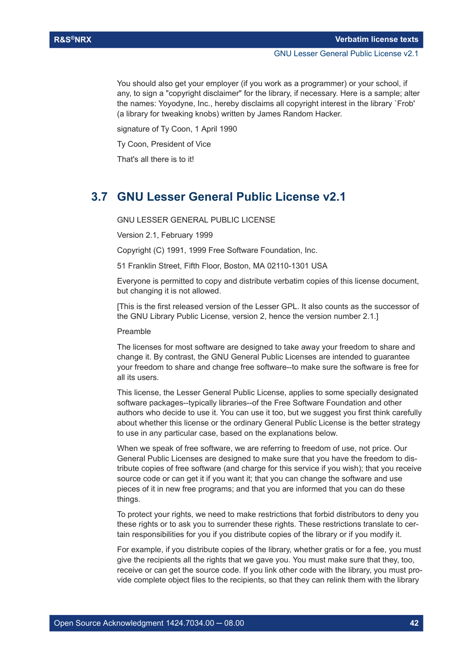You should also get your employer (if you work as a programmer) or your school, if any, to sign a "copyright disclaimer" for the library, if necessary. Here is a sample; alter the names: Yoyodyne, Inc., hereby disclaims all copyright interest in the library `Frob' (a library for tweaking knobs) written by James Random Hacker.

signature of Ty Coon, 1 April 1990

Ty Coon, President of Vice

That's all there is to it!

## **3.7 GNU Lesser General Public License v2.1**

### GNU LESSER GENERAL PUBLIC LICENSE

Version 2.1, February 1999

Copyright (C) 1991, 1999 Free Software Foundation, Inc.

51 Franklin Street, Fifth Floor, Boston, MA 02110-1301 USA

Everyone is permitted to copy and distribute verbatim copies of this license document, but changing it is not allowed.

[This is the first released version of the Lesser GPL. It also counts as the successor of the GNU Library Public License, version 2, hence the version number 2.1.]

Preamble

The licenses for most software are designed to take away your freedom to share and change it. By contrast, the GNU General Public Licenses are intended to guarantee your freedom to share and change free software--to make sure the software is free for all its users.

This license, the Lesser General Public License, applies to some specially designated software packages--typically libraries--of the Free Software Foundation and other authors who decide to use it. You can use it too, but we suggest you first think carefully about whether this license or the ordinary General Public License is the better strategy to use in any particular case, based on the explanations below.

When we speak of free software, we are referring to freedom of use, not price. Our General Public Licenses are designed to make sure that you have the freedom to distribute copies of free software (and charge for this service if you wish); that you receive source code or can get it if you want it; that you can change the software and use pieces of it in new free programs; and that you are informed that you can do these things.

To protect your rights, we need to make restrictions that forbid distributors to deny you these rights or to ask you to surrender these rights. These restrictions translate to certain responsibilities for you if you distribute copies of the library or if you modify it.

For example, if you distribute copies of the library, whether gratis or for a fee, you must give the recipients all the rights that we gave you. You must make sure that they, too, receive or can get the source code. If you link other code with the library, you must provide complete object files to the recipients, so that they can relink them with the library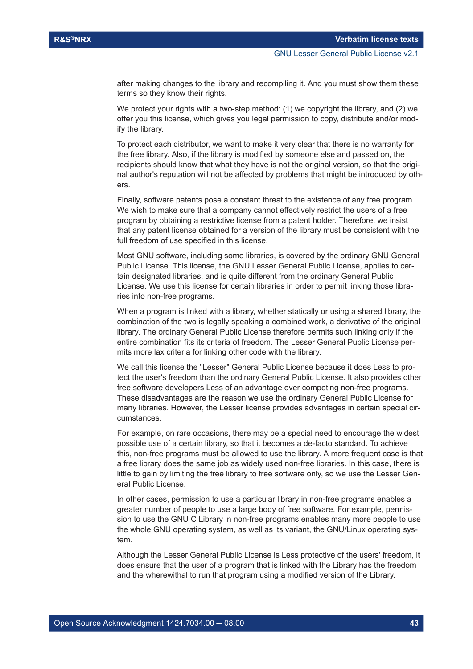after making changes to the library and recompiling it. And you must show them these terms so they know their rights.

We protect your rights with a two-step method: (1) we copyright the library, and (2) we offer you this license, which gives you legal permission to copy, distribute and/or modify the library.

To protect each distributor, we want to make it very clear that there is no warranty for the free library. Also, if the library is modified by someone else and passed on, the recipients should know that what they have is not the original version, so that the original author's reputation will not be affected by problems that might be introduced by others.

Finally, software patents pose a constant threat to the existence of any free program. We wish to make sure that a company cannot effectively restrict the users of a free program by obtaining a restrictive license from a patent holder. Therefore, we insist that any patent license obtained for a version of the library must be consistent with the full freedom of use specified in this license.

Most GNU software, including some libraries, is covered by the ordinary GNU General Public License. This license, the GNU Lesser General Public License, applies to certain designated libraries, and is quite different from the ordinary General Public License. We use this license for certain libraries in order to permit linking those libraries into non-free programs.

When a program is linked with a library, whether statically or using a shared library, the combination of the two is legally speaking a combined work, a derivative of the original library. The ordinary General Public License therefore permits such linking only if the entire combination fits its criteria of freedom. The Lesser General Public License permits more lax criteria for linking other code with the library.

We call this license the "Lesser" General Public License because it does Less to protect the user's freedom than the ordinary General Public License. It also provides other free software developers Less of an advantage over competing non-free programs. These disadvantages are the reason we use the ordinary General Public License for many libraries. However, the Lesser license provides advantages in certain special circumstances.

For example, on rare occasions, there may be a special need to encourage the widest possible use of a certain library, so that it becomes a de-facto standard. To achieve this, non-free programs must be allowed to use the library. A more frequent case is that a free library does the same job as widely used non-free libraries. In this case, there is little to gain by limiting the free library to free software only, so we use the Lesser General Public License.

In other cases, permission to use a particular library in non-free programs enables a greater number of people to use a large body of free software. For example, permission to use the GNU C Library in non-free programs enables many more people to use the whole GNU operating system, as well as its variant, the GNU/Linux operating system.

Although the Lesser General Public License is Less protective of the users' freedom, it does ensure that the user of a program that is linked with the Library has the freedom and the wherewithal to run that program using a modified version of the Library.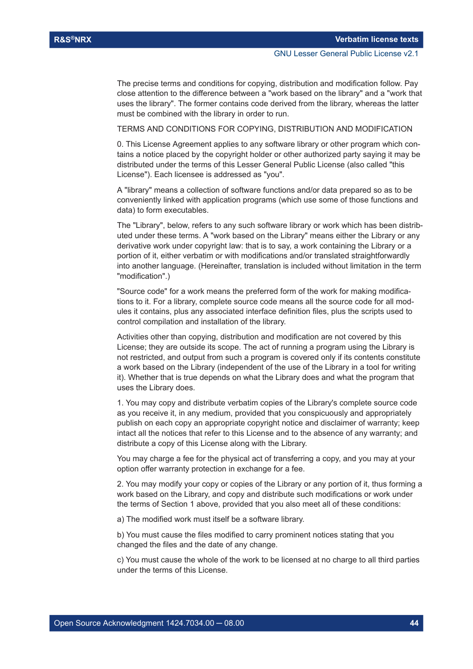The precise terms and conditions for copying, distribution and modification follow. Pay close attention to the difference between a "work based on the library" and a "work that uses the library". The former contains code derived from the library, whereas the latter must be combined with the library in order to run.

TERMS AND CONDITIONS FOR COPYING, DISTRIBUTION AND MODIFICATION

0. This License Agreement applies to any software library or other program which contains a notice placed by the copyright holder or other authorized party saying it may be distributed under the terms of this Lesser General Public License (also called "this License"). Each licensee is addressed as "you".

A "library" means a collection of software functions and/or data prepared so as to be conveniently linked with application programs (which use some of those functions and data) to form executables.

The "Library", below, refers to any such software library or work which has been distributed under these terms. A "work based on the Library" means either the Library or any derivative work under copyright law: that is to say, a work containing the Library or a portion of it, either verbatim or with modifications and/or translated straightforwardly into another language. (Hereinafter, translation is included without limitation in the term "modification".)

"Source code" for a work means the preferred form of the work for making modifications to it. For a library, complete source code means all the source code for all modules it contains, plus any associated interface definition files, plus the scripts used to control compilation and installation of the library.

Activities other than copying, distribution and modification are not covered by this License; they are outside its scope. The act of running a program using the Library is not restricted, and output from such a program is covered only if its contents constitute a work based on the Library (independent of the use of the Library in a tool for writing it). Whether that is true depends on what the Library does and what the program that uses the Library does.

1. You may copy and distribute verbatim copies of the Library's complete source code as you receive it, in any medium, provided that you conspicuously and appropriately publish on each copy an appropriate copyright notice and disclaimer of warranty; keep intact all the notices that refer to this License and to the absence of any warranty; and distribute a copy of this License along with the Library.

You may charge a fee for the physical act of transferring a copy, and you may at your option offer warranty protection in exchange for a fee.

2. You may modify your copy or copies of the Library or any portion of it, thus forming a work based on the Library, and copy and distribute such modifications or work under the terms of Section 1 above, provided that you also meet all of these conditions:

a) The modified work must itself be a software library.

b) You must cause the files modified to carry prominent notices stating that you changed the files and the date of any change.

c) You must cause the whole of the work to be licensed at no charge to all third parties under the terms of this License.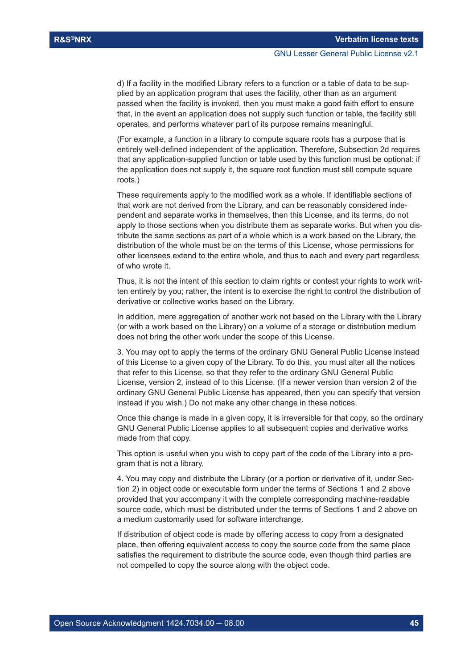d) If a facility in the modified Library refers to a function or a table of data to be supplied by an application program that uses the facility, other than as an argument passed when the facility is invoked, then you must make a good faith effort to ensure that, in the event an application does not supply such function or table, the facility still operates, and performs whatever part of its purpose remains meaningful.

(For example, a function in a library to compute square roots has a purpose that is entirely well-defined independent of the application. Therefore, Subsection 2d requires that any application-supplied function or table used by this function must be optional: if the application does not supply it, the square root function must still compute square roots.)

These requirements apply to the modified work as a whole. If identifiable sections of that work are not derived from the Library, and can be reasonably considered independent and separate works in themselves, then this License, and its terms, do not apply to those sections when you distribute them as separate works. But when you distribute the same sections as part of a whole which is a work based on the Library, the distribution of the whole must be on the terms of this License, whose permissions for other licensees extend to the entire whole, and thus to each and every part regardless of who wrote it.

Thus, it is not the intent of this section to claim rights or contest your rights to work written entirely by you; rather, the intent is to exercise the right to control the distribution of derivative or collective works based on the Library.

In addition, mere aggregation of another work not based on the Library with the Library (or with a work based on the Library) on a volume of a storage or distribution medium does not bring the other work under the scope of this License.

3. You may opt to apply the terms of the ordinary GNU General Public License instead of this License to a given copy of the Library. To do this, you must alter all the notices that refer to this License, so that they refer to the ordinary GNU General Public License, version 2, instead of to this License. (If a newer version than version 2 of the ordinary GNU General Public License has appeared, then you can specify that version instead if you wish.) Do not make any other change in these notices.

Once this change is made in a given copy, it is irreversible for that copy, so the ordinary GNU General Public License applies to all subsequent copies and derivative works made from that copy.

This option is useful when you wish to copy part of the code of the Library into a program that is not a library.

4. You may copy and distribute the Library (or a portion or derivative of it, under Section 2) in object code or executable form under the terms of Sections 1 and 2 above provided that you accompany it with the complete corresponding machine-readable source code, which must be distributed under the terms of Sections 1 and 2 above on a medium customarily used for software interchange.

If distribution of object code is made by offering access to copy from a designated place, then offering equivalent access to copy the source code from the same place satisfies the requirement to distribute the source code, even though third parties are not compelled to copy the source along with the object code.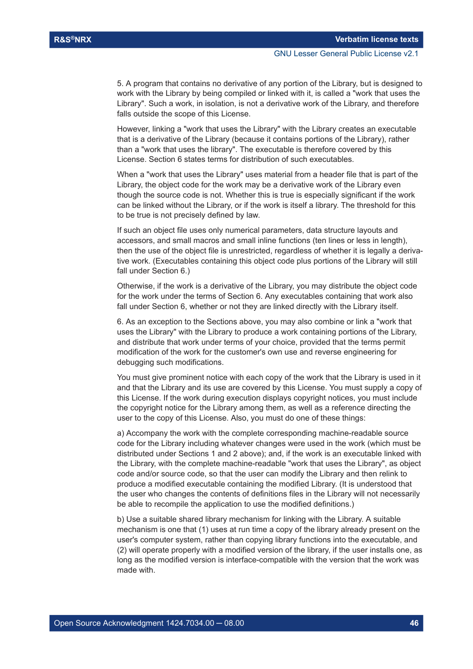5. A program that contains no derivative of any portion of the Library, but is designed to work with the Library by being compiled or linked with it, is called a "work that uses the Library". Such a work, in isolation, is not a derivative work of the Library, and therefore falls outside the scope of this License.

However, linking a "work that uses the Library" with the Library creates an executable that is a derivative of the Library (because it contains portions of the Library), rather than a "work that uses the library". The executable is therefore covered by this License. Section 6 states terms for distribution of such executables.

When a "work that uses the Library" uses material from a header file that is part of the Library, the object code for the work may be a derivative work of the Library even though the source code is not. Whether this is true is especially significant if the work can be linked without the Library, or if the work is itself a library. The threshold for this to be true is not precisely defined by law.

If such an object file uses only numerical parameters, data structure layouts and accessors, and small macros and small inline functions (ten lines or less in length), then the use of the object file is unrestricted, regardless of whether it is legally a derivative work. (Executables containing this object code plus portions of the Library will still fall under Section 6.)

Otherwise, if the work is a derivative of the Library, you may distribute the object code for the work under the terms of Section 6. Any executables containing that work also fall under Section 6, whether or not they are linked directly with the Library itself.

6. As an exception to the Sections above, you may also combine or link a "work that uses the Library" with the Library to produce a work containing portions of the Library, and distribute that work under terms of your choice, provided that the terms permit modification of the work for the customer's own use and reverse engineering for debugging such modifications.

You must give prominent notice with each copy of the work that the Library is used in it and that the Library and its use are covered by this License. You must supply a copy of this License. If the work during execution displays copyright notices, you must include the copyright notice for the Library among them, as well as a reference directing the user to the copy of this License. Also, you must do one of these things:

a) Accompany the work with the complete corresponding machine-readable source code for the Library including whatever changes were used in the work (which must be distributed under Sections 1 and 2 above); and, if the work is an executable linked with the Library, with the complete machine-readable "work that uses the Library", as object code and/or source code, so that the user can modify the Library and then relink to produce a modified executable containing the modified Library. (It is understood that the user who changes the contents of definitions files in the Library will not necessarily be able to recompile the application to use the modified definitions.)

b) Use a suitable shared library mechanism for linking with the Library. A suitable mechanism is one that (1) uses at run time a copy of the library already present on the user's computer system, rather than copying library functions into the executable, and (2) will operate properly with a modified version of the library, if the user installs one, as long as the modified version is interface-compatible with the version that the work was made with.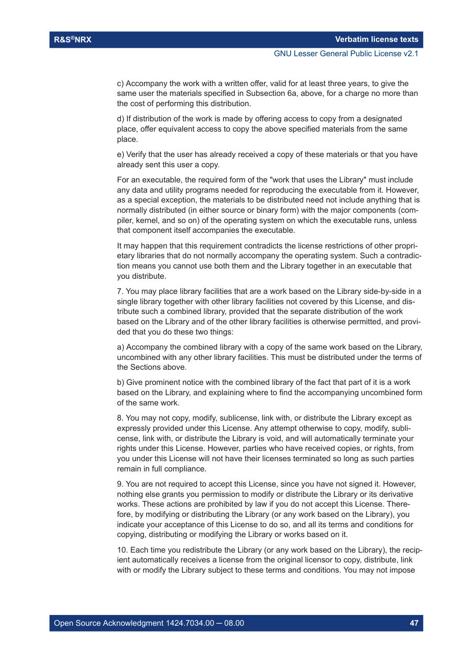c) Accompany the work with a written offer, valid for at least three years, to give the same user the materials specified in Subsection 6a, above, for a charge no more than the cost of performing this distribution.

d) If distribution of the work is made by offering access to copy from a designated place, offer equivalent access to copy the above specified materials from the same place.

e) Verify that the user has already received a copy of these materials or that you have already sent this user a copy.

For an executable, the required form of the "work that uses the Library" must include any data and utility programs needed for reproducing the executable from it. However, as a special exception, the materials to be distributed need not include anything that is normally distributed (in either source or binary form) with the major components (compiler, kernel, and so on) of the operating system on which the executable runs, unless that component itself accompanies the executable.

It may happen that this requirement contradicts the license restrictions of other proprietary libraries that do not normally accompany the operating system. Such a contradiction means you cannot use both them and the Library together in an executable that you distribute.

7. You may place library facilities that are a work based on the Library side-by-side in a single library together with other library facilities not covered by this License, and distribute such a combined library, provided that the separate distribution of the work based on the Library and of the other library facilities is otherwise permitted, and provided that you do these two things:

a) Accompany the combined library with a copy of the same work based on the Library, uncombined with any other library facilities. This must be distributed under the terms of the Sections above.

b) Give prominent notice with the combined library of the fact that part of it is a work based on the Library, and explaining where to find the accompanying uncombined form of the same work.

8. You may not copy, modify, sublicense, link with, or distribute the Library except as expressly provided under this License. Any attempt otherwise to copy, modify, sublicense, link with, or distribute the Library is void, and will automatically terminate your rights under this License. However, parties who have received copies, or rights, from you under this License will not have their licenses terminated so long as such parties remain in full compliance.

9. You are not required to accept this License, since you have not signed it. However, nothing else grants you permission to modify or distribute the Library or its derivative works. These actions are prohibited by law if you do not accept this License. Therefore, by modifying or distributing the Library (or any work based on the Library), you indicate your acceptance of this License to do so, and all its terms and conditions for copying, distributing or modifying the Library or works based on it.

10. Each time you redistribute the Library (or any work based on the Library), the recipient automatically receives a license from the original licensor to copy, distribute, link with or modify the Library subject to these terms and conditions. You may not impose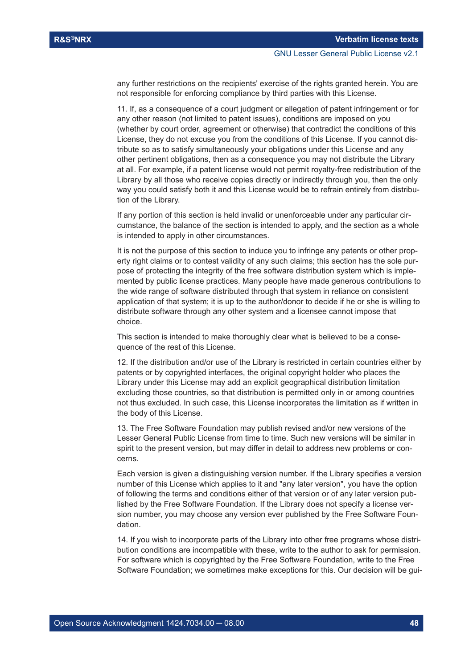### GNU Lesser General Public License v2.1

any further restrictions on the recipients' exercise of the rights granted herein. You are not responsible for enforcing compliance by third parties with this License.

11. If, as a consequence of a court judgment or allegation of patent infringement or for any other reason (not limited to patent issues), conditions are imposed on you (whether by court order, agreement or otherwise) that contradict the conditions of this License, they do not excuse you from the conditions of this License. If you cannot distribute so as to satisfy simultaneously your obligations under this License and any other pertinent obligations, then as a consequence you may not distribute the Library at all. For example, if a patent license would not permit royalty-free redistribution of the Library by all those who receive copies directly or indirectly through you, then the only way you could satisfy both it and this License would be to refrain entirely from distribution of the Library.

If any portion of this section is held invalid or unenforceable under any particular circumstance, the balance of the section is intended to apply, and the section as a whole is intended to apply in other circumstances.

It is not the purpose of this section to induce you to infringe any patents or other property right claims or to contest validity of any such claims; this section has the sole purpose of protecting the integrity of the free software distribution system which is implemented by public license practices. Many people have made generous contributions to the wide range of software distributed through that system in reliance on consistent application of that system; it is up to the author/donor to decide if he or she is willing to distribute software through any other system and a licensee cannot impose that choice.

This section is intended to make thoroughly clear what is believed to be a consequence of the rest of this License.

12. If the distribution and/or use of the Library is restricted in certain countries either by patents or by copyrighted interfaces, the original copyright holder who places the Library under this License may add an explicit geographical distribution limitation excluding those countries, so that distribution is permitted only in or among countries not thus excluded. In such case, this License incorporates the limitation as if written in the body of this License.

13. The Free Software Foundation may publish revised and/or new versions of the Lesser General Public License from time to time. Such new versions will be similar in spirit to the present version, but may differ in detail to address new problems or concerns.

Each version is given a distinguishing version number. If the Library specifies a version number of this License which applies to it and "any later version", you have the option of following the terms and conditions either of that version or of any later version published by the Free Software Foundation. If the Library does not specify a license version number, you may choose any version ever published by the Free Software Foundation.

14. If you wish to incorporate parts of the Library into other free programs whose distribution conditions are incompatible with these, write to the author to ask for permission. For software which is copyrighted by the Free Software Foundation, write to the Free Software Foundation; we sometimes make exceptions for this. Our decision will be gui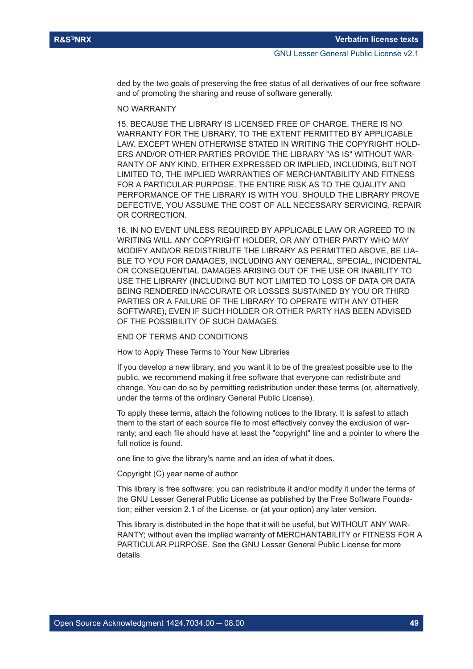ded by the two goals of preserving the free status of all derivatives of our free software and of promoting the sharing and reuse of software generally.

### NO WARRANTY

15. BECAUSE THE LIBRARY IS LICENSED FREE OF CHARGE, THERE IS NO WARRANTY FOR THE LIBRARY, TO THE EXTENT PERMITTED BY APPLICABLE LAW. EXCEPT WHEN OTHERWISE STATED IN WRITING THE COPYRIGHT HOLD-ERS AND/OR OTHER PARTIES PROVIDE THE LIBRARY "AS IS" WITHOUT WAR-RANTY OF ANY KIND, EITHER EXPRESSED OR IMPLIED, INCLUDING, BUT NOT LIMITED TO, THE IMPLIED WARRANTIES OF MERCHANTABILITY AND FITNESS FOR A PARTICULAR PURPOSE. THE ENTIRE RISK AS TO THE QUALITY AND PERFORMANCE OF THE LIBRARY IS WITH YOU. SHOULD THE LIBRARY PROVE DEFECTIVE, YOU ASSUME THE COST OF ALL NECESSARY SERVICING, REPAIR OR CORRECTION.

16. IN NO EVENT UNLESS REQUIRED BY APPLICABLE LAW OR AGREED TO IN WRITING WILL ANY COPYRIGHT HOLDER, OR ANY OTHER PARTY WHO MAY MODIFY AND/OR REDISTRIBUTE THE LIBRARY AS PERMITTED ABOVE, BE LIA-BLE TO YOU FOR DAMAGES, INCLUDING ANY GENERAL, SPECIAL, INCIDENTAL OR CONSEQUENTIAL DAMAGES ARISING OUT OF THE USE OR INABILITY TO USE THE LIBRARY (INCLUDING BUT NOT LIMITED TO LOSS OF DATA OR DATA BEING RENDERED INACCURATE OR LOSSES SUSTAINED BY YOU OR THIRD PARTIES OR A FAILURE OF THE LIBRARY TO OPERATE WITH ANY OTHER SOFTWARE), EVEN IF SUCH HOLDER OR OTHER PARTY HAS BEEN ADVISED OF THE POSSIBILITY OF SUCH DAMAGES.

### END OF TERMS AND CONDITIONS

How to Apply These Terms to Your New Libraries

If you develop a new library, and you want it to be of the greatest possible use to the public, we recommend making it free software that everyone can redistribute and change. You can do so by permitting redistribution under these terms (or, alternatively, under the terms of the ordinary General Public License).

To apply these terms, attach the following notices to the library. It is safest to attach them to the start of each source file to most effectively convey the exclusion of warranty; and each file should have at least the "copyright" line and a pointer to where the full notice is found.

one line to give the library's name and an idea of what it does.

### Copyright (C) year name of author

This library is free software; you can redistribute it and/or modify it under the terms of the GNU Lesser General Public License as published by the Free Software Foundation; either version 2.1 of the License, or (at your option) any later version.

This library is distributed in the hope that it will be useful, but WITHOUT ANY WAR-RANTY; without even the implied warranty of MERCHANTABILITY or FITNESS FOR A PARTICULAR PURPOSE. See the GNU Lesser General Public License for more details.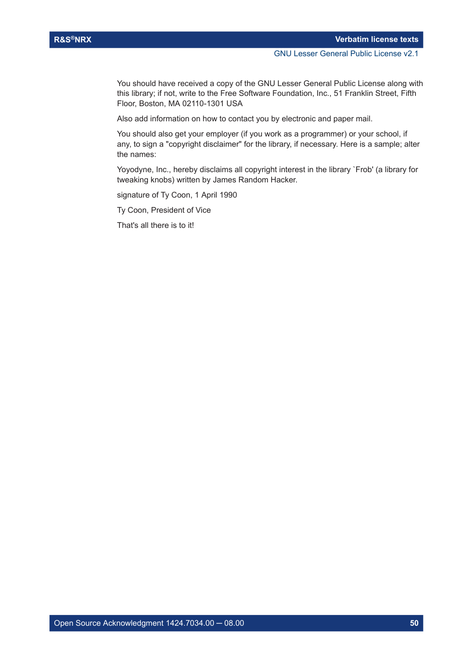You should have received a copy of the GNU Lesser General Public License along with this library; if not, write to the Free Software Foundation, Inc., 51 Franklin Street, Fifth Floor, Boston, MA 02110-1301 USA

Also add information on how to contact you by electronic and paper mail.

You should also get your employer (if you work as a programmer) or your school, if any, to sign a "copyright disclaimer" for the library, if necessary. Here is a sample; alter the names:

Yoyodyne, Inc., hereby disclaims all copyright interest in the library `Frob' (a library for tweaking knobs) written by James Random Hacker.

signature of Ty Coon, 1 April 1990

Ty Coon, President of Vice

That's all there is to it!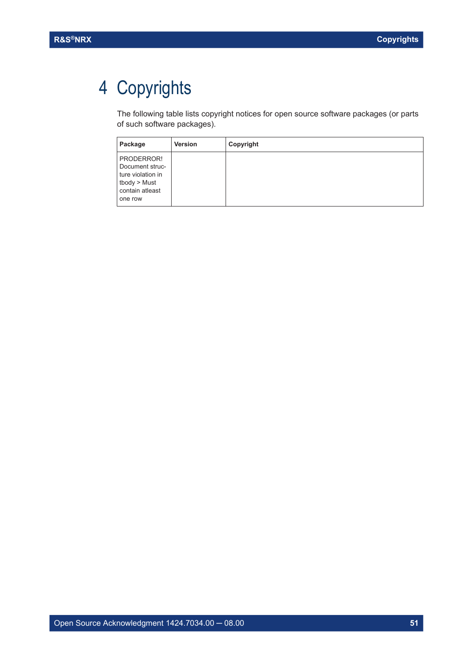# 4 Copyrights

The following table lists copyright notices for open source software packages (or parts of such software packages).

| Package                                                                                          | <b>Version</b> | Copyright |
|--------------------------------------------------------------------------------------------------|----------------|-----------|
| PRODERROR!<br>Document struc-<br>ture violation in<br>tbody > Must<br>contain atleast<br>one row |                |           |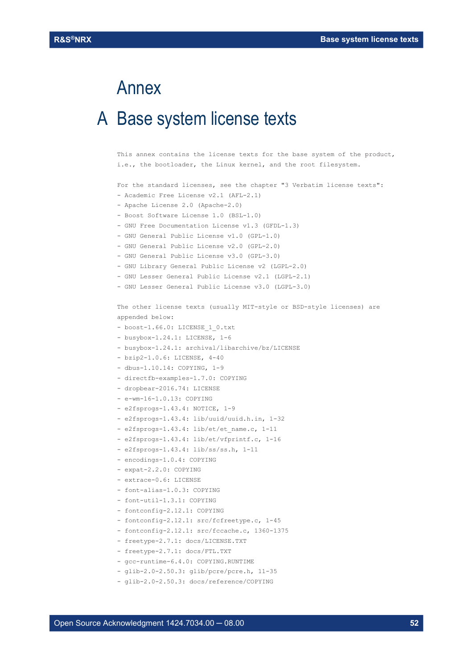# Annex A Base system license texts

This annex contains the license texts for the base system of the product, i.e., the bootloader, the Linux kernel, and the root filesystem.

For the standard licenses, see the chapter "3 Verbatim license texts":

- Academic Free License v2.1 (AFL-2.1)
- Apache License 2.0 (Apache-2.0)
- Boost Software License 1.0 (BSL-1.0)
- GNU Free Documentation License v1.3 (GFDL-1.3)
- GNU General Public License v1.0 (GPL-1.0)
- GNU General Public License v2.0 (GPL-2.0)
- GNU General Public License v3.0 (GPL-3.0)
- GNU Library General Public License v2 (LGPL-2.0)
- GNU Lesser General Public License v2.1 (LGPL-2.1)
- GNU Lesser General Public License v3.0 (LGPL-3.0)

The other license texts (usually MIT-style or BSD-style licenses) are appended below:

- boost-1.66.0: LICENSE 1 0.txt
- busybox-1.24.1: LICENSE, 1-6
- busybox-1.24.1: archival/libarchive/bz/LICENSE
- bzip2-1.0.6: LICENSE, 4-40
- dbus-1.10.14: COPYING, 1-9
- directfb-examples-1.7.0: COPYING
- dropbear-2016.74: LICENSE
- e-wm-16-1.0.13: COPYING
- e2fsprogs-1.43.4: NOTICE, 1-9
- e2fsprogs-1.43.4: lib/uuid/uuid.h.in, 1-32
- e2fsprogs-1.43.4: lib/et/et\_name.c, 1-11
- e2fsprogs-1.43.4: lib/et/vfprintf.c, 1-16
- e2fsprogs-1.43.4: lib/ss/ss.h, 1-11
- encodings-1.0.4: COPYING
- expat-2.2.0: COPYING
- extrace-0.6: LICENSE
- font-alias-1.0.3: COPYING
- font-util-1.3.1: COPYING
- fontconfig-2.12.1: COPYING
- fontconfig-2.12.1: src/fcfreetype.c, 1-45
- fontconfig-2.12.1: src/fccache.c, 1360-1375
- freetype-2.7.1: docs/LICENSE.TXT
- freetype-2.7.1: docs/FTL.TXT
- gcc-runtime-6.4.0: COPYING.RUNTIME
- glib-2.0-2.50.3: glib/pcre/pcre.h, 11-35
- glib-2.0-2.50.3: docs/reference/COPYING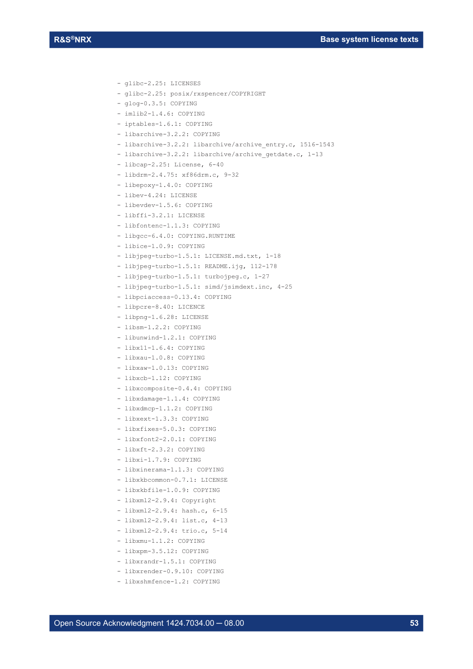- glibc-2.25: LICENSES
- glibc-2.25: posix/rxspencer/COPYRIGHT
- glog-0.3.5: COPYING
- imlib2-1.4.6: COPYING
- iptables-1.6.1: COPYING
- libarchive-3.2.2: COPYING
- libarchive-3.2.2: libarchive/archive entry.c, 1516-1543
- libarchive-3.2.2: libarchive/archive getdate.c, 1-13
- libcap-2.25: License, 6-40
- libdrm-2.4.75: xf86drm.c, 9-32
- libepoxy-1.4.0: COPYING
- libev-4.24: LICENSE
- libevdev-1.5.6: COPYING
- libffi-3.2.1: LICENSE
- libfontenc-1.1.3: COPYING
- libgcc-6.4.0: COPYING.RUNTIME
- libice-1.0.9: COPYING
- libjpeg-turbo-1.5.1: LICENSE.md.txt, 1-18
- libjpeg-turbo-1.5.1: README.ijg, 112-178
- libjpeg-turbo-1.5.1: turbojpeg.c, 1-27
- libjpeg-turbo-1.5.1: simd/jsimdext.inc, 4-25
- libpciaccess-0.13.4: COPYING
- libpcre-8.40: LICENCE
- libpng-1.6.28: LICENSE
- libsm-1.2.2: COPYING
- libunwind-1.2.1: COPYING
- libx11-1.6.4: COPYING
- libxau-1.0.8: COPYING
- libxaw-1.0.13: COPYING
- libxcb-1.12: COPYING
- libxcomposite-0.4.4: COPYING
- libxdamage-1.1.4: COPYING
- libxdmcp-1.1.2: COPYING
- libxext-1.3.3: COPYING
- libxfixes-5.0.3: COPYING
- libxfont2-2.0.1: COPYING
- libxft-2.3.2: COPYING
- libxi-1.7.9: COPYING
- libxinerama-1.1.3: COPYING
- libxkbcommon-0.7.1: LICENSE
- libxkbfile-1.0.9: COPYING
- libxml2-2.9.4: Copyright
- libxml2-2.9.4: hash.c, 6-15
- libxml2-2.9.4: list.c, 4-13
- libxml2-2.9.4: trio.c, 5-14
- libxmu-1.1.2: COPYING
- libxpm-3.5.12: COPYING
- libxrandr-1.5.1: COPYING
- libxrender-0.9.10: COPYING
- libxshmfence-1.2: COPYING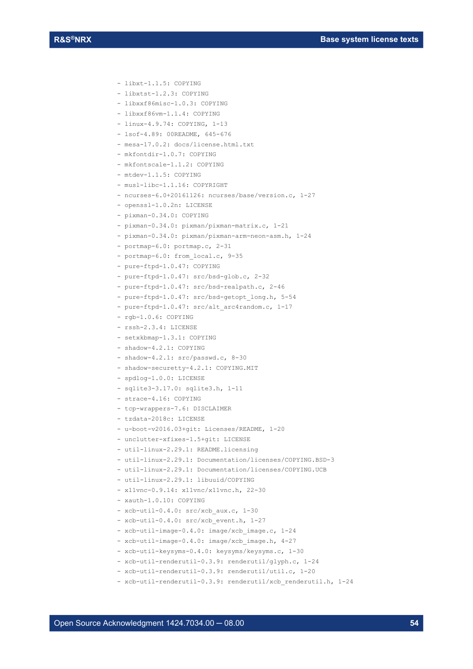### - libxt-1.1.5: COPYING

- libxtst-1.2.3: COPYING
- libxxf86misc-1.0.3: COPYING
- libxxf86vm-1.1.4: COPYING
- linux-4.9.74: COPYING, 1-13
- lsof-4.89: 00README, 645-676
- mesa-17.0.2: docs/license.html.txt
- mkfontdir-1.0.7: COPYING
- mkfontscale-1.1.2: COPYING
- mtdev-1.1.5: COPYING
- musl-libc-1.1.16: COPYRIGHT
- ncurses-6.0+20161126: ncurses/base/version.c, 1-27
- openssl-1.0.2n: LICENSE
- pixman-0.34.0: COPYING
- pixman-0.34.0: pixman/pixman-matrix.c, 1-21
- pixman-0.34.0: pixman/pixman-arm-neon-asm.h, 1-24
- portmap-6.0: portmap.c, 2-31
- portmap-6.0: from local.c, 9-35
- pure-ftpd-1.0.47: COPYING
- pure-ftpd-1.0.47: src/bsd-glob.c, 2-32
- pure-ftpd-1.0.47: src/bsd-realpath.c, 2-46
- pure-ftpd-1.0.47: src/bsd-getopt\_long.h, 5-54
- pure-ftpd-1.0.47: src/alt\_arc4random.c, 1-17
- rgb-1.0.6: COPYING
- rssh-2.3.4: LICENSE
- setxkbmap-1.3.1: COPYING
- shadow-4.2.1: COPYING
- shadow-4.2.1: src/passwd.c, 8-30
- shadow-securetty-4.2.1: COPYING.MIT
- spdlog-1.0.0: LICENSE
- sqlite3-3.17.0: sqlite3.h, 1-11
- strace-4.16: COPYING
- tcp-wrappers-7.6: DISCLAIMER
- tzdata-2018c: LICENSE
- u-boot-v2016.03+git: Licenses/README, 1-20
- unclutter-xfixes-1.5+git: LICENSE
- util-linux-2.29.1: README.licensing
- util-linux-2.29.1: Documentation/licenses/COPYING.BSD-3
- util-linux-2.29.1: Documentation/licenses/COPYING.UCB
- util-linux-2.29.1: libuuid/COPYING
- x11vnc-0.9.14: x11vnc/x11vnc.h, 22-30
- xauth-1.0.10: COPYING
- xcb-util-0.4.0: src/xcb aux.c, 1-30
- xcb-util-0.4.0: src/xcb event.h, 1-27
- xcb-util-image-0.4.0: image/xcb\_image.c, 1-24
- xcb-util-image-0.4.0: image/xcb\_image.h, 4-27
- xcb-util-keysyms-0.4.0: keysyms/keysyms.c, 1-30
- xcb-util-renderutil-0.3.9: renderutil/glyph.c, 1-24
- xcb-util-renderutil-0.3.9: renderutil/util.c, 1-20
- xcb-util-renderutil-0.3.9: renderutil/xcb renderutil.h, 1-24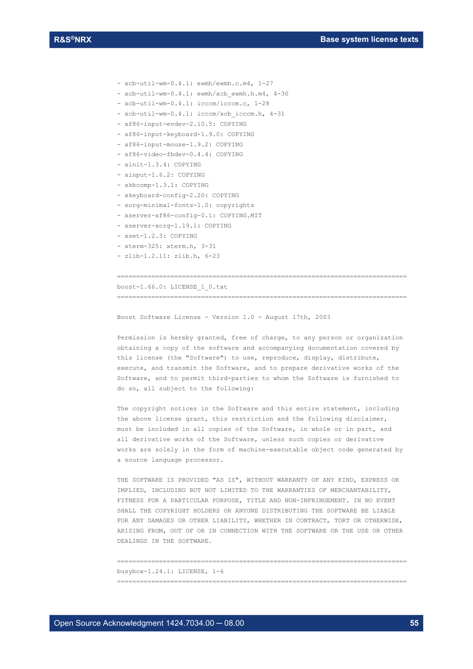- xcb-util-wm-0.4.1: ewmh/ewmh.c.m4, 1-27
- xcb-util-wm-0.4.1: ewmh/xcb ewmh.h.m4, 4-30
- xcb-util-wm-0.4.1: icccm/icccm.c, 1-28
- xcb-util-wm-0.4.1: icccm/xcb icccm.h, 4-31
- xf86-input-evdev-2.10.5: COPYING
- xf86-input-keyboard-1.9.0: COPYING
- xf86-input-mouse-1.9.2: COPYING
- xf86-video-fbdev-0.4.4: COPYING
- xinit-1.3.4: COPYING
- xinput-1.6.2: COPYING
- xkbcomp-1.3.1: COPYING
- xkeyboard-config-2.20: COPYING
- xorg-minimal-fonts-1.0: copyrights
- xserver-xf86-config-0.1: COPYING.MIT
- xserver-xorg-1.19.1: COPYING
- xset-1.2.3: COPYING
- xterm-325: xterm.h, 3-31
- zlib-1.2.11: zlib.h, 6-23

```
============================================================================
boost-1.66.0: LICENSE_1_0.txt
============================================================================
```
Boost Software License - Version 1.0 - August 17th, 2003

Permission is hereby granted, free of charge, to any person or organization obtaining a copy of the software and accompanying documentation covered by this license (the "Software") to use, reproduce, display, distribute, execute, and transmit the Software, and to prepare derivative works of the Software, and to permit third-parties to whom the Software is furnished to do so, all subject to the following:

The copyright notices in the Software and this entire statement, including the above license grant, this restriction and the following disclaimer, must be included in all copies of the Software, in whole or in part, and all derivative works of the Software, unless such copies or derivative works are solely in the form of machine-executable object code generated by a source language processor.

THE SOFTWARE IS PROVIDED "AS IS", WITHOUT WARRANTY OF ANY KIND, EXPRESS OR IMPLIED, INCLUDING BUT NOT LIMITED TO THE WARRANTIES OF MERCHANTABILITY, FITNESS FOR A PARTICULAR PURPOSE, TITLE AND NON-INFRINGEMENT. IN NO EVENT SHALL THE COPYRIGHT HOLDERS OR ANYONE DISTRIBUTING THE SOFTWARE BE LIABLE FOR ANY DAMAGES OR OTHER LIABILITY, WHETHER IN CONTRACT, TORT OR OTHERWISE, ARISING FROM, OUT OF OR IN CONNECTION WITH THE SOFTWARE OR THE USE OR OTHER DEALINGS IN THE SOFTWARE.

```
============================================================================
busybox-1.24.1: LICENSE, 1-6
============================================================================
```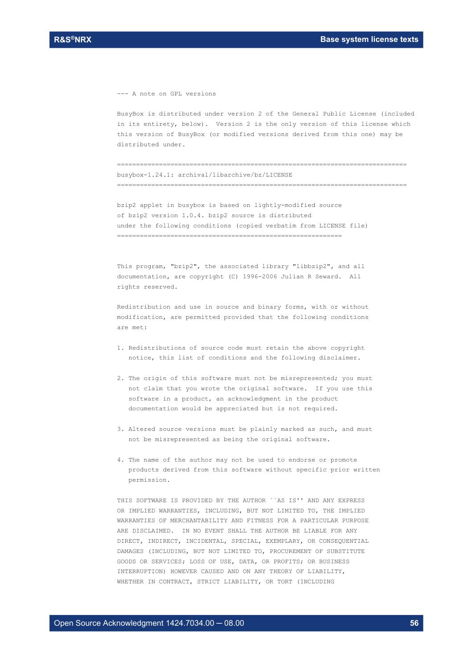--- A note on GPL versions

BusyBox is distributed under version 2 of the General Public License (included in its entirety, below). Version 2 is the only version of this license which this version of BusyBox (or modified versions derived from this one) may be distributed under.

============================================================================ busybox-1.24.1: archival/libarchive/bz/LICENSE ============================================================================

bzip2 applet in busybox is based on lightly-modified source of bzip2 version 1.0.4. bzip2 source is distributed under the following conditions (copied verbatim from LICENSE file) ===========================================================

This program, "bzip2", the associated library "libbzip2", and all documentation, are copyright (C) 1996-2006 Julian R Seward. All rights reserved.

Redistribution and use in source and binary forms, with or without modification, are permitted provided that the following conditions are met:

- 1. Redistributions of source code must retain the above copyright notice, this list of conditions and the following disclaimer.
- 2. The origin of this software must not be misrepresented; you must not claim that you wrote the original software. If you use this software in a product, an acknowledgment in the product documentation would be appreciated but is not required.
- 3. Altered source versions must be plainly marked as such, and must not be misrepresented as being the original software.
- 4. The name of the author may not be used to endorse or promote products derived from this software without specific prior written permission.

THIS SOFTWARE IS PROVIDED BY THE AUTHOR ``AS IS'' AND ANY EXPRESS OR IMPLIED WARRANTIES, INCLUDING, BUT NOT LIMITED TO, THE IMPLIED WARRANTIES OF MERCHANTABILITY AND FITNESS FOR A PARTICULAR PURPOSE ARE DISCLAIMED. IN NO EVENT SHALL THE AUTHOR BE LIABLE FOR ANY DIRECT, INDIRECT, INCIDENTAL, SPECIAL, EXEMPLARY, OR CONSEQUENTIAL DAMAGES (INCLUDING, BUT NOT LIMITED TO, PROCUREMENT OF SUBSTITUTE GOODS OR SERVICES; LOSS OF USE, DATA, OR PROFITS; OR BUSINESS INTERRUPTION) HOWEVER CAUSED AND ON ANY THEORY OF LIABILITY, WHETHER IN CONTRACT, STRICT LIABILITY, OR TORT (INCLUDING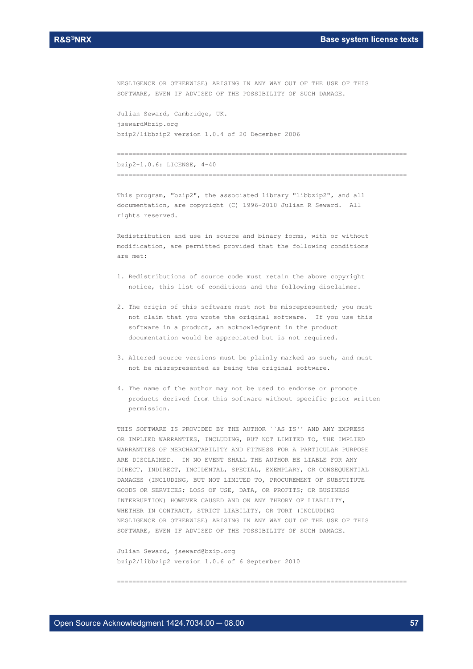```
NEGLIGENCE OR OTHERWISE) ARISING IN ANY WAY OUT OF THE USE OF THIS
SOFTWARE, EVEN IF ADVISED OF THE POSSIBILITY OF SUCH DAMAGE.
```
Julian Seward, Cambridge, UK. jseward@bzip.org bzip2/libbzip2 version 1.0.4 of 20 December 2006

```
============================================================================
bzip2-1.0.6: LICENSE, 4-40
============================================================================
```
This program, "bzip2", the associated library "libbzip2", and all documentation, are copyright (C) 1996-2010 Julian R Seward. All rights reserved.

Redistribution and use in source and binary forms, with or without modification, are permitted provided that the following conditions are met:

- 1. Redistributions of source code must retain the above copyright notice, this list of conditions and the following disclaimer.
- 2. The origin of this software must not be misrepresented; you must not claim that you wrote the original software. If you use this software in a product, an acknowledgment in the product documentation would be appreciated but is not required.
- 3. Altered source versions must be plainly marked as such, and must not be misrepresented as being the original software.
- 4. The name of the author may not be used to endorse or promote products derived from this software without specific prior written permission.

THIS SOFTWARE IS PROVIDED BY THE AUTHOR ``AS IS'' AND ANY EXPRESS OR IMPLIED WARRANTIES, INCLUDING, BUT NOT LIMITED TO, THE IMPLIED WARRANTIES OF MERCHANTABILITY AND FITNESS FOR A PARTICULAR PURPOSE ARE DISCLAIMED. IN NO EVENT SHALL THE AUTHOR BE LIABLE FOR ANY DIRECT, INDIRECT, INCIDENTAL, SPECIAL, EXEMPLARY, OR CONSEQUENTIAL DAMAGES (INCLUDING, BUT NOT LIMITED TO, PROCUREMENT OF SUBSTITUTE GOODS OR SERVICES; LOSS OF USE, DATA, OR PROFITS; OR BUSINESS INTERRUPTION) HOWEVER CAUSED AND ON ANY THEORY OF LIABILITY, WHETHER IN CONTRACT, STRICT LIABILITY, OR TORT (INCLUDING NEGLIGENCE OR OTHERWISE) ARISING IN ANY WAY OUT OF THE USE OF THIS SOFTWARE, EVEN IF ADVISED OF THE POSSIBILITY OF SUCH DAMAGE.

============================================================================

Julian Seward, jseward@bzip.org bzip2/libbzip2 version 1.0.6 of 6 September 2010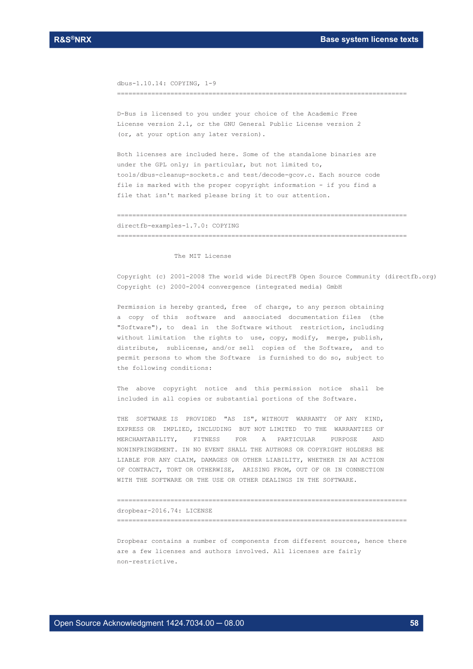### dbus-1.10.14: COPYING, 1-9

============================================================================

D-Bus is licensed to you under your choice of the Academic Free License version 2.1, or the GNU General Public License version 2 (or, at your option any later version).

Both licenses are included here. Some of the standalone binaries are under the GPL only; in particular, but not limited to, tools/dbus-cleanup-sockets.c and test/decode-gcov.c. Each source code file is marked with the proper copyright information - if you find a file that isn't marked please bring it to our attention.

============================================================================ directfb-examples-1.7.0: COPYING ============================================================================

### The MIT License

Copyright (c) 2001-2008 The world wide DirectFB Open Source Community (directfb.org) Copyright (c) 2000-2004 convergence (integrated media) GmbH

Permission is hereby granted, free of charge, to any person obtaining a copy of this software and associated documentation files (the "Software"), to deal in the Software without restriction, including without limitation the rights to use, copy, modify, merge, publish, distribute, sublicense, and/or sell copies of the Software, and to permit persons to whom the Software is furnished to do so, subject to the following conditions:

The above copyright notice and this permission notice shall be included in all copies or substantial portions of the Software.

THE SOFTWARE IS PROVIDED "AS IS", WITHOUT WARRANTY OF ANY KIND, EXPRESS OR IMPLIED, INCLUDING BUT NOT LIMITED TO THE WARRANTIES OF MERCHANTABILITY, FITNESS FOR A PARTICULAR PURPOSE AND NONINFRINGEMENT. IN NO EVENT SHALL THE AUTHORS OR COPYRIGHT HOLDERS BE LIABLE FOR ANY CLAIM, DAMAGES OR OTHER LIABILITY, WHETHER IN AN ACTION OF CONTRACT, TORT OR OTHERWISE, ARISING FROM, OUT OF OR IN CONNECTION WITH THE SOFTWARE OR THE USE OR OTHER DEALINGS IN THE SOFTWARE.

```
============================================================================
dropbear-2016.74: LICENSE
     ============================================================================
```
Dropbear contains a number of components from different sources, hence there are a few licenses and authors involved. All licenses are fairly non-restrictive.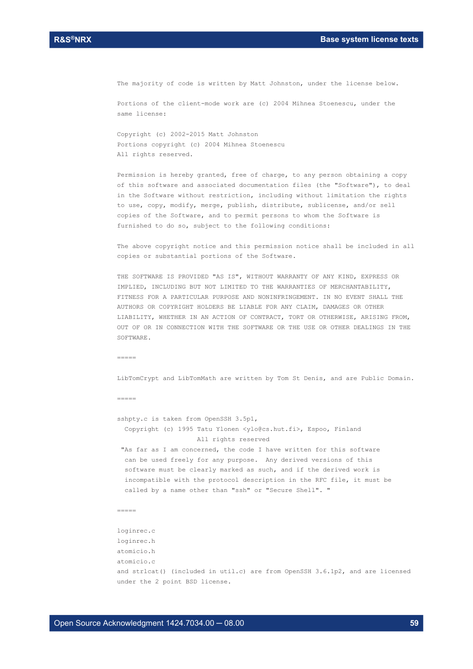The majority of code is written by Matt Johnston, under the license below.

Portions of the client-mode work are (c) 2004 Mihnea Stoenescu, under the same license:

Copyright (c) 2002-2015 Matt Johnston Portions copyright (c) 2004 Mihnea Stoenescu All rights reserved.

Permission is hereby granted, free of charge, to any person obtaining a copy of this software and associated documentation files (the "Software"), to deal in the Software without restriction, including without limitation the rights to use, copy, modify, merge, publish, distribute, sublicense, and/or sell copies of the Software, and to permit persons to whom the Software is furnished to do so, subject to the following conditions:

The above copyright notice and this permission notice shall be included in all copies or substantial portions of the Software.

THE SOFTWARE IS PROVIDED "AS IS", WITHOUT WARRANTY OF ANY KIND, EXPRESS OR IMPLIED, INCLUDING BUT NOT LIMITED TO THE WARRANTIES OF MERCHANTABILITY, FITNESS FOR A PARTICULAR PURPOSE AND NONINFRINGEMENT. IN NO EVENT SHALL THE AUTHORS OR COPYRIGHT HOLDERS BE LIABLE FOR ANY CLAIM, DAMAGES OR OTHER LIABILITY, WHETHER IN AN ACTION OF CONTRACT, TORT OR OTHERWISE, ARISING FROM, OUT OF OR IN CONNECTION WITH THE SOFTWARE OR THE USE OR OTHER DEALINGS IN THE SOFTWARE.

 $-----$ 

LibTomCrypt and LibTomMath are written by Tom St Denis, and are Public Domain.

 $----$ 

```
sshpty.c is taken from OpenSSH 3.5p1, 
  Copyright (c) 1995 Tatu Ylonen <ylo@cs.hut.fi>, Espoo, Finland
                     All rights reserved
 "As far as I am concerned, the code I have written for this software
  can be used freely for any purpose. Any derived versions of this
  software must be clearly marked as such, and if the derived work is
  incompatible with the protocol description in the RFC file, it must be
   called by a name other than "ssh" or "Secure Shell". "
----
```

```
loginrec.c
loginrec.h
atomicio.h
atomicio.c
and strlcat() (included in util.c) are from OpenSSH 3.6.1p2, and are licensed
under the 2 point BSD license.
```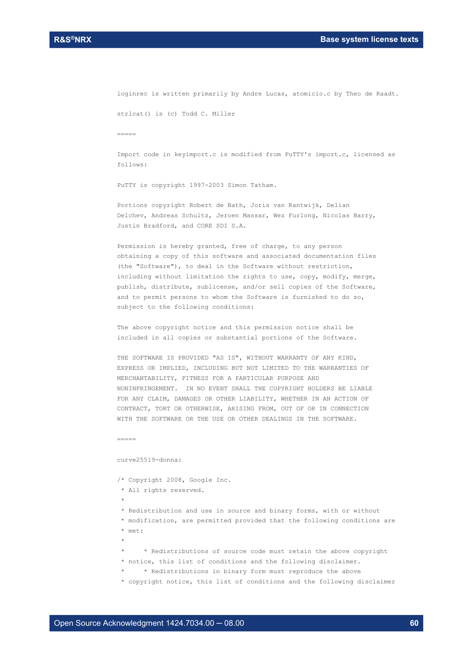loginrec is written primarily by Andre Lucas, atomicio.c by Theo de Raadt.

strlcat() is (c) Todd C. Miller

=====

Import code in keyimport.c is modified from PuTTY's import.c, licensed as follows:

PuTTY is copyright 1997-2003 Simon Tatham.

Portions copyright Robert de Bath, Joris van Rantwijk, Delian Delchev, Andreas Schultz, Jeroen Massar, Wez Furlong, Nicolas Barry, Justin Bradford, and CORE SDI S.A.

Permission is hereby granted, free of charge, to any person obtaining a copy of this software and associated documentation files (the "Software"), to deal in the Software without restriction, including without limitation the rights to use, copy, modify, merge, publish, distribute, sublicense, and/or sell copies of the Software, and to permit persons to whom the Software is furnished to do so, subject to the following conditions:

The above copyright notice and this permission notice shall be included in all copies or substantial portions of the Software.

THE SOFTWARE IS PROVIDED "AS IS", WITHOUT WARRANTY OF ANY KIND, EXPRESS OR IMPLIED, INCLUDING BUT NOT LIMITED TO THE WARRANTIES OF MERCHANTABILITY, FITNESS FOR A PARTICULAR PURPOSE AND NONINFRINGEMENT. IN NO EVENT SHALL THE COPYRIGHT HOLDERS BE LIABLE FOR ANY CLAIM, DAMAGES OR OTHER LIABILITY, WHETHER IN AN ACTION OF CONTRACT, TORT OR OTHERWISE, ARISING FROM, OUT OF OR IN CONNECTION WITH THE SOFTWARE OR THE USE OR OTHER DEALINGS IN THE SOFTWARE.

 $=$ 

curve25519-donna:

/\* Copyright 2008, Google Inc.

- \* All rights reserved.
- \*

\* Redistribution and use in source and binary forms, with or without

- \* modification, are permitted provided that the following conditions are  $*$  met:
- \*
	- \* \* Redistributions of source code must retain the above copyright
- \* notice, this list of conditions and the following disclaimer.
- \* Redistributions in binary form must reproduce the above
- \* copyright notice, this list of conditions and the following disclaimer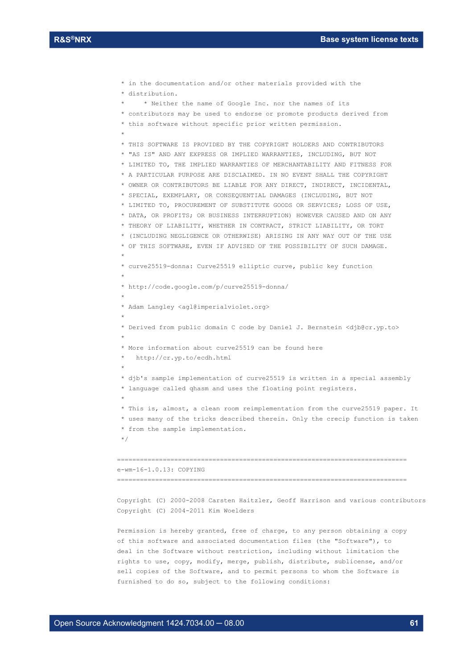```
 * in the documentation and/or other materials provided with the
  * distribution.
       * Neither the name of Google Inc. nor the names of its
 * contributors may be used to endorse or promote products derived from
  * this software without specific prior written permission.
 *
 * THIS SOFTWARE IS PROVIDED BY THE COPYRIGHT HOLDERS AND CONTRIBUTORS
  * "AS IS" AND ANY EXPRESS OR IMPLIED WARRANTIES, INCLUDING, BUT NOT
  * LIMITED TO, THE IMPLIED WARRANTIES OF MERCHANTABILITY AND FITNESS FOR
 * A PARTICULAR PURPOSE ARE DISCLAIMED. IN NO EVENT SHALL THE COPYRIGHT
 * OWNER OR CONTRIBUTORS BE LIABLE FOR ANY DIRECT, INDIRECT, INCIDENTAL,
  * SPECIAL, EXEMPLARY, OR CONSEQUENTIAL DAMAGES (INCLUDING, BUT NOT
  * LIMITED TO, PROCUREMENT OF SUBSTITUTE GOODS OR SERVICES; LOSS OF USE,
 * DATA, OR PROFITS; OR BUSINESS INTERRUPTION) HOWEVER CAUSED AND ON ANY
  * THEORY OF LIABILITY, WHETHER IN CONTRACT, STRICT LIABILITY, OR TORT
  * (INCLUDING NEGLIGENCE OR OTHERWISE) ARISING IN ANY WAY OUT OF THE USE
  * OF THIS SOFTWARE, EVEN IF ADVISED OF THE POSSIBILITY OF SUCH DAMAGE.
 *
  * curve25519-donna: Curve25519 elliptic curve, public key function
 *
 * http://code.google.com/p/curve25519-donna/
 *
  * Adam Langley <agl@imperialviolet.org>
 *
 * Derived from public domain C code by Daniel J. Bernstein <djb@cr.yp.to>
 *
  * More information about curve25519 can be found here
   http://cr.yp.to/ecdh.html
 *
  * djb's sample implementation of curve25519 is written in a special assembly
  * language called qhasm and uses the floating point registers.
 *
 * This is, almost, a clean room reimplementation from the curve25519 paper. It
  * uses many of the tricks described therein. Only the crecip function is taken
  * from the sample implementation.
  */
    ============================================================================
e-wm-16-1.0.13: COPYING
============================================================================
```
Copyright (C) 2000-2008 Carsten Haitzler, Geoff Harrison and various contributors Copyright (C) 2004-2011 Kim Woelders

Permission is hereby granted, free of charge, to any person obtaining a copy of this software and associated documentation files (the "Software"), to deal in the Software without restriction, including without limitation the rights to use, copy, modify, merge, publish, distribute, sublicense, and/or sell copies of the Software, and to permit persons to whom the Software is furnished to do so, subject to the following conditions: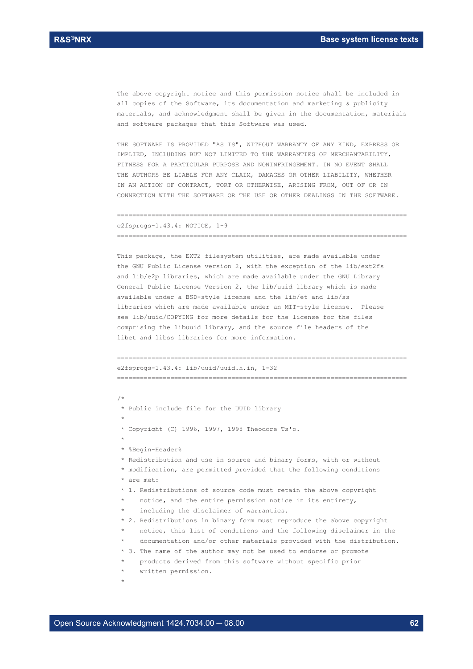The above copyright notice and this permission notice shall be included in all copies of the Software, its documentation and marketing & publicity materials, and acknowledgment shall be given in the documentation, materials and software packages that this Software was used.

THE SOFTWARE IS PROVIDED "AS IS", WITHOUT WARRANTY OF ANY KIND, EXPRESS OR IMPLIED, INCLUDING BUT NOT LIMITED TO THE WARRANTIES OF MERCHANTABILITY, FITNESS FOR A PARTICULAR PURPOSE AND NONINFRINGEMENT. IN NO EVENT SHALL THE AUTHORS BE LIABLE FOR ANY CLAIM, DAMAGES OR OTHER LIABILITY, WHETHER IN AN ACTION OF CONTRACT, TORT OR OTHERWISE, ARISING FROM, OUT OF OR IN CONNECTION WITH THE SOFTWARE OR THE USE OR OTHER DEALINGS IN THE SOFTWARE.

```
============================================================================
e2fsprogs-1.43.4: NOTICE, 1-9
============================================================================
```
This package, the EXT2 filesystem utilities, are made available under the GNU Public License version 2, with the exception of the lib/ext2fs and lib/e2p libraries, which are made available under the GNU Library General Public License Version 2, the lib/uuid library which is made available under a BSD-style license and the lib/et and lib/ss libraries which are made available under an MIT-style license. Please see lib/uuid/COPYING for more details for the license for the files comprising the libuuid library, and the source file headers of the libet and libss libraries for more information.

============================================================================ e2fsprogs-1.43.4: lib/uuid/uuid.h.in, 1-32 ============================================================================

#### $/$ \*

\*

- \* Public include file for the UUID library
- \* Copyright (C) 1996, 1997, 1998 Theodore Ts'o.
- \*
- \* %Begin-Header%
- \* Redistribution and use in source and binary forms, with or without
- \* modification, are permitted provided that the following conditions \* are met:
- \* 1. Redistributions of source code must retain the above copyright
- notice, and the entire permission notice in its entirety,
- including the disclaimer of warranties.
- \* 2. Redistributions in binary form must reproduce the above copyright
- notice, this list of conditions and the following disclaimer in the
- documentation and/or other materials provided with the distribution.
- \* 3. The name of the author may not be used to endorse or promote
- products derived from this software without specific prior
- written permission.
- \*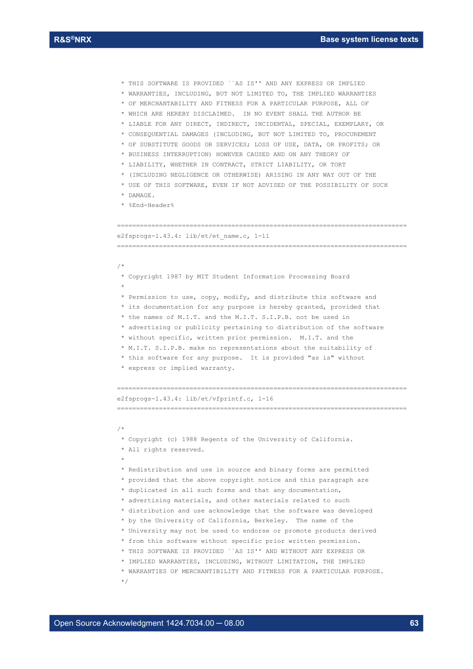```
 * THIS SOFTWARE IS PROVIDED ``AS IS'' AND ANY EXPRESS OR IMPLIED
  * WARRANTIES, INCLUDING, BUT NOT LIMITED TO, THE IMPLIED WARRANTIES
 * OF MERCHANTABILITY AND FITNESS FOR A PARTICULAR PURPOSE, ALL OF
 * WHICH ARE HEREBY DISCLAIMED. IN NO EVENT SHALL THE AUTHOR BE
  * LIABLE FOR ANY DIRECT, INDIRECT, INCIDENTAL, SPECIAL, EXEMPLARY, OR
 * CONSEQUENTIAL DAMAGES (INCLUDING, BUT NOT LIMITED TO, PROCUREMENT
 * OF SUBSTITUTE GOODS OR SERVICES; LOSS OF USE, DATA, OR PROFITS; OR
 * BUSINESS INTERRUPTION) HOWEVER CAUSED AND ON ANY THEORY OF
  * LIABILITY, WHETHER IN CONTRACT, STRICT LIABILITY, OR TORT
 * (INCLUDING NEGLIGENCE OR OTHERWISE) ARISING IN ANY WAY OUT OF THE
 * USE OF THIS SOFTWARE, EVEN IF NOT ADVISED OF THE POSSIBILITY OF SUCH
  * DAMAGE.
  * %End-Header%
============================================================================
e2fsprogs-1.43.4: lib/et/et_name.c, 1-11
============================================================================
/*
  * Copyright 1987 by MIT Student Information Processing Board
 *
  * Permission to use, copy, modify, and distribute this software and
  * its documentation for any purpose is hereby granted, provided that
  * the names of M.I.T. and the M.I.T. S.I.P.B. not be used in
 * advertising or publicity pertaining to distribution of the software
 * without specific, written prior permission. M.I.T. and the
  * M.I.T. S.I.P.B. make no representations about the suitability of
 * this software for any purpose. It is provided "as is" without
  * express or implied warranty.
============================================================================
e2fsprogs-1.43.4: lib/et/vfprintf.c, 1-16
============================================================================
/*
 * Copyright (c) 1988 Regents of the University of California.
  * All rights reserved.
 *
 * Redistribution and use in source and binary forms are permitted
 * provided that the above copyright notice and this paragraph are
  * duplicated in all such forms and that any documentation,
 * advertising materials, and other materials related to such
 * distribution and use acknowledge that the software was developed
  * by the University of California, Berkeley. The name of the
  * University may not be used to endorse or promote products derived
  * from this software without specific prior written permission.
 * THIS SOFTWARE IS PROVIDED ``AS IS'' AND WITHOUT ANY EXPRESS OR
  * IMPLIED WARRANTIES, INCLUDING, WITHOUT LIMITATION, THE IMPLIED
  * WARRANTIES OF MERCHANTIBILITY AND FITNESS FOR A PARTICULAR PURPOSE.
  */
```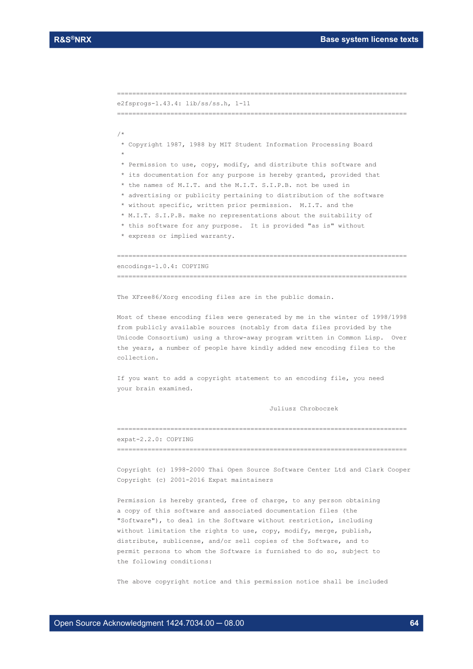```
============================================================================
e2fsprogs-1.43.4: lib/ss/ss.h, 1-11
============================================================================
/*
  * Copyright 1987, 1988 by MIT Student Information Processing Board
 *
  * Permission to use, copy, modify, and distribute this software and
  * its documentation for any purpose is hereby granted, provided that
  * the names of M.I.T. and the M.I.T. S.I.P.B. not be used in
  * advertising or publicity pertaining to distribution of the software
  * without specific, written prior permission. M.I.T. and the
  * M.I.T. S.I.P.B. make no representations about the suitability of
  * this software for any purpose. It is provided "as is" without
  * express or implied warranty.
============================================================================
encodings-1.0.4: COPYING
 ============================================================================
The XFree86/Xorg encoding files are in the public domain.
Most of these encoding files were generated by me in the winter of 1998/1998
from publicly available sources (notably from data files provided by the
Unicode Consortium) using a throw-away program written in Common Lisp. Over
the years, a number of people have kindly added new encoding files to the
collection.
If you want to add a copyright statement to an encoding file, you need
your brain examined.
                                         Juliusz Chroboczek
============================================================================
expat-2.2.0: COPYING
    ============================================================================
Copyright (c) 1998-2000 Thai Open Source Software Center Ltd and Clark Cooper
Copyright (c) 2001-2016 Expat maintainers
Permission is hereby granted, free of charge, to any person obtaining
a copy of this software and associated documentation files (the
"Software"), to deal in the Software without restriction, including
without limitation the rights to use, copy, modify, merge, publish,
distribute, sublicense, and/or sell copies of the Software, and to
```
The above copyright notice and this permission notice shall be included

permit persons to whom the Software is furnished to do so, subject to

the following conditions: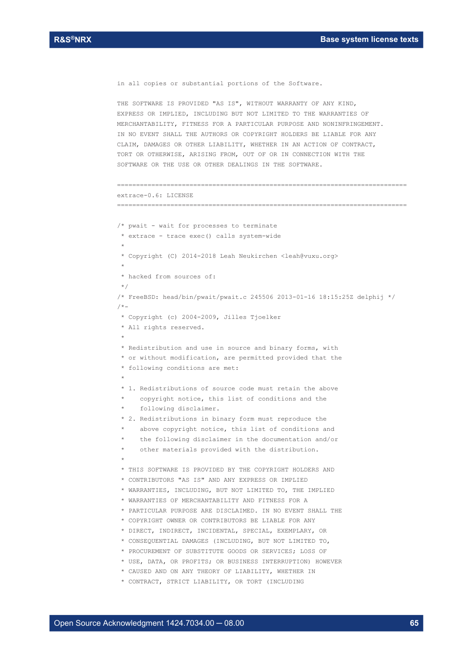in all copies or substantial portions of the Software.

THE SOFTWARE IS PROVIDED "AS IS", WITHOUT WARRANTY OF ANY KIND, EXPRESS OR IMPLIED, INCLUDING BUT NOT LIMITED TO THE WARRANTIES OF MERCHANTABILITY, FITNESS FOR A PARTICULAR PURPOSE AND NONINFRINGEMENT. IN NO EVENT SHALL THE AUTHORS OR COPYRIGHT HOLDERS BE LIABLE FOR ANY CLAIM, DAMAGES OR OTHER LIABILITY, WHETHER IN AN ACTION OF CONTRACT, TORT OR OTHERWISE, ARISING FROM, OUT OF OR IN CONNECTION WITH THE SOFTWARE OR THE USE OR OTHER DEALINGS IN THE SOFTWARE.

```
============================================================================
extrace-0.6: LICENSE
============================================================================
/* pwait - wait for processes to terminate
 * extrace - trace exec() calls system-wide
 *
 * Copyright (C) 2014-2018 Leah Neukirchen <leah@vuxu.org>
 *
  * hacked from sources of:
 */
/* FreeBSD: head/bin/pwait/pwait.c 245506 2013-01-16 18:15:25Z delphij */
/*-
 * Copyright (c) 2004-2009, Jilles Tjoelker
 * All rights reserved.
 *
 * Redistribution and use in source and binary forms, with
 * or without modification, are permitted provided that the
  * following conditions are met:
 *
  * 1. Redistributions of source code must retain the above
  * copyright notice, this list of conditions and the
     following disclaimer.
  * 2. Redistributions in binary form must reproduce the
     above copyright notice, this list of conditions and
    the following disclaimer in the documentation and/or
     other materials provided with the distribution.
 *
 * THIS SOFTWARE IS PROVIDED BY THE COPYRIGHT HOLDERS AND
 * CONTRIBUTORS "AS IS" AND ANY EXPRESS OR IMPLIED
  * WARRANTIES, INCLUDING, BUT NOT LIMITED TO, THE IMPLIED
 * WARRANTIES OF MERCHANTABILITY AND FITNESS FOR A
 * PARTICULAR PURPOSE ARE DISCLAIMED. IN NO EVENT SHALL THE
  * COPYRIGHT OWNER OR CONTRIBUTORS BE LIABLE FOR ANY
  * DIRECT, INDIRECT, INCIDENTAL, SPECIAL, EXEMPLARY, OR
 * CONSEQUENTIAL DAMAGES (INCLUDING, BUT NOT LIMITED TO,
  * PROCUREMENT OF SUBSTITUTE GOODS OR SERVICES; LOSS OF
  * USE, DATA, OR PROFITS; OR BUSINESS INTERRUPTION) HOWEVER
 * CAUSED AND ON ANY THEORY OF LIABILITY, WHETHER IN
  * CONTRACT, STRICT LIABILITY, OR TORT (INCLUDING
```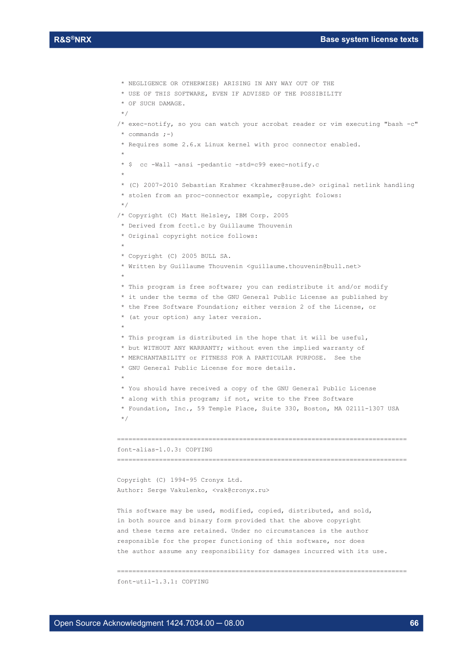```
 * NEGLIGENCE OR OTHERWISE) ARISING IN ANY WAY OUT OF THE
  * USE OF THIS SOFTWARE, EVEN IF ADVISED OF THE POSSIBILITY
  * OF SUCH DAMAGE.
 */
/* exec-notify, so you can watch your acrobat reader or vim executing "bash -c"
 * commands :-) * Requires some 2.6.x Linux kernel with proc connector enabled.
 *
  * $ cc -Wall -ansi -pedantic -std=c99 exec-notify.c
 *
  * (C) 2007-2010 Sebastian Krahmer <krahmer@suse.de> original netlink handling
  * stolen from an proc-connector example, copyright folows:
  */
/* Copyright (C) Matt Helsley, IBM Corp. 2005
  * Derived from fcctl.c by Guillaume Thouvenin
  * Original copyright notice follows:
 *
  * Copyright (C) 2005 BULL SA.
  * Written by Guillaume Thouvenin <guillaume.thouvenin@bull.net>
 *
  * This program is free software; you can redistribute it and/or modify
  * it under the terms of the GNU General Public License as published by
  * the Free Software Foundation; either version 2 of the License, or
  * (at your option) any later version.
 *
  * This program is distributed in the hope that it will be useful,
  * but WITHOUT ANY WARRANTY; without even the implied warranty of
  * MERCHANTABILITY or FITNESS FOR A PARTICULAR PURPOSE. See the
  * GNU General Public License for more details.
 *
  * You should have received a copy of the GNU General Public License
  * along with this program; if not, write to the Free Software
  * Foundation, Inc., 59 Temple Place, Suite 330, Boston, MA 02111-1307 USA
  */
============================================================================
font-alias-1.0.3: COPYING
============================================================================
Copyright (C) 1994-95 Cronyx Ltd.
Author: Serge Vakulenko, <vak@cronyx.ru>
This software may be used, modified, copied, distributed, and sold,
in both source and binary form provided that the above copyright
and these terms are retained. Under no circumstances is the author
responsible for the proper functioning of this software, nor does
the author assume any responsibility for damages incurred with its use.
          ============================================================================
```
font-util-1.3.1: COPYING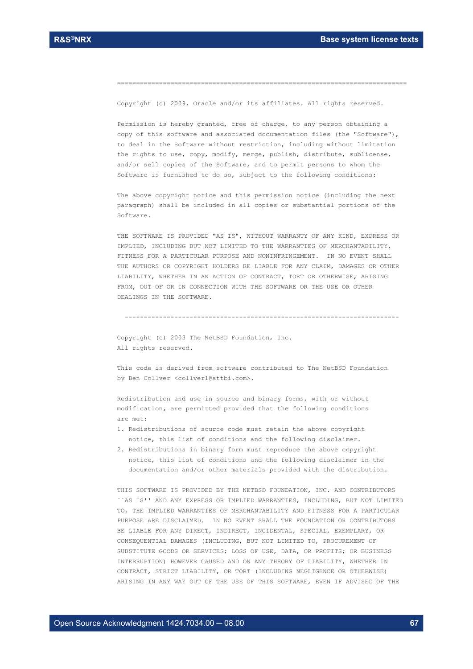============================================================================

Copyright (c) 2009, Oracle and/or its affiliates. All rights reserved.

Permission is hereby granted, free of charge, to any person obtaining a copy of this software and associated documentation files (the "Software"), to deal in the Software without restriction, including without limitation the rights to use, copy, modify, merge, publish, distribute, sublicense, and/or sell copies of the Software, and to permit persons to whom the Software is furnished to do so, subject to the following conditions:

The above copyright notice and this permission notice (including the next paragraph) shall be included in all copies or substantial portions of the Software.

THE SOFTWARE IS PROVIDED "AS IS", WITHOUT WARRANTY OF ANY KIND, EXPRESS OR IMPLIED, INCLUDING BUT NOT LIMITED TO THE WARRANTIES OF MERCHANTABILITY, FITNESS FOR A PARTICULAR PURPOSE AND NONINFRINGEMENT. IN NO EVENT SHALL THE AUTHORS OR COPYRIGHT HOLDERS BE LIABLE FOR ANY CLAIM, DAMAGES OR OTHER LIABILITY, WHETHER IN AN ACTION OF CONTRACT, TORT OR OTHERWISE, ARISING FROM, OUT OF OR IN CONNECTION WITH THE SOFTWARE OR THE USE OR OTHER DEALINGS IN THE SOFTWARE.

------------------------------------------------------------------------

Copyright (c) 2003 The NetBSD Foundation, Inc. All rights reserved.

This code is derived from software contributed to The NetBSD Foundation by Ben Collver <collver1@attbi.com>.

Redistribution and use in source and binary forms, with or without modification, are permitted provided that the following conditions are met:

- 1. Redistributions of source code must retain the above copyright notice, this list of conditions and the following disclaimer.
- 2. Redistributions in binary form must reproduce the above copyright notice, this list of conditions and the following disclaimer in the documentation and/or other materials provided with the distribution.

THIS SOFTWARE IS PROVIDED BY THE NETBSD FOUNDATION, INC. AND CONTRIBUTORS ``AS IS'' AND ANY EXPRESS OR IMPLIED WARRANTIES, INCLUDING, BUT NOT LIMITED TO, THE IMPLIED WARRANTIES OF MERCHANTABILITY AND FITNESS FOR A PARTICULAR PURPOSE ARE DISCLAIMED. IN NO EVENT SHALL THE FOUNDATION OR CONTRIBUTORS BE LIABLE FOR ANY DIRECT, INDIRECT, INCIDENTAL, SPECIAL, EXEMPLARY, OR CONSEQUENTIAL DAMAGES (INCLUDING, BUT NOT LIMITED TO, PROCUREMENT OF SUBSTITUTE GOODS OR SERVICES; LOSS OF USE, DATA, OR PROFITS; OR BUSINESS INTERRUPTION) HOWEVER CAUSED AND ON ANY THEORY OF LIABILITY, WHETHER IN CONTRACT, STRICT LIABILITY, OR TORT (INCLUDING NEGLIGENCE OR OTHERWISE) ARISING IN ANY WAY OUT OF THE USE OF THIS SOFTWARE, EVEN IF ADVISED OF THE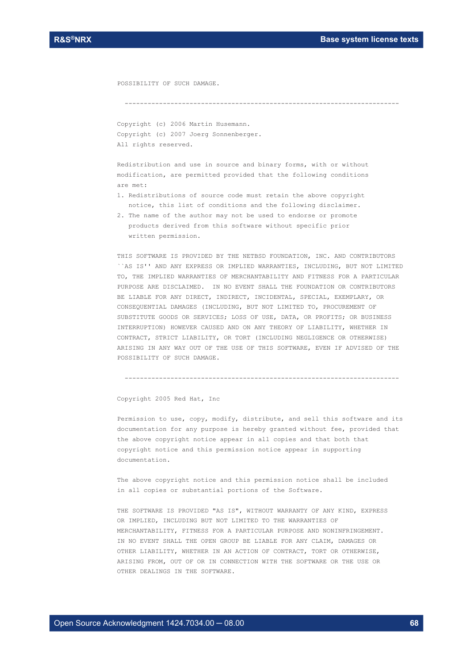```
POSSIBILITY OF SUCH DAMAGE.
```
------------------------------------------------------------------------

Copyright (c) 2006 Martin Husemann. Copyright (c) 2007 Joerg Sonnenberger. All rights reserved.

Redistribution and use in source and binary forms, with or without modification, are permitted provided that the following conditions are met:

- 1. Redistributions of source code must retain the above copyright notice, this list of conditions and the following disclaimer.
- 2. The name of the author may not be used to endorse or promote products derived from this software without specific prior written permission.

THIS SOFTWARE IS PROVIDED BY THE NETBSD FOUNDATION, INC. AND CONTRIBUTORS ``AS IS'' AND ANY EXPRESS OR IMPLIED WARRANTIES, INCLUDING, BUT NOT LIMITED TO, THE IMPLIED WARRANTIES OF MERCHANTABILITY AND FITNESS FOR A PARTICULAR PURPOSE ARE DISCLAIMED. IN NO EVENT SHALL THE FOUNDATION OR CONTRIBUTORS BE LIABLE FOR ANY DIRECT, INDIRECT, INCIDENTAL, SPECIAL, EXEMPLARY, OR CONSEQUENTIAL DAMAGES (INCLUDING, BUT NOT LIMITED TO, PROCUREMENT OF SUBSTITUTE GOODS OR SERVICES; LOSS OF USE, DATA, OR PROFITS; OR BUSINESS INTERRUPTION) HOWEVER CAUSED AND ON ANY THEORY OF LIABILITY, WHETHER IN CONTRACT, STRICT LIABILITY, OR TORT (INCLUDING NEGLIGENCE OR OTHERWISE) ARISING IN ANY WAY OUT OF THE USE OF THIS SOFTWARE, EVEN IF ADVISED OF THE POSSIBILITY OF SUCH DAMAGE.

------------------------------------------------------------------------

Copyright 2005 Red Hat, Inc

Permission to use, copy, modify, distribute, and sell this software and its documentation for any purpose is hereby granted without fee, provided that the above copyright notice appear in all copies and that both that copyright notice and this permission notice appear in supporting documentation.

The above copyright notice and this permission notice shall be included in all copies or substantial portions of the Software.

THE SOFTWARE IS PROVIDED "AS IS", WITHOUT WARRANTY OF ANY KIND, EXPRESS OR IMPLIED, INCLUDING BUT NOT LIMITED TO THE WARRANTIES OF MERCHANTABILITY, FITNESS FOR A PARTICULAR PURPOSE AND NONINFRINGEMENT. IN NO EVENT SHALL THE OPEN GROUP BE LIABLE FOR ANY CLAIM, DAMAGES OR OTHER LIABILITY, WHETHER IN AN ACTION OF CONTRACT, TORT OR OTHERWISE, ARISING FROM, OUT OF OR IN CONNECTION WITH THE SOFTWARE OR THE USE OR OTHER DEALINGS IN THE SOFTWARE.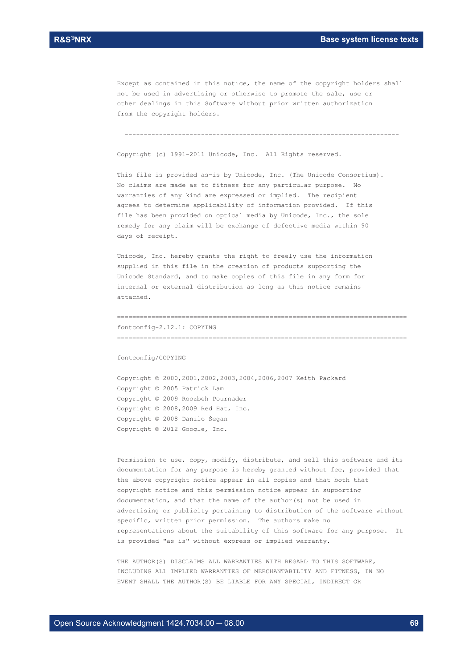Except as contained in this notice, the name of the copyright holders shall not be used in advertising or otherwise to promote the sale, use or other dealings in this Software without prior written authorization from the copyright holders.

```
 ------------------------------------------------------------------------
```
Copyright (c) 1991-2011 Unicode, Inc. All Rights reserved.

This file is provided as-is by Unicode, Inc. (The Unicode Consortium). No claims are made as to fitness for any particular purpose. No warranties of any kind are expressed or implied. The recipient agrees to determine applicability of information provided. If this file has been provided on optical media by Unicode, Inc., the sole remedy for any claim will be exchange of defective media within 90 days of receipt.

Unicode, Inc. hereby grants the right to freely use the information supplied in this file in the creation of products supporting the Unicode Standard, and to make copies of this file in any form for internal or external distribution as long as this notice remains attached.

```
============================================================================
fontconfig-2.12.1: COPYING
============================================================================
```
#### fontconfig/COPYING

```
Copyright © 2000,2001,2002,2003,2004,2006,2007 Keith Packard
Copyright © 2005 Patrick Lam
Copyright © 2009 Roozbeh Pournader
Copyright © 2008,2009 Red Hat, Inc.
Copyright © 2008 Danilo Šegan
Copyright © 2012 Google, Inc.
```
Permission to use, copy, modify, distribute, and sell this software and its documentation for any purpose is hereby granted without fee, provided that the above copyright notice appear in all copies and that both that copyright notice and this permission notice appear in supporting documentation, and that the name of the author(s) not be used in advertising or publicity pertaining to distribution of the software without specific, written prior permission. The authors make no representations about the suitability of this software for any purpose. It is provided "as is" without express or implied warranty.

THE AUTHOR(S) DISCLAIMS ALL WARRANTIES WITH REGARD TO THIS SOFTWARE, INCLUDING ALL IMPLIED WARRANTIES OF MERCHANTABILITY AND FITNESS, IN NO EVENT SHALL THE AUTHOR(S) BE LIABLE FOR ANY SPECIAL, INDIRECT OR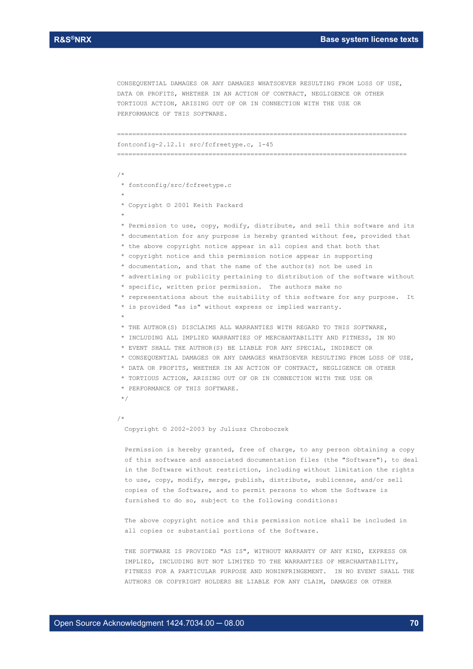CONSEQUENTIAL DAMAGES OR ANY DAMAGES WHATSOEVER RESULTING FROM LOSS OF USE, DATA OR PROFITS, WHETHER IN AN ACTION OF CONTRACT, NEGLIGENCE OR OTHER TORTIOUS ACTION, ARISING OUT OF OR IN CONNECTION WITH THE USE OR PERFORMANCE OF THIS SOFTWARE.

```
============================================================================
fontconfig-2.12.1: src/fcfreetype.c, 1-45
                                   ============================================================================
```
/\*

\*

- \* fontconfig/src/fcfreetype.c
- \* Copyright © 2001 Keith Packard
- \* \* Permission to use, copy, modify, distribute, and sell this software and its \* documentation for any purpose is hereby granted without fee, provided that \* the above copyright notice appear in all copies and that both that \* copyright notice and this permission notice appear in supporting \* documentation, and that the name of the author(s) not be used in
	- \* advertising or publicity pertaining to distribution of the software without
	- \* specific, written prior permission. The authors make no
	- \* representations about the suitability of this software for any purpose. It
	- \* is provided "as is" without express or implied warranty.
	- \* THE AUTHOR(S) DISCLAIMS ALL WARRANTIES WITH REGARD TO THIS SOFTWARE,
	- \* INCLUDING ALL IMPLIED WARRANTIES OF MERCHANTABILITY AND FITNESS, IN NO
	- \* EVENT SHALL THE AUTHOR(S) BE LIABLE FOR ANY SPECIAL, INDIRECT OR
	- \* CONSEQUENTIAL DAMAGES OR ANY DAMAGES WHATSOEVER RESULTING FROM LOSS OF USE,
	- \* DATA OR PROFITS, WHETHER IN AN ACTION OF CONTRACT, NEGLIGENCE OR OTHER
	- \* TORTIOUS ACTION, ARISING OUT OF OR IN CONNECTION WITH THE USE OR
	- \* PERFORMANCE OF THIS SOFTWARE.

\*/

\*

/\*

Copyright © 2002-2003 by Juliusz Chroboczek

 Permission is hereby granted, free of charge, to any person obtaining a copy of this software and associated documentation files (the "Software"), to deal in the Software without restriction, including without limitation the rights to use, copy, modify, merge, publish, distribute, sublicense, and/or sell copies of the Software, and to permit persons to whom the Software is furnished to do so, subject to the following conditions:

 The above copyright notice and this permission notice shall be included in all copies or substantial portions of the Software.

 THE SOFTWARE IS PROVIDED "AS IS", WITHOUT WARRANTY OF ANY KIND, EXPRESS OR IMPLIED, INCLUDING BUT NOT LIMITED TO THE WARRANTIES OF MERCHANTABILITY, FITNESS FOR A PARTICULAR PURPOSE AND NONINFRINGEMENT. IN NO EVENT SHALL THE AUTHORS OR COPYRIGHT HOLDERS BE LIABLE FOR ANY CLAIM, DAMAGES OR OTHER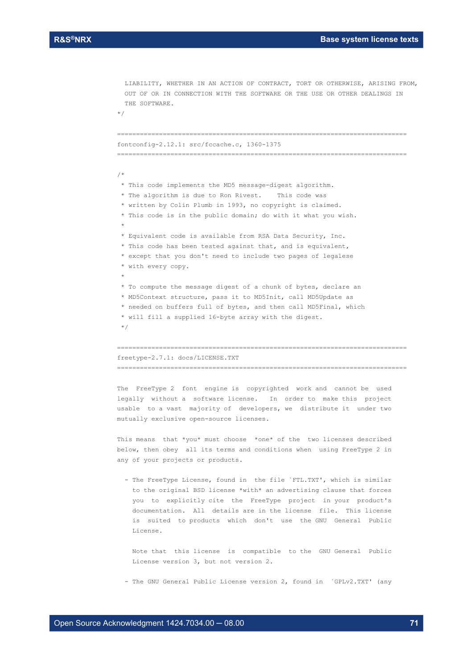```
 LIABILITY, WHETHER IN AN ACTION OF CONTRACT, TORT OR OTHERWISE, ARISING FROM,
  OUT OF OR IN CONNECTION WITH THE SOFTWARE OR THE USE OR OTHER DEALINGS IN
  THE SOFTWARE.
*/
          ============================================================================
fontconfig-2.12.1: src/fccache.c, 1360-1375
    ============================================================================
/*
 * This code implements the MD5 message-digest algorithm.
 * The algorithm is due to Ron Rivest. This code was
  * written by Colin Plumb in 1993, no copyright is claimed.
 * This code is in the public domain; do with it what you wish.
 *
 * Equivalent code is available from RSA Data Security, Inc.
  * This code has been tested against that, and is equivalent,
 * except that you don't need to include two pages of legalese
 * with every copy.
 *
 * To compute the message digest of a chunk of bytes, declare an
 * MD5Context structure, pass it to MD5Init, call MD5Update as
  * needed on buffers full of bytes, and then call MD5Final, which
  * will fill a supplied 16-byte array with the digest.
 */
  ============================================================================
freetype-2.7.1: docs/LICENSE.TXT
============================================================================
```
The FreeType 2 font engine is copyrighted work and cannot be used legally without a software license. In order to make this project usable to a vast majority of developers, we distribute it under two

This means that \*you\* must choose \*one\* of the two licenses described below, then obey all its terms and conditions when using FreeType 2 in any of your projects or products.

mutually exclusive open-source licenses.

 - The FreeType License, found in the file `FTL.TXT', which is similar to the original BSD license \*with\* an advertising clause that forces you to explicitly cite the FreeType project in your product's documentation. All details are in the license file. This license is suited to products which don't use the GNU General Public License.

 Note that this license is compatible to the GNU General Public License version 3, but not version 2.

- The GNU General Public License version 2, found in `GPLv2.TXT' (any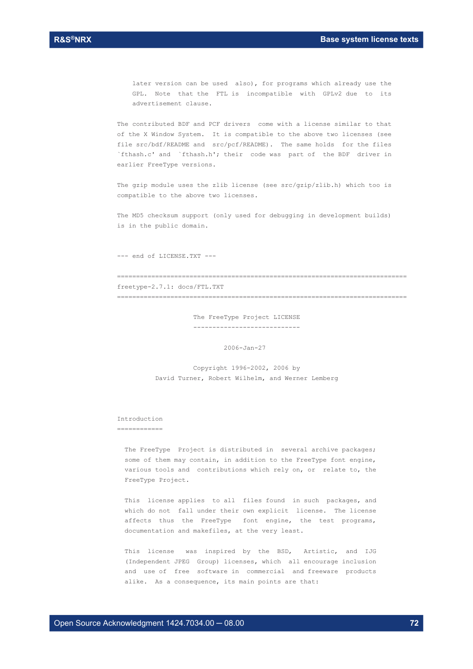later version can be used also), for programs which already use the GPL. Note that the FTL is incompatible with GPLv2 due to its advertisement clause.

The contributed BDF and PCF drivers come with a license similar to that of the X Window System. It is compatible to the above two licenses (see file src/bdf/README and src/pcf/README). The same holds for the files `fthash.c' and `fthash.h'; their code was part of the BDF driver in earlier FreeType versions.

The gzip module uses the zlib license (see src/gzip/zlib.h) which too is compatible to the above two licenses.

The MD5 checksum support (only used for debugging in development builds) is in the public domain.

--- end of LICENSE. TXT ---

============================================================================ freetype-2.7.1: docs/FTL.TXT ============================================================================

> The FreeType Project LICENSE ----------------------------

> > 2006-Jan-27

 Copyright 1996-2002, 2006 by David Turner, Robert Wilhelm, and Werner Lemberg

Introduction ============

> The FreeType Project is distributed in several archive packages; some of them may contain, in addition to the FreeType font engine, various tools and contributions which rely on, or relate to, the FreeType Project.

> This license applies to all files found in such packages, and which do not fall under their own explicit license. The license affects thus the FreeType font engine, the test programs, documentation and makefiles, at the very least.

> This license was inspired by the BSD, Artistic, and IJG (Independent JPEG Group) licenses, which all encourage inclusion and use of free software in commercial and freeware products alike. As a consequence, its main points are that: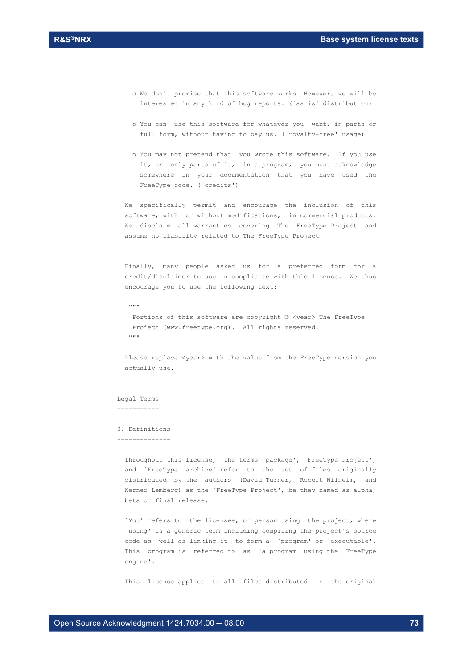- o We don't promise that this software works. However, we will be interested in any kind of bug reports. (`as is' distribution)
- o You can use this software for whatever you want, in parts or full form, without having to pay us. (`royalty-free' usage)
- o You may not pretend that you wrote this software. If you use it, or only parts of it, in a program, you must acknowledge somewhere in your documentation that you have used the FreeType code. (`credits')

 We specifically permit and encourage the inclusion of this software, with or without modifications, in commercial products. We disclaim all warranties covering The FreeType Project and assume no liability related to The FreeType Project.

 Finally, many people asked us for a preferred form for a credit/disclaimer to use in compliance with this license. We thus encourage you to use the following text:

"" ""

Portions of this software are copyright © <year> The FreeType Project (www.freetype.org). All rights reserved. """

Please replace <year> with the value from the FreeType version you actually use.

Legal Terms ===========

0. Definitions --------------

> Throughout this license, the terms `package', `FreeType Project', and `FreeType archive' refer to the set of files originally distributed by the authors (David Turner, Robert Wilhelm, and Werner Lemberg) as the `FreeType Project', be they named as alpha, beta or final release.

> `You' refers to the licensee, or person using the project, where `using' is a generic term including compiling the project's source code as well as linking it to form a `program' or `executable'. This program is referred to as `a program using the FreeType engine'.

> This license applies to all files distributed in the original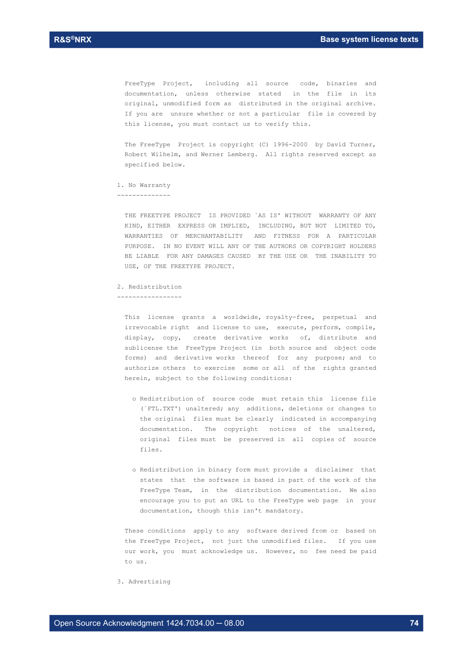FreeType Project, including all source code, binaries and documentation, unless otherwise stated in the file in its original, unmodified form as distributed in the original archive. If you are unsure whether or not a particular file is covered by this license, you must contact us to verify this.

 The FreeType Project is copyright (C) 1996-2000 by David Turner, Robert Wilhelm, and Werner Lemberg. All rights reserved except as specified below.

1. No Warranty --------------

> THE FREETYPE PROJECT IS PROVIDED `AS IS' WITHOUT WARRANTY OF ANY KIND, EITHER EXPRESS OR IMPLIED, INCLUDING, BUT NOT LIMITED TO, WARRANTIES OF MERCHANTABILITY AND FITNESS FOR A PARTICULAR PURPOSE. IN NO EVENT WILL ANY OF THE AUTHORS OR COPYRIGHT HOLDERS BE LIABLE FOR ANY DAMAGES CAUSED BY THE USE OR THE INABILITY TO USE, OF THE FREETYPE PROJECT.

## 2. Redistribution

-----------------

 This license grants a worldwide, royalty-free, perpetual and irrevocable right and license to use, execute, perform, compile, display, copy, create derivative works of, distribute and sublicense the FreeType Project (in both source and object code forms) and derivative works thereof for any purpose; and to authorize others to exercise some or all of the rights granted herein, subject to the following conditions:

- o Redistribution of source code must retain this license file (`FTL.TXT') unaltered; any additions, deletions or changes to the original files must be clearly indicated in accompanying documentation. The copyright notices of the unaltered, original files must be preserved in all copies of source files.
- o Redistribution in binary form must provide a disclaimer that states that the software is based in part of the work of the FreeType Team, in the distribution documentation. We also encourage you to put an URL to the FreeType web page in your documentation, though this isn't mandatory.

 These conditions apply to any software derived from or based on the FreeType Project, not just the unmodified files. If you use our work, you must acknowledge us. However, no fee need be paid to us.

3. Advertising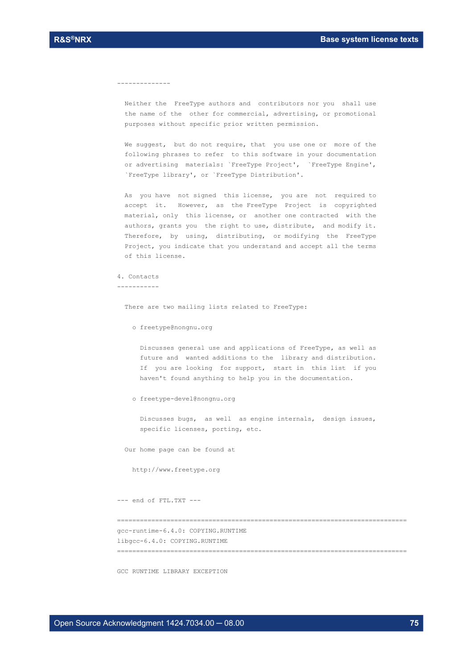--------------

 Neither the FreeType authors and contributors nor you shall use the name of the other for commercial, advertising, or promotional purposes without specific prior written permission.

We suggest, but do not require, that you use one or more of the following phrases to refer to this software in your documentation or advertising materials: `FreeType Project', `FreeType Engine', `FreeType library', or `FreeType Distribution'.

 As you have not signed this license, you are not required to accept it. However, as the FreeType Project is copyrighted material, only this license, or another one contracted with the authors, grants you the right to use, distribute, and modify it. Therefore, by using, distributing, or modifying the FreeType Project, you indicate that you understand and accept all the terms of this license.

4. Contacts

-----------

There are two mailing lists related to FreeType:

o freetype@nongnu.org

 Discusses general use and applications of FreeType, as well as future and wanted additions to the library and distribution. If you are looking for support, start in this list if you haven't found anything to help you in the documentation.

o freetype-devel@nongnu.org

 Discusses bugs, as well as engine internals, design issues, specific licenses, porting, etc.

Our home page can be found at

http://www.freetype.org

--- end of FTL.TXT ---

============================================================================ gcc-runtime-6.4.0: COPYING.RUNTIME libgcc-6.4.0: COPYING.RUNTIME ============================================================================

```
GCC RUNTIME LIBRARY EXCEPTION
```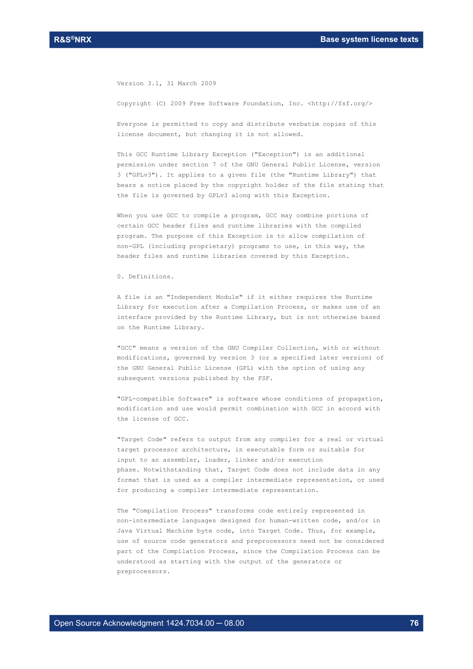Version 3.1, 31 March 2009

Copyright (C) 2009 Free Software Foundation, Inc. <http://fsf.org/>

Everyone is permitted to copy and distribute verbatim copies of this license document, but changing it is not allowed.

This GCC Runtime Library Exception ("Exception") is an additional permission under section 7 of the GNU General Public License, version 3 ("GPLv3"). It applies to a given file (the "Runtime Library") that bears a notice placed by the copyright holder of the file stating that the file is governed by GPLv3 along with this Exception.

When you use GCC to compile a program, GCC may combine portions of certain GCC header files and runtime libraries with the compiled program. The purpose of this Exception is to allow compilation of non-GPL (including proprietary) programs to use, in this way, the header files and runtime libraries covered by this Exception.

0. Definitions.

A file is an "Independent Module" if it either requires the Runtime Library for execution after a Compilation Process, or makes use of an interface provided by the Runtime Library, but is not otherwise based on the Runtime Library.

"GCC" means a version of the GNU Compiler Collection, with or without modifications, governed by version 3 (or a specified later version) of the GNU General Public License (GPL) with the option of using any subsequent versions published by the FSF.

"GPL-compatible Software" is software whose conditions of propagation, modification and use would permit combination with GCC in accord with the license of GCC.

"Target Code" refers to output from any compiler for a real or virtual target processor architecture, in executable form or suitable for input to an assembler, loader, linker and/or execution phase. Notwithstanding that, Target Code does not include data in any format that is used as a compiler intermediate representation, or used for producing a compiler intermediate representation.

The "Compilation Process" transforms code entirely represented in non-intermediate languages designed for human-written code, and/or in Java Virtual Machine byte code, into Target Code. Thus, for example, use of source code generators and preprocessors need not be considered part of the Compilation Process, since the Compilation Process can be understood as starting with the output of the generators or preprocessors.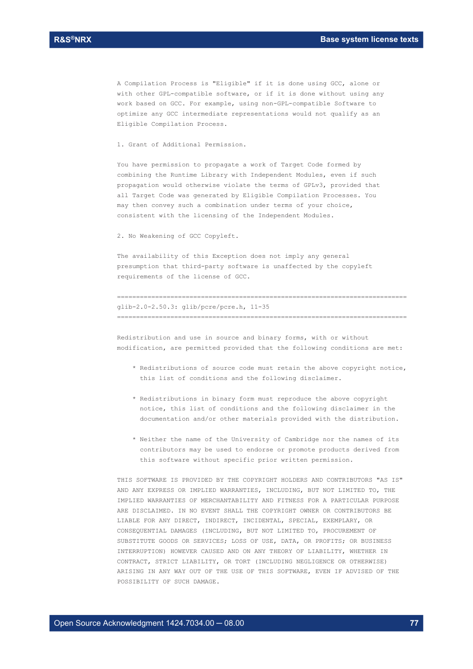A Compilation Process is "Eligible" if it is done using GCC, alone or with other GPL-compatible software, or if it is done without using any work based on GCC. For example, using non-GPL-compatible Software to optimize any GCC intermediate representations would not qualify as an Eligible Compilation Process.

1. Grant of Additional Permission.

You have permission to propagate a work of Target Code formed by combining the Runtime Library with Independent Modules, even if such propagation would otherwise violate the terms of GPLv3, provided that all Target Code was generated by Eligible Compilation Processes. You may then convey such a combination under terms of your choice, consistent with the licensing of the Independent Modules.

2. No Weakening of GCC Copyleft.

The availability of this Exception does not imply any general presumption that third-party software is unaffected by the copyleft requirements of the license of GCC.

============================================================================ glib-2.0-2.50.3: glib/pcre/pcre.h, 11-35 ============================================================================

Redistribution and use in source and binary forms, with or without modification, are permitted provided that the following conditions are met:

- \* Redistributions of source code must retain the above copyright notice, this list of conditions and the following disclaimer.
- \* Redistributions in binary form must reproduce the above copyright notice, this list of conditions and the following disclaimer in the documentation and/or other materials provided with the distribution.
- \* Neither the name of the University of Cambridge nor the names of its contributors may be used to endorse or promote products derived from this software without specific prior written permission.

THIS SOFTWARE IS PROVIDED BY THE COPYRIGHT HOLDERS AND CONTRIBUTORS "AS IS" AND ANY EXPRESS OR IMPLIED WARRANTIES, INCLUDING, BUT NOT LIMITED TO, THE IMPLIED WARRANTIES OF MERCHANTABILITY AND FITNESS FOR A PARTICULAR PURPOSE ARE DISCLAIMED. IN NO EVENT SHALL THE COPYRIGHT OWNER OR CONTRIBUTORS BE LIABLE FOR ANY DIRECT, INDIRECT, INCIDENTAL, SPECIAL, EXEMPLARY, OR CONSEQUENTIAL DAMAGES (INCLUDING, BUT NOT LIMITED TO, PROCUREMENT OF SUBSTITUTE GOODS OR SERVICES; LOSS OF USE, DATA, OR PROFITS; OR BUSINESS INTERRUPTION) HOWEVER CAUSED AND ON ANY THEORY OF LIABILITY, WHETHER IN CONTRACT, STRICT LIABILITY, OR TORT (INCLUDING NEGLIGENCE OR OTHERWISE) ARISING IN ANY WAY OUT OF THE USE OF THIS SOFTWARE, EVEN IF ADVISED OF THE POSSIBILITY OF SUCH DAMAGE.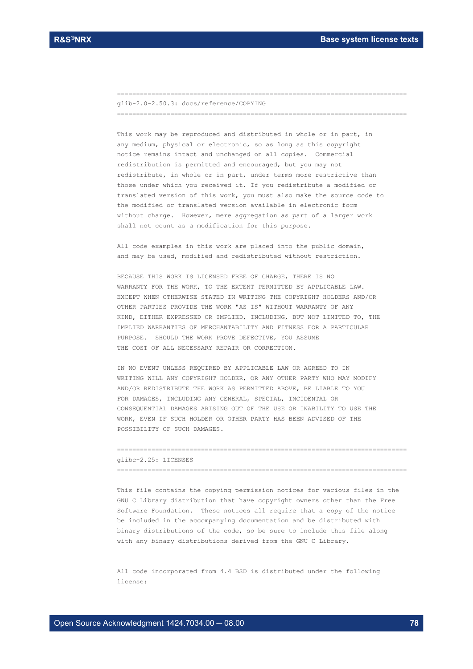============================================================================ glib-2.0-2.50.3: docs/reference/COPYING ============================================================================

This work may be reproduced and distributed in whole or in part, in any medium, physical or electronic, so as long as this copyright notice remains intact and unchanged on all copies. Commercial redistribution is permitted and encouraged, but you may not redistribute, in whole or in part, under terms more restrictive than those under which you received it. If you redistribute a modified or translated version of this work, you must also make the source code to the modified or translated version available in electronic form without charge. However, mere aggregation as part of a larger work shall not count as a modification for this purpose.

All code examples in this work are placed into the public domain, and may be used, modified and redistributed without restriction.

BECAUSE THIS WORK IS LICENSED FREE OF CHARGE, THERE IS NO WARRANTY FOR THE WORK, TO THE EXTENT PERMITTED BY APPLICABLE LAW. EXCEPT WHEN OTHERWISE STATED IN WRITING THE COPYRIGHT HOLDERS AND/OR OTHER PARTIES PROVIDE THE WORK "AS IS" WITHOUT WARRANTY OF ANY KIND, EITHER EXPRESSED OR IMPLIED, INCLUDING, BUT NOT LIMITED TO, THE IMPLIED WARRANTIES OF MERCHANTABILITY AND FITNESS FOR A PARTICULAR PURPOSE. SHOULD THE WORK PROVE DEFECTIVE, YOU ASSUME THE COST OF ALL NECESSARY REPAIR OR CORRECTION.

IN NO EVENT UNLESS REQUIRED BY APPLICABLE LAW OR AGREED TO IN WRITING WILL ANY COPYRIGHT HOLDER, OR ANY OTHER PARTY WHO MAY MODIFY AND/OR REDISTRIBUTE THE WORK AS PERMITTED ABOVE, BE LIABLE TO YOU FOR DAMAGES, INCLUDING ANY GENERAL, SPECIAL, INCIDENTAL OR CONSEQUENTIAL DAMAGES ARISING OUT OF THE USE OR INABILITY TO USE THE WORK, EVEN IF SUCH HOLDER OR OTHER PARTY HAS BEEN ADVISED OF THE POSSIBILITY OF SUCH DAMAGES.

```
============================================================================
glibc-2.25: LICENSES
============================================================================
```
This file contains the copying permission notices for various files in the GNU C Library distribution that have copyright owners other than the Free Software Foundation. These notices all require that a copy of the notice be included in the accompanying documentation and be distributed with binary distributions of the code, so be sure to include this file along with any binary distributions derived from the GNU C Library.

All code incorporated from 4.4 BSD is distributed under the following license: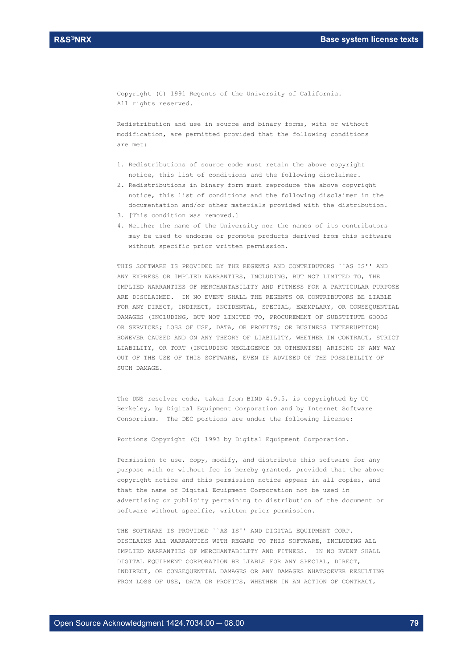Copyright (C) 1991 Regents of the University of California. All rights reserved.

Redistribution and use in source and binary forms, with or without modification, are permitted provided that the following conditions are met:

- 1. Redistributions of source code must retain the above copyright notice, this list of conditions and the following disclaimer.
- 2. Redistributions in binary form must reproduce the above copyright notice, this list of conditions and the following disclaimer in the documentation and/or other materials provided with the distribution.
- 3. [This condition was removed.]
- 4. Neither the name of the University nor the names of its contributors may be used to endorse or promote products derived from this software without specific prior written permission.

THIS SOFTWARE IS PROVIDED BY THE REGENTS AND CONTRIBUTORS ``AS IS'' AND ANY EXPRESS OR IMPLIED WARRANTIES, INCLUDING, BUT NOT LIMITED TO, THE IMPLIED WARRANTIES OF MERCHANTABILITY AND FITNESS FOR A PARTICULAR PURPOSE ARE DISCLAIMED. IN NO EVENT SHALL THE REGENTS OR CONTRIBUTORS BE LIABLE FOR ANY DIRECT, INDIRECT, INCIDENTAL, SPECIAL, EXEMPLARY, OR CONSEQUENTIAL DAMAGES (INCLUDING, BUT NOT LIMITED TO, PROCUREMENT OF SUBSTITUTE GOODS OR SERVICES; LOSS OF USE, DATA, OR PROFITS; OR BUSINESS INTERRUPTION) HOWEVER CAUSED AND ON ANY THEORY OF LIABILITY, WHETHER IN CONTRACT, STRICT LIABILITY, OR TORT (INCLUDING NEGLIGENCE OR OTHERWISE) ARISING IN ANY WAY OUT OF THE USE OF THIS SOFTWARE, EVEN IF ADVISED OF THE POSSIBILITY OF SUCH DAMAGE.

The DNS resolver code, taken from BIND 4.9.5, is copyrighted by UC Berkeley, by Digital Equipment Corporation and by Internet Software Consortium. The DEC portions are under the following license:

Portions Copyright (C) 1993 by Digital Equipment Corporation.

Permission to use, copy, modify, and distribute this software for any purpose with or without fee is hereby granted, provided that the above copyright notice and this permission notice appear in all copies, and that the name of Digital Equipment Corporation not be used in advertising or publicity pertaining to distribution of the document or software without specific, written prior permission.

THE SOFTWARE IS PROVIDED ``AS IS'' AND DIGITAL EQUIPMENT CORP. DISCLAIMS ALL WARRANTIES WITH REGARD TO THIS SOFTWARE, INCLUDING ALL IMPLIED WARRANTIES OF MERCHANTABILITY AND FITNESS. IN NO EVENT SHALL DIGITAL EQUIPMENT CORPORATION BE LIABLE FOR ANY SPECIAL, DIRECT, INDIRECT, OR CONSEQUENTIAL DAMAGES OR ANY DAMAGES WHATSOEVER RESULTING FROM LOSS OF USE, DATA OR PROFITS, WHETHER IN AN ACTION OF CONTRACT,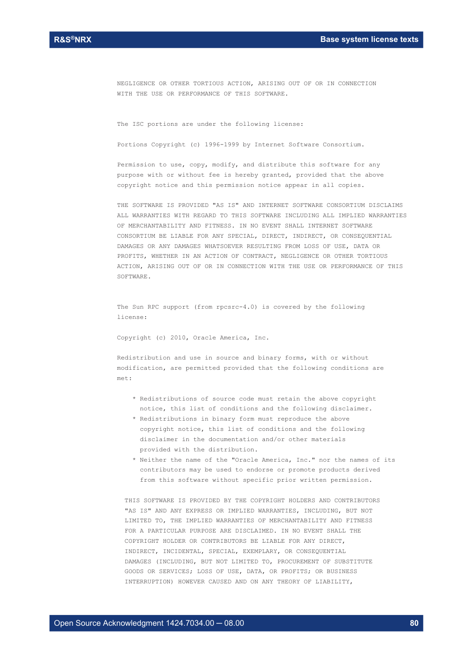NEGLIGENCE OR OTHER TORTIOUS ACTION, ARISING OUT OF OR IN CONNECTION WITH THE USE OR PERFORMANCE OF THIS SOFTWARE.

The ISC portions are under the following license:

Portions Copyright (c) 1996-1999 by Internet Software Consortium.

Permission to use, copy, modify, and distribute this software for any purpose with or without fee is hereby granted, provided that the above copyright notice and this permission notice appear in all copies.

THE SOFTWARE IS PROVIDED "AS IS" AND INTERNET SOFTWARE CONSORTIUM DISCLAIMS ALL WARRANTIES WITH REGARD TO THIS SOFTWARE INCLUDING ALL IMPLIED WARRANTIES OF MERCHANTABILITY AND FITNESS. IN NO EVENT SHALL INTERNET SOFTWARE CONSORTIUM BE LIABLE FOR ANY SPECIAL, DIRECT, INDIRECT, OR CONSEQUENTIAL DAMAGES OR ANY DAMAGES WHATSOEVER RESULTING FROM LOSS OF USE, DATA OR PROFITS, WHETHER IN AN ACTION OF CONTRACT, NEGLIGENCE OR OTHER TORTIOUS ACTION, ARISING OUT OF OR IN CONNECTION WITH THE USE OR PERFORMANCE OF THIS SOFTWARE.

The Sun RPC support (from rpcsrc-4.0) is covered by the following license:

Copyright (c) 2010, Oracle America, Inc.

Redistribution and use in source and binary forms, with or without modification, are permitted provided that the following conditions are met:

- \* Redistributions of source code must retain the above copyright notice, this list of conditions and the following disclaimer.
- \* Redistributions in binary form must reproduce the above copyright notice, this list of conditions and the following disclaimer in the documentation and/or other materials provided with the distribution.
- \* Neither the name of the "Oracle America, Inc." nor the names of its contributors may be used to endorse or promote products derived from this software without specific prior written permission.

 THIS SOFTWARE IS PROVIDED BY THE COPYRIGHT HOLDERS AND CONTRIBUTORS "AS IS" AND ANY EXPRESS OR IMPLIED WARRANTIES, INCLUDING, BUT NOT LIMITED TO, THE IMPLIED WARRANTIES OF MERCHANTABILITY AND FITNESS FOR A PARTICULAR PURPOSE ARE DISCLAIMED. IN NO EVENT SHALL THE COPYRIGHT HOLDER OR CONTRIBUTORS BE LIABLE FOR ANY DIRECT, INDIRECT, INCIDENTAL, SPECIAL, EXEMPLARY, OR CONSEQUENTIAL DAMAGES (INCLUDING, BUT NOT LIMITED TO, PROCUREMENT OF SUBSTITUTE GOODS OR SERVICES; LOSS OF USE, DATA, OR PROFITS; OR BUSINESS INTERRUPTION) HOWEVER CAUSED AND ON ANY THEORY OF LIABILITY,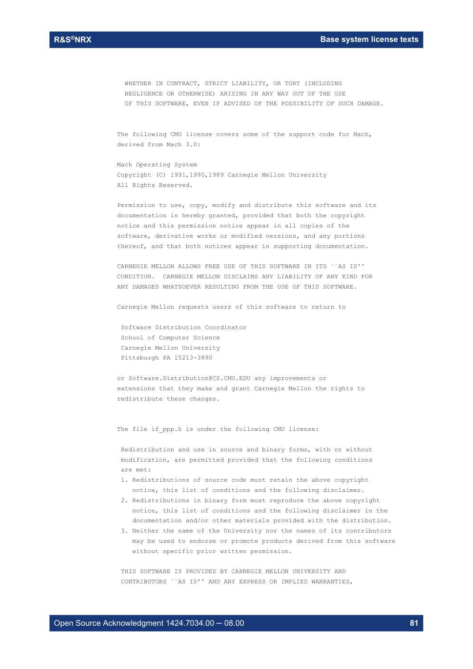WHETHER IN CONTRACT, STRICT LIABILITY, OR TORT (INCLUDING NEGLIGENCE OR OTHERWISE) ARISING IN ANY WAY OUT OF THE USE OF THIS SOFTWARE, EVEN IF ADVISED OF THE POSSIBILITY OF SUCH DAMAGE.

The following CMU license covers some of the support code for Mach, derived from Mach 3.0:

Mach Operating System Copyright (C) 1991,1990,1989 Carnegie Mellon University All Rights Reserved.

Permission to use, copy, modify and distribute this software and its documentation is hereby granted, provided that both the copyright notice and this permission notice appear in all copies of the software, derivative works or modified versions, and any portions thereof, and that both notices appear in supporting documentation.

CARNEGIE MELLON ALLOWS FREE USE OF THIS SOFTWARE IN ITS ``AS IS'' CONDITION. CARNEGIE MELLON DISCLAIMS ANY LIABILITY OF ANY KIND FOR ANY DAMAGES WHATSOEVER RESULTING FROM THE USE OF THIS SOFTWARE.

Carnegie Mellon requests users of this software to return to

 Software Distribution Coordinator School of Computer Science Carnegie Mellon University Pittsburgh PA 15213-3890

or Software.Distribution@CS.CMU.EDU any improvements or extensions that they make and grant Carnegie Mellon the rights to redistribute these changes.

The file if\_ppp.h is under the following CMU license:

 Redistribution and use in source and binary forms, with or without modification, are permitted provided that the following conditions are met:

- 1. Redistributions of source code must retain the above copyright notice, this list of conditions and the following disclaimer.
- 2. Redistributions in binary form must reproduce the above copyright notice, this list of conditions and the following disclaimer in the documentation and/or other materials provided with the distribution.
- 3. Neither the name of the University nor the names of its contributors may be used to endorse or promote products derived from this software without specific prior written permission.

 THIS SOFTWARE IS PROVIDED BY CARNEGIE MELLON UNIVERSITY AND CONTRIBUTORS ``AS IS'' AND ANY EXPRESS OR IMPLIED WARRANTIES,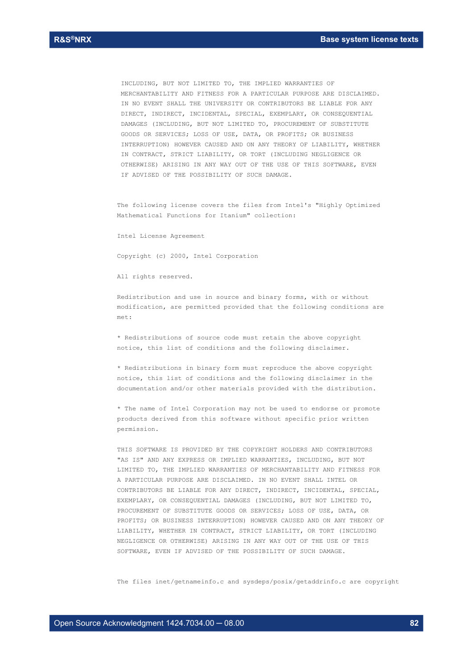INCLUDING, BUT NOT LIMITED TO, THE IMPLIED WARRANTIES OF MERCHANTABILITY AND FITNESS FOR A PARTICULAR PURPOSE ARE DISCLAIMED. IN NO EVENT SHALL THE UNIVERSITY OR CONTRIBUTORS BE LIABLE FOR ANY DIRECT, INDIRECT, INCIDENTAL, SPECIAL, EXEMPLARY, OR CONSEQUENTIAL DAMAGES (INCLUDING, BUT NOT LIMITED TO, PROCUREMENT OF SUBSTITUTE GOODS OR SERVICES; LOSS OF USE, DATA, OR PROFITS; OR BUSINESS INTERRUPTION) HOWEVER CAUSED AND ON ANY THEORY OF LIABILITY, WHETHER IN CONTRACT, STRICT LIABILITY, OR TORT (INCLUDING NEGLIGENCE OR OTHERWISE) ARISING IN ANY WAY OUT OF THE USE OF THIS SOFTWARE, EVEN IF ADVISED OF THE POSSIBILITY OF SUCH DAMAGE.

The following license covers the files from Intel's "Highly Optimized Mathematical Functions for Itanium" collection:

Intel License Agreement

Copyright (c) 2000, Intel Corporation

All rights reserved.

Redistribution and use in source and binary forms, with or without modification, are permitted provided that the following conditions are met:

\* Redistributions of source code must retain the above copyright notice, this list of conditions and the following disclaimer.

\* Redistributions in binary form must reproduce the above copyright notice, this list of conditions and the following disclaimer in the documentation and/or other materials provided with the distribution.

\* The name of Intel Corporation may not be used to endorse or promote products derived from this software without specific prior written permission.

THIS SOFTWARE IS PROVIDED BY THE COPYRIGHT HOLDERS AND CONTRIBUTORS "AS IS" AND ANY EXPRESS OR IMPLIED WARRANTIES, INCLUDING, BUT NOT LIMITED TO, THE IMPLIED WARRANTIES OF MERCHANTABILITY AND FITNESS FOR A PARTICULAR PURPOSE ARE DISCLAIMED. IN NO EVENT SHALL INTEL OR CONTRIBUTORS BE LIABLE FOR ANY DIRECT, INDIRECT, INCIDENTAL, SPECIAL, EXEMPLARY, OR CONSEQUENTIAL DAMAGES (INCLUDING, BUT NOT LIMITED TO, PROCUREMENT OF SUBSTITUTE GOODS OR SERVICES; LOSS OF USE, DATA, OR PROFITS; OR BUSINESS INTERRUPTION) HOWEVER CAUSED AND ON ANY THEORY OF LIABILITY, WHETHER IN CONTRACT, STRICT LIABILITY, OR TORT (INCLUDING NEGLIGENCE OR OTHERWISE) ARISING IN ANY WAY OUT OF THE USE OF THIS SOFTWARE, EVEN IF ADVISED OF THE POSSIBILITY OF SUCH DAMAGE.

The files inet/getnameinfo.c and sysdeps/posix/getaddrinfo.c are copyright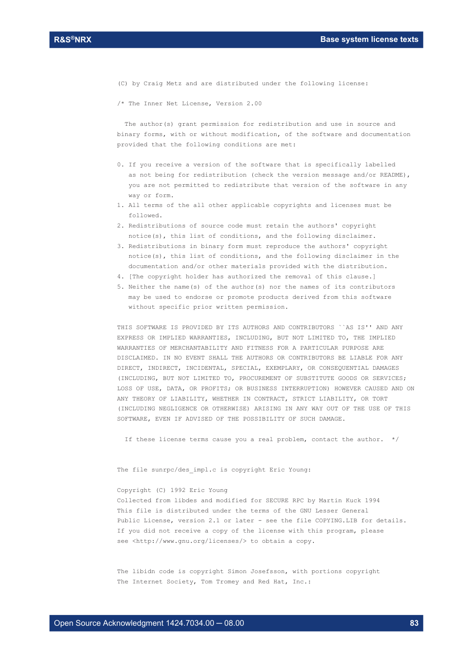(C) by Craig Metz and are distributed under the following license:

/\* The Inner Net License, Version 2.00

The author(s) grant permission for redistribution and use in source and binary forms, with or without modification, of the software and documentation provided that the following conditions are met:

- 0. If you receive a version of the software that is specifically labelled as not being for redistribution (check the version message and/or README), you are not permitted to redistribute that version of the software in any way or form.
- 1. All terms of the all other applicable copyrights and licenses must be followed.
- 2. Redistributions of source code must retain the authors' copyright notice(s), this list of conditions, and the following disclaimer.
- 3. Redistributions in binary form must reproduce the authors' copyright notice(s), this list of conditions, and the following disclaimer in the documentation and/or other materials provided with the distribution.
- 4. [The copyright holder has authorized the removal of this clause.]
- 5. Neither the name(s) of the author(s) nor the names of its contributors may be used to endorse or promote products derived from this software without specific prior written permission.

THIS SOFTWARE IS PROVIDED BY ITS AUTHORS AND CONTRIBUTORS ``AS IS'' AND ANY EXPRESS OR IMPLIED WARRANTIES, INCLUDING, BUT NOT LIMITED TO, THE IMPLIED WARRANTIES OF MERCHANTABILITY AND FITNESS FOR A PARTICULAR PURPOSE ARE DISCLAIMED. IN NO EVENT SHALL THE AUTHORS OR CONTRIBUTORS BE LIABLE FOR ANY DIRECT, INDIRECT, INCIDENTAL, SPECIAL, EXEMPLARY, OR CONSEQUENTIAL DAMAGES (INCLUDING, BUT NOT LIMITED TO, PROCUREMENT OF SUBSTITUTE GOODS OR SERVICES; LOSS OF USE, DATA, OR PROFITS; OR BUSINESS INTERRUPTION) HOWEVER CAUSED AND ON ANY THEORY OF LIABILITY, WHETHER IN CONTRACT, STRICT LIABILITY, OR TORT (INCLUDING NEGLIGENCE OR OTHERWISE) ARISING IN ANY WAY OUT OF THE USE OF THIS SOFTWARE, EVEN IF ADVISED OF THE POSSIBILITY OF SUCH DAMAGE.

If these license terms cause you a real problem, contact the author. \*/

The file sunrpc/des impl.c is copyright Eric Young:

## Copyright (C) 1992 Eric Young

Collected from libdes and modified for SECURE RPC by Martin Kuck 1994 This file is distributed under the terms of the GNU Lesser General Public License, version 2.1 or later - see the file COPYING.LIB for details. If you did not receive a copy of the license with this program, please see <http://www.gnu.org/licenses/> to obtain a copy.

The libidn code is copyright Simon Josefsson, with portions copyright The Internet Society, Tom Tromey and Red Hat, Inc.: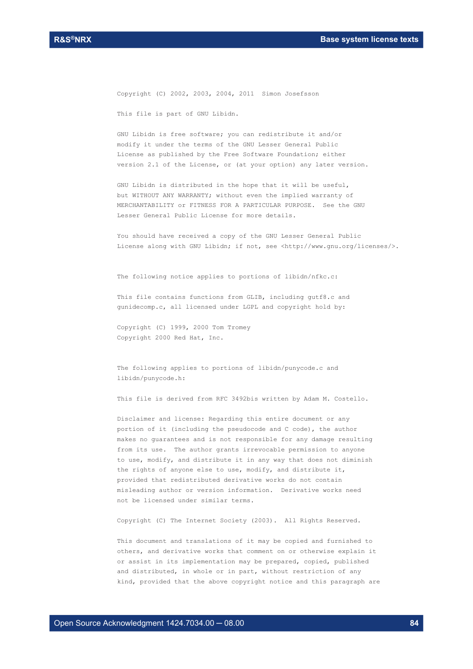Copyright (C) 2002, 2003, 2004, 2011 Simon Josefsson

This file is part of GNU Libidn.

GNU Libidn is free software; you can redistribute it and/or modify it under the terms of the GNU Lesser General Public License as published by the Free Software Foundation; either version 2.1 of the License, or (at your option) any later version.

GNU Libidn is distributed in the hope that it will be useful, but WITHOUT ANY WARRANTY; without even the implied warranty of MERCHANTABILITY or FITNESS FOR A PARTICULAR PURPOSE. See the GNU Lesser General Public License for more details.

You should have received a copy of the GNU Lesser General Public License along with GNU Libidn; if not, see <http://www.gnu.org/licenses/>.

The following notice applies to portions of libidn/nfkc.c:

This file contains functions from GLIB, including gutf8.c and gunidecomp.c, all licensed under LGPL and copyright hold by:

Copyright (C) 1999, 2000 Tom Tromey Copyright 2000 Red Hat, Inc.

The following applies to portions of libidn/punycode.c and libidn/punycode.h:

This file is derived from RFC 3492bis written by Adam M. Costello.

Disclaimer and license: Regarding this entire document or any portion of it (including the pseudocode and C code), the author makes no guarantees and is not responsible for any damage resulting from its use. The author grants irrevocable permission to anyone to use, modify, and distribute it in any way that does not diminish the rights of anyone else to use, modify, and distribute it, provided that redistributed derivative works do not contain misleading author or version information. Derivative works need not be licensed under similar terms.

Copyright (C) The Internet Society (2003). All Rights Reserved.

This document and translations of it may be copied and furnished to others, and derivative works that comment on or otherwise explain it or assist in its implementation may be prepared, copied, published and distributed, in whole or in part, without restriction of any kind, provided that the above copyright notice and this paragraph are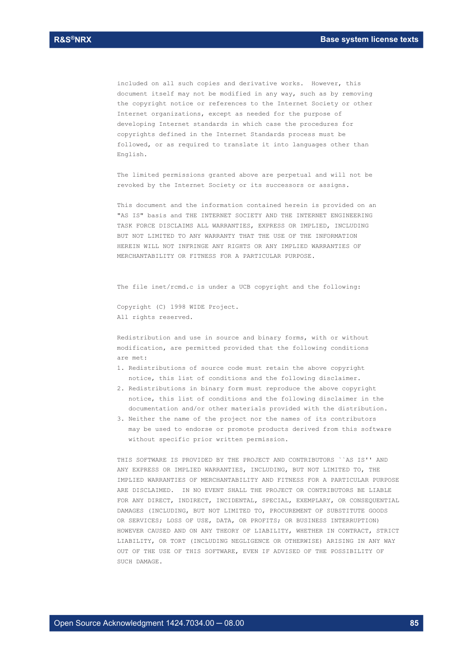included on all such copies and derivative works. However, this document itself may not be modified in any way, such as by removing the copyright notice or references to the Internet Society or other Internet organizations, except as needed for the purpose of developing Internet standards in which case the procedures for copyrights defined in the Internet Standards process must be followed, or as required to translate it into languages other than English.

The limited permissions granted above are perpetual and will not be revoked by the Internet Society or its successors or assigns.

This document and the information contained herein is provided on an "AS IS" basis and THE INTERNET SOCIETY AND THE INTERNET ENGINEERING TASK FORCE DISCLAIMS ALL WARRANTIES, EXPRESS OR IMPLIED, INCLUDING BUT NOT LIMITED TO ANY WARRANTY THAT THE USE OF THE INFORMATION HEREIN WILL NOT INFRINGE ANY RIGHTS OR ANY IMPLIED WARRANTIES OF MERCHANTABILITY OR FITNESS FOR A PARTICULAR PURPOSE.

The file inet/rcmd.c is under a UCB copyright and the following:

Copyright (C) 1998 WIDE Project. All rights reserved.

Redistribution and use in source and binary forms, with or without modification, are permitted provided that the following conditions are met:

- 1. Redistributions of source code must retain the above copyright notice, this list of conditions and the following disclaimer.
- 2. Redistributions in binary form must reproduce the above copyright notice, this list of conditions and the following disclaimer in the documentation and/or other materials provided with the distribution.
- 3. Neither the name of the project nor the names of its contributors may be used to endorse or promote products derived from this software without specific prior written permission.

THIS SOFTWARE IS PROVIDED BY THE PROJECT AND CONTRIBUTORS ``AS IS'' AND ANY EXPRESS OR IMPLIED WARRANTIES, INCLUDING, BUT NOT LIMITED TO, THE IMPLIED WARRANTIES OF MERCHANTABILITY AND FITNESS FOR A PARTICULAR PURPOSE ARE DISCLAIMED. IN NO EVENT SHALL THE PROJECT OR CONTRIBUTORS BE LIABLE FOR ANY DIRECT, INDIRECT, INCIDENTAL, SPECIAL, EXEMPLARY, OR CONSEQUENTIAL DAMAGES (INCLUDING, BUT NOT LIMITED TO, PROCUREMENT OF SUBSTITUTE GOODS OR SERVICES; LOSS OF USE, DATA, OR PROFITS; OR BUSINESS INTERRUPTION) HOWEVER CAUSED AND ON ANY THEORY OF LIABILITY, WHETHER IN CONTRACT, STRICT LIABILITY, OR TORT (INCLUDING NEGLIGENCE OR OTHERWISE) ARISING IN ANY WAY OUT OF THE USE OF THIS SOFTWARE, EVEN IF ADVISED OF THE POSSIBILITY OF SUCH DAMAGE.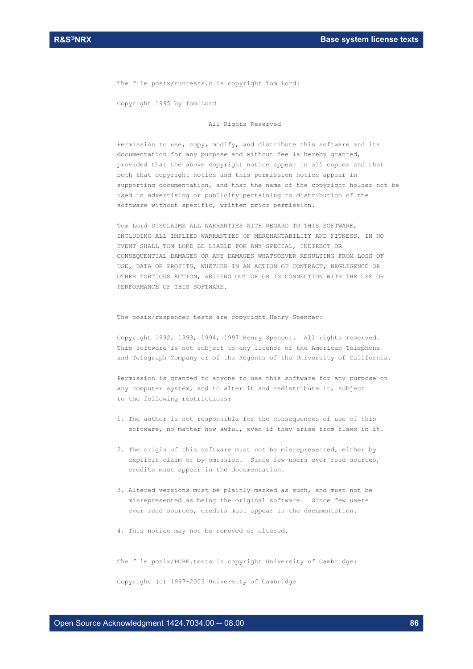The file posix/runtests.c is copyright Tom Lord:

Copyright 1995 by Tom Lord

All Rights Reserved

Permission to use, copy, modify, and distribute this software and its documentation for any purpose and without fee is hereby granted, provided that the above copyright notice appear in all copies and that both that copyright notice and this permission notice appear in supporting documentation, and that the name of the copyright holder not be used in advertising or publicity pertaining to distribution of the software without specific, written prior permission.

Tom Lord DISCLAIMS ALL WARRANTIES WITH REGARD TO THIS SOFTWARE, INCLUDING ALL IMPLIED WARRANTIES OF MERCHANTABILITY AND FITNESS, IN NO EVENT SHALL TOM LORD BE LIABLE FOR ANY SPECIAL, INDIRECT OR CONSEQUENTIAL DAMAGES OR ANY DAMAGES WHATSOEVER RESULTING FROM LOSS OF USE, DATA OR PROFITS, WHETHER IN AN ACTION OF CONTRACT, NEGLIGENCE OR OTHER TORTIOUS ACTION, ARISING OUT OF OR IN CONNECTION WITH THE USE OR PERFORMANCE OF THIS SOFTWARE.

The posix/rxspencer tests are copyright Henry Spencer:

Copyright 1992, 1993, 1994, 1997 Henry Spencer. All rights reserved. This software is not subject to any license of the American Telephone and Telegraph Company or of the Regents of the University of California.

Permission is granted to anyone to use this software for any purpose on any computer system, and to alter it and redistribute it, subject to the following restrictions:

- 1. The author is not responsible for the consequences of use of this software, no matter how awful, even if they arise from flaws in it.
- 2. The origin of this software must not be misrepresented, either by explicit claim or by omission. Since few users ever read sources, credits must appear in the documentation.
- 3. Altered versions must be plainly marked as such, and must not be misrepresented as being the original software. Since few users ever read sources, credits must appear in the documentation.
- 4. This notice may not be removed or altered.

The file posix/PCRE.tests is copyright University of Cambridge:

Copyright (c) 1997-2003 University of Cambridge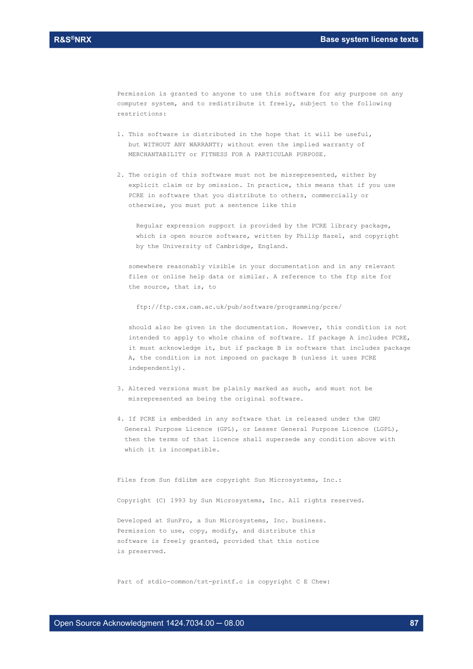Permission is granted to anyone to use this software for any purpose on any computer system, and to redistribute it freely, subject to the following restrictions:

- 1. This software is distributed in the hope that it will be useful, but WITHOUT ANY WARRANTY; without even the implied warranty of MERCHANTABILITY or FITNESS FOR A PARTICULAR PURPOSE.
- 2. The origin of this software must not be misrepresented, either by explicit claim or by omission. In practice, this means that if you use PCRE in software that you distribute to others, commercially or otherwise, you must put a sentence like this

 Regular expression support is provided by the PCRE library package, which is open source software, written by Philip Hazel, and copyright by the University of Cambridge, England.

 somewhere reasonably visible in your documentation and in any relevant files or online help data or similar. A reference to the ftp site for the source, that is, to

ftp://ftp.csx.cam.ac.uk/pub/software/programming/pcre/

 should also be given in the documentation. However, this condition is not intended to apply to whole chains of software. If package A includes PCRE, it must acknowledge it, but if package B is software that includes package A, the condition is not imposed on package B (unless it uses PCRE independently).

- 3. Altered versions must be plainly marked as such, and must not be misrepresented as being the original software.
- 4. If PCRE is embedded in any software that is released under the GNU General Purpose Licence (GPL), or Lesser General Purpose Licence (LGPL), then the terms of that licence shall supersede any condition above with which it is incompatible.

Files from Sun fdlibm are copyright Sun Microsystems, Inc.:

Copyright (C) 1993 by Sun Microsystems, Inc. All rights reserved.

Developed at SunPro, a Sun Microsystems, Inc. business. Permission to use, copy, modify, and distribute this software is freely granted, provided that this notice is preserved.

Part of stdio-common/tst-printf.c is copyright C E Chew: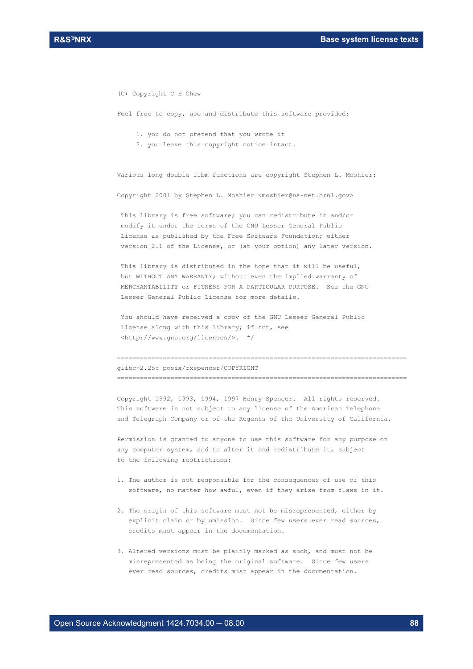(C) Copyright C E Chew

Feel free to copy, use and distribute this software provided:

- 1. you do not pretend that you wrote it
- 2. you leave this copyright notice intact.

Various long double libm functions are copyright Stephen L. Moshier:

Copyright 2001 by Stephen L. Moshier <moshier@na-net.ornl.gov>

 This library is free software; you can redistribute it and/or modify it under the terms of the GNU Lesser General Public License as published by the Free Software Foundation; either version 2.1 of the License, or (at your option) any later version.

 This library is distributed in the hope that it will be useful, but WITHOUT ANY WARRANTY; without even the implied warranty of MERCHANTABILITY or FITNESS FOR A PARTICULAR PURPOSE. See the GNU Lesser General Public License for more details.

 You should have received a copy of the GNU Lesser General Public License along with this library; if not, see <http://www.gnu.org/licenses/>. \*/

============================================================================ glibc-2.25: posix/rxspencer/COPYRIGHT ============================================================================

Copyright 1992, 1993, 1994, 1997 Henry Spencer. All rights reserved. This software is not subject to any license of the American Telephone and Telegraph Company or of the Regents of the University of California.

Permission is granted to anyone to use this software for any purpose on any computer system, and to alter it and redistribute it, subject to the following restrictions:

- 1. The author is not responsible for the consequences of use of this software, no matter how awful, even if they arise from flaws in it.
- 2. The origin of this software must not be misrepresented, either by explicit claim or by omission. Since few users ever read sources, credits must appear in the documentation.
- 3. Altered versions must be plainly marked as such, and must not be misrepresented as being the original software. Since few users ever read sources, credits must appear in the documentation.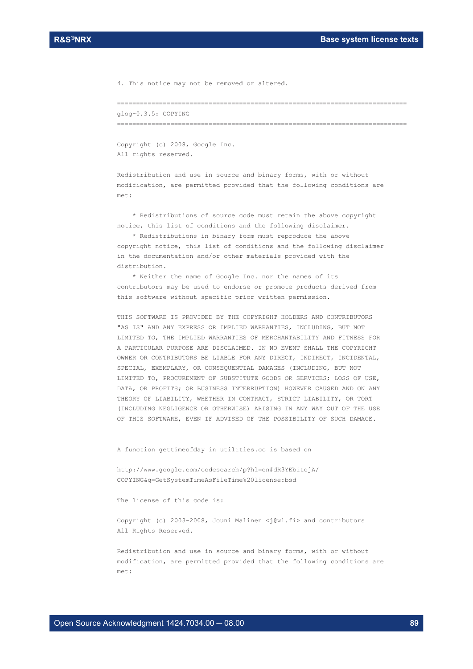4. This notice may not be removed or altered.

============================================================================ glog-0.3.5: COPYING ============================================================================

Copyright (c) 2008, Google Inc. All rights reserved.

Redistribution and use in source and binary forms, with or without modification, are permitted provided that the following conditions are met:

 \* Redistributions of source code must retain the above copyright notice, this list of conditions and the following disclaimer.

 \* Redistributions in binary form must reproduce the above copyright notice, this list of conditions and the following disclaimer in the documentation and/or other materials provided with the distribution.

 \* Neither the name of Google Inc. nor the names of its contributors may be used to endorse or promote products derived from this software without specific prior written permission.

THIS SOFTWARE IS PROVIDED BY THE COPYRIGHT HOLDERS AND CONTRIBUTORS "AS IS" AND ANY EXPRESS OR IMPLIED WARRANTIES, INCLUDING, BUT NOT LIMITED TO, THE IMPLIED WARRANTIES OF MERCHANTABILITY AND FITNESS FOR A PARTICULAR PURPOSE ARE DISCLAIMED. IN NO EVENT SHALL THE COPYRIGHT OWNER OR CONTRIBUTORS BE LIABLE FOR ANY DIRECT, INDIRECT, INCIDENTAL, SPECIAL, EXEMPLARY, OR CONSEQUENTIAL DAMAGES (INCLUDING, BUT NOT LIMITED TO, PROCUREMENT OF SUBSTITUTE GOODS OR SERVICES; LOSS OF USE, DATA, OR PROFITS; OR BUSINESS INTERRUPTION) HOWEVER CAUSED AND ON ANY THEORY OF LIABILITY, WHETHER IN CONTRACT, STRICT LIABILITY, OR TORT (INCLUDING NEGLIGENCE OR OTHERWISE) ARISING IN ANY WAY OUT OF THE USE OF THIS SOFTWARE, EVEN IF ADVISED OF THE POSSIBILITY OF SUCH DAMAGE.

A function gettimeofday in utilities.cc is based on

http://www.google.com/codesearch/p?hl=en#dR3YEbitojA/ COPYING&q=GetSystemTimeAsFileTime%20license:bsd

The license of this code is:

Copyright (c) 2003-2008, Jouni Malinen <j@w1.fi> and contributors All Rights Reserved.

Redistribution and use in source and binary forms, with or without modification, are permitted provided that the following conditions are met: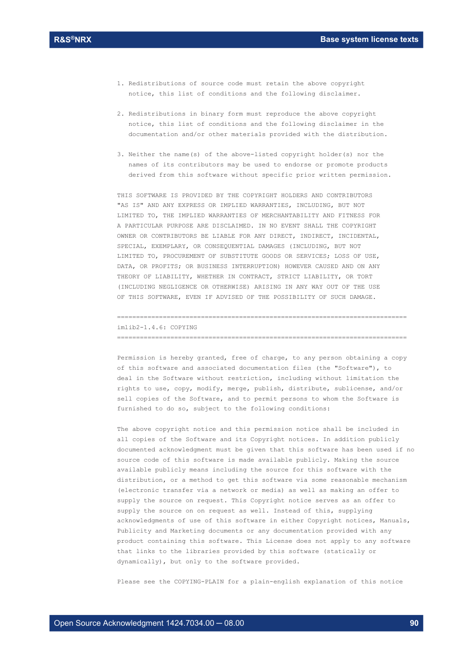- 1. Redistributions of source code must retain the above copyright notice, this list of conditions and the following disclaimer.
- 2. Redistributions in binary form must reproduce the above copyright notice, this list of conditions and the following disclaimer in the documentation and/or other materials provided with the distribution.
- 3. Neither the name(s) of the above-listed copyright holder(s) nor the names of its contributors may be used to endorse or promote products derived from this software without specific prior written permission.

THIS SOFTWARE IS PROVIDED BY THE COPYRIGHT HOLDERS AND CONTRIBUTORS "AS IS" AND ANY EXPRESS OR IMPLIED WARRANTIES, INCLUDING, BUT NOT LIMITED TO, THE IMPLIED WARRANTIES OF MERCHANTABILITY AND FITNESS FOR A PARTICULAR PURPOSE ARE DISCLAIMED. IN NO EVENT SHALL THE COPYRIGHT OWNER OR CONTRIBUTORS BE LIABLE FOR ANY DIRECT, INDIRECT, INCIDENTAL, SPECIAL, EXEMPLARY, OR CONSEQUENTIAL DAMAGES (INCLUDING, BUT NOT LIMITED TO, PROCUREMENT OF SUBSTITUTE GOODS OR SERVICES; LOSS OF USE, DATA, OR PROFITS; OR BUSINESS INTERRUPTION) HOWEVER CAUSED AND ON ANY THEORY OF LIABILITY, WHETHER IN CONTRACT, STRICT LIABILITY, OR TORT (INCLUDING NEGLIGENCE OR OTHERWISE) ARISING IN ANY WAY OUT OF THE USE OF THIS SOFTWARE, EVEN IF ADVISED OF THE POSSIBILITY OF SUCH DAMAGE.

```
============================================================================
imlib2-1.4.6: COPYING
   ============================================================================
```
Permission is hereby granted, free of charge, to any person obtaining a copy of this software and associated documentation files (the "Software"), to deal in the Software without restriction, including without limitation the rights to use, copy, modify, merge, publish, distribute, sublicense, and/or sell copies of the Software, and to permit persons to whom the Software is furnished to do so, subject to the following conditions:

The above copyright notice and this permission notice shall be included in all copies of the Software and its Copyright notices. In addition publicly documented acknowledgment must be given that this software has been used if no source code of this software is made available publicly. Making the source available publicly means including the source for this software with the distribution, or a method to get this software via some reasonable mechanism (electronic transfer via a network or media) as well as making an offer to supply the source on request. This Copyright notice serves as an offer to supply the source on on request as well. Instead of this, supplying acknowledgments of use of this software in either Copyright notices, Manuals, Publicity and Marketing documents or any documentation provided with any product containing this software. This License does not apply to any software that links to the libraries provided by this software (statically or dynamically), but only to the software provided.

Please see the COPYING-PLAIN for a plain-english explanation of this notice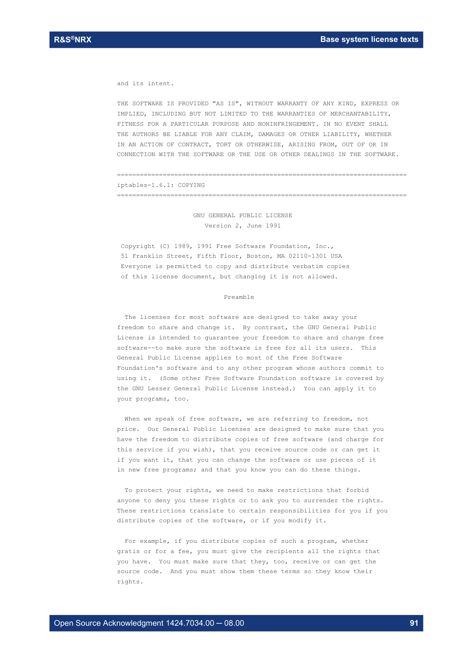and its intent.

THE SOFTWARE IS PROVIDED "AS IS", WITHOUT WARRANTY OF ANY KIND, EXPRESS OR IMPLIED, INCLUDING BUT NOT LIMITED TO THE WARRANTIES OF MERCHANTABILITY, FITNESS FOR A PARTICULAR PURPOSE AND NONINFRINGEMENT. IN NO EVENT SHALL THE AUTHORS BE LIABLE FOR ANY CLAIM, DAMAGES OR OTHER LIABILITY, WHETHER IN AN ACTION OF CONTRACT, TORT OR OTHERWISE, ARISING FROM, OUT OF OR IN CONNECTION WITH THE SOFTWARE OR THE USE OR OTHER DEALINGS IN THE SOFTWARE.

| iptables-1.6.1: COPYING |  |
|-------------------------|--|
|                         |  |

 GNU GENERAL PUBLIC LICENSE Version 2, June 1991

 Copyright (C) 1989, 1991 Free Software Foundation, Inc., 51 Franklin Street, Fifth Floor, Boston, MA 02110-1301 USA Everyone is permitted to copy and distribute verbatim copies of this license document, but changing it is not allowed.

#### Preamble

 The licenses for most software are designed to take away your freedom to share and change it. By contrast, the GNU General Public License is intended to guarantee your freedom to share and change free software--to make sure the software is free for all its users. This General Public License applies to most of the Free Software Foundation's software and to any other program whose authors commit to using it. (Some other Free Software Foundation software is covered by the GNU Lesser General Public License instead.) You can apply it to your programs, too.

 When we speak of free software, we are referring to freedom, not price. Our General Public Licenses are designed to make sure that you have the freedom to distribute copies of free software (and charge for this service if you wish), that you receive source code or can get it if you want it, that you can change the software or use pieces of it in new free programs; and that you know you can do these things.

 To protect your rights, we need to make restrictions that forbid anyone to deny you these rights or to ask you to surrender the rights. These restrictions translate to certain responsibilities for you if you distribute copies of the software, or if you modify it.

 For example, if you distribute copies of such a program, whether gratis or for a fee, you must give the recipients all the rights that you have. You must make sure that they, too, receive or can get the source code. And you must show them these terms so they know their rights.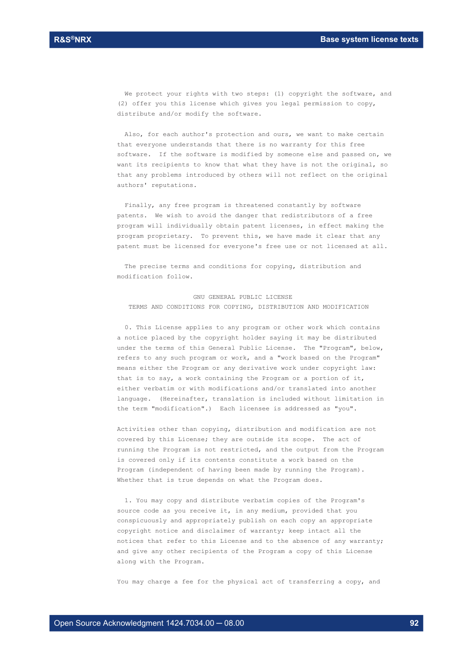We protect your rights with two steps: (1) copyright the software, and (2) offer you this license which gives you legal permission to copy, distribute and/or modify the software.

 Also, for each author's protection and ours, we want to make certain that everyone understands that there is no warranty for this free software. If the software is modified by someone else and passed on, we want its recipients to know that what they have is not the original, so that any problems introduced by others will not reflect on the original authors' reputations.

 Finally, any free program is threatened constantly by software patents. We wish to avoid the danger that redistributors of a free program will individually obtain patent licenses, in effect making the program proprietary. To prevent this, we have made it clear that any patent must be licensed for everyone's free use or not licensed at all.

 The precise terms and conditions for copying, distribution and modification follow.

 GNU GENERAL PUBLIC LICENSE TERMS AND CONDITIONS FOR COPYING, DISTRIBUTION AND MODIFICATION

 0. This License applies to any program or other work which contains a notice placed by the copyright holder saying it may be distributed under the terms of this General Public License. The "Program", below, refers to any such program or work, and a "work based on the Program" means either the Program or any derivative work under copyright law: that is to say, a work containing the Program or a portion of it, either verbatim or with modifications and/or translated into another language. (Hereinafter, translation is included without limitation in the term "modification".) Each licensee is addressed as "you".

Activities other than copying, distribution and modification are not covered by this License; they are outside its scope. The act of running the Program is not restricted, and the output from the Program is covered only if its contents constitute a work based on the Program (independent of having been made by running the Program). Whether that is true depends on what the Program does.

 1. You may copy and distribute verbatim copies of the Program's source code as you receive it, in any medium, provided that you conspicuously and appropriately publish on each copy an appropriate copyright notice and disclaimer of warranty; keep intact all the notices that refer to this License and to the absence of any warranty; and give any other recipients of the Program a copy of this License along with the Program.

You may charge a fee for the physical act of transferring a copy, and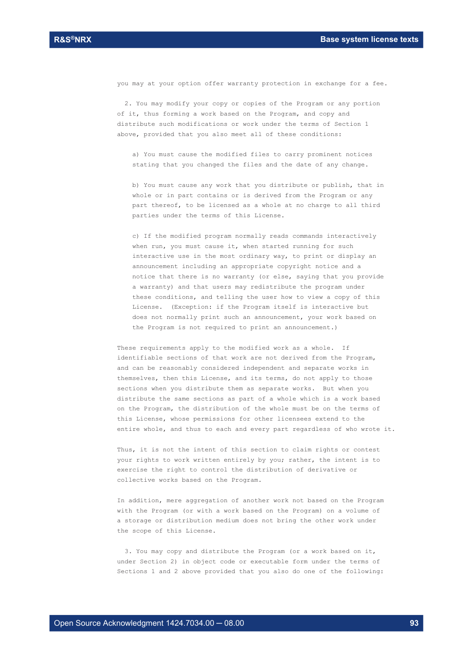you may at your option offer warranty protection in exchange for a fee.

 2. You may modify your copy or copies of the Program or any portion of it, thus forming a work based on the Program, and copy and distribute such modifications or work under the terms of Section 1 above, provided that you also meet all of these conditions:

 a) You must cause the modified files to carry prominent notices stating that you changed the files and the date of any change.

 b) You must cause any work that you distribute or publish, that in whole or in part contains or is derived from the Program or any part thereof, to be licensed as a whole at no charge to all third parties under the terms of this License.

 c) If the modified program normally reads commands interactively when run, you must cause it, when started running for such interactive use in the most ordinary way, to print or display an announcement including an appropriate copyright notice and a notice that there is no warranty (or else, saying that you provide a warranty) and that users may redistribute the program under these conditions, and telling the user how to view a copy of this License. (Exception: if the Program itself is interactive but does not normally print such an announcement, your work based on the Program is not required to print an announcement.)

These requirements apply to the modified work as a whole. If identifiable sections of that work are not derived from the Program, and can be reasonably considered independent and separate works in themselves, then this License, and its terms, do not apply to those sections when you distribute them as separate works. But when you distribute the same sections as part of a whole which is a work based on the Program, the distribution of the whole must be on the terms of this License, whose permissions for other licensees extend to the entire whole, and thus to each and every part regardless of who wrote it.

Thus, it is not the intent of this section to claim rights or contest your rights to work written entirely by you; rather, the intent is to exercise the right to control the distribution of derivative or collective works based on the Program.

In addition, mere aggregation of another work not based on the Program with the Program (or with a work based on the Program) on a volume of a storage or distribution medium does not bring the other work under the scope of this License.

 3. You may copy and distribute the Program (or a work based on it, under Section 2) in object code or executable form under the terms of Sections 1 and 2 above provided that you also do one of the following: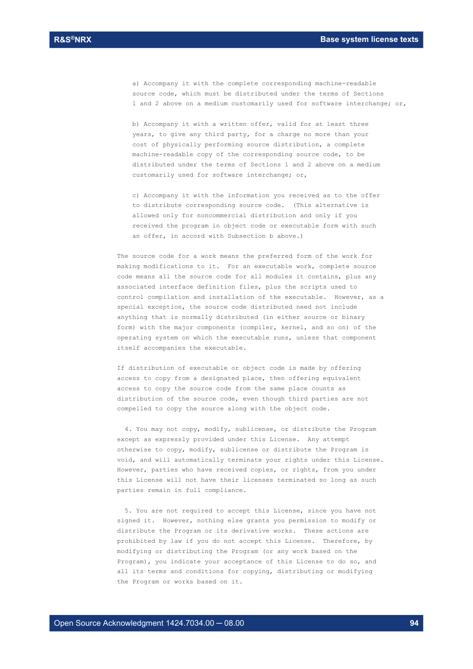a) Accompany it with the complete corresponding machine-readable source code, which must be distributed under the terms of Sections 1 and 2 above on a medium customarily used for software interchange; or,

 b) Accompany it with a written offer, valid for at least three years, to give any third party, for a charge no more than your cost of physically performing source distribution, a complete machine-readable copy of the corresponding source code, to be distributed under the terms of Sections 1 and 2 above on a medium customarily used for software interchange; or,

 c) Accompany it with the information you received as to the offer to distribute corresponding source code. (This alternative is allowed only for noncommercial distribution and only if you received the program in object code or executable form with such an offer, in accord with Subsection b above.)

The source code for a work means the preferred form of the work for making modifications to it. For an executable work, complete source code means all the source code for all modules it contains, plus any associated interface definition files, plus the scripts used to control compilation and installation of the executable. However, as a special exception, the source code distributed need not include anything that is normally distributed (in either source or binary form) with the major components (compiler, kernel, and so on) of the operating system on which the executable runs, unless that component itself accompanies the executable.

If distribution of executable or object code is made by offering access to copy from a designated place, then offering equivalent access to copy the source code from the same place counts as distribution of the source code, even though third parties are not compelled to copy the source along with the object code.

 4. You may not copy, modify, sublicense, or distribute the Program except as expressly provided under this License. Any attempt otherwise to copy, modify, sublicense or distribute the Program is void, and will automatically terminate your rights under this License. However, parties who have received copies, or rights, from you under this License will not have their licenses terminated so long as such parties remain in full compliance.

 5. You are not required to accept this License, since you have not signed it. However, nothing else grants you permission to modify or distribute the Program or its derivative works. These actions are prohibited by law if you do not accept this License. Therefore, by modifying or distributing the Program (or any work based on the Program), you indicate your acceptance of this License to do so, and all its terms and conditions for copying, distributing or modifying the Program or works based on it.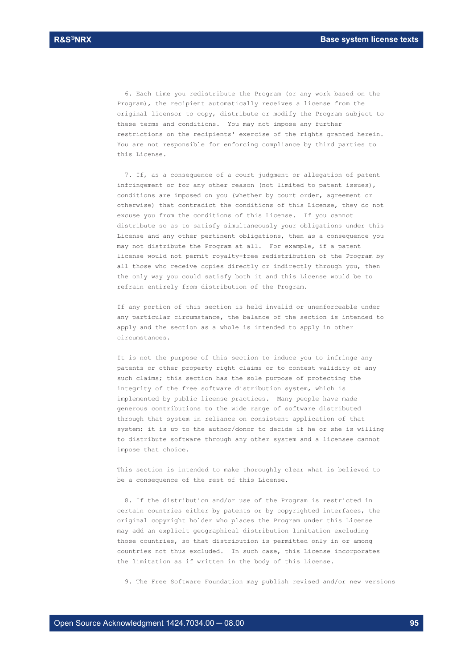6. Each time you redistribute the Program (or any work based on the Program), the recipient automatically receives a license from the original licensor to copy, distribute or modify the Program subject to these terms and conditions. You may not impose any further restrictions on the recipients' exercise of the rights granted herein. You are not responsible for enforcing compliance by third parties to this License.

 7. If, as a consequence of a court judgment or allegation of patent infringement or for any other reason (not limited to patent issues), conditions are imposed on you (whether by court order, agreement or otherwise) that contradict the conditions of this License, they do not excuse you from the conditions of this License. If you cannot distribute so as to satisfy simultaneously your obligations under this License and any other pertinent obligations, then as a consequence you may not distribute the Program at all. For example, if a patent license would not permit royalty-free redistribution of the Program by all those who receive copies directly or indirectly through you, then the only way you could satisfy both it and this License would be to refrain entirely from distribution of the Program.

If any portion of this section is held invalid or unenforceable under any particular circumstance, the balance of the section is intended to apply and the section as a whole is intended to apply in other circumstances.

It is not the purpose of this section to induce you to infringe any patents or other property right claims or to contest validity of any such claims; this section has the sole purpose of protecting the integrity of the free software distribution system, which is implemented by public license practices. Many people have made generous contributions to the wide range of software distributed through that system in reliance on consistent application of that system; it is up to the author/donor to decide if he or she is willing to distribute software through any other system and a licensee cannot impose that choice.

This section is intended to make thoroughly clear what is believed to be a consequence of the rest of this License.

 8. If the distribution and/or use of the Program is restricted in certain countries either by patents or by copyrighted interfaces, the original copyright holder who places the Program under this License may add an explicit geographical distribution limitation excluding those countries, so that distribution is permitted only in or among countries not thus excluded. In such case, this License incorporates the limitation as if written in the body of this License.

9. The Free Software Foundation may publish revised and/or new versions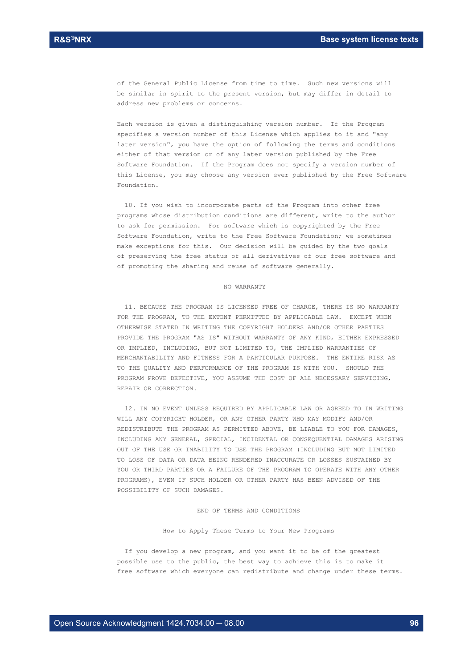of the General Public License from time to time. Such new versions will be similar in spirit to the present version, but may differ in detail to address new problems or concerns.

Each version is given a distinguishing version number. If the Program specifies a version number of this License which applies to it and "any later version", you have the option of following the terms and conditions either of that version or of any later version published by the Free Software Foundation. If the Program does not specify a version number of this License, you may choose any version ever published by the Free Software Foundation.

 10. If you wish to incorporate parts of the Program into other free programs whose distribution conditions are different, write to the author to ask for permission. For software which is copyrighted by the Free Software Foundation, write to the Free Software Foundation; we sometimes make exceptions for this. Our decision will be guided by the two goals of preserving the free status of all derivatives of our free software and of promoting the sharing and reuse of software generally.

#### NO WARRANTY

 11. BECAUSE THE PROGRAM IS LICENSED FREE OF CHARGE, THERE IS NO WARRANTY FOR THE PROGRAM, TO THE EXTENT PERMITTED BY APPLICABLE LAW. EXCEPT WHEN OTHERWISE STATED IN WRITING THE COPYRIGHT HOLDERS AND/OR OTHER PARTIES PROVIDE THE PROGRAM "AS IS" WITHOUT WARRANTY OF ANY KIND, EITHER EXPRESSED OR IMPLIED, INCLUDING, BUT NOT LIMITED TO, THE IMPLIED WARRANTIES OF MERCHANTABILITY AND FITNESS FOR A PARTICULAR PURPOSE. THE ENTIRE RISK AS TO THE QUALITY AND PERFORMANCE OF THE PROGRAM IS WITH YOU. SHOULD THE PROGRAM PROVE DEFECTIVE, YOU ASSUME THE COST OF ALL NECESSARY SERVICING, REPAIR OR CORRECTION.

 12. IN NO EVENT UNLESS REQUIRED BY APPLICABLE LAW OR AGREED TO IN WRITING WILL ANY COPYRIGHT HOLDER, OR ANY OTHER PARTY WHO MAY MODIFY AND/OR REDISTRIBUTE THE PROGRAM AS PERMITTED ABOVE, BE LIABLE TO YOU FOR DAMAGES, INCLUDING ANY GENERAL, SPECIAL, INCIDENTAL OR CONSEQUENTIAL DAMAGES ARISING OUT OF THE USE OR INABILITY TO USE THE PROGRAM (INCLUDING BUT NOT LIMITED TO LOSS OF DATA OR DATA BEING RENDERED INACCURATE OR LOSSES SUSTAINED BY YOU OR THIRD PARTIES OR A FAILURE OF THE PROGRAM TO OPERATE WITH ANY OTHER PROGRAMS), EVEN IF SUCH HOLDER OR OTHER PARTY HAS BEEN ADVISED OF THE POSSIBILITY OF SUCH DAMAGES.

## END OF TERMS AND CONDITIONS

How to Apply These Terms to Your New Programs

 If you develop a new program, and you want it to be of the greatest possible use to the public, the best way to achieve this is to make it free software which everyone can redistribute and change under these terms.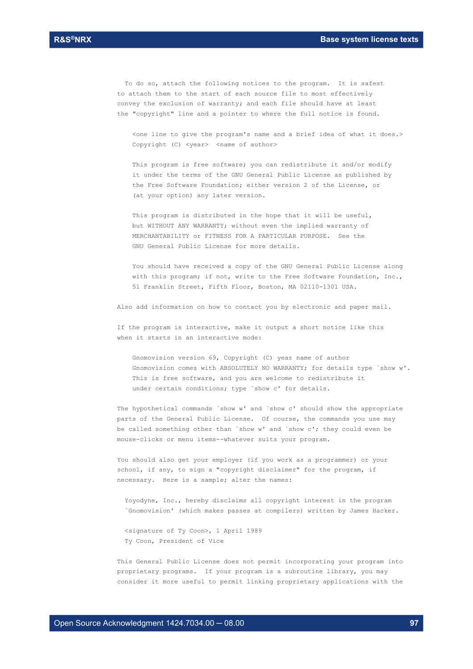To do so, attach the following notices to the program. It is safest to attach them to the start of each source file to most effectively convey the exclusion of warranty; and each file should have at least the "copyright" line and a pointer to where the full notice is found.

<one line to give the program's name and a brief idea of what it does.> Copyright (C) <year> <name of author>

This program is free software; you can redistribute it and/or modify it under the terms of the GNU General Public License as published by the Free Software Foundation; either version 2 of the License, or (at your option) any later version.

This program is distributed in the hope that it will be useful, but WITHOUT ANY WARRANTY; without even the implied warranty of MERCHANTABILITY or FITNESS FOR A PARTICULAR PURPOSE. See the GNU General Public License for more details.

 You should have received a copy of the GNU General Public License along with this program; if not, write to the Free Software Foundation, Inc., 51 Franklin Street, Fifth Floor, Boston, MA 02110-1301 USA.

Also add information on how to contact you by electronic and paper mail.

If the program is interactive, make it output a short notice like this when it starts in an interactive mode:

 Gnomovision version 69, Copyright (C) year name of author Gnomovision comes with ABSOLUTELY NO WARRANTY; for details type `show w'. This is free software, and you are welcome to redistribute it under certain conditions; type `show c' for details.

The hypothetical commands `show w' and `show c' should show the appropriate parts of the General Public License. Of course, the commands you use may be called something other than `show w' and `show c'; they could even be mouse-clicks or menu items--whatever suits your program.

You should also get your employer (if you work as a programmer) or your school, if any, to sign a "copyright disclaimer" for the program, if necessary. Here is a sample; alter the names:

 Yoyodyne, Inc., hereby disclaims all copyright interest in the program `Gnomovision' (which makes passes at compilers) written by James Hacker.

 <signature of Ty Coon>, 1 April 1989 Ty Coon, President of Vice

This General Public License does not permit incorporating your program into proprietary programs. If your program is a subroutine library, you may consider it more useful to permit linking proprietary applications with the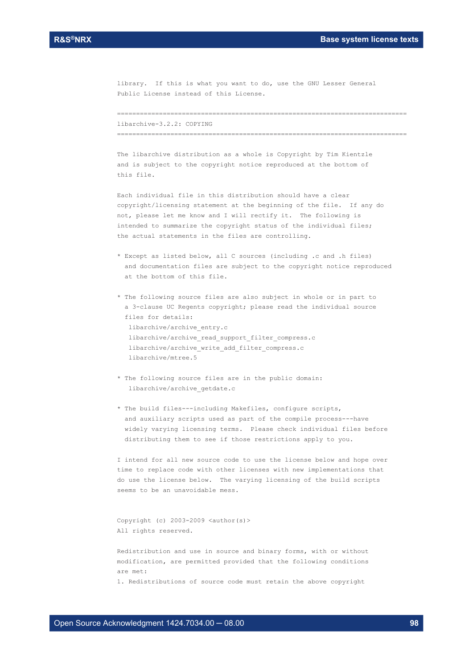```
library. If this is what you want to do, use the GNU Lesser General
Public License instead of this License.
```

```
============================================================================
libarchive-3.2.2: COPYING
============================================================================
```
The libarchive distribution as a whole is Copyright by Tim Kientzle and is subject to the copyright notice reproduced at the bottom of this file.

Each individual file in this distribution should have a clear copyright/licensing statement at the beginning of the file. If any do not, please let me know and I will rectify it. The following is intended to summarize the copyright status of the individual files; the actual statements in the files are controlling.

- \* Except as listed below, all C sources (including .c and .h files) and documentation files are subject to the copyright notice reproduced at the bottom of this file.
- \* The following source files are also subject in whole or in part to a 3-clause UC Regents copyright; please read the individual source files for details: libarchive/archive\_entry.c libarchive/archive\_read\_support\_filter\_compress.c libarchive/archive\_write\_add\_filter\_compress.c libarchive/mtree.5
- \* The following source files are in the public domain: libarchive/archive\_getdate.c
- \* The build files---including Makefiles, configure scripts, and auxiliary scripts used as part of the compile process---have widely varying licensing terms. Please check individual files before distributing them to see if those restrictions apply to you.

I intend for all new source code to use the license below and hope over time to replace code with other licenses with new implementations that do use the license below. The varying licensing of the build scripts seems to be an unavoidable mess.

Copyright (c)  $2003-2009$  <author(s)> All rights reserved.

Redistribution and use in source and binary forms, with or without modification, are permitted provided that the following conditions are met:

1. Redistributions of source code must retain the above copyright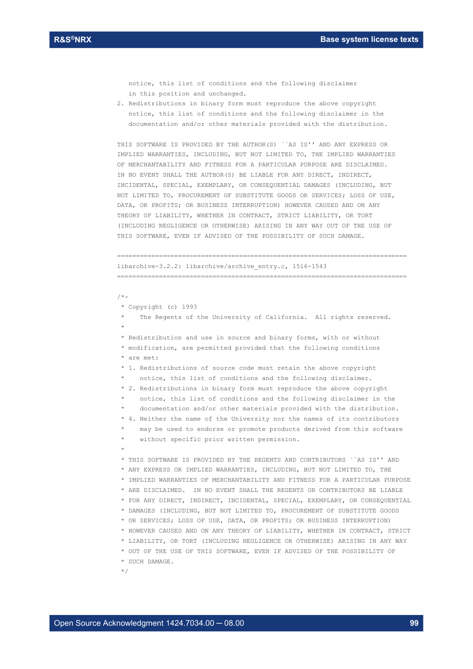notice, this list of conditions and the following disclaimer in this position and unchanged.

2. Redistributions in binary form must reproduce the above copyright notice, this list of conditions and the following disclaimer in the documentation and/or other materials provided with the distribution.

THIS SOFTWARE IS PROVIDED BY THE AUTHOR(S) ``AS IS'' AND ANY EXPRESS OR IMPLIED WARRANTIES, INCLUDING, BUT NOT LIMITED TO, THE IMPLIED WARRANTIES OF MERCHANTABILITY AND FITNESS FOR A PARTICULAR PURPOSE ARE DISCLAIMED. IN NO EVENT SHALL THE AUTHOR(S) BE LIABLE FOR ANY DIRECT, INDIRECT, INCIDENTAL, SPECIAL, EXEMPLARY, OR CONSEQUENTIAL DAMAGES (INCLUDING, BUT NOT LIMITED TO, PROCUREMENT OF SUBSTITUTE GOODS OR SERVICES; LOSS OF USE, DATA, OR PROFITS; OR BUSINESS INTERRUPTION) HOWEVER CAUSED AND ON ANY THEORY OF LIABILITY, WHETHER IN CONTRACT, STRICT LIABILITY, OR TORT (INCLUDING NEGLIGENCE OR OTHERWISE) ARISING IN ANY WAY OUT OF THE USE OF THIS SOFTWARE, EVEN IF ADVISED OF THE POSSIBILITY OF SUCH DAMAGE.

============================================================================ libarchive-3.2.2: libarchive/archive\_entry.c, 1516-1543 ============================================================================

#### /\*-

 \* Copyright (c) 1993 The Regents of the University of California. All rights reserved. \* \* Redistribution and use in source and binary forms, with or without \* modification, are permitted provided that the following conditions \* are met: \* 1. Redistributions of source code must retain the above copyright notice, this list of conditions and the following disclaimer. \* 2. Redistributions in binary form must reproduce the above copyright notice, this list of conditions and the following disclaimer in the documentation and/or other materials provided with the distribution. \* 4. Neither the name of the University nor the names of its contributors may be used to endorse or promote products derived from this software without specific prior written permission. \* \* THIS SOFTWARE IS PROVIDED BY THE REGENTS AND CONTRIBUTORS ``AS IS'' AND \* ANY EXPRESS OR IMPLIED WARRANTIES, INCLUDING, BUT NOT LIMITED TO, THE \* IMPLIED WARRANTIES OF MERCHANTABILITY AND FITNESS FOR A PARTICULAR PURPOSE \* ARE DISCLAIMED. IN NO EVENT SHALL THE REGENTS OR CONTRIBUTORS BE LIABLE \* FOR ANY DIRECT, INDIRECT, INCIDENTAL, SPECIAL, EXEMPLARY, OR CONSEQUENTIAL \* DAMAGES (INCLUDING, BUT NOT LIMITED TO, PROCUREMENT OF SUBSTITUTE GOODS \* OR SERVICES; LOSS OF USE, DATA, OR PROFITS; OR BUSINESS INTERRUPTION) \* HOWEVER CAUSED AND ON ANY THEORY OF LIABILITY, WHETHER IN CONTRACT, STRICT \* LIABILITY, OR TORT (INCLUDING NEGLIGENCE OR OTHERWISE) ARISING IN ANY WAY \* OUT OF THE USE OF THIS SOFTWARE, EVEN IF ADVISED OF THE POSSIBILITY OF \* SUCH DAMAGE.

\*/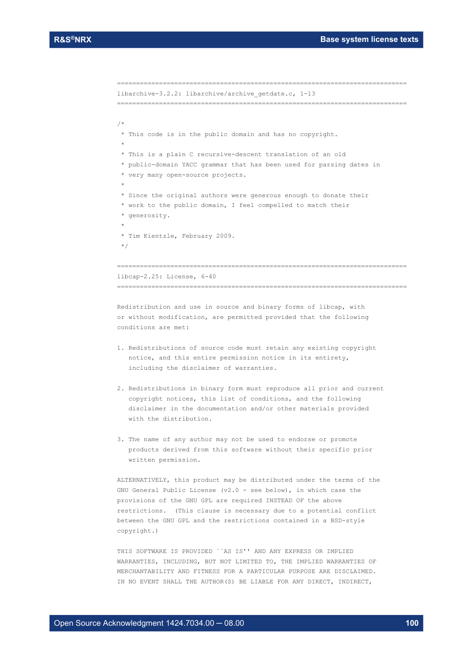```
============================================================================
libarchive-3.2.2: libarchive/archive getdate.c, 1-13
============================================================================
/*
 * This code is in the public domain and has no copyright.
 *
 * This is a plain C recursive-descent translation of an old
  * public-domain YACC grammar that has been used for parsing dates in
 * very many open-source projects.
 *
 * Since the original authors were generous enough to donate their
  * work to the public domain, I feel compelled to match their
 * generosity.
 *
  * Tim Kientzle, February 2009.
 */
============================================================================
libcap-2.25: License, 6-40
```
============================================================================

Redistribution and use in source and binary forms of libcap, with or without modification, are permitted provided that the following conditions are met:

- 1. Redistributions of source code must retain any existing copyright notice, and this entire permission notice in its entirety, including the disclaimer of warranties.
- 2. Redistributions in binary form must reproduce all prior and current copyright notices, this list of conditions, and the following disclaimer in the documentation and/or other materials provided with the distribution.
- 3. The name of any author may not be used to endorse or promote products derived from this software without their specific prior written permission.

ALTERNATIVELY, this product may be distributed under the terms of the GNU General Public License (v2.0 - see below), in which case the provisions of the GNU GPL are required INSTEAD OF the above restrictions. (This clause is necessary due to a potential conflict between the GNU GPL and the restrictions contained in a BSD-style copyright.)

THIS SOFTWARE IS PROVIDED ``AS IS'' AND ANY EXPRESS OR IMPLIED WARRANTIES, INCLUDING, BUT NOT LIMITED TO, THE IMPLIED WARRANTIES OF MERCHANTABILITY AND FITNESS FOR A PARTICULAR PURPOSE ARE DISCLAIMED. IN NO EVENT SHALL THE AUTHOR(S) BE LIABLE FOR ANY DIRECT, INDIRECT,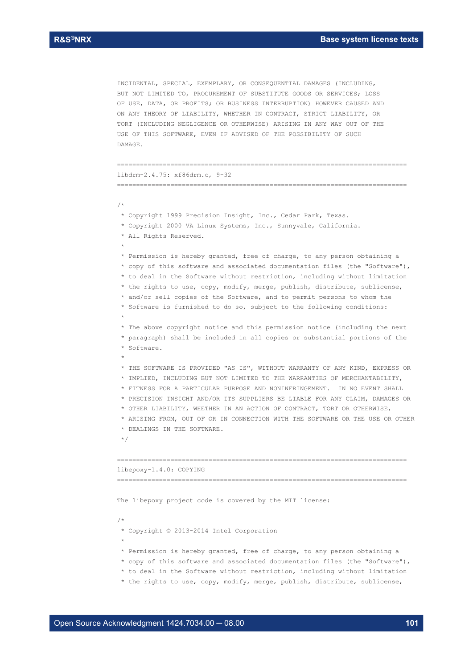```
INCIDENTAL, SPECIAL, EXEMPLARY, OR CONSEQUENTIAL DAMAGES (INCLUDING,
BUT NOT LIMITED TO, PROCUREMENT OF SUBSTITUTE GOODS OR SERVICES; LOSS
OF USE, DATA, OR PROFITS; OR BUSINESS INTERRUPTION) HOWEVER CAUSED AND
ON ANY THEORY OF LIABILITY, WHETHER IN CONTRACT, STRICT LIABILITY, OR
TORT (INCLUDING NEGLIGENCE OR OTHERWISE) ARISING IN ANY WAY OUT OF THE
USE OF THIS SOFTWARE, EVEN IF ADVISED OF THE POSSIBILITY OF SUCH
DAMAGE.
```
============================================================================

```
libdrm-2.4.75: xf86drm.c, 9-32
============================================================================
/*
  * Copyright 1999 Precision Insight, Inc., Cedar Park, Texas.
  * Copyright 2000 VA Linux Systems, Inc., Sunnyvale, California.
  * All Rights Reserved.
 *
  * Permission is hereby granted, free of charge, to any person obtaining a
  * copy of this software and associated documentation files (the "Software"),
  * to deal in the Software without restriction, including without limitation
  * the rights to use, copy, modify, merge, publish, distribute, sublicense,
  * and/or sell copies of the Software, and to permit persons to whom the
  * Software is furnished to do so, subject to the following conditions:
 *
  * The above copyright notice and this permission notice (including the next
  * paragraph) shall be included in all copies or substantial portions of the
  * Software.
 *
  * THE SOFTWARE IS PROVIDED "AS IS", WITHOUT WARRANTY OF ANY KIND, EXPRESS OR
  * IMPLIED, INCLUDING BUT NOT LIMITED TO THE WARRANTIES OF MERCHANTABILITY,
  * FITNESS FOR A PARTICULAR PURPOSE AND NONINFRINGEMENT. IN NO EVENT SHALL
  * PRECISION INSIGHT AND/OR ITS SUPPLIERS BE LIABLE FOR ANY CLAIM, DAMAGES OR
  * OTHER LIABILITY, WHETHER IN AN ACTION OF CONTRACT, TORT OR OTHERWISE,
  * ARISING FROM, OUT OF OR IN CONNECTION WITH THE SOFTWARE OR THE USE OR OTHER
  * DEALINGS IN THE SOFTWARE.
  */
  ============================================================================
libepoxy-1.4.0: COPYING
============================================================================
The libepoxy project code is covered by the MIT license:
/*
  * Copyright © 2013-2014 Intel Corporation
 *
  * Permission is hereby granted, free of charge, to any person obtaining a
  * copy of this software and associated documentation files (the "Software"),
```
- \* to deal in the Software without restriction, including without limitation
- \* the rights to use, copy, modify, merge, publish, distribute, sublicense,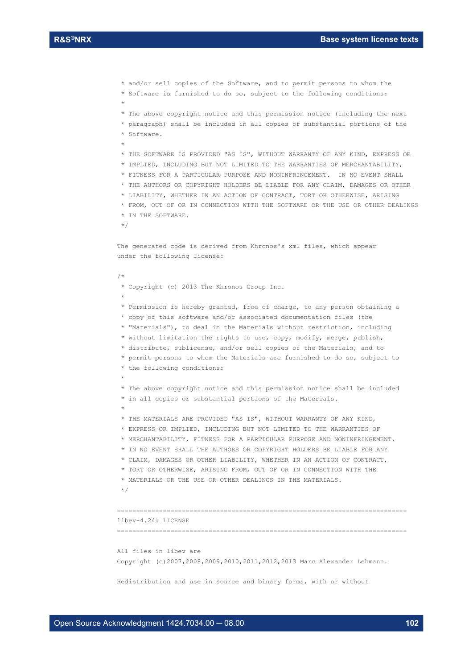\* and/or sell copies of the Software, and to permit persons to whom the \* Software is furnished to do so, subject to the following conditions: \* \* The above copyright notice and this permission notice (including the next \* paragraph) shall be included in all copies or substantial portions of the \* Software. \* \* THE SOFTWARE IS PROVIDED "AS IS", WITHOUT WARRANTY OF ANY KIND, EXPRESS OR \* IMPLIED, INCLUDING BUT NOT LIMITED TO THE WARRANTIES OF MERCHANTABILITY, \* FITNESS FOR A PARTICULAR PURPOSE AND NONINFRINGEMENT. IN NO EVENT SHALL \* THE AUTHORS OR COPYRIGHT HOLDERS BE LIABLE FOR ANY CLAIM, DAMAGES OR OTHER \* LIABILITY, WHETHER IN AN ACTION OF CONTRACT, TORT OR OTHERWISE, ARISING \* FROM, OUT OF OR IN CONNECTION WITH THE SOFTWARE OR THE USE OR OTHER DEALINGS \* IN THE SOFTWARE. \*/ The generated code is derived from Khronos's xml files, which appear under the following license: /\* \* Copyright (c) 2013 The Khronos Group Inc. \* \* Permission is hereby granted, free of charge, to any person obtaining a \* copy of this software and/or associated documentation files (the \* "Materials"), to deal in the Materials without restriction, including \* without limitation the rights to use, copy, modify, merge, publish, \* distribute, sublicense, and/or sell copies of the Materials, and to \* permit persons to whom the Materials are furnished to do so, subject to \* the following conditions: \* \* The above copyright notice and this permission notice shall be included \* in all copies or substantial portions of the Materials. \* \* THE MATERIALS ARE PROVIDED "AS IS", WITHOUT WARRANTY OF ANY KIND, \* EXPRESS OR IMPLIED, INCLUDING BUT NOT LIMITED TO THE WARRANTIES OF \* MERCHANTABILITY, FITNESS FOR A PARTICULAR PURPOSE AND NONINFRINGEMENT. \* IN NO EVENT SHALL THE AUTHORS OR COPYRIGHT HOLDERS BE LIABLE FOR ANY \* CLAIM, DAMAGES OR OTHER LIABILITY, WHETHER IN AN ACTION OF CONTRACT, \* TORT OR OTHERWISE, ARISING FROM, OUT OF OR IN CONNECTION WITH THE \* MATERIALS OR THE USE OR OTHER DEALINGS IN THE MATERIALS. \*/ ============================================================================ libev-4.24: LICENSE ============================================================================ All files in libev are Copyright (c)2007,2008,2009,2010,2011,2012,2013 Marc Alexander Lehmann.

Redistribution and use in source and binary forms, with or without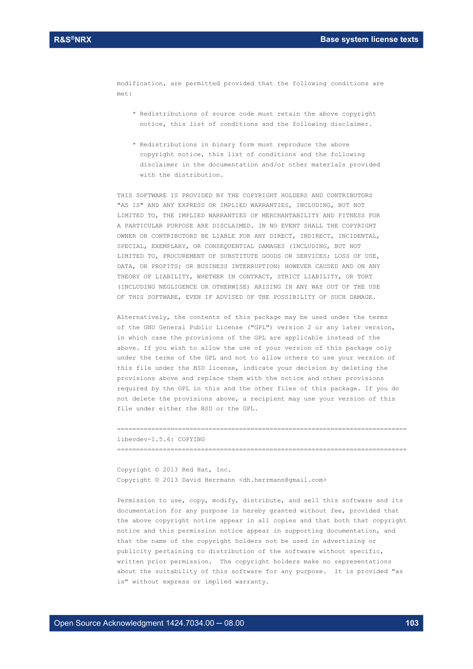modification, are permitted provided that the following conditions are met:

- \* Redistributions of source code must retain the above copyright notice, this list of conditions and the following disclaimer.
- \* Redistributions in binary form must reproduce the above copyright notice, this list of conditions and the following disclaimer in the documentation and/or other materials provided with the distribution.

THIS SOFTWARE IS PROVIDED BY THE COPYRIGHT HOLDERS AND CONTRIBUTORS "AS IS" AND ANY EXPRESS OR IMPLIED WARRANTIES, INCLUDING, BUT NOT LIMITED TO, THE IMPLIED WARRANTIES OF MERCHANTABILITY AND FITNESS FOR A PARTICULAR PURPOSE ARE DISCLAIMED. IN NO EVENT SHALL THE COPYRIGHT OWNER OR CONTRIBUTORS BE LIABLE FOR ANY DIRECT, INDIRECT, INCIDENTAL, SPECIAL, EXEMPLARY, OR CONSEQUENTIAL DAMAGES (INCLUDING, BUT NOT LIMITED TO, PROCUREMENT OF SUBSTITUTE GOODS OR SERVICES; LOSS OF USE, DATA, OR PROFITS; OR BUSINESS INTERRUPTION) HOWEVER CAUSED AND ON ANY THEORY OF LIABILITY, WHETHER IN CONTRACT, STRICT LIABILITY, OR TORT (INCLUDING NEGLIGENCE OR OTHERWISE) ARISING IN ANY WAY OUT OF THE USE OF THIS SOFTWARE, EVEN IF ADVISED OF THE POSSIBILITY OF SUCH DAMAGE.

Alternatively, the contents of this package may be used under the terms of the GNU General Public License ("GPL") version 2 or any later version, in which case the provisions of the GPL are applicable instead of the above. If you wish to allow the use of your version of this package only under the terms of the GPL and not to allow others to use your version of this file under the BSD license, indicate your decision by deleting the provisions above and replace them with the notice and other provisions required by the GPL in this and the other files of this package. If you do not delete the provisions above, a recipient may use your version of this file under either the BSD or the GPL.

```
============================================================================
libevdev-1.5.6: COPYING
============================================================================
```
Copyright © 2013 Red Hat, Inc. Copyright © 2013 David Herrmann <dh.herrmann@gmail.com>

Permission to use, copy, modify, distribute, and sell this software and its documentation for any purpose is hereby granted without fee, provided that the above copyright notice appear in all copies and that both that copyright notice and this permission notice appear in supporting documentation, and that the name of the copyright holders not be used in advertising or publicity pertaining to distribution of the software without specific, written prior permission. The copyright holders make no representations about the suitability of this software for any purpose. It is provided "as is" without express or implied warranty.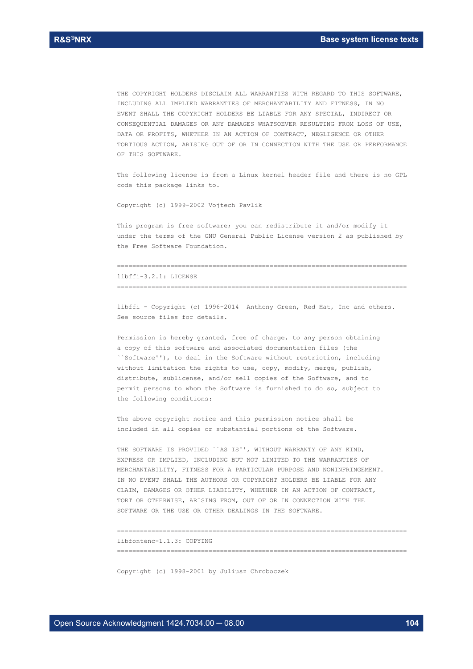THE COPYRIGHT HOLDERS DISCLAIM ALL WARRANTIES WITH REGARD TO THIS SOFTWARE, INCLUDING ALL IMPLIED WARRANTIES OF MERCHANTABILITY AND FITNESS, IN NO EVENT SHALL THE COPYRIGHT HOLDERS BE LIABLE FOR ANY SPECIAL, INDIRECT OR CONSEQUENTIAL DAMAGES OR ANY DAMAGES WHATSOEVER RESULTING FROM LOSS OF USE, DATA OR PROFITS, WHETHER IN AN ACTION OF CONTRACT, NEGLIGENCE OR OTHER TORTIOUS ACTION, ARISING OUT OF OR IN CONNECTION WITH THE USE OR PERFORMANCE OF THIS SOFTWARE.

The following license is from a Linux kernel header file and there is no GPL code this package links to.

Copyright (c) 1999-2002 Vojtech Pavlik

This program is free software; you can redistribute it and/or modify it under the terms of the GNU General Public License version 2 as published by the Free Software Foundation.

============================================================================ libffi-3.2.1: LICENSE

============================================================================

libffi - Copyright (c) 1996-2014 Anthony Green, Red Hat, Inc and others. See source files for details.

Permission is hereby granted, free of charge, to any person obtaining a copy of this software and associated documentation files (the ``Software''), to deal in the Software without restriction, including without limitation the rights to use, copy, modify, merge, publish, distribute, sublicense, and/or sell copies of the Software, and to permit persons to whom the Software is furnished to do so, subject to the following conditions:

The above copyright notice and this permission notice shall be included in all copies or substantial portions of the Software.

THE SOFTWARE IS PROVIDED ``AS IS'', WITHOUT WARRANTY OF ANY KIND, EXPRESS OR IMPLIED, INCLUDING BUT NOT LIMITED TO THE WARRANTIES OF MERCHANTABILITY, FITNESS FOR A PARTICULAR PURPOSE AND NONINFRINGEMENT. IN NO EVENT SHALL THE AUTHORS OR COPYRIGHT HOLDERS BE LIABLE FOR ANY CLAIM, DAMAGES OR OTHER LIABILITY, WHETHER IN AN ACTION OF CONTRACT, TORT OR OTHERWISE, ARISING FROM, OUT OF OR IN CONNECTION WITH THE SOFTWARE OR THE USE OR OTHER DEALINGS IN THE SOFTWARE.

```
============================================================================
libfontenc-1.1.3: COPYING
============================================================================
```
Copyright (c) 1998-2001 by Juliusz Chroboczek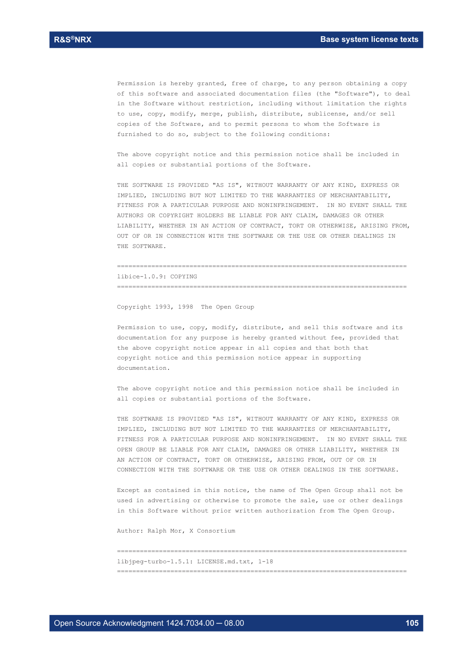Permission is hereby granted, free of charge, to any person obtaining a copy of this software and associated documentation files (the "Software"), to deal in the Software without restriction, including without limitation the rights to use, copy, modify, merge, publish, distribute, sublicense, and/or sell copies of the Software, and to permit persons to whom the Software is furnished to do so, subject to the following conditions:

The above copyright notice and this permission notice shall be included in all copies or substantial portions of the Software.

THE SOFTWARE IS PROVIDED "AS IS", WITHOUT WARRANTY OF ANY KIND, EXPRESS OR IMPLIED, INCLUDING BUT NOT LIMITED TO THE WARRANTIES OF MERCHANTABILITY, FITNESS FOR A PARTICULAR PURPOSE AND NONINFRINGEMENT. IN NO EVENT SHALL THE AUTHORS OR COPYRIGHT HOLDERS BE LIABLE FOR ANY CLAIM, DAMAGES OR OTHER LIABILITY, WHETHER IN AN ACTION OF CONTRACT, TORT OR OTHERWISE, ARISING FROM, OUT OF OR IN CONNECTION WITH THE SOFTWARE OR THE USE OR OTHER DEALINGS IN THE SOFTWARE.

============================================================================ libice-1.0.9: COPYING ============================================================================

Copyright 1993, 1998 The Open Group

Permission to use, copy, modify, distribute, and sell this software and its documentation for any purpose is hereby granted without fee, provided that the above copyright notice appear in all copies and that both that copyright notice and this permission notice appear in supporting documentation.

The above copyright notice and this permission notice shall be included in all copies or substantial portions of the Software.

THE SOFTWARE IS PROVIDED "AS IS", WITHOUT WARRANTY OF ANY KIND, EXPRESS OR IMPLIED, INCLUDING BUT NOT LIMITED TO THE WARRANTIES OF MERCHANTABILITY, FITNESS FOR A PARTICULAR PURPOSE AND NONINFRINGEMENT. IN NO EVENT SHALL THE OPEN GROUP BE LIABLE FOR ANY CLAIM, DAMAGES OR OTHER LIABILITY, WHETHER IN AN ACTION OF CONTRACT, TORT OR OTHERWISE, ARISING FROM, OUT OF OR IN CONNECTION WITH THE SOFTWARE OR THE USE OR OTHER DEALINGS IN THE SOFTWARE.

Except as contained in this notice, the name of The Open Group shall not be used in advertising or otherwise to promote the sale, use or other dealings in this Software without prior written authorization from The Open Group.

Author: Ralph Mor, X Consortium

```
============================================================================
libjpeg-turbo-1.5.1: LICENSE.md.txt, 1-18
   ============================================================================
```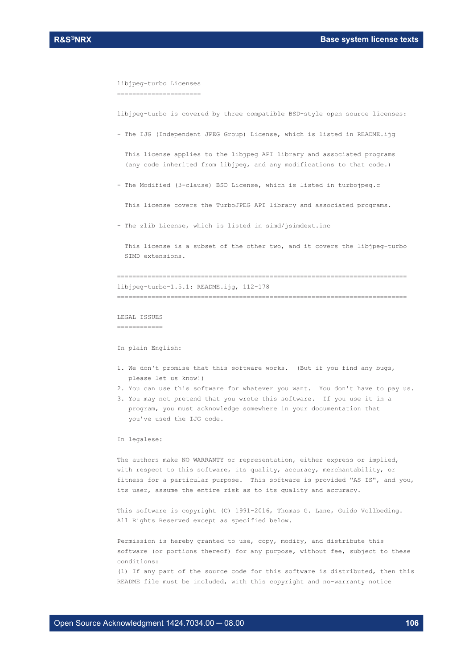LEGAL ISSUES ============

## In plain English:

- 1. We don't promise that this software works. (But if you find any bugs, please let us know!)
- 2. You can use this software for whatever you want. You don't have to pay us.
- 3. You may not pretend that you wrote this software. If you use it in a program, you must acknowledge somewhere in your documentation that you've used the IJG code.

# In legalese:

The authors make NO WARRANTY or representation, either express or implied, with respect to this software, its quality, accuracy, merchantability, or fitness for a particular purpose. This software is provided "AS IS", and you, its user, assume the entire risk as to its quality and accuracy.

This software is copyright (C) 1991-2016, Thomas G. Lane, Guido Vollbeding. All Rights Reserved except as specified below.

Permission is hereby granted to use, copy, modify, and distribute this software (or portions thereof) for any purpose, without fee, subject to these conditions:

(1) If any part of the source code for this software is distributed, then this README file must be included, with this copyright and no-warranty notice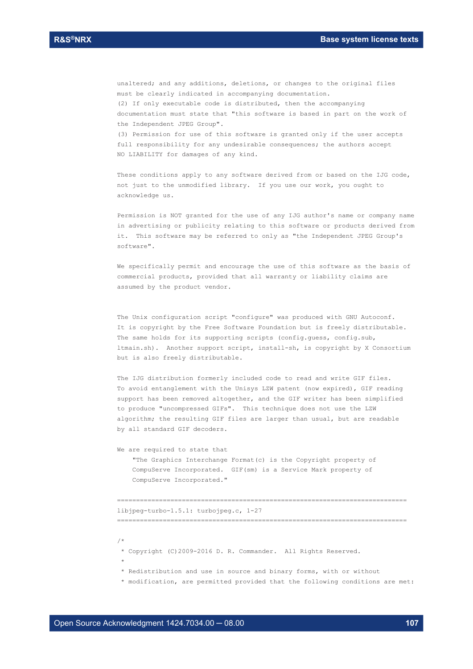unaltered; and any additions, deletions, or changes to the original files must be clearly indicated in accompanying documentation. (2) If only executable code is distributed, then the accompanying documentation must state that "this software is based in part on the work of the Independent JPEG Group". (3) Permission for use of this software is granted only if the user accepts full responsibility for any undesirable consequences; the authors accept

These conditions apply to any software derived from or based on the IJG code, not just to the unmodified library. If you use our work, you ought to acknowledge us.

NO LIABILITY for damages of any kind.

Permission is NOT granted for the use of any IJG author's name or company name in advertising or publicity relating to this software or products derived from it. This software may be referred to only as "the Independent JPEG Group's software".

We specifically permit and encourage the use of this software as the basis of commercial products, provided that all warranty or liability claims are assumed by the product vendor.

The Unix configuration script "configure" was produced with GNU Autoconf. It is copyright by the Free Software Foundation but is freely distributable. The same holds for its supporting scripts (config.guess, config.sub, ltmain.sh). Another support script, install-sh, is copyright by X Consortium but is also freely distributable.

The IJG distribution formerly included code to read and write GIF files. To avoid entanglement with the Unisys LZW patent (now expired), GIF reading support has been removed altogether, and the GIF writer has been simplified to produce "uncompressed GIFs". This technique does not use the LZW algorithm; the resulting GIF files are larger than usual, but are readable by all standard GIF decoders.

We are required to state that "The Graphics Interchange Format(c) is the Copyright property of CompuServe Incorporated. GIF(sm) is a Service Mark property of CompuServe Incorporated."

```
============================================================================
libjpeg-turbo-1.5.1: turbojpeg.c, 1-27
                                          ============================================================================
/*
  * Copyright (C)2009-2016 D. R. Commander. All Rights Reserved.
 *
  * Redistribution and use in source and binary forms, with or without
```
\* modification, are permitted provided that the following conditions are met: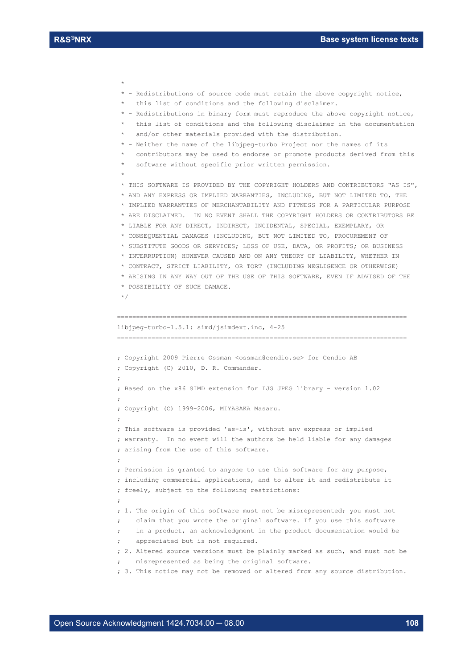```
 *
  * - Redistributions of source code must retain the above copyright notice,
    this list of conditions and the following disclaimer.
  * - Redistributions in binary form must reproduce the above copyright notice,
    this list of conditions and the following disclaimer in the documentation
    and/or other materials provided with the distribution.
  * - Neither the name of the libjpeg-turbo Project nor the names of its
   contributors may be used to endorse or promote products derived from this
     software without specific prior written permission.
 *
  * THIS SOFTWARE IS PROVIDED BY THE COPYRIGHT HOLDERS AND CONTRIBUTORS "AS IS",
  * AND ANY EXPRESS OR IMPLIED WARRANTIES, INCLUDING, BUT NOT LIMITED TO, THE
  * IMPLIED WARRANTIES OF MERCHANTABILITY AND FITNESS FOR A PARTICULAR PURPOSE
  * ARE DISCLAIMED. IN NO EVENT SHALL THE COPYRIGHT HOLDERS OR CONTRIBUTORS BE
  * LIABLE FOR ANY DIRECT, INDIRECT, INCIDENTAL, SPECIAL, EXEMPLARY, OR
  * CONSEQUENTIAL DAMAGES (INCLUDING, BUT NOT LIMITED TO, PROCUREMENT OF
  * SUBSTITUTE GOODS OR SERVICES; LOSS OF USE, DATA, OR PROFITS; OR BUSINESS
  * INTERRUPTION) HOWEVER CAUSED AND ON ANY THEORY OF LIABILITY, WHETHER IN
  * CONTRACT, STRICT LIABILITY, OR TORT (INCLUDING NEGLIGENCE OR OTHERWISE)
  * ARISING IN ANY WAY OUT OF THE USE OF THIS SOFTWARE, EVEN IF ADVISED OF THE
  * POSSIBILITY OF SUCH DAMAGE.
  */
============================================================================
libjpeg-turbo-1.5.1: simd/jsimdext.inc, 4-25
============================================================================
; Copyright 2009 Pierre Ossman <ossman@cendio.se> for Cendio AB
; Copyright (C) 2010, D. R. Commander.
;
; Based on the x86 SIMD extension for IJG JPEG library - version 1.02
;
; Copyright (C) 1999-2006, MIYASAKA Masaru.
;
; This software is provided 'as-is', without any express or implied
; warranty. In no event will the authors be held liable for any damages
; arising from the use of this software.
;
; Permission is granted to anyone to use this software for any purpose,
; including commercial applications, and to alter it and redistribute it
; freely, subject to the following restrictions:
;
; 1. The origin of this software must not be misrepresented; you must not
    claim that you wrote the original software. If you use this software
; in a product, an acknowledgment in the product documentation would be
    appreciated but is not required.
; 2. Altered source versions must be plainly marked as such, and must not be
     ; misrepresented as being the original software.
; 3. This notice may not be removed or altered from any source distribution.
```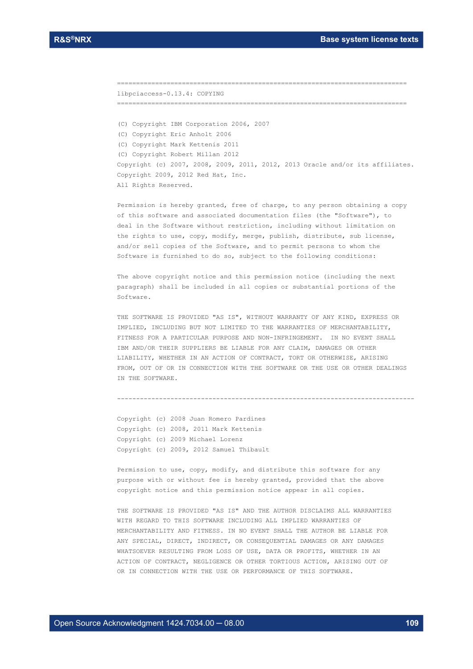```
============================================================================
libpciaccess-0.13.4: COPYING
============================================================================
(C) Copyright IBM Corporation 2006, 2007
(C) Copyright Eric Anholt 2006
(C) Copyright Mark Kettenis 2011
(C) Copyright Robert Millan 2012
Copyright (c) 2007, 2008, 2009, 2011, 2012, 2013 Oracle and/or its affiliates.
Copyright 2009, 2012 Red Hat, Inc.
```
All Rights Reserved.

Permission is hereby granted, free of charge, to any person obtaining a copy of this software and associated documentation files (the "Software"), to deal in the Software without restriction, including without limitation on the rights to use, copy, modify, merge, publish, distribute, sub license, and/or sell copies of the Software, and to permit persons to whom the Software is furnished to do so, subject to the following conditions:

The above copyright notice and this permission notice (including the next paragraph) shall be included in all copies or substantial portions of the Software.

THE SOFTWARE IS PROVIDED "AS IS", WITHOUT WARRANTY OF ANY KIND, EXPRESS OR IMPLIED, INCLUDING BUT NOT LIMITED TO THE WARRANTIES OF MERCHANTABILITY, FITNESS FOR A PARTICULAR PURPOSE AND NON-INFRINGEMENT. IN NO EVENT SHALL IBM AND/OR THEIR SUPPLIERS BE LIABLE FOR ANY CLAIM, DAMAGES OR OTHER LIABILITY, WHETHER IN AN ACTION OF CONTRACT, TORT OR OTHERWISE, ARISING FROM, OUT OF OR IN CONNECTION WITH THE SOFTWARE OR THE USE OR OTHER DEALINGS IN THE SOFTWARE.

------------------------------------------------------------------------------

Copyright (c) 2008 Juan Romero Pardines Copyright (c) 2008, 2011 Mark Kettenis Copyright (c) 2009 Michael Lorenz Copyright (c) 2009, 2012 Samuel Thibault

Permission to use, copy, modify, and distribute this software for any purpose with or without fee is hereby granted, provided that the above copyright notice and this permission notice appear in all copies.

THE SOFTWARE IS PROVIDED "AS IS" AND THE AUTHOR DISCLAIMS ALL WARRANTIES WITH REGARD TO THIS SOFTWARE INCLUDING ALL IMPLIED WARRANTIES OF MERCHANTABILITY AND FITNESS. IN NO EVENT SHALL THE AUTHOR BE LIABLE FOR ANY SPECIAL, DIRECT, INDIRECT, OR CONSEQUENTIAL DAMAGES OR ANY DAMAGES WHATSOEVER RESULTING FROM LOSS OF USE, DATA OR PROFITS, WHETHER IN AN ACTION OF CONTRACT, NEGLIGENCE OR OTHER TORTIOUS ACTION, ARISING OUT OF OR IN CONNECTION WITH THE USE OR PERFORMANCE OF THIS SOFTWARE.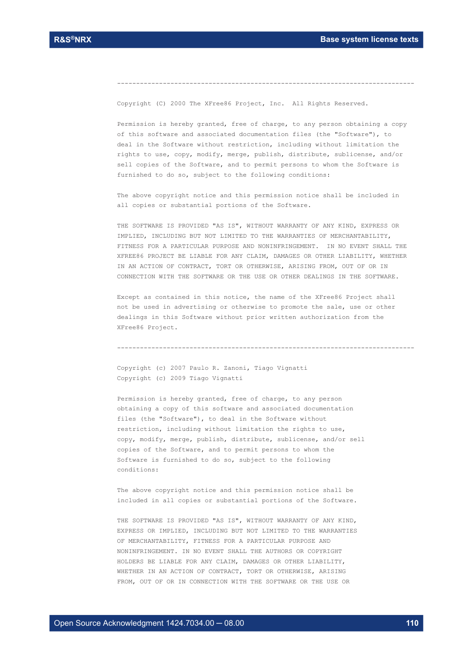------------------------------------------------------------------------------

Copyright (C) 2000 The XFree86 Project, Inc. All Rights Reserved.

Permission is hereby granted, free of charge, to any person obtaining a copy of this software and associated documentation files (the "Software"), to deal in the Software without restriction, including without limitation the rights to use, copy, modify, merge, publish, distribute, sublicense, and/or sell copies of the Software, and to permit persons to whom the Software is furnished to do so, subject to the following conditions:

The above copyright notice and this permission notice shall be included in all copies or substantial portions of the Software.

THE SOFTWARE IS PROVIDED "AS IS", WITHOUT WARRANTY OF ANY KIND, EXPRESS OR IMPLIED, INCLUDING BUT NOT LIMITED TO THE WARRANTIES OF MERCHANTABILITY, FITNESS FOR A PARTICULAR PURPOSE AND NONINFRINGEMENT. IN NO EVENT SHALL THE XFREE86 PROJECT BE LIABLE FOR ANY CLAIM, DAMAGES OR OTHER LIABILITY, WHETHER IN AN ACTION OF CONTRACT, TORT OR OTHERWISE, ARISING FROM, OUT OF OR IN CONNECTION WITH THE SOFTWARE OR THE USE OR OTHER DEALINGS IN THE SOFTWARE.

Except as contained in this notice, the name of the XFree86 Project shall not be used in advertising or otherwise to promote the sale, use or other dealings in this Software without prior written authorization from the XFree86 Project.

------------------------------------------------------------------------------

Copyright (c) 2007 Paulo R. Zanoni, Tiago Vignatti Copyright (c) 2009 Tiago Vignatti

Permission is hereby granted, free of charge, to any person obtaining a copy of this software and associated documentation files (the "Software"), to deal in the Software without restriction, including without limitation the rights to use, copy, modify, merge, publish, distribute, sublicense, and/or sell copies of the Software, and to permit persons to whom the Software is furnished to do so, subject to the following conditions:

The above copyright notice and this permission notice shall be included in all copies or substantial portions of the Software.

THE SOFTWARE IS PROVIDED "AS IS", WITHOUT WARRANTY OF ANY KIND, EXPRESS OR IMPLIED, INCLUDING BUT NOT LIMITED TO THE WARRANTIES OF MERCHANTABILITY, FITNESS FOR A PARTICULAR PURPOSE AND NONINFRINGEMENT. IN NO EVENT SHALL THE AUTHORS OR COPYRIGHT HOLDERS BE LIABLE FOR ANY CLAIM, DAMAGES OR OTHER LIABILITY, WHETHER IN AN ACTION OF CONTRACT, TORT OR OTHERWISE, ARISING FROM, OUT OF OR IN CONNECTION WITH THE SOFTWARE OR THE USE OR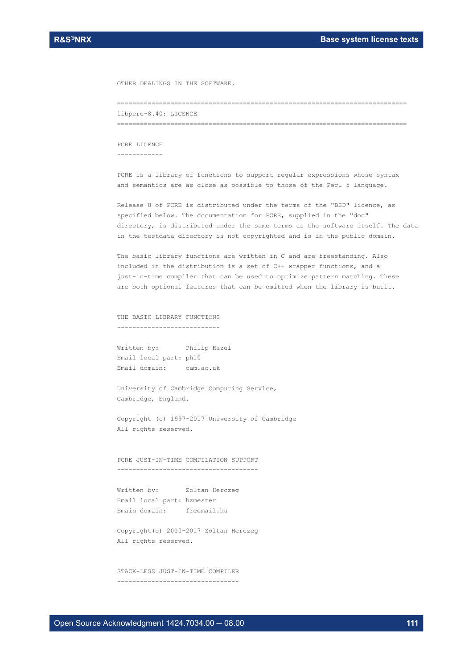```
OTHER DEALINGS IN THE SOFTWARE.
============================================================================
libpcre-8.40: LICENCE
============================================================================
```
PCRE LICENCE ------------

PCRE is a library of functions to support regular expressions whose syntax and semantics are as close as possible to those of the Perl 5 language.

Release 8 of PCRE is distributed under the terms of the "BSD" licence, as specified below. The documentation for PCRE, supplied in the "doc" directory, is distributed under the same terms as the software itself. The data in the testdata directory is not copyrighted and is in the public domain.

The basic library functions are written in C and are freestanding. Also included in the distribution is a set of C++ wrapper functions, and a just-in-time compiler that can be used to optimize pattern matching. These are both optional features that can be omitted when the library is built.

THE BASIC LIBRARY FUNCTIONS ---------------------------

Written by: Philip Hazel Email local part: ph10 Email domain: cam.ac.uk

University of Cambridge Computing Service, Cambridge, England.

Copyright (c) 1997-2017 University of Cambridge All rights reserved.

PCRE JUST-IN-TIME COMPILATION SUPPORT -------------------------------------

Written by: Zoltan Herczeg Email local part: hzmester Emain domain: freemail.hu

Copyright(c) 2010-2017 Zoltan Herczeg All rights reserved.

STACK-LESS JUST-IN-TIME COMPILER --------------------------------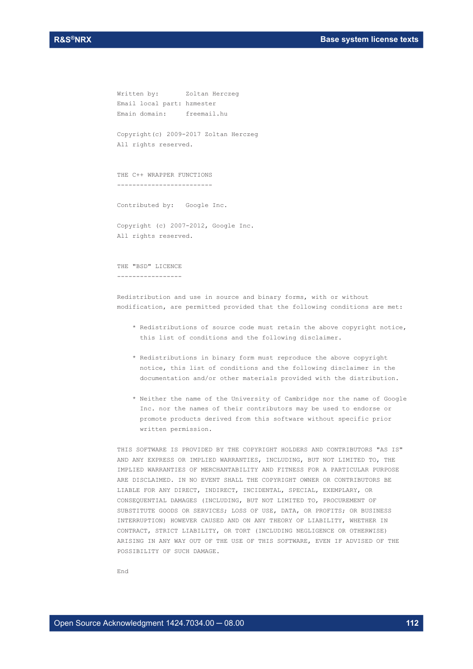Written by: Zoltan Herczeg Email local part: hzmester Emain domain: freemail.hu Copyright(c) 2009-2017 Zoltan Herczeg All rights reserved. THE C++ WRAPPER FUNCTIONS ------------------------- Contributed by: Google Inc. Copyright (c) 2007-2012, Google Inc. All rights reserved. THE "BSD" LICENCE

-----------------

Redistribution and use in source and binary forms, with or without modification, are permitted provided that the following conditions are met:

- \* Redistributions of source code must retain the above copyright notice, this list of conditions and the following disclaimer.
- \* Redistributions in binary form must reproduce the above copyright notice, this list of conditions and the following disclaimer in the documentation and/or other materials provided with the distribution.
- \* Neither the name of the University of Cambridge nor the name of Google Inc. nor the names of their contributors may be used to endorse or promote products derived from this software without specific prior written permission.

THIS SOFTWARE IS PROVIDED BY THE COPYRIGHT HOLDERS AND CONTRIBUTORS "AS IS" AND ANY EXPRESS OR IMPLIED WARRANTIES, INCLUDING, BUT NOT LIMITED TO, THE IMPLIED WARRANTIES OF MERCHANTABILITY AND FITNESS FOR A PARTICULAR PURPOSE ARE DISCLAIMED. IN NO EVENT SHALL THE COPYRIGHT OWNER OR CONTRIBUTORS BE LIABLE FOR ANY DIRECT, INDIRECT, INCIDENTAL, SPECIAL, EXEMPLARY, OR CONSEQUENTIAL DAMAGES (INCLUDING, BUT NOT LIMITED TO, PROCUREMENT OF SUBSTITUTE GOODS OR SERVICES; LOSS OF USE, DATA, OR PROFITS; OR BUSINESS INTERRUPTION) HOWEVER CAUSED AND ON ANY THEORY OF LIABILITY, WHETHER IN CONTRACT, STRICT LIABILITY, OR TORT (INCLUDING NEGLIGENCE OR OTHERWISE) ARISING IN ANY WAY OUT OF THE USE OF THIS SOFTWARE, EVEN IF ADVISED OF THE POSSIBILITY OF SUCH DAMAGE.

End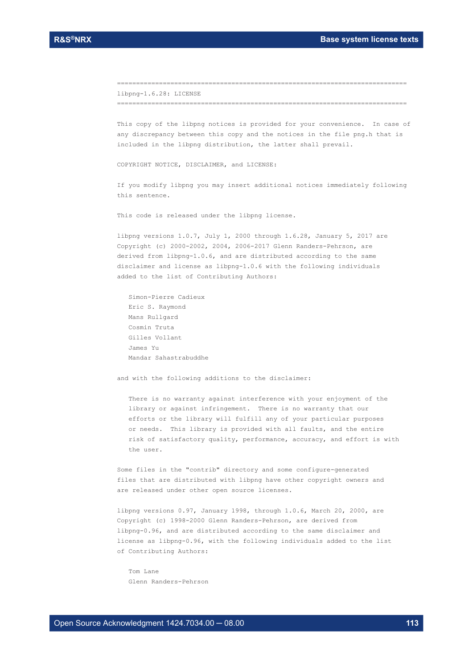```
============================================================================
libpng-1.6.28: LICENSE
============================================================================
```
This copy of the libpng notices is provided for your convenience. In case of any discrepancy between this copy and the notices in the file png.h that is included in the libpng distribution, the latter shall prevail.

COPYRIGHT NOTICE, DISCLAIMER, and LICENSE:

If you modify libpng you may insert additional notices immediately following this sentence.

This code is released under the libpng license.

libpng versions 1.0.7, July 1, 2000 through 1.6.28, January 5, 2017 are Copyright (c) 2000-2002, 2004, 2006-2017 Glenn Randers-Pehrson, are derived from libpng-1.0.6, and are distributed according to the same disclaimer and license as libpng-1.0.6 with the following individuals added to the list of Contributing Authors:

```
 Simon-Pierre Cadieux
 Eric S. Raymond
 Mans Rullgard
 Cosmin Truta
 Gilles Vollant
 James Yu
 Mandar Sahastrabuddhe
```
and with the following additions to the disclaimer:

 There is no warranty against interference with your enjoyment of the library or against infringement. There is no warranty that our efforts or the library will fulfill any of your particular purposes or needs. This library is provided with all faults, and the entire risk of satisfactory quality, performance, accuracy, and effort is with the user.

Some files in the "contrib" directory and some configure-generated files that are distributed with libpng have other copyright owners and are released under other open source licenses.

libpng versions 0.97, January 1998, through 1.0.6, March 20, 2000, are Copyright (c) 1998-2000 Glenn Randers-Pehrson, are derived from libpng-0.96, and are distributed according to the same disclaimer and license as libpng-0.96, with the following individuals added to the list of Contributing Authors:

 Tom Lane Glenn Randers-Pehrson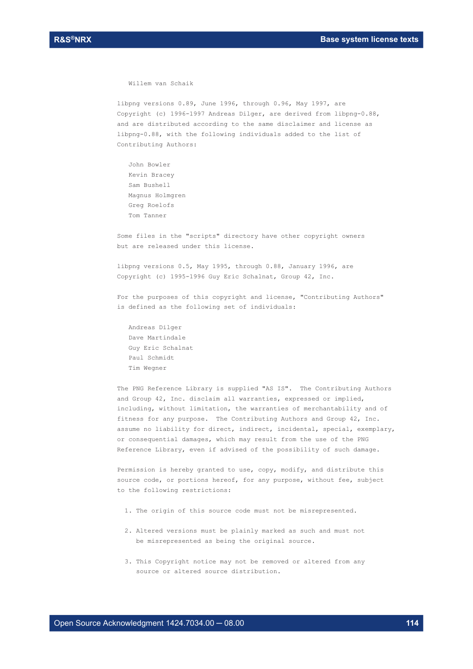# Willem van Schaik

libpng versions 0.89, June 1996, through 0.96, May 1997, are Copyright (c) 1996-1997 Andreas Dilger, are derived from libpng-0.88, and are distributed according to the same disclaimer and license as libpng-0.88, with the following individuals added to the list of Contributing Authors:

 John Bowler Kevin Bracey Sam Bushell Magnus Holmgren Greg Roelofs Tom Tanner

Some files in the "scripts" directory have other copyright owners but are released under this license.

libpng versions 0.5, May 1995, through 0.88, January 1996, are Copyright (c) 1995-1996 Guy Eric Schalnat, Group 42, Inc.

For the purposes of this copyright and license, "Contributing Authors" is defined as the following set of individuals:

```
 Andreas Dilger
 Dave Martindale
 Guy Eric Schalnat
 Paul Schmidt
 Tim Wegner
```
The PNG Reference Library is supplied "AS IS". The Contributing Authors and Group 42, Inc. disclaim all warranties, expressed or implied, including, without limitation, the warranties of merchantability and of fitness for any purpose. The Contributing Authors and Group 42, Inc. assume no liability for direct, indirect, incidental, special, exemplary, or consequential damages, which may result from the use of the PNG Reference Library, even if advised of the possibility of such damage.

Permission is hereby granted to use, copy, modify, and distribute this source code, or portions hereof, for any purpose, without fee, subject to the following restrictions:

- 1. The origin of this source code must not be misrepresented.
- 2. Altered versions must be plainly marked as such and must not be misrepresented as being the original source.
- 3. This Copyright notice may not be removed or altered from any source or altered source distribution.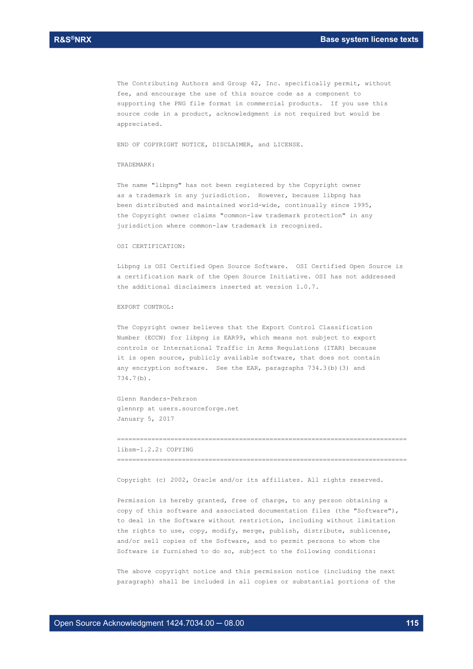The Contributing Authors and Group 42, Inc. specifically permit, without fee, and encourage the use of this source code as a component to supporting the PNG file format in commercial products. If you use this source code in a product, acknowledgment is not required but would be appreciated.

END OF COPYRIGHT NOTICE, DISCLAIMER, and LICENSE.

#### TRADEMARK:

The name "libpng" has not been registered by the Copyright owner as a trademark in any jurisdiction. However, because libpng has been distributed and maintained world-wide, continually since 1995, the Copyright owner claims "common-law trademark protection" in any jurisdiction where common-law trademark is recognized.

#### OSI CERTIFICATION:

Libpng is OSI Certified Open Source Software. OSI Certified Open Source is a certification mark of the Open Source Initiative. OSI has not addressed the additional disclaimers inserted at version 1.0.7.

## EXPORT CONTROL:

The Copyright owner believes that the Export Control Classification Number (ECCN) for libpng is EAR99, which means not subject to export controls or International Traffic in Arms Regulations (ITAR) because it is open source, publicly available software, that does not contain any encryption software. See the EAR, paragraphs 734.3(b)(3) and 734.7(b).

Glenn Randers-Pehrson glennrp at users.sourceforge.net January 5, 2017

============================================================================ libsm-1.2.2: COPYING ============================================================================

Copyright (c) 2002, Oracle and/or its affiliates. All rights reserved.

Permission is hereby granted, free of charge, to any person obtaining a copy of this software and associated documentation files (the "Software"), to deal in the Software without restriction, including without limitation the rights to use, copy, modify, merge, publish, distribute, sublicense, and/or sell copies of the Software, and to permit persons to whom the Software is furnished to do so, subject to the following conditions:

The above copyright notice and this permission notice (including the next paragraph) shall be included in all copies or substantial portions of the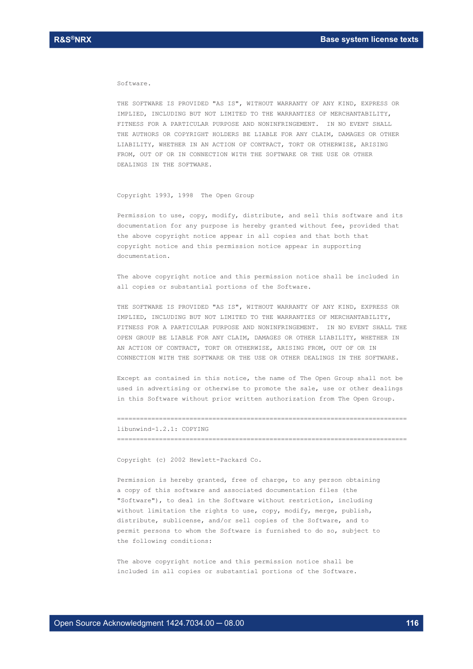### Software.

THE SOFTWARE IS PROVIDED "AS IS", WITHOUT WARRANTY OF ANY KIND, EXPRESS OR IMPLIED, INCLUDING BUT NOT LIMITED TO THE WARRANTIES OF MERCHANTABILITY, FITNESS FOR A PARTICULAR PURPOSE AND NONINFRINGEMENT. IN NO EVENT SHALL THE AUTHORS OR COPYRIGHT HOLDERS BE LIABLE FOR ANY CLAIM, DAMAGES OR OTHER LIABILITY, WHETHER IN AN ACTION OF CONTRACT, TORT OR OTHERWISE, ARISING FROM, OUT OF OR IN CONNECTION WITH THE SOFTWARE OR THE USE OR OTHER DEALINGS IN THE SOFTWARE.

## Copyright 1993, 1998 The Open Group

Permission to use, copy, modify, distribute, and sell this software and its documentation for any purpose is hereby granted without fee, provided that the above copyright notice appear in all copies and that both that copyright notice and this permission notice appear in supporting documentation.

The above copyright notice and this permission notice shall be included in all copies or substantial portions of the Software.

THE SOFTWARE IS PROVIDED "AS IS", WITHOUT WARRANTY OF ANY KIND, EXPRESS OR IMPLIED, INCLUDING BUT NOT LIMITED TO THE WARRANTIES OF MERCHANTABILITY, FITNESS FOR A PARTICULAR PURPOSE AND NONINFRINGEMENT. IN NO EVENT SHALL THE OPEN GROUP BE LIABLE FOR ANY CLAIM, DAMAGES OR OTHER LIABILITY, WHETHER IN AN ACTION OF CONTRACT, TORT OR OTHERWISE, ARISING FROM, OUT OF OR IN CONNECTION WITH THE SOFTWARE OR THE USE OR OTHER DEALINGS IN THE SOFTWARE.

Except as contained in this notice, the name of The Open Group shall not be used in advertising or otherwise to promote the sale, use or other dealings in this Software without prior written authorization from The Open Group.

```
============================================================================
libunwind-1.2.1: COPYING
============================================================================
```
Copyright (c) 2002 Hewlett-Packard Co.

Permission is hereby granted, free of charge, to any person obtaining a copy of this software and associated documentation files (the "Software"), to deal in the Software without restriction, including without limitation the rights to use, copy, modify, merge, publish, distribute, sublicense, and/or sell copies of the Software, and to permit persons to whom the Software is furnished to do so, subject to the following conditions:

The above copyright notice and this permission notice shall be included in all copies or substantial portions of the Software.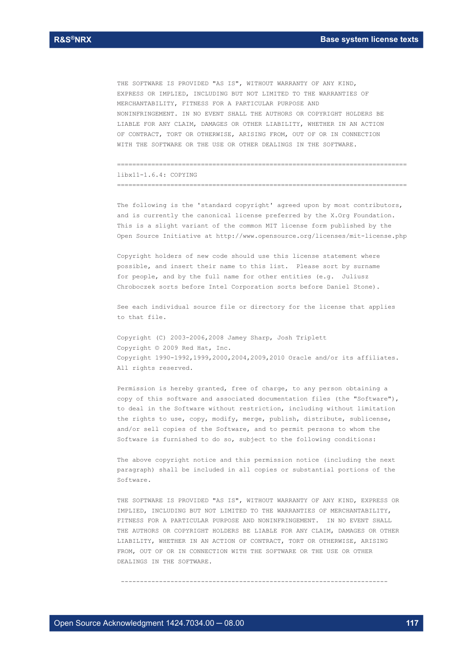THE SOFTWARE IS PROVIDED "AS IS", WITHOUT WARRANTY OF ANY KIND, EXPRESS OR IMPLIED, INCLUDING BUT NOT LIMITED TO THE WARRANTIES OF MERCHANTABILITY, FITNESS FOR A PARTICULAR PURPOSE AND NONINFRINGEMENT. IN NO EVENT SHALL THE AUTHORS OR COPYRIGHT HOLDERS BE LIABLE FOR ANY CLAIM, DAMAGES OR OTHER LIABILITY, WHETHER IN AN ACTION OF CONTRACT, TORT OR OTHERWISE, ARISING FROM, OUT OF OR IN CONNECTION WITH THE SOFTWARE OR THE USE OR OTHER DEALINGS IN THE SOFTWARE.

============================================================================ libx11-1.6.4: COPYING ============================================================================

The following is the 'standard copyright' agreed upon by most contributors, and is currently the canonical license preferred by the X.Org Foundation. This is a slight variant of the common MIT license form published by the Open Source Initiative at http://www.opensource.org/licenses/mit-license.php

Copyright holders of new code should use this license statement where possible, and insert their name to this list. Please sort by surname for people, and by the full name for other entities (e.g. Juliusz Chroboczek sorts before Intel Corporation sorts before Daniel Stone).

See each individual source file or directory for the license that applies to that file.

Copyright (C) 2003-2006,2008 Jamey Sharp, Josh Triplett Copyright © 2009 Red Hat, Inc. Copyright 1990-1992,1999,2000,2004,2009,2010 Oracle and/or its affiliates. All rights reserved.

Permission is hereby granted, free of charge, to any person obtaining a copy of this software and associated documentation files (the "Software"), to deal in the Software without restriction, including without limitation the rights to use, copy, modify, merge, publish, distribute, sublicense, and/or sell copies of the Software, and to permit persons to whom the Software is furnished to do so, subject to the following conditions:

The above copyright notice and this permission notice (including the next paragraph) shall be included in all copies or substantial portions of the Software.

THE SOFTWARE IS PROVIDED "AS IS", WITHOUT WARRANTY OF ANY KIND, EXPRESS OR IMPLIED, INCLUDING BUT NOT LIMITED TO THE WARRANTIES OF MERCHANTABILITY, FITNESS FOR A PARTICULAR PURPOSE AND NONINFRINGEMENT. IN NO EVENT SHALL THE AUTHORS OR COPYRIGHT HOLDERS BE LIABLE FOR ANY CLAIM, DAMAGES OR OTHER LIABILITY, WHETHER IN AN ACTION OF CONTRACT, TORT OR OTHERWISE, ARISING FROM, OUT OF OR IN CONNECTION WITH THE SOFTWARE OR THE USE OR OTHER DEALINGS IN THE SOFTWARE.

----------------------------------------------------------------------

Open Source Acknowledgment 1424.7034.00 ─ 08.00 **117**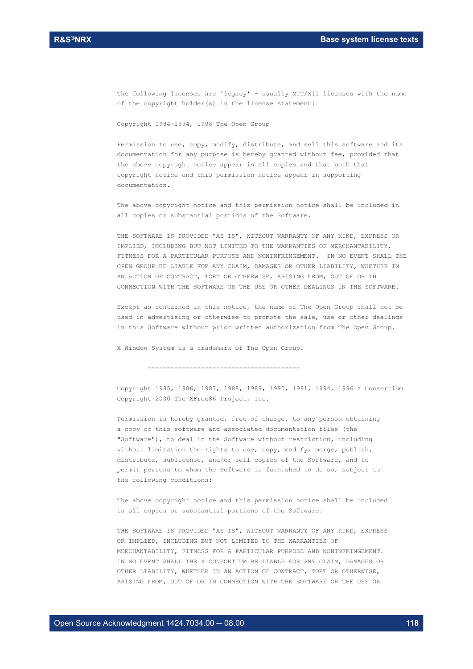The following licenses are 'legacy' - usually MIT/X11 licenses with the name of the copyright holder(s) in the license statement:

Copyright 1984-1994, 1998 The Open Group

Permission to use, copy, modify, distribute, and sell this software and its documentation for any purpose is hereby granted without fee, provided that the above copyright notice appear in all copies and that both that copyright notice and this permission notice appear in supporting documentation.

The above copyright notice and this permission notice shall be included in all copies or substantial portions of the Software.

THE SOFTWARE IS PROVIDED "AS IS", WITHOUT WARRANTY OF ANY KIND, EXPRESS OR IMPLIED, INCLUDING BUT NOT LIMITED TO THE WARRANTIES OF MERCHANTABILITY, FITNESS FOR A PARTICULAR PURPOSE AND NONINFRINGEMENT. IN NO EVENT SHALL THE OPEN GROUP BE LIABLE FOR ANY CLAIM, DAMAGES OR OTHER LIABILITY, WHETHER IN AN ACTION OF CONTRACT, TORT OR OTHERWISE, ARISING FROM, OUT OF OR IN CONNECTION WITH THE SOFTWARE OR THE USE OR OTHER DEALINGS IN THE SOFTWARE.

Except as contained in this notice, the name of The Open Group shall not be used in advertising or otherwise to promote the sale, use or other dealings in this Software without prior written authorization from The Open Group.

X Window System is a trademark of The Open Group.

----------------------------------------

Copyright 1985, 1986, 1987, 1988, 1989, 1990, 1991, 1994, 1996 X Consortium Copyright 2000 The XFree86 Project, Inc.

Permission is hereby granted, free of charge, to any person obtaining a copy of this software and associated documentation files (the "Software"), to deal in the Software without restriction, including without limitation the rights to use, copy, modify, merge, publish, distribute, sublicense, and/or sell copies of the Software, and to permit persons to whom the Software is furnished to do so, subject to the following conditions:

The above copyright notice and this permission notice shall be included in all copies or substantial portions of the Software.

THE SOFTWARE IS PROVIDED "AS IS", WITHOUT WARRANTY OF ANY KIND, EXPRESS OR IMPLIED, INCLUDING BUT NOT LIMITED TO THE WARRANTIES OF MERCHANTABILITY, FITNESS FOR A PARTICULAR PURPOSE AND NONINFRINGEMENT. IN NO EVENT SHALL THE X CONSORTIUM BE LIABLE FOR ANY CLAIM, DAMAGES OR OTHER LIABILITY, WHETHER IN AN ACTION OF CONTRACT, TORT OR OTHERWISE, ARISING FROM, OUT OF OR IN CONNECTION WITH THE SOFTWARE OR THE USE OR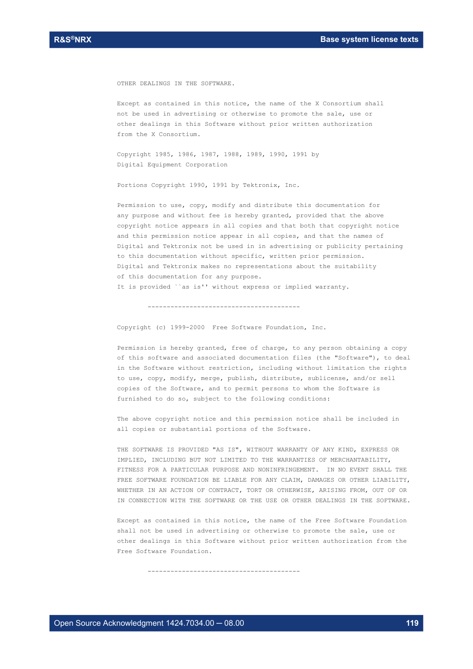OTHER DEALINGS IN THE SOFTWARE.

Except as contained in this notice, the name of the X Consortium shall not be used in advertising or otherwise to promote the sale, use or other dealings in this Software without prior written authorization from the X Consortium.

Copyright 1985, 1986, 1987, 1988, 1989, 1990, 1991 by Digital Equipment Corporation

Portions Copyright 1990, 1991 by Tektronix, Inc.

Permission to use, copy, modify and distribute this documentation for any purpose and without fee is hereby granted, provided that the above copyright notice appears in all copies and that both that copyright notice and this permission notice appear in all copies, and that the names of Digital and Tektronix not be used in in advertising or publicity pertaining to this documentation without specific, written prior permission. Digital and Tektronix makes no representations about the suitability of this documentation for any purpose.

It is provided ``as is'' without express or implied warranty.

----------------------------------------

Copyright (c) 1999-2000 Free Software Foundation, Inc.

Permission is hereby granted, free of charge, to any person obtaining a copy of this software and associated documentation files (the "Software"), to deal in the Software without restriction, including without limitation the rights to use, copy, modify, merge, publish, distribute, sublicense, and/or sell copies of the Software, and to permit persons to whom the Software is furnished to do so, subject to the following conditions:

The above copyright notice and this permission notice shall be included in all copies or substantial portions of the Software.

THE SOFTWARE IS PROVIDED "AS IS", WITHOUT WARRANTY OF ANY KIND, EXPRESS OR IMPLIED, INCLUDING BUT NOT LIMITED TO THE WARRANTIES OF MERCHANTABILITY, FITNESS FOR A PARTICULAR PURPOSE AND NONINFRINGEMENT. IN NO EVENT SHALL THE FREE SOFTWARE FOUNDATION BE LIABLE FOR ANY CLAIM, DAMAGES OR OTHER LIABILITY, WHETHER IN AN ACTION OF CONTRACT, TORT OR OTHERWISE, ARISING FROM, OUT OF OR IN CONNECTION WITH THE SOFTWARE OR THE USE OR OTHER DEALINGS IN THE SOFTWARE.

Except as contained in this notice, the name of the Free Software Foundation shall not be used in advertising or otherwise to promote the sale, use or other dealings in this Software without prior written authorization from the Free Software Foundation.

----------------------------------------

Open Source Acknowledgment 1424.7034.00 ─ 08.00 **119**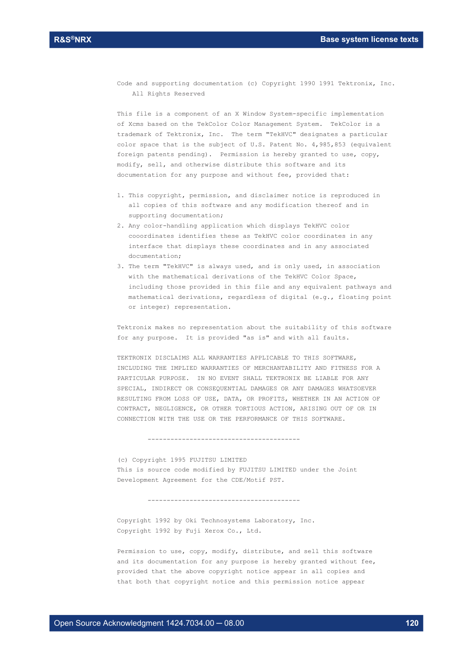Code and supporting documentation (c) Copyright 1990 1991 Tektronix, Inc. All Rights Reserved

This file is a component of an X Window System-specific implementation of Xcms based on the TekColor Color Management System. TekColor is a trademark of Tektronix, Inc. The term "TekHVC" designates a particular color space that is the subject of U.S. Patent No. 4,985,853 (equivalent foreign patents pending). Permission is hereby granted to use, copy, modify, sell, and otherwise distribute this software and its documentation for any purpose and without fee, provided that:

- 1. This copyright, permission, and disclaimer notice is reproduced in all copies of this software and any modification thereof and in supporting documentation;
- 2. Any color-handling application which displays TekHVC color cooordinates identifies these as TekHVC color coordinates in any interface that displays these coordinates and in any associated documentation;
- 3. The term "TekHVC" is always used, and is only used, in association with the mathematical derivations of the TekHVC Color Space, including those provided in this file and any equivalent pathways and mathematical derivations, regardless of digital (e.g., floating point or integer) representation.

Tektronix makes no representation about the suitability of this software for any purpose. It is provided "as is" and with all faults.

TEKTRONIX DISCLAIMS ALL WARRANTIES APPLICABLE TO THIS SOFTWARE, INCLUDING THE IMPLIED WARRANTIES OF MERCHANTABILITY AND FITNESS FOR A PARTICULAR PURPOSE. IN NO EVENT SHALL TEKTRONIX BE LIABLE FOR ANY SPECIAL, INDIRECT OR CONSEQUENTIAL DAMAGES OR ANY DAMAGES WHATSOEVER RESULTING FROM LOSS OF USE, DATA, OR PROFITS, WHETHER IN AN ACTION OF CONTRACT, NEGLIGENCE, OR OTHER TORTIOUS ACTION, ARISING OUT OF OR IN CONNECTION WITH THE USE OR THE PERFORMANCE OF THIS SOFTWARE.

(c) Copyright 1995 FUJITSU LIMITED This is source code modified by FUJITSU LIMITED under the Joint

Development Agreement for the CDE/Motif PST.

----------------------------------------

----------------------------------------

Copyright 1992 by Oki Technosystems Laboratory, Inc. Copyright 1992 by Fuji Xerox Co., Ltd.

Permission to use, copy, modify, distribute, and sell this software and its documentation for any purpose is hereby granted without fee, provided that the above copyright notice appear in all copies and that both that copyright notice and this permission notice appear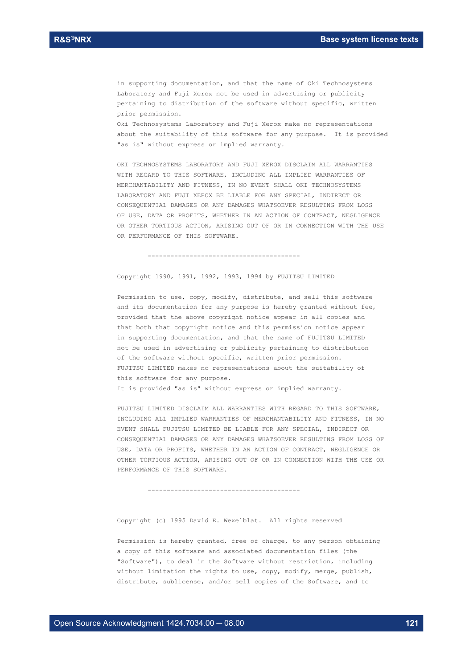in supporting documentation, and that the name of Oki Technosystems Laboratory and Fuji Xerox not be used in advertising or publicity pertaining to distribution of the software without specific, written prior permission.

Oki Technosystems Laboratory and Fuji Xerox make no representations about the suitability of this software for any purpose. It is provided "as is" without express or implied warranty.

OKI TECHNOSYSTEMS LABORATORY AND FUJI XEROX DISCLAIM ALL WARRANTIES WITH REGARD TO THIS SOFTWARE, INCLUDING ALL IMPLIED WARRANTIES OF MERCHANTABILITY AND FITNESS, IN NO EVENT SHALL OKI TECHNOSYSTEMS LABORATORY AND FUJI XEROX BE LIABLE FOR ANY SPECIAL, INDIRECT OR CONSEQUENTIAL DAMAGES OR ANY DAMAGES WHATSOEVER RESULTING FROM LOSS OF USE, DATA OR PROFITS, WHETHER IN AN ACTION OF CONTRACT, NEGLIGENCE OR OTHER TORTIOUS ACTION, ARISING OUT OF OR IN CONNECTION WITH THE USE OR PERFORMANCE OF THIS SOFTWARE.

----------------------------------------

Copyright 1990, 1991, 1992, 1993, 1994 by FUJITSU LIMITED

Permission to use, copy, modify, distribute, and sell this software and its documentation for any purpose is hereby granted without fee, provided that the above copyright notice appear in all copies and that both that copyright notice and this permission notice appear in supporting documentation, and that the name of FUJITSU LIMITED not be used in advertising or publicity pertaining to distribution of the software without specific, written prior permission. FUJITSU LIMITED makes no representations about the suitability of this software for any purpose. It is provided "as is" without express or implied warranty.

FUJITSU LIMITED DISCLAIM ALL WARRANTIES WITH REGARD TO THIS SOFTWARE, INCLUDING ALL IMPLIED WARRANTIES OF MERCHANTABILITY AND FITNESS, IN NO EVENT SHALL FUJITSU LIMITED BE LIABLE FOR ANY SPECIAL, INDIRECT OR CONSEQUENTIAL DAMAGES OR ANY DAMAGES WHATSOEVER RESULTING FROM LOSS OF USE, DATA OR PROFITS, WHETHER IN AN ACTION OF CONTRACT, NEGLIGENCE OR OTHER TORTIOUS ACTION, ARISING OUT OF OR IN CONNECTION WITH THE USE OR PERFORMANCE OF THIS SOFTWARE.

Copyright (c) 1995 David E. Wexelblat. All rights reserved

----------------------------------------

Permission is hereby granted, free of charge, to any person obtaining a copy of this software and associated documentation files (the "Software"), to deal in the Software without restriction, including without limitation the rights to use, copy, modify, merge, publish, distribute, sublicense, and/or sell copies of the Software, and to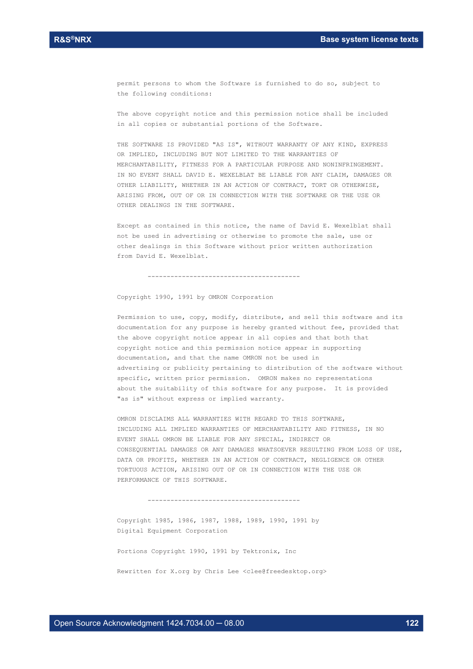permit persons to whom the Software is furnished to do so, subject to the following conditions:

The above copyright notice and this permission notice shall be included in all copies or substantial portions of the Software.

THE SOFTWARE IS PROVIDED "AS IS", WITHOUT WARRANTY OF ANY KIND, EXPRESS OR IMPLIED, INCLUDING BUT NOT LIMITED TO THE WARRANTIES OF MERCHANTABILITY, FITNESS FOR A PARTICULAR PURPOSE AND NONINFRINGEMENT. IN NO EVENT SHALL DAVID E. WEXELBLAT BE LIABLE FOR ANY CLAIM, DAMAGES OR OTHER LIABILITY, WHETHER IN AN ACTION OF CONTRACT, TORT OR OTHERWISE, ARISING FROM, OUT OF OR IN CONNECTION WITH THE SOFTWARE OR THE USE OR OTHER DEALINGS IN THE SOFTWARE.

Except as contained in this notice, the name of David E. Wexelblat shall not be used in advertising or otherwise to promote the sale, use or other dealings in this Software without prior written authorization from David E. Wexelblat.

----------------------------------------

Copyright 1990, 1991 by OMRON Corporation

Permission to use, copy, modify, distribute, and sell this software and its documentation for any purpose is hereby granted without fee, provided that the above copyright notice appear in all copies and that both that copyright notice and this permission notice appear in supporting documentation, and that the name OMRON not be used in advertising or publicity pertaining to distribution of the software without specific, written prior permission. OMRON makes no representations about the suitability of this software for any purpose. It is provided "as is" without express or implied warranty.

OMRON DISCLAIMS ALL WARRANTIES WITH REGARD TO THIS SOFTWARE, INCLUDING ALL IMPLIED WARRANTIES OF MERCHANTABILITY AND FITNESS, IN NO EVENT SHALL OMRON BE LIABLE FOR ANY SPECIAL, INDIRECT OR CONSEQUENTIAL DAMAGES OR ANY DAMAGES WHATSOEVER RESULTING FROM LOSS OF USE, DATA OR PROFITS, WHETHER IN AN ACTION OF CONTRACT, NEGLIGENCE OR OTHER TORTUOUS ACTION, ARISING OUT OF OR IN CONNECTION WITH THE USE OR PERFORMANCE OF THIS SOFTWARE.

Copyright 1985, 1986, 1987, 1988, 1989, 1990, 1991 by Digital Equipment Corporation

----------------------------------------

Portions Copyright 1990, 1991 by Tektronix, Inc Rewritten for X.org by Chris Lee <clee@freedesktop.org>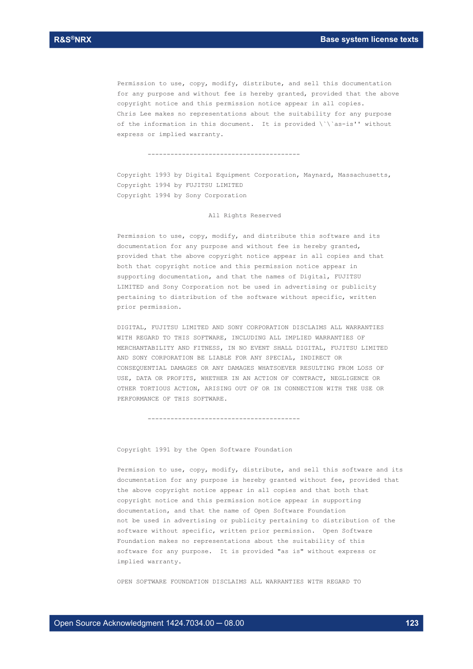Permission to use, copy, modify, distribute, and sell this documentation for any purpose and without fee is hereby granted, provided that the above copyright notice and this permission notice appear in all copies. Chris Lee makes no representations about the suitability for any purpose of the information in this document. It is provided \`\`as-is'' without express or implied warranty.

----------------------------------------

Copyright 1993 by Digital Equipment Corporation, Maynard, Massachusetts, Copyright 1994 by FUJITSU LIMITED Copyright 1994 by Sony Corporation

# All Rights Reserved

Permission to use, copy, modify, and distribute this software and its documentation for any purpose and without fee is hereby granted, provided that the above copyright notice appear in all copies and that both that copyright notice and this permission notice appear in supporting documentation, and that the names of Digital, FUJITSU LIMITED and Sony Corporation not be used in advertising or publicity pertaining to distribution of the software without specific, written prior permission.

DIGITAL, FUJITSU LIMITED AND SONY CORPORATION DISCLAIMS ALL WARRANTIES WITH REGARD TO THIS SOFTWARE, INCLUDING ALL IMPLIED WARRANTIES OF MERCHANTABILITY AND FITNESS, IN NO EVENT SHALL DIGITAL, FUJITSU LIMITED AND SONY CORPORATION BE LIABLE FOR ANY SPECIAL, INDIRECT OR CONSEQUENTIAL DAMAGES OR ANY DAMAGES WHATSOEVER RESULTING FROM LOSS OF USE, DATA OR PROFITS, WHETHER IN AN ACTION OF CONTRACT, NEGLIGENCE OR OTHER TORTIOUS ACTION, ARISING OUT OF OR IN CONNECTION WITH THE USE OR PERFORMANCE OF THIS SOFTWARE.

----------------------------------------

Copyright 1991 by the Open Software Foundation

Permission to use, copy, modify, distribute, and sell this software and its documentation for any purpose is hereby granted without fee, provided that the above copyright notice appear in all copies and that both that copyright notice and this permission notice appear in supporting documentation, and that the name of Open Software Foundation not be used in advertising or publicity pertaining to distribution of the software without specific, written prior permission. Open Software Foundation makes no representations about the suitability of this software for any purpose. It is provided "as is" without express or implied warranty.

OPEN SOFTWARE FOUNDATION DISCLAIMS ALL WARRANTIES WITH REGARD TO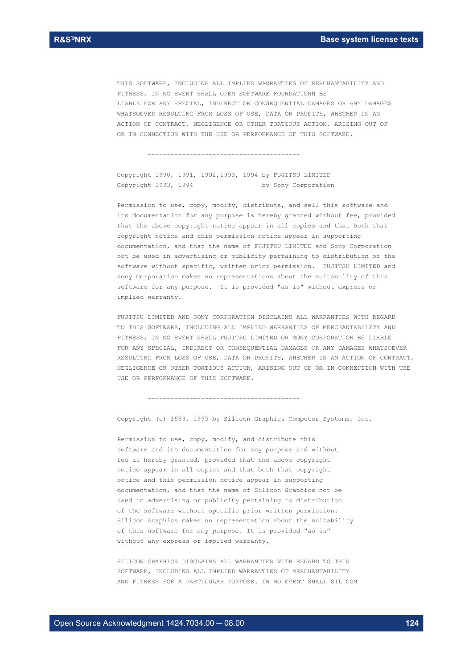THIS SOFTWARE, INCLUDING ALL IMPLIED WARRANTIES OF MERCHANTABILITY AND FITNESS, IN NO EVENT SHALL OPEN SOFTWARE FOUNDATIONN BE LIABLE FOR ANY SPECIAL, INDIRECT OR CONSEQUENTIAL DAMAGES OR ANY DAMAGES WHATSOEVER RESULTING FROM LOSS OF USE, DATA OR PROFITS, WHETHER IN AN ACTION OF CONTRACT, NEGLIGENCE OR OTHER TORTIOUS ACTION, ARISING OUT OF OR IN CONNECTION WITH THE USE OR PERFORMANCE OF THIS SOFTWARE.

Copyright 1990, 1991, 1992,1993, 1994 by FUJITSU LIMITED Copyright 1993, 1994 by Sony Corporation

----------------------------------------

Permission to use, copy, modify, distribute, and sell this software and its documentation for any purpose is hereby granted without fee, provided that the above copyright notice appear in all copies and that both that copyright notice and this permission notice appear in supporting documentation, and that the name of FUJITSU LIMITED and Sony Corporation not be used in advertising or publicity pertaining to distribution of the software without specific, written prior permission. FUJITSU LIMITED and Sony Corporation makes no representations about the suitability of this software for any purpose. It is provided "as is" without express or implied warranty.

FUJITSU LIMITED AND SONY CORPORATION DISCLAIMS ALL WARRANTIES WITH REGARD TO THIS SOFTWARE, INCLUDING ALL IMPLIED WARRANTIES OF MERCHANTABILITY AND FITNESS, IN NO EVENT SHALL FUJITSU LIMITED OR SONY CORPORATION BE LIABLE FOR ANY SPECIAL, INDIRECT OR CONSEQUENTIAL DAMAGES OR ANY DAMAGES WHATSOEVER RESULTING FROM LOSS OF USE, DATA OR PROFITS, WHETHER IN AN ACTION OF CONTRACT, NEGLIGENCE OR OTHER TORTIOUS ACTION, ARISING OUT OF OR IN CONNECTION WITH THE USE OR PERFORMANCE OF THIS SOFTWARE.

----------------------------------------

Copyright (c) 1993, 1995 by Silicon Graphics Computer Systems, Inc.

Permission to use, copy, modify, and distribute this software and its documentation for any purpose and without fee is hereby granted, provided that the above copyright notice appear in all copies and that both that copyright notice and this permission notice appear in supporting documentation, and that the name of Silicon Graphics not be used in advertising or publicity pertaining to distribution of the software without specific prior written permission. Silicon Graphics makes no representation about the suitability of this software for any purpose. It is provided "as is" without any express or implied warranty.

SILICON GRAPHICS DISCLAIMS ALL WARRANTIES WITH REGARD TO THIS SOFTWARE, INCLUDING ALL IMPLIED WARRANTIES OF MERCHANTABILITY AND FITNESS FOR A PARTICULAR PURPOSE. IN NO EVENT SHALL SILICON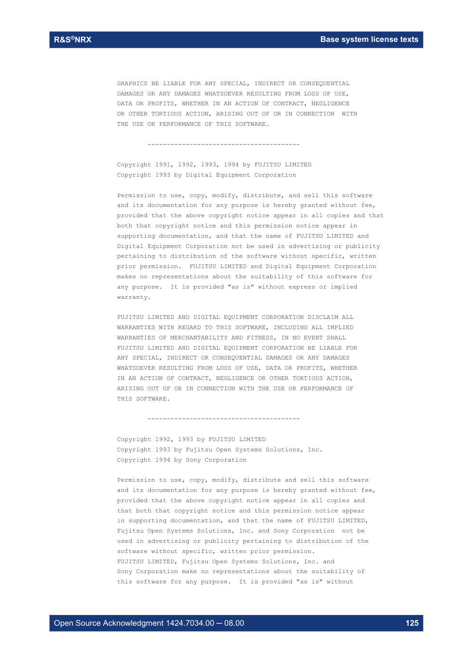GRAPHICS BE LIABLE FOR ANY SPECIAL, INDIRECT OR CONSEQUENTIAL DAMAGES OR ANY DAMAGES WHATSOEVER RESULTING FROM LOSS OF USE, DATA OR PROFITS, WHETHER IN AN ACTION OF CONTRACT, NEGLIGENCE OR OTHER TORTIOUS ACTION, ARISING OUT OF OR IN CONNECTION WITH THE USE OR PERFORMANCE OF THIS SOFTWARE.

Copyright 1991, 1992, 1993, 1994 by FUJITSU LIMITED Copyright 1993 by Digital Equipment Corporation

----------------------------------------

Permission to use, copy, modify, distribute, and sell this software and its documentation for any purpose is hereby granted without fee, provided that the above copyright notice appear in all copies and that both that copyright notice and this permission notice appear in supporting documentation, and that the name of FUJITSU LIMITED and Digital Equipment Corporation not be used in advertising or publicity pertaining to distribution of the software without specific, written prior permission. FUJITSU LIMITED and Digital Equipment Corporation makes no representations about the suitability of this software for any purpose. It is provided "as is" without express or implied warranty.

FUJITSU LIMITED AND DIGITAL EQUIPMENT CORPORATION DISCLAIM ALL WARRANTIES WITH REGARD TO THIS SOFTWARE, INCLUDING ALL IMPLIED WARRANTIES OF MERCHANTABILITY AND FITNESS, IN NO EVENT SHALL FUJITSU LIMITED AND DIGITAL EQUIPMENT CORPORATION BE LIABLE FOR ANY SPECIAL, INDIRECT OR CONSEQUENTIAL DAMAGES OR ANY DAMAGES WHATSOEVER RESULTING FROM LOSS OF USE, DATA OR PROFITS, WHETHER IN AN ACTION OF CONTRACT, NEGLIGENCE OR OTHER TORTIOUS ACTION, ARISING OUT OF OR IN CONNECTION WITH THE USE OR PERFORMANCE OF THIS SOFTWARE.

Copyright 1992, 1993 by FUJITSU LIMITED Copyright 1993 by Fujitsu Open Systems Solutions, Inc. Copyright 1994 by Sony Corporation

----------------------------------------

Permission to use, copy, modify, distribute and sell this software and its documentation for any purpose is hereby granted without fee, provided that the above copyright notice appear in all copies and that both that copyright notice and this permission notice appear in supporting documentation, and that the name of FUJITSU LIMITED, Fujitsu Open Systems Solutions, Inc. and Sony Corporation not be used in advertising or publicity pertaining to distribution of the software without specific, written prior permission. FUJITSU LIMITED, Fujitsu Open Systems Solutions, Inc. and Sony Corporation make no representations about the suitability of this software for any purpose. It is provided "as is" without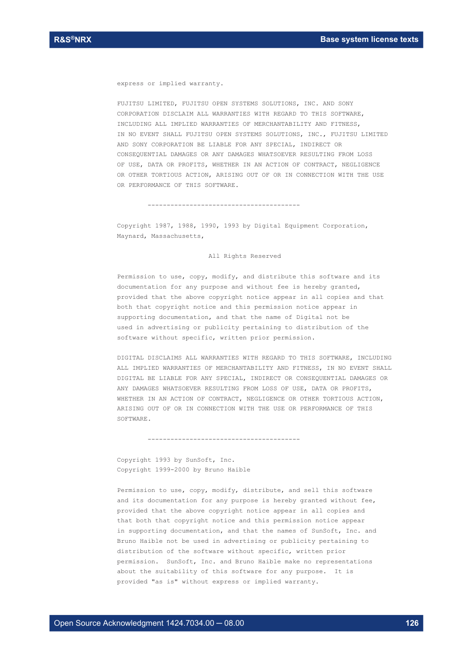express or implied warranty.

FUJITSU LIMITED, FUJITSU OPEN SYSTEMS SOLUTIONS, INC. AND SONY CORPORATION DISCLAIM ALL WARRANTIES WITH REGARD TO THIS SOFTWARE, INCLUDING ALL IMPLIED WARRANTIES OF MERCHANTABILITY AND FITNESS, IN NO EVENT SHALL FUJITSU OPEN SYSTEMS SOLUTIONS, INC., FUJITSU LIMITED AND SONY CORPORATION BE LIABLE FOR ANY SPECIAL, INDIRECT OR CONSEQUENTIAL DAMAGES OR ANY DAMAGES WHATSOEVER RESULTING FROM LOSS OF USE, DATA OR PROFITS, WHETHER IN AN ACTION OF CONTRACT, NEGLIGENCE OR OTHER TORTIOUS ACTION, ARISING OUT OF OR IN CONNECTION WITH THE USE OR PERFORMANCE OF THIS SOFTWARE.

----------------------------------------

Copyright 1987, 1988, 1990, 1993 by Digital Equipment Corporation, Maynard, Massachusetts,

## All Rights Reserved

Permission to use, copy, modify, and distribute this software and its documentation for any purpose and without fee is hereby granted, provided that the above copyright notice appear in all copies and that both that copyright notice and this permission notice appear in supporting documentation, and that the name of Digital not be used in advertising or publicity pertaining to distribution of the software without specific, written prior permission.

DIGITAL DISCLAIMS ALL WARRANTIES WITH REGARD TO THIS SOFTWARE, INCLUDING ALL IMPLIED WARRANTIES OF MERCHANTABILITY AND FITNESS, IN NO EVENT SHALL DIGITAL BE LIABLE FOR ANY SPECIAL, INDIRECT OR CONSEQUENTIAL DAMAGES OR ANY DAMAGES WHATSOEVER RESULTING FROM LOSS OF USE, DATA OR PROFITS, WHETHER IN AN ACTION OF CONTRACT, NEGLIGENCE OR OTHER TORTIOUS ACTION, ARISING OUT OF OR IN CONNECTION WITH THE USE OR PERFORMANCE OF THIS SOFTWARE.

----------------------------------------

Copyright 1993 by SunSoft, Inc. Copyright 1999-2000 by Bruno Haible

Permission to use, copy, modify, distribute, and sell this software and its documentation for any purpose is hereby granted without fee, provided that the above copyright notice appear in all copies and that both that copyright notice and this permission notice appear in supporting documentation, and that the names of SunSoft, Inc. and Bruno Haible not be used in advertising or publicity pertaining to distribution of the software without specific, written prior permission. SunSoft, Inc. and Bruno Haible make no representations about the suitability of this software for any purpose. It is provided "as is" without express or implied warranty.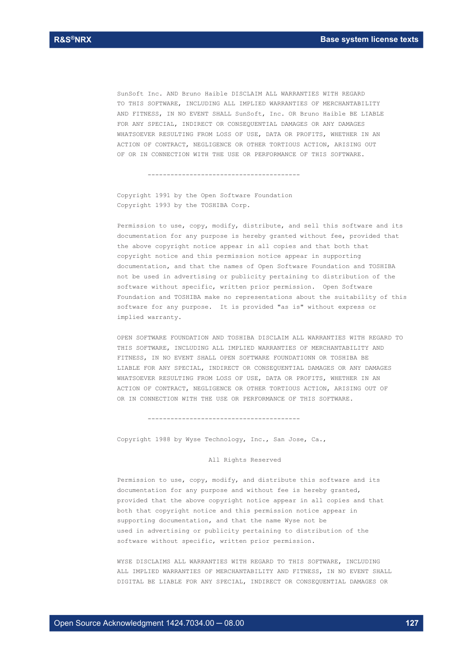SunSoft Inc. AND Bruno Haible DISCLAIM ALL WARRANTIES WITH REGARD TO THIS SOFTWARE, INCLUDING ALL IMPLIED WARRANTIES OF MERCHANTABILITY AND FITNESS, IN NO EVENT SHALL SunSoft, Inc. OR Bruno Haible BE LIABLE FOR ANY SPECIAL, INDIRECT OR CONSEQUENTIAL DAMAGES OR ANY DAMAGES WHATSOEVER RESULTING FROM LOSS OF USE, DATA OR PROFITS, WHETHER IN AN ACTION OF CONTRACT, NEGLIGENCE OR OTHER TORTIOUS ACTION, ARISING OUT OF OR IN CONNECTION WITH THE USE OR PERFORMANCE OF THIS SOFTWARE.

----------------------------------------

Copyright 1991 by the Open Software Foundation Copyright 1993 by the TOSHIBA Corp.

Permission to use, copy, modify, distribute, and sell this software and its documentation for any purpose is hereby granted without fee, provided that the above copyright notice appear in all copies and that both that copyright notice and this permission notice appear in supporting documentation, and that the names of Open Software Foundation and TOSHIBA not be used in advertising or publicity pertaining to distribution of the software without specific, written prior permission. Open Software Foundation and TOSHIBA make no representations about the suitability of this software for any purpose. It is provided "as is" without express or implied warranty.

OPEN SOFTWARE FOUNDATION AND TOSHIBA DISCLAIM ALL WARRANTIES WITH REGARD TO THIS SOFTWARE, INCLUDING ALL IMPLIED WARRANTIES OF MERCHANTABILITY AND FITNESS, IN NO EVENT SHALL OPEN SOFTWARE FOUNDATIONN OR TOSHIBA BE LIABLE FOR ANY SPECIAL, INDIRECT OR CONSEQUENTIAL DAMAGES OR ANY DAMAGES WHATSOEVER RESULTING FROM LOSS OF USE, DATA OR PROFITS, WHETHER IN AN ACTION OF CONTRACT, NEGLIGENCE OR OTHER TORTIOUS ACTION, ARISING OUT OF OR IN CONNECTION WITH THE USE OR PERFORMANCE OF THIS SOFTWARE.

----------------------------------------

Copyright 1988 by Wyse Technology, Inc., San Jose, Ca.,

### All Rights Reserved

Permission to use, copy, modify, and distribute this software and its documentation for any purpose and without fee is hereby granted, provided that the above copyright notice appear in all copies and that both that copyright notice and this permission notice appear in supporting documentation, and that the name Wyse not be used in advertising or publicity pertaining to distribution of the software without specific, written prior permission.

WYSE DISCLAIMS ALL WARRANTIES WITH REGARD TO THIS SOFTWARE, INCLUDING ALL IMPLIED WARRANTIES OF MERCHANTABILITY AND FITNESS, IN NO EVENT SHALL DIGITAL BE LIABLE FOR ANY SPECIAL, INDIRECT OR CONSEQUENTIAL DAMAGES OR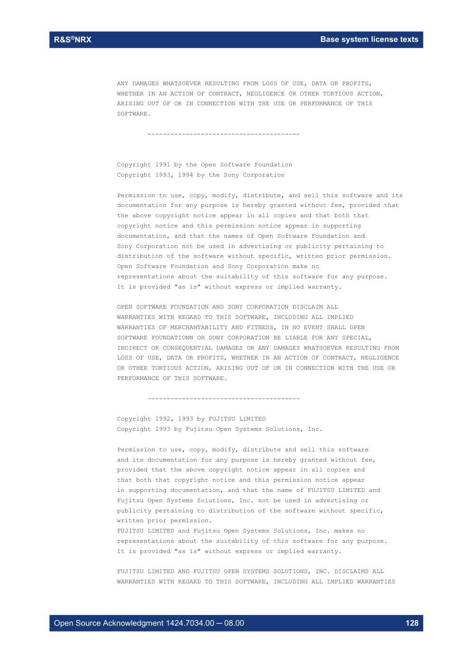ANY DAMAGES WHATSOEVER RESULTING FROM LOSS OF USE, DATA OR PROFITS, WHETHER IN AN ACTION OF CONTRACT, NEGLIGENCE OR OTHER TORTIOUS ACTION, ARISING OUT OF OR IN CONNECTION WITH THE USE OR PERFORMANCE OF THIS SOFTWARE.

Copyright 1991 by the Open Software Foundation Copyright 1993, 1994 by the Sony Corporation

----------------------------------------

Permission to use, copy, modify, distribute, and sell this software and its documentation for any purpose is hereby granted without fee, provided that the above copyright notice appear in all copies and that both that copyright notice and this permission notice appear in supporting documentation, and that the names of Open Software Foundation and Sony Corporation not be used in advertising or publicity pertaining to distribution of the software without specific, written prior permission. Open Software Foundation and Sony Corporation make no representations about the suitability of this software for any purpose. It is provided "as is" without express or implied warranty.

OPEN SOFTWARE FOUNDATION AND SONY CORPORATION DISCLAIM ALL WARRANTIES WITH REGARD TO THIS SOFTWARE, INCLUDING ALL IMPLIED WARRANTIES OF MERCHANTABILITY AND FITNESS, IN NO EVENT SHALL OPEN SOFTWARE FOUNDATIONN OR SONY CORPORATION BE LIABLE FOR ANY SPECIAL, INDIRECT OR CONSEQUENTIAL DAMAGES OR ANY DAMAGES WHATSOEVER RESULTING FROM LOSS OF USE, DATA OR PROFITS, WHETHER IN AN ACTION OF CONTRACT, NEGLIGENCE OR OTHER TORTIOUS ACTION, ARISING OUT OF OR IN CONNECTION WITH THE USE OR PERFORMANCE OF THIS SOFTWARE.

Copyright 1992, 1993 by FUJITSU LIMITED Copyright 1993 by Fujitsu Open Systems Solutions, Inc.

----------------------------------------

Permission to use, copy, modify, distribute and sell this software and its documentation for any purpose is hereby granted without fee, provided that the above copyright notice appear in all copies and that both that copyright notice and this permission notice appear in supporting documentation, and that the name of FUJITSU LIMITED and Fujitsu Open Systems Solutions, Inc. not be used in advertising or publicity pertaining to distribution of the software without specific, written prior permission.

FUJITSU LIMITED and Fujitsu Open Systems Solutions, Inc. makes no representations about the suitability of this software for any purpose. It is provided "as is" without express or implied warranty.

FUJITSU LIMITED AND FUJITSU OPEN SYSTEMS SOLUTIONS, INC. DISCLAIMS ALL WARRANTIES WITH REGARD TO THIS SOFTWARE, INCLUDING ALL IMPLIED WARRANTIES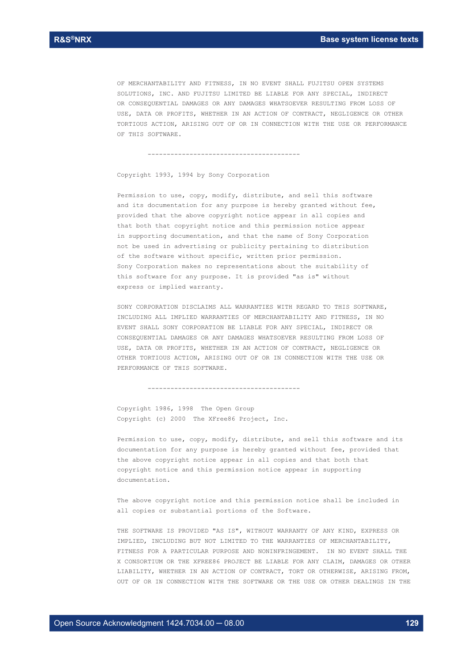OF MERCHANTABILITY AND FITNESS, IN NO EVENT SHALL FUJITSU OPEN SYSTEMS SOLUTIONS, INC. AND FUJITSU LIMITED BE LIABLE FOR ANY SPECIAL, INDIRECT OR CONSEQUENTIAL DAMAGES OR ANY DAMAGES WHATSOEVER RESULTING FROM LOSS OF USE, DATA OR PROFITS, WHETHER IN AN ACTION OF CONTRACT, NEGLIGENCE OR OTHER TORTIOUS ACTION, ARISING OUT OF OR IN CONNECTION WITH THE USE OR PERFORMANCE OF THIS SOFTWARE.

Copyright 1993, 1994 by Sony Corporation

----------------------------------------

Permission to use, copy, modify, distribute, and sell this software and its documentation for any purpose is hereby granted without fee, provided that the above copyright notice appear in all copies and that both that copyright notice and this permission notice appear in supporting documentation, and that the name of Sony Corporation not be used in advertising or publicity pertaining to distribution of the software without specific, written prior permission. Sony Corporation makes no representations about the suitability of this software for any purpose. It is provided "as is" without express or implied warranty.

SONY CORPORATION DISCLAIMS ALL WARRANTIES WITH REGARD TO THIS SOFTWARE, INCLUDING ALL IMPLIED WARRANTIES OF MERCHANTABILITY AND FITNESS, IN NO EVENT SHALL SONY CORPORATION BE LIABLE FOR ANY SPECIAL, INDIRECT OR CONSEQUENTIAL DAMAGES OR ANY DAMAGES WHATSOEVER RESULTING FROM LOSS OF USE, DATA OR PROFITS, WHETHER IN AN ACTION OF CONTRACT, NEGLIGENCE OR OTHER TORTIOUS ACTION, ARISING OUT OF OR IN CONNECTION WITH THE USE OR PERFORMANCE OF THIS SOFTWARE.

----------------------------------------

Copyright 1986, 1998 The Open Group Copyright (c) 2000 The XFree86 Project, Inc.

Permission to use, copy, modify, distribute, and sell this software and its documentation for any purpose is hereby granted without fee, provided that the above copyright notice appear in all copies and that both that copyright notice and this permission notice appear in supporting documentation.

The above copyright notice and this permission notice shall be included in all copies or substantial portions of the Software.

THE SOFTWARE IS PROVIDED "AS IS", WITHOUT WARRANTY OF ANY KIND, EXPRESS OR IMPLIED, INCLUDING BUT NOT LIMITED TO THE WARRANTIES OF MERCHANTABILITY, FITNESS FOR A PARTICULAR PURPOSE AND NONINFRINGEMENT. IN NO EVENT SHALL THE X CONSORTIUM OR THE XFREE86 PROJECT BE LIABLE FOR ANY CLAIM, DAMAGES OR OTHER LIABILITY, WHETHER IN AN ACTION OF CONTRACT, TORT OR OTHERWISE, ARISING FROM, OUT OF OR IN CONNECTION WITH THE SOFTWARE OR THE USE OR OTHER DEALINGS IN THE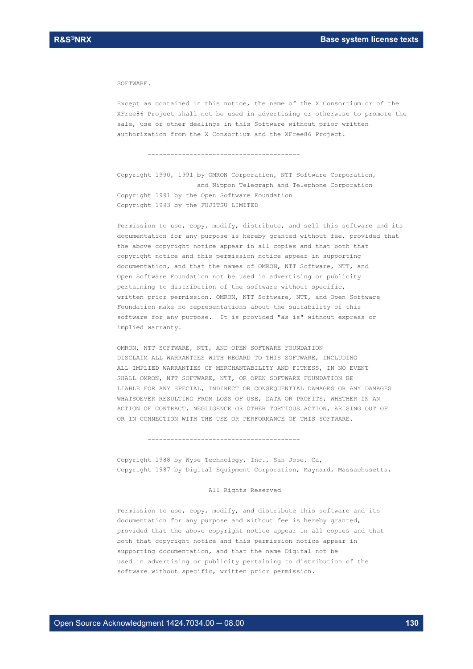## SOFTWARE.

Except as contained in this notice, the name of the X Consortium or of the XFree86 Project shall not be used in advertising or otherwise to promote the sale, use or other dealings in this Software without prior written authorization from the X Consortium and the XFree86 Project.

Copyright 1990, 1991 by OMRON Corporation, NTT Software Corporation, and Nippon Telegraph and Telephone Corporation Copyright 1991 by the Open Software Foundation Copyright 1993 by the FUJITSU LIMITED

----------------------------------------

Permission to use, copy, modify, distribute, and sell this software and its documentation for any purpose is hereby granted without fee, provided that the above copyright notice appear in all copies and that both that copyright notice and this permission notice appear in supporting documentation, and that the names of OMRON, NTT Software, NTT, and Open Software Foundation not be used in advertising or publicity pertaining to distribution of the software without specific, written prior permission. OMRON, NTT Software, NTT, and Open Software Foundation make no representations about the suitability of this software for any purpose. It is provided "as is" without express or implied warranty.

OMRON, NTT SOFTWARE, NTT, AND OPEN SOFTWARE FOUNDATION DISCLAIM ALL WARRANTIES WITH REGARD TO THIS SOFTWARE, INCLUDING ALL IMPLIED WARRANTIES OF MERCHANTABILITY AND FITNESS, IN NO EVENT SHALL OMRON, NTT SOFTWARE, NTT, OR OPEN SOFTWARE FOUNDATION BE LIABLE FOR ANY SPECIAL, INDIRECT OR CONSEQUENTIAL DAMAGES OR ANY DAMAGES WHATSOEVER RESULTING FROM LOSS OF USE, DATA OR PROFITS, WHETHER IN AN ACTION OF CONTRACT, NEGLIGENCE OR OTHER TORTIOUS ACTION, ARISING OUT OF OR IN CONNECTION WITH THE USE OR PERFORMANCE OF THIS SOFTWARE.

Copyright 1988 by Wyse Technology, Inc., San Jose, Ca, Copyright 1987 by Digital Equipment Corporation, Maynard, Massachusetts,

### All Rights Reserved

----------------------------------------

Permission to use, copy, modify, and distribute this software and its documentation for any purpose and without fee is hereby granted, provided that the above copyright notice appear in all copies and that both that copyright notice and this permission notice appear in supporting documentation, and that the name Digital not be used in advertising or publicity pertaining to distribution of the software without specific, written prior permission.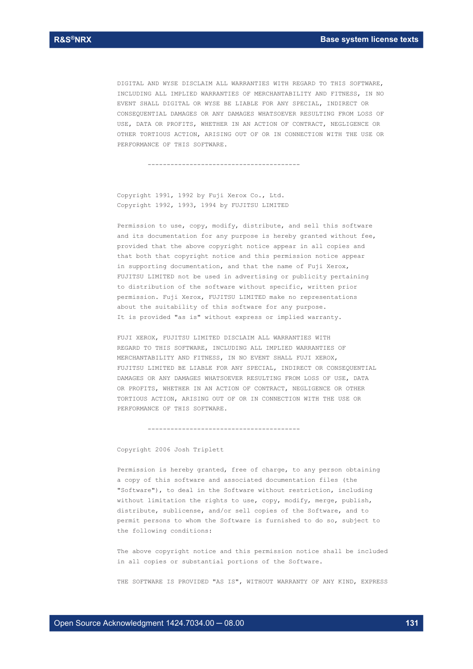DIGITAL AND WYSE DISCLAIM ALL WARRANTIES WITH REGARD TO THIS SOFTWARE, INCLUDING ALL IMPLIED WARRANTIES OF MERCHANTABILITY AND FITNESS, IN NO EVENT SHALL DIGITAL OR WYSE BE LIABLE FOR ANY SPECIAL, INDIRECT OR CONSEQUENTIAL DAMAGES OR ANY DAMAGES WHATSOEVER RESULTING FROM LOSS OF USE, DATA OR PROFITS, WHETHER IN AN ACTION OF CONTRACT, NEGLIGENCE OR OTHER TORTIOUS ACTION, ARISING OUT OF OR IN CONNECTION WITH THE USE OR PERFORMANCE OF THIS SOFTWARE.

----------------------------------------

Copyright 1991, 1992 by Fuji Xerox Co., Ltd. Copyright 1992, 1993, 1994 by FUJITSU LIMITED

Permission to use, copy, modify, distribute, and sell this software and its documentation for any purpose is hereby granted without fee, provided that the above copyright notice appear in all copies and that both that copyright notice and this permission notice appear in supporting documentation, and that the name of Fuji Xerox, FUJITSU LIMITED not be used in advertising or publicity pertaining to distribution of the software without specific, written prior permission. Fuji Xerox, FUJITSU LIMITED make no representations about the suitability of this software for any purpose. It is provided "as is" without express or implied warranty.

FUJI XEROX, FUJITSU LIMITED DISCLAIM ALL WARRANTIES WITH REGARD TO THIS SOFTWARE, INCLUDING ALL IMPLIED WARRANTIES OF MERCHANTABILITY AND FITNESS, IN NO EVENT SHALL FUJI XEROX, FUJITSU LIMITED BE LIABLE FOR ANY SPECIAL, INDIRECT OR CONSEQUENTIAL DAMAGES OR ANY DAMAGES WHATSOEVER RESULTING FROM LOSS OF USE, DATA OR PROFITS, WHETHER IN AN ACTION OF CONTRACT, NEGLIGENCE OR OTHER TORTIOUS ACTION, ARISING OUT OF OR IN CONNECTION WITH THE USE OR PERFORMANCE OF THIS SOFTWARE.

----------------------------------------

Copyright 2006 Josh Triplett

Permission is hereby granted, free of charge, to any person obtaining a copy of this software and associated documentation files (the "Software"), to deal in the Software without restriction, including without limitation the rights to use, copy, modify, merge, publish, distribute, sublicense, and/or sell copies of the Software, and to permit persons to whom the Software is furnished to do so, subject to the following conditions:

The above copyright notice and this permission notice shall be included in all copies or substantial portions of the Software.

THE SOFTWARE IS PROVIDED "AS IS", WITHOUT WARRANTY OF ANY KIND, EXPRESS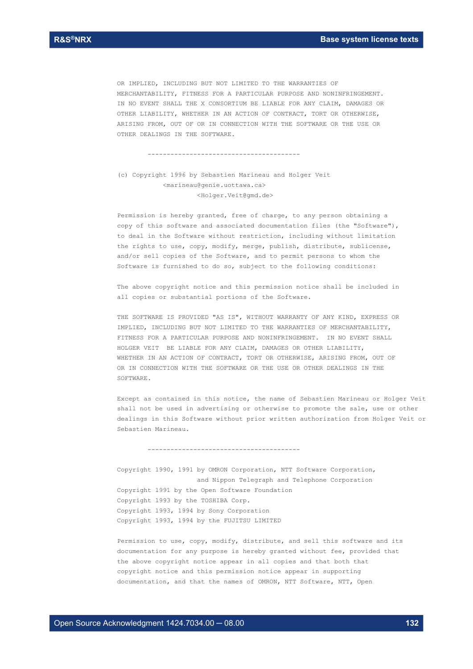OR IMPLIED, INCLUDING BUT NOT LIMITED TO THE WARRANTIES OF MERCHANTABILITY, FITNESS FOR A PARTICULAR PURPOSE AND NONINFRINGEMENT. IN NO EVENT SHALL THE X CONSORTIUM BE LIABLE FOR ANY CLAIM, DAMAGES OR OTHER LIABILITY, WHETHER IN AN ACTION OF CONTRACT, TORT OR OTHERWISE, ARISING FROM, OUT OF OR IN CONNECTION WITH THE SOFTWARE OR THE USE OR OTHER DEALINGS IN THE SOFTWARE.

(c) Copyright 1996 by Sebastien Marineau and Holger Veit <marineau@genie.uottawa.ca> <Holger.Veit@gmd.de>

----------------------------------------

Permission is hereby granted, free of charge, to any person obtaining a copy of this software and associated documentation files (the "Software"), to deal in the Software without restriction, including without limitation the rights to use, copy, modify, merge, publish, distribute, sublicense, and/or sell copies of the Software, and to permit persons to whom the Software is furnished to do so, subject to the following conditions:

The above copyright notice and this permission notice shall be included in all copies or substantial portions of the Software.

THE SOFTWARE IS PROVIDED "AS IS", WITHOUT WARRANTY OF ANY KIND, EXPRESS OR IMPLIED, INCLUDING BUT NOT LIMITED TO THE WARRANTIES OF MERCHANTABILITY, FITNESS FOR A PARTICULAR PURPOSE AND NONINFRINGEMENT. IN NO EVENT SHALL HOLGER VEIT BE LIABLE FOR ANY CLAIM, DAMAGES OR OTHER LIABILITY, WHETHER IN AN ACTION OF CONTRACT, TORT OR OTHERWISE, ARISING FROM, OUT OF OR IN CONNECTION WITH THE SOFTWARE OR THE USE OR OTHER DEALINGS IN THE SOFTWARE.

Except as contained in this notice, the name of Sebastien Marineau or Holger Veit shall not be used in advertising or otherwise to promote the sale, use or other dealings in this Software without prior written authorization from Holger Veit or Sebastien Marineau.

Copyright 1990, 1991 by OMRON Corporation, NTT Software Corporation, and Nippon Telegraph and Telephone Corporation Copyright 1991 by the Open Software Foundation Copyright 1993 by the TOSHIBA Corp.

----------------------------------------

Copyright 1993, 1994 by Sony Corporation Copyright 1993, 1994 by the FUJITSU LIMITED

Permission to use, copy, modify, distribute, and sell this software and its documentation for any purpose is hereby granted without fee, provided that the above copyright notice appear in all copies and that both that copyright notice and this permission notice appear in supporting documentation, and that the names of OMRON, NTT Software, NTT, Open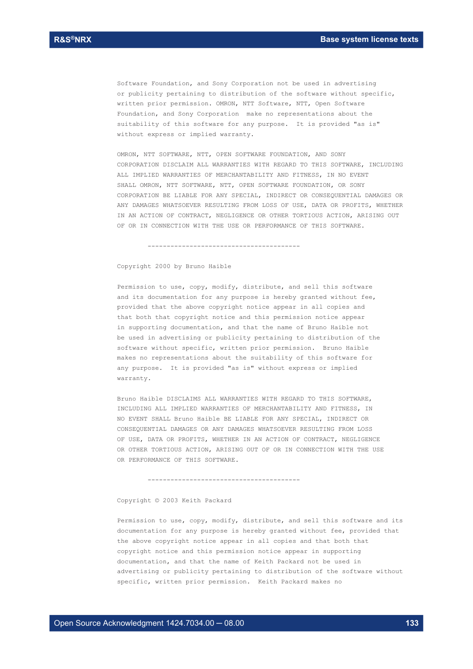Software Foundation, and Sony Corporation not be used in advertising or publicity pertaining to distribution of the software without specific, written prior permission. OMRON, NTT Software, NTT, Open Software Foundation, and Sony Corporation make no representations about the suitability of this software for any purpose. It is provided "as is" without express or implied warranty.

OMRON, NTT SOFTWARE, NTT, OPEN SOFTWARE FOUNDATION, AND SONY CORPORATION DISCLAIM ALL WARRANTIES WITH REGARD TO THIS SOFTWARE, INCLUDING ALL IMPLIED WARRANTIES OF MERCHANTABILITY AND FITNESS, IN NO EVENT SHALL OMRON, NTT SOFTWARE, NTT, OPEN SOFTWARE FOUNDATION, OR SONY CORPORATION BE LIABLE FOR ANY SPECIAL, INDIRECT OR CONSEQUENTIAL DAMAGES OR ANY DAMAGES WHATSOEVER RESULTING FROM LOSS OF USE, DATA OR PROFITS, WHETHER IN AN ACTION OF CONTRACT, NEGLIGENCE OR OTHER TORTIOUS ACTION, ARISING OUT OF OR IN CONNECTION WITH THE USE OR PERFORMANCE OF THIS SOFTWARE.

Copyright 2000 by Bruno Haible

Permission to use, copy, modify, distribute, and sell this software and its documentation for any purpose is hereby granted without fee, provided that the above copyright notice appear in all copies and that both that copyright notice and this permission notice appear in supporting documentation, and that the name of Bruno Haible not be used in advertising or publicity pertaining to distribution of the software without specific, written prior permission. Bruno Haible makes no representations about the suitability of this software for any purpose. It is provided "as is" without express or implied warranty.

----------------------------------------

Bruno Haible DISCLAIMS ALL WARRANTIES WITH REGARD TO THIS SOFTWARE, INCLUDING ALL IMPLIED WARRANTIES OF MERCHANTABILITY AND FITNESS, IN NO EVENT SHALL Bruno Haible BE LIABLE FOR ANY SPECIAL, INDIRECT OR CONSEQUENTIAL DAMAGES OR ANY DAMAGES WHATSOEVER RESULTING FROM LOSS OF USE, DATA OR PROFITS, WHETHER IN AN ACTION OF CONTRACT, NEGLIGENCE OR OTHER TORTIOUS ACTION, ARISING OUT OF OR IN CONNECTION WITH THE USE OR PERFORMANCE OF THIS SOFTWARE.

----------------------------------------

Copyright © 2003 Keith Packard

Permission to use, copy, modify, distribute, and sell this software and its documentation for any purpose is hereby granted without fee, provided that the above copyright notice appear in all copies and that both that copyright notice and this permission notice appear in supporting documentation, and that the name of Keith Packard not be used in advertising or publicity pertaining to distribution of the software without specific, written prior permission. Keith Packard makes no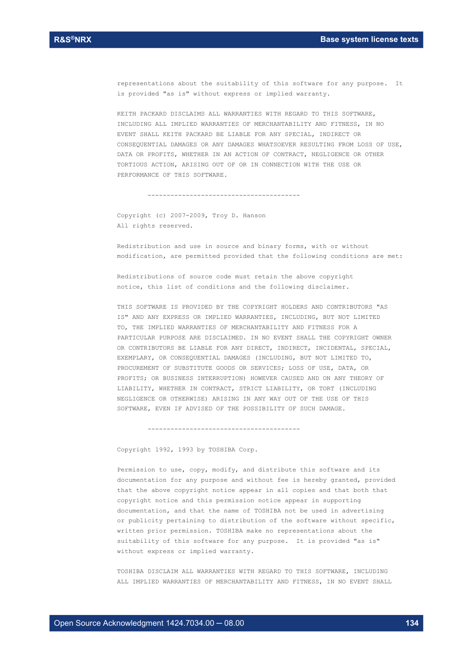representations about the suitability of this software for any purpose. It is provided "as is" without express or implied warranty.

KEITH PACKARD DISCLAIMS ALL WARRANTIES WITH REGARD TO THIS SOFTWARE, INCLUDING ALL IMPLIED WARRANTIES OF MERCHANTABILITY AND FITNESS, IN NO EVENT SHALL KEITH PACKARD BE LIABLE FOR ANY SPECIAL, INDIRECT OR CONSEQUENTIAL DAMAGES OR ANY DAMAGES WHATSOEVER RESULTING FROM LOSS OF USE, DATA OR PROFITS, WHETHER IN AN ACTION OF CONTRACT, NEGLIGENCE OR OTHER TORTIOUS ACTION, ARISING OUT OF OR IN CONNECTION WITH THE USE OR PERFORMANCE OF THIS SOFTWARE.

----------------------------------------

Copyright (c) 2007-2009, Troy D. Hanson All rights reserved.

Redistribution and use in source and binary forms, with or without modification, are permitted provided that the following conditions are met:

Redistributions of source code must retain the above copyright notice, this list of conditions and the following disclaimer.

THIS SOFTWARE IS PROVIDED BY THE COPYRIGHT HOLDERS AND CONTRIBUTORS "AS IS" AND ANY EXPRESS OR IMPLIED WARRANTIES, INCLUDING, BUT NOT LIMITED TO, THE IMPLIED WARRANTIES OF MERCHANTABILITY AND FITNESS FOR A PARTICULAR PURPOSE ARE DISCLAIMED. IN NO EVENT SHALL THE COPYRIGHT OWNER OR CONTRIBUTORS BE LIABLE FOR ANY DIRECT, INDIRECT, INCIDENTAL, SPECIAL, EXEMPLARY, OR CONSEQUENTIAL DAMAGES (INCLUDING, BUT NOT LIMITED TO, PROCUREMENT OF SUBSTITUTE GOODS OR SERVICES; LOSS OF USE, DATA, OR PROFITS; OR BUSINESS INTERRUPTION) HOWEVER CAUSED AND ON ANY THEORY OF LIABILITY, WHETHER IN CONTRACT, STRICT LIABILITY, OR TORT (INCLUDING NEGLIGENCE OR OTHERWISE) ARISING IN ANY WAY OUT OF THE USE OF THIS SOFTWARE, EVEN IF ADVISED OF THE POSSIBILITY OF SUCH DAMAGE.

----------------------------------------

Copyright 1992, 1993 by TOSHIBA Corp.

Permission to use, copy, modify, and distribute this software and its documentation for any purpose and without fee is hereby granted, provided that the above copyright notice appear in all copies and that both that copyright notice and this permission notice appear in supporting documentation, and that the name of TOSHIBA not be used in advertising or publicity pertaining to distribution of the software without specific, written prior permission. TOSHIBA make no representations about the suitability of this software for any purpose. It is provided "as is" without express or implied warranty.

TOSHIBA DISCLAIM ALL WARRANTIES WITH REGARD TO THIS SOFTWARE, INCLUDING ALL IMPLIED WARRANTIES OF MERCHANTABILITY AND FITNESS, IN NO EVENT SHALL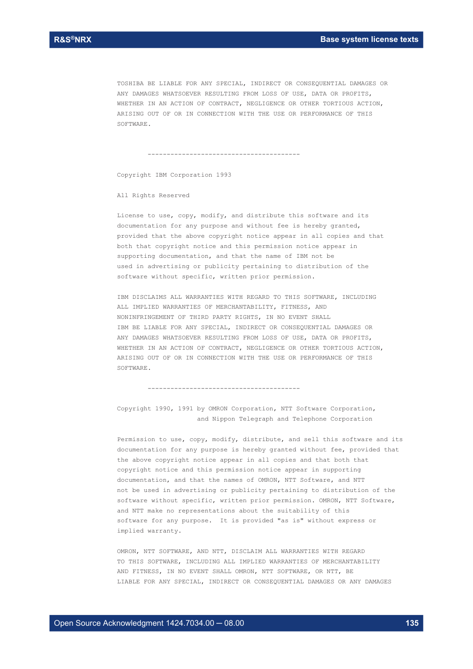TOSHIBA BE LIABLE FOR ANY SPECIAL, INDIRECT OR CONSEQUENTIAL DAMAGES OR ANY DAMAGES WHATSOEVER RESULTING FROM LOSS OF USE, DATA OR PROFITS, WHETHER IN AN ACTION OF CONTRACT, NEGLIGENCE OR OTHER TORTIOUS ACTION, ARISING OUT OF OR IN CONNECTION WITH THE USE OR PERFORMANCE OF THIS SOFTWARE.

----------------------------------------

Copyright IBM Corporation 1993

All Rights Reserved

License to use, copy, modify, and distribute this software and its documentation for any purpose and without fee is hereby granted, provided that the above copyright notice appear in all copies and that both that copyright notice and this permission notice appear in supporting documentation, and that the name of IBM not be used in advertising or publicity pertaining to distribution of the software without specific, written prior permission.

IBM DISCLAIMS ALL WARRANTIES WITH REGARD TO THIS SOFTWARE, INCLUDING ALL IMPLIED WARRANTIES OF MERCHANTABILITY, FITNESS, AND NONINFRINGEMENT OF THIRD PARTY RIGHTS, IN NO EVENT SHALL IBM BE LIABLE FOR ANY SPECIAL, INDIRECT OR CONSEQUENTIAL DAMAGES OR ANY DAMAGES WHATSOEVER RESULTING FROM LOSS OF USE, DATA OR PROFITS, WHETHER IN AN ACTION OF CONTRACT, NEGLIGENCE OR OTHER TORTIOUS ACTION, ARISING OUT OF OR IN CONNECTION WITH THE USE OR PERFORMANCE OF THIS SOFTWARE.

----------------------------------------

Copyright 1990, 1991 by OMRON Corporation, NTT Software Corporation, and Nippon Telegraph and Telephone Corporation

Permission to use, copy, modify, distribute, and sell this software and its documentation for any purpose is hereby granted without fee, provided that the above copyright notice appear in all copies and that both that copyright notice and this permission notice appear in supporting documentation, and that the names of OMRON, NTT Software, and NTT not be used in advertising or publicity pertaining to distribution of the software without specific, written prior permission. OMRON, NTT Software, and NTT make no representations about the suitability of this software for any purpose. It is provided "as is" without express or implied warranty.

OMRON, NTT SOFTWARE, AND NTT, DISCLAIM ALL WARRANTIES WITH REGARD TO THIS SOFTWARE, INCLUDING ALL IMPLIED WARRANTIES OF MERCHANTABILITY AND FITNESS, IN NO EVENT SHALL OMRON, NTT SOFTWARE, OR NTT, BE LIABLE FOR ANY SPECIAL, INDIRECT OR CONSEQUENTIAL DAMAGES OR ANY DAMAGES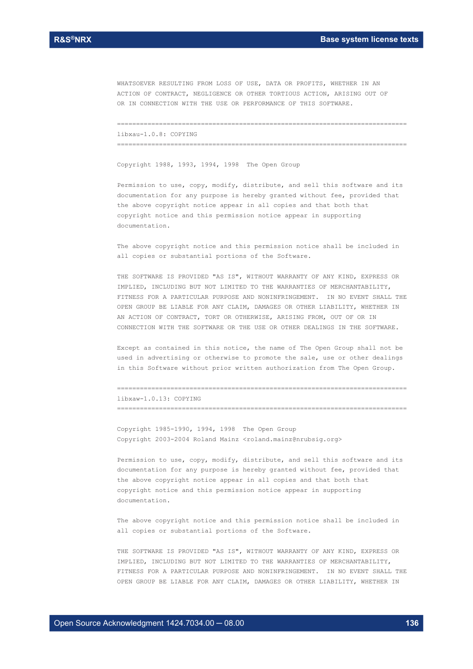WHATSOEVER RESULTING FROM LOSS OF USE, DATA OR PROFITS, WHETHER IN AN ACTION OF CONTRACT, NEGLIGENCE OR OTHER TORTIOUS ACTION, ARISING OUT OF OR IN CONNECTION WITH THE USE OR PERFORMANCE OF THIS SOFTWARE.

```
============================================================================
libxau-1.0.8: COPYING
============================================================================
```
Copyright 1988, 1993, 1994, 1998 The Open Group

Permission to use, copy, modify, distribute, and sell this software and its documentation for any purpose is hereby granted without fee, provided that the above copyright notice appear in all copies and that both that copyright notice and this permission notice appear in supporting documentation.

The above copyright notice and this permission notice shall be included in all copies or substantial portions of the Software.

THE SOFTWARE IS PROVIDED "AS IS", WITHOUT WARRANTY OF ANY KIND, EXPRESS OR IMPLIED, INCLUDING BUT NOT LIMITED TO THE WARRANTIES OF MERCHANTABILITY, FITNESS FOR A PARTICULAR PURPOSE AND NONINFRINGEMENT. IN NO EVENT SHALL THE OPEN GROUP BE LIABLE FOR ANY CLAIM, DAMAGES OR OTHER LIABILITY, WHETHER IN AN ACTION OF CONTRACT, TORT OR OTHERWISE, ARISING FROM, OUT OF OR IN CONNECTION WITH THE SOFTWARE OR THE USE OR OTHER DEALINGS IN THE SOFTWARE.

Except as contained in this notice, the name of The Open Group shall not be used in advertising or otherwise to promote the sale, use or other dealings in this Software without prior written authorization from The Open Group.

============================================================================ libxaw-1.0.13: COPYING ============================================================================

Copyright 1985-1990, 1994, 1998 The Open Group Copyright 2003-2004 Roland Mainz <roland.mainz@nrubsig.org>

Permission to use, copy, modify, distribute, and sell this software and its documentation for any purpose is hereby granted without fee, provided that the above copyright notice appear in all copies and that both that copyright notice and this permission notice appear in supporting documentation.

The above copyright notice and this permission notice shall be included in all copies or substantial portions of the Software.

THE SOFTWARE IS PROVIDED "AS IS", WITHOUT WARRANTY OF ANY KIND, EXPRESS OR IMPLIED, INCLUDING BUT NOT LIMITED TO THE WARRANTIES OF MERCHANTABILITY, FITNESS FOR A PARTICULAR PURPOSE AND NONINFRINGEMENT. IN NO EVENT SHALL THE OPEN GROUP BE LIABLE FOR ANY CLAIM, DAMAGES OR OTHER LIABILITY, WHETHER IN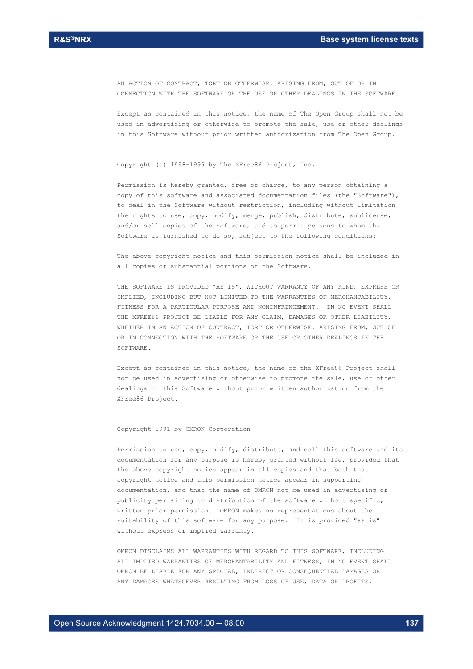AN ACTION OF CONTRACT, TORT OR OTHERWISE, ARISING FROM, OUT OF OR IN CONNECTION WITH THE SOFTWARE OR THE USE OR OTHER DEALINGS IN THE SOFTWARE.

Except as contained in this notice, the name of The Open Group shall not be used in advertising or otherwise to promote the sale, use or other dealings in this Software without prior written authorization from The Open Group.

Copyright (c) 1998-1999 by The XFree86 Project, Inc.

Permission is hereby granted, free of charge, to any person obtaining a copy of this software and associated documentation files (the "Software"), to deal in the Software without restriction, including without limitation the rights to use, copy, modify, merge, publish, distribute, sublicense, and/or sell copies of the Software, and to permit persons to whom the Software is furnished to do so, subject to the following conditions:

The above copyright notice and this permission notice shall be included in all copies or substantial portions of the Software.

THE SOFTWARE IS PROVIDED "AS IS", WITHOUT WARRANTY OF ANY KIND, EXPRESS OR IMPLIED, INCLUDING BUT NOT LIMITED TO THE WARRANTIES OF MERCHANTABILITY, FITNESS FOR A PARTICULAR PURPOSE AND NONINFRINGEMENT. IN NO EVENT SHALL THE XFREE86 PROJECT BE LIABLE FOR ANY CLAIM, DAMAGES OR OTHER LIABILITY, WHETHER IN AN ACTION OF CONTRACT, TORT OR OTHERWISE, ARISING FROM, OUT OF OR IN CONNECTION WITH THE SOFTWARE OR THE USE OR OTHER DEALINGS IN THE SOFTWARE.

Except as contained in this notice, the name of the XFree86 Project shall not be used in advertising or otherwise to promote the sale, use or other dealings in this Software without prior written authorization from the XFree86 Project.

Copyright 1991 by OMRON Corporation

Permission to use, copy, modify, distribute, and sell this software and its documentation for any purpose is hereby granted without fee, provided that the above copyright notice appear in all copies and that both that copyright notice and this permission notice appear in supporting documentation, and that the name of OMRON not be used in advertising or publicity pertaining to distribution of the software without specific, written prior permission. OMRON makes no representations about the suitability of this software for any purpose. It is provided "as is" without express or implied warranty.

OMRON DISCLAIMS ALL WARRANTIES WITH REGARD TO THIS SOFTWARE, INCLUDING ALL IMPLIED WARRANTIES OF MERCHANTABILITY AND FITNESS, IN NO EVENT SHALL OMRON BE LIABLE FOR ANY SPECIAL, INDIRECT OR CONSEQUENTIAL DAMAGES OR ANY DAMAGES WHATSOEVER RESULTING FROM LOSS OF USE, DATA OR PROFITS,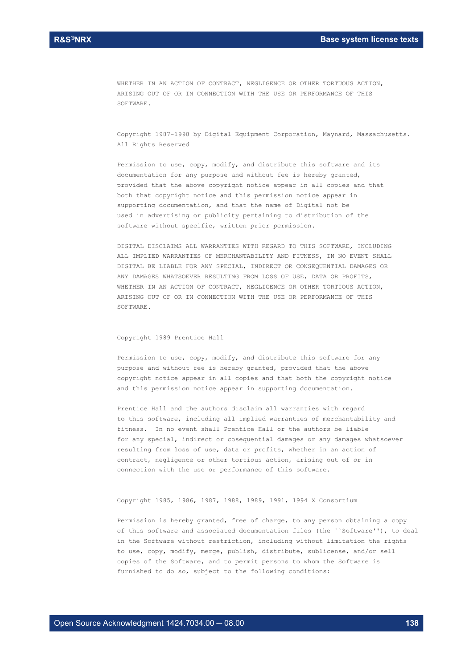WHETHER IN AN ACTION OF CONTRACT, NEGLIGENCE OR OTHER TORTUOUS ACTION, ARISING OUT OF OR IN CONNECTION WITH THE USE OR PERFORMANCE OF THIS SOFTWARE.

Copyright 1987-1998 by Digital Equipment Corporation, Maynard, Massachusetts. All Rights Reserved

Permission to use, copy, modify, and distribute this software and its documentation for any purpose and without fee is hereby granted, provided that the above copyright notice appear in all copies and that both that copyright notice and this permission notice appear in supporting documentation, and that the name of Digital not be used in advertising or publicity pertaining to distribution of the software without specific, written prior permission.

DIGITAL DISCLAIMS ALL WARRANTIES WITH REGARD TO THIS SOFTWARE, INCLUDING ALL IMPLIED WARRANTIES OF MERCHANTABILITY AND FITNESS, IN NO EVENT SHALL DIGITAL BE LIABLE FOR ANY SPECIAL, INDIRECT OR CONSEQUENTIAL DAMAGES OR ANY DAMAGES WHATSOEVER RESULTING FROM LOSS OF USE, DATA OR PROFITS, WHETHER IN AN ACTION OF CONTRACT, NEGLIGENCE OR OTHER TORTIOUS ACTION, ARISING OUT OF OR IN CONNECTION WITH THE USE OR PERFORMANCE OF THIS SOFTWARE.

# Copyright 1989 Prentice Hall

Permission to use, copy, modify, and distribute this software for any purpose and without fee is hereby granted, provided that the above copyright notice appear in all copies and that both the copyright notice and this permission notice appear in supporting documentation.

Prentice Hall and the authors disclaim all warranties with regard to this software, including all implied warranties of merchantability and fitness. In no event shall Prentice Hall or the authors be liable for any special, indirect or cosequential damages or any damages whatsoever resulting from loss of use, data or profits, whether in an action of contract, negligence or other tortious action, arising out of or in connection with the use or performance of this software.

# Copyright 1985, 1986, 1987, 1988, 1989, 1991, 1994 X Consortium

Permission is hereby granted, free of charge, to any person obtaining a copy of this software and associated documentation files (the ``Software''), to deal in the Software without restriction, including without limitation the rights to use, copy, modify, merge, publish, distribute, sublicense, and/or sell copies of the Software, and to permit persons to whom the Software is furnished to do so, subject to the following conditions: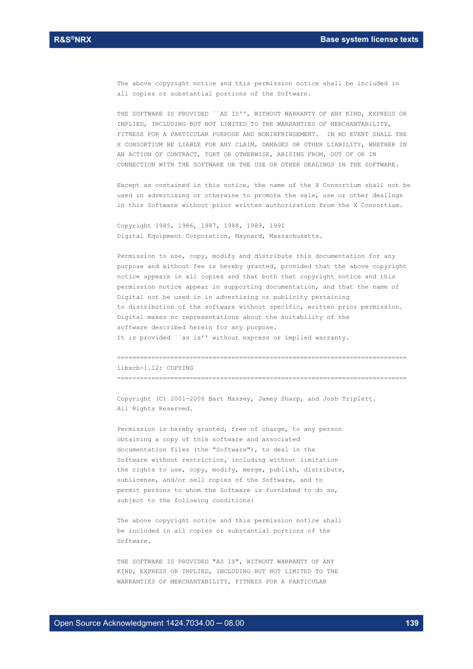The above copyright notice and this permission notice shall be included in all copies or substantial portions of the Software.

THE SOFTWARE IS PROVIDED ``AS IS'', WITHOUT WARRANTY OF ANY KIND, EXPRESS OR IMPLIED, INCLUDING BUT NOT LIMITED TO THE WARRANTIES OF MERCHANTABILITY, FITNESS FOR A PARTICULAR PURPOSE AND NONINFRINGEMENT. IN NO EVENT SHALL THE X CONSORTIUM BE LIABLE FOR ANY CLAIM, DAMAGES OR OTHER LIABILITY, WHETHER IN AN ACTION OF CONTRACT, TORT OR OTHERWISE, ARISING FROM, OUT OF OR IN CONNECTION WITH THE SOFTWARE OR THE USE OR OTHER DEALINGS IN THE SOFTWARE.

Except as contained in this notice, the name of the X Consortium shall not be used in advertising or otherwise to promote the sale, use or other dealings in this Software without prior written authorization from the X Consortium.

Copyright 1985, 1986, 1987, 1988, 1989, 1991 Digital Equipment Corporation, Maynard, Massachusetts.

Permission to use, copy, modify and distribute this documentation for any purpose and without fee is hereby granted, provided that the above copyright notice appears in all copies and that both that copyright notice and this permission notice appear in supporting documentation, and that the name of Digital not be used in in advertising or publicity pertaining to distribution of the software without specific, written prior permission. Digital makes no representations about the suitability of the software described herein for any purpose. It is provided ``as is'' without express or implied warranty.

```
============================================================================
libxcb-1.12: COPYING
============================================================================
```
Copyright (C) 2001-2006 Bart Massey, Jamey Sharp, and Josh Triplett. All Rights Reserved.

Permission is hereby granted, free of charge, to any person obtaining a copy of this software and associated documentation files (the "Software"), to deal in the Software without restriction, including without limitation the rights to use, copy, modify, merge, publish, distribute, sublicense, and/or sell copies of the Software, and to permit persons to whom the Software is furnished to do so, subject to the following conditions:

The above copyright notice and this permission notice shall be included in all copies or substantial portions of the Software.

THE SOFTWARE IS PROVIDED "AS IS", WITHOUT WARRANTY OF ANY KIND, EXPRESS OR IMPLIED, INCLUDING BUT NOT LIMITED TO THE WARRANTIES OF MERCHANTABILITY, FITNESS FOR A PARTICULAR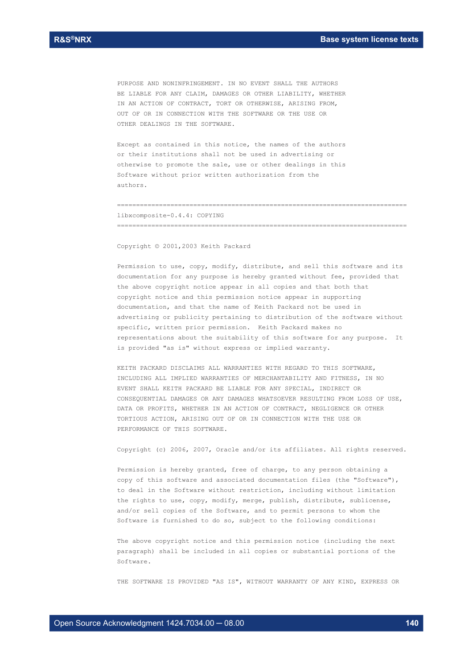PURPOSE AND NONINFRINGEMENT. IN NO EVENT SHALL THE AUTHORS BE LIABLE FOR ANY CLAIM, DAMAGES OR OTHER LIABILITY, WHETHER IN AN ACTION OF CONTRACT, TORT OR OTHERWISE, ARISING FROM, OUT OF OR IN CONNECTION WITH THE SOFTWARE OR THE USE OR OTHER DEALINGS IN THE SOFTWARE.

Except as contained in this notice, the names of the authors or their institutions shall not be used in advertising or otherwise to promote the sale, use or other dealings in this Software without prior written authorization from the authors.

============================================================================ libxcomposite-0.4.4: COPYING ============================================================================

Copyright © 2001,2003 Keith Packard

Permission to use, copy, modify, distribute, and sell this software and its documentation for any purpose is hereby granted without fee, provided that the above copyright notice appear in all copies and that both that copyright notice and this permission notice appear in supporting documentation, and that the name of Keith Packard not be used in advertising or publicity pertaining to distribution of the software without specific, written prior permission. Keith Packard makes no representations about the suitability of this software for any purpose. It is provided "as is" without express or implied warranty.

KEITH PACKARD DISCLAIMS ALL WARRANTIES WITH REGARD TO THIS SOFTWARE, INCLUDING ALL IMPLIED WARRANTIES OF MERCHANTABILITY AND FITNESS, IN NO EVENT SHALL KEITH PACKARD BE LIABLE FOR ANY SPECIAL, INDIRECT OR CONSEQUENTIAL DAMAGES OR ANY DAMAGES WHATSOEVER RESULTING FROM LOSS OF USE, DATA OR PROFITS, WHETHER IN AN ACTION OF CONTRACT, NEGLIGENCE OR OTHER TORTIOUS ACTION, ARISING OUT OF OR IN CONNECTION WITH THE USE OR PERFORMANCE OF THIS SOFTWARE.

Copyright (c) 2006, 2007, Oracle and/or its affiliates. All rights reserved.

Permission is hereby granted, free of charge, to any person obtaining a copy of this software and associated documentation files (the "Software"), to deal in the Software without restriction, including without limitation the rights to use, copy, modify, merge, publish, distribute, sublicense, and/or sell copies of the Software, and to permit persons to whom the Software is furnished to do so, subject to the following conditions:

The above copyright notice and this permission notice (including the next paragraph) shall be included in all copies or substantial portions of the Software.

THE SOFTWARE IS PROVIDED "AS IS", WITHOUT WARRANTY OF ANY KIND, EXPRESS OR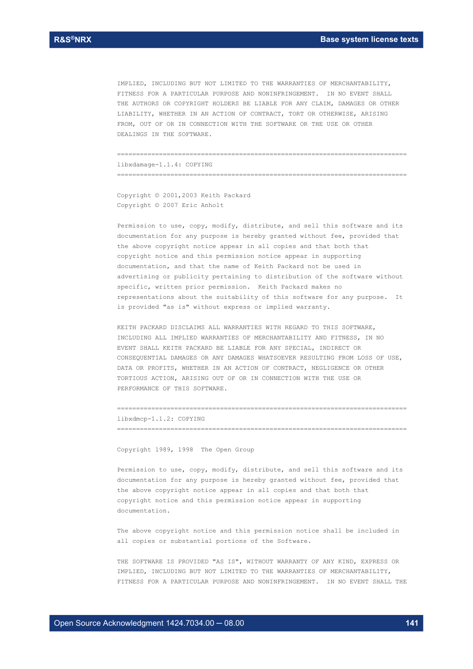IMPLIED, INCLUDING BUT NOT LIMITED TO THE WARRANTIES OF MERCHANTABILITY, FITNESS FOR A PARTICULAR PURPOSE AND NONINFRINGEMENT. IN NO EVENT SHALL THE AUTHORS OR COPYRIGHT HOLDERS BE LIABLE FOR ANY CLAIM, DAMAGES OR OTHER LIABILITY, WHETHER IN AN ACTION OF CONTRACT, TORT OR OTHERWISE, ARISING FROM, OUT OF OR IN CONNECTION WITH THE SOFTWARE OR THE USE OR OTHER DEALINGS IN THE SOFTWARE.

============================================================================ libxdamage-1.1.4: COPYING ============================================================================

Copyright © 2001,2003 Keith Packard Copyright © 2007 Eric Anholt

Permission to use, copy, modify, distribute, and sell this software and its documentation for any purpose is hereby granted without fee, provided that the above copyright notice appear in all copies and that both that copyright notice and this permission notice appear in supporting documentation, and that the name of Keith Packard not be used in advertising or publicity pertaining to distribution of the software without specific, written prior permission. Keith Packard makes no representations about the suitability of this software for any purpose. It is provided "as is" without express or implied warranty.

KEITH PACKARD DISCLAIMS ALL WARRANTIES WITH REGARD TO THIS SOFTWARE, INCLUDING ALL IMPLIED WARRANTIES OF MERCHANTABILITY AND FITNESS, IN NO EVENT SHALL KEITH PACKARD BE LIABLE FOR ANY SPECIAL, INDIRECT OR CONSEQUENTIAL DAMAGES OR ANY DAMAGES WHATSOEVER RESULTING FROM LOSS OF USE, DATA OR PROFITS, WHETHER IN AN ACTION OF CONTRACT, NEGLIGENCE OR OTHER TORTIOUS ACTION, ARISING OUT OF OR IN CONNECTION WITH THE USE OR PERFORMANCE OF THIS SOFTWARE.

```
============================================================================
libxdmcp-1.1.2: COPYING
============================================================================
```
Copyright 1989, 1998 The Open Group

Permission to use, copy, modify, distribute, and sell this software and its documentation for any purpose is hereby granted without fee, provided that the above copyright notice appear in all copies and that both that copyright notice and this permission notice appear in supporting documentation.

The above copyright notice and this permission notice shall be included in all copies or substantial portions of the Software.

THE SOFTWARE IS PROVIDED "AS IS", WITHOUT WARRANTY OF ANY KIND, EXPRESS OR IMPLIED, INCLUDING BUT NOT LIMITED TO THE WARRANTIES OF MERCHANTABILITY, FITNESS FOR A PARTICULAR PURPOSE AND NONINFRINGEMENT. IN NO EVENT SHALL THE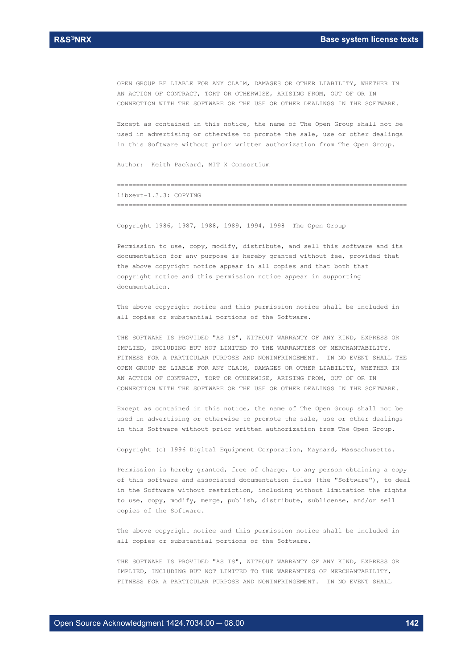OPEN GROUP BE LIABLE FOR ANY CLAIM, DAMAGES OR OTHER LIABILITY, WHETHER IN AN ACTION OF CONTRACT, TORT OR OTHERWISE, ARISING FROM, OUT OF OR IN CONNECTION WITH THE SOFTWARE OR THE USE OR OTHER DEALINGS IN THE SOFTWARE.

Except as contained in this notice, the name of The Open Group shall not be used in advertising or otherwise to promote the sale, use or other dealings in this Software without prior written authorization from The Open Group.

Author: Keith Packard, MIT X Consortium

```
============================================================================
libxext-1.3.3: COPYING
============================================================================
```
Copyright 1986, 1987, 1988, 1989, 1994, 1998 The Open Group

Permission to use, copy, modify, distribute, and sell this software and its documentation for any purpose is hereby granted without fee, provided that the above copyright notice appear in all copies and that both that copyright notice and this permission notice appear in supporting documentation.

The above copyright notice and this permission notice shall be included in all copies or substantial portions of the Software.

THE SOFTWARE IS PROVIDED "AS IS", WITHOUT WARRANTY OF ANY KIND, EXPRESS OR IMPLIED, INCLUDING BUT NOT LIMITED TO THE WARRANTIES OF MERCHANTABILITY, FITNESS FOR A PARTICULAR PURPOSE AND NONINFRINGEMENT. IN NO EVENT SHALL THE OPEN GROUP BE LIABLE FOR ANY CLAIM, DAMAGES OR OTHER LIABILITY, WHETHER IN AN ACTION OF CONTRACT, TORT OR OTHERWISE, ARISING FROM, OUT OF OR IN CONNECTION WITH THE SOFTWARE OR THE USE OR OTHER DEALINGS IN THE SOFTWARE.

Except as contained in this notice, the name of The Open Group shall not be used in advertising or otherwise to promote the sale, use or other dealings in this Software without prior written authorization from The Open Group.

Copyright (c) 1996 Digital Equipment Corporation, Maynard, Massachusetts.

Permission is hereby granted, free of charge, to any person obtaining a copy of this software and associated documentation files (the "Software"), to deal in the Software without restriction, including without limitation the rights to use, copy, modify, merge, publish, distribute, sublicense, and/or sell copies of the Software.

The above copyright notice and this permission notice shall be included in all copies or substantial portions of the Software.

THE SOFTWARE IS PROVIDED "AS IS", WITHOUT WARRANTY OF ANY KIND, EXPRESS OR IMPLIED, INCLUDING BUT NOT LIMITED TO THE WARRANTIES OF MERCHANTABILITY, FITNESS FOR A PARTICULAR PURPOSE AND NONINFRINGEMENT. IN NO EVENT SHALL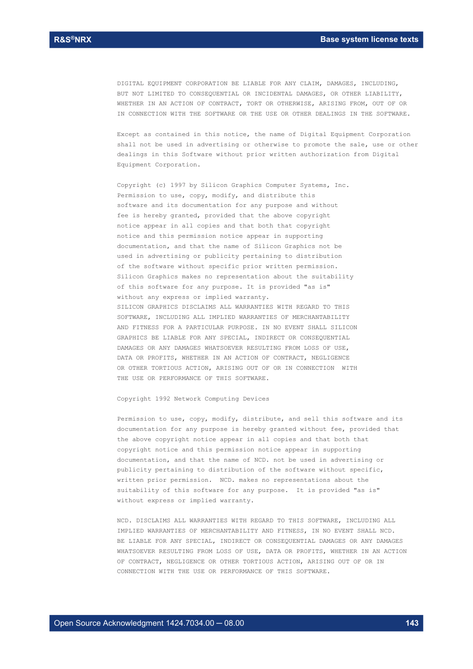DIGITAL EQUIPMENT CORPORATION BE LIABLE FOR ANY CLAIM, DAMAGES, INCLUDING, BUT NOT LIMITED TO CONSEQUENTIAL OR INCIDENTAL DAMAGES, OR OTHER LIABILITY, WHETHER IN AN ACTION OF CONTRACT, TORT OR OTHERWISE, ARISING FROM, OUT OF OR IN CONNECTION WITH THE SOFTWARE OR THE USE OR OTHER DEALINGS IN THE SOFTWARE.

Except as contained in this notice, the name of Digital Equipment Corporation shall not be used in advertising or otherwise to promote the sale, use or other dealings in this Software without prior written authorization from Digital Equipment Corporation.

Copyright (c) 1997 by Silicon Graphics Computer Systems, Inc. Permission to use, copy, modify, and distribute this software and its documentation for any purpose and without fee is hereby granted, provided that the above copyright notice appear in all copies and that both that copyright notice and this permission notice appear in supporting documentation, and that the name of Silicon Graphics not be used in advertising or publicity pertaining to distribution of the software without specific prior written permission. Silicon Graphics makes no representation about the suitability of this software for any purpose. It is provided "as is" without any express or implied warranty. SILICON GRAPHICS DISCLAIMS ALL WARRANTIES WITH REGARD TO THIS SOFTWARE, INCLUDING ALL IMPLIED WARRANTIES OF MERCHANTABILITY AND FITNESS FOR A PARTICULAR PURPOSE. IN NO EVENT SHALL SILICON GRAPHICS BE LIABLE FOR ANY SPECIAL, INDIRECT OR CONSEQUENTIAL DAMAGES OR ANY DAMAGES WHATSOEVER RESULTING FROM LOSS OF USE, DATA OR PROFITS, WHETHER IN AN ACTION OF CONTRACT, NEGLIGENCE OR OTHER TORTIOUS ACTION, ARISING OUT OF OR IN CONNECTION WITH THE USE OR PERFORMANCE OF THIS SOFTWARE.

Copyright 1992 Network Computing Devices

Permission to use, copy, modify, distribute, and sell this software and its documentation for any purpose is hereby granted without fee, provided that the above copyright notice appear in all copies and that both that copyright notice and this permission notice appear in supporting documentation, and that the name of NCD. not be used in advertising or publicity pertaining to distribution of the software without specific, written prior permission. NCD. makes no representations about the suitability of this software for any purpose. It is provided "as is" without express or implied warranty.

NCD. DISCLAIMS ALL WARRANTIES WITH REGARD TO THIS SOFTWARE, INCLUDING ALL IMPLIED WARRANTIES OF MERCHANTABILITY AND FITNESS, IN NO EVENT SHALL NCD. BE LIABLE FOR ANY SPECIAL, INDIRECT OR CONSEQUENTIAL DAMAGES OR ANY DAMAGES WHATSOEVER RESULTING FROM LOSS OF USE, DATA OR PROFITS, WHETHER IN AN ACTION OF CONTRACT, NEGLIGENCE OR OTHER TORTIOUS ACTION, ARISING OUT OF OR IN CONNECTION WITH THE USE OR PERFORMANCE OF THIS SOFTWARE.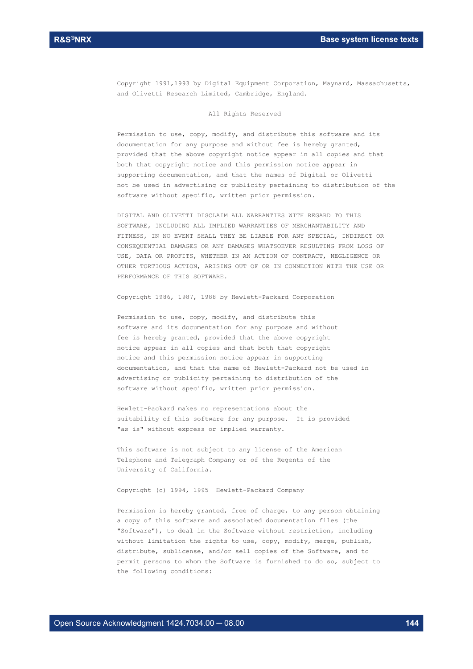Copyright 1991,1993 by Digital Equipment Corporation, Maynard, Massachusetts, and Olivetti Research Limited, Cambridge, England.

## All Rights Reserved

Permission to use, copy, modify, and distribute this software and its documentation for any purpose and without fee is hereby granted, provided that the above copyright notice appear in all copies and that both that copyright notice and this permission notice appear in supporting documentation, and that the names of Digital or Olivetti not be used in advertising or publicity pertaining to distribution of the software without specific, written prior permission.

DIGITAL AND OLIVETTI DISCLAIM ALL WARRANTIES WITH REGARD TO THIS SOFTWARE, INCLUDING ALL IMPLIED WARRANTIES OF MERCHANTABILITY AND FITNESS, IN NO EVENT SHALL THEY BE LIABLE FOR ANY SPECIAL, INDIRECT OR CONSEQUENTIAL DAMAGES OR ANY DAMAGES WHATSOEVER RESULTING FROM LOSS OF USE, DATA OR PROFITS, WHETHER IN AN ACTION OF CONTRACT, NEGLIGENCE OR OTHER TORTIOUS ACTION, ARISING OUT OF OR IN CONNECTION WITH THE USE OR PERFORMANCE OF THIS SOFTWARE.

Copyright 1986, 1987, 1988 by Hewlett-Packard Corporation

Permission to use, copy, modify, and distribute this software and its documentation for any purpose and without fee is hereby granted, provided that the above copyright notice appear in all copies and that both that copyright notice and this permission notice appear in supporting documentation, and that the name of Hewlett-Packard not be used in advertising or publicity pertaining to distribution of the software without specific, written prior permission.

Hewlett-Packard makes no representations about the suitability of this software for any purpose. It is provided "as is" without express or implied warranty.

This software is not subject to any license of the American Telephone and Telegraph Company or of the Regents of the University of California.

Copyright (c) 1994, 1995 Hewlett-Packard Company

Permission is hereby granted, free of charge, to any person obtaining a copy of this software and associated documentation files (the "Software"), to deal in the Software without restriction, including without limitation the rights to use, copy, modify, merge, publish, distribute, sublicense, and/or sell copies of the Software, and to permit persons to whom the Software is furnished to do so, subject to the following conditions: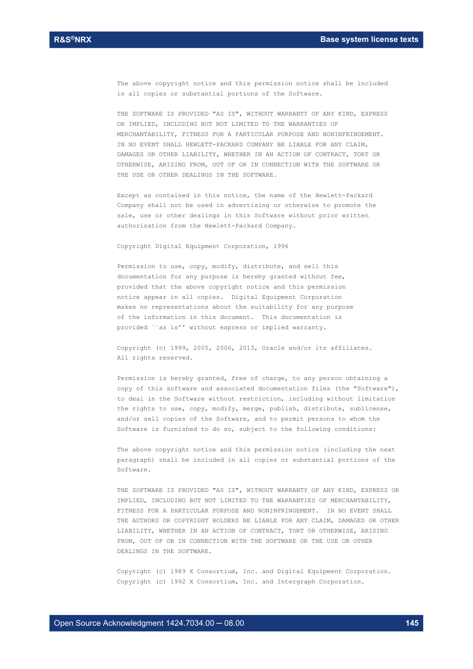The above copyright notice and this permission notice shall be included in all copies or substantial portions of the Software.

THE SOFTWARE IS PROVIDED "AS IS", WITHOUT WARRANTY OF ANY KIND, EXPRESS OR IMPLIED, INCLUDING BUT NOT LIMITED TO THE WARRANTIES OF MERCHANTABILITY, FITNESS FOR A PARTICULAR PURPOSE AND NONINFRINGEMENT. IN NO EVENT SHALL HEWLETT-PACKARD COMPANY BE LIABLE FOR ANY CLAIM, DAMAGES OR OTHER LIABILITY, WHETHER IN AN ACTION OF CONTRACT, TORT OR OTHERWISE, ARISING FROM, OUT OF OR IN CONNECTION WITH THE SOFTWARE OR THE USE OR OTHER DEALINGS IN THE SOFTWARE.

Except as contained in this notice, the name of the Hewlett-Packard Company shall not be used in advertising or otherwise to promote the sale, use or other dealings in this Software without prior written authorization from the Hewlett-Packard Company.

Copyright Digital Equipment Corporation, 1996

Permission to use, copy, modify, distribute, and sell this documentation for any purpose is hereby granted without fee, provided that the above copyright notice and this permission notice appear in all copies. Digital Equipment Corporation makes no representations about the suitability for any purpose of the information in this document. This documentation is provided ``as is'' without express or implied warranty.

Copyright (c) 1999, 2005, 2006, 2013, Oracle and/or its affiliates. All rights reserved.

Permission is hereby granted, free of charge, to any person obtaining a copy of this software and associated documentation files (the "Software"), to deal in the Software without restriction, including without limitation the rights to use, copy, modify, merge, publish, distribute, sublicense, and/or sell copies of the Software, and to permit persons to whom the Software is furnished to do so, subject to the following conditions:

The above copyright notice and this permission notice (including the next paragraph) shall be included in all copies or substantial portions of the Software.

THE SOFTWARE IS PROVIDED "AS IS", WITHOUT WARRANTY OF ANY KIND, EXPRESS OR IMPLIED, INCLUDING BUT NOT LIMITED TO THE WARRANTIES OF MERCHANTABILITY, FITNESS FOR A PARTICULAR PURPOSE AND NONINFRINGEMENT. IN NO EVENT SHALL THE AUTHORS OR COPYRIGHT HOLDERS BE LIABLE FOR ANY CLAIM, DAMAGES OR OTHER LIABILITY, WHETHER IN AN ACTION OF CONTRACT, TORT OR OTHERWISE, ARISING FROM, OUT OF OR IN CONNECTION WITH THE SOFTWARE OR THE USE OR OTHER DEALINGS IN THE SOFTWARE.

Copyright (c) 1989 X Consortium, Inc. and Digital Equipment Corporation. Copyright (c) 1992 X Consortium, Inc. and Intergraph Corporation.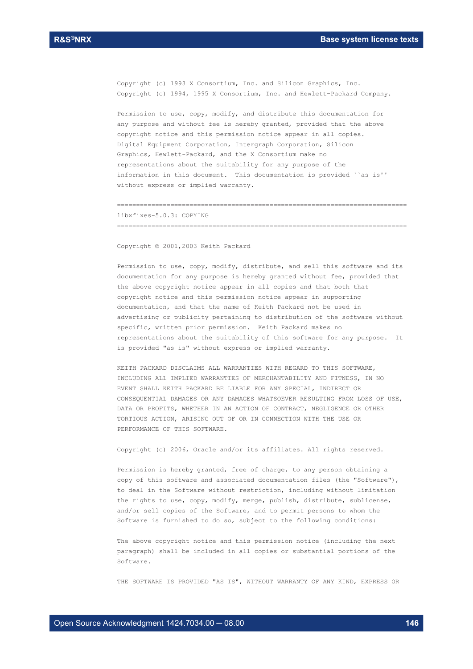Copyright (c) 1993 X Consortium, Inc. and Silicon Graphics, Inc. Copyright (c) 1994, 1995 X Consortium, Inc. and Hewlett-Packard Company.

Permission to use, copy, modify, and distribute this documentation for any purpose and without fee is hereby granted, provided that the above copyright notice and this permission notice appear in all copies. Digital Equipment Corporation, Intergraph Corporation, Silicon Graphics, Hewlett-Packard, and the X Consortium make no representations about the suitability for any purpose of the information in this document. This documentation is provided ``as is'' without express or implied warranty.

============================================================================ libxfixes-5.0.3: COPYING ============================================================================

Copyright © 2001,2003 Keith Packard

Permission to use, copy, modify, distribute, and sell this software and its documentation for any purpose is hereby granted without fee, provided that the above copyright notice appear in all copies and that both that copyright notice and this permission notice appear in supporting documentation, and that the name of Keith Packard not be used in advertising or publicity pertaining to distribution of the software without specific, written prior permission. Keith Packard makes no representations about the suitability of this software for any purpose. It is provided "as is" without express or implied warranty.

KEITH PACKARD DISCLAIMS ALL WARRANTIES WITH REGARD TO THIS SOFTWARE, INCLUDING ALL IMPLIED WARRANTIES OF MERCHANTABILITY AND FITNESS, IN NO EVENT SHALL KEITH PACKARD BE LIABLE FOR ANY SPECIAL, INDIRECT OR CONSEQUENTIAL DAMAGES OR ANY DAMAGES WHATSOEVER RESULTING FROM LOSS OF USE, DATA OR PROFITS, WHETHER IN AN ACTION OF CONTRACT, NEGLIGENCE OR OTHER TORTIOUS ACTION, ARISING OUT OF OR IN CONNECTION WITH THE USE OR PERFORMANCE OF THIS SOFTWARE.

Copyright (c) 2006, Oracle and/or its affiliates. All rights reserved.

Permission is hereby granted, free of charge, to any person obtaining a copy of this software and associated documentation files (the "Software"), to deal in the Software without restriction, including without limitation the rights to use, copy, modify, merge, publish, distribute, sublicense, and/or sell copies of the Software, and to permit persons to whom the Software is furnished to do so, subject to the following conditions:

The above copyright notice and this permission notice (including the next paragraph) shall be included in all copies or substantial portions of the Software.

THE SOFTWARE IS PROVIDED "AS IS", WITHOUT WARRANTY OF ANY KIND, EXPRESS OR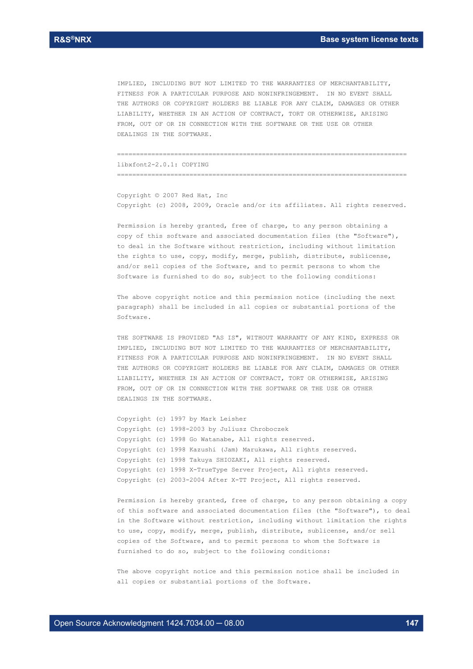IMPLIED, INCLUDING BUT NOT LIMITED TO THE WARRANTIES OF MERCHANTABILITY, FITNESS FOR A PARTICULAR PURPOSE AND NONINFRINGEMENT. IN NO EVENT SHALL THE AUTHORS OR COPYRIGHT HOLDERS BE LIABLE FOR ANY CLAIM, DAMAGES OR OTHER LIABILITY, WHETHER IN AN ACTION OF CONTRACT, TORT OR OTHERWISE, ARISING FROM, OUT OF OR IN CONNECTION WITH THE SOFTWARE OR THE USE OR OTHER DEALINGS IN THE SOFTWARE.

============================================================================ libxfont2-2.0.1: COPYING ============================================================================

Copyright © 2007 Red Hat, Inc Copyright (c) 2008, 2009, Oracle and/or its affiliates. All rights reserved.

Permission is hereby granted, free of charge, to any person obtaining a copy of this software and associated documentation files (the "Software"), to deal in the Software without restriction, including without limitation the rights to use, copy, modify, merge, publish, distribute, sublicense, and/or sell copies of the Software, and to permit persons to whom the Software is furnished to do so, subject to the following conditions:

The above copyright notice and this permission notice (including the next paragraph) shall be included in all copies or substantial portions of the Software.

THE SOFTWARE IS PROVIDED "AS IS", WITHOUT WARRANTY OF ANY KIND, EXPRESS OR IMPLIED, INCLUDING BUT NOT LIMITED TO THE WARRANTIES OF MERCHANTABILITY, FITNESS FOR A PARTICULAR PURPOSE AND NONINFRINGEMENT. IN NO EVENT SHALL THE AUTHORS OR COPYRIGHT HOLDERS BE LIABLE FOR ANY CLAIM, DAMAGES OR OTHER LIABILITY, WHETHER IN AN ACTION OF CONTRACT, TORT OR OTHERWISE, ARISING FROM, OUT OF OR IN CONNECTION WITH THE SOFTWARE OR THE USE OR OTHER DEALINGS IN THE SOFTWARE.

Copyright (c) 1997 by Mark Leisher Copyright (c) 1998-2003 by Juliusz Chroboczek Copyright (c) 1998 Go Watanabe, All rights reserved. Copyright (c) 1998 Kazushi (Jam) Marukawa, All rights reserved. Copyright (c) 1998 Takuya SHIOZAKI, All rights reserved. Copyright (c) 1998 X-TrueType Server Project, All rights reserved. Copyright (c) 2003-2004 After X-TT Project, All rights reserved.

Permission is hereby granted, free of charge, to any person obtaining a copy of this software and associated documentation files (the "Software"), to deal in the Software without restriction, including without limitation the rights to use, copy, modify, merge, publish, distribute, sublicense, and/or sell copies of the Software, and to permit persons to whom the Software is furnished to do so, subject to the following conditions:

The above copyright notice and this permission notice shall be included in all copies or substantial portions of the Software.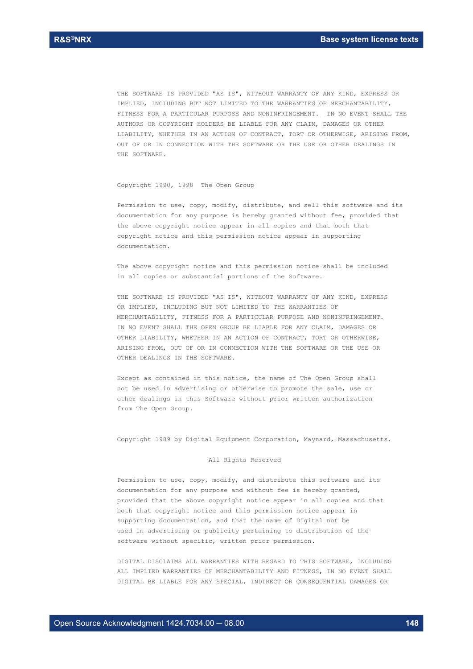THE SOFTWARE IS PROVIDED "AS IS", WITHOUT WARRANTY OF ANY KIND, EXPRESS OR IMPLIED, INCLUDING BUT NOT LIMITED TO THE WARRANTIES OF MERCHANTABILITY, FITNESS FOR A PARTICULAR PURPOSE AND NONINFRINGEMENT. IN NO EVENT SHALL THE AUTHORS OR COPYRIGHT HOLDERS BE LIABLE FOR ANY CLAIM, DAMAGES OR OTHER LIABILITY, WHETHER IN AN ACTION OF CONTRACT, TORT OR OTHERWISE, ARISING FROM, OUT OF OR IN CONNECTION WITH THE SOFTWARE OR THE USE OR OTHER DEALINGS IN THE SOFTWARE.

## Copyright 1990, 1998 The Open Group

Permission to use, copy, modify, distribute, and sell this software and its documentation for any purpose is hereby granted without fee, provided that the above copyright notice appear in all copies and that both that copyright notice and this permission notice appear in supporting documentation.

The above copyright notice and this permission notice shall be included in all copies or substantial portions of the Software.

THE SOFTWARE IS PROVIDED "AS IS", WITHOUT WARRANTY OF ANY KIND, EXPRESS OR IMPLIED, INCLUDING BUT NOT LIMITED TO THE WARRANTIES OF MERCHANTABILITY, FITNESS FOR A PARTICULAR PURPOSE AND NONINFRINGEMENT. IN NO EVENT SHALL THE OPEN GROUP BE LIABLE FOR ANY CLAIM, DAMAGES OR OTHER LIABILITY, WHETHER IN AN ACTION OF CONTRACT, TORT OR OTHERWISE, ARISING FROM, OUT OF OR IN CONNECTION WITH THE SOFTWARE OR THE USE OR OTHER DEALINGS IN THE SOFTWARE.

Except as contained in this notice, the name of The Open Group shall not be used in advertising or otherwise to promote the sale, use or other dealings in this Software without prior written authorization from The Open Group.

Copyright 1989 by Digital Equipment Corporation, Maynard, Massachusetts.

# All Rights Reserved

Permission to use, copy, modify, and distribute this software and its documentation for any purpose and without fee is hereby granted, provided that the above copyright notice appear in all copies and that both that copyright notice and this permission notice appear in supporting documentation, and that the name of Digital not be used in advertising or publicity pertaining to distribution of the software without specific, written prior permission.

DIGITAL DISCLAIMS ALL WARRANTIES WITH REGARD TO THIS SOFTWARE, INCLUDING ALL IMPLIED WARRANTIES OF MERCHANTABILITY AND FITNESS, IN NO EVENT SHALL DIGITAL BE LIABLE FOR ANY SPECIAL, INDIRECT OR CONSEQUENTIAL DAMAGES OR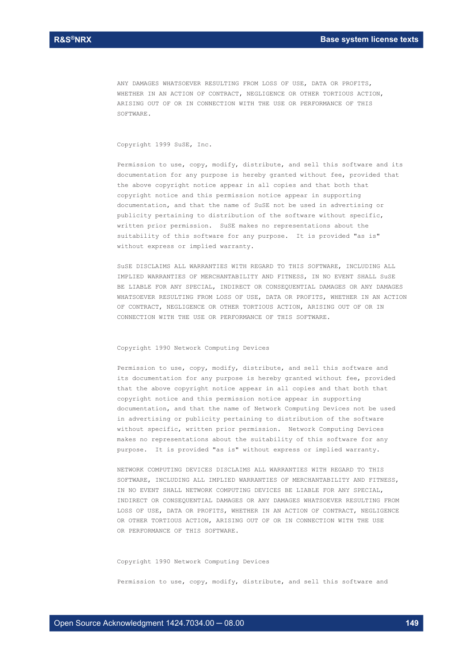ANY DAMAGES WHATSOEVER RESULTING FROM LOSS OF USE, DATA OR PROFITS, WHETHER IN AN ACTION OF CONTRACT, NEGLIGENCE OR OTHER TORTIOUS ACTION, ARISING OUT OF OR IN CONNECTION WITH THE USE OR PERFORMANCE OF THIS SOFTWARE.

Copyright 1999 SuSE, Inc.

Permission to use, copy, modify, distribute, and sell this software and its documentation for any purpose is hereby granted without fee, provided that the above copyright notice appear in all copies and that both that copyright notice and this permission notice appear in supporting documentation, and that the name of SuSE not be used in advertising or publicity pertaining to distribution of the software without specific, written prior permission. SuSE makes no representations about the suitability of this software for any purpose. It is provided "as is" without express or implied warranty.

SuSE DISCLAIMS ALL WARRANTIES WITH REGARD TO THIS SOFTWARE, INCLUDING ALL IMPLIED WARRANTIES OF MERCHANTABILITY AND FITNESS, IN NO EVENT SHALL SuSE BE LIABLE FOR ANY SPECIAL, INDIRECT OR CONSEQUENTIAL DAMAGES OR ANY DAMAGES WHATSOEVER RESULTING FROM LOSS OF USE, DATA OR PROFITS, WHETHER IN AN ACTION OF CONTRACT, NEGLIGENCE OR OTHER TORTIOUS ACTION, ARISING OUT OF OR IN CONNECTION WITH THE USE OR PERFORMANCE OF THIS SOFTWARE.

## Copyright 1990 Network Computing Devices

Permission to use, copy, modify, distribute, and sell this software and its documentation for any purpose is hereby granted without fee, provided that the above copyright notice appear in all copies and that both that copyright notice and this permission notice appear in supporting documentation, and that the name of Network Computing Devices not be used in advertising or publicity pertaining to distribution of the software without specific, written prior permission. Network Computing Devices makes no representations about the suitability of this software for any purpose. It is provided "as is" without express or implied warranty.

NETWORK COMPUTING DEVICES DISCLAIMS ALL WARRANTIES WITH REGARD TO THIS SOFTWARE, INCLUDING ALL IMPLIED WARRANTIES OF MERCHANTABILITY AND FITNESS, IN NO EVENT SHALL NETWORK COMPUTING DEVICES BE LIABLE FOR ANY SPECIAL, INDIRECT OR CONSEQUENTIAL DAMAGES OR ANY DAMAGES WHATSOEVER RESULTING FROM LOSS OF USE, DATA OR PROFITS, WHETHER IN AN ACTION OF CONTRACT, NEGLIGENCE OR OTHER TORTIOUS ACTION, ARISING OUT OF OR IN CONNECTION WITH THE USE OR PERFORMANCE OF THIS SOFTWARE.

Copyright 1990 Network Computing Devices

Permission to use, copy, modify, distribute, and sell this software and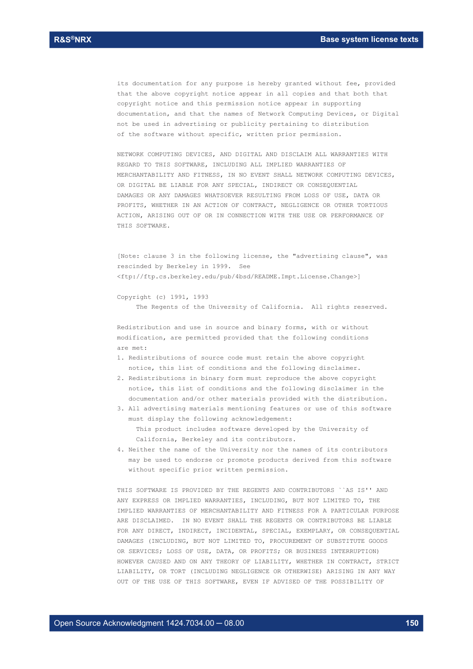its documentation for any purpose is hereby granted without fee, provided that the above copyright notice appear in all copies and that both that copyright notice and this permission notice appear in supporting documentation, and that the names of Network Computing Devices, or Digital not be used in advertising or publicity pertaining to distribution of the software without specific, written prior permission.

NETWORK COMPUTING DEVICES, AND DIGITAL AND DISCLAIM ALL WARRANTIES WITH REGARD TO THIS SOFTWARE, INCLUDING ALL IMPLIED WARRANTIES OF MERCHANTABILITY AND FITNESS, IN NO EVENT SHALL NETWORK COMPUTING DEVICES, OR DIGITAL BE LIABLE FOR ANY SPECIAL, INDIRECT OR CONSEQUENTIAL DAMAGES OR ANY DAMAGES WHATSOEVER RESULTING FROM LOSS OF USE, DATA OR PROFITS, WHETHER IN AN ACTION OF CONTRACT, NEGLIGENCE OR OTHER TORTIOUS ACTION, ARISING OUT OF OR IN CONNECTION WITH THE USE OR PERFORMANCE OF THIS SOFTWARE.

[Note: clause 3 in the following license, the "advertising clause", was rescinded by Berkeley in 1999. See <ftp://ftp.cs.berkeley.edu/pub/4bsd/README.Impt.License.Change>]

Copyright (c) 1991, 1993 The Regents of the University of California. All rights reserved.

Redistribution and use in source and binary forms, with or without modification, are permitted provided that the following conditions are met:

- 1. Redistributions of source code must retain the above copyright notice, this list of conditions and the following disclaimer.
- 2. Redistributions in binary form must reproduce the above copyright notice, this list of conditions and the following disclaimer in the documentation and/or other materials provided with the distribution.
- 3. All advertising materials mentioning features or use of this software must display the following acknowledgement: This product includes software developed by the University of California, Berkeley and its contributors.
- 4. Neither the name of the University nor the names of its contributors may be used to endorse or promote products derived from this software without specific prior written permission.

THIS SOFTWARE IS PROVIDED BY THE REGENTS AND CONTRIBUTORS ``AS IS'' AND ANY EXPRESS OR IMPLIED WARRANTIES, INCLUDING, BUT NOT LIMITED TO, THE IMPLIED WARRANTIES OF MERCHANTABILITY AND FITNESS FOR A PARTICULAR PURPOSE ARE DISCLAIMED. IN NO EVENT SHALL THE REGENTS OR CONTRIBUTORS BE LIABLE FOR ANY DIRECT, INDIRECT, INCIDENTAL, SPECIAL, EXEMPLARY, OR CONSEQUENTIAL DAMAGES (INCLUDING, BUT NOT LIMITED TO, PROCUREMENT OF SUBSTITUTE GOODS OR SERVICES; LOSS OF USE, DATA, OR PROFITS; OR BUSINESS INTERRUPTION) HOWEVER CAUSED AND ON ANY THEORY OF LIABILITY, WHETHER IN CONTRACT, STRICT LIABILITY, OR TORT (INCLUDING NEGLIGENCE OR OTHERWISE) ARISING IN ANY WAY OUT OF THE USE OF THIS SOFTWARE, EVEN IF ADVISED OF THE POSSIBILITY OF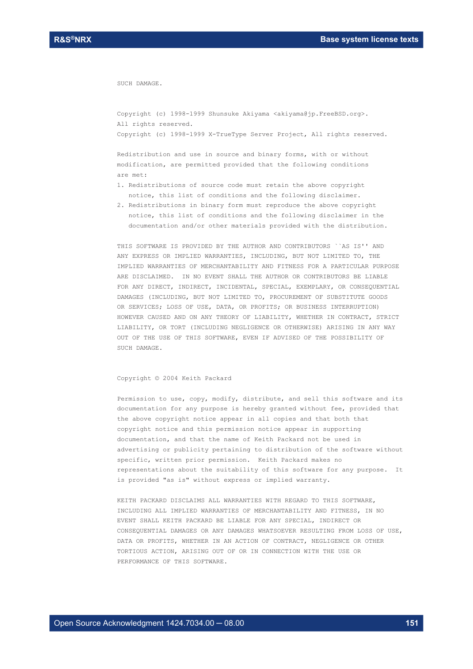SUCH DAMAGE.

```
Copyright (c) 1998-1999 Shunsuke Akiyama <akiyama@jp.FreeBSD.org>.
All rights reserved.
Copyright (c) 1998-1999 X-TrueType Server Project, All rights reserved.
```
Redistribution and use in source and binary forms, with or without modification, are permitted provided that the following conditions are met:

- 1. Redistributions of source code must retain the above copyright notice, this list of conditions and the following disclaimer.
- 2. Redistributions in binary form must reproduce the above copyright notice, this list of conditions and the following disclaimer in the documentation and/or other materials provided with the distribution.

THIS SOFTWARE IS PROVIDED BY THE AUTHOR AND CONTRIBUTORS ``AS IS'' AND ANY EXPRESS OR IMPLIED WARRANTIES, INCLUDING, BUT NOT LIMITED TO, THE IMPLIED WARRANTIES OF MERCHANTABILITY AND FITNESS FOR A PARTICULAR PURPOSE ARE DISCLAIMED. IN NO EVENT SHALL THE AUTHOR OR CONTRIBUTORS BE LIABLE FOR ANY DIRECT, INDIRECT, INCIDENTAL, SPECIAL, EXEMPLARY, OR CONSEQUENTIAL DAMAGES (INCLUDING, BUT NOT LIMITED TO, PROCUREMENT OF SUBSTITUTE GOODS OR SERVICES; LOSS OF USE, DATA, OR PROFITS; OR BUSINESS INTERRUPTION) HOWEVER CAUSED AND ON ANY THEORY OF LIABILITY, WHETHER IN CONTRACT, STRICT LIABILITY, OR TORT (INCLUDING NEGLIGENCE OR OTHERWISE) ARISING IN ANY WAY OUT OF THE USE OF THIS SOFTWARE, EVEN IF ADVISED OF THE POSSIBILITY OF SUCH DAMAGE.

## Copyright © 2004 Keith Packard

Permission to use, copy, modify, distribute, and sell this software and its documentation for any purpose is hereby granted without fee, provided that the above copyright notice appear in all copies and that both that copyright notice and this permission notice appear in supporting documentation, and that the name of Keith Packard not be used in advertising or publicity pertaining to distribution of the software without specific, written prior permission. Keith Packard makes no representations about the suitability of this software for any purpose. It is provided "as is" without express or implied warranty.

KEITH PACKARD DISCLAIMS ALL WARRANTIES WITH REGARD TO THIS SOFTWARE, INCLUDING ALL IMPLIED WARRANTIES OF MERCHANTABILITY AND FITNESS, IN NO EVENT SHALL KEITH PACKARD BE LIABLE FOR ANY SPECIAL, INDIRECT OR CONSEQUENTIAL DAMAGES OR ANY DAMAGES WHATSOEVER RESULTING FROM LOSS OF USE, DATA OR PROFITS, WHETHER IN AN ACTION OF CONTRACT, NEGLIGENCE OR OTHER TORTIOUS ACTION, ARISING OUT OF OR IN CONNECTION WITH THE USE OR PERFORMANCE OF THIS SOFTWARE.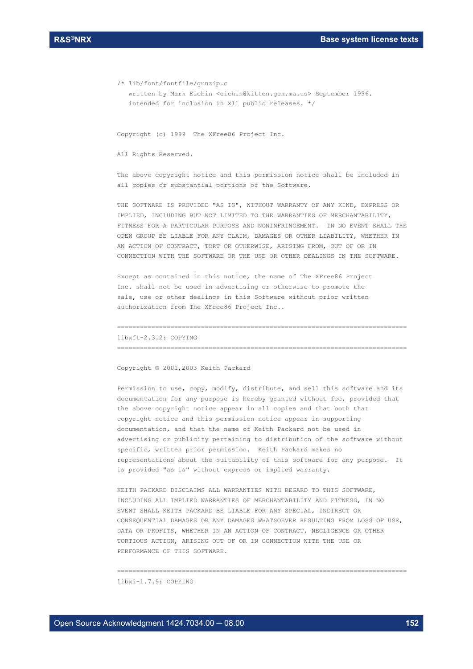```
/* lib/font/fontfile/gunzip.c
```
 written by Mark Eichin <eichin@kitten.gen.ma.us> September 1996. intended for inclusion in X11 public releases. \*/

Copyright (c) 1999 The XFree86 Project Inc.

All Rights Reserved.

The above copyright notice and this permission notice shall be included in all copies or substantial portions of the Software.

THE SOFTWARE IS PROVIDED "AS IS", WITHOUT WARRANTY OF ANY KIND, EXPRESS OR IMPLIED, INCLUDING BUT NOT LIMITED TO THE WARRANTIES OF MERCHANTABILITY, FITNESS FOR A PARTICULAR PURPOSE AND NONINFRINGEMENT. IN NO EVENT SHALL THE OPEN GROUP BE LIABLE FOR ANY CLAIM, DAMAGES OR OTHER LIABILITY, WHETHER IN AN ACTION OF CONTRACT, TORT OR OTHERWISE, ARISING FROM, OUT OF OR IN CONNECTION WITH THE SOFTWARE OR THE USE OR OTHER DEALINGS IN THE SOFTWARE.

Except as contained in this notice, the name of The XFree86 Project Inc. shall not be used in advertising or otherwise to promote the sale, use or other dealings in this Software without prior written authorization from The XFree86 Project Inc..

```
============================================================================
libxft-2.3.2: COPYING
============================================================================
```
Copyright © 2001,2003 Keith Packard

Permission to use, copy, modify, distribute, and sell this software and its documentation for any purpose is hereby granted without fee, provided that the above copyright notice appear in all copies and that both that copyright notice and this permission notice appear in supporting documentation, and that the name of Keith Packard not be used in advertising or publicity pertaining to distribution of the software without specific, written prior permission. Keith Packard makes no representations about the suitability of this software for any purpose. It is provided "as is" without express or implied warranty.

KEITH PACKARD DISCLAIMS ALL WARRANTIES WITH REGARD TO THIS SOFTWARE, INCLUDING ALL IMPLIED WARRANTIES OF MERCHANTABILITY AND FITNESS, IN NO EVENT SHALL KEITH PACKARD BE LIABLE FOR ANY SPECIAL, INDIRECT OR CONSEQUENTIAL DAMAGES OR ANY DAMAGES WHATSOEVER RESULTING FROM LOSS OF USE, DATA OR PROFITS, WHETHER IN AN ACTION OF CONTRACT, NEGLIGENCE OR OTHER TORTIOUS ACTION, ARISING OUT OF OR IN CONNECTION WITH THE USE OR PERFORMANCE OF THIS SOFTWARE.

```
============================================================================
libxi-1.7.9: COPYING
```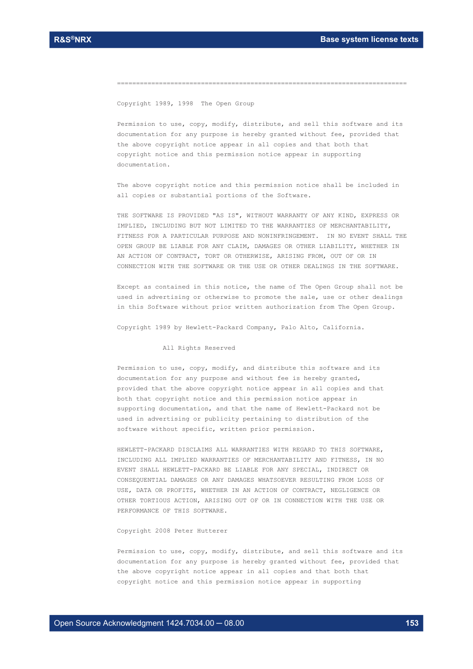============================================================================

Copyright 1989, 1998 The Open Group

Permission to use, copy, modify, distribute, and sell this software and its documentation for any purpose is hereby granted without fee, provided that the above copyright notice appear in all copies and that both that copyright notice and this permission notice appear in supporting documentation.

The above copyright notice and this permission notice shall be included in all copies or substantial portions of the Software.

THE SOFTWARE IS PROVIDED "AS IS", WITHOUT WARRANTY OF ANY KIND, EXPRESS OR IMPLIED, INCLUDING BUT NOT LIMITED TO THE WARRANTIES OF MERCHANTABILITY, FITNESS FOR A PARTICULAR PURPOSE AND NONINFRINGEMENT. IN NO EVENT SHALL THE OPEN GROUP BE LIABLE FOR ANY CLAIM, DAMAGES OR OTHER LIABILITY, WHETHER IN AN ACTION OF CONTRACT, TORT OR OTHERWISE, ARISING FROM, OUT OF OR IN CONNECTION WITH THE SOFTWARE OR THE USE OR OTHER DEALINGS IN THE SOFTWARE.

Except as contained in this notice, the name of The Open Group shall not be used in advertising or otherwise to promote the sale, use or other dealings in this Software without prior written authorization from The Open Group.

Copyright 1989 by Hewlett-Packard Company, Palo Alto, California.

## All Rights Reserved

Permission to use, copy, modify, and distribute this software and its documentation for any purpose and without fee is hereby granted, provided that the above copyright notice appear in all copies and that both that copyright notice and this permission notice appear in supporting documentation, and that the name of Hewlett-Packard not be used in advertising or publicity pertaining to distribution of the software without specific, written prior permission.

HEWLETT-PACKARD DISCLAIMS ALL WARRANTIES WITH REGARD TO THIS SOFTWARE, INCLUDING ALL IMPLIED WARRANTIES OF MERCHANTABILITY AND FITNESS, IN NO EVENT SHALL HEWLETT-PACKARD BE LIABLE FOR ANY SPECIAL, INDIRECT OR CONSEQUENTIAL DAMAGES OR ANY DAMAGES WHATSOEVER RESULTING FROM LOSS OF USE, DATA OR PROFITS, WHETHER IN AN ACTION OF CONTRACT, NEGLIGENCE OR OTHER TORTIOUS ACTION, ARISING OUT OF OR IN CONNECTION WITH THE USE OR PERFORMANCE OF THIS SOFTWARE.

# Copyright 2008 Peter Hutterer

Permission to use, copy, modify, distribute, and sell this software and its documentation for any purpose is hereby granted without fee, provided that the above copyright notice appear in all copies and that both that copyright notice and this permission notice appear in supporting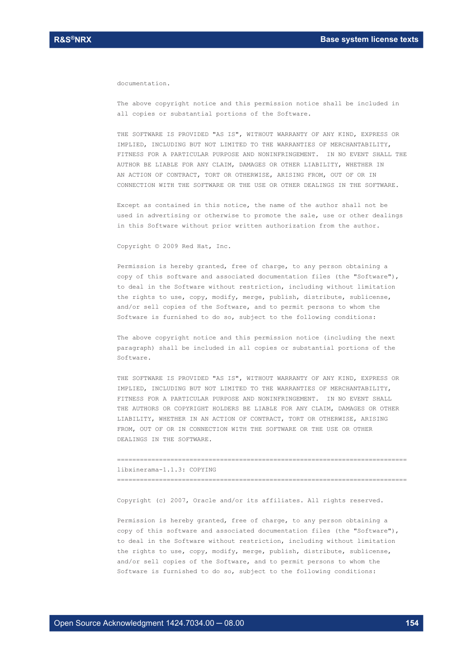documentation.

The above copyright notice and this permission notice shall be included in all copies or substantial portions of the Software.

THE SOFTWARE IS PROVIDED "AS IS", WITHOUT WARRANTY OF ANY KIND, EXPRESS OR IMPLIED, INCLUDING BUT NOT LIMITED TO THE WARRANTIES OF MERCHANTABILITY, FITNESS FOR A PARTICULAR PURPOSE AND NONINFRINGEMENT. IN NO EVENT SHALL THE AUTHOR BE LIABLE FOR ANY CLAIM, DAMAGES OR OTHER LIABILITY, WHETHER IN AN ACTION OF CONTRACT, TORT OR OTHERWISE, ARISING FROM, OUT OF OR IN CONNECTION WITH THE SOFTWARE OR THE USE OR OTHER DEALINGS IN THE SOFTWARE.

Except as contained in this notice, the name of the author shall not be used in advertising or otherwise to promote the sale, use or other dealings in this Software without prior written authorization from the author.

Copyright © 2009 Red Hat, Inc.

Permission is hereby granted, free of charge, to any person obtaining a copy of this software and associated documentation files (the "Software"), to deal in the Software without restriction, including without limitation the rights to use, copy, modify, merge, publish, distribute, sublicense, and/or sell copies of the Software, and to permit persons to whom the Software is furnished to do so, subject to the following conditions:

The above copyright notice and this permission notice (including the next paragraph) shall be included in all copies or substantial portions of the Software.

THE SOFTWARE IS PROVIDED "AS IS", WITHOUT WARRANTY OF ANY KIND, EXPRESS OR IMPLIED, INCLUDING BUT NOT LIMITED TO THE WARRANTIES OF MERCHANTABILITY, FITNESS FOR A PARTICULAR PURPOSE AND NONINFRINGEMENT. IN NO EVENT SHALL THE AUTHORS OR COPYRIGHT HOLDERS BE LIABLE FOR ANY CLAIM, DAMAGES OR OTHER LIABILITY, WHETHER IN AN ACTION OF CONTRACT, TORT OR OTHERWISE, ARISING FROM, OUT OF OR IN CONNECTION WITH THE SOFTWARE OR THE USE OR OTHER DEALINGS IN THE SOFTWARE.

```
============================================================================
libxinerama-1.1.3: COPYING
============================================================================
```
Copyright (c) 2007, Oracle and/or its affiliates. All rights reserved.

Permission is hereby granted, free of charge, to any person obtaining a copy of this software and associated documentation files (the "Software"), to deal in the Software without restriction, including without limitation the rights to use, copy, modify, merge, publish, distribute, sublicense, and/or sell copies of the Software, and to permit persons to whom the Software is furnished to do so, subject to the following conditions: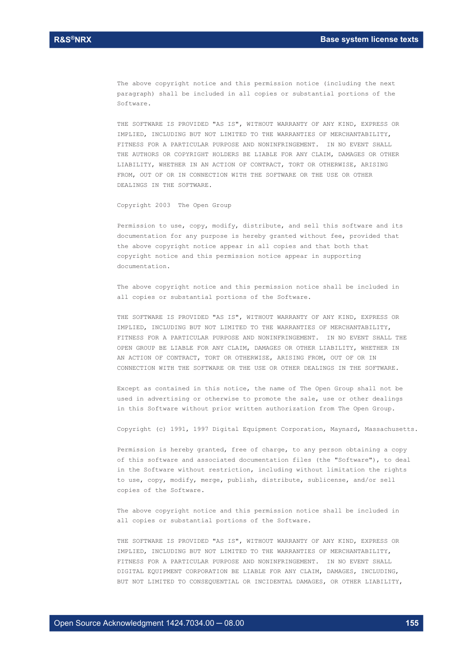The above copyright notice and this permission notice (including the next paragraph) shall be included in all copies or substantial portions of the Software

THE SOFTWARE IS PROVIDED "AS IS", WITHOUT WARRANTY OF ANY KIND, EXPRESS OR IMPLIED, INCLUDING BUT NOT LIMITED TO THE WARRANTIES OF MERCHANTABILITY, FITNESS FOR A PARTICULAR PURPOSE AND NONINFRINGEMENT. IN NO EVENT SHALL THE AUTHORS OR COPYRIGHT HOLDERS BE LIABLE FOR ANY CLAIM, DAMAGES OR OTHER LIABILITY, WHETHER IN AN ACTION OF CONTRACT, TORT OR OTHERWISE, ARISING FROM, OUT OF OR IN CONNECTION WITH THE SOFTWARE OR THE USE OR OTHER DEALINGS IN THE SOFTWARE.

Copyright 2003 The Open Group

Permission to use, copy, modify, distribute, and sell this software and its documentation for any purpose is hereby granted without fee, provided that the above copyright notice appear in all copies and that both that copyright notice and this permission notice appear in supporting documentation.

The above copyright notice and this permission notice shall be included in all copies or substantial portions of the Software.

THE SOFTWARE IS PROVIDED "AS IS", WITHOUT WARRANTY OF ANY KIND, EXPRESS OR IMPLIED, INCLUDING BUT NOT LIMITED TO THE WARRANTIES OF MERCHANTABILITY, FITNESS FOR A PARTICULAR PURPOSE AND NONINFRINGEMENT. IN NO EVENT SHALL THE OPEN GROUP BE LIABLE FOR ANY CLAIM, DAMAGES OR OTHER LIABILITY, WHETHER IN AN ACTION OF CONTRACT, TORT OR OTHERWISE, ARISING FROM, OUT OF OR IN CONNECTION WITH THE SOFTWARE OR THE USE OR OTHER DEALINGS IN THE SOFTWARE.

Except as contained in this notice, the name of The Open Group shall not be used in advertising or otherwise to promote the sale, use or other dealings in this Software without prior written authorization from The Open Group.

Copyright (c) 1991, 1997 Digital Equipment Corporation, Maynard, Massachusetts.

Permission is hereby granted, free of charge, to any person obtaining a copy of this software and associated documentation files (the "Software"), to deal in the Software without restriction, including without limitation the rights to use, copy, modify, merge, publish, distribute, sublicense, and/or sell copies of the Software.

The above copyright notice and this permission notice shall be included in all copies or substantial portions of the Software.

THE SOFTWARE IS PROVIDED "AS IS", WITHOUT WARRANTY OF ANY KIND, EXPRESS OR IMPLIED, INCLUDING BUT NOT LIMITED TO THE WARRANTIES OF MERCHANTABILITY, FITNESS FOR A PARTICULAR PURPOSE AND NONINFRINGEMENT. IN NO EVENT SHALL DIGITAL EQUIPMENT CORPORATION BE LIABLE FOR ANY CLAIM, DAMAGES, INCLUDING, BUT NOT LIMITED TO CONSEQUENTIAL OR INCIDENTAL DAMAGES, OR OTHER LIABILITY,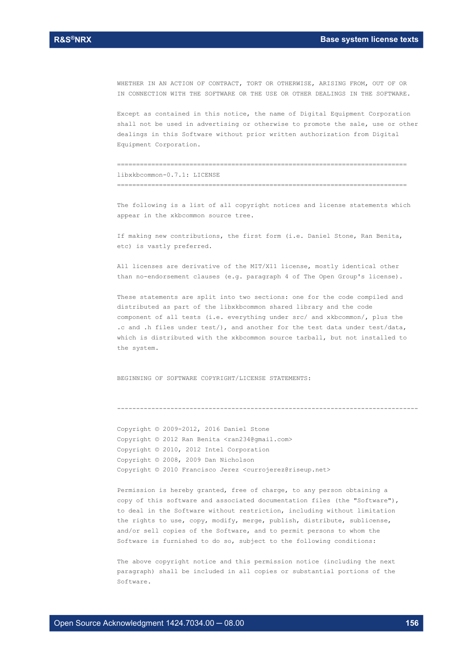WHETHER IN AN ACTION OF CONTRACT, TORT OR OTHERWISE, ARISING FROM, OUT OF OR IN CONNECTION WITH THE SOFTWARE OR THE USE OR OTHER DEALINGS IN THE SOFTWARE.

Except as contained in this notice, the name of Digital Equipment Corporation shall not be used in advertising or otherwise to promote the sale, use or other dealings in this Software without prior written authorization from Digital Equipment Corporation.

============================================================================ libxkbcommon-0.7.1: LICENSE ============================================================================

The following is a list of all copyright notices and license statements which appear in the xkbcommon source tree.

If making new contributions, the first form (i.e. Daniel Stone, Ran Benita, etc) is vastly preferred.

All licenses are derivative of the MIT/X11 license, mostly identical other than no-endorsement clauses (e.g. paragraph 4 of The Open Group's license).

These statements are split into two sections: one for the code compiled and distributed as part of the libxkbcommon shared library and the code component of all tests (i.e. everything under src/ and xkbcommon/, plus the .c and .h files under test/), and another for the test data under test/data, which is distributed with the xkbcommon source tarball, but not installed to the system.

BEGINNING OF SOFTWARE COPYRIGHT/LICENSE STATEMENTS:

-------------------------------------------------------------------------------

Copyright © 2009-2012, 2016 Daniel Stone Copyright © 2012 Ran Benita <ran234@gmail.com> Copyright © 2010, 2012 Intel Corporation Copyright © 2008, 2009 Dan Nicholson Copyright © 2010 Francisco Jerez <currojerez@riseup.net>

Permission is hereby granted, free of charge, to any person obtaining a copy of this software and associated documentation files (the "Software"), to deal in the Software without restriction, including without limitation the rights to use, copy, modify, merge, publish, distribute, sublicense, and/or sell copies of the Software, and to permit persons to whom the Software is furnished to do so, subject to the following conditions:

The above copyright notice and this permission notice (including the next paragraph) shall be included in all copies or substantial portions of the Software.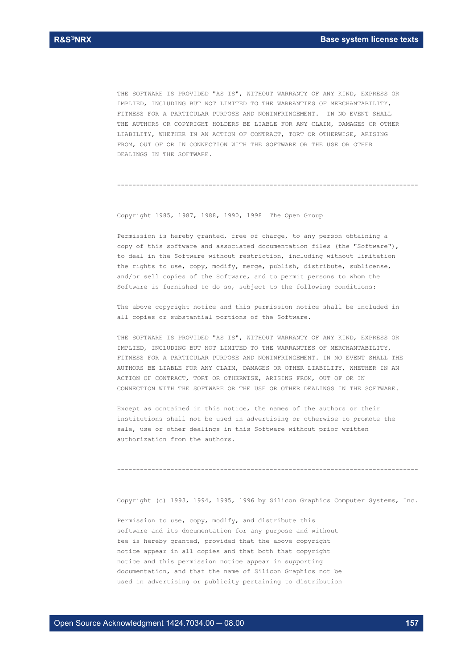THE SOFTWARE IS PROVIDED "AS IS", WITHOUT WARRANTY OF ANY KIND, EXPRESS OR IMPLIED, INCLUDING BUT NOT LIMITED TO THE WARRANTIES OF MERCHANTABILITY, FITNESS FOR A PARTICULAR PURPOSE AND NONINFRINGEMENT. IN NO EVENT SHALL THE AUTHORS OR COPYRIGHT HOLDERS BE LIABLE FOR ANY CLAIM, DAMAGES OR OTHER LIABILITY, WHETHER IN AN ACTION OF CONTRACT, TORT OR OTHERWISE, ARISING FROM, OUT OF OR IN CONNECTION WITH THE SOFTWARE OR THE USE OR OTHER DEALINGS IN THE SOFTWARE.

-------------------------------------------------------------------------------

Copyright 1985, 1987, 1988, 1990, 1998 The Open Group

Permission is hereby granted, free of charge, to any person obtaining a copy of this software and associated documentation files (the "Software"), to deal in the Software without restriction, including without limitation the rights to use, copy, modify, merge, publish, distribute, sublicense, and/or sell copies of the Software, and to permit persons to whom the Software is furnished to do so, subject to the following conditions:

The above copyright notice and this permission notice shall be included in all copies or substantial portions of the Software.

THE SOFTWARE IS PROVIDED "AS IS", WITHOUT WARRANTY OF ANY KIND, EXPRESS OR IMPLIED, INCLUDING BUT NOT LIMITED TO THE WARRANTIES OF MERCHANTABILITY, FITNESS FOR A PARTICULAR PURPOSE AND NONINFRINGEMENT. IN NO EVENT SHALL THE AUTHORS BE LIABLE FOR ANY CLAIM, DAMAGES OR OTHER LIABILITY, WHETHER IN AN ACTION OF CONTRACT, TORT OR OTHERWISE, ARISING FROM, OUT OF OR IN CONNECTION WITH THE SOFTWARE OR THE USE OR OTHER DEALINGS IN THE SOFTWARE.

Except as contained in this notice, the names of the authors or their institutions shall not be used in advertising or otherwise to promote the sale, use or other dealings in this Software without prior written authorization from the authors.

-------------------------------------------------------------------------------

Copyright (c) 1993, 1994, 1995, 1996 by Silicon Graphics Computer Systems, Inc.

Permission to use, copy, modify, and distribute this software and its documentation for any purpose and without fee is hereby granted, provided that the above copyright notice appear in all copies and that both that copyright notice and this permission notice appear in supporting documentation, and that the name of Silicon Graphics not be used in advertising or publicity pertaining to distribution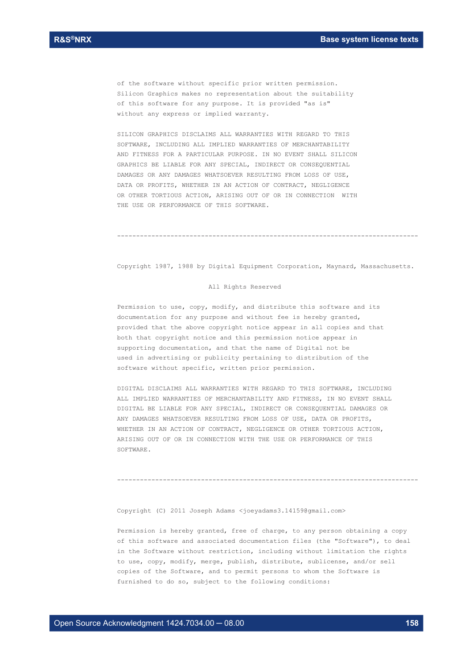of the software without specific prior written permission. Silicon Graphics makes no representation about the suitability of this software for any purpose. It is provided "as is" without any express or implied warranty.

SILICON GRAPHICS DISCLAIMS ALL WARRANTIES WITH REGARD TO THIS SOFTWARE, INCLUDING ALL IMPLIED WARRANTIES OF MERCHANTABILITY AND FITNESS FOR A PARTICULAR PURPOSE. IN NO EVENT SHALL SILICON GRAPHICS BE LIABLE FOR ANY SPECIAL, INDIRECT OR CONSEQUENTIAL DAMAGES OR ANY DAMAGES WHATSOEVER RESULTING FROM LOSS OF USE, DATA OR PROFITS, WHETHER IN AN ACTION OF CONTRACT, NEGLIGENCE OR OTHER TORTIOUS ACTION, ARISING OUT OF OR IN CONNECTION WITH THE USE OR PERFORMANCE OF THIS SOFTWARE.

-------------------------------------------------------------------------------

Copyright 1987, 1988 by Digital Equipment Corporation, Maynard, Massachusetts.

## All Rights Reserved

Permission to use, copy, modify, and distribute this software and its documentation for any purpose and without fee is hereby granted, provided that the above copyright notice appear in all copies and that both that copyright notice and this permission notice appear in supporting documentation, and that the name of Digital not be used in advertising or publicity pertaining to distribution of the software without specific, written prior permission.

DIGITAL DISCLAIMS ALL WARRANTIES WITH REGARD TO THIS SOFTWARE, INCLUDING ALL IMPLIED WARRANTIES OF MERCHANTABILITY AND FITNESS, IN NO EVENT SHALL DIGITAL BE LIABLE FOR ANY SPECIAL, INDIRECT OR CONSEQUENTIAL DAMAGES OR ANY DAMAGES WHATSOEVER RESULTING FROM LOSS OF USE, DATA OR PROFITS, WHETHER IN AN ACTION OF CONTRACT, NEGLIGENCE OR OTHER TORTIOUS ACTION, ARISING OUT OF OR IN CONNECTION WITH THE USE OR PERFORMANCE OF THIS SOFTWARE.

Copyright (C) 2011 Joseph Adams <joeyadams3.14159@gmail.com>

Permission is hereby granted, free of charge, to any person obtaining a copy of this software and associated documentation files (the "Software"), to deal in the Software without restriction, including without limitation the rights to use, copy, modify, merge, publish, distribute, sublicense, and/or sell copies of the Software, and to permit persons to whom the Software is furnished to do so, subject to the following conditions:

-------------------------------------------------------------------------------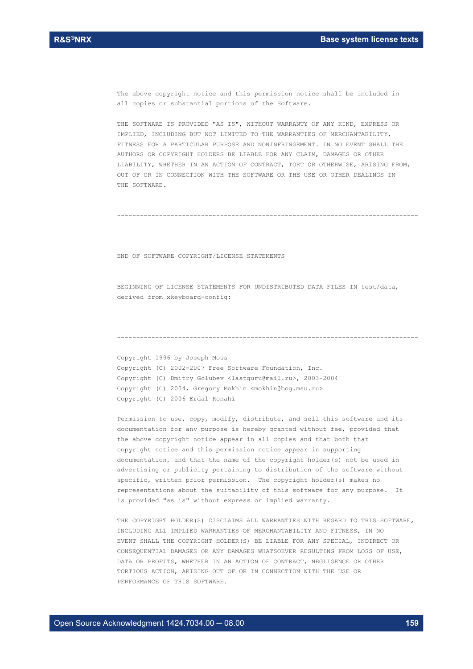The above copyright notice and this permission notice shall be included in all copies or substantial portions of the Software.

THE SOFTWARE IS PROVIDED "AS IS", WITHOUT WARRANTY OF ANY KIND, EXPRESS OR IMPLIED, INCLUDING BUT NOT LIMITED TO THE WARRANTIES OF MERCHANTABILITY, FITNESS FOR A PARTICULAR PURPOSE AND NONINFRINGEMENT. IN NO EVENT SHALL THE AUTHORS OR COPYRIGHT HOLDERS BE LIABLE FOR ANY CLAIM, DAMAGES OR OTHER LIABILITY, WHETHER IN AN ACTION OF CONTRACT, TORT OR OTHERWISE, ARISING FROM, OUT OF OR IN CONNECTION WITH THE SOFTWARE OR THE USE OR OTHER DEALINGS IN THE SOFTWARE.

-------------------------------------------------------------------------------

END OF SOFTWARE COPYRIGHT/LICENSE STATEMENTS

BEGINNING OF LICENSE STATEMENTS FOR UNDISTRIBUTED DATA FILES IN test/data, derived from xkeyboard-config:

-------------------------------------------------------------------------------

Copyright 1996 by Joseph Moss Copyright (C) 2002-2007 Free Software Foundation, Inc. Copyright (C) Dmitry Golubev <lastguru@mail.ru>, 2003-2004 Copyright (C) 2004, Gregory Mokhin <mokhin@bog.msu.ru> Copyright (C) 2006 Erdal Ronahî

Permission to use, copy, modify, distribute, and sell this software and its documentation for any purpose is hereby granted without fee, provided that the above copyright notice appear in all copies and that both that copyright notice and this permission notice appear in supporting documentation, and that the name of the copyright holder(s) not be used in advertising or publicity pertaining to distribution of the software without specific, written prior permission. The copyright holder(s) makes no representations about the suitability of this software for any purpose. It is provided "as is" without express or implied warranty.

THE COPYRIGHT HOLDER(S) DISCLAIMS ALL WARRANTIES WITH REGARD TO THIS SOFTWARE, INCLUDING ALL IMPLIED WARRANTIES OF MERCHANTABILITY AND FITNESS, IN NO EVENT SHALL THE COPYRIGHT HOLDER(S) BE LIABLE FOR ANY SPECIAL, INDIRECT OR CONSEQUENTIAL DAMAGES OR ANY DAMAGES WHATSOEVER RESULTING FROM LOSS OF USE, DATA OR PROFITS, WHETHER IN AN ACTION OF CONTRACT, NEGLIGENCE OR OTHER TORTIOUS ACTION, ARISING OUT OF OR IN CONNECTION WITH THE USE OR PERFORMANCE OF THIS SOFTWARE.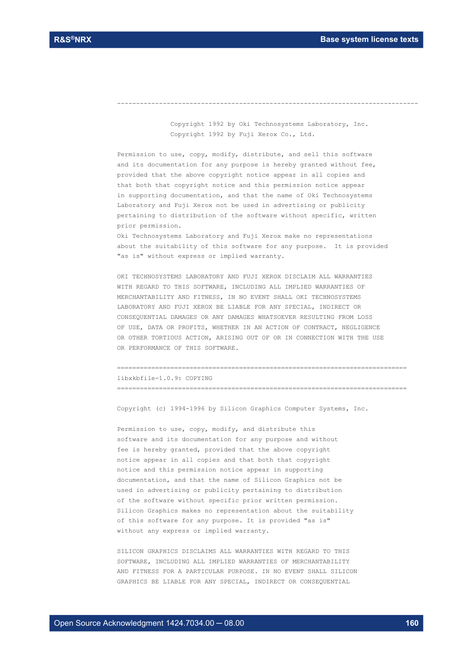-------------------------------------------------------------------------------

 Copyright 1992 by Oki Technosystems Laboratory, Inc. Copyright 1992 by Fuji Xerox Co., Ltd.

Permission to use, copy, modify, distribute, and sell this software and its documentation for any purpose is hereby granted without fee, provided that the above copyright notice appear in all copies and that both that copyright notice and this permission notice appear in supporting documentation, and that the name of Oki Technosystems Laboratory and Fuji Xerox not be used in advertising or publicity pertaining to distribution of the software without specific, written prior permission.

Oki Technosystems Laboratory and Fuji Xerox make no representations about the suitability of this software for any purpose. It is provided "as is" without express or implied warranty.

OKI TECHNOSYSTEMS LABORATORY AND FUJI XEROX DISCLAIM ALL WARRANTIES WITH REGARD TO THIS SOFTWARE, INCLUDING ALL IMPLIED WARRANTIES OF MERCHANTABILITY AND FITNESS, IN NO EVENT SHALL OKI TECHNOSYSTEMS LABORATORY AND FUJI XEROX BE LIABLE FOR ANY SPECIAL, INDIRECT OR CONSEQUENTIAL DAMAGES OR ANY DAMAGES WHATSOEVER RESULTING FROM LOSS OF USE, DATA OR PROFITS, WHETHER IN AN ACTION OF CONTRACT, NEGLIGENCE OR OTHER TORTIOUS ACTION, ARISING OUT OF OR IN CONNECTION WITH THE USE OR PERFORMANCE OF THIS SOFTWARE.

```
============================================================================
libxkbfile-1.0.9: COPYING
============================================================================
```
Copyright (c) 1994-1996 by Silicon Graphics Computer Systems, Inc.

Permission to use, copy, modify, and distribute this software and its documentation for any purpose and without fee is hereby granted, provided that the above copyright notice appear in all copies and that both that copyright notice and this permission notice appear in supporting documentation, and that the name of Silicon Graphics not be used in advertising or publicity pertaining to distribution of the software without specific prior written permission. Silicon Graphics makes no representation about the suitability of this software for any purpose. It is provided "as is" without any express or implied warranty.

SILICON GRAPHICS DISCLAIMS ALL WARRANTIES WITH REGARD TO THIS SOFTWARE, INCLUDING ALL IMPLIED WARRANTIES OF MERCHANTABILITY AND FITNESS FOR A PARTICULAR PURPOSE. IN NO EVENT SHALL SILICON GRAPHICS BE LIABLE FOR ANY SPECIAL, INDIRECT OR CONSEQUENTIAL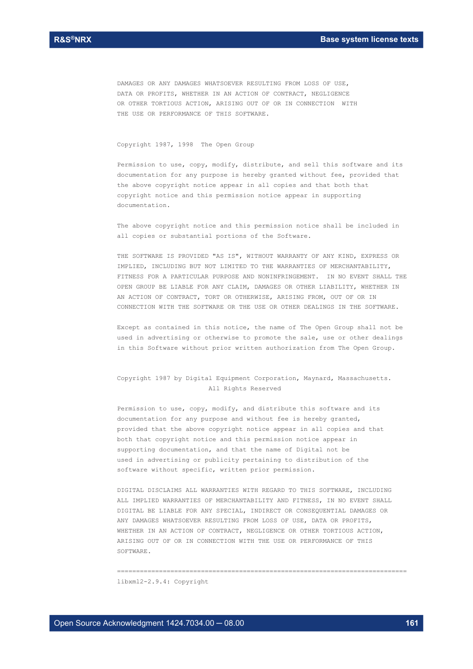DAMAGES OR ANY DAMAGES WHATSOEVER RESULTING FROM LOSS OF USE, DATA OR PROFITS, WHETHER IN AN ACTION OF CONTRACT, NEGLIGENCE OR OTHER TORTIOUS ACTION, ARISING OUT OF OR IN CONNECTION WITH THE USE OR PERFORMANCE OF THIS SOFTWARE.

Copyright 1987, 1998 The Open Group

Permission to use, copy, modify, distribute, and sell this software and its documentation for any purpose is hereby granted without fee, provided that the above copyright notice appear in all copies and that both that copyright notice and this permission notice appear in supporting documentation.

The above copyright notice and this permission notice shall be included in all copies or substantial portions of the Software.

THE SOFTWARE IS PROVIDED "AS IS", WITHOUT WARRANTY OF ANY KIND, EXPRESS OR IMPLIED, INCLUDING BUT NOT LIMITED TO THE WARRANTIES OF MERCHANTABILITY, FITNESS FOR A PARTICULAR PURPOSE AND NONINFRINGEMENT. IN NO EVENT SHALL THE OPEN GROUP BE LIABLE FOR ANY CLAIM, DAMAGES OR OTHER LIABILITY, WHETHER IN AN ACTION OF CONTRACT, TORT OR OTHERWISE, ARISING FROM, OUT OF OR IN CONNECTION WITH THE SOFTWARE OR THE USE OR OTHER DEALINGS IN THE SOFTWARE.

Except as contained in this notice, the name of The Open Group shall not be used in advertising or otherwise to promote the sale, use or other dealings in this Software without prior written authorization from The Open Group.

# Copyright 1987 by Digital Equipment Corporation, Maynard, Massachusetts. All Rights Reserved

Permission to use, copy, modify, and distribute this software and its documentation for any purpose and without fee is hereby granted, provided that the above copyright notice appear in all copies and that both that copyright notice and this permission notice appear in supporting documentation, and that the name of Digital not be used in advertising or publicity pertaining to distribution of the software without specific, written prior permission.

DIGITAL DISCLAIMS ALL WARRANTIES WITH REGARD TO THIS SOFTWARE, INCLUDING ALL IMPLIED WARRANTIES OF MERCHANTABILITY AND FITNESS, IN NO EVENT SHALL DIGITAL BE LIABLE FOR ANY SPECIAL, INDIRECT OR CONSEQUENTIAL DAMAGES OR ANY DAMAGES WHATSOEVER RESULTING FROM LOSS OF USE, DATA OR PROFITS, WHETHER IN AN ACTION OF CONTRACT, NEGLIGENCE OR OTHER TORTIOUS ACTION, ARISING OUT OF OR IN CONNECTION WITH THE USE OR PERFORMANCE OF THIS SOFTWARE.

```
============================================================================
libxml2-2.9.4: Copyright
```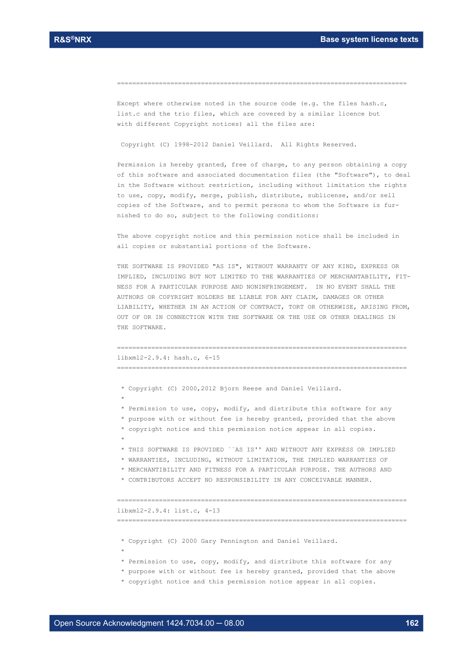============================================================================

Except where otherwise noted in the source code (e.g. the files hash.c, list.c and the trio files, which are covered by a similar licence but with different Copyright notices) all the files are:

Copyright (C) 1998-2012 Daniel Veillard. All Rights Reserved.

Permission is hereby granted, free of charge, to any person obtaining a copy of this software and associated documentation files (the "Software"), to deal in the Software without restriction, including without limitation the rights to use, copy, modify, merge, publish, distribute, sublicense, and/or sell copies of the Software, and to permit persons to whom the Software is furnished to do so, subject to the following conditions:

The above copyright notice and this permission notice shall be included in all copies or substantial portions of the Software.

THE SOFTWARE IS PROVIDED "AS IS", WITHOUT WARRANTY OF ANY KIND, EXPRESS OR IMPLIED, INCLUDING BUT NOT LIMITED TO THE WARRANTIES OF MERCHANTABILITY, FIT-NESS FOR A PARTICULAR PURPOSE AND NONINFRINGEMENT. IN NO EVENT SHALL THE AUTHORS OR COPYRIGHT HOLDERS BE LIABLE FOR ANY CLAIM, DAMAGES OR OTHER LIABILITY, WHETHER IN AN ACTION OF CONTRACT, TORT OR OTHERWISE, ARISING FROM, OUT OF OR IN CONNECTION WITH THE SOFTWARE OR THE USE OR OTHER DEALINGS IN THE SOFTWARE.

```
============================================================================
libxml2-2.9.4: hash.c, 6-15
============================================================================
  * Copyright (C) 2000,2012 Bjorn Reese and Daniel Veillard.
 *
 * Permission to use, copy, modify, and distribute this software for any
  * purpose with or without fee is hereby granted, provided that the above
 * copyright notice and this permission notice appear in all copies.
 *
  * THIS SOFTWARE IS PROVIDED ``AS IS'' AND WITHOUT ANY EXPRESS OR IMPLIED
  * WARRANTIES, INCLUDING, WITHOUT LIMITATION, THE IMPLIED WARRANTIES OF
 * MERCHANTIBILITY AND FITNESS FOR A PARTICULAR PURPOSE. THE AUTHORS AND
  * CONTRIBUTORS ACCEPT NO RESPONSIBILITY IN ANY CONCEIVABLE MANNER.
    ============================================================================
libxml2-2.9.4: list.c, 4-13
     ============================================================================
 * Copyright (C) 2000 Gary Pennington and Daniel Veillard.
 *
  * Permission to use, copy, modify, and distribute this software for any
 * purpose with or without fee is hereby granted, provided that the above
```
\* copyright notice and this permission notice appear in all copies.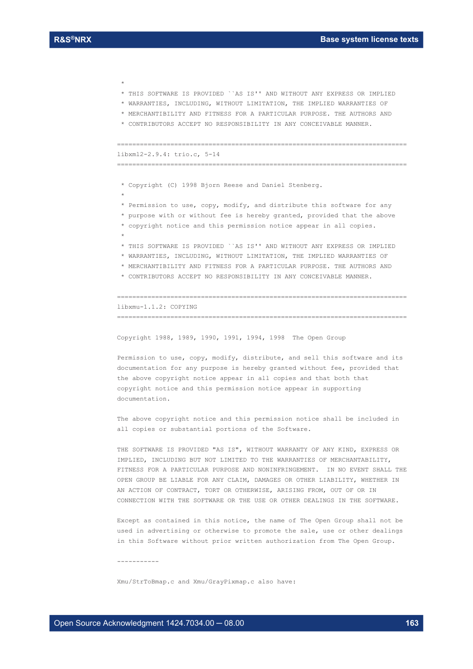\* \* THIS SOFTWARE IS PROVIDED ``AS IS'' AND WITHOUT ANY EXPRESS OR IMPLIED \* WARRANTIES, INCLUDING, WITHOUT LIMITATION, THE IMPLIED WARRANTIES OF \* MERCHANTIBILITY AND FITNESS FOR A PARTICULAR PURPOSE. THE AUTHORS AND \* CONTRIBUTORS ACCEPT NO RESPONSIBILITY IN ANY CONCEIVABLE MANNER. ============================================================================ libxml2-2.9.4: trio.c, 5-14 ============================================================================ \* Copyright (C) 1998 Bjorn Reese and Daniel Stenberg. \* \* Permission to use, copy, modify, and distribute this software for any \* purpose with or without fee is hereby granted, provided that the above \* copyright notice and this permission notice appear in all copies. \* \* THIS SOFTWARE IS PROVIDED ``AS IS'' AND WITHOUT ANY EXPRESS OR IMPLIED \* WARRANTIES, INCLUDING, WITHOUT LIMITATION, THE IMPLIED WARRANTIES OF \* MERCHANTIBILITY AND FITNESS FOR A PARTICULAR PURPOSE. THE AUTHORS AND \* CONTRIBUTORS ACCEPT NO RESPONSIBILITY IN ANY CONCEIVABLE MANNER. ============================================================================ libxmu-1.1.2: COPYING ============================================================================ Copyright 1988, 1989, 1990, 1991, 1994, 1998 The Open Group

Permission to use, copy, modify, distribute, and sell this software and its documentation for any purpose is hereby granted without fee, provided that the above copyright notice appear in all copies and that both that copyright notice and this permission notice appear in supporting documentation.

The above copyright notice and this permission notice shall be included in all copies or substantial portions of the Software.

THE SOFTWARE IS PROVIDED "AS IS", WITHOUT WARRANTY OF ANY KIND, EXPRESS OR IMPLIED, INCLUDING BUT NOT LIMITED TO THE WARRANTIES OF MERCHANTABILITY, FITNESS FOR A PARTICULAR PURPOSE AND NONINFRINGEMENT. IN NO EVENT SHALL THE OPEN GROUP BE LIABLE FOR ANY CLAIM, DAMAGES OR OTHER LIABILITY, WHETHER IN AN ACTION OF CONTRACT, TORT OR OTHERWISE, ARISING FROM, OUT OF OR IN CONNECTION WITH THE SOFTWARE OR THE USE OR OTHER DEALINGS IN THE SOFTWARE.

Except as contained in this notice, the name of The Open Group shall not be used in advertising or otherwise to promote the sale, use or other dealings in this Software without prior written authorization from The Open Group.

-----------

Xmu/StrToBmap.c and Xmu/GrayPixmap.c also have: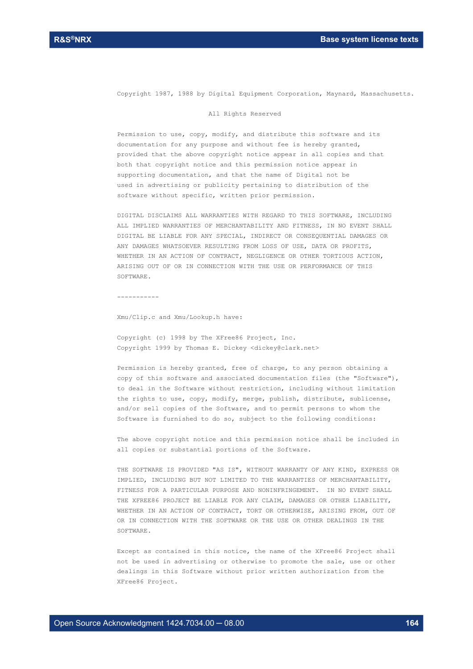Copyright 1987, 1988 by Digital Equipment Corporation, Maynard, Massachusetts.

## All Rights Reserved

Permission to use, copy, modify, and distribute this software and its documentation for any purpose and without fee is hereby granted, provided that the above copyright notice appear in all copies and that both that copyright notice and this permission notice appear in supporting documentation, and that the name of Digital not be used in advertising or publicity pertaining to distribution of the software without specific, written prior permission.

DIGITAL DISCLAIMS ALL WARRANTIES WITH REGARD TO THIS SOFTWARE, INCLUDING ALL IMPLIED WARRANTIES OF MERCHANTABILITY AND FITNESS, IN NO EVENT SHALL DIGITAL BE LIABLE FOR ANY SPECIAL, INDIRECT OR CONSEQUENTIAL DAMAGES OR ANY DAMAGES WHATSOEVER RESULTING FROM LOSS OF USE, DATA OR PROFITS, WHETHER IN AN ACTION OF CONTRACT, NEGLIGENCE OR OTHER TORTIOUS ACTION, ARISING OUT OF OR IN CONNECTION WITH THE USE OR PERFORMANCE OF THIS SOFTWARE.

-----------

Xmu/Clip.c and Xmu/Lookup.h have:

Copyright (c) 1998 by The XFree86 Project, Inc. Copyright 1999 by Thomas E. Dickey <dickey@clark.net>

Permission is hereby granted, free of charge, to any person obtaining a copy of this software and associated documentation files (the "Software"), to deal in the Software without restriction, including without limitation the rights to use, copy, modify, merge, publish, distribute, sublicense, and/or sell copies of the Software, and to permit persons to whom the Software is furnished to do so, subject to the following conditions:

The above copyright notice and this permission notice shall be included in all copies or substantial portions of the Software.

THE SOFTWARE IS PROVIDED "AS IS", WITHOUT WARRANTY OF ANY KIND, EXPRESS OR IMPLIED, INCLUDING BUT NOT LIMITED TO THE WARRANTIES OF MERCHANTABILITY, FITNESS FOR A PARTICULAR PURPOSE AND NONINFRINGEMENT. IN NO EVENT SHALL THE XFREE86 PROJECT BE LIABLE FOR ANY CLAIM, DAMAGES OR OTHER LIABILITY, WHETHER IN AN ACTION OF CONTRACT, TORT OR OTHERWISE, ARISING FROM, OUT OF OR IN CONNECTION WITH THE SOFTWARE OR THE USE OR OTHER DEALINGS IN THE SOFTWARE.

Except as contained in this notice, the name of the XFree86 Project shall not be used in advertising or otherwise to promote the sale, use or other dealings in this Software without prior written authorization from the XFree86 Project.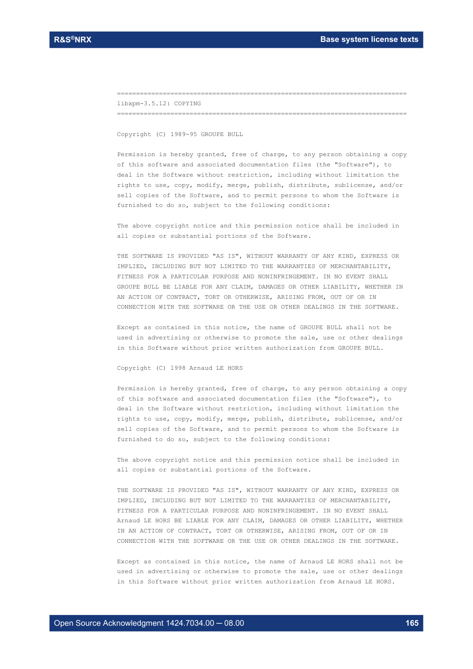| libxpm-3.5.12: COPYING |
|------------------------|
|                        |

Copyright (C) 1989-95 GROUPE BULL

Permission is hereby granted, free of charge, to any person obtaining a copy of this software and associated documentation files (the "Software"), to deal in the Software without restriction, including without limitation the rights to use, copy, modify, merge, publish, distribute, sublicense, and/or sell copies of the Software, and to permit persons to whom the Software is furnished to do so, subject to the following conditions:

The above copyright notice and this permission notice shall be included in all copies or substantial portions of the Software.

THE SOFTWARE IS PROVIDED "AS IS", WITHOUT WARRANTY OF ANY KIND, EXPRESS OR IMPLIED, INCLUDING BUT NOT LIMITED TO THE WARRANTIES OF MERCHANTABILITY, FITNESS FOR A PARTICULAR PURPOSE AND NONINFRINGEMENT. IN NO EVENT SHALL GROUPE BULL BE LIABLE FOR ANY CLAIM, DAMAGES OR OTHER LIABILITY, WHETHER IN AN ACTION OF CONTRACT, TORT OR OTHERWISE, ARISING FROM, OUT OF OR IN CONNECTION WITH THE SOFTWARE OR THE USE OR OTHER DEALINGS IN THE SOFTWARE.

Except as contained in this notice, the name of GROUPE BULL shall not be used in advertising or otherwise to promote the sale, use or other dealings in this Software without prior written authorization from GROUPE BULL.

Copyright (C) 1998 Arnaud LE HORS

Permission is hereby granted, free of charge, to any person obtaining a copy of this software and associated documentation files (the "Software"), to deal in the Software without restriction, including without limitation the rights to use, copy, modify, merge, publish, distribute, sublicense, and/or sell copies of the Software, and to permit persons to whom the Software is furnished to do so, subject to the following conditions:

The above copyright notice and this permission notice shall be included in all copies or substantial portions of the Software.

THE SOFTWARE IS PROVIDED "AS IS", WITHOUT WARRANTY OF ANY KIND, EXPRESS OR IMPLIED, INCLUDING BUT NOT LIMITED TO THE WARRANTIES OF MERCHANTABILITY, FITNESS FOR A PARTICULAR PURPOSE AND NONINFRINGEMENT. IN NO EVENT SHALL Arnaud LE HORS BE LIABLE FOR ANY CLAIM, DAMAGES OR OTHER LIABILITY, WHETHER IN AN ACTION OF CONTRACT, TORT OR OTHERWISE, ARISING FROM, OUT OF OR IN CONNECTION WITH THE SOFTWARE OR THE USE OR OTHER DEALINGS IN THE SOFTWARE.

Except as contained in this notice, the name of Arnaud LE HORS shall not be used in advertising or otherwise to promote the sale, use or other dealings in this Software without prior written authorization from Arnaud LE HORS.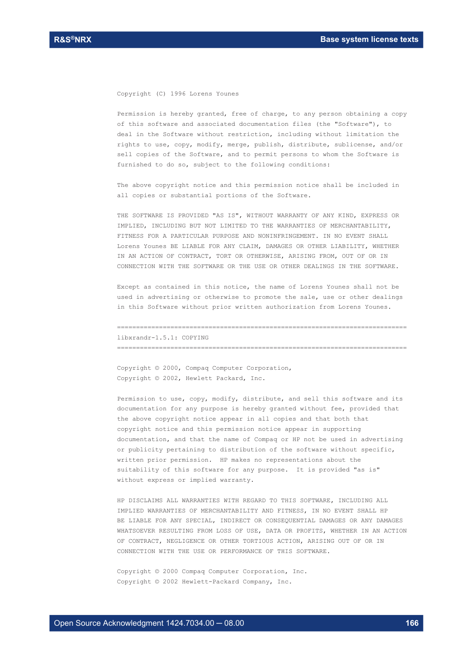Copyright (C) 1996 Lorens Younes

Permission is hereby granted, free of charge, to any person obtaining a copy of this software and associated documentation files (the "Software"), to deal in the Software without restriction, including without limitation the rights to use, copy, modify, merge, publish, distribute, sublicense, and/or sell copies of the Software, and to permit persons to whom the Software is furnished to do so, subject to the following conditions:

The above copyright notice and this permission notice shall be included in all copies or substantial portions of the Software.

THE SOFTWARE IS PROVIDED "AS IS", WITHOUT WARRANTY OF ANY KIND, EXPRESS OR IMPLIED, INCLUDING BUT NOT LIMITED TO THE WARRANTIES OF MERCHANTABILITY, FITNESS FOR A PARTICULAR PURPOSE AND NONINFRINGEMENT. IN NO EVENT SHALL Lorens Younes BE LIABLE FOR ANY CLAIM, DAMAGES OR OTHER LIABILITY, WHETHER IN AN ACTION OF CONTRACT, TORT OR OTHERWISE, ARISING FROM, OUT OF OR IN CONNECTION WITH THE SOFTWARE OR THE USE OR OTHER DEALINGS IN THE SOFTWARE.

Except as contained in this notice, the name of Lorens Younes shall not be used in advertising or otherwise to promote the sale, use or other dealings in this Software without prior written authorization from Lorens Younes.

```
============================================================================
libxrandr-1.5.1: COPYING
============================================================================
```
Copyright © 2000, Compaq Computer Corporation, Copyright © 2002, Hewlett Packard, Inc.

Permission to use, copy, modify, distribute, and sell this software and its documentation for any purpose is hereby granted without fee, provided that the above copyright notice appear in all copies and that both that copyright notice and this permission notice appear in supporting documentation, and that the name of Compaq or HP not be used in advertising or publicity pertaining to distribution of the software without specific, written prior permission. HP makes no representations about the suitability of this software for any purpose. It is provided "as is" without express or implied warranty.

HP DISCLAIMS ALL WARRANTIES WITH REGARD TO THIS SOFTWARE, INCLUDING ALL IMPLIED WARRANTIES OF MERCHANTABILITY AND FITNESS, IN NO EVENT SHALL HP BE LIABLE FOR ANY SPECIAL, INDIRECT OR CONSEQUENTIAL DAMAGES OR ANY DAMAGES WHATSOEVER RESULTING FROM LOSS OF USE, DATA OR PROFITS, WHETHER IN AN ACTION OF CONTRACT, NEGLIGENCE OR OTHER TORTIOUS ACTION, ARISING OUT OF OR IN CONNECTION WITH THE USE OR PERFORMANCE OF THIS SOFTWARE.

Copyright © 2000 Compaq Computer Corporation, Inc. Copyright © 2002 Hewlett-Packard Company, Inc.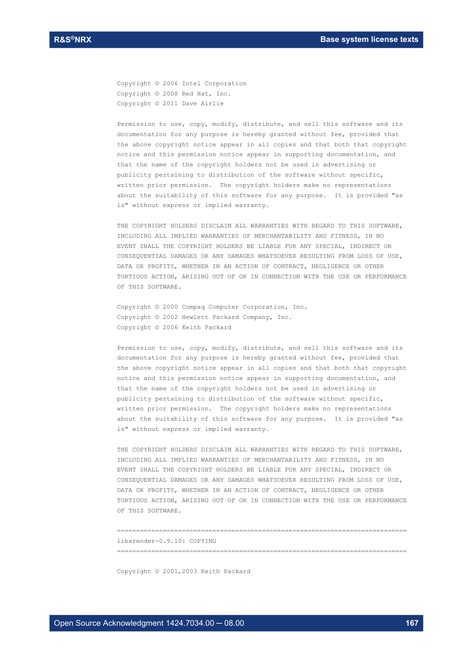Copyright © 2006 Intel Corporation Copyright © 2008 Red Hat, Inc. Copyright © 2011 Dave Airlie

Permission to use, copy, modify, distribute, and sell this software and its documentation for any purpose is hereby granted without fee, provided that the above copyright notice appear in all copies and that both that copyright notice and this permission notice appear in supporting documentation, and that the name of the copyright holders not be used in advertising or publicity pertaining to distribution of the software without specific, written prior permission. The copyright holders make no representations about the suitability of this software for any purpose. It is provided "as is" without express or implied warranty.

THE COPYRIGHT HOLDERS DISCLAIM ALL WARRANTIES WITH REGARD TO THIS SOFTWARE, INCLUDING ALL IMPLIED WARRANTIES OF MERCHANTABILITY AND FITNESS, IN NO EVENT SHALL THE COPYRIGHT HOLDERS BE LIABLE FOR ANY SPECIAL, INDIRECT OR CONSEQUENTIAL DAMAGES OR ANY DAMAGES WHATSOEVER RESULTING FROM LOSS OF USE, DATA OR PROFITS, WHETHER IN AN ACTION OF CONTRACT, NEGLIGENCE OR OTHER TORTIOUS ACTION, ARISING OUT OF OR IN CONNECTION WITH THE USE OR PERFORMANCE OF THIS SOFTWARE.

Copyright © 2000 Compaq Computer Corporation, Inc. Copyright © 2002 Hewlett Packard Company, Inc. Copyright © 2006 Keith Packard

Permission to use, copy, modify, distribute, and sell this software and its documentation for any purpose is hereby granted without fee, provided that the above copyright notice appear in all copies and that both that copyright notice and this permission notice appear in supporting documentation, and that the name of the copyright holders not be used in advertising or publicity pertaining to distribution of the software without specific, written prior permission. The copyright holders make no representations about the suitability of this software for any purpose. It is provided "as is" without express or implied warranty.

THE COPYRIGHT HOLDERS DISCLAIM ALL WARRANTIES WITH REGARD TO THIS SOFTWARE, INCLUDING ALL IMPLIED WARRANTIES OF MERCHANTABILITY AND FITNESS, IN NO EVENT SHALL THE COPYRIGHT HOLDERS BE LIABLE FOR ANY SPECIAL, INDIRECT OR CONSEQUENTIAL DAMAGES OR ANY DAMAGES WHATSOEVER RESULTING FROM LOSS OF USE, DATA OR PROFITS, WHETHER IN AN ACTION OF CONTRACT, NEGLIGENCE OR OTHER TORTIOUS ACTION, ARISING OUT OF OR IN CONNECTION WITH THE USE OR PERFORMANCE OF THIS SOFTWARE.

```
============================================================================
libxrender-0.9.10: COPYING
============================================================================
```
Copyright © 2001,2003 Keith Packard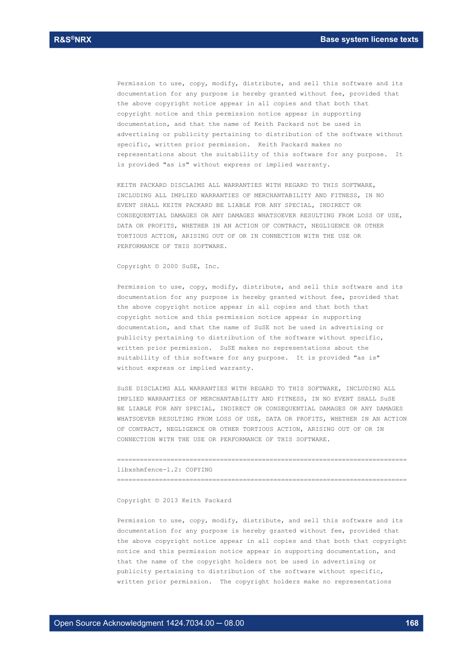Permission to use, copy, modify, distribute, and sell this software and its documentation for any purpose is hereby granted without fee, provided that the above copyright notice appear in all copies and that both that copyright notice and this permission notice appear in supporting documentation, and that the name of Keith Packard not be used in advertising or publicity pertaining to distribution of the software without specific, written prior permission. Keith Packard makes no representations about the suitability of this software for any purpose. It is provided "as is" without express or implied warranty.

KEITH PACKARD DISCLAIMS ALL WARRANTIES WITH REGARD TO THIS SOFTWARE, INCLUDING ALL IMPLIED WARRANTIES OF MERCHANTABILITY AND FITNESS, IN NO EVENT SHALL KEITH PACKARD BE LIABLE FOR ANY SPECIAL, INDIRECT OR CONSEQUENTIAL DAMAGES OR ANY DAMAGES WHATSOEVER RESULTING FROM LOSS OF USE, DATA OR PROFITS, WHETHER IN AN ACTION OF CONTRACT, NEGLIGENCE OR OTHER TORTIOUS ACTION, ARISING OUT OF OR IN CONNECTION WITH THE USE OR PERFORMANCE OF THIS SOFTWARE.

Copyright © 2000 SuSE, Inc.

Permission to use, copy, modify, distribute, and sell this software and its documentation for any purpose is hereby granted without fee, provided that the above copyright notice appear in all copies and that both that copyright notice and this permission notice appear in supporting documentation, and that the name of SuSE not be used in advertising or publicity pertaining to distribution of the software without specific, written prior permission. SuSE makes no representations about the suitability of this software for any purpose. It is provided "as is" without express or implied warranty.

SuSE DISCLAIMS ALL WARRANTIES WITH REGARD TO THIS SOFTWARE, INCLUDING ALL IMPLIED WARRANTIES OF MERCHANTABILITY AND FITNESS, IN NO EVENT SHALL SuSE BE LIABLE FOR ANY SPECIAL, INDIRECT OR CONSEQUENTIAL DAMAGES OR ANY DAMAGES WHATSOEVER RESULTING FROM LOSS OF USE, DATA OR PROFITS, WHETHER IN AN ACTION OF CONTRACT, NEGLIGENCE OR OTHER TORTIOUS ACTION, ARISING OUT OF OR IN CONNECTION WITH THE USE OR PERFORMANCE OF THIS SOFTWARE.

```
============================================================================
libxshmfence-1.2: COPYING
============================================================================
```
## Copyright © 2013 Keith Packard

Permission to use, copy, modify, distribute, and sell this software and its documentation for any purpose is hereby granted without fee, provided that the above copyright notice appear in all copies and that both that copyright notice and this permission notice appear in supporting documentation, and that the name of the copyright holders not be used in advertising or publicity pertaining to distribution of the software without specific, written prior permission. The copyright holders make no representations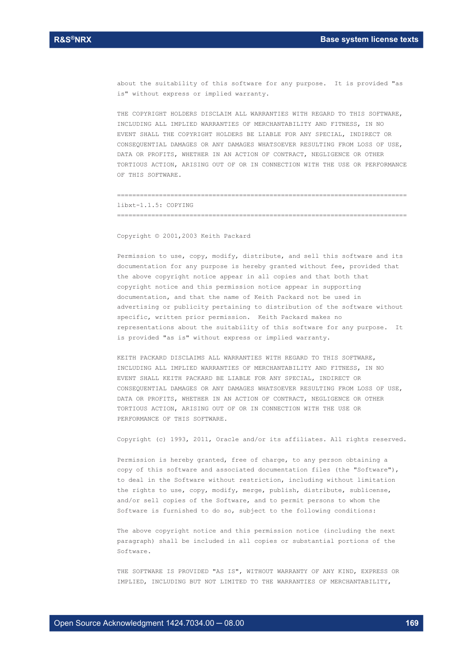about the suitability of this software for any purpose. It is provided "as is" without express or implied warranty.

THE COPYRIGHT HOLDERS DISCLAIM ALL WARRANTIES WITH REGARD TO THIS SOFTWARE, INCLUDING ALL IMPLIED WARRANTIES OF MERCHANTABILITY AND FITNESS, IN NO EVENT SHALL THE COPYRIGHT HOLDERS BE LIABLE FOR ANY SPECIAL, INDIRECT OR CONSEQUENTIAL DAMAGES OR ANY DAMAGES WHATSOEVER RESULTING FROM LOSS OF USE, DATA OR PROFITS, WHETHER IN AN ACTION OF CONTRACT, NEGLIGENCE OR OTHER TORTIOUS ACTION, ARISING OUT OF OR IN CONNECTION WITH THE USE OR PERFORMANCE OF THIS SOFTWARE.

```
============================================================================
libxt-1.1.5: COPYING
============================================================================
```
Copyright © 2001,2003 Keith Packard

Permission to use, copy, modify, distribute, and sell this software and its documentation for any purpose is hereby granted without fee, provided that the above copyright notice appear in all copies and that both that copyright notice and this permission notice appear in supporting documentation, and that the name of Keith Packard not be used in advertising or publicity pertaining to distribution of the software without specific, written prior permission. Keith Packard makes no representations about the suitability of this software for any purpose. It is provided "as is" without express or implied warranty.

KEITH PACKARD DISCLAIMS ALL WARRANTIES WITH REGARD TO THIS SOFTWARE, INCLUDING ALL IMPLIED WARRANTIES OF MERCHANTABILITY AND FITNESS, IN NO EVENT SHALL KEITH PACKARD BE LIABLE FOR ANY SPECIAL, INDIRECT OR CONSEQUENTIAL DAMAGES OR ANY DAMAGES WHATSOEVER RESULTING FROM LOSS OF USE, DATA OR PROFITS, WHETHER IN AN ACTION OF CONTRACT, NEGLIGENCE OR OTHER TORTIOUS ACTION, ARISING OUT OF OR IN CONNECTION WITH THE USE OR PERFORMANCE OF THIS SOFTWARE.

Copyright (c) 1993, 2011, Oracle and/or its affiliates. All rights reserved.

Permission is hereby granted, free of charge, to any person obtaining a copy of this software and associated documentation files (the "Software"), to deal in the Software without restriction, including without limitation the rights to use, copy, modify, merge, publish, distribute, sublicense, and/or sell copies of the Software, and to permit persons to whom the Software is furnished to do so, subject to the following conditions:

The above copyright notice and this permission notice (including the next paragraph) shall be included in all copies or substantial portions of the Software.

THE SOFTWARE IS PROVIDED "AS IS", WITHOUT WARRANTY OF ANY KIND, EXPRESS OR IMPLIED, INCLUDING BUT NOT LIMITED TO THE WARRANTIES OF MERCHANTABILITY,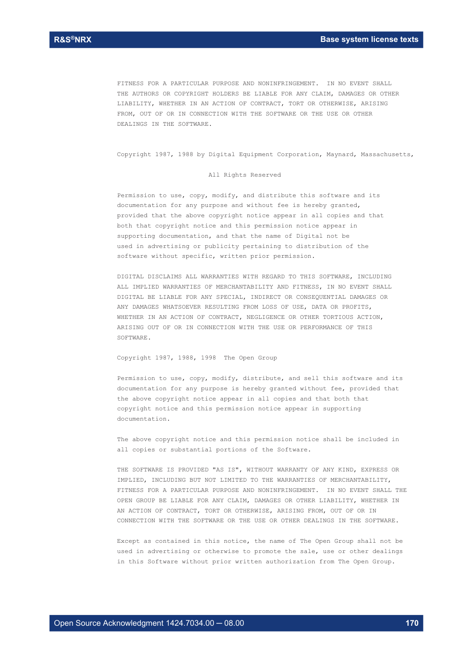FITNESS FOR A PARTICULAR PURPOSE AND NONINFRINGEMENT. IN NO EVENT SHALL THE AUTHORS OR COPYRIGHT HOLDERS BE LIABLE FOR ANY CLAIM, DAMAGES OR OTHER LIABILITY, WHETHER IN AN ACTION OF CONTRACT, TORT OR OTHERWISE, ARISING FROM, OUT OF OR IN CONNECTION WITH THE SOFTWARE OR THE USE OR OTHER DEALINGS IN THE SOFTWARE.

Copyright 1987, 1988 by Digital Equipment Corporation, Maynard, Massachusetts,

### All Rights Reserved

Permission to use, copy, modify, and distribute this software and its documentation for any purpose and without fee is hereby granted, provided that the above copyright notice appear in all copies and that both that copyright notice and this permission notice appear in supporting documentation, and that the name of Digital not be used in advertising or publicity pertaining to distribution of the software without specific, written prior permission.

DIGITAL DISCLAIMS ALL WARRANTIES WITH REGARD TO THIS SOFTWARE, INCLUDING ALL IMPLIED WARRANTIES OF MERCHANTABILITY AND FITNESS, IN NO EVENT SHALL DIGITAL BE LIABLE FOR ANY SPECIAL, INDIRECT OR CONSEQUENTIAL DAMAGES OR ANY DAMAGES WHATSOEVER RESULTING FROM LOSS OF USE, DATA OR PROFITS, WHETHER IN AN ACTION OF CONTRACT, NEGLIGENCE OR OTHER TORTIOUS ACTION, ARISING OUT OF OR IN CONNECTION WITH THE USE OR PERFORMANCE OF THIS SOFTWARE.

Copyright 1987, 1988, 1998 The Open Group

Permission to use, copy, modify, distribute, and sell this software and its documentation for any purpose is hereby granted without fee, provided that the above copyright notice appear in all copies and that both that copyright notice and this permission notice appear in supporting documentation.

The above copyright notice and this permission notice shall be included in all copies or substantial portions of the Software.

THE SOFTWARE IS PROVIDED "AS IS", WITHOUT WARRANTY OF ANY KIND, EXPRESS OR IMPLIED, INCLUDING BUT NOT LIMITED TO THE WARRANTIES OF MERCHANTABILITY, FITNESS FOR A PARTICULAR PURPOSE AND NONINFRINGEMENT. IN NO EVENT SHALL THE OPEN GROUP BE LIABLE FOR ANY CLAIM, DAMAGES OR OTHER LIABILITY, WHETHER IN AN ACTION OF CONTRACT, TORT OR OTHERWISE, ARISING FROM, OUT OF OR IN CONNECTION WITH THE SOFTWARE OR THE USE OR OTHER DEALINGS IN THE SOFTWARE.

Except as contained in this notice, the name of The Open Group shall not be used in advertising or otherwise to promote the sale, use or other dealings in this Software without prior written authorization from The Open Group.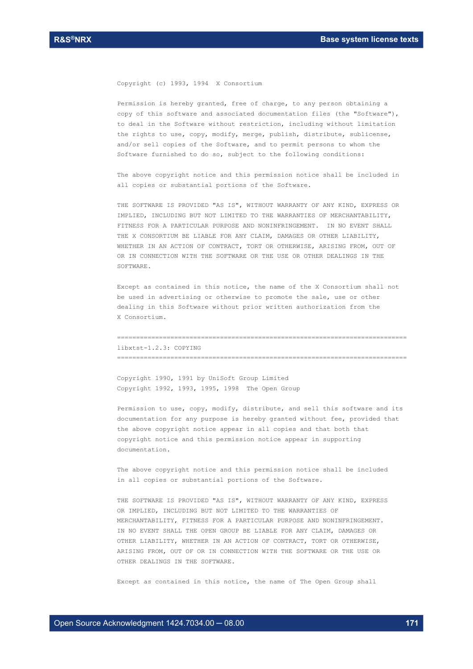Copyright (c) 1993, 1994 X Consortium

Permission is hereby granted, free of charge, to any person obtaining a copy of this software and associated documentation files (the "Software"), to deal in the Software without restriction, including without limitation the rights to use, copy, modify, merge, publish, distribute, sublicense, and/or sell copies of the Software, and to permit persons to whom the Software furnished to do so, subject to the following conditions:

The above copyright notice and this permission notice shall be included in all copies or substantial portions of the Software.

THE SOFTWARE IS PROVIDED "AS IS", WITHOUT WARRANTY OF ANY KIND, EXPRESS OR IMPLIED, INCLUDING BUT NOT LIMITED TO THE WARRANTIES OF MERCHANTABILITY, FITNESS FOR A PARTICULAR PURPOSE AND NONINFRINGEMENT. IN NO EVENT SHALL THE X CONSORTIUM BE LIABLE FOR ANY CLAIM, DAMAGES OR OTHER LIABILITY, WHETHER IN AN ACTION OF CONTRACT, TORT OR OTHERWISE, ARISING FROM, OUT OF OR IN CONNECTION WITH THE SOFTWARE OR THE USE OR OTHER DEALINGS IN THE SOFTWARE.

Except as contained in this notice, the name of the X Consortium shall not be used in advertising or otherwise to promote the sale, use or other dealing in this Software without prior written authorization from the X Consortium.

```
============================================================================
libxtst-1.2.3: COPYING
============================================================================
```
Copyright 1990, 1991 by UniSoft Group Limited Copyright 1992, 1993, 1995, 1998 The Open Group

Permission to use, copy, modify, distribute, and sell this software and its documentation for any purpose is hereby granted without fee, provided that the above copyright notice appear in all copies and that both that copyright notice and this permission notice appear in supporting documentation.

The above copyright notice and this permission notice shall be included in all copies or substantial portions of the Software.

THE SOFTWARE IS PROVIDED "AS IS", WITHOUT WARRANTY OF ANY KIND, EXPRESS OR IMPLIED, INCLUDING BUT NOT LIMITED TO THE WARRANTIES OF MERCHANTABILITY, FITNESS FOR A PARTICULAR PURPOSE AND NONINFRINGEMENT. IN NO EVENT SHALL THE OPEN GROUP BE LIABLE FOR ANY CLAIM, DAMAGES OR OTHER LIABILITY, WHETHER IN AN ACTION OF CONTRACT, TORT OR OTHERWISE, ARISING FROM, OUT OF OR IN CONNECTION WITH THE SOFTWARE OR THE USE OR OTHER DEALINGS IN THE SOFTWARE.

Except as contained in this notice, the name of The Open Group shall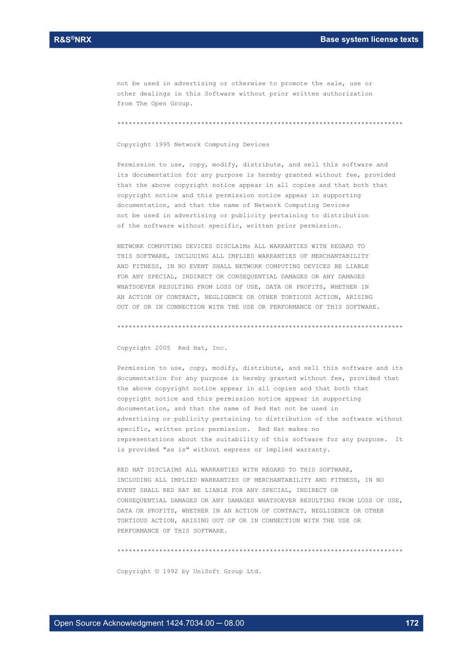not be used in advertising or otherwise to promote the sale, use or other dealings in this Software without prior written authorization from The Open Group.

\*\*\*\*\*\*\*\*\*\*\*\*\*\*\*\*\*\*\*\*\*\*\*\*\*\*\*\*\*\*\*\*\*\*\*\*\*\*\*\*\*\*\*\*\*\*\*\*\*\*\*\*\*\*\*\*\*\*\*\*\*\*\*\*\*\*\*\*\*\*\*\*\*\*\*

Copyright 1995 Network Computing Devices

Permission to use, copy, modify, distribute, and sell this software and its documentation for any purpose is hereby granted without fee, provided that the above copyright notice appear in all copies and that both that copyright notice and this permission notice appear in supporting documentation, and that the name of Network Computing Devices not be used in advertising or publicity pertaining to distribution of the software without specific, written prior permission.

NETWORK COMPUTING DEVICES DISCLAIMs ALL WARRANTIES WITH REGARD TO THIS SOFTWARE, INCLUDING ALL IMPLIED WARRANTIES OF MERCHANTABILITY AND FITNESS, IN NO EVENT SHALL NETWORK COMPUTING DEVICES BE LIABLE FOR ANY SPECIAL, INDIRECT OR CONSEQUENTIAL DAMAGES OR ANY DAMAGES WHATSOEVER RESULTING FROM LOSS OF USE, DATA OR PROFITS, WHETHER IN AN ACTION OF CONTRACT, NEGLIGENCE OR OTHER TORTIOUS ACTION, ARISING OUT OF OR IN CONNECTION WITH THE USE OR PERFORMANCE OF THIS SOFTWARE.

\*\*\*\*\*\*\*\*\*\*\*\*\*\*\*\*\*\*\*\*\*\*\*\*\*\*\*\*\*\*\*\*\*\*\*\*\*\*\*\*\*\*\*\*\*\*\*\*\*\*\*\*\*\*\*\*\*\*\*\*\*\*\*\*\*\*\*\*\*\*\*\*\*\*\*

Copyright 2005 Red Hat, Inc.

Permission to use, copy, modify, distribute, and sell this software and its documentation for any purpose is hereby granted without fee, provided that the above copyright notice appear in all copies and that both that copyright notice and this permission notice appear in supporting documentation, and that the name of Red Hat not be used in advertising or publicity pertaining to distribution of the software without specific, written prior permission. Red Hat makes no representations about the suitability of this software for any purpose. It is provided "as is" without express or implied warranty.

RED HAT DISCLAIMS ALL WARRANTIES WITH REGARD TO THIS SOFTWARE, INCLUDING ALL IMPLIED WARRANTIES OF MERCHANTABILITY AND FITNESS, IN NO EVENT SHALL RED HAT BE LIABLE FOR ANY SPECIAL, INDIRECT OR CONSEQUENTIAL DAMAGES OR ANY DAMAGES WHATSOEVER RESULTING FROM LOSS OF USE, DATA OR PROFITS, WHETHER IN AN ACTION OF CONTRACT, NEGLIGENCE OR OTHER TORTIOUS ACTION, ARISING OUT OF OR IN CONNECTION WITH THE USE OR PERFORMANCE OF THIS SOFTWARE.

\*\*\*\*\*\*\*\*\*\*\*\*\*\*\*\*\*\*\*\*\*\*\*\*\*\*\*\*\*\*\*\*\*\*\*\*\*\*\*\*\*\*\*\*\*\*\*\*\*\*\*\*\*\*\*\*\*\*\*\*\*\*\*\*\*\*\*\*\*\*\*\*\*\*\*

Copyright © 1992 by UniSoft Group Ltd.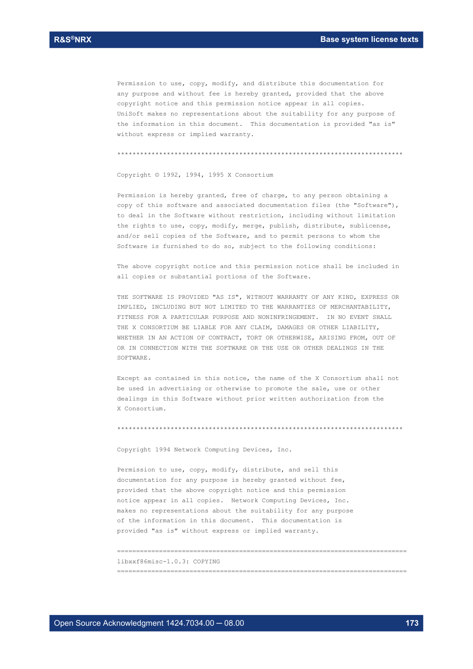Permission to use, copy, modify, and distribute this documentation for any purpose and without fee is hereby granted, provided that the above copyright notice and this permission notice appear in all copies. UniSoft makes no representations about the suitability for any purpose of the information in this document. This documentation is provided "as is" without express or implied warranty.

\*\*\*\*\*\*\*\*\*\*\*\*\*\*\*\*\*\*\*\*\*\*\*\*\*\*\*\*\*\*\*\*\*\*\*\*\*\*\*\*\*\*\*\*\*\*\*\*\*\*\*\*\*\*\*\*\*\*\*\*\*\*\*\*\*\*\*\*\*\*\*\*\*\*\*

Copyright © 1992, 1994, 1995 X Consortium

Permission is hereby granted, free of charge, to any person obtaining a copy of this software and associated documentation files (the "Software"), to deal in the Software without restriction, including without limitation the rights to use, copy, modify, merge, publish, distribute, sublicense, and/or sell copies of the Software, and to permit persons to whom the Software is furnished to do so, subject to the following conditions:

The above copyright notice and this permission notice shall be included in all copies or substantial portions of the Software.

THE SOFTWARE IS PROVIDED "AS IS", WITHOUT WARRANTY OF ANY KIND, EXPRESS OR IMPLIED, INCLUDING BUT NOT LIMITED TO THE WARRANTIES OF MERCHANTABILITY, FITNESS FOR A PARTICULAR PURPOSE AND NONINFRINGEMENT. IN NO EVENT SHALL THE X CONSORTIUM BE LIABLE FOR ANY CLAIM, DAMAGES OR OTHER LIABILITY, WHETHER IN AN ACTION OF CONTRACT, TORT OR OTHERWISE, ARISING FROM, OUT OF OR IN CONNECTION WITH THE SOFTWARE OR THE USE OR OTHER DEALINGS IN THE SOFTWARE.

Except as contained in this notice, the name of the X Consortium shall not be used in advertising or otherwise to promote the sale, use or other dealings in this Software without prior written authorization from the X Consortium.

\*\*\*\*\*\*\*\*\*\*\*\*\*\*\*\*\*\*\*\*\*\*\*\*\*\*\*\*\*\*\*\*\*\*\*\*\*\*\*\*\*\*\*\*\*\*\*\*\*\*\*\*\*\*\*\*\*\*\*\*\*\*\*\*\*\*\*\*\*\*\*\*\*\*\*

Copyright 1994 Network Computing Devices, Inc.

Permission to use, copy, modify, distribute, and sell this documentation for any purpose is hereby granted without fee, provided that the above copyright notice and this permission notice appear in all copies. Network Computing Devices, Inc. makes no representations about the suitability for any purpose of the information in this document. This documentation is provided "as is" without express or implied warranty.

============================================================================ libxxf86misc-1.0.3: COPYING ============================================================================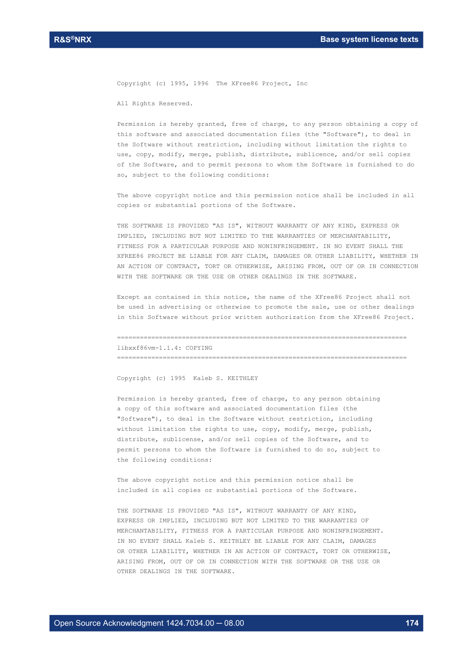Copyright (c) 1995, 1996 The XFree86 Project, Inc

All Rights Reserved.

Permission is hereby granted, free of charge, to any person obtaining a copy of this software and associated documentation files (the "Software"), to deal in the Software without restriction, including without limitation the rights to use, copy, modify, merge, publish, distribute, sublicence, and/or sell copies of the Software, and to permit persons to whom the Software is furnished to do so, subject to the following conditions:

The above copyright notice and this permission notice shall be included in all copies or substantial portions of the Software.

THE SOFTWARE IS PROVIDED "AS IS", WITHOUT WARRANTY OF ANY KIND, EXPRESS OR IMPLIED, INCLUDING BUT NOT LIMITED TO THE WARRANTIES OF MERCHANTABILITY, FITNESS FOR A PARTICULAR PURPOSE AND NONINFRINGEMENT. IN NO EVENT SHALL THE XFREE86 PROJECT BE LIABLE FOR ANY CLAIM, DAMAGES OR OTHER LIABILITY, WHETHER IN AN ACTION OF CONTRACT, TORT OR OTHERWISE, ARISING FROM, OUT OF OR IN CONNECTION WITH THE SOFTWARE OR THE USE OR OTHER DEALINGS IN THE SOFTWARE.

Except as contained in this notice, the name of the XFree86 Project shall not be used in advertising or otherwise to promote the sale, use or other dealings in this Software without prior written authorization from the XFree86 Project.

```
============================================================================
libxxf86vm-1.1.4: COPYING
============================================================================
```
Copyright (c) 1995 Kaleb S. KEITHLEY

Permission is hereby granted, free of charge, to any person obtaining a copy of this software and associated documentation files (the "Software"), to deal in the Software without restriction, including without limitation the rights to use, copy, modify, merge, publish, distribute, sublicense, and/or sell copies of the Software, and to permit persons to whom the Software is furnished to do so, subject to the following conditions:

The above copyright notice and this permission notice shall be included in all copies or substantial portions of the Software.

THE SOFTWARE IS PROVIDED "AS IS", WITHOUT WARRANTY OF ANY KIND, EXPRESS OR IMPLIED, INCLUDING BUT NOT LIMITED TO THE WARRANTIES OF MERCHANTABILITY, FITNESS FOR A PARTICULAR PURPOSE AND NONINFRINGEMENT. IN NO EVENT SHALL Kaleb S. KEITHLEY BE LIABLE FOR ANY CLAIM, DAMAGES OR OTHER LIABILITY, WHETHER IN AN ACTION OF CONTRACT, TORT OR OTHERWISE, ARISING FROM, OUT OF OR IN CONNECTION WITH THE SOFTWARE OR THE USE OR OTHER DEALINGS IN THE SOFTWARE.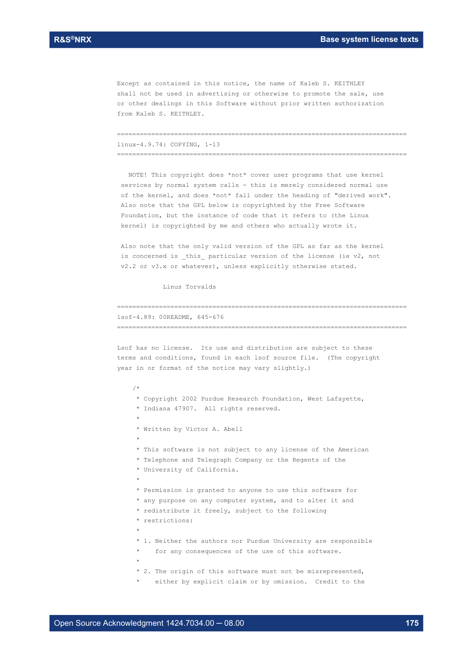Except as contained in this notice, the name of Kaleb S. KEITHLEY shall not be used in advertising or otherwise to promote the sale, use or other dealings in this Software without prior written authorization from Kaleb S. KEITHLEY.

```
============================================================================
linux-4.9.74: COPYING, 1-13
============================================================================
```
 NOTE! This copyright does \*not\* cover user programs that use kernel services by normal system calls - this is merely considered normal use of the kernel, and does \*not\* fall under the heading of "derived work". Also note that the GPL below is copyrighted by the Free Software Foundation, but the instance of code that it refers to (the Linux kernel) is copyrighted by me and others who actually wrote it.

 Also note that the only valid version of the GPL as far as the kernel is concerned is this particular version of the license (ie v2, not v2.2 or v3.x or whatever), unless explicitly otherwise stated.

Linus Torvalds

```
============================================================================
lsof-4.89: 00README, 645-676
============================================================================
```
Lsof has no license. Its use and distribution are subject to these terms and conditions, found in each lsof source file. (The copyright year in or format of the notice may vary slightly.)

```
 /*
     * Copyright 2002 Purdue Research Foundation, West Lafayette,
     * Indiana 47907. All rights reserved.
\star * Written by Victor A. Abell
\star * This software is not subject to any license of the American
     * Telephone and Telegraph Company or the Regents of the
     * University of California.
\star * Permission is granted to anyone to use this software for
     * any purpose on any computer system, and to alter it and
     * redistribute it freely, subject to the following
     * restrictions:
\star * 1. Neither the authors nor Purdue University are responsible
       for any consequences of the use of this software.
\star * 2. The origin of this software must not be misrepresented,
       either by explicit claim or by omission. Credit to the
```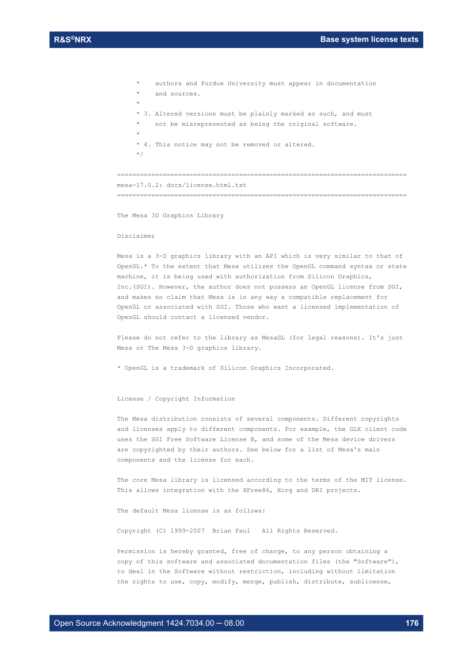authors and Purdue University must appear in documentation and sources.  $\star$  \* 3. Altered versions must be plainly marked as such, and must not be misrepresented as being the original software.  $\star$  \* 4. This notice may not be removed or altered. \*/

```
============================================================================
mesa-17.0.2: docs/license.html.txt
============================================================================
```
The Mesa 3D Graphics Library

### Disclaimer

Mesa is a 3-D graphics library with an API which is very similar to that of OpenGL.\* To the extent that Mesa utilizes the OpenGL command syntax or state machine, it is being used with authorization from Silicon Graphics, Inc.(SGI). However, the author does not possess an OpenGL license from SGI, and makes no claim that Mesa is in any way a compatible replacement for OpenGL or associated with SGI. Those who want a licensed implementation of OpenGL should contact a licensed vendor.

Please do not refer to the library as MesaGL (for legal reasons). It's just Mesa or The Mesa 3-D graphics library.

\* OpenGL is a trademark of Silicon Graphics Incorporated.

## License / Copyright Information

The Mesa distribution consists of several components. Different copyrights and licenses apply to different components. For example, the GLX client code uses the SGI Free Software License B, and some of the Mesa device drivers are copyrighted by their authors. See below for a list of Mesa's main components and the license for each.

The core Mesa library is licensed according to the terms of the MIT license. This allows integration with the XFree86, Xorg and DRI projects.

The default Mesa license is as follows:

Copyright (C) 1999-2007 Brian Paul All Rights Reserved.

Permission is hereby granted, free of charge, to any person obtaining a copy of this software and associated documentation files (the "Software"), to deal in the Software without restriction, including without limitation the rights to use, copy, modify, merge, publish, distribute, sublicense,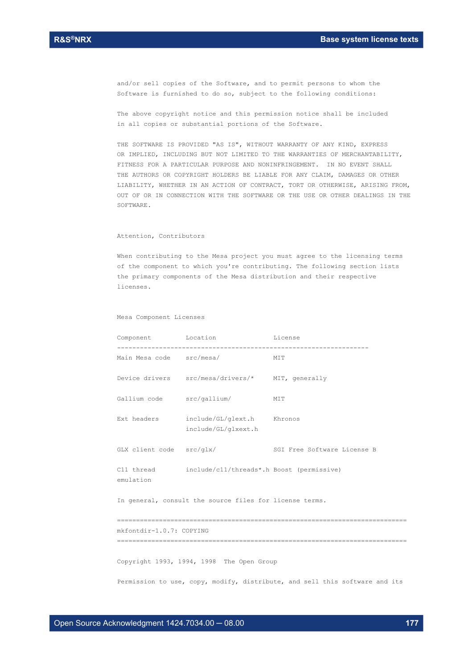and/or sell copies of the Software, and to permit persons to whom the Software is furnished to do so, subject to the following conditions:

The above copyright notice and this permission notice shall be included in all copies or substantial portions of the Software.

THE SOFTWARE IS PROVIDED "AS IS", WITHOUT WARRANTY OF ANY KIND, EXPRESS OR IMPLIED, INCLUDING BUT NOT LIMITED TO THE WARRANTIES OF MERCHANTABILITY, FITNESS FOR A PARTICULAR PURPOSE AND NONINFRINGEMENT. IN NO EVENT SHALL THE AUTHORS OR COPYRIGHT HOLDERS BE LIABLE FOR ANY CLAIM, DAMAGES OR OTHER LIABILITY, WHETHER IN AN ACTION OF CONTRACT, TORT OR OTHERWISE, ARISING FROM, OUT OF OR IN CONNECTION WITH THE SOFTWARE OR THE USE OR OTHER DEALINGS IN THE SOFTWARE.

## Attention, Contributors

When contributing to the Mesa project you must agree to the licensing terms of the component to which you're contributing. The following section lists the primary components of the Mesa distribution and their respective licenses.

Mesa Component Licenses

|                                                                             | Component Location                                   | License                     |  |
|-----------------------------------------------------------------------------|------------------------------------------------------|-----------------------------|--|
| Main Mesa code src/mesa/                                                    |                                                      | MIT                         |  |
|                                                                             | Device drivers src/mesa/drivers/* MIT, generally     |                             |  |
|                                                                             | Gallium code src/gallium/                            | MIT                         |  |
| Ext headers                                                                 | include/GL/qlext.h Khronos<br>include/GL/qlxext.h    |                             |  |
| GLX client code src/qlx/                                                    |                                                      | SGI Free Software License B |  |
| emulation                                                                   | C11 thread include/c11/threads*.h Boost (permissive) |                             |  |
| In general, consult the source files for license terms.                     |                                                      |                             |  |
| mkfontdir-1.0.7: COPYING                                                    |                                                      |                             |  |
|                                                                             |                                                      |                             |  |
| Copyright 1993, 1994, 1998 The Open Group                                   |                                                      |                             |  |
| Permission to use, copy, modify, distribute, and sell this software and its |                                                      |                             |  |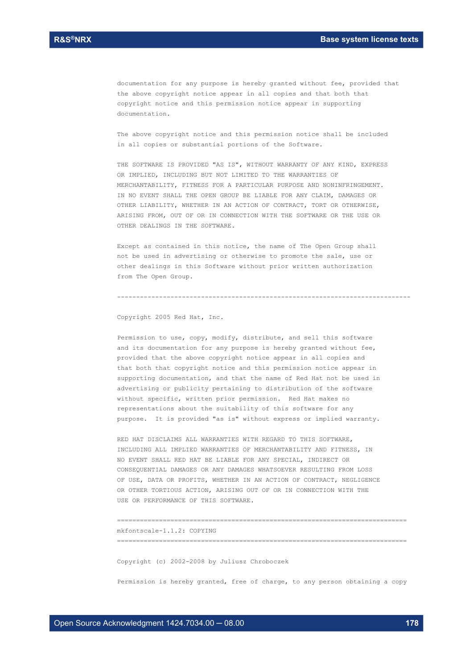documentation for any purpose is hereby granted without fee, provided that the above copyright notice appear in all copies and that both that copyright notice and this permission notice appear in supporting documentation.

The above copyright notice and this permission notice shall be included in all copies or substantial portions of the Software.

THE SOFTWARE IS PROVIDED "AS IS", WITHOUT WARRANTY OF ANY KIND, EXPRESS OR IMPLIED, INCLUDING BUT NOT LIMITED TO THE WARRANTIES OF MERCHANTABILITY, FITNESS FOR A PARTICULAR PURPOSE AND NONINFRINGEMENT. IN NO EVENT SHALL THE OPEN GROUP BE LIABLE FOR ANY CLAIM, DAMAGES OR OTHER LIABILITY, WHETHER IN AN ACTION OF CONTRACT, TORT OR OTHERWISE, ARISING FROM, OUT OF OR IN CONNECTION WITH THE SOFTWARE OR THE USE OR OTHER DEALINGS IN THE SOFTWARE.

Except as contained in this notice, the name of The Open Group shall not be used in advertising or otherwise to promote the sale, use or other dealings in this Software without prior written authorization from The Open Group.

-----------------------------------------------------------------------------

Copyright 2005 Red Hat, Inc.

Permission to use, copy, modify, distribute, and sell this software and its documentation for any purpose is hereby granted without fee, provided that the above copyright notice appear in all copies and that both that copyright notice and this permission notice appear in supporting documentation, and that the name of Red Hat not be used in advertising or publicity pertaining to distribution of the software without specific, written prior permission. Red Hat makes no representations about the suitability of this software for any purpose. It is provided "as is" without express or implied warranty.

RED HAT DISCLAIMS ALL WARRANTIES WITH REGARD TO THIS SOFTWARE, INCLUDING ALL IMPLIED WARRANTIES OF MERCHANTABILITY AND FITNESS, IN NO EVENT SHALL RED HAT BE LIABLE FOR ANY SPECIAL, INDIRECT OR CONSEQUENTIAL DAMAGES OR ANY DAMAGES WHATSOEVER RESULTING FROM LOSS OF USE, DATA OR PROFITS, WHETHER IN AN ACTION OF CONTRACT, NEGLIGENCE OR OTHER TORTIOUS ACTION, ARISING OUT OF OR IN CONNECTION WITH THE USE OR PERFORMANCE OF THIS SOFTWARE.

```
============================================================================
mkfontscale-1.1.2: COPYING
============================================================================
Copyright (c) 2002-2008 by Juliusz Chroboczek
Permission is hereby granted, free of charge, to any person obtaining a copy
```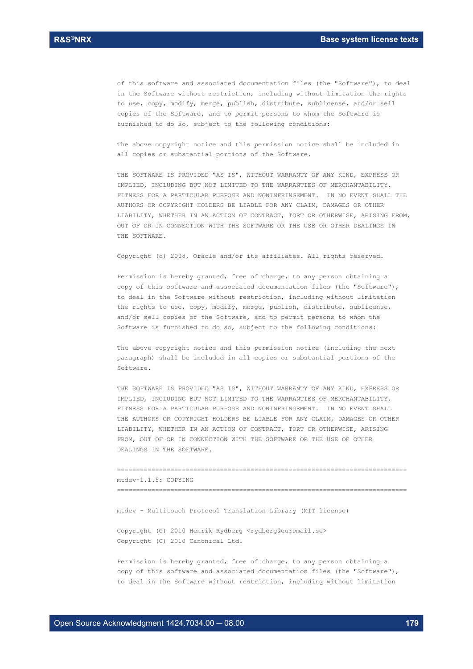of this software and associated documentation files (the "Software"), to deal in the Software without restriction, including without limitation the rights to use, copy, modify, merge, publish, distribute, sublicense, and/or sell copies of the Software, and to permit persons to whom the Software is furnished to do so, subject to the following conditions:

The above copyright notice and this permission notice shall be included in all copies or substantial portions of the Software.

THE SOFTWARE IS PROVIDED "AS IS", WITHOUT WARRANTY OF ANY KIND, EXPRESS OR IMPLIED, INCLUDING BUT NOT LIMITED TO THE WARRANTIES OF MERCHANTABILITY, FITNESS FOR A PARTICULAR PURPOSE AND NONINFRINGEMENT. IN NO EVENT SHALL THE AUTHORS OR COPYRIGHT HOLDERS BE LIABLE FOR ANY CLAIM, DAMAGES OR OTHER LIABILITY, WHETHER IN AN ACTION OF CONTRACT, TORT OR OTHERWISE, ARISING FROM, OUT OF OR IN CONNECTION WITH THE SOFTWARE OR THE USE OR OTHER DEALINGS IN THE SOFTWARE.

Copyright (c) 2008, Oracle and/or its affiliates. All rights reserved.

Permission is hereby granted, free of charge, to any person obtaining a copy of this software and associated documentation files (the "Software"), to deal in the Software without restriction, including without limitation the rights to use, copy, modify, merge, publish, distribute, sublicense, and/or sell copies of the Software, and to permit persons to whom the Software is furnished to do so, subject to the following conditions:

The above copyright notice and this permission notice (including the next paragraph) shall be included in all copies or substantial portions of the Software.

THE SOFTWARE IS PROVIDED "AS IS", WITHOUT WARRANTY OF ANY KIND, EXPRESS OR IMPLIED, INCLUDING BUT NOT LIMITED TO THE WARRANTIES OF MERCHANTABILITY, FITNESS FOR A PARTICULAR PURPOSE AND NONINFRINGEMENT. IN NO EVENT SHALL THE AUTHORS OR COPYRIGHT HOLDERS BE LIABLE FOR ANY CLAIM, DAMAGES OR OTHER LIABILITY, WHETHER IN AN ACTION OF CONTRACT, TORT OR OTHERWISE, ARISING FROM, OUT OF OR IN CONNECTION WITH THE SOFTWARE OR THE USE OR OTHER DEALINGS IN THE SOFTWARE.

```
============================================================================
mtdev-1.1.5: COPYING
============================================================================
mtdev - Multitouch Protocol Translation Library (MIT license)
Copyright (C) 2010 Henrik Rydberg <rydberg@euromail.se>
Copyright (C) 2010 Canonical Ltd.
Permission is hereby granted, free of charge, to any person obtaining a
```
copy of this software and associated documentation files (the "Software"), to deal in the Software without restriction, including without limitation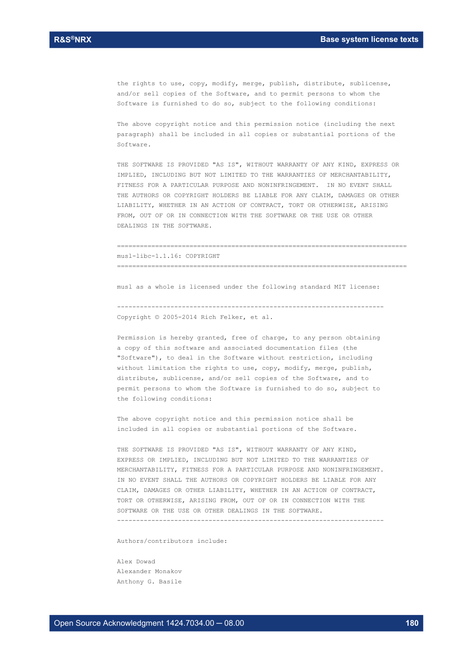the rights to use, copy, modify, merge, publish, distribute, sublicense, and/or sell copies of the Software, and to permit persons to whom the Software is furnished to do so, subject to the following conditions:

The above copyright notice and this permission notice (including the next paragraph) shall be included in all copies or substantial portions of the Software.

THE SOFTWARE IS PROVIDED "AS IS", WITHOUT WARRANTY OF ANY KIND, EXPRESS OR IMPLIED, INCLUDING BUT NOT LIMITED TO THE WARRANTIES OF MERCHANTABILITY, FITNESS FOR A PARTICULAR PURPOSE AND NONINFRINGEMENT. IN NO EVENT SHALL THE AUTHORS OR COPYRIGHT HOLDERS BE LIABLE FOR ANY CLAIM, DAMAGES OR OTHER LIABILITY, WHETHER IN AN ACTION OF CONTRACT, TORT OR OTHERWISE, ARISING FROM, OUT OF OR IN CONNECTION WITH THE SOFTWARE OR THE USE OR OTHER DEALINGS IN THE SOFTWARE.

```
============================================================================
musl-libc-1.1.16: COPYRIGHT
============================================================================
```
musl as a whole is licensed under the following standard MIT license:

---------------------------------------------------------------------- Copyright © 2005-2014 Rich Felker, et al.

Permission is hereby granted, free of charge, to any person obtaining a copy of this software and associated documentation files (the "Software"), to deal in the Software without restriction, including without limitation the rights to use, copy, modify, merge, publish, distribute, sublicense, and/or sell copies of the Software, and to permit persons to whom the Software is furnished to do so, subject to the following conditions:

The above copyright notice and this permission notice shall be included in all copies or substantial portions of the Software.

THE SOFTWARE IS PROVIDED "AS IS", WITHOUT WARRANTY OF ANY KIND, EXPRESS OR IMPLIED, INCLUDING BUT NOT LIMITED TO THE WARRANTIES OF MERCHANTABILITY, FITNESS FOR A PARTICULAR PURPOSE AND NONINFRINGEMENT. IN NO EVENT SHALL THE AUTHORS OR COPYRIGHT HOLDERS BE LIABLE FOR ANY CLAIM, DAMAGES OR OTHER LIABILITY, WHETHER IN AN ACTION OF CONTRACT, TORT OR OTHERWISE, ARISING FROM, OUT OF OR IN CONNECTION WITH THE SOFTWARE OR THE USE OR OTHER DEALINGS IN THE SOFTWARE. ----------------------------------------------------------------------

Authors/contributors include:

Alex Dowad Alexander Monakov Anthony G. Basile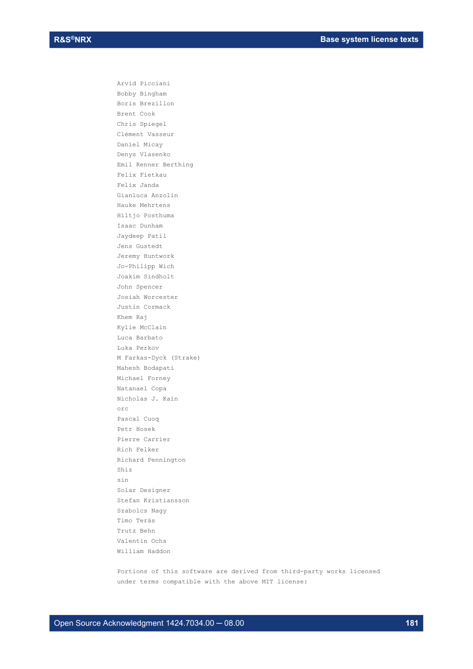Bobby Bingham Boris Brezillon Brent Cook Chris Spiegel Clément Vasseur Daniel Micay Denys Vlasenko Emil Renner Berthing Felix Fietkau Felix Janda Gianluca Anzolin Hauke Mehrtens Hiltjo Posthuma Isaac Dunham Jaydeep Patil Jens Gustedt Jeremy Huntwork Jo-Philipp Wich Joakim Sindholt John Spencer Josiah Worcester Justin Cormack Khem Raj Kylie McClain Luca Barbato Luka Perkov M Farkas-Dyck (Strake) Mahesh Bodapati Michael Forney Natanael Copa Nicholas J. Kain orc Pascal Cuoq Petr Hosek Pierre Carrier Rich Felker Richard Pennington Shiz sin Solar Designer Stefan Kristiansson Szabolcs Nagy Timo Teräs Trutz Behn Valentin Ochs William Haddon

Arvid Picciani

Portions of this software are derived from third-party works licensed under terms compatible with the above MIT license: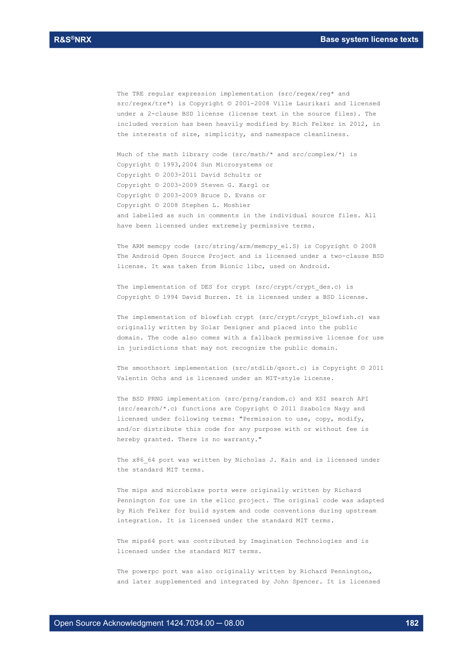The TRE regular expression implementation (src/regex/reg\* and src/regex/tre\*) is Copyright © 2001-2008 Ville Laurikari and licensed under a 2-clause BSD license (license text in the source files). The included version has been heavily modified by Rich Felker in 2012, in the interests of size, simplicity, and namespace cleanliness.

Much of the math library code (src/math/\* and src/complex/\*) is Copyright © 1993,2004 Sun Microsystems or Copyright © 2003-2011 David Schultz or Copyright © 2003-2009 Steven G. Kargl or Copyright © 2003-2009 Bruce D. Evans or Copyright © 2008 Stephen L. Moshier and labelled as such in comments in the individual source files. All have been licensed under extremely permissive terms.

The ARM memcpy code (src/string/arm/memcpy el.S) is Copyright © 2008 The Android Open Source Project and is licensed under a two-clause BSD license. It was taken from Bionic libc, used on Android.

The implementation of DES for crypt (src/crypt/crypt des.c) is Copyright © 1994 David Burren. It is licensed under a BSD license.

The implementation of blowfish crypt (src/crypt/crypt blowfish.c) was originally written by Solar Designer and placed into the public domain. The code also comes with a fallback permissive license for use in jurisdictions that may not recognize the public domain.

The smoothsort implementation (src/stdlib/qsort.c) is Copyright © 2011 Valentin Ochs and is licensed under an MIT-style license.

The BSD PRNG implementation (src/prng/random.c) and XSI search API (src/search/\*.c) functions are Copyright © 2011 Szabolcs Nagy and licensed under following terms: "Permission to use, copy, modify, and/or distribute this code for any purpose with or without fee is hereby granted. There is no warranty."

The x86 64 port was written by Nicholas J. Kain and is licensed under the standard MIT terms.

The mips and microblaze ports were originally written by Richard Pennington for use in the ellcc project. The original code was adapted by Rich Felker for build system and code conventions during upstream integration. It is licensed under the standard MIT terms.

The mips64 port was contributed by Imagination Technologies and is licensed under the standard MIT terms.

The powerpc port was also originally written by Richard Pennington, and later supplemented and integrated by John Spencer. It is licensed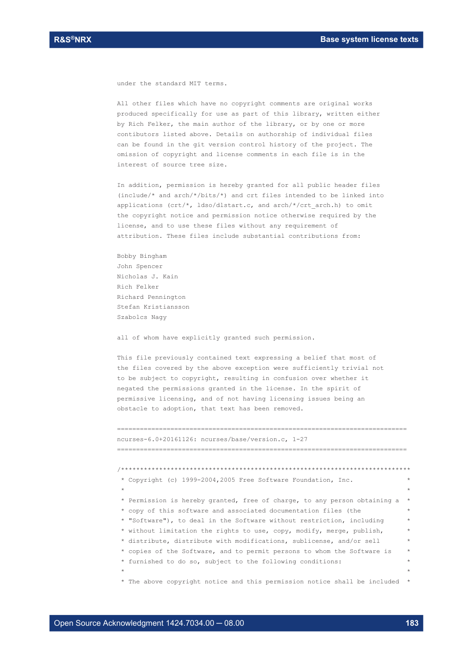under the standard MIT terms.

All other files which have no copyright comments are original works produced specifically for use as part of this library, written either by Rich Felker, the main author of the library, or by one or more contibutors listed above. Details on authorship of individual files can be found in the git version control history of the project. The omission of copyright and license comments in each file is in the interest of source tree size.

In addition, permission is hereby granted for all public header files (include/\* and arch/\*/bits/\*) and crt files intended to be linked into applications (crt/\*, ldso/dlstart.c, and arch/\*/crt arch.h) to omit the copyright notice and permission notice otherwise required by the license, and to use these files without any requirement of attribution. These files include substantial contributions from:

Bobby Bingham John Spencer Nicholas J. Kain Rich Felker Richard Pennington Stefan Kristiansson Szabolcs Nagy

all of whom have explicitly granted such permission.

This file previously contained text expressing a belief that most of the files covered by the above exception were sufficiently trivial not to be subject to copyright, resulting in confusion over whether it negated the permissions granted in the license. In the spirit of permissive licensing, and of not having licensing issues being an obstacle to adoption, that text has been removed.

============================================================================ ncurses-6.0+20161126: ncurses/base/version.c, 1-27 ============================================================================ /\*\*\*\*\*\*\*\*\*\*\*\*\*\*\*\*\*\*\*\*\*\*\*\*\*\*\*\*\*\*\*\*\*\*\*\*\*\*\*\*\*\*\*\*\*\*\*\*\*\*\*\*\*\*\*\*\*\*\*\*\*\*\*\*\*\*\*\*\*\*\*\*\*\*\*\*

 \* Copyright (c) 1999-2004,2005 Free Software Foundation, Inc. \*  $\star$  \* \* Permission is hereby granted, free of charge, to any person obtaining a \* \* copy of this software and associated documentation files (the \* \* "Software"), to deal in the Software without restriction, including \* \* without limitation the rights to use, copy, modify, merge, publish, \* \* distribute, distribute with modifications, sublicense, and/or sell \* \* copies of the Software, and to permit persons to whom the Software is \* \* furnished to do so, subject to the following conditions: \*  $\star$  \* \* The above copyright notice and this permission notice shall be included \*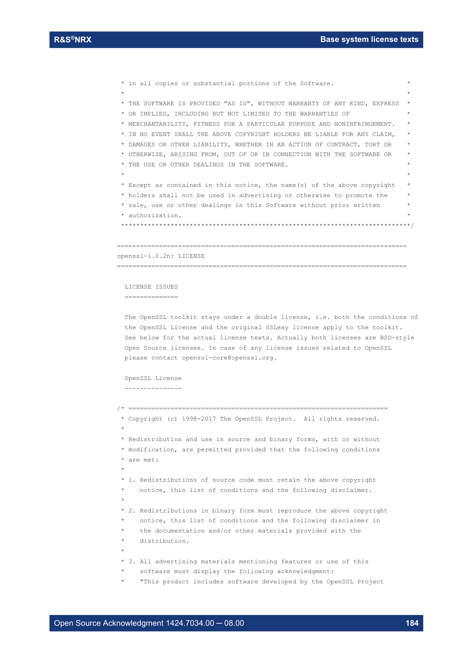```
 * in all copies or substantial portions of the Software. *
\star *
  * THE SOFTWARE IS PROVIDED "AS IS", WITHOUT WARRANTY OF ANY KIND, EXPRESS *
 * OR IMPLIED, INCLUDING BUT NOT LIMITED TO THE WARRANTIES OF *
 * MERCHANTABILITY, FITNESS FOR A PARTICULAR PURPOSE AND NONINFRINGEMENT. *
 * IN NO EVENT SHALL THE ABOVE COPYRIGHT HOLDERS BE LIABLE FOR ANY CLAIM, *
 * DAMAGES OR OTHER LIABILITY, WHETHER IN AN ACTION OF CONTRACT, TORT OR *
  * OTHERWISE, ARISING FROM, OUT OF OR IN CONNECTION WITH THE SOFTWARE OR *
  * THE USE OR OTHER DEALINGS IN THE SOFTWARE. *
\star *
  * Except as contained in this notice, the name(s) of the above copyright *
 * holders shall not be used in advertising or otherwise to promote the *
  * sale, use or other dealings in this Software without prior written *
  * authorization. *
  ****************************************************************************/
   ============================================================================
openssl-1.0.2n: LICENSE
   ============================================================================
  LICENSE ISSUES
  ==============
  The OpenSSL toolkit stays under a double license, i.e. both the conditions of
  the OpenSSL License and the original SSLeay license apply to the toolkit.
  See below for the actual license texts. Actually both licenses are BSD-style
  Open Source licenses. In case of any license issues related to OpenSSL
  please contact openssl-core@openssl.org.
  OpenSSL License
   ---------------
/* ====================================================================
  * Copyright (c) 1998-2017 The OpenSSL Project. All rights reserved.
 *
 * Redistribution and use in source and binary forms, with or without
  * modification, are permitted provided that the following conditions
  * are met:
 *
  * 1. Redistributions of source code must retain the above copyright
     notice, this list of conditions and the following disclaimer.
 *
  * 2. Redistributions in binary form must reproduce the above copyright
     notice, this list of conditions and the following disclaimer in
     the documentation and/or other materials provided with the
     distribution.
 *
  * 3. All advertising materials mentioning features or use of this
     software must display the following acknowledgment:
     "This product includes software developed by the OpenSSL Project
```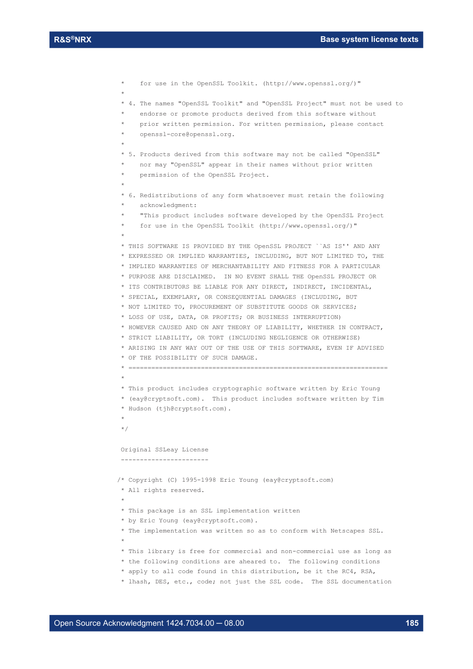```
for use in the OpenSSL Toolkit. (http://www.openssl.org/)"
 *
  * 4. The names "OpenSSL Toolkit" and "OpenSSL Project" must not be used to
     endorse or promote products derived from this software without
     prior written permission. For written permission, please contact
      * openssl-core@openssl.org.
 *
  * 5. Products derived from this software may not be called "OpenSSL"
     nor may "OpenSSL" appear in their names without prior written
     permission of the OpenSSL Project.
 *
  * 6. Redistributions of any form whatsoever must retain the following
     acknowledgment:
      * "This product includes software developed by the OpenSSL Project
     for use in the OpenSSL Toolkit (http://www.openssl.org/)"
 *
  * THIS SOFTWARE IS PROVIDED BY THE OpenSSL PROJECT ``AS IS'' AND ANY
 * EXPRESSED OR IMPLIED WARRANTIES, INCLUDING, BUT NOT LIMITED TO, THE
  * IMPLIED WARRANTIES OF MERCHANTABILITY AND FITNESS FOR A PARTICULAR
  * PURPOSE ARE DISCLAIMED. IN NO EVENT SHALL THE OpenSSL PROJECT OR
 * ITS CONTRIBUTORS BE LIABLE FOR ANY DIRECT, INDIRECT, INCIDENTAL,
  * SPECIAL, EXEMPLARY, OR CONSEQUENTIAL DAMAGES (INCLUDING, BUT
  * NOT LIMITED TO, PROCUREMENT OF SUBSTITUTE GOODS OR SERVICES;
  * LOSS OF USE, DATA, OR PROFITS; OR BUSINESS INTERRUPTION)
 * HOWEVER CAUSED AND ON ANY THEORY OF LIABILITY, WHETHER IN CONTRACT,
 * STRICT LIABILITY, OR TORT (INCLUDING NEGLIGENCE OR OTHERWISE)
  * ARISING IN ANY WAY OUT OF THE USE OF THIS SOFTWARE, EVEN IF ADVISED
 * OF THE POSSIBILITY OF SUCH DAMAGE.
  * ====================================================================
 *
  * This product includes cryptographic software written by Eric Young
  * (eay@cryptsoft.com). This product includes software written by Tim
  * Hudson (tjh@cryptsoft.com).
 *
  */
 Original SSLeay License
  -----------------------
/* Copyright (C) 1995-1998 Eric Young (eay@cryptsoft.com)
  * All rights reserved.
 *
 * This package is an SSL implementation written
 * by Eric Young (eay@cryptsoft.com).
  * The implementation was written so as to conform with Netscapes SSL.
 * 
 * This library is free for commercial and non-commercial use as long as
  * the following conditions are aheared to. The following conditions
 * apply to all code found in this distribution, be it the RC4, RSA,
  * lhash, DES, etc., code; not just the SSL code. The SSL documentation
```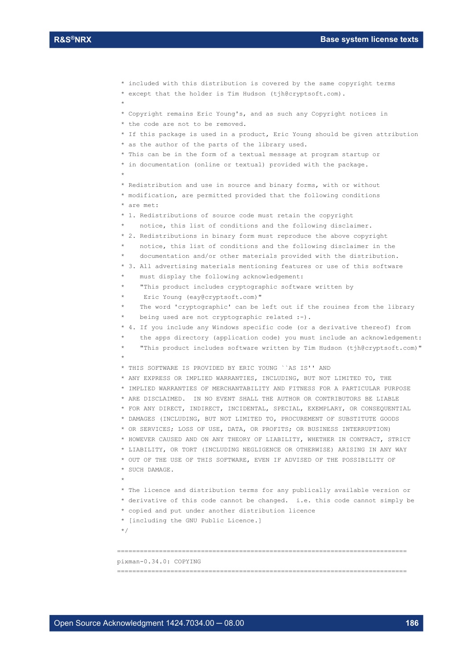```
 * included with this distribution is covered by the same copyright terms
  * except that the holder is Tim Hudson (tjh@cryptsoft.com).
 * 
  * Copyright remains Eric Young's, and as such any Copyright notices in
  * the code are not to be removed.
 * If this package is used in a product, Eric Young should be given attribution
 * as the author of the parts of the library used.
  * This can be in the form of a textual message at program startup or
  * in documentation (online or textual) provided with the package.
 * 
  * Redistribution and use in source and binary forms, with or without
  * modification, are permitted provided that the following conditions
  * are met:
  * 1. Redistributions of source code must retain the copyright
    notice, this list of conditions and the following disclaimer.
  * 2. Redistributions in binary form must reproduce the above copyright
     notice, this list of conditions and the following disclaimer in the
     documentation and/or other materials provided with the distribution.
  * 3. All advertising materials mentioning features or use of this software
     must display the following acknowledgement:
     "This product includes cryptographic software written by
     Eric Young (eay@cryptsoft.com)"
     The word 'cryptographic' can be left out if the rouines from the library
     being used are not cryptographic related :-).
  * 4. If you include any Windows specific code (or a derivative thereof) from 
     the apps directory (application code) you must include an acknowledgement:
      * "This product includes software written by Tim Hudson (tjh@cryptsoft.com)"
 * 
 * THIS SOFTWARE IS PROVIDED BY ERIC YOUNG ``AS IS'' AND
  * ANY EXPRESS OR IMPLIED WARRANTIES, INCLUDING, BUT NOT LIMITED TO, THE
   * IMPLIED WARRANTIES OF MERCHANTABILITY AND FITNESS FOR A PARTICULAR PURPOSE
 * ARE DISCLAIMED. IN NO EVENT SHALL THE AUTHOR OR CONTRIBUTORS BE LIABLE
  * FOR ANY DIRECT, INDIRECT, INCIDENTAL, SPECIAL, EXEMPLARY, OR CONSEQUENTIAL
  * DAMAGES (INCLUDING, BUT NOT LIMITED TO, PROCUREMENT OF SUBSTITUTE GOODS
 * OR SERVICES; LOSS OF USE, DATA, OR PROFITS; OR BUSINESS INTERRUPTION)
  * HOWEVER CAUSED AND ON ANY THEORY OF LIABILITY, WHETHER IN CONTRACT, STRICT
  * LIABILITY, OR TORT (INCLUDING NEGLIGENCE OR OTHERWISE) ARISING IN ANY WAY
  * OUT OF THE USE OF THIS SOFTWARE, EVEN IF ADVISED OF THE POSSIBILITY OF
 * SUCH DAMAGE.
 * 
  * The licence and distribution terms for any publically available version or
 * derivative of this code cannot be changed. i.e. this code cannot simply be
  * copied and put under another distribution licence
  * [including the GNU Public Licence.]
 */
============================================================================
pixman-0.34.0: COPYING
```
============================================================================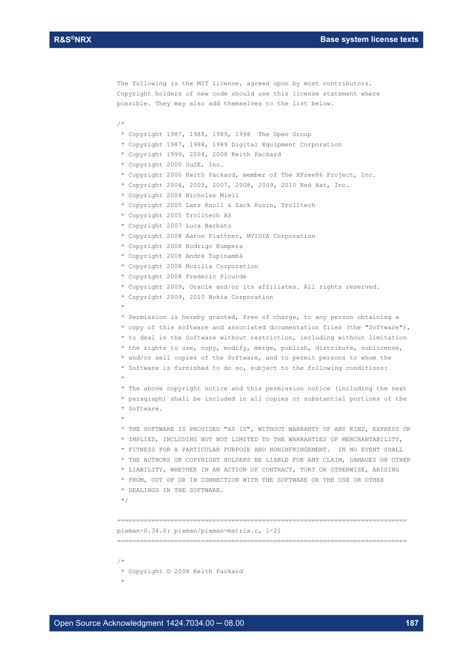```
The following is the MIT license, agreed upon by most contributors.
Copyright holders of new code should use this license statement where
possible. They may also add themselves to the list below.
/*
 * Copyright 1987, 1988, 1989, 1998 The Open Group
 * Copyright 1987, 1988, 1989 Digital Equipment Corporation
 * Copyright 1999, 2004, 2008 Keith Packard
  * Copyright 2000 SuSE, Inc.
 * Copyright 2000 Keith Packard, member of The XFree86 Project, Inc.
 * Copyright 2004, 2005, 2007, 2008, 2009, 2010 Red Hat, Inc.
 * Copyright 2004 Nicholas Miell
 * Copyright 2005 Lars Knoll & Zack Rusin, Trolltech
 * Copyright 2005 Trolltech AS
  * Copyright 2007 Luca Barbato
  * Copyright 2008 Aaron Plattner, NVIDIA Corporation
 * Copyright 2008 Rodrigo Kumpera
 * Copyright 2008 André Tupinambá
 * Copyright 2008 Mozilla Corporation
 * Copyright 2008 Frederic Plourde
 * Copyright 2009, Oracle and/or its affiliates. All rights reserved.
  * Copyright 2009, 2010 Nokia Corporation
 *
  * Permission is hereby granted, free of charge, to any person obtaining a
 * copy of this software and associated documentation files (the "Software"),
 * to deal in the Software without restriction, including without limitation
  * the rights to use, copy, modify, merge, publish, distribute, sublicense,
 * and/or sell copies of the Software, and to permit persons to whom the
  * Software is furnished to do so, subject to the following conditions:
 *
  * The above copyright notice and this permission notice (including the next
 * paragraph) shall be included in all copies or substantial portions of the
  * Software.
 * 
 * THE SOFTWARE IS PROVIDED "AS IS", WITHOUT WARRANTY OF ANY KIND, EXPRESS OR
 * IMPLIED, INCLUDING BUT NOT LIMITED TO THE WARRANTIES OF MERCHANTABILITY,
  * FITNESS FOR A PARTICULAR PURPOSE AND NONINFRINGEMENT. IN NO EVENT SHALL
  * THE AUTHORS OR COPYRIGHT HOLDERS BE LIABLE FOR ANY CLAIM, DAMAGES OR OTHER
 * LIABILITY, WHETHER IN AN ACTION OF CONTRACT, TORT OR OTHERWISE, ARISING
  * FROM, OUT OF OR IN CONNECTION WITH THE SOFTWARE OR THE USE OR OTHER
  * DEALINGS IN THE SOFTWARE.
 */
============================================================================
pixman-0.34.0: pixman/pixman-matrix.c, 1-21
============================================================================
/*
 * Copyright © 2008 Keith Packard
```
\*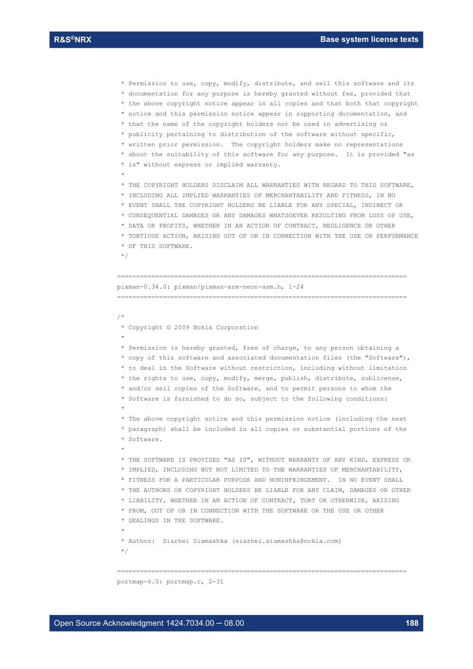```
 * Permission to use, copy, modify, distribute, and sell this software and its
  * documentation for any purpose is hereby granted without fee, provided that
  * the above copyright notice appear in all copies and that both that copyright
 * notice and this permission notice appear in supporting documentation, and
  * that the name of the copyright holders not be used in advertising or
 * publicity pertaining to distribution of the software without specific,
  * written prior permission. The copyright holders make no representations
  * about the suitability of this software for any purpose. It is provided "as
  * is" without express or implied warranty.
 *
  * THE COPYRIGHT HOLDERS DISCLAIM ALL WARRANTIES WITH REGARD TO THIS SOFTWARE,
  * INCLUDING ALL IMPLIED WARRANTIES OF MERCHANTABILITY AND FITNESS, IN NO
  * EVENT SHALL THE COPYRIGHT HOLDERS BE LIABLE FOR ANY SPECIAL, INDIRECT OR
 * CONSEQUENTIAL DAMAGES OR ANY DAMAGES WHATSOEVER RESULTING FROM LOSS OF USE,
  * DATA OR PROFITS, WHETHER IN AN ACTION OF CONTRACT, NEGLIGENCE OR OTHER
  * TORTIOUS ACTION, ARISING OUT OF OR IN CONNECTION WITH THE USE OR PERFORMANCE
  * OF THIS SOFTWARE.
 */
           ============================================================================
pixman-0.34.0: pixman/pixman-arm-neon-asm.h, 1-24
============================================================================
/*
 * Copyright © 2009 Nokia Corporation
 *
  * Permission is hereby granted, free of charge, to any person obtaining a
 * copy of this software and associated documentation files (the "Software"),
  * to deal in the Software without restriction, including without limitation
  * the rights to use, copy, modify, merge, publish, distribute, sublicense,
  * and/or sell copies of the Software, and to permit persons to whom the
 * Software is furnished to do so, subject to the following conditions:
 *
  * The above copyright notice and this permission notice (including the next
 * paragraph) shall be included in all copies or substantial portions of the
  * Software.
 *
  * THE SOFTWARE IS PROVIDED "AS IS", WITHOUT WARRANTY OF ANY KIND, EXPRESS OR
 * IMPLIED, INCLUDING BUT NOT LIMITED TO THE WARRANTIES OF MERCHANTABILITY,
  * FITNESS FOR A PARTICULAR PURPOSE AND NONINFRINGEMENT. IN NO EVENT SHALL
  * THE AUTHORS OR COPYRIGHT HOLDERS BE LIABLE FOR ANY CLAIM, DAMAGES OR OTHER
 * LIABILITY, WHETHER IN AN ACTION OF CONTRACT, TORT OR OTHERWISE, ARISING
  * FROM, OUT OF OR IN CONNECTION WITH THE SOFTWARE OR THE USE OR OTHER
  * DEALINGS IN THE SOFTWARE.
 *
  * Author: Siarhei Siamashka (siarhei.siamashka@nokia.com)
  */
           ============================================================================
portmap-6.0: portmap.c, 2-31
```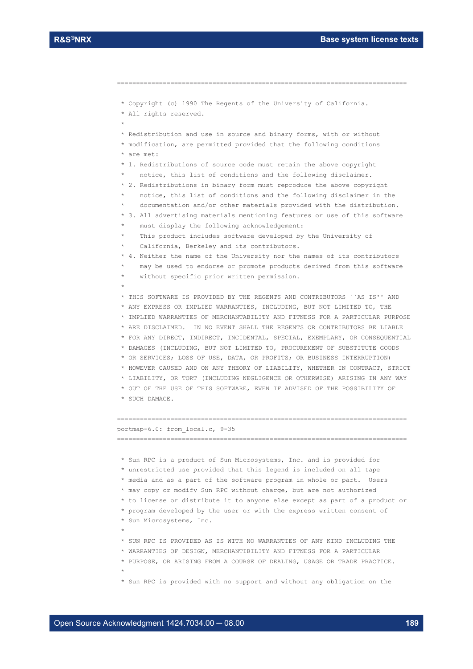============================================================================ \* Copyright (c) 1990 The Regents of the University of California. \* All rights reserved. \* \* Redistribution and use in source and binary forms, with or without \* modification, are permitted provided that the following conditions \* are met: \* 1. Redistributions of source code must retain the above copyright notice, this list of conditions and the following disclaimer. \* 2. Redistributions in binary form must reproduce the above copyright notice, this list of conditions and the following disclaimer in the documentation and/or other materials provided with the distribution. \* 3. All advertising materials mentioning features or use of this software must display the following acknowledgement: This product includes software developed by the University of California, Berkeley and its contributors. \* 4. Neither the name of the University nor the names of its contributors may be used to endorse or promote products derived from this software without specific prior written permission. \* \* THIS SOFTWARE IS PROVIDED BY THE REGENTS AND CONTRIBUTORS ``AS IS'' AND \* ANY EXPRESS OR IMPLIED WARRANTIES, INCLUDING, BUT NOT LIMITED TO, THE \* IMPLIED WARRANTIES OF MERCHANTABILITY AND FITNESS FOR A PARTICULAR PURPOSE \* ARE DISCLAIMED. IN NO EVENT SHALL THE REGENTS OR CONTRIBUTORS BE LIABLE \* FOR ANY DIRECT, INDIRECT, INCIDENTAL, SPECIAL, EXEMPLARY, OR CONSEQUENTIAL \* DAMAGES (INCLUDING, BUT NOT LIMITED TO, PROCUREMENT OF SUBSTITUTE GOODS \* OR SERVICES; LOSS OF USE, DATA, OR PROFITS; OR BUSINESS INTERRUPTION) \* HOWEVER CAUSED AND ON ANY THEORY OF LIABILITY, WHETHER IN CONTRACT, STRICT \* LIABILITY, OR TORT (INCLUDING NEGLIGENCE OR OTHERWISE) ARISING IN ANY WAY \* OUT OF THE USE OF THIS SOFTWARE, EVEN IF ADVISED OF THE POSSIBILITY OF \* SUCH DAMAGE.

# ============================================================================ portmap-6.0: from\_local.c, 9-35 ============================================================================

 \* Sun RPC is a product of Sun Microsystems, Inc. and is provided for \* unrestricted use provided that this legend is included on all tape \* media and as a part of the software program in whole or part. Users \* may copy or modify Sun RPC without charge, but are not authorized \* to license or distribute it to anyone else except as part of a product or \* program developed by the user or with the express written consent of \* Sun Microsystems, Inc. \* \* SUN RPC IS PROVIDED AS IS WITH NO WARRANTIES OF ANY KIND INCLUDING THE \* WARRANTIES OF DESIGN, MERCHANTIBILITY AND FITNESS FOR A PARTICULAR \* PURPOSE, OR ARISING FROM A COURSE OF DEALING, USAGE OR TRADE PRACTICE. \*

\* Sun RPC is provided with no support and without any obligation on the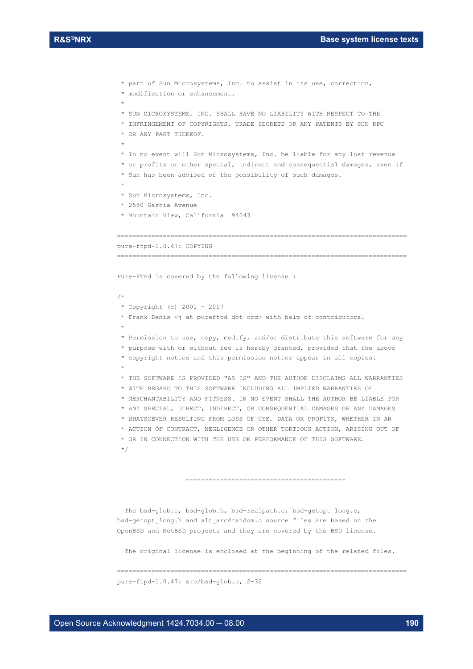```
 * part of Sun Microsystems, Inc. to assist in its use, correction,
  * modification or enhancement.
 *
 * SUN MICROSYSTEMS, INC. SHALL HAVE NO LIABILITY WITH RESPECT TO THE
  * INFRINGEMENT OF COPYRIGHTS, TRADE SECRETS OR ANY PATENTS BY SUN RPC
 * OR ANY PART THEREOF.
 *
  * In no event will Sun Microsystems, Inc. be liable for any lost revenue
  * or profits or other special, indirect and consequential damages, even if
 * Sun has been advised of the possibility of such damages.
 *
 * Sun Microsystems, Inc.
  * 2550 Garcia Avenue
 * Mountain View, California 94043
============================================================================
pure-ftpd-1.0.47: COPYING
============================================================================
Pure-FTPd is covered by the following license :
/*
 * Copyright (c) 2001 - 2017
 * Frank Denis <j at pureftpd dot org> with help of contributors.
 *
 * Permission to use, copy, modify, and/or distribute this software for any
 * purpose with or without fee is hereby granted, provided that the above
 * copyright notice and this permission notice appear in all copies.
 *
 * THE SOFTWARE IS PROVIDED "AS IS" AND THE AUTHOR DISCLAIMS ALL WARRANTIES
  * WITH REGARD TO THIS SOFTWARE INCLUDING ALL IMPLIED WARRANTIES OF
 * MERCHANTABILITY AND FITNESS. IN NO EVENT SHALL THE AUTHOR BE LIABLE FOR
 * ANY SPECIAL, DIRECT, INDIRECT, OR CONSEQUENTIAL DAMAGES OR ANY DAMAGES
  * WHATSOEVER RESULTING FROM LOSS OF USE, DATA OR PROFITS, WHETHER IN AN
 * ACTION OF CONTRACT, NEGLIGENCE OR OTHER TORTIOUS ACTION, ARISING OUT OF
  * OR IN CONNECTION WITH THE USE OR PERFORMANCE OF THIS SOFTWARE.
  */
                   ------------------------------------------
```
The bsd-glob.c, bsd-glob.h, bsd-realpath.c, bsd-getopt long.c, bsd-getopt long.h and alt arc4random.c source files are based on the OpenBSD and NetBSD projects and they are covered by the BSD license.

The original license is enclosed at the beginning of the related files.

============================================================================ pure-ftpd-1.0.47: src/bsd-glob.c, 2-32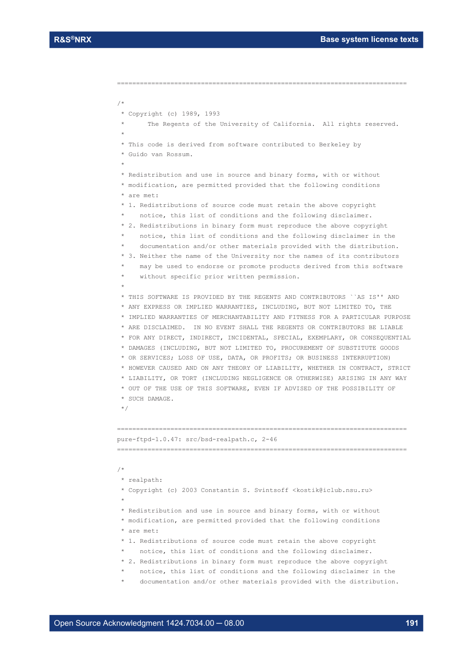```
============================================================================
/*
  * Copyright (c) 1989, 1993
       The Regents of the University of California. All rights reserved.
 *
 * This code is derived from software contributed to Berkeley by
  * Guido van Rossum.
 *
 * Redistribution and use in source and binary forms, with or without
 * modification, are permitted provided that the following conditions
  * are met:
  * 1. Redistributions of source code must retain the above copyright
     notice, this list of conditions and the following disclaimer.
  * 2. Redistributions in binary form must reproduce the above copyright
     notice, this list of conditions and the following disclaimer in the
     documentation and/or other materials provided with the distribution.
  * 3. Neither the name of the University nor the names of its contributors
    may be used to endorse or promote products derived from this software
     without specific prior written permission.
 *
  * THIS SOFTWARE IS PROVIDED BY THE REGENTS AND CONTRIBUTORS ``AS IS'' AND
  * ANY EXPRESS OR IMPLIED WARRANTIES, INCLUDING, BUT NOT LIMITED TO, THE
  * IMPLIED WARRANTIES OF MERCHANTABILITY AND FITNESS FOR A PARTICULAR PURPOSE
 * ARE DISCLAIMED. IN NO EVENT SHALL THE REGENTS OR CONTRIBUTORS BE LIABLE
 * FOR ANY DIRECT, INDIRECT, INCIDENTAL, SPECIAL, EXEMPLARY, OR CONSEQUENTIAL
  * DAMAGES (INCLUDING, BUT NOT LIMITED TO, PROCUREMENT OF SUBSTITUTE GOODS
 * OR SERVICES; LOSS OF USE, DATA, OR PROFITS; OR BUSINESS INTERRUPTION)
 * HOWEVER CAUSED AND ON ANY THEORY OF LIABILITY, WHETHER IN CONTRACT, STRICT
  * LIABILITY, OR TORT (INCLUDING NEGLIGENCE OR OTHERWISE) ARISING IN ANY WAY
  * OUT OF THE USE OF THIS SOFTWARE, EVEN IF ADVISED OF THE POSSIBILITY OF
 * SUCH DAMAGE.
 */
============================================================================
pure-ftpd-1.0.47: src/bsd-realpath.c, 2-46
============================================================================
/*
  * realpath:
 * Copyright (c) 2003 Constantin S. Svintsoff <kostik@iclub.nsu.ru>
 *
 * Redistribution and use in source and binary forms, with or without
  * modification, are permitted provided that the following conditions
  * are met:
  * 1. Redistributions of source code must retain the above copyright
     notice, this list of conditions and the following disclaimer.
```
- \* 2. Redistributions in binary form must reproduce the above copyright
- notice, this list of conditions and the following disclaimer in the
- documentation and/or other materials provided with the distribution.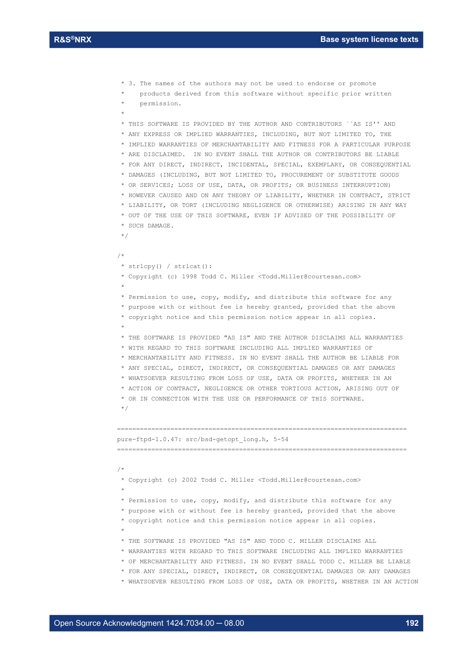```
 * 3. The names of the authors may not be used to endorse or promote
     products derived from this software without specific prior written
      * permission.
 *
 * THIS SOFTWARE IS PROVIDED BY THE AUTHOR AND CONTRIBUTORS ``AS IS'' AND
 * ANY EXPRESS OR IMPLIED WARRANTIES, INCLUDING, BUT NOT LIMITED TO, THE
 * IMPLIED WARRANTIES OF MERCHANTABILITY AND FITNESS FOR A PARTICULAR PURPOSE
  * ARE DISCLAIMED. IN NO EVENT SHALL THE AUTHOR OR CONTRIBUTORS BE LIABLE
  * FOR ANY DIRECT, INDIRECT, INCIDENTAL, SPECIAL, EXEMPLARY, OR CONSEQUENTIAL
 * DAMAGES (INCLUDING, BUT NOT LIMITED TO, PROCUREMENT OF SUBSTITUTE GOODS
 * OR SERVICES; LOSS OF USE, DATA, OR PROFITS; OR BUSINESS INTERRUPTION)
  * HOWEVER CAUSED AND ON ANY THEORY OF LIABILITY, WHETHER IN CONTRACT, STRICT
  * LIABILITY, OR TORT (INCLUDING NEGLIGENCE OR OTHERWISE) ARISING IN ANY WAY
 * OUT OF THE USE OF THIS SOFTWARE, EVEN IF ADVISED OF THE POSSIBILITY OF
  * SUCH DAMAGE.
  */
/*
  * strlcpy() / strlcat():
  * Copyright (c) 1998 Todd C. Miller <Todd.Miller@courtesan.com>
 *
  * Permission to use, copy, modify, and distribute this software for any
  * purpose with or without fee is hereby granted, provided that the above
  * copyright notice and this permission notice appear in all copies.
 *
 * THE SOFTWARE IS PROVIDED "AS IS" AND THE AUTHOR DISCLAIMS ALL WARRANTIES
  * WITH REGARD TO THIS SOFTWARE INCLUDING ALL IMPLIED WARRANTIES OF
 * MERCHANTABILITY AND FITNESS. IN NO EVENT SHALL THE AUTHOR BE LIABLE FOR
  * ANY SPECIAL, DIRECT, INDIRECT, OR CONSEQUENTIAL DAMAGES OR ANY DAMAGES
  * WHATSOEVER RESULTING FROM LOSS OF USE, DATA OR PROFITS, WHETHER IN AN
  * ACTION OF CONTRACT, NEGLIGENCE OR OTHER TORTIOUS ACTION, ARISING OUT OF
 * OR IN CONNECTION WITH THE USE OR PERFORMANCE OF THIS SOFTWARE.
 */
============================================================================
pure-ftpd-1.0.47: src/bsd-getopt_long.h, 5-54
============================================================================
/*
  * Copyright (c) 2002 Todd C. Miller <Todd.Miller@courtesan.com>
 *
 * Permission to use, copy, modify, and distribute this software for any
 * purpose with or without fee is hereby granted, provided that the above
  * copyright notice and this permission notice appear in all copies.
 *
 * THE SOFTWARE IS PROVIDED "AS IS" AND TODD C. MILLER DISCLAIMS ALL
 * WARRANTIES WITH REGARD TO THIS SOFTWARE INCLUDING ALL IMPLIED WARRANTIES
  * OF MERCHANTABILITY AND FITNESS. IN NO EVENT SHALL TODD C. MILLER BE LIABLE
```
- \* FOR ANY SPECIAL, DIRECT, INDIRECT, OR CONSEQUENTIAL DAMAGES OR ANY DAMAGES
- \* WHATSOEVER RESULTING FROM LOSS OF USE, DATA OR PROFITS, WHETHER IN AN ACTION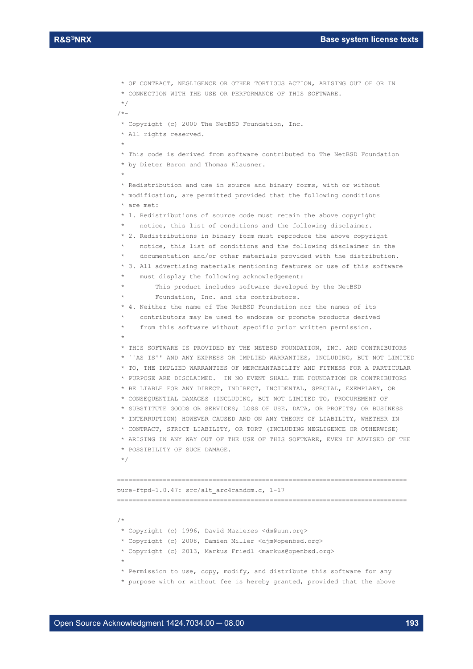```
 * OF CONTRACT, NEGLIGENCE OR OTHER TORTIOUS ACTION, ARISING OUT OF OR IN
  * CONNECTION WITH THE USE OR PERFORMANCE OF THIS SOFTWARE.
 */
/*-
  * Copyright (c) 2000 The NetBSD Foundation, Inc.
 * All rights reserved.
 *
  * This code is derived from software contributed to The NetBSD Foundation
  * by Dieter Baron and Thomas Klausner.
 *
 * Redistribution and use in source and binary forms, with or without
 * modification, are permitted provided that the following conditions
  * are met:
  * 1. Redistributions of source code must retain the above copyright
    notice, this list of conditions and the following disclaimer.
  * 2. Redistributions in binary form must reproduce the above copyright
     notice, this list of conditions and the following disclaimer in the
     documentation and/or other materials provided with the distribution.
  * 3. All advertising materials mentioning features or use of this software
     must display the following acknowledgement:
         This product includes software developed by the NetBSD
         Foundation, Inc. and its contributors.
  * 4. Neither the name of The NetBSD Foundation nor the names of its
     contributors may be used to endorse or promote products derived
    from this software without specific prior written permission.
 *
  * THIS SOFTWARE IS PROVIDED BY THE NETBSD FOUNDATION, INC. AND CONTRIBUTORS
 * ``AS IS'' AND ANY EXPRESS OR IMPLIED WARRANTIES, INCLUDING, BUT NOT LIMITED
 * TO, THE IMPLIED WARRANTIES OF MERCHANTABILITY AND FITNESS FOR A PARTICULAR
  * PURPOSE ARE DISCLAIMED. IN NO EVENT SHALL THE FOUNDATION OR CONTRIBUTORS
  * BE LIABLE FOR ANY DIRECT, INDIRECT, INCIDENTAL, SPECIAL, EXEMPLARY, OR
 * CONSEQUENTIAL DAMAGES (INCLUDING, BUT NOT LIMITED TO, PROCUREMENT OF
 * SUBSTITUTE GOODS OR SERVICES; LOSS OF USE, DATA, OR PROFITS; OR BUSINESS
  * INTERRUPTION) HOWEVER CAUSED AND ON ANY THEORY OF LIABILITY, WHETHER IN
 * CONTRACT, STRICT LIABILITY, OR TORT (INCLUDING NEGLIGENCE OR OTHERWISE)
  * ARISING IN ANY WAY OUT OF THE USE OF THIS SOFTWARE, EVEN IF ADVISED OF THE
  * POSSIBILITY OF SUCH DAMAGE.
  */
============================================================================
pure-ftpd-1.0.47: src/alt_arc4random.c, 1-17
    ============================================================================
/*
  * Copyright (c) 1996, David Mazieres <dm@uun.org>
 * Copyright (c) 2008, Damien Miller <djm@openbsd.org>
 * Copyright (c) 2013, Markus Friedl <markus@openbsd.org>
 *
  * Permission to use, copy, modify, and distribute this software for any
```
\* purpose with or without fee is hereby granted, provided that the above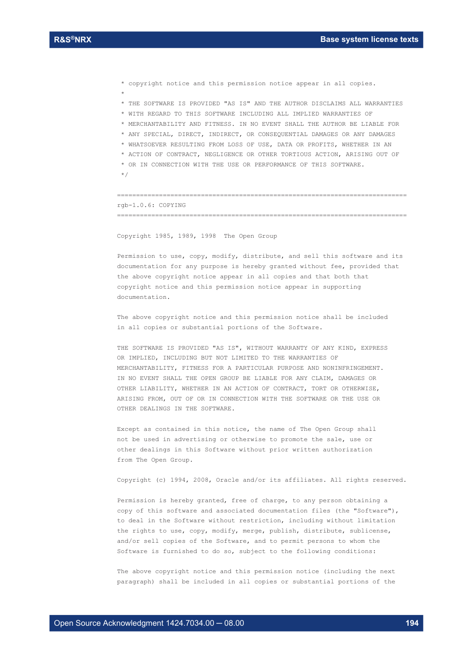\* copyright notice and this permission notice appear in all copies.

- \*
- \* THE SOFTWARE IS PROVIDED "AS IS" AND THE AUTHOR DISCLAIMS ALL WARRANTIES
- \* WITH REGARD TO THIS SOFTWARE INCLUDING ALL IMPLIED WARRANTIES OF
- \* MERCHANTABILITY AND FITNESS. IN NO EVENT SHALL THE AUTHOR BE LIABLE FOR
- \* ANY SPECIAL, DIRECT, INDIRECT, OR CONSEQUENTIAL DAMAGES OR ANY DAMAGES
- \* WHATSOEVER RESULTING FROM LOSS OF USE, DATA OR PROFITS, WHETHER IN AN
- \* ACTION OF CONTRACT, NEGLIGENCE OR OTHER TORTIOUS ACTION, ARISING OUT OF
- \* OR IN CONNECTION WITH THE USE OR PERFORMANCE OF THIS SOFTWARE. \*/

============================================================================ rgb-1.0.6: COPYING ============================================================================

Copyright 1985, 1989, 1998 The Open Group

Permission to use, copy, modify, distribute, and sell this software and its documentation for any purpose is hereby granted without fee, provided that the above copyright notice appear in all copies and that both that copyright notice and this permission notice appear in supporting documentation.

The above copyright notice and this permission notice shall be included in all copies or substantial portions of the Software.

THE SOFTWARE IS PROVIDED "AS IS", WITHOUT WARRANTY OF ANY KIND, EXPRESS OR IMPLIED, INCLUDING BUT NOT LIMITED TO THE WARRANTIES OF MERCHANTABILITY, FITNESS FOR A PARTICULAR PURPOSE AND NONINFRINGEMENT. IN NO EVENT SHALL THE OPEN GROUP BE LIABLE FOR ANY CLAIM, DAMAGES OR OTHER LIABILITY, WHETHER IN AN ACTION OF CONTRACT, TORT OR OTHERWISE, ARISING FROM, OUT OF OR IN CONNECTION WITH THE SOFTWARE OR THE USE OR OTHER DEALINGS IN THE SOFTWARE.

Except as contained in this notice, the name of The Open Group shall not be used in advertising or otherwise to promote the sale, use or other dealings in this Software without prior written authorization from The Open Group.

Copyright (c) 1994, 2008, Oracle and/or its affiliates. All rights reserved.

Permission is hereby granted, free of charge, to any person obtaining a copy of this software and associated documentation files (the "Software"), to deal in the Software without restriction, including without limitation the rights to use, copy, modify, merge, publish, distribute, sublicense, and/or sell copies of the Software, and to permit persons to whom the Software is furnished to do so, subject to the following conditions:

The above copyright notice and this permission notice (including the next paragraph) shall be included in all copies or substantial portions of the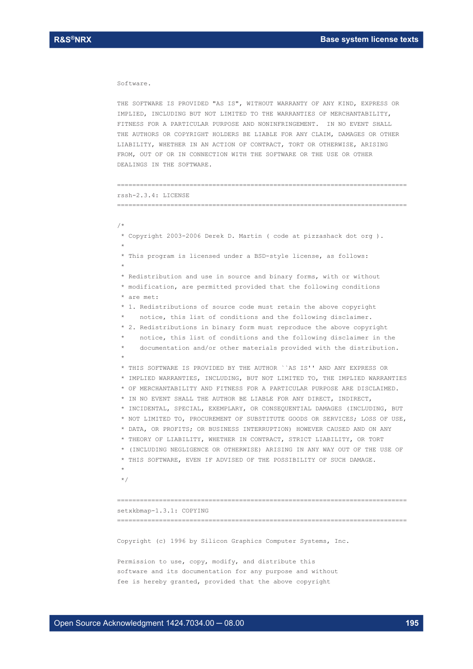## Software.

THE SOFTWARE IS PROVIDED "AS IS", WITHOUT WARRANTY OF ANY KIND, EXPRESS OR IMPLIED, INCLUDING BUT NOT LIMITED TO THE WARRANTIES OF MERCHANTABILITY, FITNESS FOR A PARTICULAR PURPOSE AND NONINFRINGEMENT. IN NO EVENT SHALL THE AUTHORS OR COPYRIGHT HOLDERS BE LIABLE FOR ANY CLAIM, DAMAGES OR OTHER LIABILITY, WHETHER IN AN ACTION OF CONTRACT, TORT OR OTHERWISE, ARISING FROM, OUT OF OR IN CONNECTION WITH THE SOFTWARE OR THE USE OR OTHER DEALINGS IN THE SOFTWARE.

```
============================================================================
rssh-2.3.4: LICENSE
 ============================================================================
/*
  * Copyright 2003-2006 Derek D. Martin ( code at pizzashack dot org ).
 *
  * This program is licensed under a BSD-style license, as follows: 
 *
  * Redistribution and use in source and binary forms, with or without
  * modification, are permitted provided that the following conditions
  * are met:
  * 1. Redistributions of source code must retain the above copyright
     notice, this list of conditions and the following disclaimer.
  * 2. Redistributions in binary form must reproduce the above copyright
     notice, this list of conditions and the following disclaimer in the
      documentation and/or other materials provided with the distribution.
 *
  * THIS SOFTWARE IS PROVIDED BY THE AUTHOR ``AS IS'' AND ANY EXPRESS OR
  * IMPLIED WARRANTIES, INCLUDING, BUT NOT LIMITED TO, THE IMPLIED WARRANTIES
  * OF MERCHANTABILITY AND FITNESS FOR A PARTICULAR PURPOSE ARE DISCLAIMED.
  * IN NO EVENT SHALL THE AUTHOR BE LIABLE FOR ANY DIRECT, INDIRECT,
  * INCIDENTAL, SPECIAL, EXEMPLARY, OR CONSEQUENTIAL DAMAGES (INCLUDING, BUT
  * NOT LIMITED TO, PROCUREMENT OF SUBSTITUTE GOODS OR SERVICES; LOSS OF USE,
  * DATA, OR PROFITS; OR BUSINESS INTERRUPTION) HOWEVER CAUSED AND ON ANY
  * THEORY OF LIABILITY, WHETHER IN CONTRACT, STRICT LIABILITY, OR TORT
  * (INCLUDING NEGLIGENCE OR OTHERWISE) ARISING IN ANY WAY OUT OF THE USE OF
  * THIS SOFTWARE, EVEN IF ADVISED OF THE POSSIBILITY OF SUCH DAMAGE.
 *
  */
     ============================================================================
setxkbmap-1.3.1: COPYING
============================================================================
Copyright (c) 1996 by Silicon Graphics Computer Systems, Inc.
Permission to use, copy, modify, and distribute this
software and its documentation for any purpose and without
fee is hereby granted, provided that the above copyright
```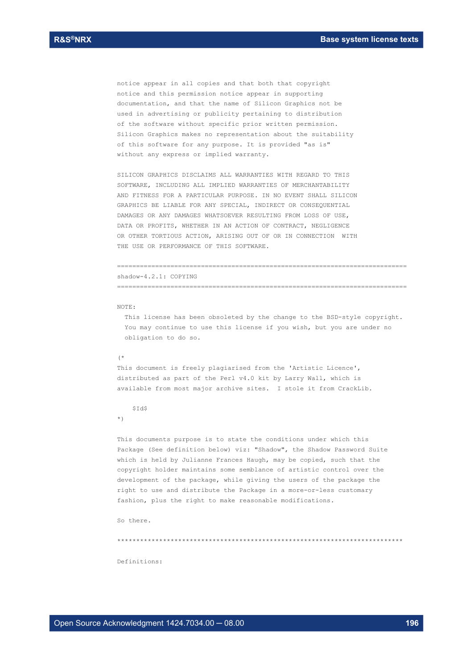notice appear in all copies and that both that copyright notice and this permission notice appear in supporting documentation, and that the name of Silicon Graphics not be used in advertising or publicity pertaining to distribution of the software without specific prior written permission. Silicon Graphics makes no representation about the suitability of this software for any purpose. It is provided "as is" without any express or implied warranty.

SILICON GRAPHICS DISCLAIMS ALL WARRANTIES WITH REGARD TO THIS SOFTWARE, INCLUDING ALL IMPLIED WARRANTIES OF MERCHANTABILITY AND FITNESS FOR A PARTICULAR PURPOSE. IN NO EVENT SHALL SILICON GRAPHICS BE LIABLE FOR ANY SPECIAL, INDIRECT OR CONSEQUENTIAL DAMAGES OR ANY DAMAGES WHATSOEVER RESULTING FROM LOSS OF USE, DATA OR PROFITS, WHETHER IN AN ACTION OF CONTRACT, NEGLIGENCE OR OTHER TORTIOUS ACTION, ARISING OUT OF OR IN CONNECTION WITH THE USE OR PERFORMANCE OF THIS SOFTWARE.

shadow-4.2.1: COPYING

# NOTE:

 This license has been obsoleted by the change to the BSD-style copyright. You may continue to use this license if you wish, but you are under no obligation to do so.

============================================================================

============================================================================

#### (\*

This document is freely plagiarised from the 'Artistic Licence', distributed as part of the Perl v4.0 kit by Larry Wall, which is available from most major archive sites. I stole it from CrackLib.

\$Id\$

\*)

This documents purpose is to state the conditions under which this Package (See definition below) viz: "Shadow", the Shadow Password Suite which is held by Julianne Frances Haugh, may be copied, such that the copyright holder maintains some semblance of artistic control over the development of the package, while giving the users of the package the right to use and distribute the Package in a more-or-less customary fashion, plus the right to make reasonable modifications.

So there.

\*\*\*\*\*\*\*\*\*\*\*\*\*\*\*\*\*\*\*\*\*\*\*\*\*\*\*\*\*\*\*\*\*\*\*\*\*\*\*\*\*\*\*\*\*\*\*\*\*\*\*\*\*\*\*\*\*\*\*\*\*\*\*\*\*\*\*\*\*\*\*\*\*\*\*

Definitions: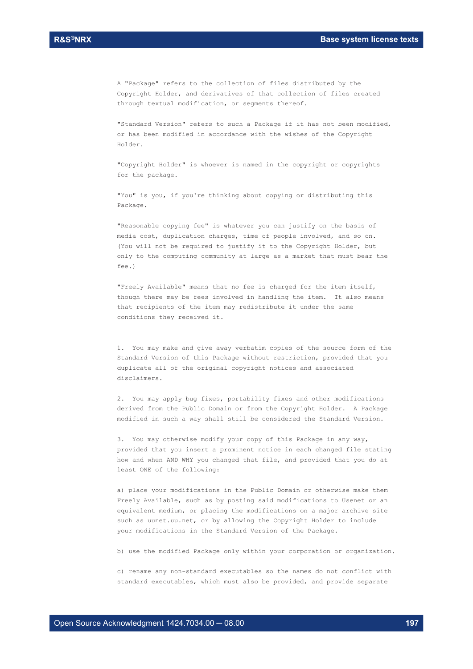A "Package" refers to the collection of files distributed by the Copyright Holder, and derivatives of that collection of files created through textual modification, or segments thereof.

"Standard Version" refers to such a Package if it has not been modified, or has been modified in accordance with the wishes of the Copyright Holder.

"Copyright Holder" is whoever is named in the copyright or copyrights for the package.

"You" is you, if you're thinking about copying or distributing this Package.

"Reasonable copying fee" is whatever you can justify on the basis of media cost, duplication charges, time of people involved, and so on. (You will not be required to justify it to the Copyright Holder, but only to the computing community at large as a market that must bear the fee.)

"Freely Available" means that no fee is charged for the item itself, though there may be fees involved in handling the item. It also means that recipients of the item may redistribute it under the same conditions they received it.

1. You may make and give away verbatim copies of the source form of the Standard Version of this Package without restriction, provided that you duplicate all of the original copyright notices and associated disclaimers.

2. You may apply bug fixes, portability fixes and other modifications derived from the Public Domain or from the Copyright Holder. A Package modified in such a way shall still be considered the Standard Version.

3. You may otherwise modify your copy of this Package in any way, provided that you insert a prominent notice in each changed file stating how and when AND WHY you changed that file, and provided that you do at least ONE of the following:

a) place your modifications in the Public Domain or otherwise make them Freely Available, such as by posting said modifications to Usenet or an equivalent medium, or placing the modifications on a major archive site such as uunet.uu.net, or by allowing the Copyright Holder to include your modifications in the Standard Version of the Package.

b) use the modified Package only within your corporation or organization.

c) rename any non-standard executables so the names do not conflict with standard executables, which must also be provided, and provide separate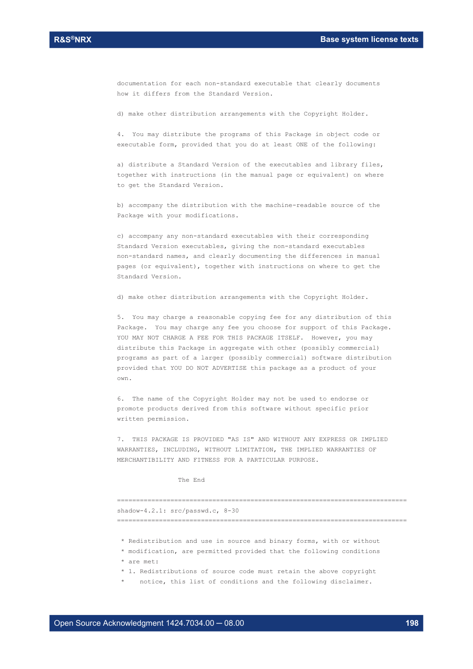documentation for each non-standard executable that clearly documents how it differs from the Standard Version.

d) make other distribution arrangements with the Copyright Holder.

4. You may distribute the programs of this Package in object code or executable form, provided that you do at least ONE of the following:

a) distribute a Standard Version of the executables and library files, together with instructions (in the manual page or equivalent) on where to get the Standard Version.

b) accompany the distribution with the machine-readable source of the Package with your modifications.

c) accompany any non-standard executables with their corresponding Standard Version executables, giving the non-standard executables non-standard names, and clearly documenting the differences in manual pages (or equivalent), together with instructions on where to get the Standard Version.

d) make other distribution arrangements with the Copyright Holder.

5. You may charge a reasonable copying fee for any distribution of this Package. You may charge any fee you choose for support of this Package. YOU MAY NOT CHARGE A FEE FOR THIS PACKAGE ITSELF. However, you may distribute this Package in aggregate with other (possibly commercial) programs as part of a larger (possibly commercial) software distribution provided that YOU DO NOT ADVERTISE this package as a product of your own.

6. The name of the Copyright Holder may not be used to endorse or promote products derived from this software without specific prior written permission.

7. THIS PACKAGE IS PROVIDED "AS IS" AND WITHOUT ANY EXPRESS OR IMPLIED WARRANTIES, INCLUDING, WITHOUT LIMITATION, THE IMPLIED WARRANTIES OF MERCHANTIBILITY AND FITNESS FOR A PARTICULAR PURPOSE.

### The End

|  | shadow-4.2.1: $src/passwd.c$ , 8-30 |  |
|--|-------------------------------------|--|
|  |                                     |  |

- \* Redistribution and use in source and binary forms, with or without
- \* modification, are permitted provided that the following conditions \* are met:
- \* 1. Redistributions of source code must retain the above copyright
- notice, this list of conditions and the following disclaimer.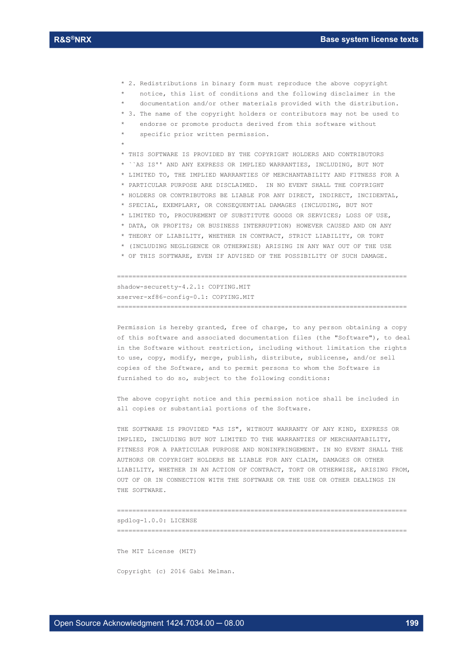\* 2. Redistributions in binary form must reproduce the above copyright notice, this list of conditions and the following disclaimer in the

- documentation and/or other materials provided with the distribution.
- \* 3. The name of the copyright holders or contributors may not be used to
- endorse or promote products derived from this software without
- specific prior written permission.
- \*

 \* THIS SOFTWARE IS PROVIDED BY THE COPYRIGHT HOLDERS AND CONTRIBUTORS \* ``AS IS'' AND ANY EXPRESS OR IMPLIED WARRANTIES, INCLUDING, BUT NOT \* LIMITED TO, THE IMPLIED WARRANTIES OF MERCHANTABILITY AND FITNESS FOR A \* PARTICULAR PURPOSE ARE DISCLAIMED. IN NO EVENT SHALL THE COPYRIGHT \* HOLDERS OR CONTRIBUTORS BE LIABLE FOR ANY DIRECT, INDIRECT, INCIDENTAL, \* SPECIAL, EXEMPLARY, OR CONSEQUENTIAL DAMAGES (INCLUDING, BUT NOT \* LIMITED TO, PROCUREMENT OF SUBSTITUTE GOODS OR SERVICES; LOSS OF USE,

- \* DATA, OR PROFITS; OR BUSINESS INTERRUPTION) HOWEVER CAUSED AND ON ANY
- \* THEORY OF LIABILITY, WHETHER IN CONTRACT, STRICT LIABILITY, OR TORT
- \* (INCLUDING NEGLIGENCE OR OTHERWISE) ARISING IN ANY WAY OUT OF THE USE
- \* OF THIS SOFTWARE, EVEN IF ADVISED OF THE POSSIBILITY OF SUCH DAMAGE.

============================================================================ shadow-securetty-4.2.1: COPYING.MIT xserver-xf86-config-0.1: COPYING.MIT ============================================================================

Permission is hereby granted, free of charge, to any person obtaining a copy of this software and associated documentation files (the "Software"), to deal in the Software without restriction, including without limitation the rights to use, copy, modify, merge, publish, distribute, sublicense, and/or sell copies of the Software, and to permit persons to whom the Software is furnished to do so, subject to the following conditions:

The above copyright notice and this permission notice shall be included in all copies or substantial portions of the Software.

THE SOFTWARE IS PROVIDED "AS IS", WITHOUT WARRANTY OF ANY KIND, EXPRESS OR IMPLIED, INCLUDING BUT NOT LIMITED TO THE WARRANTIES OF MERCHANTABILITY, FITNESS FOR A PARTICULAR PURPOSE AND NONINFRINGEMENT. IN NO EVENT SHALL THE AUTHORS OR COPYRIGHT HOLDERS BE LIABLE FOR ANY CLAIM, DAMAGES OR OTHER LIABILITY, WHETHER IN AN ACTION OF CONTRACT, TORT OR OTHERWISE, ARISING FROM, OUT OF OR IN CONNECTION WITH THE SOFTWARE OR THE USE OR OTHER DEALINGS IN THE SOFTWARE.

```
============================================================================
spdlog-1.0.0: LICENSE
============================================================================
The MIT License (MIT)
Copyright (c) 2016 Gabi Melman.
```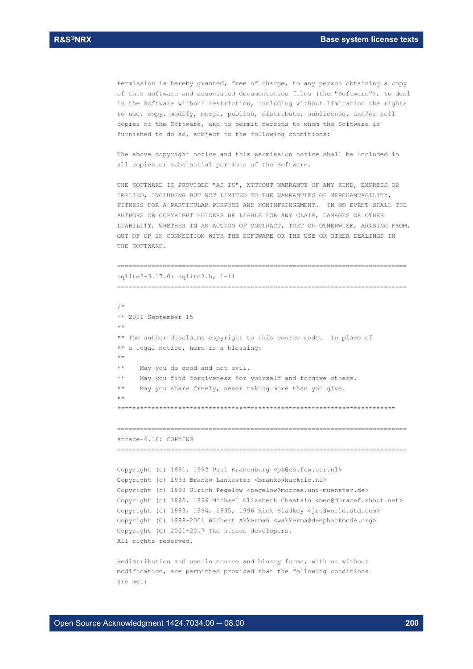Permission is hereby granted, free of charge, to any person obtaining a copy of this software and associated documentation files (the "Software"), to deal in the Software without restriction, including without limitation the rights to use, copy, modify, merge, publish, distribute, sublicense, and/or sell copies of the Software, and to permit persons to whom the Software is furnished to do so, subject to the following conditions:

The above copyright notice and this permission notice shall be included in all copies or substantial portions of the Software.

THE SOFTWARE IS PROVIDED "AS IS", WITHOUT WARRANTY OF ANY KIND, EXPRESS OR IMPLIED, INCLUDING BUT NOT LIMITED TO THE WARRANTIES OF MERCHANTABILITY, FITNESS FOR A PARTICULAR PURPOSE AND NONINFRINGEMENT. IN NO EVENT SHALL THE AUTHORS OR COPYRIGHT HOLDERS BE LIABLE FOR ANY CLAIM, DAMAGES OR OTHER LIABILITY, WHETHER IN AN ACTION OF CONTRACT, TORT OR OTHERWISE, ARISING FROM, OUT OF OR IN CONNECTION WITH THE SOFTWARE OR THE USE OR OTHER DEALINGS IN THE SOFTWARE.

```
============================================================================
sqlite3-3.17.0: sqlite3.h, 1-11
============================================================================
```

```
/*
** 2001 September 15
**
** The author disclaims copyright to this source code. In place of
** a legal notice, here is a blessing:
**
** May you do good and not evil.
** May you find forgiveness for yourself and forgive others.
** May you share freely, never taking more than you give.
**
*************************************************************************
============================================================================
strace-4.16: COPYING
============================================================================
Copyright (c) 1991, 1992 Paul Kranenburg <pk@cs.few.eur.nl>
Copyright (c) 1993 Branko Lankester <br/>branko@hacktic.nl>
Copyright (c) 1993 Ulrich Pegelow <pegelow@moorea.uni-muenster.de>
Copyright (c) 1995, 1996 Michael Elizabeth Chastain <mec@duracef.shout.net>
Copyright (c) 1993, 1994, 1995, 1996 Rick Sladkey <jrs@world.std.com>
Copyright (C) 1998-2001 Wichert Akkerman <wakkerma@deephackmode.org>
Copyright (C) 2001-2017 The strace developers.
All rights reserved.
Redistribution and use in source and binary forms, with or without
```
modification, are permitted provided that the following conditions are met: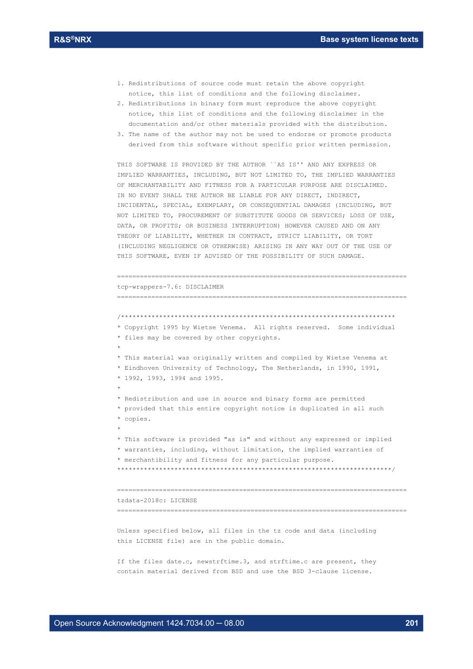```
1. Redistributions of source code must retain the above copyright
    notice, this list of conditions and the following disclaimer.
```
- 2. Redistributions in binary form must reproduce the above copyright notice, this list of conditions and the following disclaimer in the documentation and/or other materials provided with the distribution.
- 3. The name of the author may not be used to endorse or promote products derived from this software without specific prior written permission.

THIS SOFTWARE IS PROVIDED BY THE AUTHOR ``AS IS'' AND ANY EXPRESS OR IMPLIED WARRANTIES, INCLUDING, BUT NOT LIMITED TO, THE IMPLIED WARRANTIES OF MERCHANTABILITY AND FITNESS FOR A PARTICULAR PURPOSE ARE DISCLAIMED. IN NO EVENT SHALL THE AUTHOR BE LIABLE FOR ANY DIRECT, INDIRECT, INCIDENTAL, SPECIAL, EXEMPLARY, OR CONSEQUENTIAL DAMAGES (INCLUDING, BUT NOT LIMITED TO, PROCUREMENT OF SUBSTITUTE GOODS OR SERVICES; LOSS OF USE, DATA, OR PROFITS; OR BUSINESS INTERRUPTION) HOWEVER CAUSED AND ON ANY THEORY OF LIABILITY, WHETHER IN CONTRACT, STRICT LIABILITY, OR TORT (INCLUDING NEGLIGENCE OR OTHERWISE) ARISING IN ANY WAY OUT OF THE USE OF THIS SOFTWARE, EVEN IF ADVISED OF THE POSSIBILITY OF SUCH DAMAGE.

```
============================================================================
tcp-wrappers-7.6: DISCLAIMER
============================================================================
/************************************************************************
* Copyright 1995 by Wietse Venema. All rights reserved. Some individual
* files may be covered by other copyrights.
*
* This material was originally written and compiled by Wietse Venema at
* Eindhoven University of Technology, The Netherlands, in 1990, 1991,
* 1992, 1993, 1994 and 1995.
*
* Redistribution and use in source and binary forms are permitted
* provided that this entire copyright notice is duplicated in all such
copies.
*
* This software is provided "as is" and without any expressed or implied
* warranties, including, without limitation, the implied warranties of
* merchantibility and fitness for any particular purpose.
************************************************************************/
============================================================================
tzdata-2018c: LICENSE
============================================================================
Unless specified below, all files in the tz code and data (including
this LICENSE file) are in the public domain.
```
If the files date.c, newstrftime.3, and strftime.c are present, they contain material derived from BSD and use the BSD 3-clause license.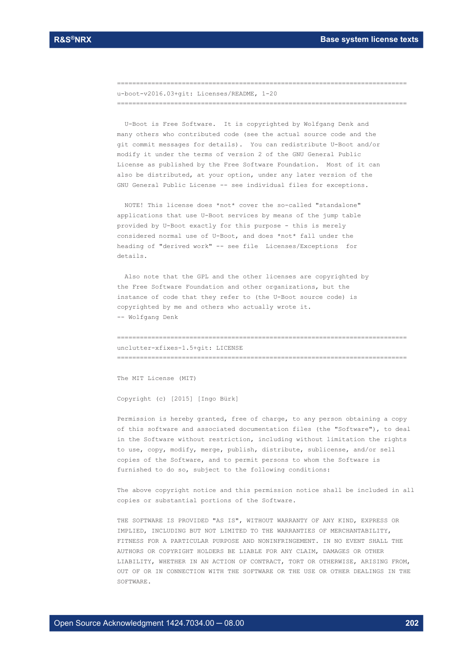```
============================================================================
u-boot-v2016.03+git: Licenses/README, 1-20
============================================================================
```
 U-Boot is Free Software. It is copyrighted by Wolfgang Denk and many others who contributed code (see the actual source code and the git commit messages for details). You can redistribute U-Boot and/or modify it under the terms of version 2 of the GNU General Public License as published by the Free Software Foundation. Most of it can also be distributed, at your option, under any later version of the GNU General Public License -- see individual files for exceptions.

 NOTE! This license does \*not\* cover the so-called "standalone" applications that use U-Boot services by means of the jump table provided by U-Boot exactly for this purpose - this is merely considered normal use of U-Boot, and does \*not\* fall under the heading of "derived work" -- see file Licenses/Exceptions for details.

 Also note that the GPL and the other licenses are copyrighted by the Free Software Foundation and other organizations, but the instance of code that they refer to (the U-Boot source code) is copyrighted by me and others who actually wrote it. -- Wolfgang Denk

```
============================================================================
unclutter-xfixes-1.5+git: LICENSE
============================================================================
```
The MIT License (MIT)

Copyright (c) [2015] [Ingo Bürk]

Permission is hereby granted, free of charge, to any person obtaining a copy of this software and associated documentation files (the "Software"), to deal in the Software without restriction, including without limitation the rights to use, copy, modify, merge, publish, distribute, sublicense, and/or sell copies of the Software, and to permit persons to whom the Software is furnished to do so, subject to the following conditions:

The above copyright notice and this permission notice shall be included in all copies or substantial portions of the Software.

THE SOFTWARE IS PROVIDED "AS IS", WITHOUT WARRANTY OF ANY KIND, EXPRESS OR IMPLIED, INCLUDING BUT NOT LIMITED TO THE WARRANTIES OF MERCHANTABILITY, FITNESS FOR A PARTICULAR PURPOSE AND NONINFRINGEMENT. IN NO EVENT SHALL THE AUTHORS OR COPYRIGHT HOLDERS BE LIABLE FOR ANY CLAIM, DAMAGES OR OTHER LIABILITY, WHETHER IN AN ACTION OF CONTRACT, TORT OR OTHERWISE, ARISING FROM, OUT OF OR IN CONNECTION WITH THE SOFTWARE OR THE USE OR OTHER DEALINGS IN THE SOFTWARE.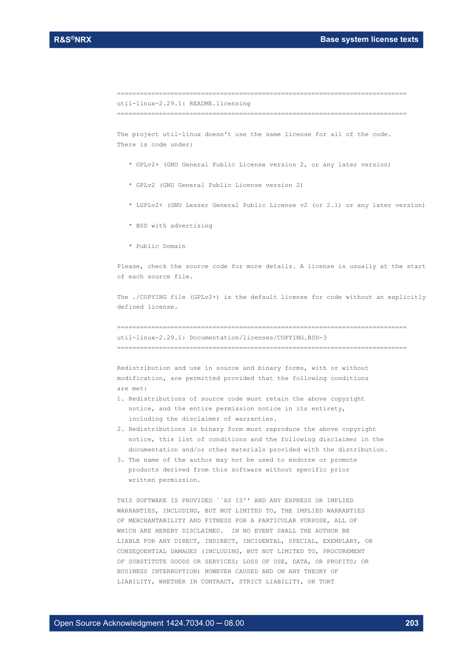```
============================================================================
util-linux-2.29.1: README.licensing
============================================================================
The project util-linux doesn't use the same license for all of the code.
```
There is code under:

- \* GPLv2+ (GNU General Public License version 2, or any later version)
- \* GPLv2 (GNU General Public License version 2)
- \* LGPLv2+ (GNU Lesser General Public License v2 (or 2.1) or any later version)
- \* BSD with advertising
- \* Public Domain

Please, check the source code for more details. A license is usually at the start of each source file.

The ./COPYING file (GPLv2+) is the default license for code without an explicitly defined license.

============================================================================ util-linux-2.29.1: Documentation/licenses/COPYING.BSD-3 ============================================================================

Redistribution and use in source and binary forms, with or without modification, are permitted provided that the following conditions are met:

- 1. Redistributions of source code must retain the above copyright notice, and the entire permission notice in its entirety, including the disclaimer of warranties.
- 2. Redistributions in binary form must reproduce the above copyright notice, this list of conditions and the following disclaimer in the documentation and/or other materials provided with the distribution.
- 3. The name of the author may not be used to endorse or promote products derived from this software without specific prior written permission.

THIS SOFTWARE IS PROVIDED ``AS IS'' AND ANY EXPRESS OR IMPLIED WARRANTIES, INCLUDING, BUT NOT LIMITED TO, THE IMPLIED WARRANTIES OF MERCHANTABILITY AND FITNESS FOR A PARTICULAR PURPOSE, ALL OF WHICH ARE HEREBY DISCLAIMED. IN NO EVENT SHALL THE AUTHOR BE LIABLE FOR ANY DIRECT, INDIRECT, INCIDENTAL, SPECIAL, EXEMPLARY, OR CONSEQUENTIAL DAMAGES (INCLUDING, BUT NOT LIMITED TO, PROCUREMENT OF SUBSTITUTE GOODS OR SERVICES; LOSS OF USE, DATA, OR PROFITS; OR BUSINESS INTERRUPTION) HOWEVER CAUSED AND ON ANY THEORY OF LIABILITY, WHETHER IN CONTRACT, STRICT LIABILITY, OR TORT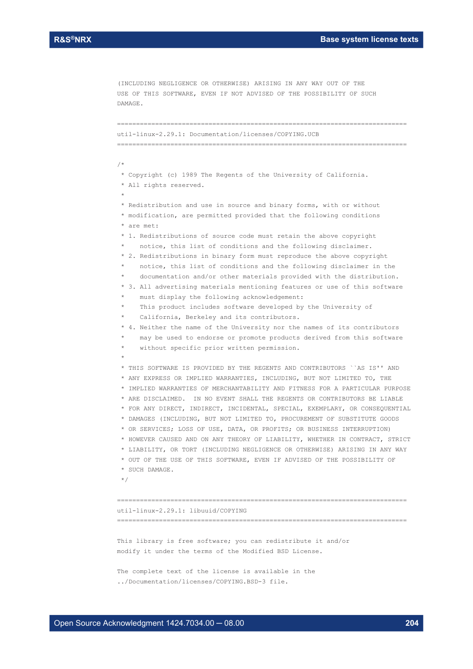```
USE OF THIS SOFTWARE, EVEN IF NOT ADVISED OF THE POSSIBILITY OF SUCH
DAMAGE.
============================================================================
util-linux-2.29.1: Documentation/licenses/COPYING.UCB
============================================================================
/*
  * Copyright (c) 1989 The Regents of the University of California.
  * All rights reserved.
 *
  * Redistribution and use in source and binary forms, with or without
  * modification, are permitted provided that the following conditions
  * are met:
  * 1. Redistributions of source code must retain the above copyright
      notice, this list of conditions and the following disclaimer.
  * 2. Redistributions in binary form must reproduce the above copyright
     notice, this list of conditions and the following disclaimer in the
      documentation and/or other materials provided with the distribution.
  * 3. All advertising materials mentioning features or use of this software
     must display the following acknowledgement:
      This product includes software developed by the University of
      California, Berkeley and its contributors.
  * 4. Neither the name of the University nor the names of its contributors
     may be used to endorse or promote products derived from this software
      without specific prior written permission.
 *
  * THIS SOFTWARE IS PROVIDED BY THE REGENTS AND CONTRIBUTORS ``AS IS'' AND
  * ANY EXPRESS OR IMPLIED WARRANTIES, INCLUDING, BUT NOT LIMITED TO, THE
   * IMPLIED WARRANTIES OF MERCHANTABILITY AND FITNESS FOR A PARTICULAR PURPOSE
  * ARE DISCLAIMED. IN NO EVENT SHALL THE REGENTS OR CONTRIBUTORS BE LIABLE
  * FOR ANY DIRECT, INDIRECT, INCIDENTAL, SPECIAL, EXEMPLARY, OR CONSEQUENTIAL
  * DAMAGES (INCLUDING, BUT NOT LIMITED TO, PROCUREMENT OF SUBSTITUTE GOODS
  * OR SERVICES; LOSS OF USE, DATA, OR PROFITS; OR BUSINESS INTERRUPTION)
  * HOWEVER CAUSED AND ON ANY THEORY OF LIABILITY, WHETHER IN CONTRACT, STRICT
  * LIABILITY, OR TORT (INCLUDING NEGLIGENCE OR OTHERWISE) ARISING IN ANY WAY
  * OUT OF THE USE OF THIS SOFTWARE, EVEN IF ADVISED OF THE POSSIBILITY OF
  * SUCH DAMAGE.
  */
                                  ============================================================================
util-linux-2.29.1: libuuid/COPYING
    ============================================================================
This library is free software; you can redistribute it and/or
modify it under the terms of the Modified BSD License.
The complete text of the license is available in the
```
(INCLUDING NEGLIGENCE OR OTHERWISE) ARISING IN ANY WAY OUT OF THE

../Documentation/licenses/COPYING.BSD-3 file.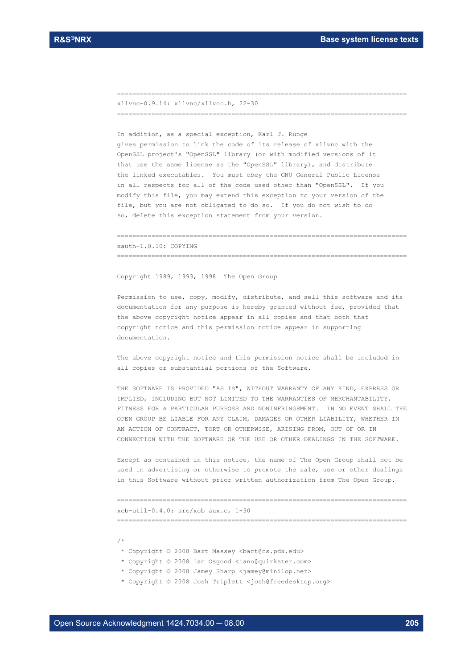============================================================================ x11vnc-0.9.14: x11vnc/x11vnc.h, 22-30 ============================================================================

In addition, as a special exception, Karl J. Runge gives permission to link the code of its release of x11vnc with the OpenSSL project's "OpenSSL" library (or with modified versions of it that use the same license as the "OpenSSL" library), and distribute the linked executables. You must obey the GNU General Public License in all respects for all of the code used other than "OpenSSL". If you modify this file, you may extend this exception to your version of the file, but you are not obligated to do so. If you do not wish to do so, delete this exception statement from your version.

```
============================================================================
xauth-1.0.10: COPYING
============================================================================
```
Copyright 1989, 1993, 1998 The Open Group

Permission to use, copy, modify, distribute, and sell this software and its documentation for any purpose is hereby granted without fee, provided that the above copyright notice appear in all copies and that both that copyright notice and this permission notice appear in supporting documentation.

The above copyright notice and this permission notice shall be included in all copies or substantial portions of the Software.

THE SOFTWARE IS PROVIDED "AS IS", WITHOUT WARRANTY OF ANY KIND, EXPRESS OR IMPLIED, INCLUDING BUT NOT LIMITED TO THE WARRANTIES OF MERCHANTABILITY, FITNESS FOR A PARTICULAR PURPOSE AND NONINFRINGEMENT. IN NO EVENT SHALL THE OPEN GROUP BE LIABLE FOR ANY CLAIM, DAMAGES OR OTHER LIABILITY, WHETHER IN AN ACTION OF CONTRACT, TORT OR OTHERWISE, ARISING FROM, OUT OF OR IN CONNECTION WITH THE SOFTWARE OR THE USE OR OTHER DEALINGS IN THE SOFTWARE.

Except as contained in this notice, the name of The Open Group shall not be used in advertising or otherwise to promote the sale, use or other dealings in this Software without prior written authorization from The Open Group.

============================================================================ xcb-util-0.4.0: src/xcb\_aux.c, 1-30 ============================================================================

/\*

- \* Copyright © 2008 Bart Massey <bart@cs.pdx.edu>
- \* Copyright © 2008 Ian Osgood <iano@quirkster.com>
- \* Copyright © 2008 Jamey Sharp <jamey@minilop.net>
- \* Copyright © 2008 Josh Triplett <josh@freedesktop.org>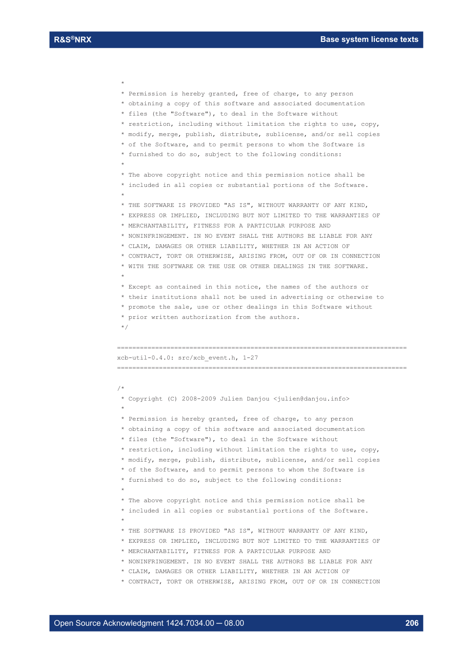```
 *
  * Permission is hereby granted, free of charge, to any person
 * obtaining a copy of this software and associated documentation
 * files (the "Software"), to deal in the Software without
 * restriction, including without limitation the rights to use, copy,
 * modify, merge, publish, distribute, sublicense, and/or sell copies
  * of the Software, and to permit persons to whom the Software is
  * furnished to do so, subject to the following conditions:
 *
  * The above copyright notice and this permission notice shall be
  * included in all copies or substantial portions of the Software.
 *
  * THE SOFTWARE IS PROVIDED "AS IS", WITHOUT WARRANTY OF ANY KIND,
 * EXPRESS OR IMPLIED, INCLUDING BUT NOT LIMITED TO THE WARRANTIES OF
  * MERCHANTABILITY, FITNESS FOR A PARTICULAR PURPOSE AND
  * NONINFRINGEMENT. IN NO EVENT SHALL THE AUTHORS BE LIABLE FOR ANY
  * CLAIM, DAMAGES OR OTHER LIABILITY, WHETHER IN AN ACTION OF
 * CONTRACT, TORT OR OTHERWISE, ARISING FROM, OUT OF OR IN CONNECTION
 * WITH THE SOFTWARE OR THE USE OR OTHER DEALINGS IN THE SOFTWARE.
 *
 * Except as contained in this notice, the names of the authors or
  * their institutions shall not be used in advertising or otherwise to
  * promote the sale, use or other dealings in this Software without
  * prior written authorization from the authors.
 */
     ============================================================================
xcb-util-0.4.0: src/xcb_event.h, 1-27
============================================================================
/*
 * Copyright (C) 2008-2009 Julien Danjou <julien@danjou.info>
 *
  * Permission is hereby granted, free of charge, to any person
 * obtaining a copy of this software and associated documentation
 * files (the "Software"), to deal in the Software without
  * restriction, including without limitation the rights to use, copy,
  * modify, merge, publish, distribute, sublicense, and/or sell copies
 * of the Software, and to permit persons to whom the Software is
  * furnished to do so, subject to the following conditions:
 *
 * The above copyright notice and this permission notice shall be
 * included in all copies or substantial portions of the Software.
 *
  * THE SOFTWARE IS PROVIDED "AS IS", WITHOUT WARRANTY OF ANY KIND,
 * EXPRESS OR IMPLIED, INCLUDING BUT NOT LIMITED TO THE WARRANTIES OF
 * MERCHANTABILITY, FITNESS FOR A PARTICULAR PURPOSE AND
  * NONINFRINGEMENT. IN NO EVENT SHALL THE AUTHORS BE LIABLE FOR ANY
 * CLAIM, DAMAGES OR OTHER LIABILITY, WHETHER IN AN ACTION OF
  * CONTRACT, TORT OR OTHERWISE, ARISING FROM, OUT OF OR IN CONNECTION
```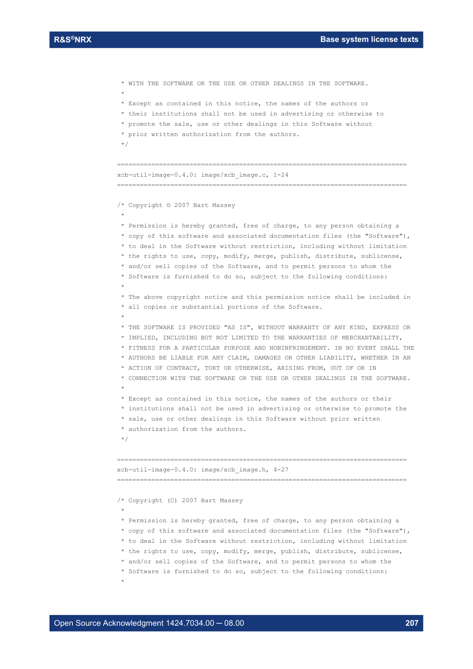```
 * WITH THE SOFTWARE OR THE USE OR OTHER DEALINGS IN THE SOFTWARE.
 *
 * Except as contained in this notice, the names of the authors or
 * their institutions shall not be used in advertising or otherwise to
 * promote the sale, use or other dealings in this Software without
  * prior written authorization from the authors.
 */
 ============================================================================
xcb-util-image-0.4.0: image/xcb_image.c, 1-24
============================================================================
/* Copyright © 2007 Bart Massey
 *
  * Permission is hereby granted, free of charge, to any person obtaining a
  * copy of this software and associated documentation files (the "Software"),
  * to deal in the Software without restriction, including without limitation
 * the rights to use, copy, modify, merge, publish, distribute, sublicense,
  * and/or sell copies of the Software, and to permit persons to whom the
  * Software is furnished to do so, subject to the following conditions:
 * 
  * The above copyright notice and this permission notice shall be included in
  * all copies or substantial portions of the Software.
 * 
 * THE SOFTWARE IS PROVIDED "AS IS", WITHOUT WARRANTY OF ANY KIND, EXPRESS OR
 * IMPLIED, INCLUDING BUT NOT LIMITED TO THE WARRANTIES OF MERCHANTABILITY,
  * FITNESS FOR A PARTICULAR PURPOSE AND NONINFRINGEMENT. IN NO EVENT SHALL THE
 * AUTHORS BE LIABLE FOR ANY CLAIM, DAMAGES OR OTHER LIABILITY, WHETHER IN AN
  * ACTION OF CONTRACT, TORT OR OTHERWISE, ARISING FROM, OUT OF OR IN
  * CONNECTION WITH THE SOFTWARE OR THE USE OR OTHER DEALINGS IN THE SOFTWARE.
 * 
 * Except as contained in this notice, the names of the authors or their
  * institutions shall not be used in advertising or otherwise to promote the
  * sale, use or other dealings in this Software without prior written
  * authorization from the authors.
  */
    ============================================================================
xcb-util-image-0.4.0: image/xcb_image.h, 4-27
============================================================================
/* Copyright (C) 2007 Bart Massey
 *
  * Permission is hereby granted, free of charge, to any person obtaining a
  * copy of this software and associated documentation files (the "Software"),
 * to deal in the Software without restriction, including without limitation
 * the rights to use, copy, modify, merge, publish, distribute, sublicense,
  * and/or sell copies of the Software, and to permit persons to whom the
  * Software is furnished to do so, subject to the following conditions:
 *
```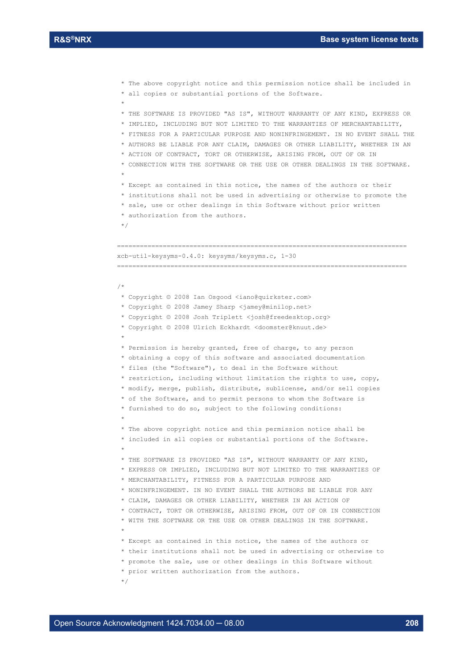```
 * The above copyright notice and this permission notice shall be included in
  * all copies or substantial portions of the Software.
 * 
 * THE SOFTWARE IS PROVIDED "AS IS", WITHOUT WARRANTY OF ANY KIND, EXPRESS OR
  * IMPLIED, INCLUDING BUT NOT LIMITED TO THE WARRANTIES OF MERCHANTABILITY,
 * FITNESS FOR A PARTICULAR PURPOSE AND NONINFRINGEMENT. IN NO EVENT SHALL THE
 * AUTHORS BE LIABLE FOR ANY CLAIM, DAMAGES OR OTHER LIABILITY, WHETHER IN AN
  * ACTION OF CONTRACT, TORT OR OTHERWISE, ARISING FROM, OUT OF OR IN
  * CONNECTION WITH THE SOFTWARE OR THE USE OR OTHER DEALINGS IN THE SOFTWARE.
 * 
  * Except as contained in this notice, the names of the authors or their
  * institutions shall not be used in advertising or otherwise to promote the
  * sale, use or other dealings in this Software without prior written
  * authorization from the authors.
  */
============================================================================
xcb-util-keysyms-0.4.0: keysyms/keysyms.c, 1-30
 ============================================================================
/*
 * Copyright © 2008 Ian Osgood <iano@quirkster.com>
  * Copyright © 2008 Jamey Sharp <jamey@minilop.net>
 * Copyright © 2008 Josh Triplett <josh@freedesktop.org>
 * Copyright © 2008 Ulrich Eckhardt <doomster@knuut.de>
 *
  * Permission is hereby granted, free of charge, to any person
 * obtaining a copy of this software and associated documentation
  * files (the "Software"), to deal in the Software without
  * restriction, including without limitation the rights to use, copy,
  * modify, merge, publish, distribute, sublicense, and/or sell copies
  * of the Software, and to permit persons to whom the Software is
  * furnished to do so, subject to the following conditions:
 *
  * The above copyright notice and this permission notice shall be
  * included in all copies or substantial portions of the Software.
 *
  * THE SOFTWARE IS PROVIDED "AS IS", WITHOUT WARRANTY OF ANY KIND,
 * EXPRESS OR IMPLIED, INCLUDING BUT NOT LIMITED TO THE WARRANTIES OF
 * MERCHANTABILITY, FITNESS FOR A PARTICULAR PURPOSE AND
  * NONINFRINGEMENT. IN NO EVENT SHALL THE AUTHORS BE LIABLE FOR ANY
 * CLAIM, DAMAGES OR OTHER LIABILITY, WHETHER IN AN ACTION OF
 * CONTRACT, TORT OR OTHERWISE, ARISING FROM, OUT OF OR IN CONNECTION
  * WITH THE SOFTWARE OR THE USE OR OTHER DEALINGS IN THE SOFTWARE.
 *
  * Except as contained in this notice, the names of the authors or
  * their institutions shall not be used in advertising or otherwise to
  * promote the sale, use or other dealings in this Software without
  * prior written authorization from the authors.
  */
```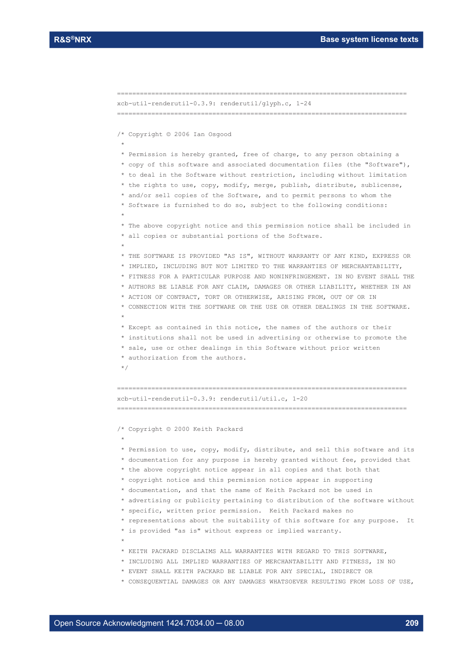```
============================================================================
xcb-util-renderutil-0.3.9: renderutil/glyph.c, 1-24
============================================================================
/* Copyright © 2006 Ian Osgood
 *
  * Permission is hereby granted, free of charge, to any person obtaining a
  * copy of this software and associated documentation files (the "Software"),
 * to deal in the Software without restriction, including without limitation
  * the rights to use, copy, modify, merge, publish, distribute, sublicense,
  * and/or sell copies of the Software, and to permit persons to whom the
  * Software is furnished to do so, subject to the following conditions:
 * 
  * The above copyright notice and this permission notice shall be included in
  * all copies or substantial portions of the Software.
 * 
 * THE SOFTWARE IS PROVIDED "AS IS", WITHOUT WARRANTY OF ANY KIND, EXPRESS OR
  * IMPLIED, INCLUDING BUT NOT LIMITED TO THE WARRANTIES OF MERCHANTABILITY,
  * FITNESS FOR A PARTICULAR PURPOSE AND NONINFRINGEMENT. IN NO EVENT SHALL THE
 * AUTHORS BE LIABLE FOR ANY CLAIM, DAMAGES OR OTHER LIABILITY, WHETHER IN AN
  * ACTION OF CONTRACT, TORT OR OTHERWISE, ARISING FROM, OUT OF OR IN
  * CONNECTION WITH THE SOFTWARE OR THE USE OR OTHER DEALINGS IN THE SOFTWARE.
 * 
 * Except as contained in this notice, the names of the authors or their
  * institutions shall not be used in advertising or otherwise to promote the
  * sale, use or other dealings in this Software without prior written
  * authorization from the authors.
  */
============================================================================
xcb-util-renderutil-0.3.9: renderutil/util.c, 1-20
============================================================================
/* Copyright © 2000 Keith Packard
 *
  * Permission to use, copy, modify, distribute, and sell this software and its
  * documentation for any purpose is hereby granted without fee, provided that
 * the above copyright notice appear in all copies and that both that
  * copyright notice and this permission notice appear in supporting
  * documentation, and that the name of Keith Packard not be used in
 * advertising or publicity pertaining to distribution of the software without
  * specific, written prior permission. Keith Packard makes no
  * representations about the suitability of this software for any purpose. It
  * is provided "as is" without express or implied warranty.
 *
  * KEITH PACKARD DISCLAIMS ALL WARRANTIES WITH REGARD TO THIS SOFTWARE,
  * INCLUDING ALL IMPLIED WARRANTIES OF MERCHANTABILITY AND FITNESS, IN NO
 * EVENT SHALL KEITH PACKARD BE LIABLE FOR ANY SPECIAL, INDIRECT OR
  * CONSEQUENTIAL DAMAGES OR ANY DAMAGES WHATSOEVER RESULTING FROM LOSS OF USE,
```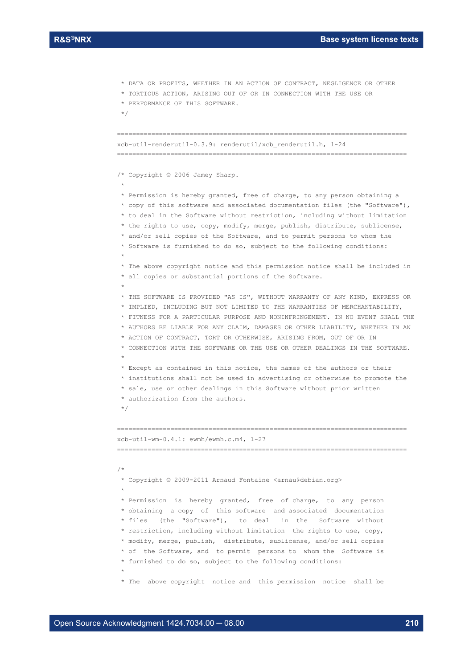```
 * DATA OR PROFITS, WHETHER IN AN ACTION OF CONTRACT, NEGLIGENCE OR OTHER
  * TORTIOUS ACTION, ARISING OUT OF OR IN CONNECTION WITH THE USE OR
  * PERFORMANCE OF THIS SOFTWARE.
 */
        ============================================================================
xcb-util-renderutil-0.3.9: renderutil/xcb_renderutil.h, 1-24
============================================================================
/* Copyright © 2006 Jamey Sharp.
 *
 * Permission is hereby granted, free of charge, to any person obtaining a
  * copy of this software and associated documentation files (the "Software"),
 * to deal in the Software without restriction, including without limitation
  * the rights to use, copy, modify, merge, publish, distribute, sublicense,
  * and/or sell copies of the Software, and to permit persons to whom the
  * Software is furnished to do so, subject to the following conditions:
 * 
 * The above copyright notice and this permission notice shall be included in
  * all copies or substantial portions of the Software.
 * 
  * THE SOFTWARE IS PROVIDED "AS IS", WITHOUT WARRANTY OF ANY KIND, EXPRESS OR
  * IMPLIED, INCLUDING BUT NOT LIMITED TO THE WARRANTIES OF MERCHANTABILITY,
  * FITNESS FOR A PARTICULAR PURPOSE AND NONINFRINGEMENT. IN NO EVENT SHALL THE
 * AUTHORS BE LIABLE FOR ANY CLAIM, DAMAGES OR OTHER LIABILITY, WHETHER IN AN
 * ACTION OF CONTRACT, TORT OR OTHERWISE, ARISING FROM, OUT OF OR IN
  * CONNECTION WITH THE SOFTWARE OR THE USE OR OTHER DEALINGS IN THE SOFTWARE.
 * 
 * Except as contained in this notice, the names of the authors or their
  * institutions shall not be used in advertising or otherwise to promote the
  * sale, use or other dealings in this Software without prior written
  * authorization from the authors.
 */
============================================================================
xcb-util-wm-0.4.1: ewmh/ewmh.c.m4, 1-27
============================================================================
/*
 * Copyright © 2009-2011 Arnaud Fontaine <arnau@debian.org>
 *
 * Permission is hereby granted, free of charge, to any person
 * obtaining a copy of this software and associated documentation
  * files (the "Software"), to deal in the Software without
  * restriction, including without limitation the rights to use, copy,
 * modify, merge, publish, distribute, sublicense, and/or sell copies
 * of the Software, and to permit persons to whom the Software is
  * furnished to do so, subject to the following conditions:
 *
  * The above copyright notice and this permission notice shall be
```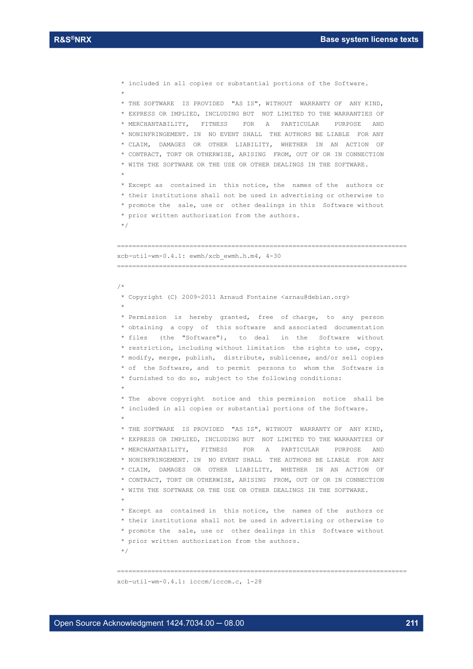\* included in all copies or substantial portions of the Software. \* \* THE SOFTWARE IS PROVIDED "AS IS", WITHOUT WARRANTY OF ANY KIND, \* EXPRESS OR IMPLIED, INCLUDING BUT NOT LIMITED TO THE WARRANTIES OF \* MERCHANTABILITY, FITNESS FOR A PARTICULAR PURPOSE AND \* NONINFRINGEMENT. IN NO EVENT SHALL THE AUTHORS BE LIABLE FOR ANY \* CLAIM, DAMAGES OR OTHER LIABILITY, WHETHER IN AN ACTION OF \* CONTRACT, TORT OR OTHERWISE, ARISING FROM, OUT OF OR IN CONNECTION \* WITH THE SOFTWARE OR THE USE OR OTHER DEALINGS IN THE SOFTWARE. \* \* Except as contained in this notice, the names of the authors or \* their institutions shall not be used in advertising or otherwise to \* promote the sale, use or other dealings in this Software without \* prior written authorization from the authors. \*/ ============================================================================ xcb-util-wm-0.4.1: ewmh/xcb\_ewmh.h.m4, 4-30 ============================================================================ /\* \* Copyright (C) 2009-2011 Arnaud Fontaine <arnau@debian.org> \* \* Permission is hereby granted, free of charge, to any person \* obtaining a copy of this software and associated documentation \* files (the "Software"), to deal in the Software without \* restriction, including without limitation the rights to use, copy, \* modify, merge, publish, distribute, sublicense, and/or sell copies \* of the Software, and to permit persons to whom the Software is \* furnished to do so, subject to the following conditions: \* \* The above copyright notice and this permission notice shall be \* included in all copies or substantial portions of the Software. \* \* THE SOFTWARE IS PROVIDED "AS IS", WITHOUT WARRANTY OF ANY KIND, \* EXPRESS OR IMPLIED, INCLUDING BUT NOT LIMITED TO THE WARRANTIES OF \* MERCHANTABILITY, FITNESS FOR A PARTICULAR PURPOSE AND \* NONINFRINGEMENT. IN NO EVENT SHALL THE AUTHORS BE LIABLE FOR ANY \* CLAIM, DAMAGES OR OTHER LIABILITY, WHETHER IN AN ACTION OF \* CONTRACT, TORT OR OTHERWISE, ARISING FROM, OUT OF OR IN CONNECTION \* WITH THE SOFTWARE OR THE USE OR OTHER DEALINGS IN THE SOFTWARE. \* \* Except as contained in this notice, the names of the authors or \* their institutions shall not be used in advertising or otherwise to \* promote the sale, use or other dealings in this Software without \* prior written authorization from the authors. \*/ ============================================================================

xcb-util-wm-0.4.1: icccm/icccm.c, 1-28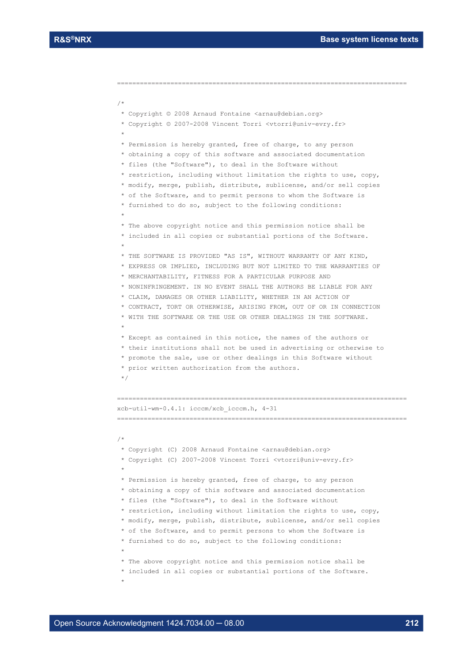============================================================================  $/$ \* \* Copyright © 2008 Arnaud Fontaine <arnau@debian.org> \* Copyright © 2007-2008 Vincent Torri <vtorri@univ-evry.fr> \* \* Permission is hereby granted, free of charge, to any person \* obtaining a copy of this software and associated documentation \* files (the "Software"), to deal in the Software without \* restriction, including without limitation the rights to use, copy, \* modify, merge, publish, distribute, sublicense, and/or sell copies \* of the Software, and to permit persons to whom the Software is \* furnished to do so, subject to the following conditions: \* \* The above copyright notice and this permission notice shall be \* included in all copies or substantial portions of the Software. \* \* THE SOFTWARE IS PROVIDED "AS IS", WITHOUT WARRANTY OF ANY KIND, \* EXPRESS OR IMPLIED, INCLUDING BUT NOT LIMITED TO THE WARRANTIES OF \* MERCHANTABILITY, FITNESS FOR A PARTICULAR PURPOSE AND \* NONINFRINGEMENT. IN NO EVENT SHALL THE AUTHORS BE LIABLE FOR ANY \* CLAIM, DAMAGES OR OTHER LIABILITY, WHETHER IN AN ACTION OF \* CONTRACT, TORT OR OTHERWISE, ARISING FROM, OUT OF OR IN CONNECTION \* WITH THE SOFTWARE OR THE USE OR OTHER DEALINGS IN THE SOFTWARE. \* \* Except as contained in this notice, the names of the authors or \* their institutions shall not be used in advertising or otherwise to \* promote the sale, use or other dealings in this Software without \* prior written authorization from the authors. \*/ ============================================================================ xcb-util-wm-0.4.1: icccm/xcb\_icccm.h, 4-31 ============================================================================ /\* \* Copyright (C) 2008 Arnaud Fontaine <arnau@debian.org> \* Copyright (C) 2007-2008 Vincent Torri <vtorri@univ-evry.fr> \* \* Permission is hereby granted, free of charge, to any person \* obtaining a copy of this software and associated documentation \* files (the "Software"), to deal in the Software without \* restriction, including without limitation the rights to use, copy, \* modify, merge, publish, distribute, sublicense, and/or sell copies \* of the Software, and to permit persons to whom the Software is \* furnished to do so, subject to the following conditions: \*

\* The above copyright notice and this permission notice shall be

- \* included in all copies or substantial portions of the Software.
- \*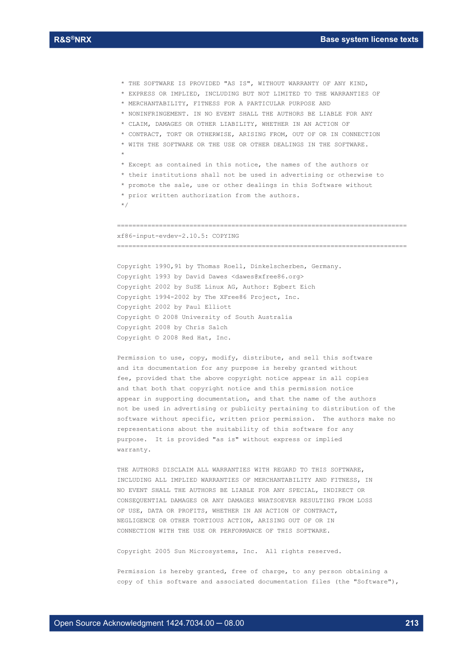\* THE SOFTWARE IS PROVIDED "AS IS", WITHOUT WARRANTY OF ANY KIND, \* EXPRESS OR IMPLIED, INCLUDING BUT NOT LIMITED TO THE WARRANTIES OF \* MERCHANTABILITY, FITNESS FOR A PARTICULAR PURPOSE AND \* NONINFRINGEMENT. IN NO EVENT SHALL THE AUTHORS BE LIABLE FOR ANY \* CLAIM, DAMAGES OR OTHER LIABILITY, WHETHER IN AN ACTION OF \* CONTRACT, TORT OR OTHERWISE, ARISING FROM, OUT OF OR IN CONNECTION \* WITH THE SOFTWARE OR THE USE OR OTHER DEALINGS IN THE SOFTWARE. \* \* Except as contained in this notice, the names of the authors or \* their institutions shall not be used in advertising or otherwise to \* promote the sale, use or other dealings in this Software without \* prior written authorization from the authors. \*/

============================================================================ xf86-input-evdev-2.10.5: COPYING ============================================================================

Copyright 1990,91 by Thomas Roell, Dinkelscherben, Germany. Copyright 1993 by David Dawes <dawes@xfree86.org> Copyright 2002 by SuSE Linux AG, Author: Egbert Eich Copyright 1994-2002 by The XFree86 Project, Inc. Copyright 2002 by Paul Elliott Copyright © 2008 University of South Australia Copyright 2008 by Chris Salch Copyright © 2008 Red Hat, Inc.

Permission to use, copy, modify, distribute, and sell this software and its documentation for any purpose is hereby granted without fee, provided that the above copyright notice appear in all copies and that both that copyright notice and this permission notice appear in supporting documentation, and that the name of the authors not be used in advertising or publicity pertaining to distribution of the software without specific, written prior permission. The authors make no representations about the suitability of this software for any purpose. It is provided "as is" without express or implied warranty.

THE AUTHORS DISCLAIM ALL WARRANTIES WITH REGARD TO THIS SOFTWARE, INCLUDING ALL IMPLIED WARRANTIES OF MERCHANTABILITY AND FITNESS, IN NO EVENT SHALL THE AUTHORS BE LIABLE FOR ANY SPECIAL, INDIRECT OR CONSEQUENTIAL DAMAGES OR ANY DAMAGES WHATSOEVER RESULTING FROM LOSS OF USE, DATA OR PROFITS, WHETHER IN AN ACTION OF CONTRACT, NEGLIGENCE OR OTHER TORTIOUS ACTION, ARISING OUT OF OR IN CONNECTION WITH THE USE OR PERFORMANCE OF THIS SOFTWARE.

Copyright 2005 Sun Microsystems, Inc. All rights reserved.

Permission is hereby granted, free of charge, to any person obtaining a copy of this software and associated documentation files (the "Software"),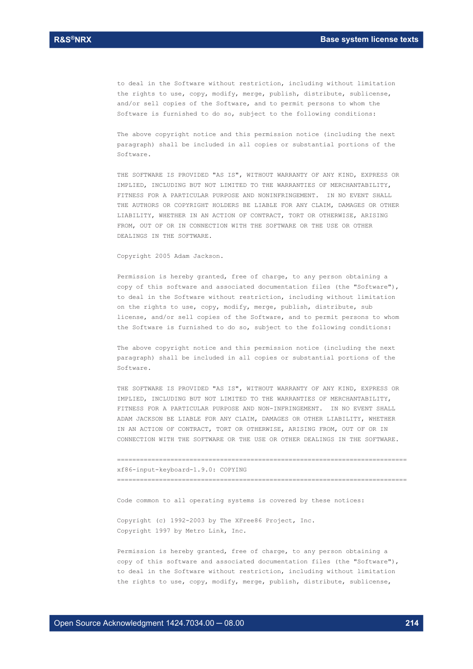to deal in the Software without restriction, including without limitation the rights to use, copy, modify, merge, publish, distribute, sublicense, and/or sell copies of the Software, and to permit persons to whom the Software is furnished to do so, subject to the following conditions:

The above copyright notice and this permission notice (including the next paragraph) shall be included in all copies or substantial portions of the Software.

THE SOFTWARE IS PROVIDED "AS IS", WITHOUT WARRANTY OF ANY KIND, EXPRESS OR IMPLIED, INCLUDING BUT NOT LIMITED TO THE WARRANTIES OF MERCHANTABILITY, FITNESS FOR A PARTICULAR PURPOSE AND NONINFRINGEMENT. IN NO EVENT SHALL THE AUTHORS OR COPYRIGHT HOLDERS BE LIABLE FOR ANY CLAIM, DAMAGES OR OTHER LIABILITY, WHETHER IN AN ACTION OF CONTRACT, TORT OR OTHERWISE, ARISING FROM, OUT OF OR IN CONNECTION WITH THE SOFTWARE OR THE USE OR OTHER DEALINGS IN THE SOFTWARE.

Copyright 2005 Adam Jackson.

Permission is hereby granted, free of charge, to any person obtaining a copy of this software and associated documentation files (the "Software"), to deal in the Software without restriction, including without limitation on the rights to use, copy, modify, merge, publish, distribute, sub license, and/or sell copies of the Software, and to permit persons to whom the Software is furnished to do so, subject to the following conditions:

The above copyright notice and this permission notice (including the next paragraph) shall be included in all copies or substantial portions of the Software.

THE SOFTWARE IS PROVIDED "AS IS", WITHOUT WARRANTY OF ANY KIND, EXPRESS OR IMPLIED, INCLUDING BUT NOT LIMITED TO THE WARRANTIES OF MERCHANTABILITY, FITNESS FOR A PARTICULAR PURPOSE AND NON-INFRINGEMENT. IN NO EVENT SHALL ADAM JACKSON BE LIABLE FOR ANY CLAIM, DAMAGES OR OTHER LIABILITY, WHETHER IN AN ACTION OF CONTRACT, TORT OR OTHERWISE, ARISING FROM, OUT OF OR IN CONNECTION WITH THE SOFTWARE OR THE USE OR OTHER DEALINGS IN THE SOFTWARE.

```
============================================================================
xf86-input-keyboard-1.9.0: COPYING
============================================================================
```
Code common to all operating systems is covered by these notices:

Copyright (c) 1992-2003 by The XFree86 Project, Inc. Copyright 1997 by Metro Link, Inc.

Permission is hereby granted, free of charge, to any person obtaining a copy of this software and associated documentation files (the "Software"), to deal in the Software without restriction, including without limitation the rights to use, copy, modify, merge, publish, distribute, sublicense,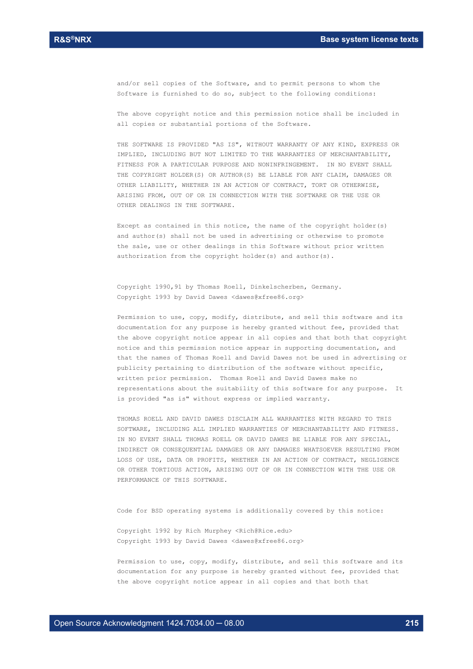and/or sell copies of the Software, and to permit persons to whom the Software is furnished to do so, subject to the following conditions:

The above copyright notice and this permission notice shall be included in all copies or substantial portions of the Software.

THE SOFTWARE IS PROVIDED "AS IS", WITHOUT WARRANTY OF ANY KIND, EXPRESS OR IMPLIED, INCLUDING BUT NOT LIMITED TO THE WARRANTIES OF MERCHANTABILITY, FITNESS FOR A PARTICULAR PURPOSE AND NONINFRINGEMENT. IN NO EVENT SHALL THE COPYRIGHT HOLDER(S) OR AUTHOR(S) BE LIABLE FOR ANY CLAIM, DAMAGES OR OTHER LIABILITY, WHETHER IN AN ACTION OF CONTRACT, TORT OR OTHERWISE, ARISING FROM, OUT OF OR IN CONNECTION WITH THE SOFTWARE OR THE USE OR OTHER DEALINGS IN THE SOFTWARE.

Except as contained in this notice, the name of the copyright holder(s) and author(s) shall not be used in advertising or otherwise to promote the sale, use or other dealings in this Software without prior written authorization from the copyright holder(s) and author(s).

Copyright 1990,91 by Thomas Roell, Dinkelscherben, Germany. Copyright 1993 by David Dawes <dawes@xfree86.org>

Permission to use, copy, modify, distribute, and sell this software and its documentation for any purpose is hereby granted without fee, provided that the above copyright notice appear in all copies and that both that copyright notice and this permission notice appear in supporting documentation, and that the names of Thomas Roell and David Dawes not be used in advertising or publicity pertaining to distribution of the software without specific, written prior permission. Thomas Roell and David Dawes make no representations about the suitability of this software for any purpose. It is provided "as is" without express or implied warranty.

THOMAS ROELL AND DAVID DAWES DISCLAIM ALL WARRANTIES WITH REGARD TO THIS SOFTWARE, INCLUDING ALL IMPLIED WARRANTIES OF MERCHANTABILITY AND FITNESS. IN NO EVENT SHALL THOMAS ROELL OR DAVID DAWES BE LIABLE FOR ANY SPECIAL, INDIRECT OR CONSEQUENTIAL DAMAGES OR ANY DAMAGES WHATSOEVER RESULTING FROM LOSS OF USE, DATA OR PROFITS, WHETHER IN AN ACTION OF CONTRACT, NEGLIGENCE OR OTHER TORTIOUS ACTION, ARISING OUT OF OR IN CONNECTION WITH THE USE OR PERFORMANCE OF THIS SOFTWARE.

Code for BSD operating systems is additionally covered by this notice:

Copyright 1992 by Rich Murphey <Rich@Rice.edu> Copyright 1993 by David Dawes <dawes@xfree86.org>

Permission to use, copy, modify, distribute, and sell this software and its documentation for any purpose is hereby granted without fee, provided that the above copyright notice appear in all copies and that both that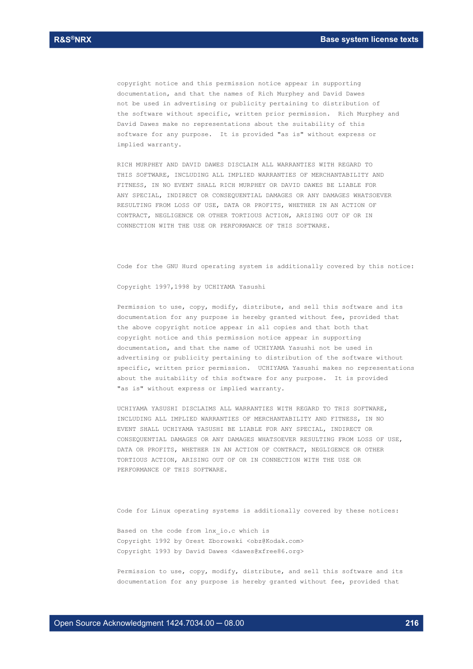copyright notice and this permission notice appear in supporting documentation, and that the names of Rich Murphey and David Dawes not be used in advertising or publicity pertaining to distribution of the software without specific, written prior permission. Rich Murphey and David Dawes make no representations about the suitability of this software for any purpose. It is provided "as is" without express or implied warranty.

RICH MURPHEY AND DAVID DAWES DISCLAIM ALL WARRANTIES WITH REGARD TO THIS SOFTWARE, INCLUDING ALL IMPLIED WARRANTIES OF MERCHANTABILITY AND FITNESS, IN NO EVENT SHALL RICH MURPHEY OR DAVID DAWES BE LIABLE FOR ANY SPECIAL, INDIRECT OR CONSEQUENTIAL DAMAGES OR ANY DAMAGES WHATSOEVER RESULTING FROM LOSS OF USE, DATA OR PROFITS, WHETHER IN AN ACTION OF CONTRACT, NEGLIGENCE OR OTHER TORTIOUS ACTION, ARISING OUT OF OR IN CONNECTION WITH THE USE OR PERFORMANCE OF THIS SOFTWARE.

Code for the GNU Hurd operating system is additionally covered by this notice:

Copyright 1997,1998 by UCHIYAMA Yasushi

Permission to use, copy, modify, distribute, and sell this software and its documentation for any purpose is hereby granted without fee, provided that the above copyright notice appear in all copies and that both that copyright notice and this permission notice appear in supporting documentation, and that the name of UCHIYAMA Yasushi not be used in advertising or publicity pertaining to distribution of the software without specific, written prior permission. UCHIYAMA Yasushi makes no representations about the suitability of this software for any purpose. It is provided "as is" without express or implied warranty.

UCHIYAMA YASUSHI DISCLAIMS ALL WARRANTIES WITH REGARD TO THIS SOFTWARE, INCLUDING ALL IMPLIED WARRANTIES OF MERCHANTABILITY AND FITNESS, IN NO EVENT SHALL UCHIYAMA YASUSHI BE LIABLE FOR ANY SPECIAL, INDIRECT OR CONSEQUENTIAL DAMAGES OR ANY DAMAGES WHATSOEVER RESULTING FROM LOSS OF USE, DATA OR PROFITS, WHETHER IN AN ACTION OF CONTRACT, NEGLIGENCE OR OTHER TORTIOUS ACTION, ARISING OUT OF OR IN CONNECTION WITH THE USE OR PERFORMANCE OF THIS SOFTWARE.

Code for Linux operating systems is additionally covered by these notices:

Based on the code from lnx\_io.c which is Copyright 1992 by Orest Zborowski <obz@Kodak.com> Copyright 1993 by David Dawes <dawes@xfree86.org>

Permission to use, copy, modify, distribute, and sell this software and its documentation for any purpose is hereby granted without fee, provided that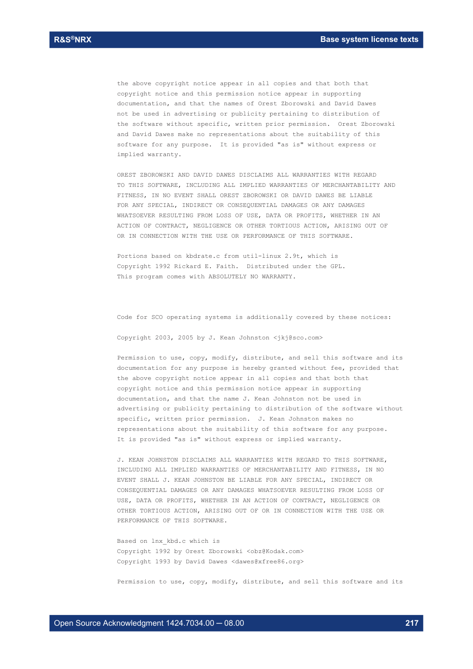the above copyright notice appear in all copies and that both that copyright notice and this permission notice appear in supporting documentation, and that the names of Orest Zborowski and David Dawes not be used in advertising or publicity pertaining to distribution of the software without specific, written prior permission. Orest Zborowski and David Dawes make no representations about the suitability of this software for any purpose. It is provided "as is" without express or implied warranty.

OREST ZBOROWSKI AND DAVID DAWES DISCLAIMS ALL WARRANTIES WITH REGARD TO THIS SOFTWARE, INCLUDING ALL IMPLIED WARRANTIES OF MERCHANTABILITY AND FITNESS, IN NO EVENT SHALL OREST ZBOROWSKI OR DAVID DAWES BE LIABLE FOR ANY SPECIAL, INDIRECT OR CONSEQUENTIAL DAMAGES OR ANY DAMAGES WHATSOEVER RESULTING FROM LOSS OF USE, DATA OR PROFITS, WHETHER IN AN ACTION OF CONTRACT, NEGLIGENCE OR OTHER TORTIOUS ACTION, ARISING OUT OF OR IN CONNECTION WITH THE USE OR PERFORMANCE OF THIS SOFTWARE.

Portions based on kbdrate.c from util-linux 2.9t, which is Copyright 1992 Rickard E. Faith. Distributed under the GPL. This program comes with ABSOLUTELY NO WARRANTY.

Code for SCO operating systems is additionally covered by these notices:

Copyright 2003, 2005 by J. Kean Johnston <jkj@sco.com>

Permission to use, copy, modify, distribute, and sell this software and its documentation for any purpose is hereby granted without fee, provided that the above copyright notice appear in all copies and that both that copyright notice and this permission notice appear in supporting documentation, and that the name J. Kean Johnston not be used in advertising or publicity pertaining to distribution of the software without specific, written prior permission. J. Kean Johnston makes no representations about the suitability of this software for any purpose. It is provided "as is" without express or implied warranty.

J. KEAN JOHNSTON DISCLAIMS ALL WARRANTIES WITH REGARD TO THIS SOFTWARE, INCLUDING ALL IMPLIED WARRANTIES OF MERCHANTABILITY AND FITNESS, IN NO EVENT SHALL J. KEAN JOHNSTON BE LIABLE FOR ANY SPECIAL, INDIRECT OR CONSEQUENTIAL DAMAGES OR ANY DAMAGES WHATSOEVER RESULTING FROM LOSS OF USE, DATA OR PROFITS, WHETHER IN AN ACTION OF CONTRACT, NEGLIGENCE OR OTHER TORTIOUS ACTION, ARISING OUT OF OR IN CONNECTION WITH THE USE OR PERFORMANCE OF THIS SOFTWARE.

Based on lnx\_kbd.c which is Copyright 1992 by Orest Zborowski <obz@Kodak.com> Copyright 1993 by David Dawes <dawes@xfree86.org>

Permission to use, copy, modify, distribute, and sell this software and its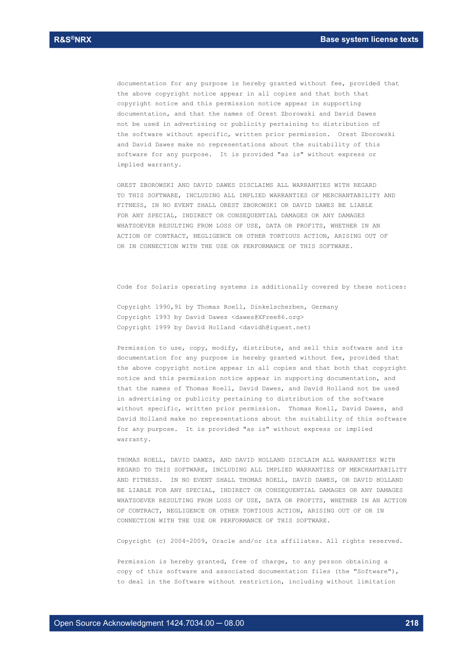documentation for any purpose is hereby granted without fee, provided that the above copyright notice appear in all copies and that both that copyright notice and this permission notice appear in supporting documentation, and that the names of Orest Zborowski and David Dawes not be used in advertising or publicity pertaining to distribution of the software without specific, written prior permission. Orest Zborowski and David Dawes make no representations about the suitability of this software for any purpose. It is provided "as is" without express or implied warranty.

OREST ZBOROWSKI AND DAVID DAWES DISCLAIMS ALL WARRANTIES WITH REGARD TO THIS SOFTWARE, INCLUDING ALL IMPLIED WARRANTIES OF MERCHANTABILITY AND FITNESS, IN NO EVENT SHALL OREST ZBOROWSKI OR DAVID DAWES BE LIABLE FOR ANY SPECIAL, INDIRECT OR CONSEQUENTIAL DAMAGES OR ANY DAMAGES WHATSOEVER RESULTING FROM LOSS OF USE, DATA OR PROFITS, WHETHER IN AN ACTION OF CONTRACT, NEGLIGENCE OR OTHER TORTIOUS ACTION, ARISING OUT OF OR IN CONNECTION WITH THE USE OR PERFORMANCE OF THIS SOFTWARE.

Code for Solaris operating systems is additionally covered by these notices:

Copyright 1990,91 by Thomas Roell, Dinkelscherben, Germany Copyright 1993 by David Dawes <dawes@XFree86.org> Copyright 1999 by David Holland <davidh@iquest.net)

Permission to use, copy, modify, distribute, and sell this software and its documentation for any purpose is hereby granted without fee, provided that the above copyright notice appear in all copies and that both that copyright notice and this permission notice appear in supporting documentation, and that the names of Thomas Roell, David Dawes, and David Holland not be used in advertising or publicity pertaining to distribution of the software without specific, written prior permission. Thomas Roell, David Dawes, and David Holland make no representations about the suitability of this software for any purpose. It is provided "as is" without express or implied warranty.

THOMAS ROELL, DAVID DAWES, AND DAVID HOLLAND DISCLAIM ALL WARRANTIES WITH REGARD TO THIS SOFTWARE, INCLUDING ALL IMPLIED WARRANTIES OF MERCHANTABILITY AND FITNESS. IN NO EVENT SHALL THOMAS ROELL, DAVID DAWES, OR DAVID HOLLAND BE LIABLE FOR ANY SPECIAL, INDIRECT OR CONSEQUENTIAL DAMAGES OR ANY DAMAGES WHATSOEVER RESULTING FROM LOSS OF USE, DATA OR PROFITS, WHETHER IN AN ACTION OF CONTRACT, NEGLIGENCE OR OTHER TORTIOUS ACTION, ARISING OUT OF OR IN CONNECTION WITH THE USE OR PERFORMANCE OF THIS SOFTWARE.

Copyright (c) 2004-2009, Oracle and/or its affiliates. All rights reserved.

Permission is hereby granted, free of charge, to any person obtaining a copy of this software and associated documentation files (the "Software"), to deal in the Software without restriction, including without limitation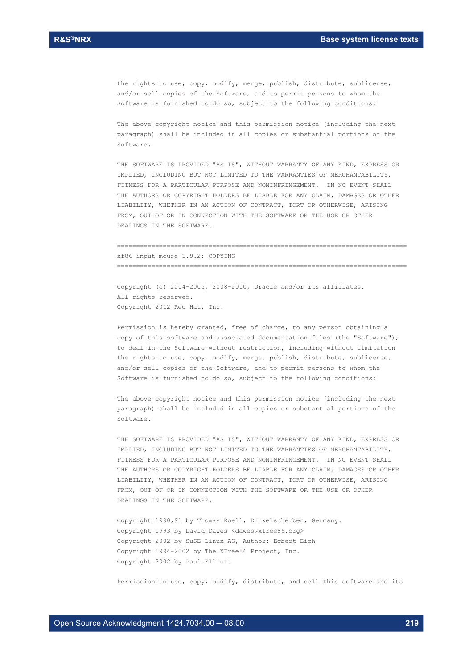the rights to use, copy, modify, merge, publish, distribute, sublicense, and/or sell copies of the Software, and to permit persons to whom the Software is furnished to do so, subject to the following conditions:

The above copyright notice and this permission notice (including the next paragraph) shall be included in all copies or substantial portions of the Software.

THE SOFTWARE IS PROVIDED "AS IS", WITHOUT WARRANTY OF ANY KIND, EXPRESS OR IMPLIED, INCLUDING BUT NOT LIMITED TO THE WARRANTIES OF MERCHANTABILITY, FITNESS FOR A PARTICULAR PURPOSE AND NONINFRINGEMENT. IN NO EVENT SHALL THE AUTHORS OR COPYRIGHT HOLDERS BE LIABLE FOR ANY CLAIM, DAMAGES OR OTHER LIABILITY, WHETHER IN AN ACTION OF CONTRACT, TORT OR OTHERWISE, ARISING FROM, OUT OF OR IN CONNECTION WITH THE SOFTWARE OR THE USE OR OTHER DEALINGS IN THE SOFTWARE.

```
============================================================================
xf86-input-mouse-1.9.2: COPYING
============================================================================
```
Copyright (c) 2004-2005, 2008-2010, Oracle and/or its affiliates. All rights reserved. Copyright 2012 Red Hat, Inc.

Permission is hereby granted, free of charge, to any person obtaining a copy of this software and associated documentation files (the "Software"), to deal in the Software without restriction, including without limitation the rights to use, copy, modify, merge, publish, distribute, sublicense, and/or sell copies of the Software, and to permit persons to whom the Software is furnished to do so, subject to the following conditions:

The above copyright notice and this permission notice (including the next paragraph) shall be included in all copies or substantial portions of the Software.

THE SOFTWARE IS PROVIDED "AS IS", WITHOUT WARRANTY OF ANY KIND, EXPRESS OR IMPLIED, INCLUDING BUT NOT LIMITED TO THE WARRANTIES OF MERCHANTABILITY, FITNESS FOR A PARTICULAR PURPOSE AND NONINFRINGEMENT. IN NO EVENT SHALL THE AUTHORS OR COPYRIGHT HOLDERS BE LIABLE FOR ANY CLAIM, DAMAGES OR OTHER LIABILITY, WHETHER IN AN ACTION OF CONTRACT, TORT OR OTHERWISE, ARISING FROM, OUT OF OR IN CONNECTION WITH THE SOFTWARE OR THE USE OR OTHER DEALINGS IN THE SOFTWARE.

Copyright 1990,91 by Thomas Roell, Dinkelscherben, Germany. Copyright 1993 by David Dawes <dawes@xfree86.org> Copyright 2002 by SuSE Linux AG, Author: Egbert Eich Copyright 1994-2002 by The XFree86 Project, Inc. Copyright 2002 by Paul Elliott

Permission to use, copy, modify, distribute, and sell this software and its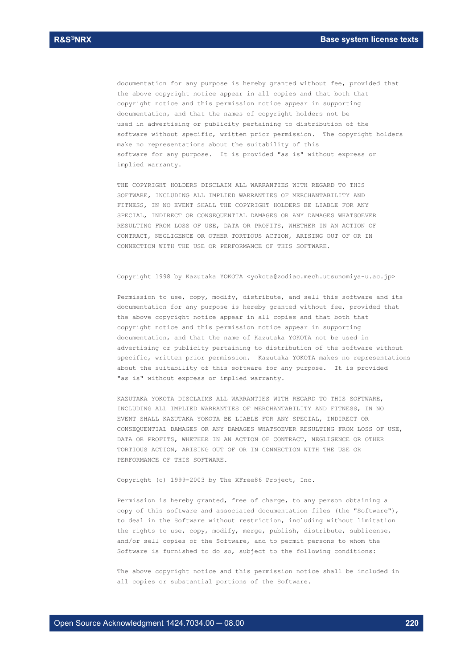documentation for any purpose is hereby granted without fee, provided that the above copyright notice appear in all copies and that both that copyright notice and this permission notice appear in supporting documentation, and that the names of copyright holders not be used in advertising or publicity pertaining to distribution of the software without specific, written prior permission. The copyright holders make no representations about the suitability of this software for any purpose. It is provided "as is" without express or implied warranty.

THE COPYRIGHT HOLDERS DISCLAIM ALL WARRANTIES WITH REGARD TO THIS SOFTWARE, INCLUDING ALL IMPLIED WARRANTIES OF MERCHANTABILITY AND FITNESS, IN NO EVENT SHALL THE COPYRIGHT HOLDERS BE LIABLE FOR ANY SPECIAL, INDIRECT OR CONSEQUENTIAL DAMAGES OR ANY DAMAGES WHATSOEVER RESULTING FROM LOSS OF USE, DATA OR PROFITS, WHETHER IN AN ACTION OF CONTRACT, NEGLIGENCE OR OTHER TORTIOUS ACTION, ARISING OUT OF OR IN CONNECTION WITH THE USE OR PERFORMANCE OF THIS SOFTWARE.

Copyright 1998 by Kazutaka YOKOTA <yokota@zodiac.mech.utsunomiya-u.ac.jp>

Permission to use, copy, modify, distribute, and sell this software and its documentation for any purpose is hereby granted without fee, provided that the above copyright notice appear in all copies and that both that copyright notice and this permission notice appear in supporting documentation, and that the name of Kazutaka YOKOTA not be used in advertising or publicity pertaining to distribution of the software without specific, written prior permission. Kazutaka YOKOTA makes no representations about the suitability of this software for any purpose. It is provided "as is" without express or implied warranty.

KAZUTAKA YOKOTA DISCLAIMS ALL WARRANTIES WITH REGARD TO THIS SOFTWARE, INCLUDING ALL IMPLIED WARRANTIES OF MERCHANTABILITY AND FITNESS, IN NO EVENT SHALL KAZUTAKA YOKOTA BE LIABLE FOR ANY SPECIAL, INDIRECT OR CONSEQUENTIAL DAMAGES OR ANY DAMAGES WHATSOEVER RESULTING FROM LOSS OF USE, DATA OR PROFITS, WHETHER IN AN ACTION OF CONTRACT, NEGLIGENCE OR OTHER TORTIOUS ACTION, ARISING OUT OF OR IN CONNECTION WITH THE USE OR PERFORMANCE OF THIS SOFTWARE.

Copyright (c) 1999-2003 by The XFree86 Project, Inc.

Permission is hereby granted, free of charge, to any person obtaining a copy of this software and associated documentation files (the "Software"), to deal in the Software without restriction, including without limitation the rights to use, copy, modify, merge, publish, distribute, sublicense, and/or sell copies of the Software, and to permit persons to whom the Software is furnished to do so, subject to the following conditions:

The above copyright notice and this permission notice shall be included in all copies or substantial portions of the Software.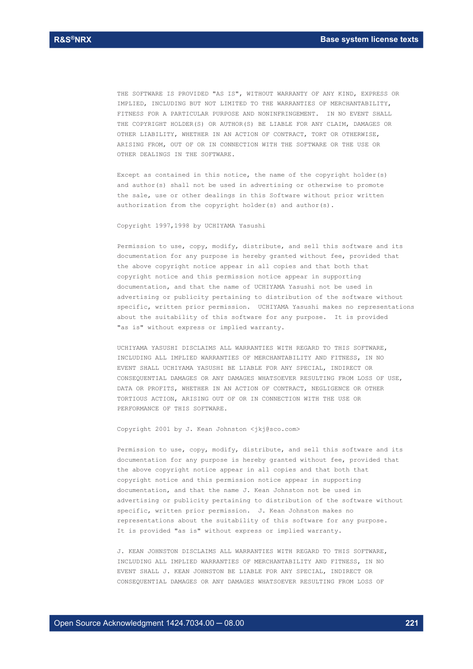THE SOFTWARE IS PROVIDED "AS IS", WITHOUT WARRANTY OF ANY KIND, EXPRESS OR IMPLIED, INCLUDING BUT NOT LIMITED TO THE WARRANTIES OF MERCHANTABILITY, FITNESS FOR A PARTICULAR PURPOSE AND NONINFRINGEMENT. IN NO EVENT SHALL THE COPYRIGHT HOLDER(S) OR AUTHOR(S) BE LIABLE FOR ANY CLAIM, DAMAGES OR OTHER LIABILITY, WHETHER IN AN ACTION OF CONTRACT, TORT OR OTHERWISE, ARISING FROM, OUT OF OR IN CONNECTION WITH THE SOFTWARE OR THE USE OR OTHER DEALINGS IN THE SOFTWARE.

Except as contained in this notice, the name of the copyright holder(s) and author(s) shall not be used in advertising or otherwise to promote the sale, use or other dealings in this Software without prior written authorization from the copyright holder(s) and author(s).

Copyright 1997,1998 by UCHIYAMA Yasushi

Permission to use, copy, modify, distribute, and sell this software and its documentation for any purpose is hereby granted without fee, provided that the above copyright notice appear in all copies and that both that copyright notice and this permission notice appear in supporting documentation, and that the name of UCHIYAMA Yasushi not be used in advertising or publicity pertaining to distribution of the software without specific, written prior permission. UCHIYAMA Yasushi makes no representations about the suitability of this software for any purpose. It is provided "as is" without express or implied warranty.

UCHIYAMA YASUSHI DISCLAIMS ALL WARRANTIES WITH REGARD TO THIS SOFTWARE, INCLUDING ALL IMPLIED WARRANTIES OF MERCHANTABILITY AND FITNESS, IN NO EVENT SHALL UCHIYAMA YASUSHI BE LIABLE FOR ANY SPECIAL, INDIRECT OR CONSEQUENTIAL DAMAGES OR ANY DAMAGES WHATSOEVER RESULTING FROM LOSS OF USE, DATA OR PROFITS, WHETHER IN AN ACTION OF CONTRACT, NEGLIGENCE OR OTHER TORTIOUS ACTION, ARISING OUT OF OR IN CONNECTION WITH THE USE OR PERFORMANCE OF THIS SOFTWARE.

Copyright 2001 by J. Kean Johnston <jkj@sco.com>

Permission to use, copy, modify, distribute, and sell this software and its documentation for any purpose is hereby granted without fee, provided that the above copyright notice appear in all copies and that both that copyright notice and this permission notice appear in supporting documentation, and that the name J. Kean Johnston not be used in advertising or publicity pertaining to distribution of the software without specific, written prior permission. J. Kean Johnston makes no representations about the suitability of this software for any purpose. It is provided "as is" without express or implied warranty.

J. KEAN JOHNSTON DISCLAIMS ALL WARRANTIES WITH REGARD TO THIS SOFTWARE, INCLUDING ALL IMPLIED WARRANTIES OF MERCHANTABILITY AND FITNESS, IN NO EVENT SHALL J. KEAN JOHNSTON BE LIABLE FOR ANY SPECIAL, INDIRECT OR CONSEQUENTIAL DAMAGES OR ANY DAMAGES WHATSOEVER RESULTING FROM LOSS OF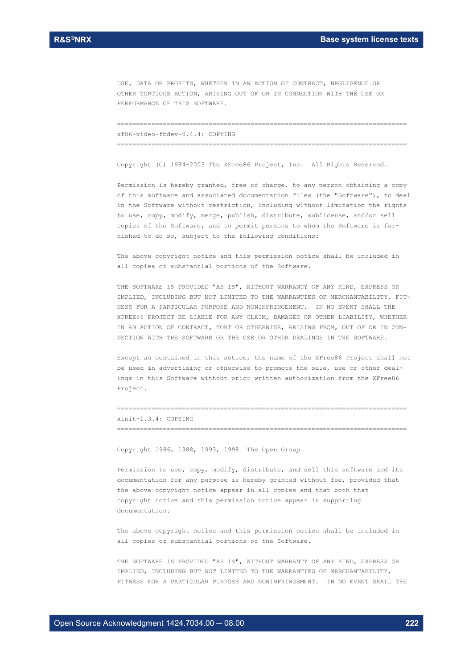USE, DATA OR PROFITS, WHETHER IN AN ACTION OF CONTRACT, NEGLIGENCE OR OTHER TORTIOUS ACTION, ARISING OUT OF OR IN CONNECTION WITH THE USE OR PERFORMANCE OF THIS SOFTWARE.

```
============================================================================
xf86-video-fbdev-0.4.4: COPYING
============================================================================
```
Copyright (C) 1994-2003 The XFree86 Project, Inc. All Rights Reserved.

Permission is hereby granted, free of charge, to any person obtaining a copy of this software and associated documentation files (the "Software"), to deal in the Software without restriction, including without limitation the rights to use, copy, modify, merge, publish, distribute, sublicense, and/or sell copies of the Software, and to permit persons to whom the Software is furnished to do so, subject to the following conditions:

The above copyright notice and this permission notice shall be included in all copies or substantial portions of the Software.

THE SOFTWARE IS PROVIDED "AS IS", WITHOUT WARRANTY OF ANY KIND, EXPRESS OR IMPLIED, INCLUDING BUT NOT LIMITED TO THE WARRANTIES OF MERCHANTABILITY, FIT-NESS FOR A PARTICULAR PURPOSE AND NONINFRINGEMENT. IN NO EVENT SHALL THE XFREE86 PROJECT BE LIABLE FOR ANY CLAIM, DAMAGES OR OTHER LIABILITY, WHETHER IN AN ACTION OF CONTRACT, TORT OR OTHERWISE, ARISING FROM, OUT OF OR IN CON-NECTION WITH THE SOFTWARE OR THE USE OR OTHER DEALINGS IN THE SOFTWARE.

Except as contained in this notice, the name of the XFree86 Project shall not be used in advertising or otherwise to promote the sale, use or other dealings in this Software without prior written authorization from the XFree86 Project.

```
============================================================================
xinit-1.3.4: COPYING
============================================================================
```
Copyright 1986, 1988, 1993, 1998 The Open Group

Permission to use, copy, modify, distribute, and sell this software and its documentation for any purpose is hereby granted without fee, provided that the above copyright notice appear in all copies and that both that copyright notice and this permission notice appear in supporting documentation.

The above copyright notice and this permission notice shall be included in all copies or substantial portions of the Software.

THE SOFTWARE IS PROVIDED "AS IS", WITHOUT WARRANTY OF ANY KIND, EXPRESS OR IMPLIED, INCLUDING BUT NOT LIMITED TO THE WARRANTIES OF MERCHANTABILITY, FITNESS FOR A PARTICULAR PURPOSE AND NONINFRINGEMENT. IN NO EVENT SHALL THE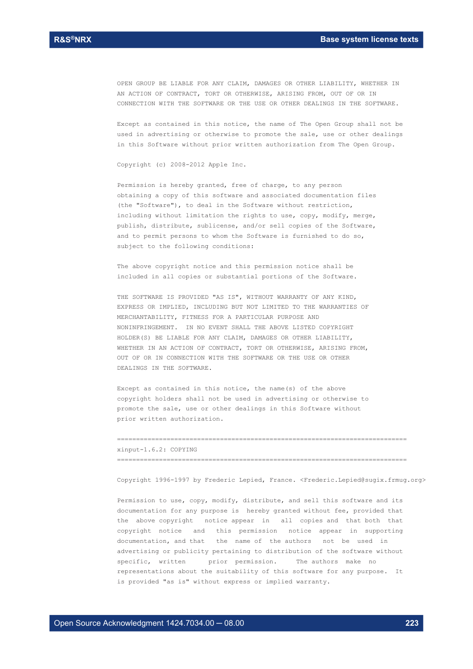OPEN GROUP BE LIABLE FOR ANY CLAIM, DAMAGES OR OTHER LIABILITY, WHETHER IN AN ACTION OF CONTRACT, TORT OR OTHERWISE, ARISING FROM, OUT OF OR IN CONNECTION WITH THE SOFTWARE OR THE USE OR OTHER DEALINGS IN THE SOFTWARE.

Except as contained in this notice, the name of The Open Group shall not be used in advertising or otherwise to promote the sale, use or other dealings in this Software without prior written authorization from The Open Group.

Copyright (c) 2008-2012 Apple Inc.

Permission is hereby granted, free of charge, to any person obtaining a copy of this software and associated documentation files (the "Software"), to deal in the Software without restriction, including without limitation the rights to use, copy, modify, merge, publish, distribute, sublicense, and/or sell copies of the Software, and to permit persons to whom the Software is furnished to do so, subject to the following conditions:

The above copyright notice and this permission notice shall be included in all copies or substantial portions of the Software.

THE SOFTWARE IS PROVIDED "AS IS", WITHOUT WARRANTY OF ANY KIND, EXPRESS OR IMPLIED, INCLUDING BUT NOT LIMITED TO THE WARRANTIES OF MERCHANTABILITY, FITNESS FOR A PARTICULAR PURPOSE AND NONINFRINGEMENT. IN NO EVENT SHALL THE ABOVE LISTED COPYRIGHT HOLDER(S) BE LIABLE FOR ANY CLAIM, DAMAGES OR OTHER LIABILITY, WHETHER IN AN ACTION OF CONTRACT, TORT OR OTHERWISE, ARISING FROM, OUT OF OR IN CONNECTION WITH THE SOFTWARE OR THE USE OR OTHER DEALINGS IN THE SOFTWARE.

Except as contained in this notice, the name(s) of the above copyright holders shall not be used in advertising or otherwise to promote the sale, use or other dealings in this Software without prior written authorization.

```
============================================================================
xinput-1.6.2: COPYING
============================================================================
```
Copyright 1996-1997 by Frederic Lepied, France. <Frederic.Lepied@sugix.frmug.org>

Permission to use, copy, modify, distribute, and sell this software and its documentation for any purpose is hereby granted without fee, provided that the above copyright notice appear in all copies and that both that copyright notice and this permission notice appear in supporting documentation, and that the name of the authors not be used in advertising or publicity pertaining to distribution of the software without specific, written prior permission. The authors make no representations about the suitability of this software for any purpose. It is provided "as is" without express or implied warranty.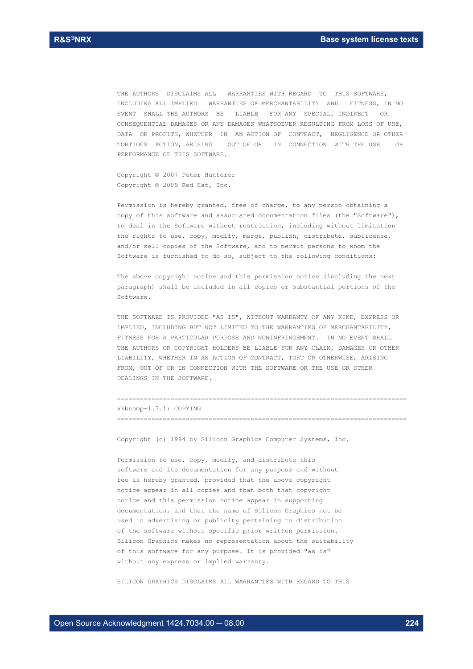THE AUTHORS DISCLAIMS ALL WARRANTIES WITH REGARD TO THIS SOFTWARE, INCLUDING ALL IMPLIED WARRANTIES OF MERCHANTABILITY AND FITNESS, IN NO EVENT SHALL THE AUTHORS BE LIABLE FOR ANY SPECIAL, INDIRECT OR CONSEQUENTIAL DAMAGES OR ANY DAMAGES WHATSOEVER RESULTING FROM LOSS OF USE, DATA OR PROFITS, WHETHER IN AN ACTION OF CONTRACT, NEGLIGENCE OR OTHER TORTIOUS ACTION, ARISING OUT OF OR IN CONNECTION WITH THE USE OR PERFORMANCE OF THIS SOFTWARE.

Copyright © 2007 Peter Hutterer Copyright © 2009 Red Hat, Inc.

Permission is hereby granted, free of charge, to any person obtaining a copy of this software and associated documentation files (the "Software"), to deal in the Software without restriction, including without limitation the rights to use, copy, modify, merge, publish, distribute, sublicense, and/or sell copies of the Software, and to permit persons to whom the Software is furnished to do so, subject to the following conditions:

The above copyright notice and this permission notice (including the next paragraph) shall be included in all copies or substantial portions of the Software.

THE SOFTWARE IS PROVIDED "AS IS", WITHOUT WARRANTY OF ANY KIND, EXPRESS OR IMPLIED, INCLUDING BUT NOT LIMITED TO THE WARRANTIES OF MERCHANTABILITY, FITNESS FOR A PARTICULAR PURPOSE AND NONINFRINGEMENT. IN NO EVENT SHALL THE AUTHORS OR COPYRIGHT HOLDERS BE LIABLE FOR ANY CLAIM, DAMAGES OR OTHER LIABILITY, WHETHER IN AN ACTION OF CONTRACT, TORT OR OTHERWISE, ARISING FROM, OUT OF OR IN CONNECTION WITH THE SOFTWARE OR THE USE OR OTHER DEALINGS IN THE SOFTWARE.

============================================================================

============================================================================

xkbcomp-1.3.1: COPYING

Copyright (c) 1994 by Silicon Graphics Computer Systems, Inc.

Permission to use, copy, modify, and distribute this software and its documentation for any purpose and without fee is hereby granted, provided that the above copyright notice appear in all copies and that both that copyright notice and this permission notice appear in supporting documentation, and that the name of Silicon Graphics not be used in advertising or publicity pertaining to distribution of the software without specific prior written permission. Silicon Graphics makes no representation about the suitability of this software for any purpose. It is provided "as is" without any express or implied warranty.

SILICON GRAPHICS DISCLAIMS ALL WARRANTIES WITH REGARD TO THIS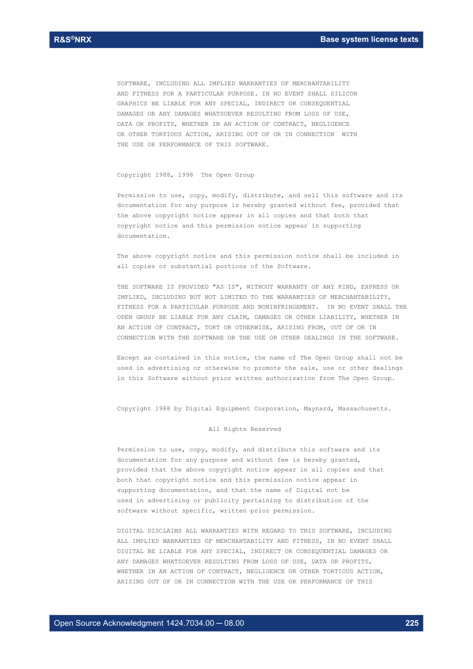SOFTWARE, INCLUDING ALL IMPLIED WARRANTIES OF MERCHANTABILITY AND FITNESS FOR A PARTICULAR PURPOSE. IN NO EVENT SHALL SILICON GRAPHICS BE LIABLE FOR ANY SPECIAL, INDIRECT OR CONSEQUENTIAL DAMAGES OR ANY DAMAGES WHATSOEVER RESULTING FROM LOSS OF USE, DATA OR PROFITS, WHETHER IN AN ACTION OF CONTRACT, NEGLIGENCE OR OTHER TORTIOUS ACTION, ARISING OUT OF OR IN CONNECTION WITH THE USE OR PERFORMANCE OF THIS SOFTWARE.

Copyright 1988, 1998 The Open Group

Permission to use, copy, modify, distribute, and sell this software and its documentation for any purpose is hereby granted without fee, provided that the above copyright notice appear in all copies and that both that copyright notice and this permission notice appear in supporting documentation.

The above copyright notice and this permission notice shall be included in all copies or substantial portions of the Software.

THE SOFTWARE IS PROVIDED "AS IS", WITHOUT WARRANTY OF ANY KIND, EXPRESS OR IMPLIED, INCLUDING BUT NOT LIMITED TO THE WARRANTIES OF MERCHANTABILITY, FITNESS FOR A PARTICULAR PURPOSE AND NONINFRINGEMENT. IN NO EVENT SHALL THE OPEN GROUP BE LIABLE FOR ANY CLAIM, DAMAGES OR OTHER LIABILITY, WHETHER IN AN ACTION OF CONTRACT, TORT OR OTHERWISE, ARISING FROM, OUT OF OR IN CONNECTION WITH THE SOFTWARE OR THE USE OR OTHER DEALINGS IN THE SOFTWARE.

Except as contained in this notice, the name of The Open Group shall not be used in advertising or otherwise to promote the sale, use or other dealings in this Software without prior written authorization from The Open Group.

Copyright 1988 by Digital Equipment Corporation, Maynard, Massachusetts.

### All Rights Reserved

Permission to use, copy, modify, and distribute this software and its documentation for any purpose and without fee is hereby granted, provided that the above copyright notice appear in all copies and that both that copyright notice and this permission notice appear in supporting documentation, and that the name of Digital not be used in advertising or publicity pertaining to distribution of the software without specific, written prior permission.

DIGITAL DISCLAIMS ALL WARRANTIES WITH REGARD TO THIS SOFTWARE, INCLUDING ALL IMPLIED WARRANTIES OF MERCHANTABILITY AND FITNESS, IN NO EVENT SHALL DIGITAL BE LIABLE FOR ANY SPECIAL, INDIRECT OR CONSEQUENTIAL DAMAGES OR ANY DAMAGES WHATSOEVER RESULTING FROM LOSS OF USE, DATA OR PROFITS, WHETHER IN AN ACTION OF CONTRACT, NEGLIGENCE OR OTHER TORTIOUS ACTION, ARISING OUT OF OR IN CONNECTION WITH THE USE OR PERFORMANCE OF THIS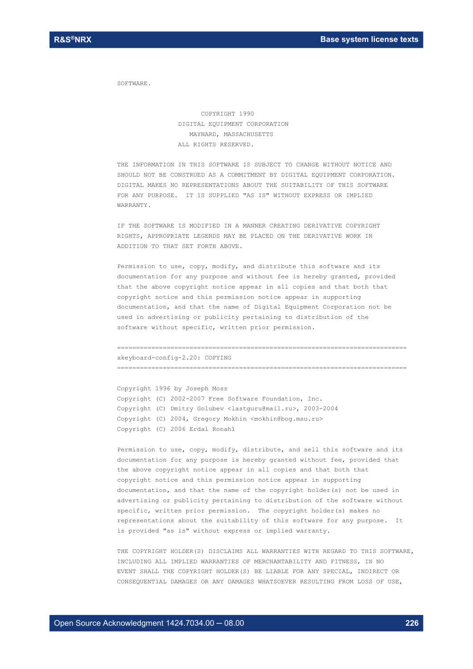SOFTWARE.

 COPYRIGHT 1990 DIGITAL EQUIPMENT CORPORATION MAYNARD, MASSACHUSETTS ALL RIGHTS RESERVED.

THE INFORMATION IN THIS SOFTWARE IS SUBJECT TO CHANGE WITHOUT NOTICE AND SHOULD NOT BE CONSTRUED AS A COMMITMENT BY DIGITAL EQUIPMENT CORPORATION. DIGITAL MAKES NO REPRESENTATIONS ABOUT THE SUITABILITY OF THIS SOFTWARE FOR ANY PURPOSE. IT IS SUPPLIED "AS IS" WITHOUT EXPRESS OR IMPLIED WARRANTY.

IF THE SOFTWARE IS MODIFIED IN A MANNER CREATING DERIVATIVE COPYRIGHT RIGHTS, APPROPRIATE LEGENDS MAY BE PLACED ON THE DERIVATIVE WORK IN ADDITION TO THAT SET FORTH ABOVE.

Permission to use, copy, modify, and distribute this software and its documentation for any purpose and without fee is hereby granted, provided that the above copyright notice appear in all copies and that both that copyright notice and this permission notice appear in supporting documentation, and that the name of Digital Equipment Corporation not be used in advertising or publicity pertaining to distribution of the software without specific, written prior permission.

============================================================================

============================================================================

xkeyboard-config-2.20: COPYING

Copyright 1996 by Joseph Moss Copyright (C) 2002-2007 Free Software Foundation, Inc. Copyright (C) Dmitry Golubev <lastguru@mail.ru>, 2003-2004 Copyright (C) 2004, Gregory Mokhin <mokhin@bog.msu.ru> Copyright (C) 2006 Erdal Ronahî

Permission to use, copy, modify, distribute, and sell this software and its documentation for any purpose is hereby granted without fee, provided that the above copyright notice appear in all copies and that both that copyright notice and this permission notice appear in supporting documentation, and that the name of the copyright holder(s) not be used in advertising or publicity pertaining to distribution of the software without specific, written prior permission. The copyright holder(s) makes no representations about the suitability of this software for any purpose. It is provided "as is" without express or implied warranty.

THE COPYRIGHT HOLDER(S) DISCLAIMS ALL WARRANTIES WITH REGARD TO THIS SOFTWARE, INCLUDING ALL IMPLIED WARRANTIES OF MERCHANTABILITY AND FITNESS, IN NO EVENT SHALL THE COPYRIGHT HOLDER(S) BE LIABLE FOR ANY SPECIAL, INDIRECT OR CONSEQUENTIAL DAMAGES OR ANY DAMAGES WHATSOEVER RESULTING FROM LOSS OF USE,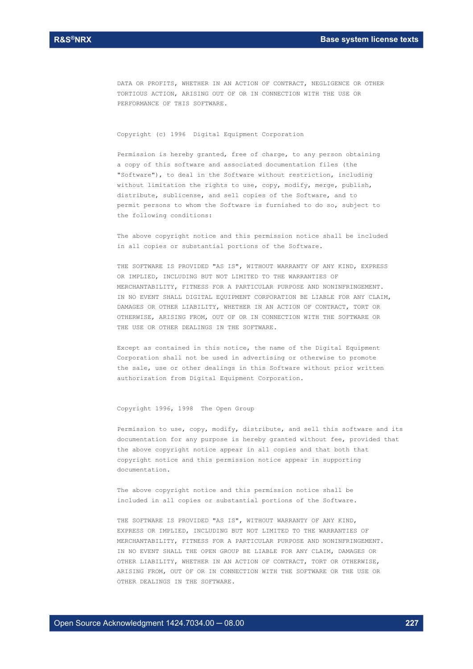DATA OR PROFITS, WHETHER IN AN ACTION OF CONTRACT, NEGLIGENCE OR OTHER TORTIOUS ACTION, ARISING OUT OF OR IN CONNECTION WITH THE USE OR PERFORMANCE OF THIS SOFTWARE.

## Copyright (c) 1996 Digital Equipment Corporation

Permission is hereby granted, free of charge, to any person obtaining a copy of this software and associated documentation files (the "Software"), to deal in the Software without restriction, including without limitation the rights to use, copy, modify, merge, publish, distribute, sublicense, and sell copies of the Software, and to permit persons to whom the Software is furnished to do so, subject to the following conditions:

The above copyright notice and this permission notice shall be included in all copies or substantial portions of the Software.

THE SOFTWARE IS PROVIDED "AS IS", WITHOUT WARRANTY OF ANY KIND, EXPRESS OR IMPLIED, INCLUDING BUT NOT LIMITED TO THE WARRANTIES OF MERCHANTABILITY, FITNESS FOR A PARTICULAR PURPOSE AND NONINFRINGEMENT. IN NO EVENT SHALL DIGITAL EQUIPMENT CORPORATION BE LIABLE FOR ANY CLAIM, DAMAGES OR OTHER LIABILITY, WHETHER IN AN ACTION OF CONTRACT, TORT OR OTHERWISE, ARISING FROM, OUT OF OR IN CONNECTION WITH THE SOFTWARE OR THE USE OR OTHER DEALINGS IN THE SOFTWARE.

Except as contained in this notice, the name of the Digital Equipment Corporation shall not be used in advertising or otherwise to promote the sale, use or other dealings in this Software without prior written authorization from Digital Equipment Corporation.

### Copyright 1996, 1998 The Open Group

Permission to use, copy, modify, distribute, and sell this software and its documentation for any purpose is hereby granted without fee, provided that the above copyright notice appear in all copies and that both that copyright notice and this permission notice appear in supporting documentation.

The above copyright notice and this permission notice shall be included in all copies or substantial portions of the Software.

THE SOFTWARE IS PROVIDED "AS IS", WITHOUT WARRANTY OF ANY KIND, EXPRESS OR IMPLIED, INCLUDING BUT NOT LIMITED TO THE WARRANTIES OF MERCHANTABILITY, FITNESS FOR A PARTICULAR PURPOSE AND NONINFRINGEMENT. IN NO EVENT SHALL THE OPEN GROUP BE LIABLE FOR ANY CLAIM, DAMAGES OR OTHER LIABILITY, WHETHER IN AN ACTION OF CONTRACT, TORT OR OTHERWISE, ARISING FROM, OUT OF OR IN CONNECTION WITH THE SOFTWARE OR THE USE OR OTHER DEALINGS IN THE SOFTWARE.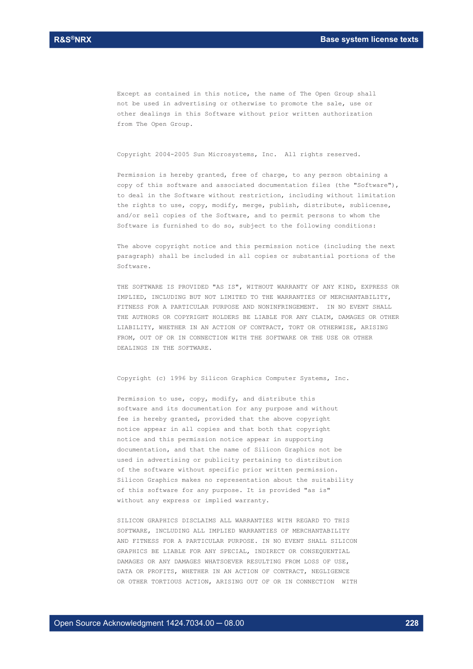Except as contained in this notice, the name of The Open Group shall not be used in advertising or otherwise to promote the sale, use or other dealings in this Software without prior written authorization from The Open Group.

Copyright 2004-2005 Sun Microsystems, Inc. All rights reserved.

Permission is hereby granted, free of charge, to any person obtaining a copy of this software and associated documentation files (the "Software"), to deal in the Software without restriction, including without limitation the rights to use, copy, modify, merge, publish, distribute, sublicense, and/or sell copies of the Software, and to permit persons to whom the Software is furnished to do so, subject to the following conditions:

The above copyright notice and this permission notice (including the next paragraph) shall be included in all copies or substantial portions of the Software.

THE SOFTWARE IS PROVIDED "AS IS", WITHOUT WARRANTY OF ANY KIND, EXPRESS OR IMPLIED, INCLUDING BUT NOT LIMITED TO THE WARRANTIES OF MERCHANTABILITY, FITNESS FOR A PARTICULAR PURPOSE AND NONINFRINGEMENT. IN NO EVENT SHALL THE AUTHORS OR COPYRIGHT HOLDERS BE LIABLE FOR ANY CLAIM, DAMAGES OR OTHER LIABILITY, WHETHER IN AN ACTION OF CONTRACT, TORT OR OTHERWISE, ARISING FROM, OUT OF OR IN CONNECTION WITH THE SOFTWARE OR THE USE OR OTHER DEALINGS IN THE SOFTWARE.

Copyright (c) 1996 by Silicon Graphics Computer Systems, Inc.

Permission to use, copy, modify, and distribute this software and its documentation for any purpose and without fee is hereby granted, provided that the above copyright notice appear in all copies and that both that copyright notice and this permission notice appear in supporting documentation, and that the name of Silicon Graphics not be used in advertising or publicity pertaining to distribution of the software without specific prior written permission. Silicon Graphics makes no representation about the suitability of this software for any purpose. It is provided "as is" without any express or implied warranty.

SILICON GRAPHICS DISCLAIMS ALL WARRANTIES WITH REGARD TO THIS SOFTWARE, INCLUDING ALL IMPLIED WARRANTIES OF MERCHANTABILITY AND FITNESS FOR A PARTICULAR PURPOSE. IN NO EVENT SHALL SILICON GRAPHICS BE LIABLE FOR ANY SPECIAL, INDIRECT OR CONSEQUENTIAL DAMAGES OR ANY DAMAGES WHATSOEVER RESULTING FROM LOSS OF USE, DATA OR PROFITS, WHETHER IN AN ACTION OF CONTRACT, NEGLIGENCE OR OTHER TORTIOUS ACTION, ARISING OUT OF OR IN CONNECTION WITH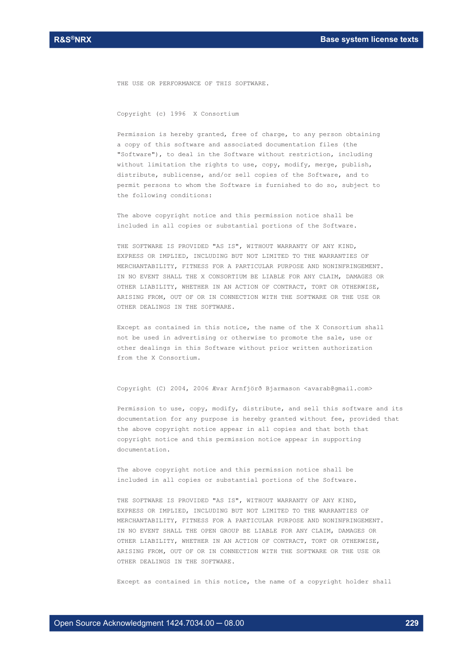THE USE OR PERFORMANCE OF THIS SOFTWARE.

Copyright (c) 1996 X Consortium

Permission is hereby granted, free of charge, to any person obtaining a copy of this software and associated documentation files (the "Software"), to deal in the Software without restriction, including without limitation the rights to use, copy, modify, merge, publish, distribute, sublicense, and/or sell copies of the Software, and to permit persons to whom the Software is furnished to do so, subject to the following conditions:

The above copyright notice and this permission notice shall be included in all copies or substantial portions of the Software.

THE SOFTWARE IS PROVIDED "AS IS", WITHOUT WARRANTY OF ANY KIND, EXPRESS OR IMPLIED, INCLUDING BUT NOT LIMITED TO THE WARRANTIES OF MERCHANTABILITY, FITNESS FOR A PARTICULAR PURPOSE AND NONINFRINGEMENT. IN NO EVENT SHALL THE X CONSORTIUM BE LIABLE FOR ANY CLAIM, DAMAGES OR OTHER LIABILITY, WHETHER IN AN ACTION OF CONTRACT, TORT OR OTHERWISE, ARISING FROM, OUT OF OR IN CONNECTION WITH THE SOFTWARE OR THE USE OR OTHER DEALINGS IN THE SOFTWARE.

Except as contained in this notice, the name of the X Consortium shall not be used in advertising or otherwise to promote the sale, use or other dealings in this Software without prior written authorization from the X Consortium.

Copyright (C) 2004, 2006 Ævar Arnfjörð Bjarmason <avarab@gmail.com>

Permission to use, copy, modify, distribute, and sell this software and its documentation for any purpose is hereby granted without fee, provided that the above copyright notice appear in all copies and that both that copyright notice and this permission notice appear in supporting documentation.

The above copyright notice and this permission notice shall be included in all copies or substantial portions of the Software.

THE SOFTWARE IS PROVIDED "AS IS", WITHOUT WARRANTY OF ANY KIND, EXPRESS OR IMPLIED, INCLUDING BUT NOT LIMITED TO THE WARRANTIES OF MERCHANTABILITY, FITNESS FOR A PARTICULAR PURPOSE AND NONINFRINGEMENT. IN NO EVENT SHALL THE OPEN GROUP BE LIABLE FOR ANY CLAIM, DAMAGES OR OTHER LIABILITY, WHETHER IN AN ACTION OF CONTRACT, TORT OR OTHERWISE, ARISING FROM, OUT OF OR IN CONNECTION WITH THE SOFTWARE OR THE USE OR OTHER DEALINGS IN THE SOFTWARE.

Except as contained in this notice, the name of a copyright holder shall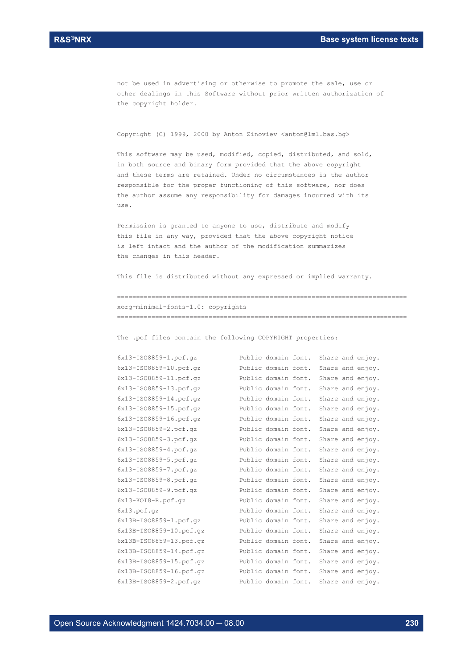not be used in advertising or otherwise to promote the sale, use or other dealings in this Software without prior written authorization of the copyright holder.

# Copyright (C) 1999, 2000 by Anton Zinoviev <anton@lml.bas.bg>

This software may be used, modified, copied, distributed, and sold, in both source and binary form provided that the above copyright and these terms are retained. Under no circumstances is the author responsible for the proper functioning of this software, nor does the author assume any responsibility for damages incurred with its use.

Permission is granted to anyone to use, distribute and modify this file in any way, provided that the above copyright notice is left intact and the author of the modification summarizes the changes in this header.

This file is distributed without any expressed or implied warranty.

```
============================================================================
xorg-minimal-fonts-1.0: copyrights
============================================================================
```
The .pcf files contain the following COPYRIGHT properties:

| $6x13 - 1508859 - 1.pcf.qz$          | Public domain font. |  | Share and enjoy. |
|--------------------------------------|---------------------|--|------------------|
| 6x13-ISO8859-10.pcf.qz               | Public domain font. |  | Share and enjoy. |
| 6x13-ISO8859-11.pcf.qz               | Public domain font. |  | Share and enjoy. |
| $6x13 - 1508859 - 13. pcf. qz$       | Public domain font. |  | Share and enjoy. |
| $6x13 - 1508859 - 14. \text{pcf}.qz$ | Public domain font. |  | Share and enjoy. |
| 6x13-ISO8859-15.pcf.qz               | Public domain font. |  | Share and enjoy. |
| $6x13 - 1508859 - 16. \text{pcf}.qz$ | Public domain font. |  | Share and enjoy. |
| $6x13 - 1508859 - 2.pcf.qz$          | Public domain font. |  | Share and enjoy. |
| 6x13-ISO8859-3.pcf.qz                | Public domain font. |  | Share and enjoy. |
| $6x13 - 1508859 - 4.pcf.$ gz         | Public domain font. |  | Share and enjoy. |
| $6x13 - 1508859 - 5.pcf.$ gz         | Public domain font. |  | Share and enjoy. |
| $6x13 - 1508859 - 7.pcf.qz$          | Public domain font. |  | Share and enjoy. |
| $6x13 - 1508859 - 8.pcf.qz$          | Public domain font. |  | Share and enjoy. |
| $6x13 - 1508859 - 9.7cf.9z$          | Public domain font. |  | Share and enjoy. |
| $6x13 - KOI8 - R.pcf. qz$            | Public domain font. |  | Share and enjoy. |
| $6x13.$ pcf.qz                       | Public domain font. |  | Share and enjoy. |
| $6x13B-IS08859-1.pdf$                | Public domain font. |  | Share and enjoy. |
| $6x13B - ISO8859 - 10.pcf.qz$        | Public domain font. |  | Share and enjoy. |
| $6x13B-IS08859-13.pcf.qz$            | Public domain font. |  | Share and enjoy. |
| $6x13B-IS08859-14.pdf$               | Public domain font. |  | Share and enjoy. |
| $6x13B-IS08859-15.pcf.qz$            | Public domain font. |  | Share and enjoy. |
| $6x13B-IS08859-16.pcf.qz$            | Public domain font. |  | Share and enjoy. |
| $6x13B-IS08859-2.pdf$                | Public domain font. |  | Share and enjoy. |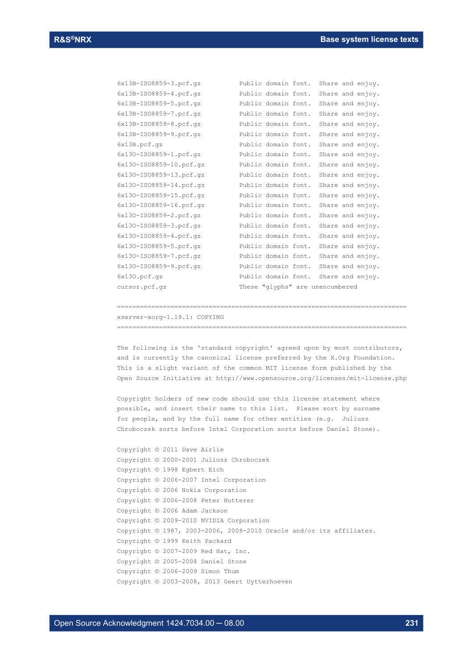| 6x13B-ISO8859-3.pcf.qz                |                                 | Public domain font.                  |  |  |  | Share and enjoy. |  |  |  |
|---------------------------------------|---------------------------------|--------------------------------------|--|--|--|------------------|--|--|--|
| $6x13B-IS08859-4.pcf.gz$              |                                 | Public domain font.                  |  |  |  | Share and enjoy. |  |  |  |
| 6x13B-ISO8859-5.pcf.qz                |                                 | Public domain font.                  |  |  |  | Share and enjoy. |  |  |  |
| $6x13B-IS08859-7.pcf.qz$              |                                 | Public domain font.                  |  |  |  | Share and enjoy. |  |  |  |
| $6x13B-IS08859-8.pcf.qz$              |                                 | Public domain font.                  |  |  |  | Share and enjoy. |  |  |  |
| $6x13B-IS08859-9.pcf.qz$              |                                 | Public domain font.                  |  |  |  | Share and enjoy. |  |  |  |
| 6x13B.pcf.qz                          |                                 | Public domain font.                  |  |  |  | Share and enjoy. |  |  |  |
| 6x130-IS08859-1.pcf.qz                |                                 | Public domain font.                  |  |  |  | Share and enjoy. |  |  |  |
| 6x130-IS08859-10.pcf.qz               |                                 | Public domain font.                  |  |  |  | Share and enjoy. |  |  |  |
| 6x130-IS08859-13.pcf.qz               |                                 | Public domain font.                  |  |  |  | Share and enjoy. |  |  |  |
| $6x130 - 1508859 - 14. \text{pcf}.qz$ |                                 | Public domain font.                  |  |  |  | Share and enjoy. |  |  |  |
| 6x130-IS08859-15.pcf.qz               |                                 | Public domain font.                  |  |  |  | Share and enjoy. |  |  |  |
| 6x130-IS08859-16.pcf.qz               |                                 | Public domain font.                  |  |  |  | Share and enjoy. |  |  |  |
| 6x130-ISO8859-2.pcf.qz                |                                 | Public domain font.                  |  |  |  | Share and enjoy. |  |  |  |
| $6x130 - 1508859 - 3.pcf.qz$          |                                 | Public domain font.                  |  |  |  | Share and enjoy. |  |  |  |
| $6x130 - 1508859 - 4.pcf.qz$          |                                 | Public domain font.                  |  |  |  | Share and enjoy. |  |  |  |
| 6x130-IS08859-5.pcf.qz                |                                 | Public domain font.                  |  |  |  | Share and enjoy. |  |  |  |
| 6x130-IS08859-7.pcf.qz                |                                 | Public domain font.                  |  |  |  | Share and enjoy. |  |  |  |
| 6x130-IS08859-9.pcf.qz                |                                 | Public domain font.                  |  |  |  | Share and enjoy. |  |  |  |
| $6x130.$ pcf.qz                       |                                 | Public domain font. Share and enjoy. |  |  |  |                  |  |  |  |
| cursor.pcf.qz                         | These "qlyphs" are unencumbered |                                      |  |  |  |                  |  |  |  |
|                                       |                                 |                                      |  |  |  |                  |  |  |  |

```
============================================================================
xserver-xorg-1.19.1: COPYING
============================================================================
```
The following is the 'standard copyright' agreed upon by most contributors, and is currently the canonical license preferred by the X.Org Foundation. This is a slight variant of the common MIT license form published by the Open Source Initiative at http://www.opensource.org/licenses/mit-license.php

Copyright holders of new code should use this license statement where possible, and insert their name to this list. Please sort by surname for people, and by the full name for other entities (e.g. Juliusz Chroboczek sorts before Intel Corporation sorts before Daniel Stone).

```
Copyright © 2011 Dave Airlie
Copyright © 2000-2001 Juliusz Chroboczek
Copyright © 1998 Egbert Eich
Copyright © 2006-2007 Intel Corporation
Copyright © 2006 Nokia Corporation
Copyright © 2006-2008 Peter Hutterer
Copyright © 2006 Adam Jackson
Copyright © 2009-2010 NVIDIA Corporation
Copyright © 1987, 2003-2006, 2008-2010 Oracle and/or its affiliates.
Copyright © 1999 Keith Packard
Copyright © 2007-2009 Red Hat, Inc.
Copyright © 2005-2008 Daniel Stone
Copyright © 2006-2009 Simon Thum
Copyright © 2003-2008, 2013 Geert Uytterhoeven
```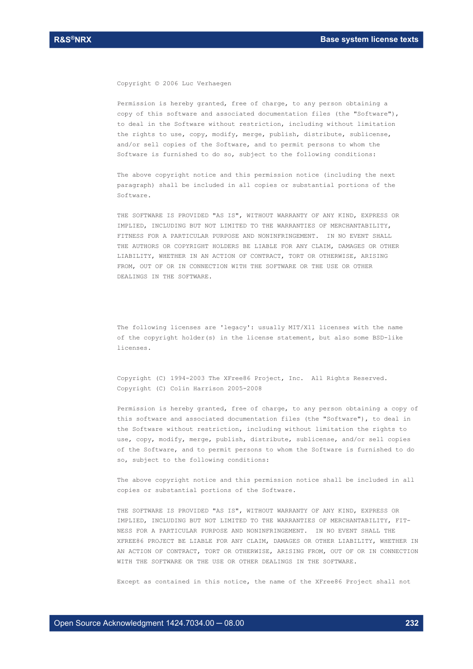### Copyright © 2006 Luc Verhaegen

Permission is hereby granted, free of charge, to any person obtaining a copy of this software and associated documentation files (the "Software"), to deal in the Software without restriction, including without limitation the rights to use, copy, modify, merge, publish, distribute, sublicense, and/or sell copies of the Software, and to permit persons to whom the Software is furnished to do so, subject to the following conditions:

The above copyright notice and this permission notice (including the next paragraph) shall be included in all copies or substantial portions of the Software.

THE SOFTWARE IS PROVIDED "AS IS", WITHOUT WARRANTY OF ANY KIND, EXPRESS OR IMPLIED, INCLUDING BUT NOT LIMITED TO THE WARRANTIES OF MERCHANTABILITY, FITNESS FOR A PARTICULAR PURPOSE AND NONINFRINGEMENT. IN NO EVENT SHALL THE AUTHORS OR COPYRIGHT HOLDERS BE LIABLE FOR ANY CLAIM, DAMAGES OR OTHER LIABILITY, WHETHER IN AN ACTION OF CONTRACT, TORT OR OTHERWISE, ARISING FROM, OUT OF OR IN CONNECTION WITH THE SOFTWARE OR THE USE OR OTHER DEALINGS IN THE SOFTWARE.

The following licenses are 'legacy': usually MIT/X11 licenses with the name of the copyright holder(s) in the license statement, but also some BSD-like licenses.

Copyright (C) 1994-2003 The XFree86 Project, Inc. All Rights Reserved. Copyright (C) Colin Harrison 2005-2008

Permission is hereby granted, free of charge, to any person obtaining a copy of this software and associated documentation files (the "Software"), to deal in the Software without restriction, including without limitation the rights to use, copy, modify, merge, publish, distribute, sublicense, and/or sell copies of the Software, and to permit persons to whom the Software is furnished to do so, subject to the following conditions:

The above copyright notice and this permission notice shall be included in all copies or substantial portions of the Software.

THE SOFTWARE IS PROVIDED "AS IS", WITHOUT WARRANTY OF ANY KIND, EXPRESS OR IMPLIED, INCLUDING BUT NOT LIMITED TO THE WARRANTIES OF MERCHANTABILITY, FIT-NESS FOR A PARTICULAR PURPOSE AND NONINFRINGEMENT. IN NO EVENT SHALL THE XFREE86 PROJECT BE LIABLE FOR ANY CLAIM, DAMAGES OR OTHER LIABILITY, WHETHER IN AN ACTION OF CONTRACT, TORT OR OTHERWISE, ARISING FROM, OUT OF OR IN CONNECTION WITH THE SOFTWARE OR THE USE OR OTHER DEALINGS IN THE SOFTWARE.

Except as contained in this notice, the name of the XFree86 Project shall not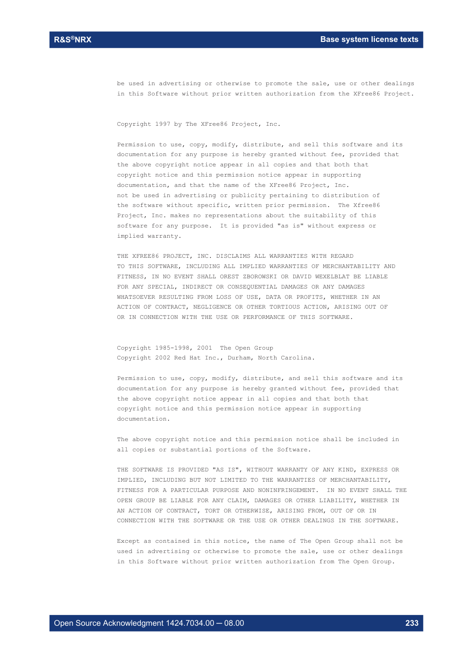be used in advertising or otherwise to promote the sale, use or other dealings in this Software without prior written authorization from the XFree86 Project.

Copyright 1997 by The XFree86 Project, Inc.

Permission to use, copy, modify, distribute, and sell this software and its documentation for any purpose is hereby granted without fee, provided that the above copyright notice appear in all copies and that both that copyright notice and this permission notice appear in supporting documentation, and that the name of the XFree86 Project, Inc. not be used in advertising or publicity pertaining to distribution of the software without specific, written prior permission. The Xfree86 Project, Inc. makes no representations about the suitability of this software for any purpose. It is provided "as is" without express or implied warranty.

THE XFREE86 PROJECT, INC. DISCLAIMS ALL WARRANTIES WITH REGARD TO THIS SOFTWARE, INCLUDING ALL IMPLIED WARRANTIES OF MERCHANTABILITY AND FITNESS, IN NO EVENT SHALL OREST ZBOROWSKI OR DAVID WEXELBLAT BE LIABLE FOR ANY SPECIAL, INDIRECT OR CONSEQUENTIAL DAMAGES OR ANY DAMAGES WHATSOEVER RESULTING FROM LOSS OF USE, DATA OR PROFITS, WHETHER IN AN ACTION OF CONTRACT, NEGLIGENCE OR OTHER TORTIOUS ACTION, ARISING OUT OF OR IN CONNECTION WITH THE USE OR PERFORMANCE OF THIS SOFTWARE.

Copyright 1985-1998, 2001 The Open Group Copyright 2002 Red Hat Inc., Durham, North Carolina.

Permission to use, copy, modify, distribute, and sell this software and its documentation for any purpose is hereby granted without fee, provided that the above copyright notice appear in all copies and that both that copyright notice and this permission notice appear in supporting documentation.

The above copyright notice and this permission notice shall be included in all copies or substantial portions of the Software.

THE SOFTWARE IS PROVIDED "AS IS", WITHOUT WARRANTY OF ANY KIND, EXPRESS OR IMPLIED, INCLUDING BUT NOT LIMITED TO THE WARRANTIES OF MERCHANTABILITY, FITNESS FOR A PARTICULAR PURPOSE AND NONINFRINGEMENT. IN NO EVENT SHALL THE OPEN GROUP BE LIABLE FOR ANY CLAIM, DAMAGES OR OTHER LIABILITY, WHETHER IN AN ACTION OF CONTRACT, TORT OR OTHERWISE, ARISING FROM, OUT OF OR IN CONNECTION WITH THE SOFTWARE OR THE USE OR OTHER DEALINGS IN THE SOFTWARE.

Except as contained in this notice, the name of The Open Group shall not be used in advertising or otherwise to promote the sale, use or other dealings in this Software without prior written authorization from The Open Group.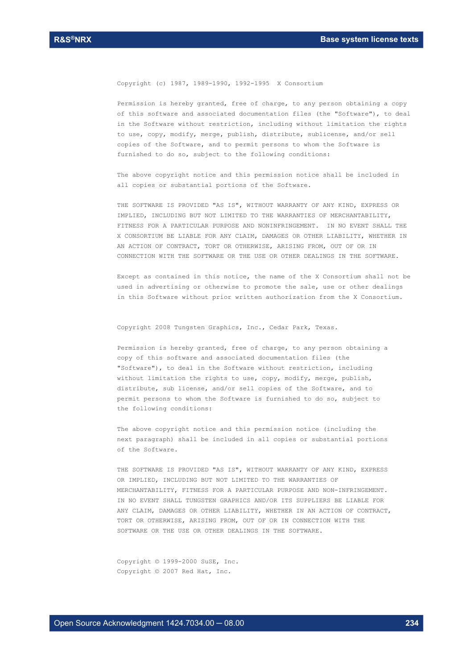Copyright (c) 1987, 1989-1990, 1992-1995 X Consortium

Permission is hereby granted, free of charge, to any person obtaining a copy of this software and associated documentation files (the "Software"), to deal in the Software without restriction, including without limitation the rights to use, copy, modify, merge, publish, distribute, sublicense, and/or sell copies of the Software, and to permit persons to whom the Software is furnished to do so, subject to the following conditions:

The above copyright notice and this permission notice shall be included in all copies or substantial portions of the Software.

THE SOFTWARE IS PROVIDED "AS IS", WITHOUT WARRANTY OF ANY KIND, EXPRESS OR IMPLIED, INCLUDING BUT NOT LIMITED TO THE WARRANTIES OF MERCHANTABILITY, FITNESS FOR A PARTICULAR PURPOSE AND NONINFRINGEMENT. IN NO EVENT SHALL THE X CONSORTIUM BE LIABLE FOR ANY CLAIM, DAMAGES OR OTHER LIABILITY, WHETHER IN AN ACTION OF CONTRACT, TORT OR OTHERWISE, ARISING FROM, OUT OF OR IN CONNECTION WITH THE SOFTWARE OR THE USE OR OTHER DEALINGS IN THE SOFTWARE.

Except as contained in this notice, the name of the X Consortium shall not be used in advertising or otherwise to promote the sale, use or other dealings in this Software without prior written authorization from the X Consortium.

Copyright 2008 Tungsten Graphics, Inc., Cedar Park, Texas.

Permission is hereby granted, free of charge, to any person obtaining a copy of this software and associated documentation files (the "Software"), to deal in the Software without restriction, including without limitation the rights to use, copy, modify, merge, publish, distribute, sub license, and/or sell copies of the Software, and to permit persons to whom the Software is furnished to do so, subject to the following conditions:

The above copyright notice and this permission notice (including the next paragraph) shall be included in all copies or substantial portions of the Software.

THE SOFTWARE IS PROVIDED "AS IS", WITHOUT WARRANTY OF ANY KIND, EXPRESS OR IMPLIED, INCLUDING BUT NOT LIMITED TO THE WARRANTIES OF MERCHANTABILITY, FITNESS FOR A PARTICULAR PURPOSE AND NON-INFRINGEMENT. IN NO EVENT SHALL TUNGSTEN GRAPHICS AND/OR ITS SUPPLIERS BE LIABLE FOR ANY CLAIM, DAMAGES OR OTHER LIABILITY, WHETHER IN AN ACTION OF CONTRACT, TORT OR OTHERWISE, ARISING FROM, OUT OF OR IN CONNECTION WITH THE SOFTWARE OR THE USE OR OTHER DEALINGS IN THE SOFTWARE.

Copyright © 1999-2000 SuSE, Inc. Copyright © 2007 Red Hat, Inc.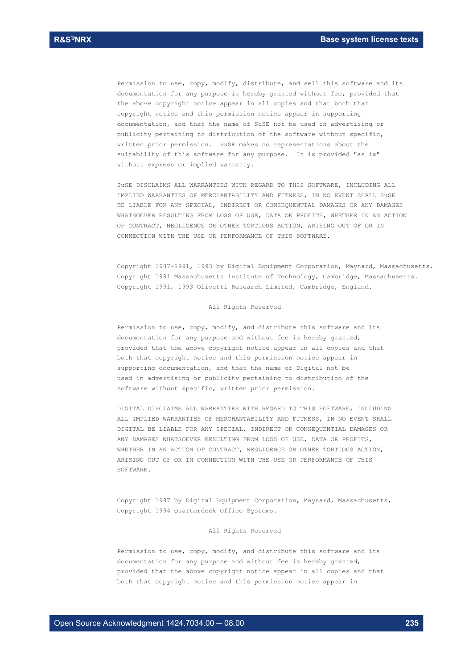Permission to use, copy, modify, distribute, and sell this software and its documentation for any purpose is hereby granted without fee, provided that the above copyright notice appear in all copies and that both that copyright notice and this permission notice appear in supporting documentation, and that the name of SuSE not be used in advertising or publicity pertaining to distribution of the software without specific, written prior permission. SuSE makes no representations about the suitability of this software for any purpose. It is provided "as is" without express or implied warranty.

SuSE DISCLAIMS ALL WARRANTIES WITH REGARD TO THIS SOFTWARE, INCLUDING ALL IMPLIED WARRANTIES OF MERCHANTABILITY AND FITNESS, IN NO EVENT SHALL SuSE BE LIABLE FOR ANY SPECIAL, INDIRECT OR CONSEQUENTIAL DAMAGES OR ANY DAMAGES WHATSOEVER RESULTING FROM LOSS OF USE, DATA OR PROFITS, WHETHER IN AN ACTION OF CONTRACT, NEGLIGENCE OR OTHER TORTIOUS ACTION, ARISING OUT OF OR IN CONNECTION WITH THE USE OR PERFORMANCE OF THIS SOFTWARE.

Copyright 1987-1991, 1993 by Digital Equipment Corporation, Maynard, Massachusetts. Copyright 1991 Massachusetts Institute of Technology, Cambridge, Massachusetts. Copyright 1991, 1993 Olivetti Research Limited, Cambridge, England.

### All Rights Reserved

Permission to use, copy, modify, and distribute this software and its documentation for any purpose and without fee is hereby granted, provided that the above copyright notice appear in all copies and that both that copyright notice and this permission notice appear in supporting documentation, and that the name of Digital not be used in advertising or publicity pertaining to distribution of the software without specific, written prior permission.

DIGITAL DISCLAIMS ALL WARRANTIES WITH REGARD TO THIS SOFTWARE, INCLUDING ALL IMPLIED WARRANTIES OF MERCHANTABILITY AND FITNESS, IN NO EVENT SHALL DIGITAL BE LIABLE FOR ANY SPECIAL, INDIRECT OR CONSEQUENTIAL DAMAGES OR ANY DAMAGES WHATSOEVER RESULTING FROM LOSS OF USE, DATA OR PROFITS, WHETHER IN AN ACTION OF CONTRACT, NEGLIGENCE OR OTHER TORTIOUS ACTION, ARISING OUT OF OR IN CONNECTION WITH THE USE OR PERFORMANCE OF THIS SOFTWARE.

Copyright 1987 by Digital Equipment Corporation, Maynard, Massachusetts, Copyright 1994 Quarterdeck Office Systems.

#### All Rights Reserved

Permission to use, copy, modify, and distribute this software and its documentation for any purpose and without fee is hereby granted, provided that the above copyright notice appear in all copies and that both that copyright notice and this permission notice appear in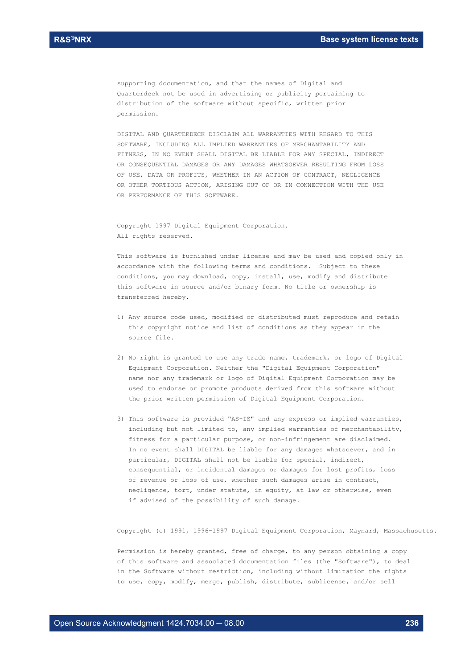supporting documentation, and that the names of Digital and Quarterdeck not be used in advertising or publicity pertaining to distribution of the software without specific, written prior permission.

DIGITAL AND QUARTERDECK DISCLAIM ALL WARRANTIES WITH REGARD TO THIS SOFTWARE, INCLUDING ALL IMPLIED WARRANTIES OF MERCHANTABILITY AND FITNESS, IN NO EVENT SHALL DIGITAL BE LIABLE FOR ANY SPECIAL, INDIRECT OR CONSEQUENTIAL DAMAGES OR ANY DAMAGES WHATSOEVER RESULTING FROM LOSS OF USE, DATA OR PROFITS, WHETHER IN AN ACTION OF CONTRACT, NEGLIGENCE OR OTHER TORTIOUS ACTION, ARISING OUT OF OR IN CONNECTION WITH THE USE OR PERFORMANCE OF THIS SOFTWARE.

Copyright 1997 Digital Equipment Corporation. All rights reserved.

This software is furnished under license and may be used and copied only in accordance with the following terms and conditions. Subject to these conditions, you may download, copy, install, use, modify and distribute this software in source and/or binary form. No title or ownership is transferred hereby.

- 1) Any source code used, modified or distributed must reproduce and retain this copyright notice and list of conditions as they appear in the source file.
- 2) No right is granted to use any trade name, trademark, or logo of Digital Equipment Corporation. Neither the "Digital Equipment Corporation" name nor any trademark or logo of Digital Equipment Corporation may be used to endorse or promote products derived from this software without the prior written permission of Digital Equipment Corporation.
- 3) This software is provided "AS-IS" and any express or implied warranties, including but not limited to, any implied warranties of merchantability, fitness for a particular purpose, or non-infringement are disclaimed. In no event shall DIGITAL be liable for any damages whatsoever, and in particular, DIGITAL shall not be liable for special, indirect, consequential, or incidental damages or damages for lost profits, loss of revenue or loss of use, whether such damages arise in contract, negligence, tort, under statute, in equity, at law or otherwise, even if advised of the possibility of such damage.

Copyright (c) 1991, 1996-1997 Digital Equipment Corporation, Maynard, Massachusetts.

Permission is hereby granted, free of charge, to any person obtaining a copy of this software and associated documentation files (the "Software"), to deal in the Software without restriction, including without limitation the rights to use, copy, modify, merge, publish, distribute, sublicense, and/or sell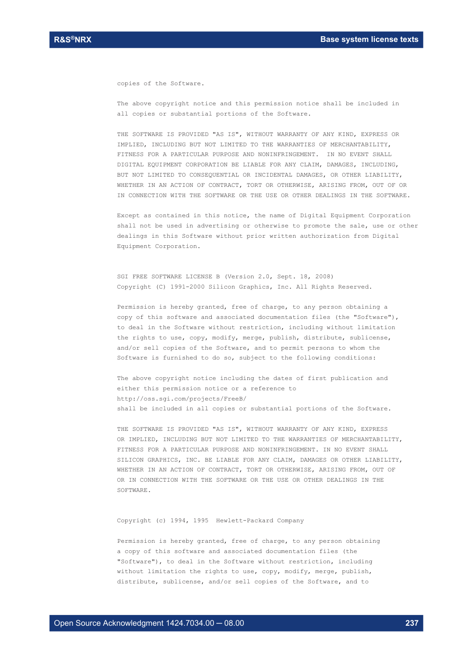copies of the Software.

The above copyright notice and this permission notice shall be included in all copies or substantial portions of the Software.

THE SOFTWARE IS PROVIDED "AS IS", WITHOUT WARRANTY OF ANY KIND, EXPRESS OR IMPLIED, INCLUDING BUT NOT LIMITED TO THE WARRANTIES OF MERCHANTABILITY, FITNESS FOR A PARTICULAR PURPOSE AND NONINFRINGEMENT. IN NO EVENT SHALL DIGITAL EQUIPMENT CORPORATION BE LIABLE FOR ANY CLAIM, DAMAGES, INCLUDING, BUT NOT LIMITED TO CONSEQUENTIAL OR INCIDENTAL DAMAGES, OR OTHER LIABILITY, WHETHER IN AN ACTION OF CONTRACT, TORT OR OTHERWISE, ARISING FROM, OUT OF OR IN CONNECTION WITH THE SOFTWARE OR THE USE OR OTHER DEALINGS IN THE SOFTWARE.

Except as contained in this notice, the name of Digital Equipment Corporation shall not be used in advertising or otherwise to promote the sale, use or other dealings in this Software without prior written authorization from Digital Equipment Corporation.

SGI FREE SOFTWARE LICENSE B (Version 2.0, Sept. 18, 2008) Copyright (C) 1991-2000 Silicon Graphics, Inc. All Rights Reserved.

Permission is hereby granted, free of charge, to any person obtaining a copy of this software and associated documentation files (the "Software"), to deal in the Software without restriction, including without limitation the rights to use, copy, modify, merge, publish, distribute, sublicense, and/or sell copies of the Software, and to permit persons to whom the Software is furnished to do so, subject to the following conditions:

The above copyright notice including the dates of first publication and either this permission notice or a reference to http://oss.sgi.com/projects/FreeB/ shall be included in all copies or substantial portions of the Software.

THE SOFTWARE IS PROVIDED "AS IS", WITHOUT WARRANTY OF ANY KIND, EXPRESS OR IMPLIED, INCLUDING BUT NOT LIMITED TO THE WARRANTIES OF MERCHANTABILITY, FITNESS FOR A PARTICULAR PURPOSE AND NONINFRINGEMENT. IN NO EVENT SHALL SILICON GRAPHICS, INC. BE LIABLE FOR ANY CLAIM, DAMAGES OR OTHER LIABILITY, WHETHER IN AN ACTION OF CONTRACT, TORT OR OTHERWISE, ARISING FROM, OUT OF OR IN CONNECTION WITH THE SOFTWARE OR THE USE OR OTHER DEALINGS IN THE SOFTWARE.

Copyright (c) 1994, 1995 Hewlett-Packard Company

Permission is hereby granted, free of charge, to any person obtaining a copy of this software and associated documentation files (the "Software"), to deal in the Software without restriction, including without limitation the rights to use, copy, modify, merge, publish, distribute, sublicense, and/or sell copies of the Software, and to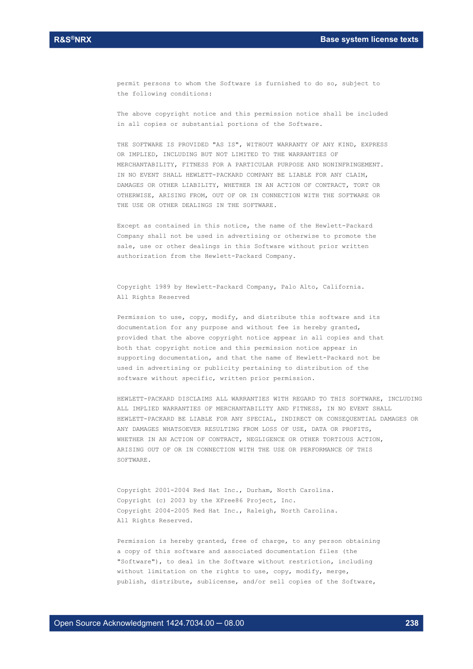permit persons to whom the Software is furnished to do so, subject to the following conditions:

The above copyright notice and this permission notice shall be included in all copies or substantial portions of the Software.

THE SOFTWARE IS PROVIDED "AS IS", WITHOUT WARRANTY OF ANY KIND, EXPRESS OR IMPLIED, INCLUDING BUT NOT LIMITED TO THE WARRANTIES OF MERCHANTABILITY, FITNESS FOR A PARTICULAR PURPOSE AND NONINFRINGEMENT. IN NO EVENT SHALL HEWLETT-PACKARD COMPANY BE LIABLE FOR ANY CLAIM, DAMAGES OR OTHER LIABILITY, WHETHER IN AN ACTION OF CONTRACT, TORT OR OTHERWISE, ARISING FROM, OUT OF OR IN CONNECTION WITH THE SOFTWARE OR THE USE OR OTHER DEALINGS IN THE SOFTWARE.

Except as contained in this notice, the name of the Hewlett-Packard Company shall not be used in advertising or otherwise to promote the sale, use or other dealings in this Software without prior written authorization from the Hewlett-Packard Company.

Copyright 1989 by Hewlett-Packard Company, Palo Alto, California. All Rights Reserved

Permission to use, copy, modify, and distribute this software and its documentation for any purpose and without fee is hereby granted, provided that the above copyright notice appear in all copies and that both that copyright notice and this permission notice appear in supporting documentation, and that the name of Hewlett-Packard not be used in advertising or publicity pertaining to distribution of the software without specific, written prior permission.

HEWLETT-PACKARD DISCLAIMS ALL WARRANTIES WITH REGARD TO THIS SOFTWARE, INCLUDING ALL IMPLIED WARRANTIES OF MERCHANTABILITY AND FITNESS, IN NO EVENT SHALL HEWLETT-PACKARD BE LIABLE FOR ANY SPECIAL, INDIRECT OR CONSEQUENTIAL DAMAGES OR ANY DAMAGES WHATSOEVER RESULTING FROM LOSS OF USE, DATA OR PROFITS, WHETHER IN AN ACTION OF CONTRACT, NEGLIGENCE OR OTHER TORTIOUS ACTION, ARISING OUT OF OR IN CONNECTION WITH THE USE OR PERFORMANCE OF THIS SOFTWARE.

Copyright 2001-2004 Red Hat Inc., Durham, North Carolina. Copyright (c) 2003 by the XFree86 Project, Inc. Copyright 2004-2005 Red Hat Inc., Raleigh, North Carolina. All Rights Reserved.

Permission is hereby granted, free of charge, to any person obtaining a copy of this software and associated documentation files (the "Software"), to deal in the Software without restriction, including without limitation on the rights to use, copy, modify, merge, publish, distribute, sublicense, and/or sell copies of the Software,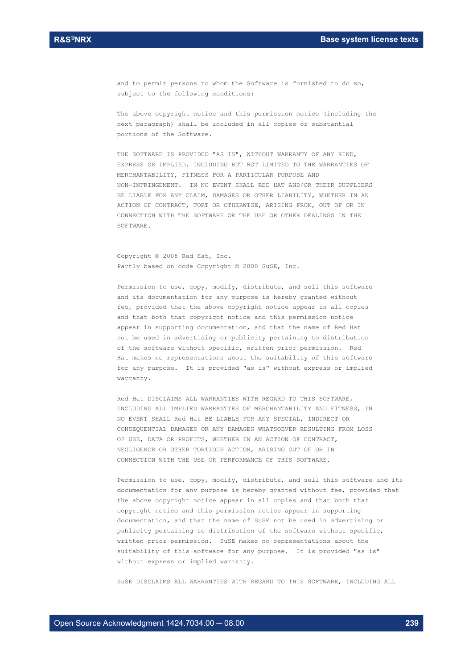and to permit persons to whom the Software is furnished to do so, subject to the following conditions:

The above copyright notice and this permission notice (including the next paragraph) shall be included in all copies or substantial portions of the Software.

THE SOFTWARE IS PROVIDED "AS IS", WITHOUT WARRANTY OF ANY KIND, EXPRESS OR IMPLIED, INCLUDING BUT NOT LIMITED TO THE WARRANTIES OF MERCHANTABILITY, FITNESS FOR A PARTICULAR PURPOSE AND NON-INFRINGEMENT. IN NO EVENT SHALL RED HAT AND/OR THEIR SUPPLIERS BE LIABLE FOR ANY CLAIM, DAMAGES OR OTHER LIABILITY, WHETHER IN AN ACTION OF CONTRACT, TORT OR OTHERWISE, ARISING FROM, OUT OF OR IN CONNECTION WITH THE SOFTWARE OR THE USE OR OTHER DEALINGS IN THE SOFTWARE.

Copyright © 2008 Red Hat, Inc. Partly based on code Copyright © 2000 SuSE, Inc.

Permission to use, copy, modify, distribute, and sell this software and its documentation for any purpose is hereby granted without fee, provided that the above copyright notice appear in all copies and that both that copyright notice and this permission notice appear in supporting documentation, and that the name of Red Hat not be used in advertising or publicity pertaining to distribution of the software without specific, written prior permission. Red Hat makes no representations about the suitability of this software for any purpose. It is provided "as is" without express or implied warranty.

Red Hat DISCLAIMS ALL WARRANTIES WITH REGARD TO THIS SOFTWARE, INCLUDING ALL IMPLIED WARRANTIES OF MERCHANTABILITY AND FITNESS, IN NO EVENT SHALL Red Hat BE LIABLE FOR ANY SPECIAL, INDIRECT OR CONSEQUENTIAL DAMAGES OR ANY DAMAGES WHATSOEVER RESULTING FROM LOSS OF USE, DATA OR PROFITS, WHETHER IN AN ACTION OF CONTRACT, NEGLIGENCE OR OTHER TORTIOUS ACTION, ARISING OUT OF OR IN CONNECTION WITH THE USE OR PERFORMANCE OF THIS SOFTWARE.

Permission to use, copy, modify, distribute, and sell this software and its documentation for any purpose is hereby granted without fee, provided that the above copyright notice appear in all copies and that both that copyright notice and this permission notice appear in supporting documentation, and that the name of SuSE not be used in advertising or publicity pertaining to distribution of the software without specific, written prior permission. SuSE makes no representations about the suitability of this software for any purpose. It is provided "as is" without express or implied warranty.

SuSE DISCLAIMS ALL WARRANTIES WITH REGARD TO THIS SOFTWARE, INCLUDING ALL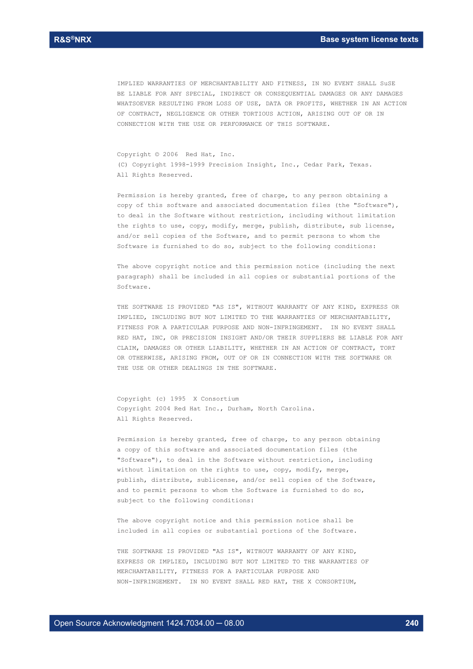IMPLIED WARRANTIES OF MERCHANTABILITY AND FITNESS, IN NO EVENT SHALL SuSE BE LIABLE FOR ANY SPECIAL, INDIRECT OR CONSEQUENTIAL DAMAGES OR ANY DAMAGES WHATSOEVER RESULTING FROM LOSS OF USE, DATA OR PROFITS, WHETHER IN AN ACTION OF CONTRACT, NEGLIGENCE OR OTHER TORTIOUS ACTION, ARISING OUT OF OR IN CONNECTION WITH THE USE OR PERFORMANCE OF THIS SOFTWARE.

Copyright © 2006 Red Hat, Inc. (C) Copyright 1998-1999 Precision Insight, Inc., Cedar Park, Texas. All Rights Reserved.

Permission is hereby granted, free of charge, to any person obtaining a copy of this software and associated documentation files (the "Software"), to deal in the Software without restriction, including without limitation the rights to use, copy, modify, merge, publish, distribute, sub license, and/or sell copies of the Software, and to permit persons to whom the Software is furnished to do so, subject to the following conditions:

The above copyright notice and this permission notice (including the next paragraph) shall be included in all copies or substantial portions of the Software.

THE SOFTWARE IS PROVIDED "AS IS", WITHOUT WARRANTY OF ANY KIND, EXPRESS OR IMPLIED, INCLUDING BUT NOT LIMITED TO THE WARRANTIES OF MERCHANTABILITY, FITNESS FOR A PARTICULAR PURPOSE AND NON-INFRINGEMENT. IN NO EVENT SHALL RED HAT, INC, OR PRECISION INSIGHT AND/OR THEIR SUPPLIERS BE LIABLE FOR ANY CLAIM, DAMAGES OR OTHER LIABILITY, WHETHER IN AN ACTION OF CONTRACT, TORT OR OTHERWISE, ARISING FROM, OUT OF OR IN CONNECTION WITH THE SOFTWARE OR THE USE OR OTHER DEALINGS IN THE SOFTWARE.

Copyright (c) 1995 X Consortium Copyright 2004 Red Hat Inc., Durham, North Carolina. All Rights Reserved.

Permission is hereby granted, free of charge, to any person obtaining a copy of this software and associated documentation files (the "Software"), to deal in the Software without restriction, including without limitation on the rights to use, copy, modify, merge, publish, distribute, sublicense, and/or sell copies of the Software, and to permit persons to whom the Software is furnished to do so, subject to the following conditions:

The above copyright notice and this permission notice shall be included in all copies or substantial portions of the Software.

THE SOFTWARE IS PROVIDED "AS IS", WITHOUT WARRANTY OF ANY KIND, EXPRESS OR IMPLIED, INCLUDING BUT NOT LIMITED TO THE WARRANTIES OF MERCHANTABILITY, FITNESS FOR A PARTICULAR PURPOSE AND NON-INFRINGEMENT. IN NO EVENT SHALL RED HAT, THE X CONSORTIUM,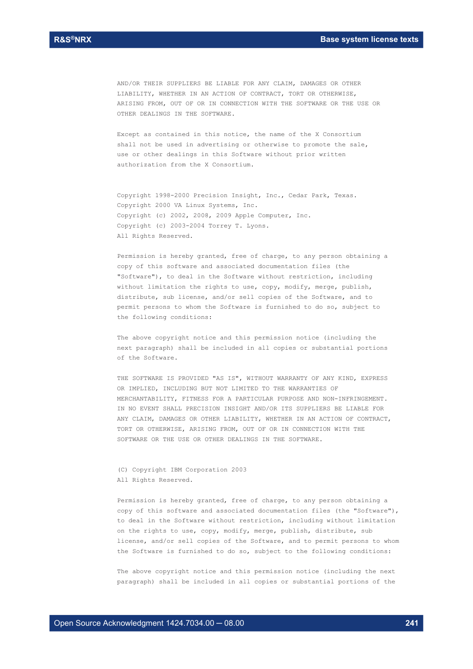AND/OR THEIR SUPPLIERS BE LIABLE FOR ANY CLAIM, DAMAGES OR OTHER LIABILITY, WHETHER IN AN ACTION OF CONTRACT, TORT OR OTHERWISE, ARISING FROM, OUT OF OR IN CONNECTION WITH THE SOFTWARE OR THE USE OR OTHER DEALINGS IN THE SOFTWARE.

Except as contained in this notice, the name of the X Consortium shall not be used in advertising or otherwise to promote the sale, use or other dealings in this Software without prior written authorization from the X Consortium.

Copyright 1998-2000 Precision Insight, Inc., Cedar Park, Texas. Copyright 2000 VA Linux Systems, Inc. Copyright (c) 2002, 2008, 2009 Apple Computer, Inc. Copyright (c) 2003-2004 Torrey T. Lyons. All Rights Reserved.

Permission is hereby granted, free of charge, to any person obtaining a copy of this software and associated documentation files (the "Software"), to deal in the Software without restriction, including without limitation the rights to use, copy, modify, merge, publish, distribute, sub license, and/or sell copies of the Software, and to permit persons to whom the Software is furnished to do so, subject to the following conditions:

The above copyright notice and this permission notice (including the next paragraph) shall be included in all copies or substantial portions of the Software.

THE SOFTWARE IS PROVIDED "AS IS", WITHOUT WARRANTY OF ANY KIND, EXPRESS OR IMPLIED, INCLUDING BUT NOT LIMITED TO THE WARRANTIES OF MERCHANTABILITY, FITNESS FOR A PARTICULAR PURPOSE AND NON-INFRINGEMENT. IN NO EVENT SHALL PRECISION INSIGHT AND/OR ITS SUPPLIERS BE LIABLE FOR ANY CLAIM, DAMAGES OR OTHER LIABILITY, WHETHER IN AN ACTION OF CONTRACT, TORT OR OTHERWISE, ARISING FROM, OUT OF OR IN CONNECTION WITH THE SOFTWARE OR THE USE OR OTHER DEALINGS IN THE SOFTWARE.

(C) Copyright IBM Corporation 2003 All Rights Reserved.

Permission is hereby granted, free of charge, to any person obtaining a copy of this software and associated documentation files (the "Software"), to deal in the Software without restriction, including without limitation on the rights to use, copy, modify, merge, publish, distribute, sub license, and/or sell copies of the Software, and to permit persons to whom the Software is furnished to do so, subject to the following conditions:

The above copyright notice and this permission notice (including the next paragraph) shall be included in all copies or substantial portions of the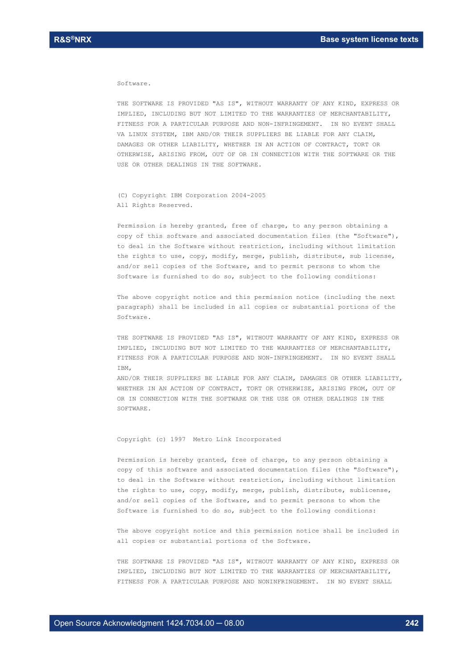### Software.

THE SOFTWARE IS PROVIDED "AS IS", WITHOUT WARRANTY OF ANY KIND, EXPRESS OR IMPLIED, INCLUDING BUT NOT LIMITED TO THE WARRANTIES OF MERCHANTABILITY, FITNESS FOR A PARTICULAR PURPOSE AND NON-INFRINGEMENT. IN NO EVENT SHALL VA LINUX SYSTEM, IBM AND/OR THEIR SUPPLIERS BE LIABLE FOR ANY CLAIM, DAMAGES OR OTHER LIABILITY, WHETHER IN AN ACTION OF CONTRACT, TORT OR OTHERWISE, ARISING FROM, OUT OF OR IN CONNECTION WITH THE SOFTWARE OR THE USE OR OTHER DEALINGS IN THE SOFTWARE.

(C) Copyright IBM Corporation 2004-2005 All Rights Reserved.

Permission is hereby granted, free of charge, to any person obtaining a copy of this software and associated documentation files (the "Software"), to deal in the Software without restriction, including without limitation the rights to use, copy, modify, merge, publish, distribute, sub license, and/or sell copies of the Software, and to permit persons to whom the Software is furnished to do so, subject to the following conditions:

The above copyright notice and this permission notice (including the next paragraph) shall be included in all copies or substantial portions of the Software.

THE SOFTWARE IS PROVIDED "AS IS", WITHOUT WARRANTY OF ANY KIND, EXPRESS OR IMPLIED, INCLUDING BUT NOT LIMITED TO THE WARRANTIES OF MERCHANTABILITY, FITNESS FOR A PARTICULAR PURPOSE AND NON-INFRINGEMENT. IN NO EVENT SHALL T<sub>BM</sub>.

AND/OR THEIR SUPPLIERS BE LIABLE FOR ANY CLAIM, DAMAGES OR OTHER LIABILITY, WHETHER IN AN ACTION OF CONTRACT, TORT OR OTHERWISE, ARISING FROM, OUT OF OR IN CONNECTION WITH THE SOFTWARE OR THE USE OR OTHER DEALINGS IN THE SOFTWARE.

## Copyright (c) 1997 Metro Link Incorporated

Permission is hereby granted, free of charge, to any person obtaining a copy of this software and associated documentation files (the "Software"), to deal in the Software without restriction, including without limitation the rights to use, copy, modify, merge, publish, distribute, sublicense, and/or sell copies of the Software, and to permit persons to whom the Software is furnished to do so, subject to the following conditions:

The above copyright notice and this permission notice shall be included in all copies or substantial portions of the Software.

THE SOFTWARE IS PROVIDED "AS IS", WITHOUT WARRANTY OF ANY KIND, EXPRESS OR IMPLIED, INCLUDING BUT NOT LIMITED TO THE WARRANTIES OF MERCHANTABILITY, FITNESS FOR A PARTICULAR PURPOSE AND NONINFRINGEMENT. IN NO EVENT SHALL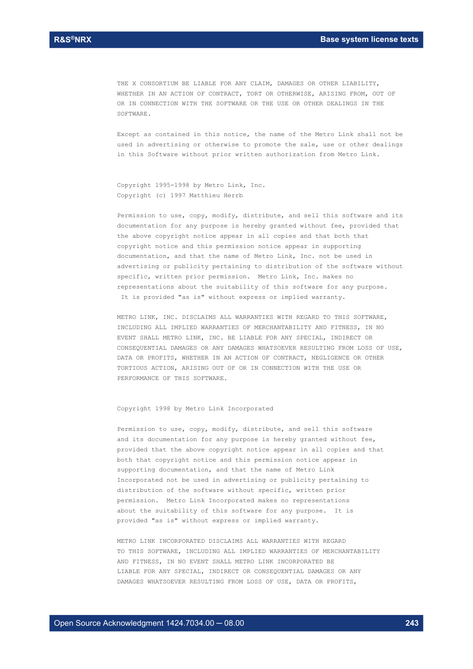THE X CONSORTIUM BE LIABLE FOR ANY CLAIM, DAMAGES OR OTHER LIABILITY, WHETHER IN AN ACTION OF CONTRACT, TORT OR OTHERWISE, ARISING FROM, OUT OF OR IN CONNECTION WITH THE SOFTWARE OR THE USE OR OTHER DEALINGS IN THE SOFTWARE.

Except as contained in this notice, the name of the Metro Link shall not be used in advertising or otherwise to promote the sale, use or other dealings in this Software without prior written authorization from Metro Link.

Copyright 1995-1998 by Metro Link, Inc. Copyright (c) 1997 Matthieu Herrb

Permission to use, copy, modify, distribute, and sell this software and its documentation for any purpose is hereby granted without fee, provided that the above copyright notice appear in all copies and that both that copyright notice and this permission notice appear in supporting documentation, and that the name of Metro Link, Inc. not be used in advertising or publicity pertaining to distribution of the software without specific, written prior permission. Metro Link, Inc. makes no representations about the suitability of this software for any purpose. It is provided "as is" without express or implied warranty.

METRO LINK, INC. DISCLAIMS ALL WARRANTIES WITH REGARD TO THIS SOFTWARE, INCLUDING ALL IMPLIED WARRANTIES OF MERCHANTABILITY AND FITNESS, IN NO EVENT SHALL METRO LINK, INC. BE LIABLE FOR ANY SPECIAL, INDIRECT OR CONSEQUENTIAL DAMAGES OR ANY DAMAGES WHATSOEVER RESULTING FROM LOSS OF USE, DATA OR PROFITS, WHETHER IN AN ACTION OF CONTRACT, NEGLIGENCE OR OTHER TORTIOUS ACTION, ARISING OUT OF OR IN CONNECTION WITH THE USE OR PERFORMANCE OF THIS SOFTWARE.

#### Copyright 1998 by Metro Link Incorporated

Permission to use, copy, modify, distribute, and sell this software and its documentation for any purpose is hereby granted without fee, provided that the above copyright notice appear in all copies and that both that copyright notice and this permission notice appear in supporting documentation, and that the name of Metro Link Incorporated not be used in advertising or publicity pertaining to distribution of the software without specific, written prior permission. Metro Link Incorporated makes no representations about the suitability of this software for any purpose. It is provided "as is" without express or implied warranty.

METRO LINK INCORPORATED DISCLAIMS ALL WARRANTIES WITH REGARD TO THIS SOFTWARE, INCLUDING ALL IMPLIED WARRANTIES OF MERCHANTABILITY AND FITNESS, IN NO EVENT SHALL METRO LINK INCORPORATED BE LIABLE FOR ANY SPECIAL, INDIRECT OR CONSEQUENTIAL DAMAGES OR ANY DAMAGES WHATSOEVER RESULTING FROM LOSS OF USE, DATA OR PROFITS,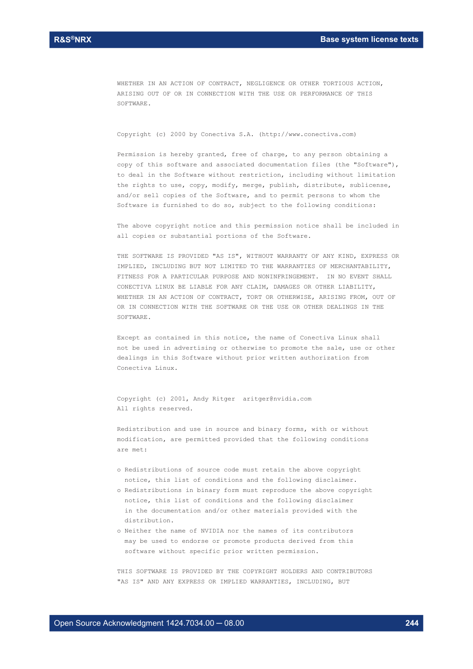WHETHER IN AN ACTION OF CONTRACT, NEGLIGENCE OR OTHER TORTIOUS ACTION, ARISING OUT OF OR IN CONNECTION WITH THE USE OR PERFORMANCE OF THIS SOFTWARE.

#### Copyright (c) 2000 by Conectiva S.A. (http://www.conectiva.com)

Permission is hereby granted, free of charge, to any person obtaining a copy of this software and associated documentation files (the "Software"), to deal in the Software without restriction, including without limitation the rights to use, copy, modify, merge, publish, distribute, sublicense, and/or sell copies of the Software, and to permit persons to whom the Software is furnished to do so, subject to the following conditions:

The above copyright notice and this permission notice shall be included in all copies or substantial portions of the Software.

THE SOFTWARE IS PROVIDED "AS IS", WITHOUT WARRANTY OF ANY KIND, EXPRESS OR IMPLIED, INCLUDING BUT NOT LIMITED TO THE WARRANTIES OF MERCHANTABILITY, FITNESS FOR A PARTICULAR PURPOSE AND NONINFRINGEMENT. IN NO EVENT SHALL CONECTIVA LINUX BE LIABLE FOR ANY CLAIM, DAMAGES OR OTHER LIABILITY, WHETHER IN AN ACTION OF CONTRACT, TORT OR OTHERWISE, ARISING FROM, OUT OF OR IN CONNECTION WITH THE SOFTWARE OR THE USE OR OTHER DEALINGS IN THE SOFTWARE.

Except as contained in this notice, the name of Conectiva Linux shall not be used in advertising or otherwise to promote the sale, use or other dealings in this Software without prior written authorization from Conectiva Linux.

Copyright (c) 2001, Andy Ritger aritger@nvidia.com All rights reserved.

Redistribution and use in source and binary forms, with or without modification, are permitted provided that the following conditions are met:

- o Redistributions of source code must retain the above copyright notice, this list of conditions and the following disclaimer.
- o Redistributions in binary form must reproduce the above copyright notice, this list of conditions and the following disclaimer in the documentation and/or other materials provided with the distribution.
- o Neither the name of NVIDIA nor the names of its contributors may be used to endorse or promote products derived from this software without specific prior written permission.

THIS SOFTWARE IS PROVIDED BY THE COPYRIGHT HOLDERS AND CONTRIBUTORS "AS IS" AND ANY EXPRESS OR IMPLIED WARRANTIES, INCLUDING, BUT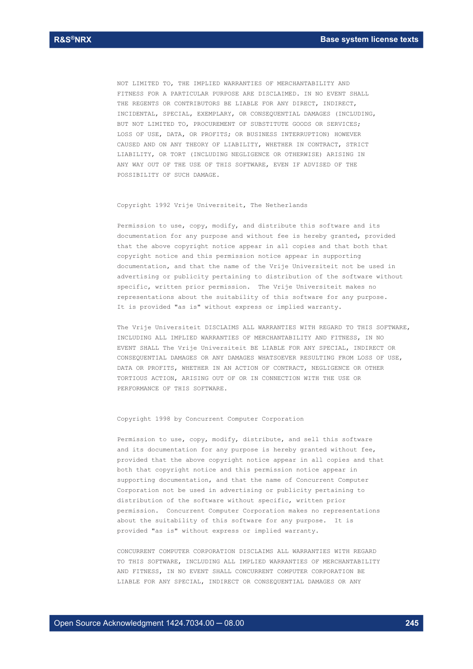NOT LIMITED TO, THE IMPLIED WARRANTIES OF MERCHANTABILITY AND FITNESS FOR A PARTICULAR PURPOSE ARE DISCLAIMED. IN NO EVENT SHALL THE REGENTS OR CONTRIBUTORS BE LIABLE FOR ANY DIRECT, INDIRECT, INCIDENTAL, SPECIAL, EXEMPLARY, OR CONSEQUENTIAL DAMAGES (INCLUDING, BUT NOT LIMITED TO, PROCUREMENT OF SUBSTITUTE GOODS OR SERVICES; LOSS OF USE, DATA, OR PROFITS; OR BUSINESS INTERRUPTION) HOWEVER CAUSED AND ON ANY THEORY OF LIABILITY, WHETHER IN CONTRACT, STRICT LIABILITY, OR TORT (INCLUDING NEGLIGENCE OR OTHERWISE) ARISING IN ANY WAY OUT OF THE USE OF THIS SOFTWARE, EVEN IF ADVISED OF THE POSSIBILITY OF SUCH DAMAGE.

## Copyright 1992 Vrije Universiteit, The Netherlands

Permission to use, copy, modify, and distribute this software and its documentation for any purpose and without fee is hereby granted, provided that the above copyright notice appear in all copies and that both that copyright notice and this permission notice appear in supporting documentation, and that the name of the Vrije Universiteit not be used in advertising or publicity pertaining to distribution of the software without specific, written prior permission. The Vrije Universiteit makes no representations about the suitability of this software for any purpose. It is provided "as is" without express or implied warranty.

The Vrije Universiteit DISCLAIMS ALL WARRANTIES WITH REGARD TO THIS SOFTWARE, INCLUDING ALL IMPLIED WARRANTIES OF MERCHANTABILITY AND FITNESS, IN NO EVENT SHALL The Vrije Universiteit BE LIABLE FOR ANY SPECIAL, INDIRECT OR CONSEQUENTIAL DAMAGES OR ANY DAMAGES WHATSOEVER RESULTING FROM LOSS OF USE, DATA OR PROFITS, WHETHER IN AN ACTION OF CONTRACT, NEGLIGENCE OR OTHER TORTIOUS ACTION, ARISING OUT OF OR IN CONNECTION WITH THE USE OR PERFORMANCE OF THIS SOFTWARE.

Copyright 1998 by Concurrent Computer Corporation

Permission to use, copy, modify, distribute, and sell this software and its documentation for any purpose is hereby granted without fee, provided that the above copyright notice appear in all copies and that both that copyright notice and this permission notice appear in supporting documentation, and that the name of Concurrent Computer Corporation not be used in advertising or publicity pertaining to distribution of the software without specific, written prior permission. Concurrent Computer Corporation makes no representations about the suitability of this software for any purpose. It is provided "as is" without express or implied warranty.

CONCURRENT COMPUTER CORPORATION DISCLAIMS ALL WARRANTIES WITH REGARD TO THIS SOFTWARE, INCLUDING ALL IMPLIED WARRANTIES OF MERCHANTABILITY AND FITNESS, IN NO EVENT SHALL CONCURRENT COMPUTER CORPORATION BE LIABLE FOR ANY SPECIAL, INDIRECT OR CONSEQUENTIAL DAMAGES OR ANY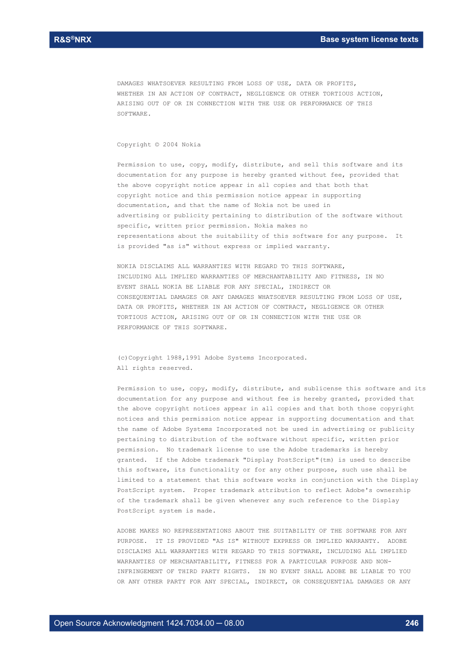DAMAGES WHATSOEVER RESULTING FROM LOSS OF USE, DATA OR PROFITS, WHETHER IN AN ACTION OF CONTRACT, NEGLIGENCE OR OTHER TORTIOUS ACTION, ARISING OUT OF OR IN CONNECTION WITH THE USE OR PERFORMANCE OF THIS SOFTWARE.

Copyright © 2004 Nokia

Permission to use, copy, modify, distribute, and sell this software and its documentation for any purpose is hereby granted without fee, provided that the above copyright notice appear in all copies and that both that copyright notice and this permission notice appear in supporting documentation, and that the name of Nokia not be used in advertising or publicity pertaining to distribution of the software without specific, written prior permission. Nokia makes no representations about the suitability of this software for any purpose. It is provided "as is" without express or implied warranty.

NOKIA DISCLAIMS ALL WARRANTIES WITH REGARD TO THIS SOFTWARE, INCLUDING ALL IMPLIED WARRANTIES OF MERCHANTABILITY AND FITNESS, IN NO EVENT SHALL NOKIA BE LIABLE FOR ANY SPECIAL, INDIRECT OR CONSEQUENTIAL DAMAGES OR ANY DAMAGES WHATSOEVER RESULTING FROM LOSS OF USE, DATA OR PROFITS, WHETHER IN AN ACTION OF CONTRACT, NEGLIGENCE OR OTHER TORTIOUS ACTION, ARISING OUT OF OR IN CONNECTION WITH THE USE OR PERFORMANCE OF THIS SOFTWARE.

(c)Copyright 1988,1991 Adobe Systems Incorporated. All rights reserved.

Permission to use, copy, modify, distribute, and sublicense this software and its documentation for any purpose and without fee is hereby granted, provided that the above copyright notices appear in all copies and that both those copyright notices and this permission notice appear in supporting documentation and that the name of Adobe Systems Incorporated not be used in advertising or publicity pertaining to distribution of the software without specific, written prior permission. No trademark license to use the Adobe trademarks is hereby granted. If the Adobe trademark "Display PostScript"(tm) is used to describe this software, its functionality or for any other purpose, such use shall be limited to a statement that this software works in conjunction with the Display PostScript system. Proper trademark attribution to reflect Adobe's ownership of the trademark shall be given whenever any such reference to the Display PostScript system is made.

ADOBE MAKES NO REPRESENTATIONS ABOUT THE SUITABILITY OF THE SOFTWARE FOR ANY PURPOSE. IT IS PROVIDED "AS IS" WITHOUT EXPRESS OR IMPLIED WARRANTY. ADOBE DISCLAIMS ALL WARRANTIES WITH REGARD TO THIS SOFTWARE, INCLUDING ALL IMPLIED WARRANTIES OF MERCHANTABILITY, FITNESS FOR A PARTICULAR PURPOSE AND NON-INFRINGEMENT OF THIRD PARTY RIGHTS. IN NO EVENT SHALL ADOBE BE LIABLE TO YOU OR ANY OTHER PARTY FOR ANY SPECIAL, INDIRECT, OR CONSEQUENTIAL DAMAGES OR ANY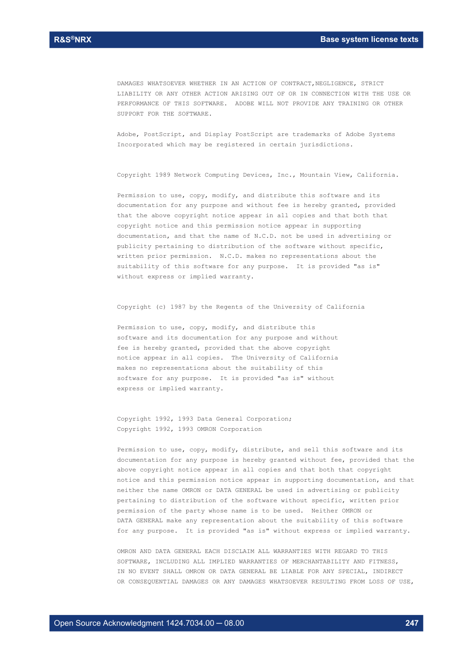DAMAGES WHATSOEVER WHETHER IN AN ACTION OF CONTRACT,NEGLIGENCE, STRICT LIABILITY OR ANY OTHER ACTION ARISING OUT OF OR IN CONNECTION WITH THE USE OR PERFORMANCE OF THIS SOFTWARE. ADOBE WILL NOT PROVIDE ANY TRAINING OR OTHER SUPPORT FOR THE SOFTWARE.

Adobe, PostScript, and Display PostScript are trademarks of Adobe Systems Incorporated which may be registered in certain jurisdictions.

Copyright 1989 Network Computing Devices, Inc., Mountain View, California.

Permission to use, copy, modify, and distribute this software and its documentation for any purpose and without fee is hereby granted, provided that the above copyright notice appear in all copies and that both that copyright notice and this permission notice appear in supporting documentation, and that the name of N.C.D. not be used in advertising or publicity pertaining to distribution of the software without specific, written prior permission. N.C.D. makes no representations about the suitability of this software for any purpose. It is provided "as is" without express or implied warranty.

Copyright (c) 1987 by the Regents of the University of California

Permission to use, copy, modify, and distribute this software and its documentation for any purpose and without fee is hereby granted, provided that the above copyright notice appear in all copies. The University of California makes no representations about the suitability of this software for any purpose. It is provided "as is" without express or implied warranty.

Copyright 1992, 1993 Data General Corporation; Copyright 1992, 1993 OMRON Corporation

Permission to use, copy, modify, distribute, and sell this software and its documentation for any purpose is hereby granted without fee, provided that the above copyright notice appear in all copies and that both that copyright notice and this permission notice appear in supporting documentation, and that neither the name OMRON or DATA GENERAL be used in advertising or publicity pertaining to distribution of the software without specific, written prior permission of the party whose name is to be used. Neither OMRON or DATA GENERAL make any representation about the suitability of this software for any purpose. It is provided "as is" without express or implied warranty.

OMRON AND DATA GENERAL EACH DISCLAIM ALL WARRANTIES WITH REGARD TO THIS SOFTWARE, INCLUDING ALL IMPLIED WARRANTIES OF MERCHANTABILITY AND FITNESS, IN NO EVENT SHALL OMRON OR DATA GENERAL BE LIABLE FOR ANY SPECIAL, INDIRECT OR CONSEQUENTIAL DAMAGES OR ANY DAMAGES WHATSOEVER RESULTING FROM LOSS OF USE,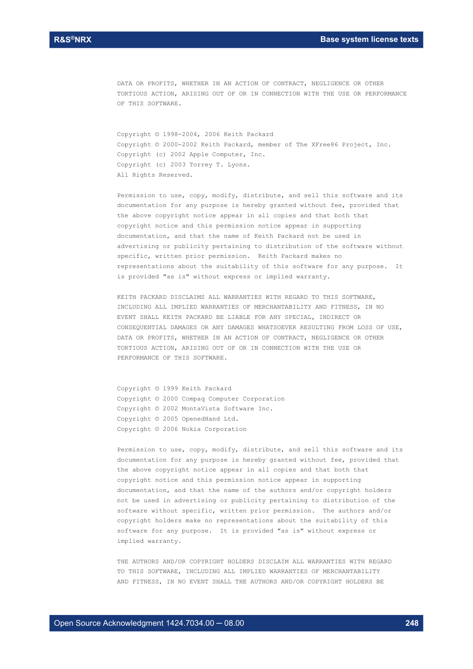DATA OR PROFITS, WHETHER IN AN ACTION OF CONTRACT, NEGLIGENCE OR OTHER TORTIOUS ACTION, ARISING OUT OF OR IN CONNECTION WITH THE USE OR PERFORMANCE OF THIS SOFTWARE.

Copyright © 1998-2004, 2006 Keith Packard Copyright © 2000-2002 Keith Packard, member of The XFree86 Project, Inc. Copyright (c) 2002 Apple Computer, Inc. Copyright (c) 2003 Torrey T. Lyons. All Rights Reserved.

Permission to use, copy, modify, distribute, and sell this software and its documentation for any purpose is hereby granted without fee, provided that the above copyright notice appear in all copies and that both that copyright notice and this permission notice appear in supporting documentation, and that the name of Keith Packard not be used in advertising or publicity pertaining to distribution of the software without specific, written prior permission. Keith Packard makes no representations about the suitability of this software for any purpose. It is provided "as is" without express or implied warranty.

KEITH PACKARD DISCLAIMS ALL WARRANTIES WITH REGARD TO THIS SOFTWARE, INCLUDING ALL IMPLIED WARRANTIES OF MERCHANTABILITY AND FITNESS, IN NO EVENT SHALL KEITH PACKARD BE LIABLE FOR ANY SPECIAL, INDIRECT OR CONSEQUENTIAL DAMAGES OR ANY DAMAGES WHATSOEVER RESULTING FROM LOSS OF USE, DATA OR PROFITS, WHETHER IN AN ACTION OF CONTRACT, NEGLIGENCE OR OTHER TORTIOUS ACTION, ARISING OUT OF OR IN CONNECTION WITH THE USE OR PERFORMANCE OF THIS SOFTWARE.

Copyright © 1999 Keith Packard Copyright © 2000 Compaq Computer Corporation Copyright © 2002 MontaVista Software Inc. Copyright © 2005 OpenedHand Ltd. Copyright © 2006 Nokia Corporation

Permission to use, copy, modify, distribute, and sell this software and its documentation for any purpose is hereby granted without fee, provided that the above copyright notice appear in all copies and that both that copyright notice and this permission notice appear in supporting documentation, and that the name of the authors and/or copyright holders not be used in advertising or publicity pertaining to distribution of the software without specific, written prior permission. The authors and/or copyright holders make no representations about the suitability of this software for any purpose. It is provided "as is" without express or implied warranty.

THE AUTHORS AND/OR COPYRIGHT HOLDERS DISCLAIM ALL WARRANTIES WITH REGARD TO THIS SOFTWARE, INCLUDING ALL IMPLIED WARRANTIES OF MERCHANTABILITY AND FITNESS, IN NO EVENT SHALL THE AUTHORS AND/OR COPYRIGHT HOLDERS BE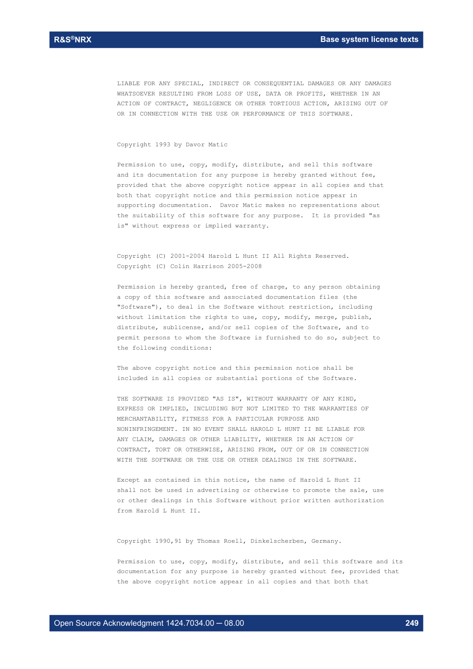LIABLE FOR ANY SPECIAL, INDIRECT OR CONSEQUENTIAL DAMAGES OR ANY DAMAGES WHATSOEVER RESULTING FROM LOSS OF USE, DATA OR PROFITS, WHETHER IN AN ACTION OF CONTRACT, NEGLIGENCE OR OTHER TORTIOUS ACTION, ARISING OUT OF OR IN CONNECTION WITH THE USE OR PERFORMANCE OF THIS SOFTWARE.

Copyright 1993 by Davor Matic

Permission to use, copy, modify, distribute, and sell this software and its documentation for any purpose is hereby granted without fee, provided that the above copyright notice appear in all copies and that both that copyright notice and this permission notice appear in supporting documentation. Davor Matic makes no representations about the suitability of this software for any purpose. It is provided "as is" without express or implied warranty.

Copyright (C) 2001-2004 Harold L Hunt II All Rights Reserved. Copyright (C) Colin Harrison 2005-2008

Permission is hereby granted, free of charge, to any person obtaining a copy of this software and associated documentation files (the "Software"), to deal in the Software without restriction, including without limitation the rights to use, copy, modify, merge, publish, distribute, sublicense, and/or sell copies of the Software, and to permit persons to whom the Software is furnished to do so, subject to the following conditions:

The above copyright notice and this permission notice shall be included in all copies or substantial portions of the Software.

THE SOFTWARE IS PROVIDED "AS IS", WITHOUT WARRANTY OF ANY KIND, EXPRESS OR IMPLIED, INCLUDING BUT NOT LIMITED TO THE WARRANTIES OF MERCHANTABILITY, FITNESS FOR A PARTICULAR PURPOSE AND NONINFRINGEMENT. IN NO EVENT SHALL HAROLD L HUNT II BE LIABLE FOR ANY CLAIM, DAMAGES OR OTHER LIABILITY, WHETHER IN AN ACTION OF CONTRACT, TORT OR OTHERWISE, ARISING FROM, OUT OF OR IN CONNECTION WITH THE SOFTWARE OR THE USE OR OTHER DEALINGS IN THE SOFTWARE.

Except as contained in this notice, the name of Harold L Hunt II shall not be used in advertising or otherwise to promote the sale, use or other dealings in this Software without prior written authorization from Harold L Hunt II.

Copyright 1990,91 by Thomas Roell, Dinkelscherben, Germany.

Permission to use, copy, modify, distribute, and sell this software and its documentation for any purpose is hereby granted without fee, provided that the above copyright notice appear in all copies and that both that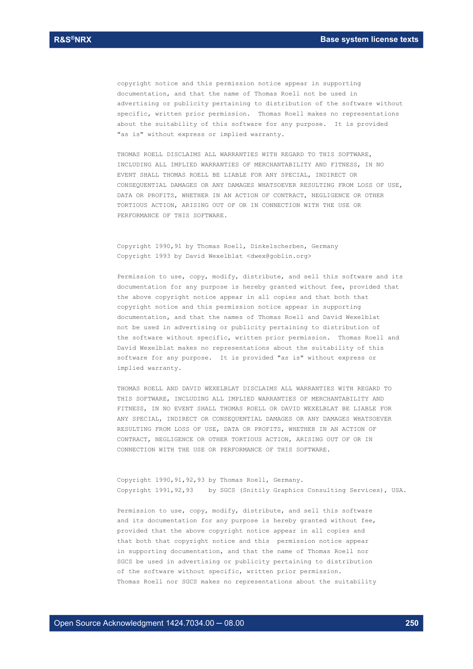copyright notice and this permission notice appear in supporting documentation, and that the name of Thomas Roell not be used in advertising or publicity pertaining to distribution of the software without specific, written prior permission. Thomas Roell makes no representations about the suitability of this software for any purpose. It is provided "as is" without express or implied warranty.

THOMAS ROELL DISCLAIMS ALL WARRANTIES WITH REGARD TO THIS SOFTWARE, INCLUDING ALL IMPLIED WARRANTIES OF MERCHANTABILITY AND FITNESS, IN NO EVENT SHALL THOMAS ROELL BE LIABLE FOR ANY SPECIAL, INDIRECT OR CONSEQUENTIAL DAMAGES OR ANY DAMAGES WHATSOEVER RESULTING FROM LOSS OF USE, DATA OR PROFITS, WHETHER IN AN ACTION OF CONTRACT, NEGLIGENCE OR OTHER TORTIOUS ACTION, ARISING OUT OF OR IN CONNECTION WITH THE USE OR PERFORMANCE OF THIS SOFTWARE.

Copyright 1990,91 by Thomas Roell, Dinkelscherben, Germany Copyright 1993 by David Wexelblat <dwex@goblin.org>

Permission to use, copy, modify, distribute, and sell this software and its documentation for any purpose is hereby granted without fee, provided that the above copyright notice appear in all copies and that both that copyright notice and this permission notice appear in supporting documentation, and that the names of Thomas Roell and David Wexelblat not be used in advertising or publicity pertaining to distribution of the software without specific, written prior permission. Thomas Roell and David Wexelblat makes no representations about the suitability of this software for any purpose. It is provided "as is" without express or implied warranty.

THOMAS ROELL AND DAVID WEXELBLAT DISCLAIMS ALL WARRANTIES WITH REGARD TO THIS SOFTWARE, INCLUDING ALL IMPLIED WARRANTIES OF MERCHANTABILITY AND FITNESS, IN NO EVENT SHALL THOMAS ROELL OR DAVID WEXELBLAT BE LIABLE FOR ANY SPECIAL, INDIRECT OR CONSEQUENTIAL DAMAGES OR ANY DAMAGES WHATSOEVER RESULTING FROM LOSS OF USE, DATA OR PROFITS, WHETHER IN AN ACTION OF CONTRACT, NEGLIGENCE OR OTHER TORTIOUS ACTION, ARISING OUT OF OR IN CONNECTION WITH THE USE OR PERFORMANCE OF THIS SOFTWARE.

Copyright 1990,91,92,93 by Thomas Roell, Germany. Copyright 1991,92,93 by SGCS (Snitily Graphics Consulting Services), USA.

Permission to use, copy, modify, distribute, and sell this software and its documentation for any purpose is hereby granted without fee, provided that the above copyright notice appear in all copies and that both that copyright notice and this permission notice appear in supporting documentation, and that the name of Thomas Roell nor SGCS be used in advertising or publicity pertaining to distribution of the software without specific, written prior permission. Thomas Roell nor SGCS makes no representations about the suitability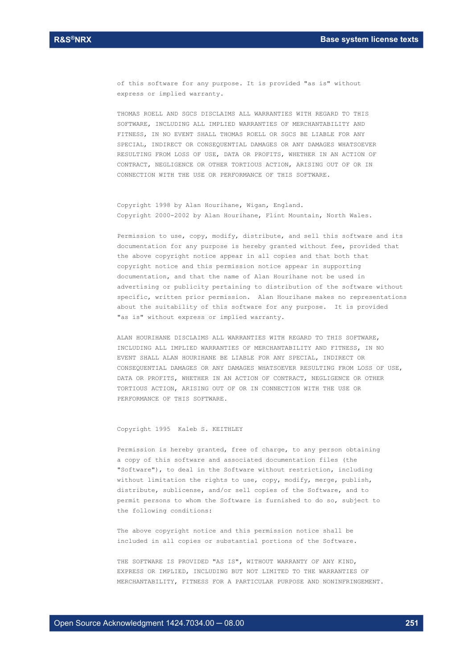of this software for any purpose. It is provided "as is" without express or implied warranty.

THOMAS ROELL AND SGCS DISCLAIMS ALL WARRANTIES WITH REGARD TO THIS SOFTWARE, INCLUDING ALL IMPLIED WARRANTIES OF MERCHANTABILITY AND FITNESS, IN NO EVENT SHALL THOMAS ROELL OR SGCS BE LIABLE FOR ANY SPECIAL, INDIRECT OR CONSEQUENTIAL DAMAGES OR ANY DAMAGES WHATSOEVER RESULTING FROM LOSS OF USE, DATA OR PROFITS, WHETHER IN AN ACTION OF CONTRACT, NEGLIGENCE OR OTHER TORTIOUS ACTION, ARISING OUT OF OR IN CONNECTION WITH THE USE OR PERFORMANCE OF THIS SOFTWARE.

Copyright 1998 by Alan Hourihane, Wigan, England. Copyright 2000-2002 by Alan Hourihane, Flint Mountain, North Wales.

Permission to use, copy, modify, distribute, and sell this software and its documentation for any purpose is hereby granted without fee, provided that the above copyright notice appear in all copies and that both that copyright notice and this permission notice appear in supporting documentation, and that the name of Alan Hourihane not be used in advertising or publicity pertaining to distribution of the software without specific, written prior permission. Alan Hourihane makes no representations about the suitability of this software for any purpose. It is provided "as is" without express or implied warranty.

ALAN HOURIHANE DISCLAIMS ALL WARRANTIES WITH REGARD TO THIS SOFTWARE, INCLUDING ALL IMPLIED WARRANTIES OF MERCHANTABILITY AND FITNESS, IN NO EVENT SHALL ALAN HOURIHANE BE LIABLE FOR ANY SPECIAL, INDIRECT OR CONSEQUENTIAL DAMAGES OR ANY DAMAGES WHATSOEVER RESULTING FROM LOSS OF USE, DATA OR PROFITS, WHETHER IN AN ACTION OF CONTRACT, NEGLIGENCE OR OTHER TORTIOUS ACTION, ARISING OUT OF OR IN CONNECTION WITH THE USE OR PERFORMANCE OF THIS SOFTWARE.

### Copyright 1995 Kaleb S. KEITHLEY

Permission is hereby granted, free of charge, to any person obtaining a copy of this software and associated documentation files (the "Software"), to deal in the Software without restriction, including without limitation the rights to use, copy, modify, merge, publish, distribute, sublicense, and/or sell copies of the Software, and to permit persons to whom the Software is furnished to do so, subject to the following conditions:

The above copyright notice and this permission notice shall be included in all copies or substantial portions of the Software.

THE SOFTWARE IS PROVIDED "AS IS", WITHOUT WARRANTY OF ANY KIND, EXPRESS OR IMPLIED, INCLUDING BUT NOT LIMITED TO THE WARRANTIES OF MERCHANTABILITY, FITNESS FOR A PARTICULAR PURPOSE AND NONINFRINGEMENT.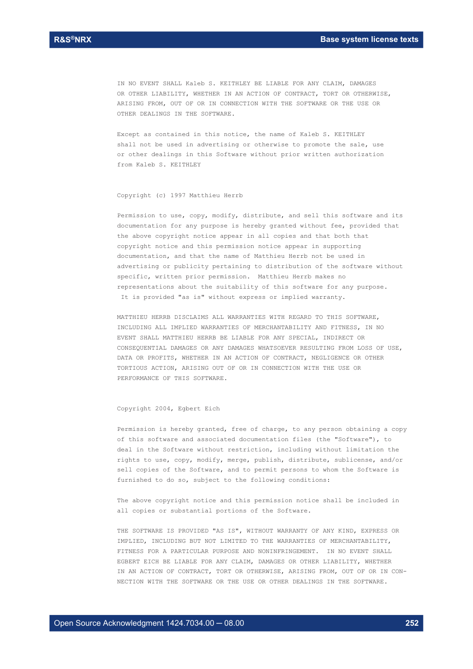IN NO EVENT SHALL Kaleb S. KEITHLEY BE LIABLE FOR ANY CLAIM, DAMAGES OR OTHER LIABILITY, WHETHER IN AN ACTION OF CONTRACT, TORT OR OTHERWISE, ARISING FROM, OUT OF OR IN CONNECTION WITH THE SOFTWARE OR THE USE OR OTHER DEALINGS IN THE SOFTWARE.

Except as contained in this notice, the name of Kaleb S. KEITHLEY shall not be used in advertising or otherwise to promote the sale, use or other dealings in this Software without prior written authorization from Kaleb S. KEITHLEY

## Copyright (c) 1997 Matthieu Herrb

Permission to use, copy, modify, distribute, and sell this software and its documentation for any purpose is hereby granted without fee, provided that the above copyright notice appear in all copies and that both that copyright notice and this permission notice appear in supporting documentation, and that the name of Matthieu Herrb not be used in advertising or publicity pertaining to distribution of the software without specific, written prior permission. Matthieu Herrb makes no representations about the suitability of this software for any purpose. It is provided "as is" without express or implied warranty.

MATTHIEU HERRB DISCLAIMS ALL WARRANTIES WITH REGARD TO THIS SOFTWARE, INCLUDING ALL IMPLIED WARRANTIES OF MERCHANTABILITY AND FITNESS, IN NO EVENT SHALL MATTHIEU HERRB BE LIABLE FOR ANY SPECIAL, INDIRECT OR CONSEQUENTIAL DAMAGES OR ANY DAMAGES WHATSOEVER RESULTING FROM LOSS OF USE, DATA OR PROFITS, WHETHER IN AN ACTION OF CONTRACT, NEGLIGENCE OR OTHER TORTIOUS ACTION, ARISING OUT OF OR IN CONNECTION WITH THE USE OR PERFORMANCE OF THIS SOFTWARE.

### Copyright 2004, Egbert Eich

Permission is hereby granted, free of charge, to any person obtaining a copy of this software and associated documentation files (the "Software"), to deal in the Software without restriction, including without limitation the rights to use, copy, modify, merge, publish, distribute, sublicense, and/or sell copies of the Software, and to permit persons to whom the Software is furnished to do so, subject to the following conditions:

The above copyright notice and this permission notice shall be included in all copies or substantial portions of the Software.

THE SOFTWARE IS PROVIDED "AS IS", WITHOUT WARRANTY OF ANY KIND, EXPRESS OR IMPLIED, INCLUDING BUT NOT LIMITED TO THE WARRANTIES OF MERCHANTABILITY, FITNESS FOR A PARTICULAR PURPOSE AND NONINFRINGEMENT. IN NO EVENT SHALL EGBERT EICH BE LIABLE FOR ANY CLAIM, DAMAGES OR OTHER LIABILITY, WHETHER IN AN ACTION OF CONTRACT, TORT OR OTHERWISE, ARISING FROM, OUT OF OR IN CON-NECTION WITH THE SOFTWARE OR THE USE OR OTHER DEALINGS IN THE SOFTWARE.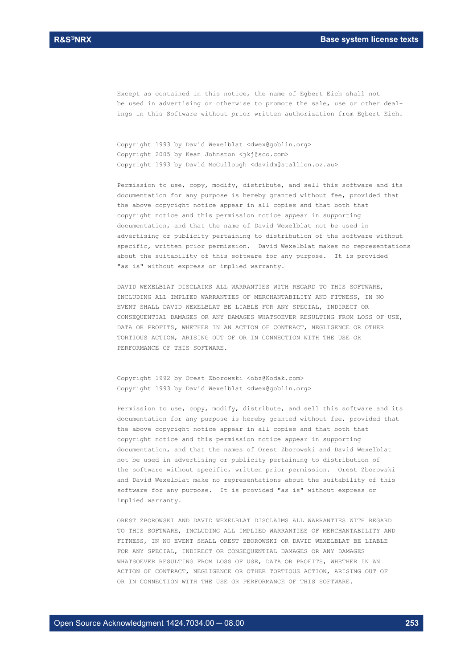Except as contained in this notice, the name of Egbert Eich shall not be used in advertising or otherwise to promote the sale, use or other dealings in this Software without prior written authorization from Egbert Eich.

Copyright 1993 by David Wexelblat <dwex@goblin.org> Copyright 2005 by Kean Johnston <jkj@sco.com> Copyright 1993 by David McCullough <davidm@stallion.oz.au>

Permission to use, copy, modify, distribute, and sell this software and its documentation for any purpose is hereby granted without fee, provided that the above copyright notice appear in all copies and that both that copyright notice and this permission notice appear in supporting documentation, and that the name of David Wexelblat not be used in advertising or publicity pertaining to distribution of the software without specific, written prior permission. David Wexelblat makes no representations about the suitability of this software for any purpose. It is provided "as is" without express or implied warranty.

DAVID WEXELBLAT DISCLAIMS ALL WARRANTIES WITH REGARD TO THIS SOFTWARE, INCLUDING ALL IMPLIED WARRANTIES OF MERCHANTABILITY AND FITNESS, IN NO EVENT SHALL DAVID WEXELBLAT BE LIABLE FOR ANY SPECIAL, INDIRECT OR CONSEQUENTIAL DAMAGES OR ANY DAMAGES WHATSOEVER RESULTING FROM LOSS OF USE, DATA OR PROFITS, WHETHER IN AN ACTION OF CONTRACT, NEGLIGENCE OR OTHER TORTIOUS ACTION, ARISING OUT OF OR IN CONNECTION WITH THE USE OR PERFORMANCE OF THIS SOFTWARE.

Copyright 1992 by Orest Zborowski <obz@Kodak.com> Copyright 1993 by David Wexelblat <dwex@goblin.org>

Permission to use, copy, modify, distribute, and sell this software and its documentation for any purpose is hereby granted without fee, provided that the above copyright notice appear in all copies and that both that copyright notice and this permission notice appear in supporting documentation, and that the names of Orest Zborowski and David Wexelblat not be used in advertising or publicity pertaining to distribution of the software without specific, written prior permission. Orest Zborowski and David Wexelblat make no representations about the suitability of this software for any purpose. It is provided "as is" without express or implied warranty.

OREST ZBOROWSKI AND DAVID WEXELBLAT DISCLAIMS ALL WARRANTIES WITH REGARD TO THIS SOFTWARE, INCLUDING ALL IMPLIED WARRANTIES OF MERCHANTABILITY AND FITNESS, IN NO EVENT SHALL OREST ZBOROWSKI OR DAVID WEXELBLAT BE LIABLE FOR ANY SPECIAL, INDIRECT OR CONSEQUENTIAL DAMAGES OR ANY DAMAGES WHATSOEVER RESULTING FROM LOSS OF USE, DATA OR PROFITS, WHETHER IN AN ACTION OF CONTRACT, NEGLIGENCE OR OTHER TORTIOUS ACTION, ARISING OUT OF OR IN CONNECTION WITH THE USE OR PERFORMANCE OF THIS SOFTWARE.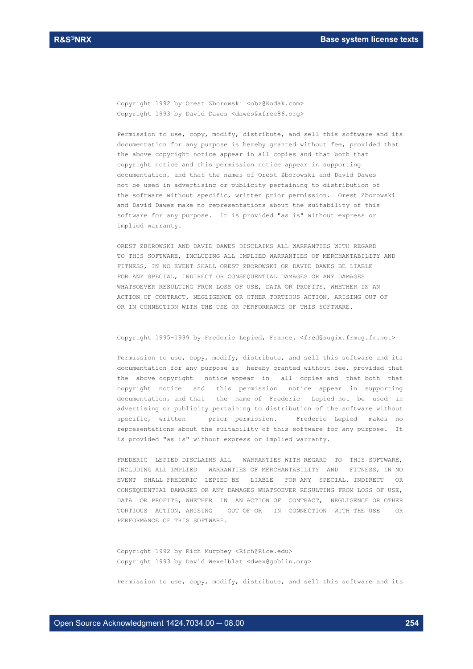Copyright 1992 by Orest Zborowski <obz@Kodak.com> Copyright 1993 by David Dawes <dawes@xfree86.org>

Permission to use, copy, modify, distribute, and sell this software and its documentation for any purpose is hereby granted without fee, provided that the above copyright notice appear in all copies and that both that copyright notice and this permission notice appear in supporting documentation, and that the names of Orest Zborowski and David Dawes not be used in advertising or publicity pertaining to distribution of the software without specific, written prior permission. Orest Zborowski and David Dawes make no representations about the suitability of this software for any purpose. It is provided "as is" without express or implied warranty.

OREST ZBOROWSKI AND DAVID DAWES DISCLAIMS ALL WARRANTIES WITH REGARD TO THIS SOFTWARE, INCLUDING ALL IMPLIED WARRANTIES OF MERCHANTABILITY AND FITNESS, IN NO EVENT SHALL OREST ZBOROWSKI OR DAVID DAWES BE LIABLE FOR ANY SPECIAL, INDIRECT OR CONSEQUENTIAL DAMAGES OR ANY DAMAGES WHATSOEVER RESULTING FROM LOSS OF USE, DATA OR PROFITS, WHETHER IN AN ACTION OF CONTRACT, NEGLIGENCE OR OTHER TORTIOUS ACTION, ARISING OUT OF OR IN CONNECTION WITH THE USE OR PERFORMANCE OF THIS SOFTWARE.

# Copyright 1995-1999 by Frederic Lepied, France. <fred@sugix.frmug.fr.net>

Permission to use, copy, modify, distribute, and sell this software and its documentation for any purpose is hereby granted without fee, provided that the above copyright notice appear in all copies and that both that copyright notice and this permission notice appear in supporting documentation, and that the name of Frederic Lepied not be used in advertising or publicity pertaining to distribution of the software without specific, written prior permission. Frederic Lepied makes no representations about the suitability of this software for any purpose. It is provided "as is" without express or implied warranty.

FREDERIC LEPIED DISCLAIMS ALL WARRANTIES WITH REGARD TO THIS SOFTWARE, INCLUDING ALL IMPLIED WARRANTIES OF MERCHANTABILITY AND FITNESS, IN NO EVENT SHALL FREDERIC LEPIED BE LIABLE FOR ANY SPECIAL, INDIRECT OR CONSEQUENTIAL DAMAGES OR ANY DAMAGES WHATSOEVER RESULTING FROM LOSS OF USE, DATA OR PROFITS, WHETHER IN AN ACTION OF CONTRACT, NEGLIGENCE OR OTHER TORTIOUS ACTION, ARISING OUT OF OR IN CONNECTION WITH THE USE OR PERFORMANCE OF THIS SOFTWARE.

Copyright 1992 by Rich Murphey <Rich@Rice.edu> Copyright 1993 by David Wexelblat <dwex@goblin.org>

Permission to use, copy, modify, distribute, and sell this software and its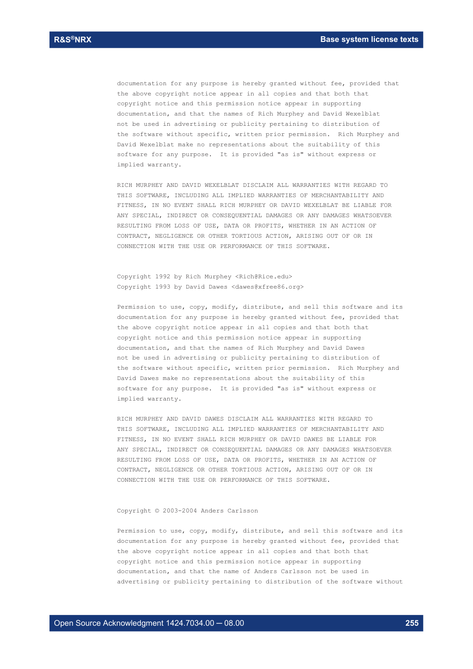documentation for any purpose is hereby granted without fee, provided that the above copyright notice appear in all copies and that both that copyright notice and this permission notice appear in supporting documentation, and that the names of Rich Murphey and David Wexelblat not be used in advertising or publicity pertaining to distribution of the software without specific, written prior permission. Rich Murphey and David Wexelblat make no representations about the suitability of this software for any purpose. It is provided "as is" without express or implied warranty.

RICH MURPHEY AND DAVID WEXELBLAT DISCLAIM ALL WARRANTIES WITH REGARD TO THIS SOFTWARE, INCLUDING ALL IMPLIED WARRANTIES OF MERCHANTABILITY AND FITNESS, IN NO EVENT SHALL RICH MURPHEY OR DAVID WEXELBLAT BE LIABLE FOR ANY SPECIAL, INDIRECT OR CONSEQUENTIAL DAMAGES OR ANY DAMAGES WHATSOEVER RESULTING FROM LOSS OF USE, DATA OR PROFITS, WHETHER IN AN ACTION OF CONTRACT, NEGLIGENCE OR OTHER TORTIOUS ACTION, ARISING OUT OF OR IN CONNECTION WITH THE USE OR PERFORMANCE OF THIS SOFTWARE.

Copyright 1992 by Rich Murphey <Rich@Rice.edu> Copyright 1993 by David Dawes <dawes@xfree86.org>

Permission to use, copy, modify, distribute, and sell this software and its documentation for any purpose is hereby granted without fee, provided that the above copyright notice appear in all copies and that both that copyright notice and this permission notice appear in supporting documentation, and that the names of Rich Murphey and David Dawes not be used in advertising or publicity pertaining to distribution of the software without specific, written prior permission. Rich Murphey and David Dawes make no representations about the suitability of this software for any purpose. It is provided "as is" without express or implied warranty.

RICH MURPHEY AND DAVID DAWES DISCLAIM ALL WARRANTIES WITH REGARD TO THIS SOFTWARE, INCLUDING ALL IMPLIED WARRANTIES OF MERCHANTABILITY AND FITNESS, IN NO EVENT SHALL RICH MURPHEY OR DAVID DAWES BE LIABLE FOR ANY SPECIAL, INDIRECT OR CONSEQUENTIAL DAMAGES OR ANY DAMAGES WHATSOEVER RESULTING FROM LOSS OF USE, DATA OR PROFITS, WHETHER IN AN ACTION OF CONTRACT, NEGLIGENCE OR OTHER TORTIOUS ACTION, ARISING OUT OF OR IN CONNECTION WITH THE USE OR PERFORMANCE OF THIS SOFTWARE.

### Copyright © 2003-2004 Anders Carlsson

Permission to use, copy, modify, distribute, and sell this software and its documentation for any purpose is hereby granted without fee, provided that the above copyright notice appear in all copies and that both that copyright notice and this permission notice appear in supporting documentation, and that the name of Anders Carlsson not be used in advertising or publicity pertaining to distribution of the software without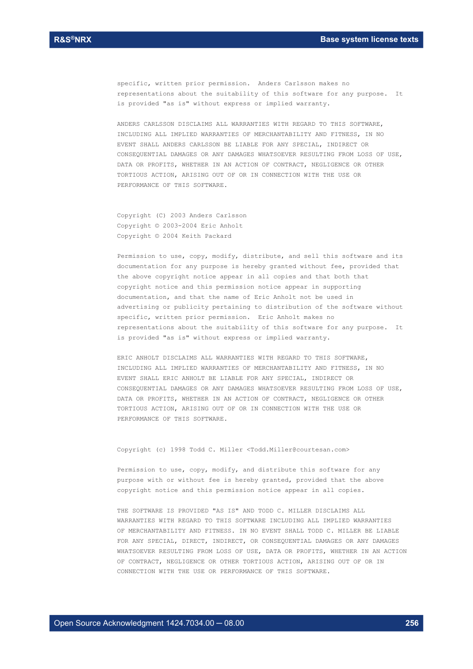specific, written prior permission. Anders Carlsson makes no representations about the suitability of this software for any purpose. It is provided "as is" without express or implied warranty.

ANDERS CARLSSON DISCLAIMS ALL WARRANTIES WITH REGARD TO THIS SOFTWARE, INCLUDING ALL IMPLIED WARRANTIES OF MERCHANTABILITY AND FITNESS, IN NO EVENT SHALL ANDERS CARLSSON BE LIABLE FOR ANY SPECIAL, INDIRECT OR CONSEQUENTIAL DAMAGES OR ANY DAMAGES WHATSOEVER RESULTING FROM LOSS OF USE, DATA OR PROFITS, WHETHER IN AN ACTION OF CONTRACT, NEGLIGENCE OR OTHER TORTIOUS ACTION, ARISING OUT OF OR IN CONNECTION WITH THE USE OR PERFORMANCE OF THIS SOFTWARE.

Copyright (C) 2003 Anders Carlsson Copyright © 2003-2004 Eric Anholt Copyright © 2004 Keith Packard

Permission to use, copy, modify, distribute, and sell this software and its documentation for any purpose is hereby granted without fee, provided that the above copyright notice appear in all copies and that both that copyright notice and this permission notice appear in supporting documentation, and that the name of Eric Anholt not be used in advertising or publicity pertaining to distribution of the software without specific, written prior permission. Eric Anholt makes no representations about the suitability of this software for any purpose. It is provided "as is" without express or implied warranty.

ERIC ANHOLT DISCLAIMS ALL WARRANTIES WITH REGARD TO THIS SOFTWARE, INCLUDING ALL IMPLIED WARRANTIES OF MERCHANTABILITY AND FITNESS, IN NO EVENT SHALL ERIC ANHOLT BE LIABLE FOR ANY SPECIAL, INDIRECT OR CONSEQUENTIAL DAMAGES OR ANY DAMAGES WHATSOEVER RESULTING FROM LOSS OF USE, DATA OR PROFITS, WHETHER IN AN ACTION OF CONTRACT, NEGLIGENCE OR OTHER TORTIOUS ACTION, ARISING OUT OF OR IN CONNECTION WITH THE USE OR PERFORMANCE OF THIS SOFTWARE.

Copyright (c) 1998 Todd C. Miller <Todd.Miller@courtesan.com>

Permission to use, copy, modify, and distribute this software for any purpose with or without fee is hereby granted, provided that the above copyright notice and this permission notice appear in all copies.

THE SOFTWARE IS PROVIDED "AS IS" AND TODD C. MILLER DISCLAIMS ALL WARRANTIES WITH REGARD TO THIS SOFTWARE INCLUDING ALL IMPLIED WARRANTIES OF MERCHANTABILITY AND FITNESS. IN NO EVENT SHALL TODD C. MILLER BE LIABLE FOR ANY SPECIAL, DIRECT, INDIRECT, OR CONSEQUENTIAL DAMAGES OR ANY DAMAGES WHATSOEVER RESULTING FROM LOSS OF USE, DATA OR PROFITS, WHETHER IN AN ACTION OF CONTRACT, NEGLIGENCE OR OTHER TORTIOUS ACTION, ARISING OUT OF OR IN CONNECTION WITH THE USE OR PERFORMANCE OF THIS SOFTWARE.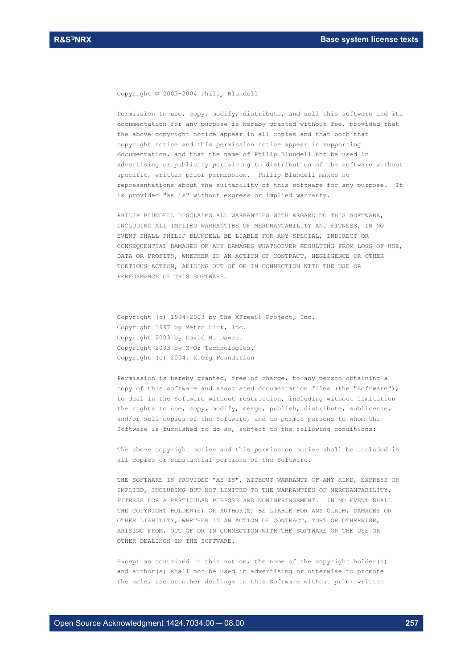Copyright © 2003-2004 Philip Blundell

Permission to use, copy, modify, distribute, and sell this software and its documentation for any purpose is hereby granted without fee, provided that the above copyright notice appear in all copies and that both that copyright notice and this permission notice appear in supporting documentation, and that the name of Philip Blundell not be used in advertising or publicity pertaining to distribution of the software without specific, written prior permission. Philip Blundell makes no representations about the suitability of this software for any purpose. It is provided "as is" without express or implied warranty.

PHILIP BLUNDELL DISCLAIMS ALL WARRANTIES WITH REGARD TO THIS SOFTWARE, INCLUDING ALL IMPLIED WARRANTIES OF MERCHANTABILITY AND FITNESS, IN NO EVENT SHALL PHILIP BLUNDELL BE LIABLE FOR ANY SPECIAL, INDIRECT OR CONSEQUENTIAL DAMAGES OR ANY DAMAGES WHATSOEVER RESULTING FROM LOSS OF USE, DATA OR PROFITS, WHETHER IN AN ACTION OF CONTRACT, NEGLIGENCE OR OTHER TORTIOUS ACTION, ARISING OUT OF OR IN CONNECTION WITH THE USE OR PERFORMANCE OF THIS SOFTWARE.

Copyright (c) 1994-2003 by The XFree86 Project, Inc. Copyright 1997 by Metro Link, Inc. Copyright 2003 by David H. Dawes. Copyright 2003 by X-Oz Technologies. Copyright (c) 2004, X.Org Foundation

Permission is hereby granted, free of charge, to any person obtaining a copy of this software and associated documentation files (the "Software"), to deal in the Software without restriction, including without limitation the rights to use, copy, modify, merge, publish, distribute, sublicense, and/or sell copies of the Software, and to permit persons to whom the Software is furnished to do so, subject to the following conditions:

The above copyright notice and this permission notice shall be included in all copies or substantial portions of the Software.

THE SOFTWARE IS PROVIDED "AS IS", WITHOUT WARRANTY OF ANY KIND, EXPRESS OR IMPLIED, INCLUDING BUT NOT LIMITED TO THE WARRANTIES OF MERCHANTABILITY, FITNESS FOR A PARTICULAR PURPOSE AND NONINFRINGEMENT. IN NO EVENT SHALL THE COPYRIGHT HOLDER(S) OR AUTHOR(S) BE LIABLE FOR ANY CLAIM, DAMAGES OR OTHER LIABILITY, WHETHER IN AN ACTION OF CONTRACT, TORT OR OTHERWISE, ARISING FROM, OUT OF OR IN CONNECTION WITH THE SOFTWARE OR THE USE OR OTHER DEALINGS IN THE SOFTWARE.

Except as contained in this notice, the name of the copyright holder(s) and author(s) shall not be used in advertising or otherwise to promote the sale, use or other dealings in this Software without prior written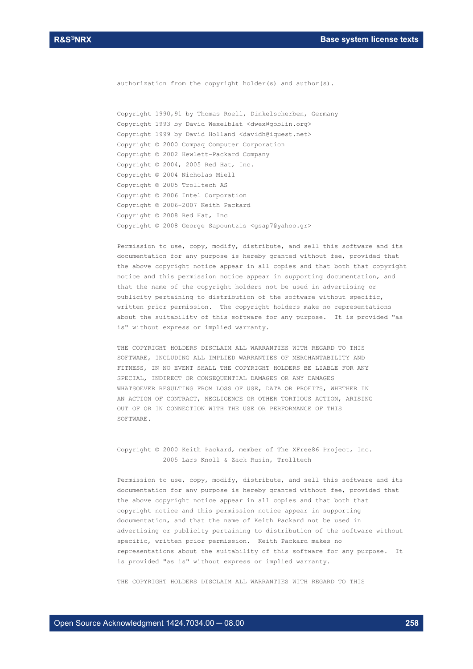authorization from the copyright holder(s) and author(s).

Copyright 1990,91 by Thomas Roell, Dinkelscherben, Germany Copyright 1993 by David Wexelblat <dwex@goblin.org> Copyright 1999 by David Holland <davidh@iquest.net> Copyright © 2000 Compaq Computer Corporation Copyright © 2002 Hewlett-Packard Company Copyright © 2004, 2005 Red Hat, Inc. Copyright © 2004 Nicholas Miell Copyright © 2005 Trolltech AS Copyright © 2006 Intel Corporation Copyright © 2006-2007 Keith Packard Copyright © 2008 Red Hat, Inc Copyright © 2008 George Sapountzis <gsap7@yahoo.gr>

Permission to use, copy, modify, distribute, and sell this software and its documentation for any purpose is hereby granted without fee, provided that the above copyright notice appear in all copies and that both that copyright notice and this permission notice appear in supporting documentation, and that the name of the copyright holders not be used in advertising or publicity pertaining to distribution of the software without specific, written prior permission. The copyright holders make no representations about the suitability of this software for any purpose. It is provided "as is" without express or implied warranty.

THE COPYRIGHT HOLDERS DISCLAIM ALL WARRANTIES WITH REGARD TO THIS SOFTWARE, INCLUDING ALL IMPLIED WARRANTIES OF MERCHANTABILITY AND FITNESS, IN NO EVENT SHALL THE COPYRIGHT HOLDERS BE LIABLE FOR ANY SPECIAL, INDIRECT OR CONSEQUENTIAL DAMAGES OR ANY DAMAGES WHATSOEVER RESULTING FROM LOSS OF USE, DATA OR PROFITS, WHETHER IN AN ACTION OF CONTRACT, NEGLIGENCE OR OTHER TORTIOUS ACTION, ARISING OUT OF OR IN CONNECTION WITH THE USE OR PERFORMANCE OF THIS SOFTWARE.

Copyright © 2000 Keith Packard, member of The XFree86 Project, Inc. 2005 Lars Knoll & Zack Rusin, Trolltech

Permission to use, copy, modify, distribute, and sell this software and its documentation for any purpose is hereby granted without fee, provided that the above copyright notice appear in all copies and that both that copyright notice and this permission notice appear in supporting documentation, and that the name of Keith Packard not be used in advertising or publicity pertaining to distribution of the software without specific, written prior permission. Keith Packard makes no representations about the suitability of this software for any purpose. It is provided "as is" without express or implied warranty.

THE COPYRIGHT HOLDERS DISCLAIM ALL WARRANTIES WITH REGARD TO THIS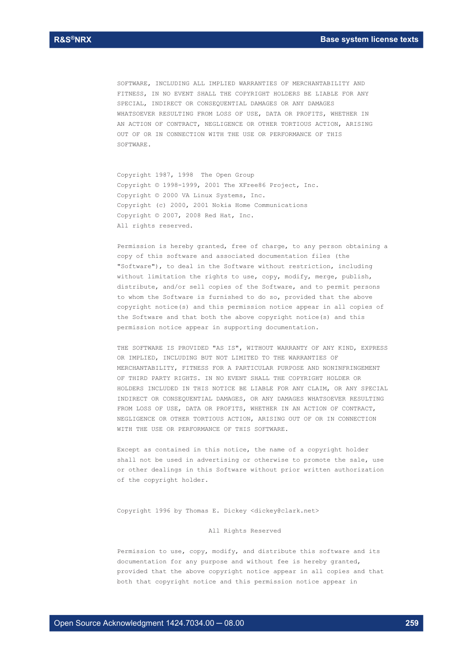SOFTWARE, INCLUDING ALL IMPLIED WARRANTIES OF MERCHANTABILITY AND FITNESS, IN NO EVENT SHALL THE COPYRIGHT HOLDERS BE LIABLE FOR ANY SPECIAL, INDIRECT OR CONSEQUENTIAL DAMAGES OR ANY DAMAGES WHATSOEVER RESULTING FROM LOSS OF USE, DATA OR PROFITS, WHETHER IN AN ACTION OF CONTRACT, NEGLIGENCE OR OTHER TORTIOUS ACTION, ARISING OUT OF OR IN CONNECTION WITH THE USE OR PERFORMANCE OF THIS SOFTWARE.

Copyright 1987, 1998 The Open Group Copyright © 1998-1999, 2001 The XFree86 Project, Inc. Copyright © 2000 VA Linux Systems, Inc. Copyright (c) 2000, 2001 Nokia Home Communications Copyright © 2007, 2008 Red Hat, Inc. All rights reserved.

Permission is hereby granted, free of charge, to any person obtaining a copy of this software and associated documentation files (the "Software"), to deal in the Software without restriction, including without limitation the rights to use, copy, modify, merge, publish, distribute, and/or sell copies of the Software, and to permit persons to whom the Software is furnished to do so, provided that the above copyright notice(s) and this permission notice appear in all copies of the Software and that both the above copyright notice(s) and this permission notice appear in supporting documentation.

THE SOFTWARE IS PROVIDED "AS IS", WITHOUT WARRANTY OF ANY KIND, EXPRESS OR IMPLIED, INCLUDING BUT NOT LIMITED TO THE WARRANTIES OF MERCHANTABILITY, FITNESS FOR A PARTICULAR PURPOSE AND NONINFRINGEMENT OF THIRD PARTY RIGHTS. IN NO EVENT SHALL THE COPYRIGHT HOLDER OR HOLDERS INCLUDED IN THIS NOTICE BE LIABLE FOR ANY CLAIM, OR ANY SPECIAL INDIRECT OR CONSEQUENTIAL DAMAGES, OR ANY DAMAGES WHATSOEVER RESULTING FROM LOSS OF USE, DATA OR PROFITS, WHETHER IN AN ACTION OF CONTRACT, NEGLIGENCE OR OTHER TORTIOUS ACTION, ARISING OUT OF OR IN CONNECTION WITH THE USE OR PERFORMANCE OF THIS SOFTWARE.

Except as contained in this notice, the name of a copyright holder shall not be used in advertising or otherwise to promote the sale, use or other dealings in this Software without prior written authorization of the copyright holder.

Copyright 1996 by Thomas E. Dickey <dickey@clark.net>

## All Rights Reserved

Permission to use, copy, modify, and distribute this software and its documentation for any purpose and without fee is hereby granted, provided that the above copyright notice appear in all copies and that both that copyright notice and this permission notice appear in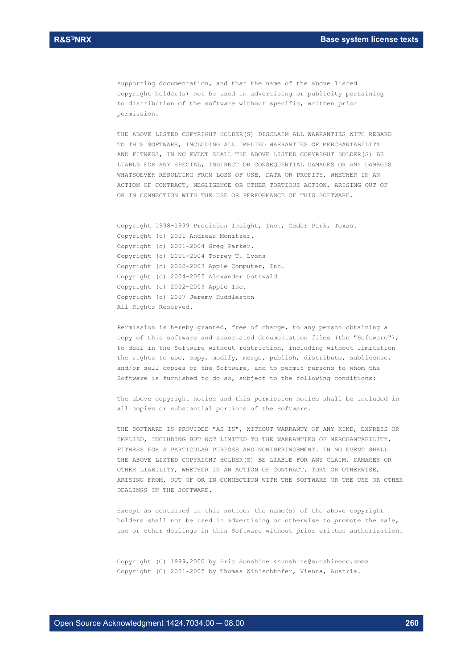supporting documentation, and that the name of the above listed copyright holder(s) not be used in advertising or publicity pertaining to distribution of the software without specific, written prior permission.

THE ABOVE LISTED COPYRIGHT HOLDER(S) DISCLAIM ALL WARRANTIES WITH REGARD TO THIS SOFTWARE, INCLUDING ALL IMPLIED WARRANTIES OF MERCHANTABILITY AND FITNESS, IN NO EVENT SHALL THE ABOVE LISTED COPYRIGHT HOLDER(S) BE LIABLE FOR ANY SPECIAL, INDIRECT OR CONSEQUENTIAL DAMAGES OR ANY DAMAGES WHATSOEVER RESULTING FROM LOSS OF USE, DATA OR PROFITS, WHETHER IN AN ACTION OF CONTRACT, NEGLIGENCE OR OTHER TORTIOUS ACTION, ARISING OUT OF OR IN CONNECTION WITH THE USE OR PERFORMANCE OF THIS SOFTWARE.

Copyright 1998-1999 Precision Insight, Inc., Cedar Park, Texas. Copyright (c) 2001 Andreas Monitzer. Copyright (c) 2001-2004 Greg Parker. Copyright (c) 2001-2004 Torrey T. Lyons Copyright (c) 2002-2003 Apple Computer, Inc. Copyright (c) 2004-2005 Alexander Gottwald Copyright (c) 2002-2009 Apple Inc. Copyright (c) 2007 Jeremy Huddleston All Rights Reserved.

Permission is hereby granted, free of charge, to any person obtaining a copy of this software and associated documentation files (the "Software"), to deal in the Software without restriction, including without limitation the rights to use, copy, modify, merge, publish, distribute, sublicense, and/or sell copies of the Software, and to permit persons to whom the Software is furnished to do so, subject to the following conditions:

The above copyright notice and this permission notice shall be included in all copies or substantial portions of the Software.

THE SOFTWARE IS PROVIDED "AS IS", WITHOUT WARRANTY OF ANY KIND, EXPRESS OR IMPLIED, INCLUDING BUT NOT LIMITED TO THE WARRANTIES OF MERCHANTABILITY, FITNESS FOR A PARTICULAR PURPOSE AND NONINFRINGEMENT. IN NO EVENT SHALL THE ABOVE LISTED COPYRIGHT HOLDER(S) BE LIABLE FOR ANY CLAIM, DAMAGES OR OTHER LIABILITY, WHETHER IN AN ACTION OF CONTRACT, TORT OR OTHERWISE, ARISING FROM, OUT OF OR IN CONNECTION WITH THE SOFTWARE OR THE USE OR OTHER DEALINGS IN THE SOFTWARE.

Except as contained in this notice, the name(s) of the above copyright holders shall not be used in advertising or otherwise to promote the sale, use or other dealings in this Software without prior written authorization.

Copyright (C) 1999,2000 by Eric Sunshine <sunshine@sunshineco.com> Copyright (C) 2001-2005 by Thomas Winischhofer, Vienna, Austria.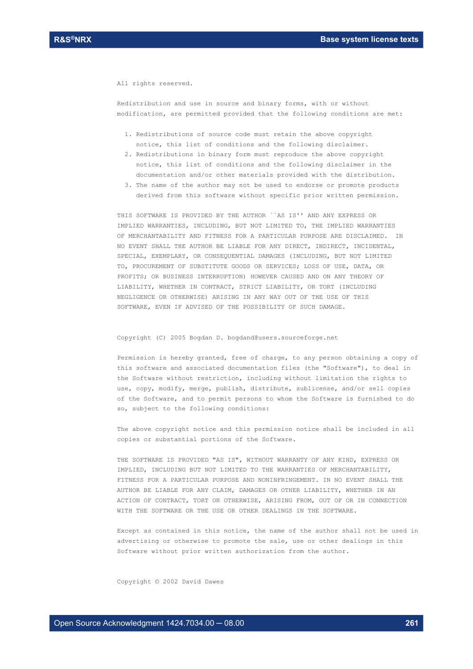All rights reserved.

Redistribution and use in source and binary forms, with or without modification, are permitted provided that the following conditions are met:

- 1. Redistributions of source code must retain the above copyright notice, this list of conditions and the following disclaimer.
- 2. Redistributions in binary form must reproduce the above copyright notice, this list of conditions and the following disclaimer in the documentation and/or other materials provided with the distribution.
- 3. The name of the author may not be used to endorse or promote products derived from this software without specific prior written permission.

THIS SOFTWARE IS PROVIDED BY THE AUTHOR ``AS IS'' AND ANY EXPRESS OR IMPLIED WARRANTIES, INCLUDING, BUT NOT LIMITED TO, THE IMPLIED WARRANTIES OF MERCHANTABILITY AND FITNESS FOR A PARTICULAR PURPOSE ARE DISCLAIMED. IN NO EVENT SHALL THE AUTHOR BE LIABLE FOR ANY DIRECT, INDIRECT, INCIDENTAL, SPECIAL, EXEMPLARY, OR CONSEQUENTIAL DAMAGES (INCLUDING, BUT NOT LIMITED TO, PROCUREMENT OF SUBSTITUTE GOODS OR SERVICES; LOSS OF USE, DATA, OR PROFITS; OR BUSINESS INTERRUPTION) HOWEVER CAUSED AND ON ANY THEORY OF LIABILITY, WHETHER IN CONTRACT, STRICT LIABILITY, OR TORT (INCLUDING NEGLIGENCE OR OTHERWISE) ARISING IN ANY WAY OUT OF THE USE OF THIS SOFTWARE, EVEN IF ADVISED OF THE POSSIBILITY OF SUCH DAMAGE.

Copyright (C) 2005 Bogdan D. bogdand@users.sourceforge.net

Permission is hereby granted, free of charge, to any person obtaining a copy of this software and associated documentation files (the "Software"), to deal in the Software without restriction, including without limitation the rights to use, copy, modify, merge, publish, distribute, sublicense, and/or sell copies of the Software, and to permit persons to whom the Software is furnished to do so, subject to the following conditions:

The above copyright notice and this permission notice shall be included in all copies or substantial portions of the Software.

THE SOFTWARE IS PROVIDED "AS IS", WITHOUT WARRANTY OF ANY KIND, EXPRESS OR IMPLIED, INCLUDING BUT NOT LIMITED TO THE WARRANTIES OF MERCHANTABILITY, FITNESS FOR A PARTICULAR PURPOSE AND NONINFRINGEMENT. IN NO EVENT SHALL THE AUTHOR BE LIABLE FOR ANY CLAIM, DAMAGES OR OTHER LIABILITY, WHETHER IN AN ACTION OF CONTRACT, TORT OR OTHERWISE, ARISING FROM, OUT OF OR IN CONNECTION WITH THE SOFTWARE OR THE USE OR OTHER DEALINGS IN THE SOFTWARE.

Except as contained in this notice, the name of the author shall not be used in advertising or otherwise to promote the sale, use or other dealings in this Software without prior written authorization from the author.

Copyright © 2002 David Dawes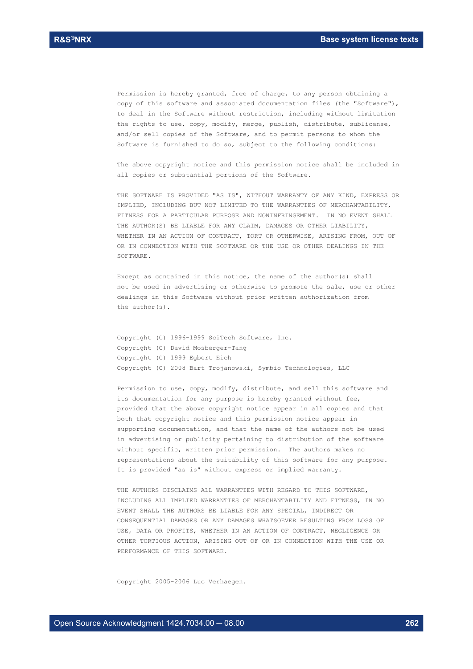Permission is hereby granted, free of charge, to any person obtaining a copy of this software and associated documentation files (the "Software"), to deal in the Software without restriction, including without limitation the rights to use, copy, modify, merge, publish, distribute, sublicense, and/or sell copies of the Software, and to permit persons to whom the Software is furnished to do so, subject to the following conditions:

The above copyright notice and this permission notice shall be included in all copies or substantial portions of the Software.

THE SOFTWARE IS PROVIDED "AS IS", WITHOUT WARRANTY OF ANY KIND, EXPRESS OR IMPLIED, INCLUDING BUT NOT LIMITED TO THE WARRANTIES OF MERCHANTABILITY, FITNESS FOR A PARTICULAR PURPOSE AND NONINFRINGEMENT. IN NO EVENT SHALL THE AUTHOR(S) BE LIABLE FOR ANY CLAIM, DAMAGES OR OTHER LIABILITY, WHETHER IN AN ACTION OF CONTRACT, TORT OR OTHERWISE, ARISING FROM, OUT OF OR IN CONNECTION WITH THE SOFTWARE OR THE USE OR OTHER DEALINGS IN THE SOFTWARE.

Except as contained in this notice, the name of the author(s) shall not be used in advertising or otherwise to promote the sale, use or other dealings in this Software without prior written authorization from the author(s).

```
Copyright (C) 1996-1999 SciTech Software, Inc.
Copyright (C) David Mosberger-Tang
Copyright (C) 1999 Egbert Eich
Copyright (C) 2008 Bart Trojanowski, Symbio Technologies, LLC
```
Permission to use, copy, modify, distribute, and sell this software and its documentation for any purpose is hereby granted without fee, provided that the above copyright notice appear in all copies and that both that copyright notice and this permission notice appear in supporting documentation, and that the name of the authors not be used in advertising or publicity pertaining to distribution of the software without specific, written prior permission. The authors makes no representations about the suitability of this software for any purpose. It is provided "as is" without express or implied warranty.

THE AUTHORS DISCLAIMS ALL WARRANTIES WITH REGARD TO THIS SOFTWARE, INCLUDING ALL IMPLIED WARRANTIES OF MERCHANTABILITY AND FITNESS, IN NO EVENT SHALL THE AUTHORS BE LIABLE FOR ANY SPECIAL, INDIRECT OR CONSEQUENTIAL DAMAGES OR ANY DAMAGES WHATSOEVER RESULTING FROM LOSS OF USE, DATA OR PROFITS, WHETHER IN AN ACTION OF CONTRACT, NEGLIGENCE OR OTHER TORTIOUS ACTION, ARISING OUT OF OR IN CONNECTION WITH THE USE OR PERFORMANCE OF THIS SOFTWARE.

Copyright 2005-2006 Luc Verhaegen.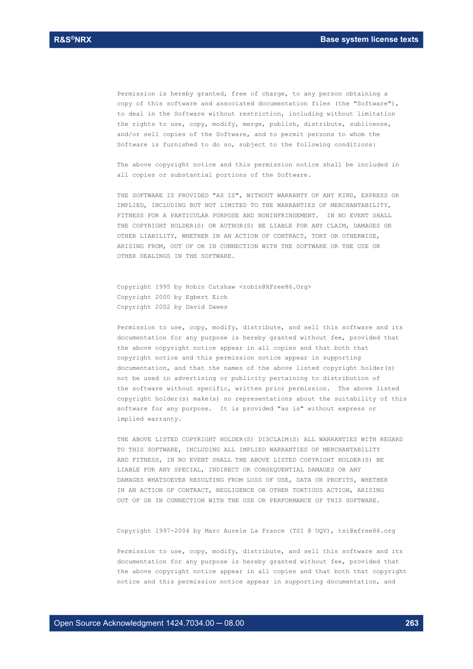Permission is hereby granted, free of charge, to any person obtaining a copy of this software and associated documentation files (the "Software"), to deal in the Software without restriction, including without limitation the rights to use, copy, modify, merge, publish, distribute, sublicense, and/or sell copies of the Software, and to permit persons to whom the Software is furnished to do so, subject to the following conditions:

The above copyright notice and this permission notice shall be included in all copies or substantial portions of the Software.

THE SOFTWARE IS PROVIDED "AS IS", WITHOUT WARRANTY OF ANY KIND, EXPRESS OR IMPLIED, INCLUDING BUT NOT LIMITED TO THE WARRANTIES OF MERCHANTABILITY, FITNESS FOR A PARTICULAR PURPOSE AND NONINFRINGEMENT. IN NO EVENT SHALL THE COPYRIGHT HOLDER(S) OR AUTHOR(S) BE LIABLE FOR ANY CLAIM, DAMAGES OR OTHER LIABILITY, WHETHER IN AN ACTION OF CONTRACT, TORT OR OTHERWISE, ARISING FROM, OUT OF OR IN CONNECTION WITH THE SOFTWARE OR THE USE OR OTHER DEALINGS IN THE SOFTWARE.

Copyright 1995 by Robin Cutshaw <robin@XFree86.Org> Copyright 2000 by Egbert Eich Copyright 2002 by David Dawes

Permission to use, copy, modify, distribute, and sell this software and its documentation for any purpose is hereby granted without fee, provided that the above copyright notice appear in all copies and that both that copyright notice and this permission notice appear in supporting documentation, and that the names of the above listed copyright holder(s) not be used in advertising or publicity pertaining to distribution of the software without specific, written prior permission. The above listed copyright holder(s) make(s) no representations about the suitability of this software for any purpose. It is provided "as is" without express or implied warranty.

THE ABOVE LISTED COPYRIGHT HOLDER(S) DISCLAIM(S) ALL WARRANTIES WITH REGARD TO THIS SOFTWARE, INCLUDING ALL IMPLIED WARRANTIES OF MERCHANTABILITY AND FITNESS, IN NO EVENT SHALL THE ABOVE LISTED COPYRIGHT HOLDER(S) BE LIABLE FOR ANY SPECIAL, INDIRECT OR CONSEQUENTIAL DAMAGES OR ANY DAMAGES WHATSOEVER RESULTING FROM LOSS OF USE, DATA OR PROFITS, WHETHER IN AN ACTION OF CONTRACT, NEGLIGENCE OR OTHER TORTIOUS ACTION, ARISING OUT OF OR IN CONNECTION WITH THE USE OR PERFORMANCE OF THIS SOFTWARE.

Copyright 1997-2004 by Marc Aurele La France (TSI @ UQV), tsi@xfree86.org

Permission to use, copy, modify, distribute, and sell this software and its documentation for any purpose is hereby granted without fee, provided that the above copyright notice appear in all copies and that both that copyright notice and this permission notice appear in supporting documentation, and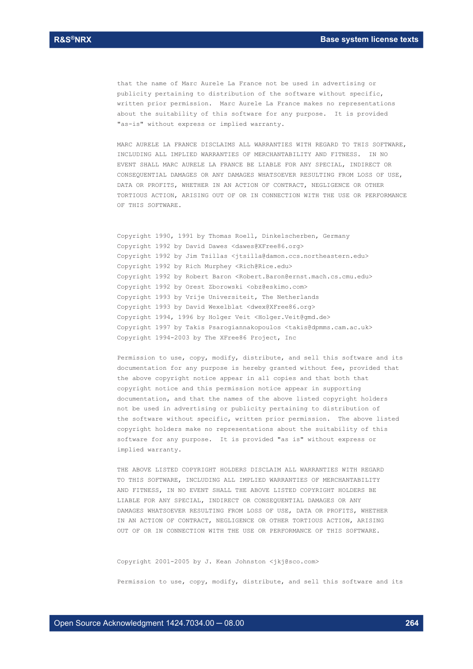that the name of Marc Aurele La France not be used in advertising or publicity pertaining to distribution of the software without specific, written prior permission. Marc Aurele La France makes no representations about the suitability of this software for any purpose. It is provided "as-is" without express or implied warranty.

MARC AURELE LA FRANCE DISCLAIMS ALL WARRANTIES WITH REGARD TO THIS SOFTWARE, INCLUDING ALL IMPLIED WARRANTIES OF MERCHANTABILITY AND FITNESS. IN NO EVENT SHALL MARC AURELE LA FRANCE BE LIABLE FOR ANY SPECIAL, INDIRECT OR CONSEQUENTIAL DAMAGES OR ANY DAMAGES WHATSOEVER RESULTING FROM LOSS OF USE, DATA OR PROFITS, WHETHER IN AN ACTION OF CONTRACT, NEGLIGENCE OR OTHER TORTIOUS ACTION, ARISING OUT OF OR IN CONNECTION WITH THE USE OR PERFORMANCE OF THIS SOFTWARE.

Copyright 1990, 1991 by Thomas Roell, Dinkelscherben, Germany Copyright 1992 by David Dawes <dawes@XFree86.org> Copyright 1992 by Jim Tsillas <jtsilla@damon.ccs.northeastern.edu> Copyright 1992 by Rich Murphey <Rich@Rice.edu> Copyright 1992 by Robert Baron <Robert.Baron@ernst.mach.cs.cmu.edu> Copyright 1992 by Orest Zborowski <obz@eskimo.com> Copyright 1993 by Vrije Universiteit, The Netherlands Copyright 1993 by David Wexelblat <dwex@XFree86.org> Copyright 1994, 1996 by Holger Veit <Holger.Veit@gmd.de> Copyright 1997 by Takis Psarogiannakopoulos <takis@dpmms.cam.ac.uk> Copyright 1994-2003 by The XFree86 Project, Inc

Permission to use, copy, modify, distribute, and sell this software and its documentation for any purpose is hereby granted without fee, provided that the above copyright notice appear in all copies and that both that copyright notice and this permission notice appear in supporting documentation, and that the names of the above listed copyright holders not be used in advertising or publicity pertaining to distribution of the software without specific, written prior permission. The above listed copyright holders make no representations about the suitability of this software for any purpose. It is provided "as is" without express or implied warranty.

THE ABOVE LISTED COPYRIGHT HOLDERS DISCLAIM ALL WARRANTIES WITH REGARD TO THIS SOFTWARE, INCLUDING ALL IMPLIED WARRANTIES OF MERCHANTABILITY AND FITNESS, IN NO EVENT SHALL THE ABOVE LISTED COPYRIGHT HOLDERS BE LIABLE FOR ANY SPECIAL, INDIRECT OR CONSEQUENTIAL DAMAGES OR ANY DAMAGES WHATSOEVER RESULTING FROM LOSS OF USE, DATA OR PROFITS, WHETHER IN AN ACTION OF CONTRACT, NEGLIGENCE OR OTHER TORTIOUS ACTION, ARISING OUT OF OR IN CONNECTION WITH THE USE OR PERFORMANCE OF THIS SOFTWARE.

Copyright 2001-2005 by J. Kean Johnston <jkj@sco.com>

Permission to use, copy, modify, distribute, and sell this software and its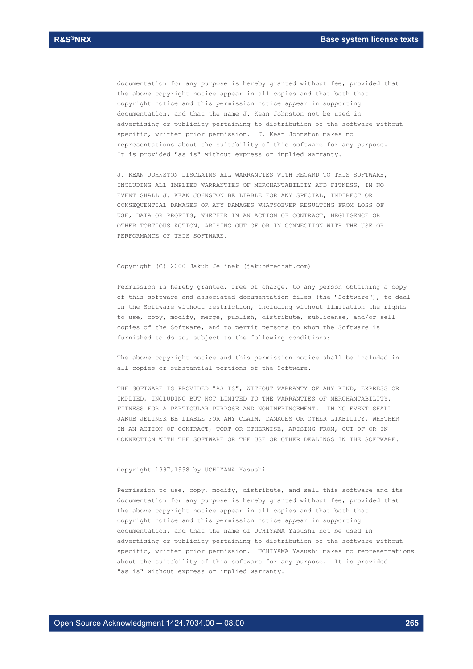documentation for any purpose is hereby granted without fee, provided that the above copyright notice appear in all copies and that both that copyright notice and this permission notice appear in supporting documentation, and that the name J. Kean Johnston not be used in advertising or publicity pertaining to distribution of the software without specific, written prior permission. J. Kean Johnston makes no representations about the suitability of this software for any purpose. It is provided "as is" without express or implied warranty.

J. KEAN JOHNSTON DISCLAIMS ALL WARRANTIES WITH REGARD TO THIS SOFTWARE, INCLUDING ALL IMPLIED WARRANTIES OF MERCHANTABILITY AND FITNESS, IN NO EVENT SHALL J. KEAN JOHNSTON BE LIABLE FOR ANY SPECIAL, INDIRECT OR CONSEQUENTIAL DAMAGES OR ANY DAMAGES WHATSOEVER RESULTING FROM LOSS OF USE, DATA OR PROFITS, WHETHER IN AN ACTION OF CONTRACT, NEGLIGENCE OR OTHER TORTIOUS ACTION, ARISING OUT OF OR IN CONNECTION WITH THE USE OR PERFORMANCE OF THIS SOFTWARE.

## Copyright (C) 2000 Jakub Jelinek (jakub@redhat.com)

Permission is hereby granted, free of charge, to any person obtaining a copy of this software and associated documentation files (the "Software"), to deal in the Software without restriction, including without limitation the rights to use, copy, modify, merge, publish, distribute, sublicense, and/or sell copies of the Software, and to permit persons to whom the Software is furnished to do so, subject to the following conditions:

The above copyright notice and this permission notice shall be included in all copies or substantial portions of the Software.

THE SOFTWARE IS PROVIDED "AS IS", WITHOUT WARRANTY OF ANY KIND, EXPRESS OR IMPLIED, INCLUDING BUT NOT LIMITED TO THE WARRANTIES OF MERCHANTABILITY, FITNESS FOR A PARTICULAR PURPOSE AND NONINFRINGEMENT. IN NO EVENT SHALL JAKUB JELINEK BE LIABLE FOR ANY CLAIM, DAMAGES OR OTHER LIABILITY, WHETHER IN AN ACTION OF CONTRACT, TORT OR OTHERWISE, ARISING FROM, OUT OF OR IN CONNECTION WITH THE SOFTWARE OR THE USE OR OTHER DEALINGS IN THE SOFTWARE.

#### Copyright 1997,1998 by UCHIYAMA Yasushi

Permission to use, copy, modify, distribute, and sell this software and its documentation for any purpose is hereby granted without fee, provided that the above copyright notice appear in all copies and that both that copyright notice and this permission notice appear in supporting documentation, and that the name of UCHIYAMA Yasushi not be used in advertising or publicity pertaining to distribution of the software without specific, written prior permission. UCHIYAMA Yasushi makes no representations about the suitability of this software for any purpose. It is provided "as is" without express or implied warranty.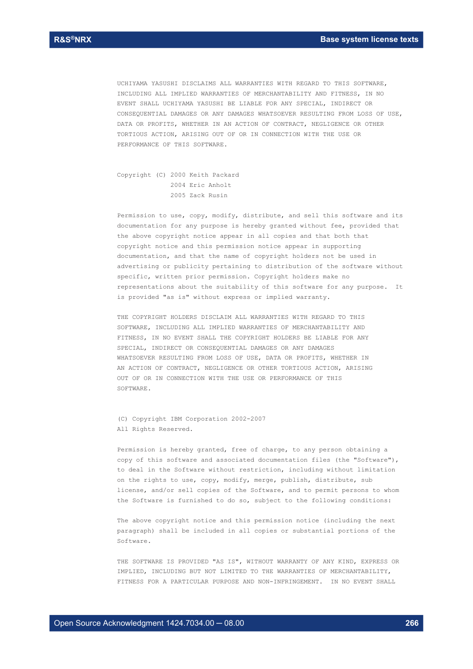UCHIYAMA YASUSHI DISCLAIMS ALL WARRANTIES WITH REGARD TO THIS SOFTWARE, INCLUDING ALL IMPLIED WARRANTIES OF MERCHANTABILITY AND FITNESS, IN NO EVENT SHALL UCHIYAMA YASUSHI BE LIABLE FOR ANY SPECIAL, INDIRECT OR CONSEQUENTIAL DAMAGES OR ANY DAMAGES WHATSOEVER RESULTING FROM LOSS OF USE, DATA OR PROFITS, WHETHER IN AN ACTION OF CONTRACT, NEGLIGENCE OR OTHER TORTIOUS ACTION, ARISING OUT OF OR IN CONNECTION WITH THE USE OR PERFORMANCE OF THIS SOFTWARE.

Copyright (C) 2000 Keith Packard 2004 Eric Anholt 2005 Zack Rusin

Permission to use, copy, modify, distribute, and sell this software and its documentation for any purpose is hereby granted without fee, provided that the above copyright notice appear in all copies and that both that copyright notice and this permission notice appear in supporting documentation, and that the name of copyright holders not be used in advertising or publicity pertaining to distribution of the software without specific, written prior permission. Copyright holders make no representations about the suitability of this software for any purpose. It is provided "as is" without express or implied warranty.

THE COPYRIGHT HOLDERS DISCLAIM ALL WARRANTIES WITH REGARD TO THIS SOFTWARE, INCLUDING ALL IMPLIED WARRANTIES OF MERCHANTABILITY AND FITNESS, IN NO EVENT SHALL THE COPYRIGHT HOLDERS BE LIABLE FOR ANY SPECIAL, INDIRECT OR CONSEQUENTIAL DAMAGES OR ANY DAMAGES WHATSOEVER RESULTING FROM LOSS OF USE, DATA OR PROFITS, WHETHER IN AN ACTION OF CONTRACT, NEGLIGENCE OR OTHER TORTIOUS ACTION, ARISING OUT OF OR IN CONNECTION WITH THE USE OR PERFORMANCE OF THIS SOFTWARE.

(C) Copyright IBM Corporation 2002-2007 All Rights Reserved.

Permission is hereby granted, free of charge, to any person obtaining a copy of this software and associated documentation files (the "Software"), to deal in the Software without restriction, including without limitation on the rights to use, copy, modify, merge, publish, distribute, sub license, and/or sell copies of the Software, and to permit persons to whom the Software is furnished to do so, subject to the following conditions:

The above copyright notice and this permission notice (including the next paragraph) shall be included in all copies or substantial portions of the Software.

THE SOFTWARE IS PROVIDED "AS IS", WITHOUT WARRANTY OF ANY KIND, EXPRESS OR IMPLIED, INCLUDING BUT NOT LIMITED TO THE WARRANTIES OF MERCHANTABILITY, FITNESS FOR A PARTICULAR PURPOSE AND NON-INFRINGEMENT. IN NO EVENT SHALL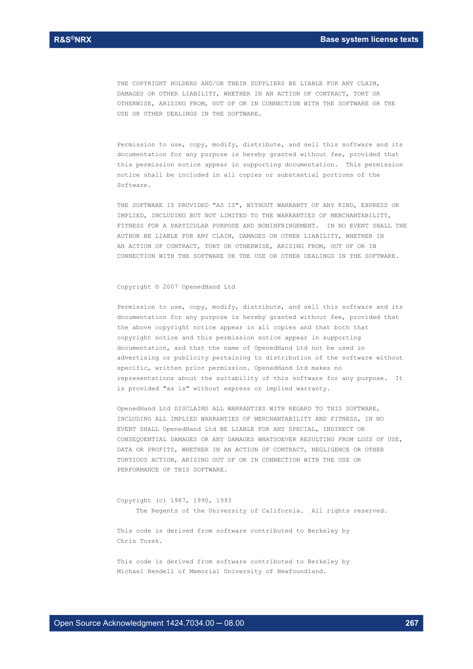THE COPYRIGHT HOLDERS AND/OR THEIR SUPPLIERS BE LIABLE FOR ANY CLAIM, DAMAGES OR OTHER LIABILITY, WHETHER IN AN ACTION OF CONTRACT, TORT OR OTHERWISE, ARISING FROM, OUT OF OR IN CONNECTION WITH THE SOFTWARE OR THE USE OR OTHER DEALINGS IN THE SOFTWARE.

Permission to use, copy, modify, distribute, and sell this software and its documentation for any purpose is hereby granted without fee, provided that this permission notice appear in supporting documentation. This permission notice shall be included in all copies or substantial portions of the Software.

THE SOFTWARE IS PROVIDED "AS IS", WITHOUT WARRANTY OF ANY KIND, EXPRESS OR IMPLIED, INCLUDING BUT NOT LIMITED TO THE WARRANTIES OF MERCHANTABILITY, FITNESS FOR A PARTICULAR PURPOSE AND NONINFRINGEMENT. IN NO EVENT SHALL THE AUTHOR BE LIABLE FOR ANY CLAIM, DAMAGES OR OTHER LIABILITY, WHETHER IN AN ACTION OF CONTRACT, TORT OR OTHERWISE, ARISING FROM, OUT OF OR IN CONNECTION WITH THE SOFTWARE OR THE USE OR OTHER DEALINGS IN THE SOFTWARE.

### Copyright © 2007 OpenedHand Ltd

Permission to use, copy, modify, distribute, and sell this software and its documentation for any purpose is hereby granted without fee, provided that the above copyright notice appear in all copies and that both that copyright notice and this permission notice appear in supporting documentation, and that the name of OpenedHand Ltd not be used in advertising or publicity pertaining to distribution of the software without specific, written prior permission. OpenedHand Ltd makes no representations about the suitability of this software for any purpose. It is provided "as is" without express or implied warranty.

OpenedHand Ltd DISCLAIMS ALL WARRANTIES WITH REGARD TO THIS SOFTWARE, INCLUDING ALL IMPLIED WARRANTIES OF MERCHANTABILITY AND FITNESS, IN NO EVENT SHALL OpenedHand Ltd BE LIABLE FOR ANY SPECIAL, INDIRECT OR CONSEQUENTIAL DAMAGES OR ANY DAMAGES WHATSOEVER RESULTING FROM LOSS OF USE, DATA OR PROFITS, WHETHER IN AN ACTION OF CONTRACT, NEGLIGENCE OR OTHER TORTIOUS ACTION, ARISING OUT OF OR IN CONNECTION WITH THE USE OR PERFORMANCE OF THIS SOFTWARE.

Copyright (c) 1987, 1990, 1993 The Regents of the University of California. All rights reserved.

This code is derived from software contributed to Berkeley by Chris Torek.

This code is derived from software contributed to Berkeley by Michael Rendell of Memorial University of Newfoundland.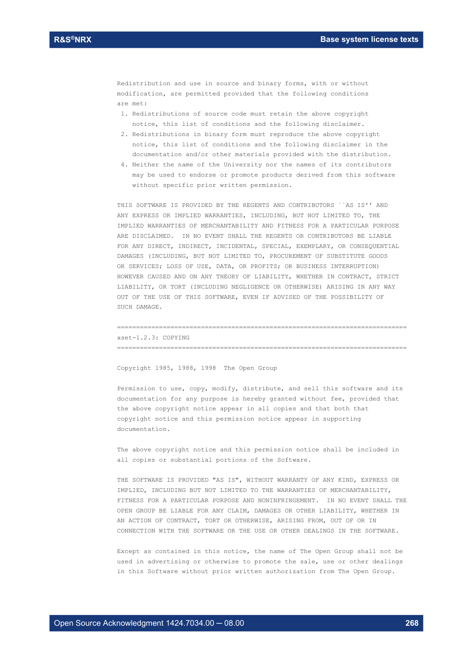Redistribution and use in source and binary forms, with or without modification, are permitted provided that the following conditions are met:

- 1. Redistributions of source code must retain the above copyright notice, this list of conditions and the following disclaimer.
- 2. Redistributions in binary form must reproduce the above copyright notice, this list of conditions and the following disclaimer in the documentation and/or other materials provided with the distribution.
- 4. Neither the name of the University nor the names of its contributors may be used to endorse or promote products derived from this software without specific prior written permission.

THIS SOFTWARE IS PROVIDED BY THE REGENTS AND CONTRIBUTORS ``AS IS'' AND ANY EXPRESS OR IMPLIED WARRANTIES, INCLUDING, BUT NOT LIMITED TO, THE IMPLIED WARRANTIES OF MERCHANTABILITY AND FITNESS FOR A PARTICULAR PURPOSE ARE DISCLAIMED. IN NO EVENT SHALL THE REGENTS OR CONTRIBUTORS BE LIABLE FOR ANY DIRECT, INDIRECT, INCIDENTAL, SPECIAL, EXEMPLARY, OR CONSEQUENTIAL DAMAGES (INCLUDING, BUT NOT LIMITED TO, PROCUREMENT OF SUBSTITUTE GOODS OR SERVICES; LOSS OF USE, DATA, OR PROFITS; OR BUSINESS INTERRUPTION) HOWEVER CAUSED AND ON ANY THEORY OF LIABILITY, WHETHER IN CONTRACT, STRICT LIABILITY, OR TORT (INCLUDING NEGLIGENCE OR OTHERWISE) ARISING IN ANY WAY OUT OF THE USE OF THIS SOFTWARE, EVEN IF ADVISED OF THE POSSIBILITY OF SUCH DAMAGE.

```
============================================================================
xset-1.2.3: COPYING
============================================================================
```
Copyright 1985, 1988, 1998 The Open Group

Permission to use, copy, modify, distribute, and sell this software and its documentation for any purpose is hereby granted without fee, provided that the above copyright notice appear in all copies and that both that copyright notice and this permission notice appear in supporting documentation.

The above copyright notice and this permission notice shall be included in all copies or substantial portions of the Software.

THE SOFTWARE IS PROVIDED "AS IS", WITHOUT WARRANTY OF ANY KIND, EXPRESS OR IMPLIED, INCLUDING BUT NOT LIMITED TO THE WARRANTIES OF MERCHANTABILITY, FITNESS FOR A PARTICULAR PURPOSE AND NONINFRINGEMENT. IN NO EVENT SHALL THE OPEN GROUP BE LIABLE FOR ANY CLAIM, DAMAGES OR OTHER LIABILITY, WHETHER IN AN ACTION OF CONTRACT, TORT OR OTHERWISE, ARISING FROM, OUT OF OR IN CONNECTION WITH THE SOFTWARE OR THE USE OR OTHER DEALINGS IN THE SOFTWARE.

Except as contained in this notice, the name of The Open Group shall not be used in advertising or otherwise to promote the sale, use or other dealings in this Software without prior written authorization from The Open Group.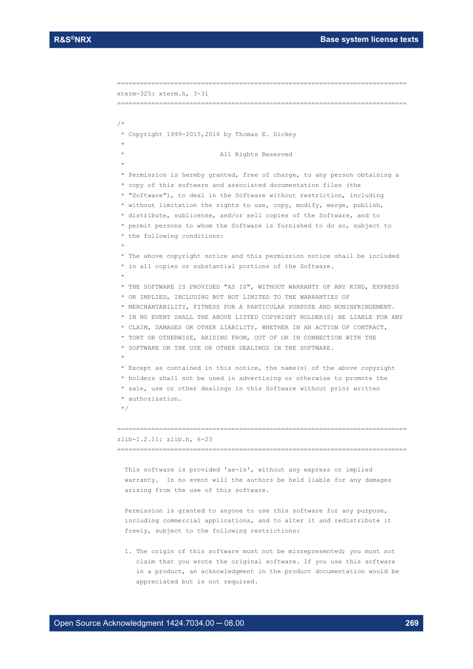```
============================================================================
xterm-325: xterm.h, 3-31
   ============================================================================
/*
 * Copyright 1999-2015,2016 by Thomas E. Dickey
 *
                           All Rights Reserved
 *
 * Permission is hereby granted, free of charge, to any person obtaining a
 * copy of this software and associated documentation files (the
 * "Software"), to deal in the Software without restriction, including
  * without limitation the rights to use, copy, modify, merge, publish,
 * distribute, sublicense, and/or sell copies of the Software, and to
  * permit persons to whom the Software is furnished to do so, subject to
  * the following conditions:
 *
  * The above copyright notice and this permission notice shall be included
 * in all copies or substantial portions of the Software.
 *
 * THE SOFTWARE IS PROVIDED "AS IS", WITHOUT WARRANTY OF ANY KIND, EXPRESS
 * OR IMPLIED, INCLUDING BUT NOT LIMITED TO THE WARRANTIES OF
  * MERCHANTABILITY, FITNESS FOR A PARTICULAR PURPOSE AND NONINFRINGEMENT.
  * IN NO EVENT SHALL THE ABOVE LISTED COPYRIGHT HOLDER(S) BE LIABLE FOR ANY
 * CLAIM, DAMAGES OR OTHER LIABILITY, WHETHER IN AN ACTION OF CONTRACT,
 * TORT OR OTHERWISE, ARISING FROM, OUT OF OR IN CONNECTION WITH THE
  * SOFTWARE OR THE USE OR OTHER DEALINGS IN THE SOFTWARE.
 *
 * Except as contained in this notice, the name(s) of the above copyright
  * holders shall not be used in advertising or otherwise to promote the
  * sale, use or other dealings in this Software without prior written
  * authorization.
 */
============================================================================
zlib-1.2.11: zlib.h, 6-23
============================================================================
  This software is provided 'as-is', without any express or implied
  warranty. In no event will the authors be held liable for any damages
   arising from the use of this software.
```
 Permission is granted to anyone to use this software for any purpose, including commercial applications, and to alter it and redistribute it freely, subject to the following restrictions:

 1. The origin of this software must not be misrepresented; you must not claim that you wrote the original software. If you use this software in a product, an acknowledgment in the product documentation would be appreciated but is not required.